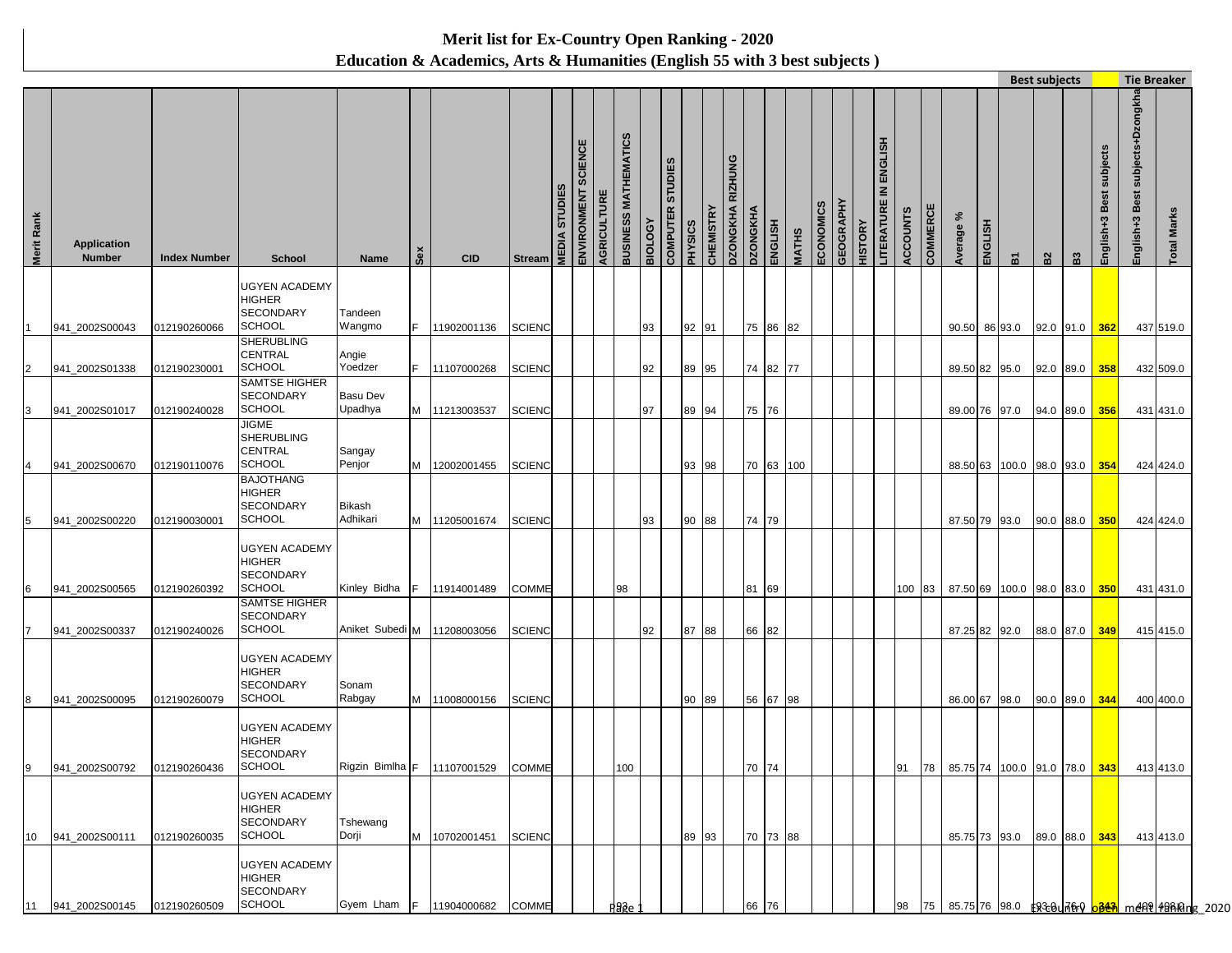## **Merit list for Ex-Country Open Ranking - 2020 Education & Academics, Arts & Humanities (English 55 with 3 best subjects )**

|                 |                                     |                     |                                                              |                    |     |                                   |               |                     |                     |             |                      |                |                                                     |                  |                            |                 |           |              |           |                             |                                        |                 |          |               |         |                                                  | <b>Best subjects</b> |               |                               |                                     | <b>Tie Breaker</b>                                                                     |  |
|-----------------|-------------------------------------|---------------------|--------------------------------------------------------------|--------------------|-----|-----------------------------------|---------------|---------------------|---------------------|-------------|----------------------|----------------|-----------------------------------------------------|------------------|----------------------------|-----------------|-----------|--------------|-----------|-----------------------------|----------------------------------------|-----------------|----------|---------------|---------|--------------------------------------------------|----------------------|---------------|-------------------------------|-------------------------------------|----------------------------------------------------------------------------------------|--|
| Merit Rank      | <b>Application</b><br><b>Number</b> | <b>Index Number</b> | <b>School</b>                                                | Name               | Sex | <b>CID</b>                        | <b>Stream</b> | <b>MEDIA STUDIE</b> | ENVIRONMENT SCIENCE | AGRICULTURE | BUSINESS MATHEMATICS | <b>BIOLOGY</b> | <b>STUDIES</b><br><b>COMPUTER</b><br><b>SOISAHd</b> | <b>CHEMISTRY</b> | RIZHUNG<br><b>DZONGKHA</b> | <b>DZONGKHA</b> | ENGLISH   | <b>MATHS</b> | ECONOMICS | GEOGRAPHY<br><b>HISTORY</b> | ENGLISH<br>$\leq$<br><b>LITERATURE</b> | <b>ACCOUNTS</b> | COMMERCE | వి<br>Average | ENGLISH | ៲៵                                               | B2                   | $\mathbf{g}$  | subjects<br>Best<br>English+3 | subjects+Dzongkha<br>English+3 Best | Marks<br>Total                                                                         |  |
|                 |                                     |                     | UGYEN ACADEMY<br>HIGHER                                      |                    |     |                                   |               |                     |                     |             |                      |                |                                                     |                  |                            |                 |           |              |           |                             |                                        |                 |          |               |         |                                                  |                      |               |                               |                                     |                                                                                        |  |
|                 | 941_2002S00043                      | 012190260066        | <b>SECONDARY</b><br><b>SCHOOL</b>                            | Tandeen<br>Wangmo  | IF. | 11902001136                       | <b>SCIENC</b> |                     |                     |             |                      | 93             |                                                     | 92 91            |                            |                 | 75 86 82  |              |           |                             |                                        |                 |          |               |         | 90.50 86 93.0                                    | 92.0 91.0 362        |               |                               |                                     | 437 519.0                                                                              |  |
|                 |                                     |                     | <b>SHERUBLING</b><br><b>CENTRAL</b><br><b>SCHOOL</b>         | Angie<br>Yoedzer   | IF. |                                   |               |                     |                     |             |                      |                |                                                     |                  |                            |                 | 74 82 77  |              |           |                             |                                        |                 |          |               |         |                                                  |                      |               |                               |                                     |                                                                                        |  |
| $\overline{c}$  | 941_2002S01338                      | 012190230001        | <b>SAMTSE HIGHER</b><br><b>SECONDARY</b>                     | <b>Basu Dev</b>    |     | 11107000268                       | <b>SCIENC</b> |                     |                     |             |                      | 92             |                                                     | 89 95            |                            |                 |           |              |           |                             |                                        |                 |          |               |         | 89.50 82 95.0                                    |                      | 92.0 89.0 358 |                               |                                     | 432 509.0                                                                              |  |
| 3               | 941_2002S01017                      | 012190240028        | <b>SCHOOL</b>                                                | Upadhya            | M   | 11213003537                       | <b>SCIENC</b> |                     |                     |             |                      | 97             |                                                     | 89 94            |                            | 75 76           |           |              |           |                             |                                        |                 |          | 89.00 76 97.0 |         |                                                  | 94.0 89.0            |               | 356                           |                                     | 431 431.0                                                                              |  |
|                 |                                     |                     | JIGME<br><b>SHERUBLING</b><br>CENTRAL                        | Sangay             |     |                                   |               |                     |                     |             |                      |                |                                                     |                  |                            |                 |           |              |           |                             |                                        |                 |          |               |         |                                                  |                      |               |                               |                                     |                                                                                        |  |
|                 | 941 2002S00670                      | 012190110076        | SCHOOL<br><b>BAJOTHANG</b>                                   | Penjor             | M   | 12002001455                       | <b>SCIENC</b> |                     |                     |             |                      |                |                                                     | 93 98            |                            |                 | 70 63 100 |              |           |                             |                                        |                 |          |               |         | 88.50 63 100.0 98.0 93.0                         |                      |               | 354                           |                                     | 424 424.0                                                                              |  |
| 5               | 941_2002S00220                      | 012190030001        | <b>HIGHER</b><br><b>SECONDARY</b><br><b>SCHOOL</b>           | Bikash<br>Adhikari | M   | 11205001674                       | <b>SCIENC</b> |                     |                     |             |                      | 93             |                                                     | 90 88            |                            | 74 79           |           |              |           |                             |                                        |                 |          | 87.50 79 93.0 |         |                                                  |                      | 90.0 88.0 350 |                               |                                     | 424 424.0                                                                              |  |
|                 |                                     |                     | UGYEN ACADEMY<br>HIGHER<br><b>SECONDARY</b>                  |                    |     |                                   |               |                     |                     |             |                      |                |                                                     |                  |                            |                 |           |              |           |                             |                                        |                 |          |               |         |                                                  |                      |               |                               |                                     |                                                                                        |  |
| 6               | 941 2002S00565                      | 012190260392        | SCHOOL<br><b>SAMTSE HIGHER</b>                               | Kinley Bidha F     |     | 11914001489                       | <b>COMME</b>  |                     |                     | 98          |                      |                |                                                     |                  |                            | 81 69           |           |              |           |                             |                                        | 100             |          |               |         | 83   87.50 69   100.0   98.0   83.0   350        |                      |               |                               |                                     | 431 431.0                                                                              |  |
|                 | 941_2002S00337                      | 012190240026        | SECONDARY<br><b>SCHOOL</b>                                   | Aniket Subedi M    |     | 11208003056                       | <b>SCIENC</b> |                     |                     |             |                      | 92             |                                                     | 87 88            |                            | 66 82           |           |              |           |                             |                                        |                 |          | 87.25 82 92.0 |         |                                                  |                      | 88.0 87.0 349 |                               |                                     | 415 415.0                                                                              |  |
| 8               | 941 2002S00095                      | 012190260079        | <b>UGYEN ACADEMY</b><br>HIGHER<br><b>SECONDARY</b><br>SCHOOL | Sonam<br>Rabgay    |     | M 11008000156                     | <b>SCIENC</b> |                     |                     |             |                      |                |                                                     | 90 89            |                            |                 | 56 67 98  |              |           |                             |                                        |                 |          | 86.00 67 98.0 |         |                                                  |                      | 90.0 89.0 344 |                               |                                     | 400 400.0                                                                              |  |
|                 |                                     |                     | UGYEN ACADEMY<br>HIGHER<br>SECONDARY                         |                    |     |                                   |               |                     |                     |             |                      |                |                                                     |                  |                            |                 |           |              |           |                             |                                        |                 |          |               |         |                                                  |                      |               |                               |                                     |                                                                                        |  |
| 9               | 941_2002S00792 012190260436         |                     | SCHOOL                                                       |                    |     | Rigzin Bimlha F 11107001529 COMME |               |                     |                     |             | 100                  |                |                                                     |                  |                            | 70 74           |           |              |           |                             |                                        |                 |          |               |         | 91 78 85.75 74 100.0 91.0 78.0 343 413 413 413.0 |                      |               |                               |                                     |                                                                                        |  |
| 10 <sup>1</sup> | 941_2002S00111                      | 012190260035        | <b>UGYEN ACADEMY</b><br>HIGHER<br>SECONDARY<br><b>SCHOOL</b> | Tshewang<br>Dorji  |     | M 10702001451                     | <b>SCIENC</b> |                     |                     |             |                      |                |                                                     | 89 93            |                            |                 | 70 73 88  |              |           |                             |                                        |                 |          |               |         | 85.75 73 93.0                                    | 89.0 88.0 343        |               |                               |                                     | 413 413.0                                                                              |  |
|                 |                                     |                     | <b>UGYEN ACADEMY</b><br><b>HIGHER</b><br><b>SECONDARY</b>    |                    |     |                                   |               |                     |                     |             |                      |                |                                                     |                  |                            |                 |           |              |           |                             |                                        |                 |          |               |         |                                                  |                      |               |                               |                                     |                                                                                        |  |
| 11              | 941_2002S00145                      | 012190260509        | <b>SCHOOL</b>                                                | Gyem Lham F        |     | 11904000682 COMME                 |               |                     |                     | Page        |                      |                |                                                     |                  |                            | 66 76           |           |              |           |                             |                                        | 98              |          |               |         |                                                  |                      |               |                               |                                     | 75   85.75  76 <u> 98.0   \$ZBUA&amp;Q <mark>bB&amp;N</mark> m&amp;AP 48King 2</u> 020 |  |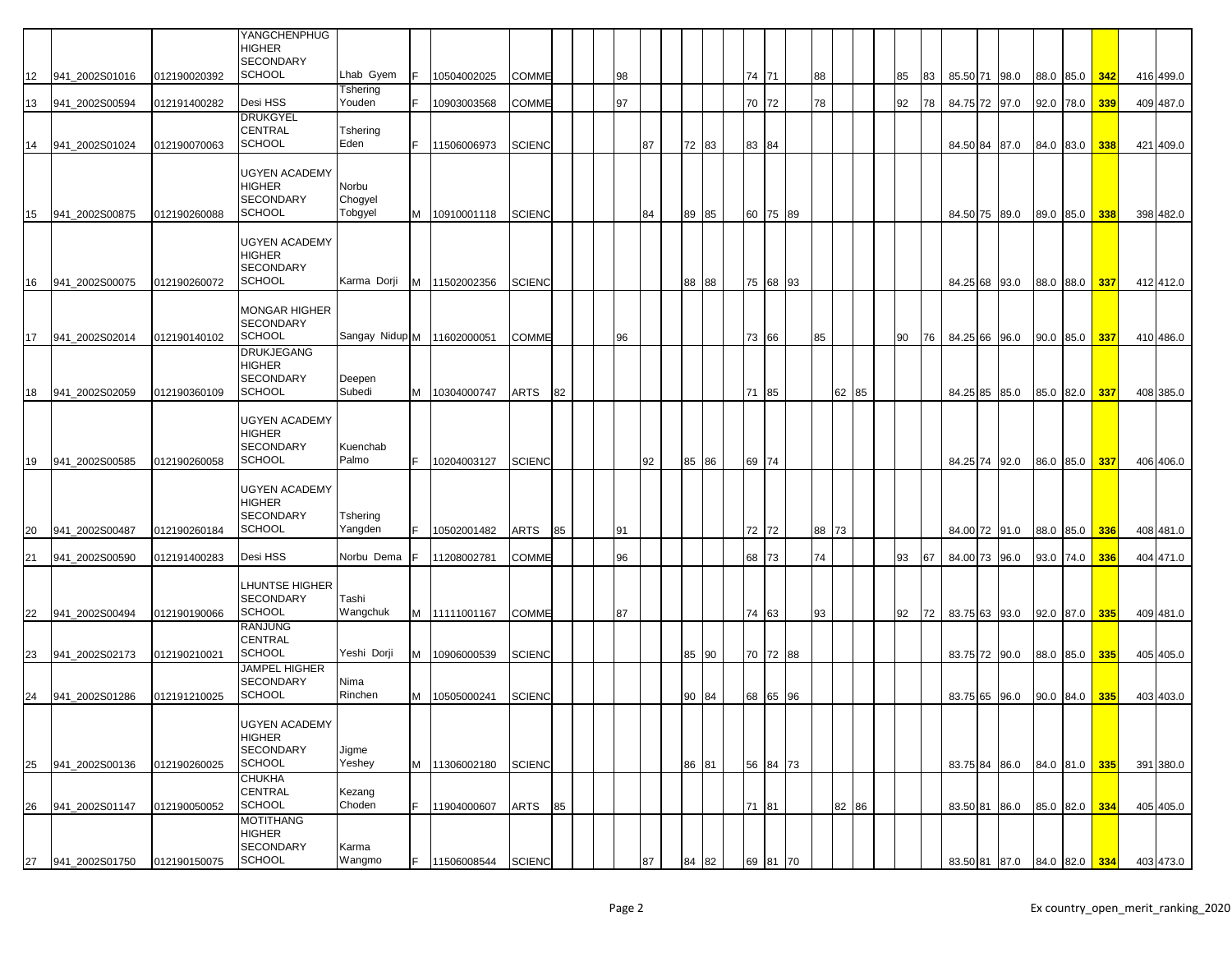|    |                |              | YANGCHENPHUG<br><b>HIGHER</b>                                              |                             |    |               |               |    |    |    |       |       |          |    |       |    |    |               |      |           |               |     |           |
|----|----------------|--------------|----------------------------------------------------------------------------|-----------------------------|----|---------------|---------------|----|----|----|-------|-------|----------|----|-------|----|----|---------------|------|-----------|---------------|-----|-----------|
| 12 | 941_2002S01016 | 012190020392 | SECONDARY<br><b>SCHOOL</b>                                                 | Lhab Gyem                   |    | 10504002025   | COMME         |    | 98 |    |       |       | 74 71    | 88 |       | 85 | 83 | 85.50 71 98.0 |      |           | 88.0 85.0 342 |     | 416 499.0 |
|    |                |              |                                                                            | Tshering                    |    |               |               |    |    |    |       |       |          |    |       |    |    |               |      |           |               |     |           |
| 13 | 941_2002S00594 | 012191400282 | Desi HSS                                                                   | Youden                      |    | 10903003568   | COMME         |    | 97 |    |       |       | 70 72    | 78 |       | 92 | 78 | 84.75 72 97.0 |      |           | 92.0 78.0     | 339 | 409 487.0 |
| 14 | 941_2002S01024 | 012190070063 | <b>DRUKGYEL</b><br>CENTRAL<br><b>SCHOOL</b>                                | Tshering<br>Eden            | F  | 11506006973   | <b>SCIENC</b> |    |    | 87 | 72 83 | 83 84 |          |    |       |    |    | 84.50 84 87.0 |      |           | 84.0 83.0     | 338 | 421 409.0 |
|    |                |              |                                                                            |                             |    |               |               |    |    |    |       |       |          |    |       |    |    |               |      |           |               |     |           |
| 15 | 941 2002S00875 | 012190260088 | <b>UGYEN ACADEMY</b><br><b>HIGHER</b><br><b>SECONDARY</b><br><b>SCHOOL</b> | Norbu<br>Chogyel<br>Tobgyel | М  | 10910001118   | <b>SCIENC</b> |    |    | 84 | 89 85 |       | 60 75 89 |    |       |    |    | 84.50 75 89.0 |      |           | 89.0 85.0     | 338 | 398 482.0 |
|    |                |              |                                                                            |                             |    |               |               |    |    |    |       |       |          |    |       |    |    |               |      |           |               |     |           |
| 16 | 941 2002S00075 | 012190260072 | <b>UGYEN ACADEMY</b><br><b>HIGHER</b><br><b>SECONDARY</b><br><b>SCHOOL</b> | Karma Dorji                 |    | M 11502002356 | <b>SCIENC</b> |    |    |    | 88 88 |       | 75 68 93 |    |       |    |    | 84.25 68 93.0 |      |           | 88.0 88.0 337 |     | 412 412.0 |
|    |                |              | <b>MONGAR HIGHER</b>                                                       |                             |    |               |               |    |    |    |       |       |          |    |       |    |    |               |      |           |               |     |           |
| 17 | 941 2002S02014 | 012190140102 | <b>SECONDARY</b><br><b>SCHOOL</b>                                          | Sangay Nidup M 11602000051  |    |               | COMME         |    | 96 |    |       |       | 73 66    | 85 |       | 90 | 76 | 84.25 66 96.0 |      |           | 90.0 85.0 337 |     | 410 486.0 |
|    |                |              | <b>DRUKJEGANG</b><br><b>HIGHER</b>                                         |                             |    |               |               |    |    |    |       |       |          |    |       |    |    |               |      |           |               |     |           |
| 18 | 941 2002S02059 | 012190360109 | SECONDARY<br><b>SCHOOL</b>                                                 | Deepen<br>Subedi            | M  | 10304000747   | ARTS          | 82 |    |    |       | 71    | 85       |    | 62 85 |    |    | 84.25 85 85.0 |      |           | 85.0 82.0     | 337 | 408 385.0 |
| 19 | 941 2002S00585 | 012190260058 | <b>UGYEN ACADEMY</b><br><b>HIGHER</b><br><b>SECONDARY</b><br><b>SCHOOL</b> | Kuenchab<br>Palmo           | F. | 10204003127   | <b>SCIENC</b> |    |    | 92 | 85 86 | 69 74 |          |    |       |    |    | 84.25 74      | 92.0 |           | 86.0 85.0     | 337 | 406 406.0 |
|    |                |              |                                                                            |                             |    |               |               |    |    |    |       |       |          |    |       |    |    |               |      |           |               |     |           |
| 20 | 941_2002S00487 | 012190260184 | <b>UGYEN ACADEMY</b><br>HIGHER<br><b>SECONDARY</b><br><b>SCHOOL</b>        | Tshering<br>Yangden         |    | 10502001482   | ARTS          | 85 | 91 |    |       |       | 72 72    | 88 | 73    |    |    | 84.00 72 91.0 |      |           | 88.0 85.0     | 336 | 408 481.0 |
| 21 | 941_2002S00590 | 012191400283 | Desi HSS                                                                   | Norbu Dema                  |    | 11208002781   | COMME         |    | 96 |    |       | 68 73 |          | 74 |       | 93 | 67 | 84.00 73      | 96.0 | 93.0 74.0 |               | 336 | 404 471.0 |
|    |                |              |                                                                            |                             |    |               |               |    |    |    |       |       |          |    |       |    |    |               |      |           |               |     |           |
| 22 | 941 2002S00494 | 012190190066 | LHUNTSE HIGHER<br><b>SECONDARY</b><br><b>SCHOOL</b>                        | Tashi<br>Wangchuk           |    | M 11111001167 | COMME         |    | 87 |    |       |       | 74 63    | 93 |       | 92 | 72 | 83.75 63 93.0 |      |           | 92.0 87.0     | 335 | 409 481.0 |
|    |                |              | <b>RANJUNG</b>                                                             |                             |    |               |               |    |    |    |       |       |          |    |       |    |    |               |      |           |               |     |           |
| 23 | 941 2002S02173 | 012190210021 | CENTRAL<br><b>SCHOOL</b>                                                   | Yeshi Dorji                 | M  | 10906000539   | <b>SCIENC</b> |    |    |    | 85 90 |       | 70 72 88 |    |       |    |    | 83.75 72 90.0 |      |           | 88.0 85.0 335 |     | 405 405.0 |
| 24 | 941_2002S01286 | 012191210025 | <b>JAMPEL HIGHER</b><br>SECONDARY<br><b>SCHOOL</b>                         | Nima<br>Rinchen             | м  | 10505000241   | <b>SCIENC</b> |    |    |    | 90 84 |       | 68 65 96 |    |       |    |    | 83.75 65 96.0 |      |           | 90.0 84.0     | 335 | 403 403.0 |
|    |                |              | <b>UGYEN ACADEMY</b>                                                       |                             |    |               |               |    |    |    |       |       |          |    |       |    |    |               |      |           |               |     |           |
| 25 | 941 2002S00136 | 012190260025 | HIGHER<br>SECONDARY<br>SCHOOL                                              | Jigme<br>Yeshey             | M  | 11306002180   | <b>SCIENC</b> |    |    |    | 86 81 |       | 56 84 73 |    |       |    |    | 83.75 84 86.0 |      |           | 84.0 81.0     | 335 | 391 380.0 |
|    |                |              | <b>CHUKHA</b><br>CENTRAL                                                   | Kezang                      |    |               |               |    |    |    |       |       |          |    |       |    |    |               |      |           |               |     |           |
| 26 | 941 2002S01147 | 012190050052 | SCHOOL                                                                     | Choden                      | F. | 11904000607   | ARTS          | 85 |    |    |       |       | 71 81    |    | 82 86 |    |    | 83.50 81 86.0 |      |           | 85.0 82.0 334 |     | 405 405.0 |
|    |                |              | MOTITHANG<br><b>HIGHER</b><br>SECONDARY                                    | Karma                       |    |               |               |    |    |    |       |       |          |    |       |    |    |               |      |           |               |     |           |
| 27 | 941 2002S01750 | 012190150075 | <b>SCHOOL</b>                                                              | Wangmo                      | F. | 11506008544   | <b>SCIENC</b> |    |    | 87 | 84 82 |       | 69 81 70 |    |       |    |    | 83.50 81 87.0 |      |           | 84.0 82.0 334 |     | 403 473.0 |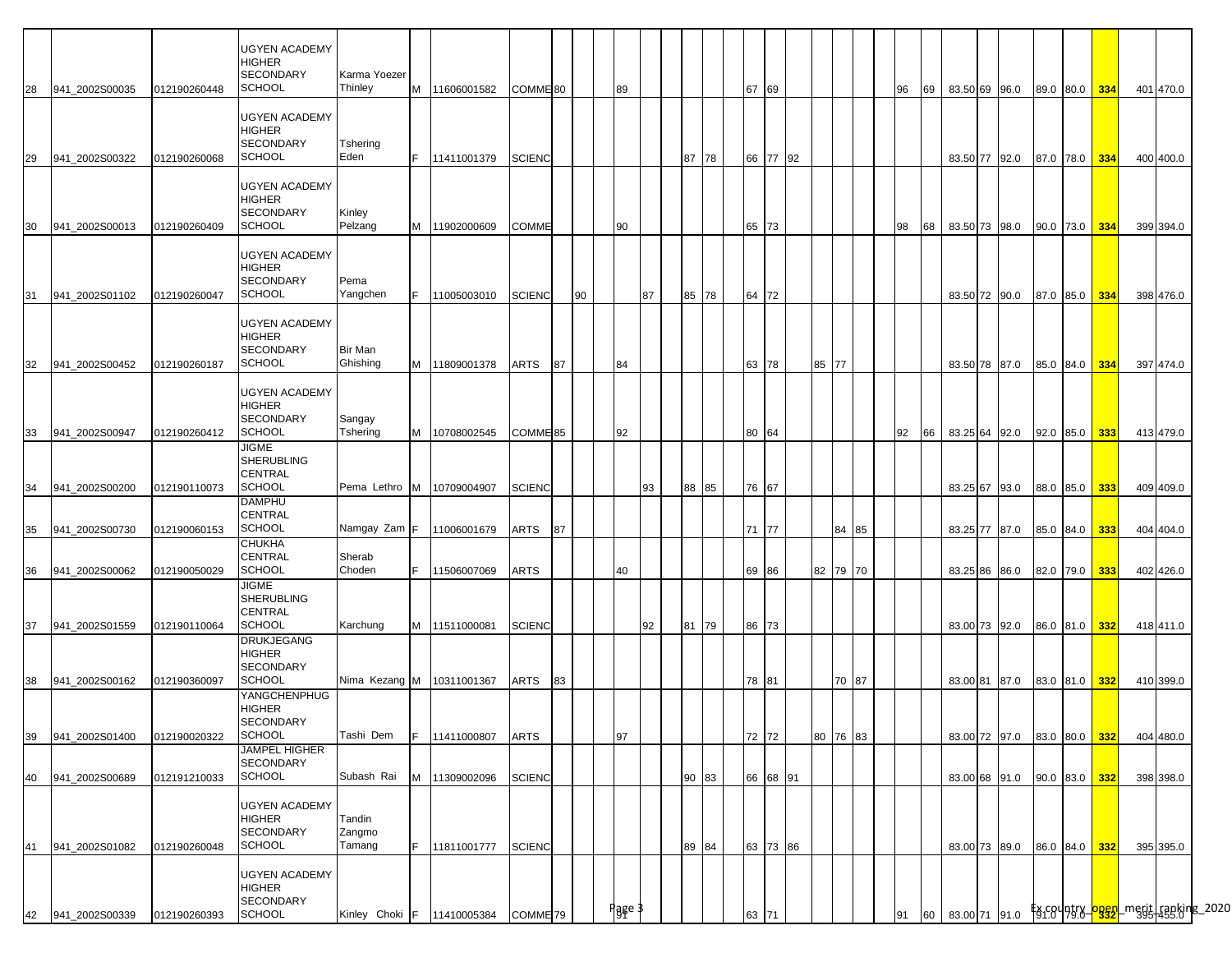| 28       | 941 2002S00035                   | 012190260448                 | <b>UGYEN ACADEMY</b><br><b>HIGHER</b><br><b>SECONDARY</b><br><b>SCHOOL</b>                | Karma Yoezer<br>Thinley    |    | M 11606001582                                | COMME <sup>80</sup>                  |    |    | 89     |    |       |    | 67 69       |          |       |          | 96 |    | 69 83.50 69 96.0               |  | 89.0 80.0 334                  |     | 401 470.0              |                                                                               |
|----------|----------------------------------|------------------------------|-------------------------------------------------------------------------------------------|----------------------------|----|----------------------------------------------|--------------------------------------|----|----|--------|----|-------|----|-------------|----------|-------|----------|----|----|--------------------------------|--|--------------------------------|-----|------------------------|-------------------------------------------------------------------------------|
| 29       | 941 2002S00322                   | 012190260068                 | <b>UGYEN ACADEMY</b><br><b>HIGHER</b><br><b>SECONDARY</b><br><b>SCHOOL</b>                | Tshering<br>Eden           | F. | 11411001379                                  | <b>SCIENC</b>                        |    |    |        |    | 87    | 78 |             | 66 77 92 |       |          |    |    | 83.50 77 92.0                  |  | 87.0 78.0 334                  |     | 400 400.0              |                                                                               |
| 30       | 941 2002S00013                   | 012190260409                 | <b>UGYEN ACADEMY</b><br><b>HIGHER</b><br><b>SECONDARY</b><br><b>SCHOOL</b>                | Kinley<br>Pelzang          |    | M 11902000609                                | <b>COMME</b>                         |    |    | 90     |    |       |    | 65 73       |          |       |          | 98 | 68 | 83.50 73 98.0                  |  | 90.0 73.0 334                  |     | 399 394.0              |                                                                               |
| 31       | 941 2002S01102                   | 012190260047                 | <b>UGYEN ACADEMY</b><br><b>HIGHER</b><br><b>SECONDARY</b><br><b>SCHOOL</b>                | Pema<br>Yangchen           |    | F 11005003010                                | <b>SCIENC</b>                        |    | 90 |        | 87 | 85 78 |    | 64 72       |          |       |          |    |    | 83.50 72 90.0                  |  | 87.0 85.0 334                  |     | 398 476.0              |                                                                               |
| 32       | 941_2002S00452                   | 012190260187                 | <b>UGYEN ACADEMY</b><br><b>HIGHER</b><br><b>SECONDARY</b><br><b>SCHOOL</b>                | Bir Man<br>Ghishing        |    | M 11809001378                                | ARTS                                 | 87 |    | 84     |    |       |    | 63 78       |          | 85 77 |          |    |    | 83.50 78 87.0                  |  | 85.0 84.0 334                  |     | 397 474.0              |                                                                               |
|          |                                  |                              | <b>UGYEN ACADEMY</b><br><b>HIGHER</b><br><b>SECONDARY</b><br><b>SCHOOL</b>                | Sangay<br>Tshering         |    |                                              |                                      |    |    |        |    |       |    |             |          |       |          |    |    |                                |  |                                |     |                        |                                                                               |
| 33<br>34 | 941 2002S00947<br>941 2002S00200 | 012190260412<br>012190110073 | <b>JIGME</b><br><b>SHERUBLING</b><br><b>CENTRAL</b><br><b>SCHOOL</b>                      |                            |    | M 10708002545<br>Pema Lethro M   10709004907 | COMME <sup>85</sup><br><b>SCIENC</b> |    |    | 92     | 93 | 88    | 85 | 80<br>76 67 | 64       |       |          | 92 | 66 | 83.25 64 92.0<br>83.25 67 93.0 |  | $92.0$ 85.0<br>88.0 85.0 333   | 333 | 413 479.0<br>409 409.0 |                                                                               |
| 35       | 941 2002S00730                   | 012190060153                 | <b>DAMPHU</b><br><b>CENTRAL</b><br><b>SCHOOL</b><br><b>CHUKHA</b>                         | Namgay Zam F               |    | 11006001679                                  | ARTS                                 | 87 |    |        |    |       |    | 71 77       |          |       | 84 85    |    |    | 83.25 77 87.0                  |  | 85.0 84.0 333                  |     | 404 404.0              |                                                                               |
| 36       | 941 2002S00062                   | 012190050029                 | <b>CENTRAL</b><br><b>SCHOOL</b><br><b>JIGME</b><br><b>SHERUBLING</b>                      | Sherab<br>Choden           | F. | 11506007069                                  | <b>ARTS</b>                          |    |    | 40     |    |       |    | 69 86       |          |       | 82 79 70 |    |    | 83.25 86 86.0                  |  | 82.0 79.0 333                  |     | 402 426.0              |                                                                               |
| 37       | 941 2002S01559                   | 012190110064                 | <b>CENTRAL</b><br><b>SCHOOL</b><br><b>DRUKJEGANG</b><br><b>HIGHER</b><br><b>SECONDARY</b> | Karchung                   |    | M 11511000081                                | <b>SCIENC</b>                        |    |    |        | 92 | 81 79 |    | 86 73       |          |       |          |    |    | 83.00 73 92.0                  |  | 86.0 81.0 332                  |     | 418 411.0              |                                                                               |
| 38       | 941 2002S00162                   | 012190360097                 | <b>SCHOOL</b><br>YANGCHENPHUG<br><b>HIGHER</b><br><b>SECONDARY</b>                        |                            |    | Nima Kezang M   10311001367                  | <b>ARTS</b>                          | 83 |    |        |    |       |    | 78 81       |          |       | 70 87    |    |    | 83.00 81 87.0                  |  | 83.0 81.0 332                  |     | 410 399.0              |                                                                               |
| 39<br>40 | 941_2002S01400<br>941_2002S00689 | 012190020322<br>012191210033 | <b>SCHOOL</b><br><b>JAMPEL HIGHER</b><br><b>SECONDARY</b><br><b>SCHOOL</b>                | Tashi Dem<br>Subash Rai    | F  | 11411000807<br>M 11309002096                 | <b>ARTS</b><br><b>SCIENC</b>         |    |    | 97     |    | 90 83 |    | 72 72       | 66 68 91 |       | 80 76 83 |    |    | 83.00 72 97.0<br>83.00 68 91.0 |  | 83.0 80.0 332<br>90.0 83.0 332 |     | 404 480.0<br>398 398.0 |                                                                               |
| 41       | 941_2002S01082                   | 012190260048                 | <b>UGYEN ACADEMY</b><br><b>HIGHER</b><br><b>SECONDARY</b><br><b>SCHOOL</b>                | Tandin<br>Zangmo<br>Tamang |    | F 11811001777                                | <b>SCIENC</b>                        |    |    |        |    | 89 84 |    |             | 63 73 86 |       |          |    |    | 83.00 73 89.0                  |  | 86.0 84.0 332                  |     | 395 395.0              |                                                                               |
| 42       | 941_2002S00339                   | 012190260393                 | <b>UGYEN ACADEMY</b><br><b>HIGHER</b><br><b>SECONDARY</b><br><b>SCHOOL</b>                |                            |    | Kinley Choki F   11410005384                 | COMME <sub>79</sub>                  |    |    | Pgge 3 |    |       |    | 63 71       |          |       |          | 91 |    | 60 83.00 71 91.0               |  |                                |     |                        | _ <mark>f</mark> §1.8Y9 <u>57X</u> _ <mark>08\$2}</mark> _merit_lragking_2020 |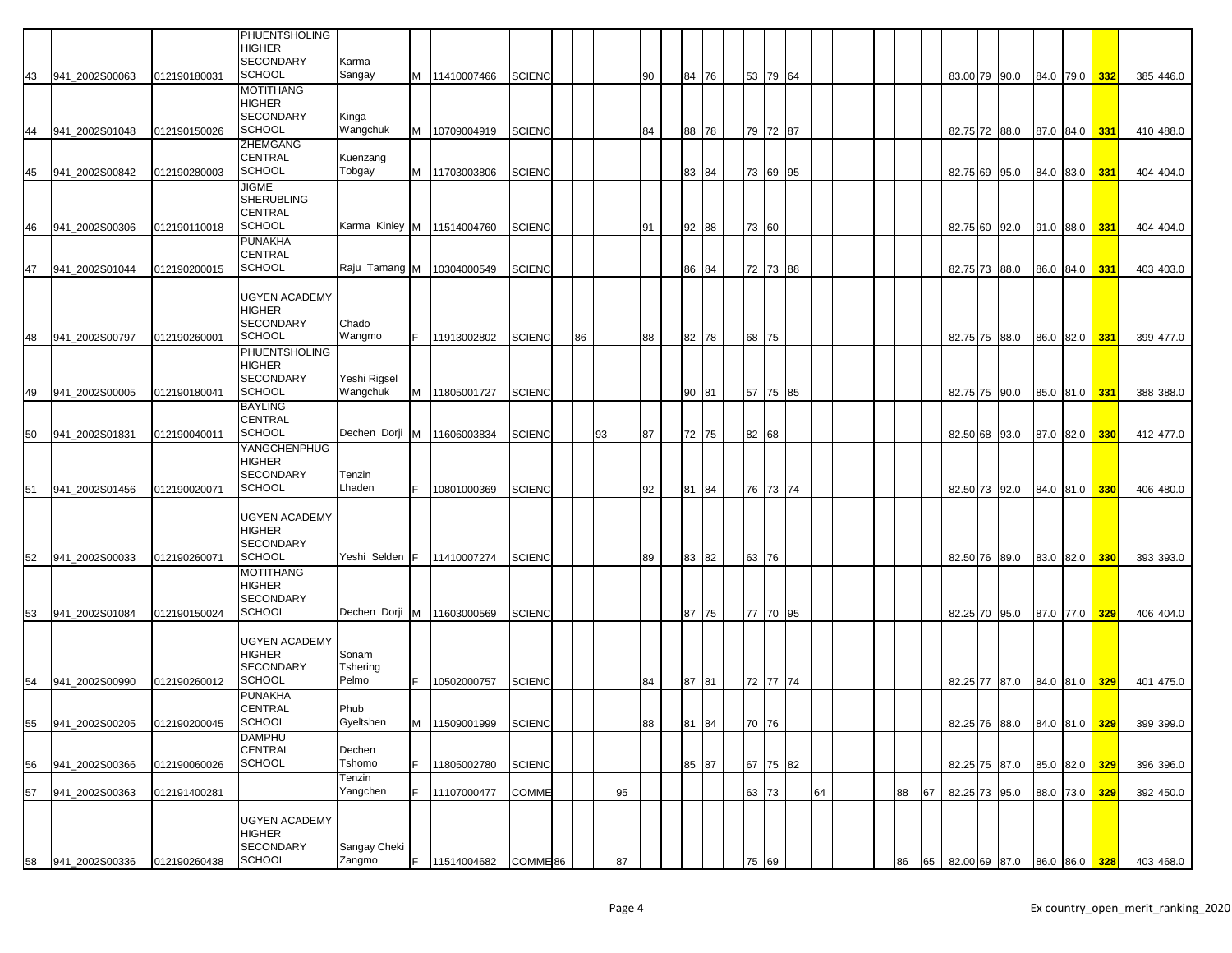|    |                |              | PHUENTSHOLING<br>HIGHER<br><b>SECONDARY</b>                                | Karma                        |    |               |                     |    |    |    |    |       |       |          |    |  |    |    |  |                                       |               |               |     |           |           |
|----|----------------|--------------|----------------------------------------------------------------------------|------------------------------|----|---------------|---------------------|----|----|----|----|-------|-------|----------|----|--|----|----|--|---------------------------------------|---------------|---------------|-----|-----------|-----------|
| 43 | 941 2002S00063 | 012190180031 | <b>SCHOOL</b>                                                              | Sangay                       |    | M 11410007466 | SCIENC              |    |    |    | 90 | 84 76 |       | 53 79 64 |    |  |    |    |  | 83.00 79 90.0                         | 84.0 79.0 332 |               |     | 385 446.0 |           |
| 44 | 941_2002S01048 | 012190150026 | MOTITHANG<br><b>HIGHER</b><br><b>SECONDARY</b><br><b>SCHOOL</b>            | Kinga<br>Wangchuk            | м  | 10709004919   | <b>SCIENC</b>       |    |    |    | 84 | 88 78 |       | 79 72 87 |    |  |    |    |  | 82.75 72 88.0                         |               | 87.0 84.0 331 |     | 410 488.0 |           |
|    |                |              | ZHEMGANG<br><b>CENTRAL</b>                                                 | Kuenzang                     |    |               |                     |    |    |    |    |       |       |          |    |  |    |    |  |                                       |               |               |     |           |           |
| 45 | 941 2002S00842 | 012190280003 | <b>SCHOOL</b><br><b>JIGME</b>                                              | Tobgay                       |    | M 11703003806 | <b>SCIENC</b>       |    |    |    |    | 83 84 |       | 73 69 95 |    |  |    |    |  | 82.75 69 95.0                         |               | 84.0 83.0 331 |     | 404 404.0 |           |
|    |                |              | SHERUBLING<br>CENTRAL                                                      |                              |    |               |                     |    |    |    |    |       |       |          |    |  |    |    |  |                                       |               |               |     |           |           |
| 46 | 941_2002S00306 | 012190110018 | SCHOOL<br><b>PUNAKHA</b>                                                   | Karma Kinley M   11514004760 |    |               | <b>SCIENC</b>       |    |    |    | 91 | 92 88 | 73 60 |          |    |  |    |    |  | 82.75 60 92.0                         |               | 91.0 88.0 331 |     | 404 404.0 |           |
| 47 | 941 2002S01044 | 012190200015 | CENTRAL<br><b>SCHOOL</b>                                                   | Raju Tamang M                |    | 10304000549   | SCIENC              |    |    |    |    | 86 84 |       | 72 73 88 |    |  |    |    |  | 82.75 73 88.0                         |               | 86.0 84.0     | 331 | 403 403.0 |           |
| 48 | 941 2002S00797 | 012190260001 | <b>UGYEN ACADEMY</b><br><b>HIGHER</b><br><b>SECONDARY</b><br><b>SCHOOL</b> | Chado<br>Wangmo              | F. | 11913002802   | SCIENC              | 86 |    |    | 88 | 82 78 | 68 75 |          |    |  |    |    |  | 82.75 75 88.0                         |               | 86.0 82.0 331 |     | 399 477.0 |           |
|    |                |              | PHUENTSHOLING                                                              |                              |    |               |                     |    |    |    |    |       |       |          |    |  |    |    |  |                                       |               |               |     |           |           |
| 49 | 941 2002S00005 | 012190180041 | HIGHER<br><b>SECONDARY</b><br><b>SCHOOL</b>                                | Yeshi Rigsel<br>Wangchuk     | M  | 11805001727   | <b>SCIENC</b>       |    |    |    |    | 90 81 |       | 57 75 85 |    |  |    |    |  | 82.75 75 90.0                         | 85.0 81.0 331 |               |     | 388 388.0 |           |
| 50 | 941 2002S01831 | 012190040011 | <b>BAYLING</b><br>CENTRAL<br><b>SCHOOL</b>                                 | Dechen Dorji                 | M  | 11606003834   | <b>SCIENC</b>       |    | 93 |    | 87 | 72 75 | 82 68 |          |    |  |    |    |  | 82.50 68 93.0                         |               | 87.0 82.0     | 330 | 412 477.0 |           |
| 51 | 941_2002S01456 | 012190020071 | YANGCHENPHUG<br><b>HIGHER</b><br>SECONDARY<br><b>SCHOOL</b>                | Tenzin<br>Lhaden             |    | 10801000369   | <b>SCIENC</b>       |    |    |    | 92 | 81 84 |       | 76 73 74 |    |  |    |    |  | 82.50 73 92.0                         |               | 84.0 81.0     | 330 | 406 480.0 |           |
| 52 | 941 2002S00033 | 012190260071 | <b>UGYEN ACADEMY</b><br>HIGHER<br><b>SECONDARY</b><br><b>SCHOOL</b>        | Yeshi Selden                 | IF | 11410007274   | <b>SCIENC</b>       |    |    |    | 89 | 83 82 | 63 76 |          |    |  |    |    |  | 82.50 76 89.0                         |               | 83.0 82.0     | 330 | 393 393.0 |           |
|    |                |              | <b>MOTITHANG</b><br>HIGHER<br>SECONDARY<br><b>SCHOOL</b>                   | Dechen Dorji                 |    |               |                     |    |    |    |    | 87 75 |       | 77 70 95 |    |  |    |    |  |                                       |               |               |     |           |           |
| 53 | 941 2002S01084 | 012190150024 |                                                                            |                              | M  | 11603000569   | SCIENC              |    |    |    |    |       |       |          |    |  |    |    |  | 82.25 70 95.0                         |               | 87.0 77.0     | 329 | 406 404.0 |           |
| 54 | 941 2002S00990 | 012190260012 | UGYEN ACADEMY<br>HIGHER<br><b>SECONDARY</b><br>SCHOOL                      | Sonam<br>Tshering<br>Pelmo   |    | 10502000757   | <b>SCIENC</b>       |    |    |    | 84 | 87 81 |       | 72 77 74 |    |  |    |    |  | 82.25 77 87.0                         |               | 84.0 81.0     | 329 | 401 475.0 |           |
|    |                |              | PUNAKHA                                                                    |                              |    |               |                     |    |    |    |    |       |       |          |    |  |    |    |  |                                       |               |               |     |           |           |
| 55 | 941_2002S00205 | 012190200045 | <b>CENTRAL</b><br><b>SCHOOL</b>                                            | Phub<br>Gyeltshen            | M  | 11509001999   | <b>SCIENC</b>       |    |    |    | 88 | 81 84 | 70 76 |          |    |  |    |    |  | 82.25 76 88.0 84.0 81.0 329 399 399.0 |               |               |     |           |           |
| 56 | 941_2002S00366 | 012190060026 | DAMPHU<br><b>CENTRAL</b><br><b>SCHOOL</b>                                  | Dechen<br>Tshomo             |    | 11805002780   | <b>SCIENC</b>       |    |    |    |    | 85 87 |       | 67 75 82 |    |  |    |    |  | 82.25 75 87.0                         |               | 85.0 82.0 329 |     | 396 396.0 |           |
| 57 | 941 2002S00363 | 012191400281 |                                                                            | Tenzin<br>Yangchen           | F  | 11107000477   | COMME               |    |    | 95 |    |       | 63 73 |          | 64 |  | 88 | 67 |  | 82.25 73 95.0                         |               | 88.0 73.0     | 329 | 392 450.0 |           |
|    |                |              | <b>UGYEN ACADEMY</b><br><b>HIGHER</b>                                      |                              |    |               |                     |    |    |    |    |       |       |          |    |  |    |    |  |                                       |               |               |     |           |           |
| 58 | 941_2002S00336 | 012190260438 | SECONDARY<br><b>SCHOOL</b>                                                 | Sangay Cheki<br>Zangmo       | F. | 11514004682   | COMME <sup>86</sup> |    |    | 87 |    |       | 75 69 |          |    |  | 86 | 65 |  | 82.00 69 87.0 86.0 86.0 328           |               |               |     |           | 403 468.0 |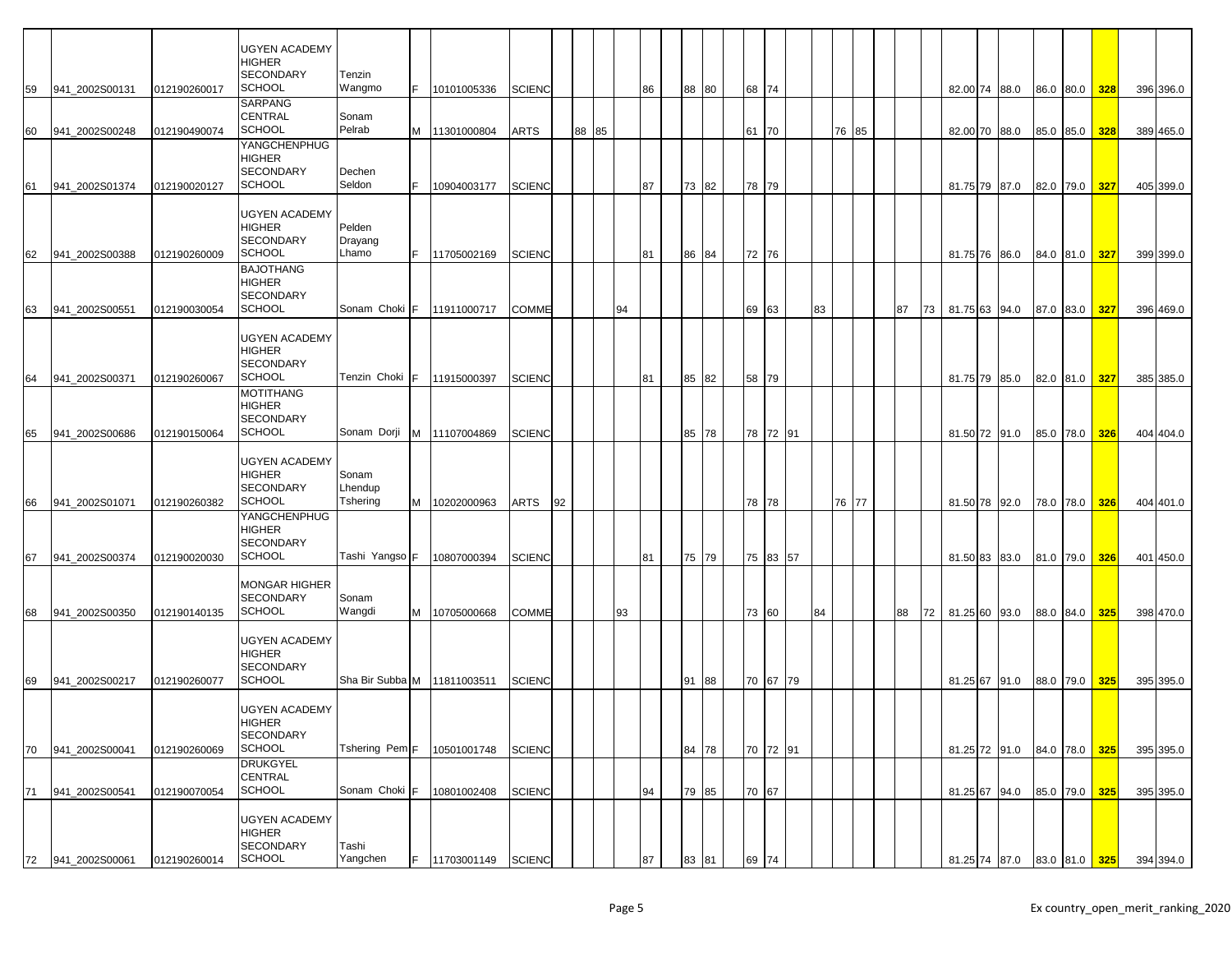|    |                |              | <b>UGYEN ACADEMY</b>       |                               |     |               |               |    |       |    |    |       |  |       |          |    |       |    |    |  |               |           |               |     |           |
|----|----------------|--------------|----------------------------|-------------------------------|-----|---------------|---------------|----|-------|----|----|-------|--|-------|----------|----|-------|----|----|--|---------------|-----------|---------------|-----|-----------|
|    |                |              | <b>HIGHER</b>              |                               |     |               |               |    |       |    |    |       |  |       |          |    |       |    |    |  |               |           |               |     |           |
|    |                |              | <b>SECONDARY</b>           | Tenzin                        |     |               |               |    |       |    |    |       |  |       |          |    |       |    |    |  |               |           |               |     |           |
| 59 | 941 2002S00131 | 012190260017 | <b>SCHOOL</b>              | Wangmo                        | IF. | 10101005336   | <b>SCIENC</b> |    |       |    | 86 | 88 80 |  | 68 74 |          |    |       |    |    |  | 82.00 74 88.0 |           | 86.0 80.0     | 328 | 396 396.0 |
|    |                |              | SARPANG                    |                               |     |               |               |    |       |    |    |       |  |       |          |    |       |    |    |  |               |           |               |     |           |
|    |                |              | CENTRAL                    | Sonam                         |     |               |               |    |       |    |    |       |  |       |          |    |       |    |    |  |               |           |               |     |           |
| 60 | 941 2002S00248 | 012190490074 | <b>SCHOOL</b>              | Pelrab                        | M   | 11301000804   | ARTS          |    | 88 85 |    |    |       |  | 61 70 |          |    | 76 85 |    |    |  | 82.00 70 88.0 |           | 85.0 85.0     | 328 | 389 465.0 |
|    |                |              | YANGCHENPHUG               |                               |     |               |               |    |       |    |    |       |  |       |          |    |       |    |    |  |               |           |               |     |           |
|    |                |              | HIGHER                     |                               |     |               |               |    |       |    |    |       |  |       |          |    |       |    |    |  |               |           |               |     |           |
|    |                |              | <b>SECONDARY</b>           | Dechen                        |     |               |               |    |       |    |    |       |  |       |          |    |       |    |    |  |               |           |               |     |           |
| 61 | 941 2002S01374 | 012190020127 | <b>SCHOOL</b>              | Seldon                        | E   | 10904003177   | <b>SCIENC</b> |    |       |    | 87 | 73 82 |  | 78 79 |          |    |       |    |    |  | 81.75 79 87.0 |           | 82.0 79.0 327 |     | 405 399.0 |
|    |                |              |                            |                               |     |               |               |    |       |    |    |       |  |       |          |    |       |    |    |  |               |           |               |     |           |
|    |                |              | <b>UGYEN ACADEMY</b>       |                               |     |               |               |    |       |    |    |       |  |       |          |    |       |    |    |  |               |           |               |     |           |
|    |                |              | <b>HIGHER</b>              | Pelden                        |     |               |               |    |       |    |    |       |  |       |          |    |       |    |    |  |               |           |               |     |           |
|    |                |              | <b>SECONDARY</b>           | Drayang                       |     |               |               |    |       |    |    |       |  |       |          |    |       |    |    |  |               |           |               |     |           |
| 62 | 941_2002S00388 | 012190260009 | <b>SCHOOL</b>              | Lhamo                         | IF. | 11705002169   | <b>SCIENC</b> |    |       |    | 81 | 86 84 |  | 72 76 |          |    |       |    |    |  | 81.75 76 86.0 |           | 84.0 81.0     | 327 | 399 399.0 |
|    |                |              | <b>BAJOTHANG</b>           |                               |     |               |               |    |       |    |    |       |  |       |          |    |       |    |    |  |               |           |               |     |           |
|    |                |              | <b>HIGHER</b>              |                               |     |               |               |    |       |    |    |       |  |       |          |    |       |    |    |  |               |           |               |     |           |
|    |                |              | <b>SECONDARY</b>           |                               |     |               |               |    |       |    |    |       |  |       |          |    |       |    |    |  |               |           |               |     |           |
| 63 | 941_2002S00551 | 012190030054 | <b>SCHOOL</b>              | Sonam Choki F                 |     | 11911000717   | <b>COMME</b>  |    |       | 94 |    |       |  | 69 63 |          | 83 |       | 87 | 73 |  | 81.75 63 94.0 |           | 87.0 83.0     | 327 | 396 469.0 |
|    |                |              |                            |                               |     |               |               |    |       |    |    |       |  |       |          |    |       |    |    |  |               |           |               |     |           |
|    |                |              | <b>UGYEN ACADEMY</b>       |                               |     |               |               |    |       |    |    |       |  |       |          |    |       |    |    |  |               |           |               |     |           |
|    |                |              | <b>HIGHER</b>              |                               |     |               |               |    |       |    |    |       |  |       |          |    |       |    |    |  |               |           |               |     |           |
|    |                |              | <b>SECONDARY</b>           |                               |     |               |               |    |       |    |    |       |  |       |          |    |       |    |    |  |               |           |               |     |           |
| 64 | 941 2002S00371 | 012190260067 | <b>SCHOOL</b>              | Tenzin Choki F                |     | 11915000397   | <b>SCIENC</b> |    |       |    | 81 | 85 82 |  | 58 79 |          |    |       |    |    |  | 81.75 79 85.0 |           | 82.0 81.0     | 327 | 385 385.0 |
|    |                |              | <b>MOTITHANG</b>           |                               |     |               |               |    |       |    |    |       |  |       |          |    |       |    |    |  |               |           |               |     |           |
|    |                |              | <b>HIGHER</b>              |                               |     |               |               |    |       |    |    |       |  |       |          |    |       |    |    |  |               |           |               |     |           |
|    |                |              | <b>SECONDARY</b>           |                               |     |               |               |    |       |    |    |       |  |       |          |    |       |    |    |  |               |           |               |     |           |
| 65 | 941 2002S00686 | 012190150064 | <b>SCHOOL</b>              | Sonam Dorji                   |     | M 11107004869 | <b>SCIENC</b> |    |       |    |    | 85 78 |  |       | 78 72 91 |    |       |    |    |  | 81.50 72 91.0 |           | 85.0 78.0     | 326 | 404 404.0 |
|    |                |              |                            |                               |     |               |               |    |       |    |    |       |  |       |          |    |       |    |    |  |               |           |               |     |           |
|    |                |              | <b>UGYEN ACADEMY</b>       |                               |     |               |               |    |       |    |    |       |  |       |          |    |       |    |    |  |               |           |               |     |           |
|    |                |              | <b>HIGHER</b>              | Sonam                         |     |               |               |    |       |    |    |       |  |       |          |    |       |    |    |  |               |           |               |     |           |
|    |                |              | <b>SECONDARY</b>           | Lhendup                       |     |               |               |    |       |    |    |       |  |       |          |    |       |    |    |  |               |           |               |     |           |
| 66 | 941 2002S01071 | 012190260382 | <b>SCHOOL</b>              | Tshering                      | M   | 10202000963   | ARTS          | 92 |       |    |    |       |  | 78 78 |          |    | 76 77 |    |    |  | 81.50 78 92.0 |           | 78.0 78.0     | 326 | 404 401.0 |
|    |                |              | YANGCHENPHUG               |                               |     |               |               |    |       |    |    |       |  |       |          |    |       |    |    |  |               |           |               |     |           |
|    |                |              | HIGHER                     |                               |     |               |               |    |       |    |    |       |  |       |          |    |       |    |    |  |               |           |               |     |           |
|    |                |              | <b>SECONDARY</b>           |                               |     |               |               |    |       |    |    |       |  |       |          |    |       |    |    |  |               |           |               |     |           |
| 67 | 941_2002S00374 | 012190020030 | <b>SCHOOL</b>              | Tashi Yangso F                |     | 10807000394   | <b>SCIENC</b> |    |       |    | 81 | 75 79 |  |       | 75 83 57 |    |       |    |    |  | 81.50 83 83.0 |           | 81.0 79.0     | 326 | 401 450.0 |
|    |                |              |                            |                               |     |               |               |    |       |    |    |       |  |       |          |    |       |    |    |  |               |           |               |     |           |
|    |                |              | <b>MONGAR HIGHER</b>       |                               |     |               |               |    |       |    |    |       |  |       |          |    |       |    |    |  |               |           |               |     |           |
|    |                |              | <b>SECONDARY</b>           | Sonam                         |     |               |               |    |       |    |    |       |  |       |          |    |       |    |    |  |               |           |               |     |           |
| 68 | 941 2002S00350 | 012190140135 | <b>SCHOOL</b>              | Wangdi                        | M   | 10705000668   | <b>COMME</b>  |    |       | 93 |    |       |  | 73 60 |          | 84 |       | 88 | 72 |  | 81.25 60 93.0 | 88.0 84.0 |               | 325 | 398 470.0 |
|    |                |              |                            |                               |     |               |               |    |       |    |    |       |  |       |          |    |       |    |    |  |               |           |               |     |           |
|    |                |              | <b>UGYEN ACADEMY</b>       |                               |     |               |               |    |       |    |    |       |  |       |          |    |       |    |    |  |               |           |               |     |           |
|    |                |              | HIGHER                     |                               |     |               |               |    |       |    |    |       |  |       |          |    |       |    |    |  |               |           |               |     |           |
|    |                |              | SECONDARY                  |                               |     |               |               |    |       |    |    |       |  |       |          |    |       |    |    |  |               |           |               |     |           |
| 69 | 941_2002S00217 | 012190260077 | <b>SCHOOL</b>              | Sha Bir Subba M   11811003511 |     |               | <b>SCIENC</b> |    |       |    |    | 91 88 |  |       | 70 67 79 |    |       |    |    |  | 81.25 67 91.0 |           | 88.0 79.0 325 |     | 395 395.0 |
|    |                |              |                            |                               |     |               |               |    |       |    |    |       |  |       |          |    |       |    |    |  |               |           |               |     |           |
|    |                |              | <b>UGYEN ACADEMY</b>       |                               |     |               |               |    |       |    |    |       |  |       |          |    |       |    |    |  |               |           |               |     |           |
|    |                |              | <b>HIGHER</b>              |                               |     |               |               |    |       |    |    |       |  |       |          |    |       |    |    |  |               |           |               |     |           |
|    |                |              | SECONDARY<br><b>SCHOOL</b> | Tshering Pem <sub>F</sub>     |     | 10501001748   |               |    |       |    |    |       |  |       | 70 72 91 |    |       |    |    |  |               |           |               |     |           |
| 70 | 941 2002S00041 | 012190260069 |                            |                               |     |               | <b>SCIENC</b> |    |       |    |    | 84 78 |  |       |          |    |       |    |    |  | 81.25 72 91.0 |           | 84.0 78.0     | 325 | 395 395.0 |
|    |                |              | <b>DRUKGYEL</b><br>CENTRAL |                               |     |               |               |    |       |    |    |       |  |       |          |    |       |    |    |  |               |           |               |     |           |
|    | 941_2002S00541 | 012190070054 | <b>SCHOOL</b>              | Sonam Choki F                 |     | 10801002408   | <b>SCIENC</b> |    |       |    | 94 | 79 85 |  | 70 67 |          |    |       |    |    |  | 81.25 67 94.0 |           | 85.0 79.0     | 325 | 395 395.0 |
| 71 |                |              |                            |                               |     |               |               |    |       |    |    |       |  |       |          |    |       |    |    |  |               |           |               |     |           |
|    |                |              | <b>UGYEN ACADEMY</b>       |                               |     |               |               |    |       |    |    |       |  |       |          |    |       |    |    |  |               |           |               |     |           |
|    |                |              | <b>HIGHER</b>              |                               |     |               |               |    |       |    |    |       |  |       |          |    |       |    |    |  |               |           |               |     |           |
|    |                |              | <b>SECONDARY</b>           | Tashi                         |     |               |               |    |       |    |    |       |  |       |          |    |       |    |    |  |               |           |               |     |           |
| 72 | 941 2002S00061 | 012190260014 | <b>SCHOOL</b>              | Yangchen                      | IF. | 11703001149   | <b>SCIENC</b> |    |       |    | 87 | 83 81 |  | 69 74 |          |    |       |    |    |  | 81.25 74 87.0 |           | 83.0 81.0     | 325 | 394 394.0 |
|    |                |              |                            |                               |     |               |               |    |       |    |    |       |  |       |          |    |       |    |    |  |               |           |               |     |           |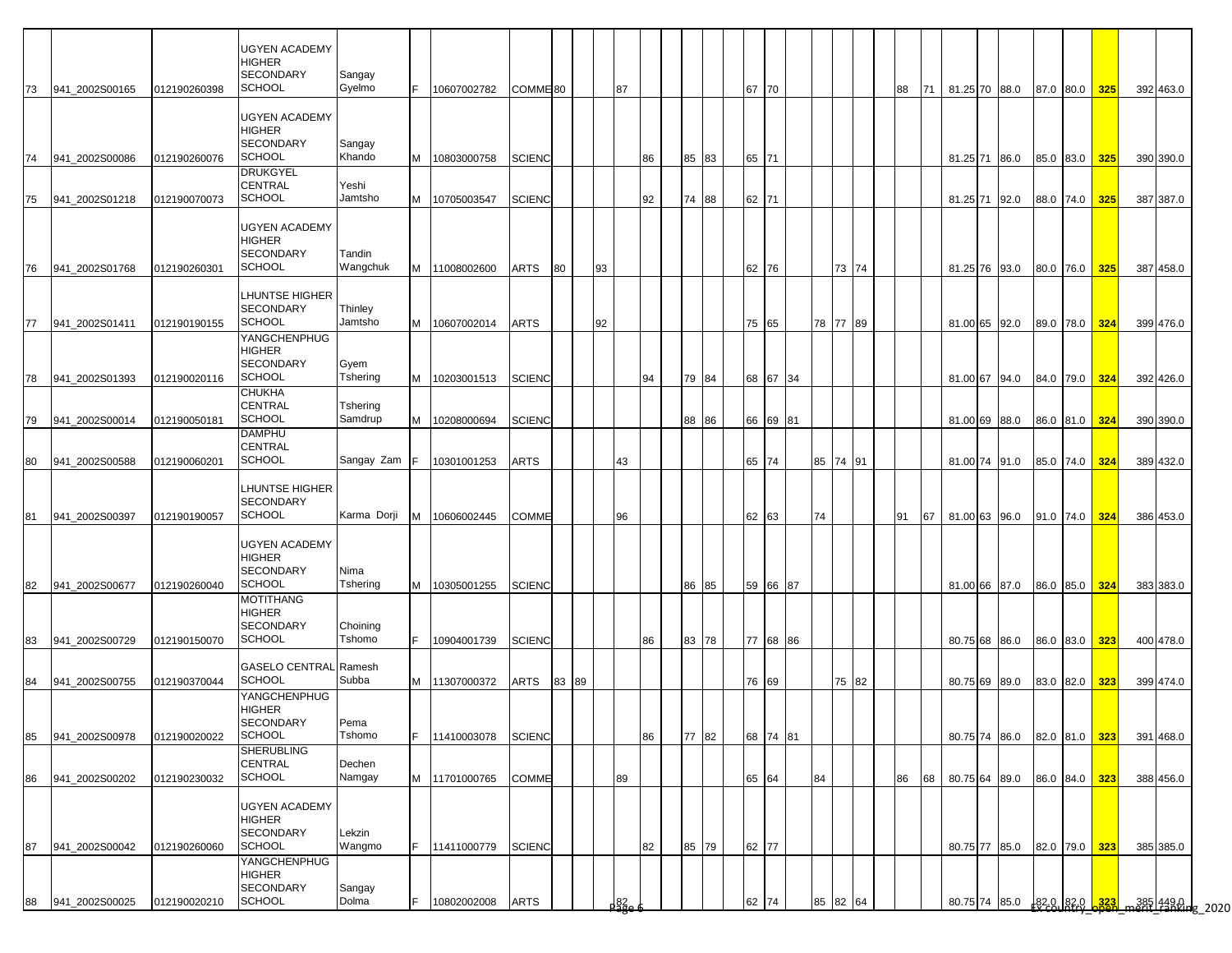| 73 | 941 2002S00165 | 012190260398 | <b>UGYEN ACADEMY</b><br><b>HIGHER</b><br><b>SECONDARY</b><br><b>SCHOOL</b> | Sangay<br>Gyelmo    | F.  | 10607002782     | COMME <sup>80</sup> |       | 87                  |    |       |    | 67 70 |          |          |       | 88 | 71 |  | 81.25 70 88.0               | 87.0 80.0     | 325        | 392 463.0                                                                                                        |  |
|----|----------------|--------------|----------------------------------------------------------------------------|---------------------|-----|-----------------|---------------------|-------|---------------------|----|-------|----|-------|----------|----------|-------|----|----|--|-----------------------------|---------------|------------|------------------------------------------------------------------------------------------------------------------|--|
|    |                |              | <b>UGYEN ACADEMY</b><br><b>HIGHER</b><br><b>SECONDARY</b>                  | Sangay              |     |                 |                     |       |                     |    |       |    |       |          |          |       |    |    |  |                             |               |            |                                                                                                                  |  |
| 74 | 941 2002S00086 | 012190260076 | <b>SCHOOL</b><br><b>DRUKGYEL</b><br><b>CENTRAL</b>                         | Khando<br>Yeshi     |     | M 10803000758   | <b>SCIENC</b>       |       |                     | 86 | 85    | 83 | 65 71 |          |          |       |    |    |  | 81.25 71 86.0               | 85.0 83.0     | 325        | 390 390.0                                                                                                        |  |
| 75 | 941_2002S01218 | 012190070073 | <b>SCHOOL</b>                                                              | Jamtsho             |     | M   10705003547 | <b>SCIENC</b>       |       |                     | 92 | 74    | 88 | 62 71 |          |          |       |    |    |  | 81.25 71 92.0               | 88.0 74.0     | 325        | 387 387.0                                                                                                        |  |
| 76 | 941 2002S01768 | 012190260301 | <b>UGYEN ACADEMY</b><br><b>HIGHER</b><br><b>SECONDARY</b><br><b>SCHOOL</b> | Tandin<br>Wangchuk  |     | M 11008002600   | ARTS                | 80    | 93                  |    |       |    | 62 76 |          |          | 73 74 |    |    |  | 81.25 76 93.0               | 80.0 76.0     | <b>325</b> | 387 458.0                                                                                                        |  |
| 77 | 941_2002S01411 | 012190190155 | <b>LHUNTSE HIGHER</b><br><b>SECONDARY</b><br><b>SCHOOL</b>                 | Thinley<br>Jamtsho  | M   | 10607002014     | ARTS                |       | 92                  |    |       |    | 75 65 |          | 78 77 89 |       |    |    |  | 81.00 65 92.0               | 89.0 78.0     | 324        | 399 476.0                                                                                                        |  |
| 78 | 941 2002S01393 | 012190020116 | YANGCHENPHUG<br><b>HIGHER</b><br><b>SECONDARY</b><br><b>SCHOOL</b>         | Gyem<br>Tshering    |     | M 10203001513   | <b>SCIENC</b>       |       |                     | 94 | 79    | 84 |       | 68 67 34 |          |       |    |    |  | 81.00 67 94.0               | 84.0 79.0     | 324        | 392 426.0                                                                                                        |  |
| 79 | 941 2002S00014 | 012190050181 | <b>CHUKHA</b><br><b>CENTRAL</b><br><b>SCHOOL</b><br><b>DAMPHU</b>          | Tshering<br>Samdrup | M   | 10208000694     | <b>SCIENC</b>       |       |                     |    | 88    | 86 |       | 66 69 81 |          |       |    |    |  | 81.00 69 88.0               | 86.0 81.0     | 324        | 390 390.0                                                                                                        |  |
| 80 | 941 2002S00588 | 012190060201 | <b>CENTRAL</b><br><b>SCHOOL</b>                                            | Sangay Zam          | IF. | 10301001253     | <b>ARTS</b>         |       | 43                  |    |       |    | 65 74 |          | 85 74 91 |       |    |    |  | 81.00 74 91.0               | 85.0 74.0     | 324        | 389 432.0                                                                                                        |  |
| 81 | 941_2002S00397 | 012190190057 | <b>LHUNTSE HIGHER</b><br><b>SECONDARY</b><br><b>SCHOOL</b>                 | Karma Dorji         |     | M 10606002445   | COMME               |       | 96                  |    |       |    | 62 63 |          | 74       |       | 91 |    |  | 67 81.00 63 96.0            | 91.0 74.0 324 |            | 386 453.0                                                                                                        |  |
| 82 | 941 2002S00677 | 012190260040 | <b>UGYEN ACADEMY</b><br><b>HIGHER</b><br><b>SECONDARY</b><br>SCHOOL        | Nima<br>Tshering    |     | M 10305001255   | <b>SCIENC</b>       |       |                     |    | 86    | 85 |       | 59 66 87 |          |       |    |    |  | 81.00 66 87.0               | 86.0 85.0     | 324        | 383 383.0                                                                                                        |  |
| 83 | 941_2002S00729 | 012190150070 | <b>MOTITHANG</b><br><b>HIGHER</b><br><b>SECONDARY</b><br><b>SCHOOL</b>     | Choining<br>Tshomo  | F.  | 10904001739     | <b>SCIENC</b>       |       |                     | 86 | 83    | 78 |       | 77 68 86 |          |       |    |    |  | 80.75 68 86.0               | 86.0 83.0     | 323        | 400 478.0                                                                                                        |  |
| 84 | 941 2002S00755 | 012190370044 | <b>GASELO CENTRAL Ramesh</b><br><b>SCHOOL</b>                              | Subba               |     | M 11307000372   | ARTS                | 83 89 |                     |    |       |    | 76 69 |          |          | 75 82 |    |    |  | 80.75 69 89.0               | 83.0 82.0     | 323        | 399 474.0                                                                                                        |  |
| 85 | 941 2002S00978 | 012190020022 | YANGCHENPHUG<br><b>HIGHER</b><br>SECONDARY<br>SCHOOL                       | Pema<br>Tshomo      |     | 11410003078     | <b>SCIENC</b>       |       |                     | 86 | 77 82 |    |       | 68 74 81 |          |       |    |    |  | 80.75 74 86.0               | 82.0 81.0 323 |            | 391 468.0                                                                                                        |  |
| 86 | 941_2002S00202 | 012190230032 | <b>SHERUBLING</b><br><b>CENTRAL</b><br><b>SCHOOL</b>                       | Dechen<br>Namgay    |     | M 11701000765   | COMME               |       | 89                  |    |       |    | 65 64 |          | 84       |       | 86 | 68 |  | 80.75 64 89.0               | 86.0 84.0 323 |            | 388 456.0                                                                                                        |  |
| 87 | 941_2002S00042 | 012190260060 | <b>UGYEN ACADEMY</b><br><b>HIGHER</b><br><b>SECONDARY</b><br><b>SCHOOL</b> | Lekzin<br>Wangmo    |     | F 11411000779   | <b>SCIENC</b>       |       |                     | 82 | 85    | 79 | 62 77 |          |          |       |    |    |  | 80.75 77 85.0 82.0 79.0 323 |               |            | 385 385.0                                                                                                        |  |
| 88 | 941 2002S00025 | 012190020210 | YANGCHENPHUG<br><b>HIGHER</b><br><b>SECONDARY</b><br>SCHOOL                | Sangay<br>Dolma     | F.  | 10802002008     | <b>ARTS</b>         |       | $\frac{182}{125}$ e |    |       |    | 62 74 |          | 85 82 64 |       |    |    |  | 80.75 74 85.0               |               |            | $\frac{182}{82}$ $\frac{1820}{9880}$ $\frac{333}{981}$ $\frac{385}{981}$ $\frac{1490}{981}$ $\frac{1}{982}$ 2020 |  |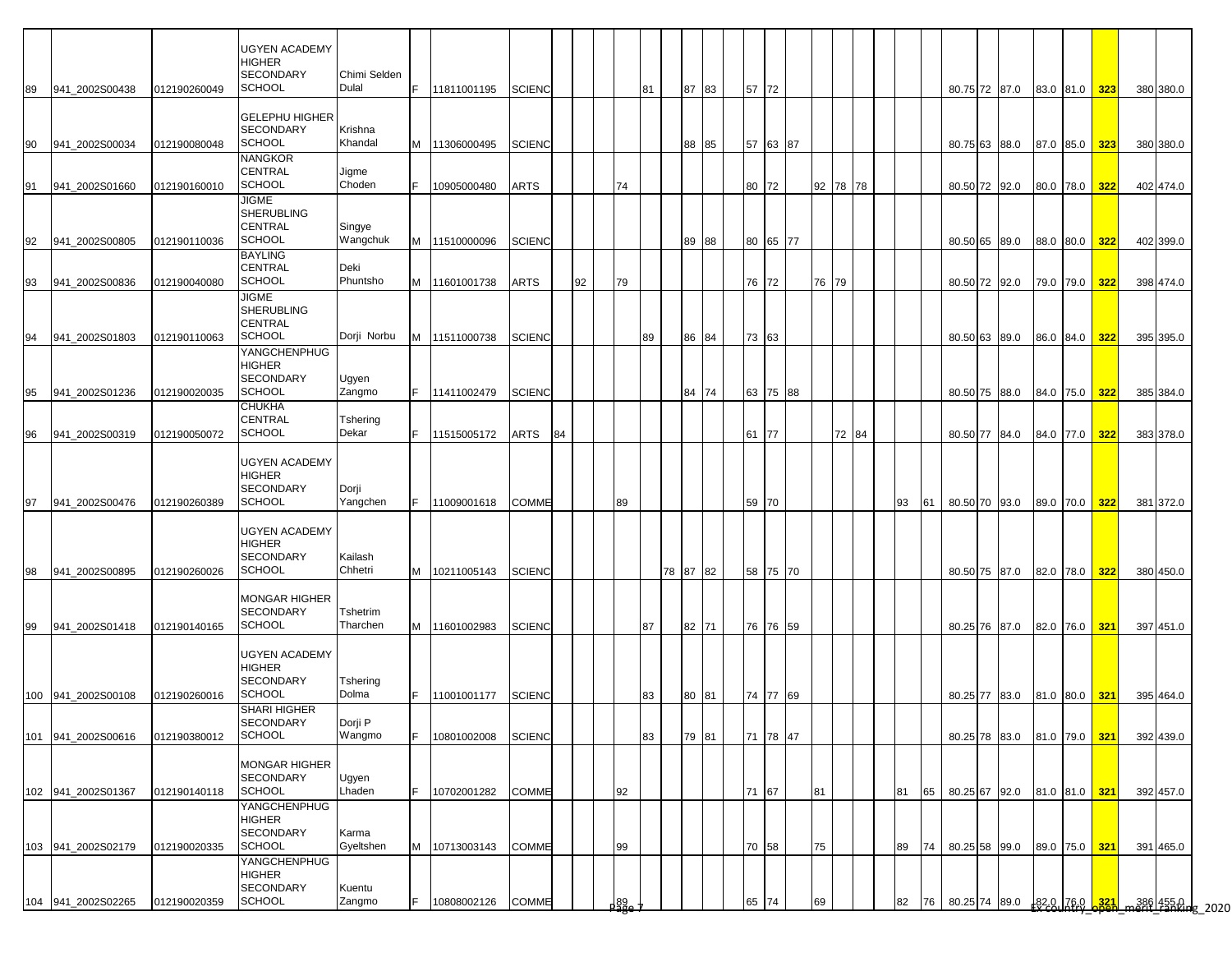| 89  | 941 2002S00438     | 012190260049 | <b>UGYEN ACADEMY</b><br>HIGHER<br><b>SECONDARY</b><br><b>SCHOOL</b> | Chimi Selden<br>Dulal    | IF.       | 11811001195   | <b>SCIENC</b> |    |    |             | 81 | 87       | 83 | 57 72 |          |       |          |    |      | 80.75 72 87.0    |  | 83.0 81.0 323 |     | 380 380.0                                                |
|-----|--------------------|--------------|---------------------------------------------------------------------|--------------------------|-----------|---------------|---------------|----|----|-------------|----|----------|----|-------|----------|-------|----------|----|------|------------------|--|---------------|-----|----------------------------------------------------------|
|     |                    |              | <b>GELEPHU HIGHER</b><br><b>SECONDARY</b>                           | Krishna                  |           |               |               |    |    |             |    |          |    |       |          |       |          |    |      |                  |  |               |     |                                                          |
| 90  | 941 2002S00034     | 012190080048 | <b>SCHOOL</b><br><b>NANGKOR</b>                                     | Khandal                  | M         | 11306000495   | <b>SCIENC</b> |    |    |             |    | 88       | 85 |       | 57 63 87 |       |          |    |      | 80.75 63 88.0    |  | 87.0 85.0     | 323 | 380 380.0                                                |
| 91  | 941 2002S01660     | 012190160010 | CENTRAL<br><b>SCHOOL</b>                                            | Jigme<br>Choden          | IF.       | 10905000480   | <b>ARTS</b>   |    |    | 74          |    |          |    | 80 72 |          |       | 92 78 78 |    |      | 80.50 72 92.0    |  | 80.0 78.0 322 |     | 402 474.0                                                |
| 92  | 941 2002S00805     | 012190110036 | <b>JIGME</b><br>SHERUBLING<br><b>CENTRAL</b><br><b>SCHOOL</b>       | Singye<br>Wangchuk       |           | M 11510000096 | <b>SCIENC</b> |    |    |             |    | 89       | 88 |       | 80 65 77 |       |          |    |      | 80.50 65 89.0    |  | 88.0 80.0 322 |     | 402 399.0                                                |
| 93  | 941 2002S00836     | 012190040080 | <b>BAYLING</b><br><b>CENTRAL</b><br><b>SCHOOL</b>                   | Deki<br>Phuntsho         | M         | 11601001738   | <b>ARTS</b>   |    | 92 | 79          |    |          |    | 76 72 |          | 76 79 |          |    |      | 80.50 72 92.0    |  | 79.0 79.0 322 |     | 398 474.0                                                |
|     |                    |              | <b>JIGME</b><br><b>SHERUBLING</b><br>CENTRAL<br><b>SCHOOL</b>       | Dorji Norbu              |           |               |               |    |    |             | 89 |          |    |       |          |       |          |    |      | 80.50 63 89.0    |  |               |     |                                                          |
| 94  | 941_2002S01803     | 012190110063 | YANGCHENPHUG<br><b>HIGHER</b><br><b>SECONDARY</b>                   | Ugyen                    |           | M 11511000738 | <b>SCIENC</b> |    |    |             |    | 86       | 84 | 73 63 |          |       |          |    |      |                  |  | 86.0 84.0 322 |     | 395 395.0                                                |
| 95  | 941_2002S01236     | 012190020035 | <b>SCHOOL</b><br><b>CHUKHA</b>                                      | Zangmo                   | IF.       | 11411002479   | <b>SCIENC</b> |    |    |             |    | 84 74    |    |       | 63 75 88 |       |          |    |      | 80.50 75 88.0    |  | 84.0 75.0 322 |     | 385 384.0                                                |
| 96  | 941 2002S00319     | 012190050072 | <b>CENTRAL</b><br><b>SCHOOL</b>                                     | <b>Tshering</b><br>Dekar | IF.       | 11515005172   | <b>ARTS</b>   | 84 |    |             |    |          |    | 61    | 77       |       | 72 84    |    |      | 80.50 77 84.0    |  | 84.0 77.0     | 322 | 383 378.0                                                |
| 97  | 941 2002S00476     | 012190260389 | <b>UGYEN ACADEMY</b><br>HIGHER<br><b>SECONDARY</b><br><b>SCHOOL</b> | Dorji<br>Yangchen        | IF.       | 11009001618   | <b>COMME</b>  |    |    | 89          |    |          |    | 59 70 |          |       |          | 93 | 61   | 80.50 70 93.0    |  | 89.0 70.0 322 |     | 381 372.0                                                |
| 98  | 941 2002S00895     | 012190260026 | <b>UGYEN ACADEMY</b><br><b>HIGHER</b><br><b>SECONDARY</b><br>SCHOOL | Kailash<br>Chhetri       | M         | 10211005143   | <b>SCIENC</b> |    |    |             |    | 78 87 82 |    |       | 58 75 70 |       |          |    |      | 80.50 75 87.0    |  | 82.0 78.0 322 |     | 380 450.0                                                |
| 99  | 941 2002S01418     | 012190140165 | <b>MONGAR HIGHER</b><br><b>SECONDARY</b><br><b>SCHOOL</b>           | Tshetrim<br>Tharchen     | <b>IM</b> | 11601002983   | <b>SCIENC</b> |    |    |             | 87 | 82 71    |    |       | 76 76 59 |       |          |    |      | 80.25 76 87.0    |  | 82.0 76.0 321 |     | 397 451.0                                                |
|     | 100 941 2002S00108 | 012190260016 | <b>UGYEN ACADEMY</b><br><b>HIGHER</b><br><b>SECONDARY</b><br>SCHOOL | Tshering<br>Dolma        | IF.       | 11001001177   | <b>SCIENC</b> |    |    |             | 83 | 80       | 81 |       | 74 77 69 |       |          |    |      | 80.25 77 83.0    |  | 81.0 80.0 321 |     | 395 464.0                                                |
| 101 | 941 2002S00616     | 012190380012 | <b>SHARI HIGHER</b><br>SECONDARY<br><b>SCHOOL</b>                   | Dorji P<br>Wangmo        | IF.       | 10801002008   | <b>SCIENC</b> |    |    |             | 83 | 79       | 81 |       | 71 78 47 |       |          |    |      | 80.25 78 83.0    |  | 81.0 79.0 321 |     | 392 439.0                                                |
|     | 102 941_2002S01367 | 012190140118 | <b>MONGAR HIGHER</b><br>SECONDARY<br><b>SCHOOL</b>                  | Ugyen<br>Lhaden          | IF.       | 10702001282   | <b>COMME</b>  |    |    | 92          |    |          |    | 71 67 |          | 81    |          | 81 |      | 65 80.25 67 92.0 |  | 81.0 81.0 321 |     | 392 457.0                                                |
|     | 103 941_2002S02179 | 012190020335 | YANGCHENPHUG<br><b>HIGHER</b><br><b>SECONDARY</b><br><b>SCHOOL</b>  | Karma<br>Gyeltshen       | M         | 10713003143   | <b>COMME</b>  |    |    | 99          |    |          |    | 70 58 |          | 75    |          | 89 | 74 I | 80.25 58 99.0    |  | 89.0 75.0 321 |     | 391 465.0                                                |
|     | 104 941_2002S02265 | 012190020359 | YANGCHENPHUG<br><b>HIGHER</b><br>SECONDARY<br><b>SCHOOL</b>         | Kuentu<br>Zangmo         | F         | 10808002126   | <b>COMME</b>  |    |    | ) 89<br>၁၉၉ |    |          |    | 65    | 74       | 69    |          | 82 | 76   | 80.25 74 89.0    |  |               |     | $\frac{182.0}{176.0}$ $\frac{321}{221}$ ment 1550 g 2020 |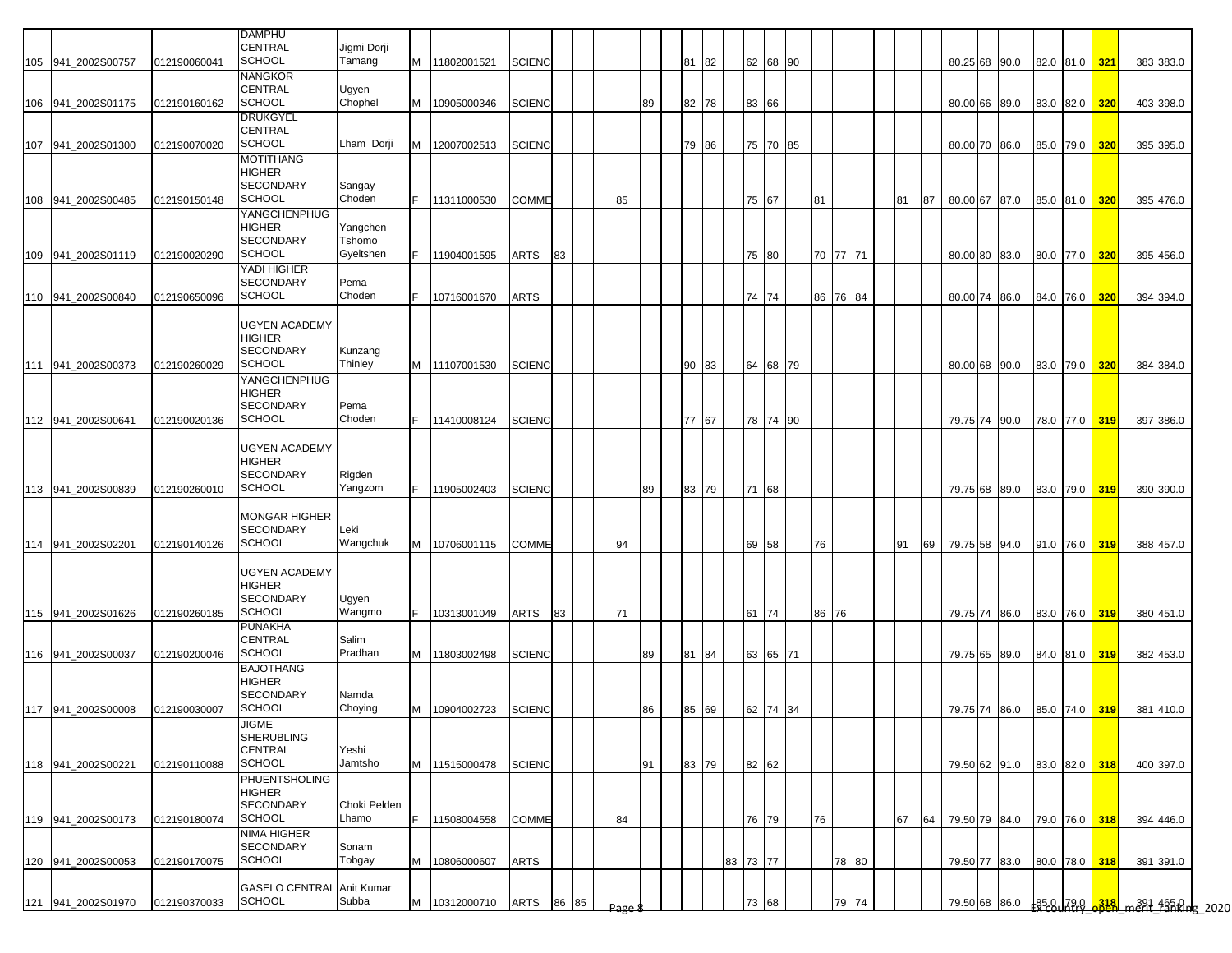|     |                    |              | <b>DAMPHU</b>                          |                    |     |               |               |    |       |      |    |          |          |          |          |       |    |      |          |               |      |           |                                |     |                                               |  |
|-----|--------------------|--------------|----------------------------------------|--------------------|-----|---------------|---------------|----|-------|------|----|----------|----------|----------|----------|-------|----|------|----------|---------------|------|-----------|--------------------------------|-----|-----------------------------------------------|--|
|     |                    |              | CENTRAL                                | Jigmi Dorji        |     |               |               |    |       |      |    |          |          |          |          |       |    |      |          |               |      |           |                                |     |                                               |  |
|     | 105 941_2002S00757 | 012190060041 | <b>SCHOOL</b>                          | Tamang             | M   | 11802001521   | <b>SCIENC</b> |    |       |      |    | 81<br>82 |          | 62 68 90 |          |       |    |      |          | 80.25 68 90.0 |      |           | 82.0 81.0 321                  |     | 383 383.0                                     |  |
|     |                    |              | <b>NANGKOR</b>                         |                    |     |               |               |    |       |      |    |          |          |          |          |       |    |      |          |               |      |           |                                |     |                                               |  |
|     |                    |              | <b>CENTRAL</b><br><b>SCHOOL</b>        | Ugyen              |     |               |               |    |       |      |    |          |          |          |          |       |    |      |          |               |      |           |                                |     |                                               |  |
|     | 106 941_2002S01175 | 012190160162 | <b>DRUKGYEL</b>                        | Chophel            | M   | 10905000346   | <b>SCIENC</b> |    |       |      | 89 | 82<br>78 |          | 83 66    |          |       |    |      |          | 80.00 66 89.0 |      |           | 83.0 82.0                      | 320 | 403 398.0                                     |  |
|     |                    |              | <b>CENTRAL</b>                         |                    |     |               |               |    |       |      |    |          |          |          |          |       |    |      |          |               |      |           |                                |     |                                               |  |
| 107 | 941_2002S01300     | 012190070020 | <b>SCHOOL</b>                          | Lham Dorji         | м   | 12007002513   | <b>SCIENC</b> |    |       |      |    | 79<br>86 |          | 75 70 85 |          |       |    |      |          | 80.00 70 86.0 |      |           | 85.0 79.0                      | 320 | 395 395.0                                     |  |
|     |                    |              | MOTITHANG                              |                    |     |               |               |    |       |      |    |          |          |          |          |       |    |      |          |               |      |           |                                |     |                                               |  |
|     |                    |              | <b>HIGHER</b>                          |                    |     |               |               |    |       |      |    |          |          |          |          |       |    |      |          |               |      |           |                                |     |                                               |  |
|     |                    |              | <b>SECONDARY</b>                       | Sangay             |     |               |               |    |       |      |    |          |          |          |          |       |    |      |          |               |      |           |                                |     |                                               |  |
|     | 108 941_2002S00485 | 012190150148 | SCHOOL                                 | Choden             |     | 11311000530   | <b>COMME</b>  |    |       | 85   |    |          |          | 75 67    | 81       |       | 81 | 87   |          | 80.00 67 87.0 |      |           | 85.0 81.0                      | 320 | 395 476.0                                     |  |
|     |                    |              | YANGCHENPHUG                           |                    |     |               |               |    |       |      |    |          |          |          |          |       |    |      |          |               |      |           |                                |     |                                               |  |
|     |                    |              | <b>HIGHER</b><br><b>SECONDARY</b>      | Yangchen<br>Tshomo |     |               |               |    |       |      |    |          |          |          |          |       |    |      |          |               |      |           |                                |     |                                               |  |
|     | 109 941_2002S01119 | 012190020290 | <b>SCHOOL</b>                          | Gyeltshen          |     | 11904001595   | ARTS          | 83 |       |      |    |          |          | 75 80    | 70 77 71 |       |    |      |          | 80.00 80 83.0 |      | 80.0 77.0 |                                | 320 | 395 456.0                                     |  |
|     |                    |              | YADI HIGHER                            |                    |     |               |               |    |       |      |    |          |          |          |          |       |    |      |          |               |      |           |                                |     |                                               |  |
|     |                    |              | <b>SECONDARY</b>                       | Pema               |     |               |               |    |       |      |    |          |          |          |          |       |    |      |          |               |      |           |                                |     |                                               |  |
|     | 110 941_2002S00840 | 012190650096 | <b>SCHOOL</b>                          | Choden             |     | 10716001670   | ARTS          |    |       |      |    |          |          | 74 74    | 86       | 76 84 |    |      | 80.00 74 |               | 86.0 | 84.0 76.0 |                                | 320 | 394 394.0                                     |  |
|     |                    |              |                                        |                    |     |               |               |    |       |      |    |          |          |          |          |       |    |      |          |               |      |           |                                |     |                                               |  |
|     |                    |              | <b>UGYEN ACADEMY</b>                   |                    |     |               |               |    |       |      |    |          |          |          |          |       |    |      |          |               |      |           |                                |     |                                               |  |
|     |                    |              | <b>HIGHER</b><br><b>SECONDARY</b>      | Kunzang            |     |               |               |    |       |      |    |          |          |          |          |       |    |      |          |               |      |           |                                |     |                                               |  |
|     | 111 941 2002S00373 | 012190260029 | <b>SCHOOL</b>                          | Thinley            | M   | 11107001530   | <b>SCIENC</b> |    |       |      |    | 90<br>83 |          | 64 68 79 |          |       |    |      |          | 80.00 68 90.0 |      |           | 83.0 79.0                      | 320 | 384 384.0                                     |  |
|     |                    |              | YANGCHENPHUG                           |                    |     |               |               |    |       |      |    |          |          |          |          |       |    |      |          |               |      |           |                                |     |                                               |  |
|     |                    |              | <b>HIGHER</b>                          |                    |     |               |               |    |       |      |    |          |          |          |          |       |    |      |          |               |      |           |                                |     |                                               |  |
|     |                    |              | <b>SECONDARY</b>                       | Pema               |     |               |               |    |       |      |    |          |          |          |          |       |    |      |          |               |      |           |                                |     |                                               |  |
|     | 112 941 2002S00641 | 012190020136 | <b>SCHOOL</b>                          | Choden             | F.  | 11410008124   | <b>SCIENC</b> |    |       |      |    | 77<br>67 |          | 78 74 90 |          |       |    |      |          | 79.75 74 90.0 |      |           | 78.0 77.0                      | 319 | 397 386.0                                     |  |
|     |                    |              | <b>UGYEN ACADEMY</b>                   |                    |     |               |               |    |       |      |    |          |          |          |          |       |    |      |          |               |      |           |                                |     |                                               |  |
|     |                    |              | <b>HIGHER</b>                          |                    |     |               |               |    |       |      |    |          |          |          |          |       |    |      |          |               |      |           |                                |     |                                               |  |
|     |                    |              | <b>SECONDARY</b>                       | Rigden             |     |               |               |    |       |      |    |          |          |          |          |       |    |      |          |               |      |           |                                |     |                                               |  |
|     | 113 941 2002S00839 | 012190260010 | SCHOOL                                 | Yangzom            | F.  | 11905002403   | <b>SCIENC</b> |    |       |      | 89 | 83 79    |          | 71 68    |          |       |    |      |          | 79.75 68 89.0 |      |           | 83.0 79.0 319                  |     | 390 390.0                                     |  |
|     |                    |              |                                        |                    |     |               |               |    |       |      |    |          |          |          |          |       |    |      |          |               |      |           |                                |     |                                               |  |
|     |                    |              | <b>MONGAR HIGHER</b>                   |                    |     |               |               |    |       |      |    |          |          |          |          |       |    |      |          |               |      |           |                                |     |                                               |  |
|     |                    |              | <b>SECONDARY</b><br><b>SCHOOL</b>      | Leki<br>Wangchuk   |     |               |               |    |       |      |    |          |          |          |          |       |    |      |          |               |      |           |                                |     |                                               |  |
|     | 114 941 2002S02201 | 012190140126 |                                        |                    | M   | 10706001115   | <b>COMME</b>  |    |       | 94   |    |          |          | 69 58    | 76       |       | 91 | 69 I |          | 79.75 58 94.0 |      |           | 91.0 76.0                      | 319 | 388 457.0                                     |  |
|     |                    |              | <b>UGYEN ACADEMY</b>                   |                    |     |               |               |    |       |      |    |          |          |          |          |       |    |      |          |               |      |           |                                |     |                                               |  |
|     |                    |              | <b>HIGHER</b>                          |                    |     |               |               |    |       |      |    |          |          |          |          |       |    |      |          |               |      |           |                                |     |                                               |  |
|     |                    |              | <b>SECONDARY</b>                       | Ugyen              |     |               |               |    |       |      |    |          |          |          |          |       |    |      |          |               |      |           |                                |     |                                               |  |
|     | 115 941_2002S01626 | 012190260185 | <b>SCHOOL</b>                          | Wangmo             | IF. | 10313001049   | ARTS          | 83 |       | 71   |    |          |          | 61 74    | 86       | 76    |    |      |          | 79.75 74 86.0 |      |           | 83.0 76.0 319                  |     | 380 451.0                                     |  |
|     |                    |              | <b>PUNAKHA</b><br>CENTRAL              |                    |     |               |               |    |       |      |    |          |          |          |          |       |    |      |          |               |      |           |                                |     |                                               |  |
|     | 116 941 2002S00037 | 012190200046 | <b>SCHOOL</b>                          | Salim<br>Pradhan   |     | M 11803002498 | <b>SCIENC</b> |    |       |      | 89 | 81<br>84 |          | 63 65 71 |          |       |    |      |          |               |      |           | 79.75 65 89.0 84.0 81.0 319    |     | 382 453.0                                     |  |
|     |                    |              | <b>BAJOTHANG</b>                       |                    |     |               |               |    |       |      |    |          |          |          |          |       |    |      |          |               |      |           |                                |     |                                               |  |
|     |                    |              | <b>HIGHER</b>                          |                    |     |               |               |    |       |      |    |          |          |          |          |       |    |      |          |               |      |           |                                |     |                                               |  |
|     |                    |              | <b>SECONDARY</b>                       | Namda              |     |               |               |    |       |      |    |          |          |          |          |       |    |      |          |               |      |           |                                |     |                                               |  |
|     | 117 941 2002S00008 | 012190030007 | <b>SCHOOL</b>                          | Choying            | M   | 10904002723   | <b>SCIENC</b> |    |       |      | 86 | 85<br>69 |          | 62 74 34 |          |       |    |      |          |               |      |           | 79.75 74 86.0 85.0 74.0 319    |     | 381 410.0                                     |  |
|     |                    |              | <b>JIGME</b>                           |                    |     |               |               |    |       |      |    |          |          |          |          |       |    |      |          |               |      |           |                                |     |                                               |  |
|     |                    |              | <b>SHERUBLING</b><br><b>CENTRAL</b>    | Yeshi              |     |               |               |    |       |      |    |          |          |          |          |       |    |      |          |               |      |           |                                |     |                                               |  |
|     | 118 941_2002S00221 | 012190110088 | <b>SCHOOL</b>                          | Jamtsho            | M   | 11515000478   | <b>SCIENC</b> |    |       |      | 91 | 83 79    |          | 82 62    |          |       |    |      |          |               |      |           | 79.50 62 91.0 83.0 82.0 318    |     | 400 397.0                                     |  |
|     |                    |              | PHUENTSHOLING                          |                    |     |               |               |    |       |      |    |          |          |          |          |       |    |      |          |               |      |           |                                |     |                                               |  |
|     |                    |              | <b>HIGHER</b>                          |                    |     |               |               |    |       |      |    |          |          |          |          |       |    |      |          |               |      |           |                                |     |                                               |  |
|     |                    |              | <b>SECONDARY</b>                       | Choki Pelden       |     |               |               |    |       |      |    |          |          |          |          |       |    |      |          |               |      |           |                                |     |                                               |  |
|     | 119 941_2002S00173 | 012190180074 | <b>SCHOOL</b>                          | Lhamo              | F   | 11508004558   | <b>COMME</b>  |    |       | 84   |    |          |          | 76 79    | 76       |       | 67 |      |          |               |      |           | 64 79.50 79 84.0 79.0 76.0 318 |     | 394 446.0                                     |  |
|     |                    |              | <b>NIMA HIGHER</b><br><b>SECONDARY</b> | Sonam              |     |               |               |    |       |      |    |          |          |          |          |       |    |      |          |               |      |           |                                |     |                                               |  |
|     | 120 941 2002S00053 | 012190170075 | <b>SCHOOL</b>                          | Tobgay             | M   | 10806000607   | <b>ARTS</b>   |    |       |      |    |          | 83 73 77 |          |          | 78 80 |    |      |          | 79.50 77 83.0 |      |           | 80.0 78.0 318                  |     | 391 391.0                                     |  |
|     |                    |              |                                        |                    |     |               |               |    |       |      |    |          |          |          |          |       |    |      |          |               |      |           |                                |     |                                               |  |
|     |                    |              | <b>GASELO CENTRAL Anit Kumar</b>       |                    |     |               |               |    |       |      |    |          |          |          |          |       |    |      |          |               |      |           |                                |     |                                               |  |
|     | 121 941_2002S01970 | 012190370033 | <b>SCHOOL</b>                          | Subba              | M   | 10312000710   | ARTS          |    | 86 85 | lage |    |          |          | 73 68    |          | 79 74 |    |      |          |               |      |           |                                |     | 79.50 68 86.0 85.0 79.0 338 m391 485.0 g 2020 |  |
|     |                    |              |                                        |                    |     |               |               |    |       |      |    |          |          |          |          |       |    |      |          |               |      |           |                                |     |                                               |  |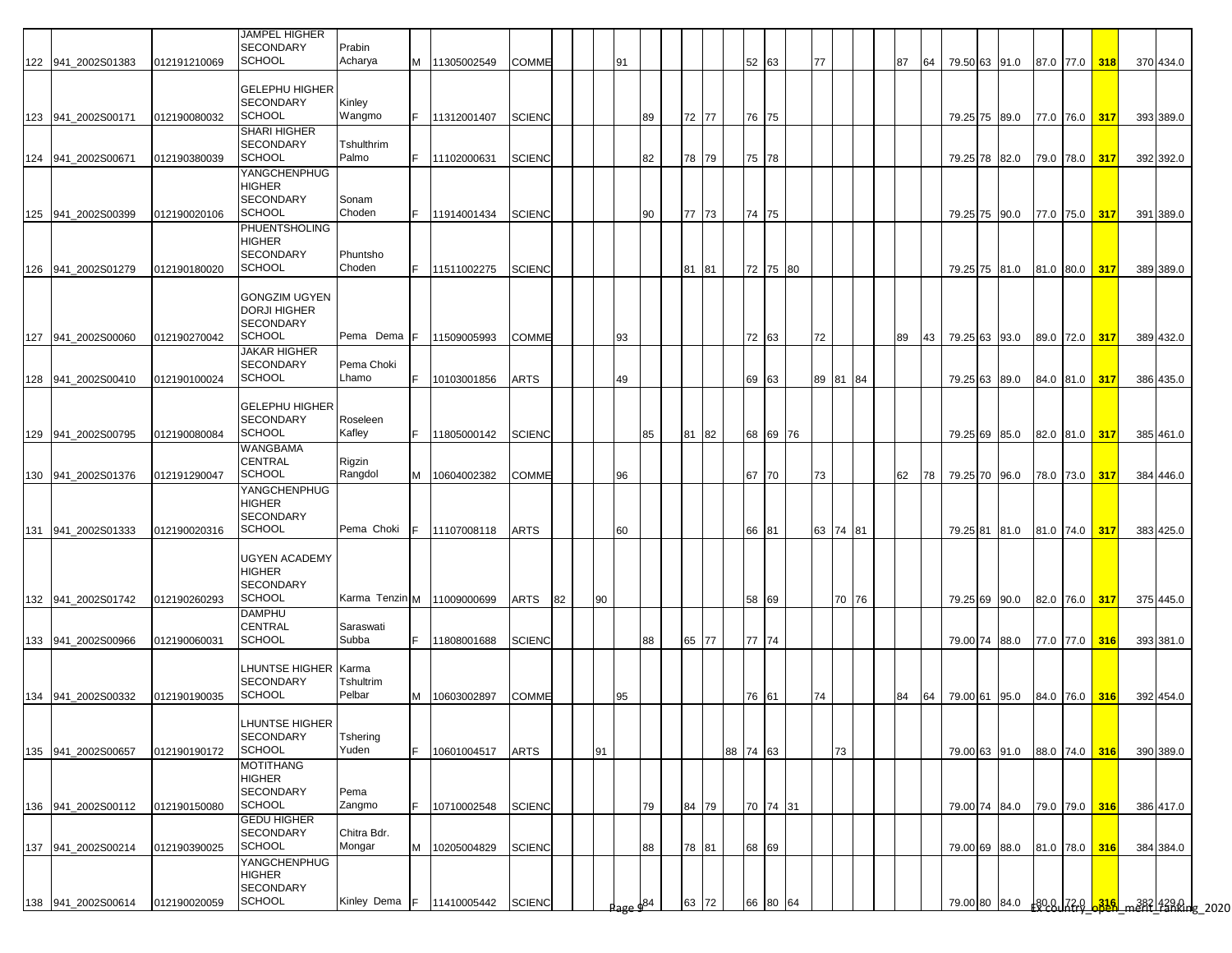|     |                    |              | JAMPEL HIGHER                               |                           |     |                            |               |    |    |     |          |          |          |          |    |          |    |    |                                                         |  |               |               |                                               |  |
|-----|--------------------|--------------|---------------------------------------------|---------------------------|-----|----------------------------|---------------|----|----|-----|----------|----------|----------|----------|----|----------|----|----|---------------------------------------------------------|--|---------------|---------------|-----------------------------------------------|--|
|     | 122 941_2002S01383 | 012191210069 | <b>SECONDARY</b><br><b>SCHOOL</b>           | Prabin<br>Acharya         | M   | 11305002549                | <b>COMME</b>  |    |    | 91  |          |          |          | 52 63    | 77 |          | 87 | 64 | 79.50 63 91.0                                           |  |               | 87.0 77.0 318 | 370 434.0                                     |  |
|     |                    |              | <b>GELEPHU HIGHER</b>                       |                           |     |                            |               |    |    |     |          |          |          |          |    |          |    |    |                                                         |  |               |               |                                               |  |
|     |                    |              | <b>SECONDARY</b>                            | Kinley                    |     |                            |               |    |    |     |          |          |          |          |    |          |    |    |                                                         |  |               |               |                                               |  |
|     | 123 941_2002S00171 | 012190080032 | <b>SCHOOL</b><br><b>SHARI HIGHER</b>        | Wangmo                    | IF. | 11312001407                | <b>SCIENC</b> |    |    |     | 89       | 72 77    |          | 76 75    |    |          |    |    | 79.25 75 89.0 77.0 76.0 317                             |  |               |               | 393 389.0                                     |  |
|     | 124 941 2002S0067  | 012190380039 | <b>SECONDARY</b><br><b>SCHOOL</b>           | Tshulthrim<br>Palmo       | F.  | 11102000631                | <b>SCIENC</b> |    |    |     | 82       | 78<br>79 |          | 75 78    |    |          |    |    | 79.25 78 82.0                                           |  |               | 79.0 78.0 317 |                                               |  |
|     |                    |              | YANGCHENPHUG                                |                           |     |                            |               |    |    |     |          |          |          |          |    |          |    |    |                                                         |  |               |               | 392 392.0                                     |  |
|     |                    |              | HIGHER<br><b>SECONDARY</b>                  | Sonam                     |     |                            |               |    |    |     |          |          |          |          |    |          |    |    |                                                         |  |               |               |                                               |  |
|     | 125 941_2002S00399 | 012190020106 | SCHOOL                                      | Choden                    | F.  | 11914001434                | <b>SCIENC</b> |    |    |     | 90       | 77 73    |          | 74 75    |    |          |    |    | 79.25 75 90.0                                           |  |               | 77.0 75.0 317 | 391 389.0                                     |  |
|     |                    |              | PHUENTSHOLING<br>HIGHER                     |                           |     |                            |               |    |    |     |          |          |          |          |    |          |    |    |                                                         |  |               |               |                                               |  |
|     | 126 941 2002S01279 | 012190180020 | <b>SECONDARY</b><br><b>SCHOOL</b>           | Phuntsho<br>Choden        | F.  | 11511002275                | <b>SCIENC</b> |    |    |     |          | 81 81    |          | 72 75 80 |    |          |    |    | 79.25 75 81.0                                           |  |               | 81.0 80.0 317 | 389 389.0                                     |  |
|     |                    |              |                                             |                           |     |                            |               |    |    |     |          |          |          |          |    |          |    |    |                                                         |  |               |               |                                               |  |
|     |                    |              | <b>GONGZIM UGYEN</b><br><b>DORJI HIGHER</b> |                           |     |                            |               |    |    |     |          |          |          |          |    |          |    |    |                                                         |  |               |               |                                               |  |
|     | 127 941 2002S00060 | 012190270042 | <b>SECONDARY</b><br><b>SCHOOL</b>           | Pema Dema F   11509005993 |     |                            | <b>COMME</b>  |    |    | 93  |          |          |          | 72 63    | 72 |          | 89 |    | 43   79.25   63   93.0   89.0   72.0 <mark>  317</mark> |  |               |               | 389 432.0                                     |  |
|     |                    |              | JAKAR HIGHER                                |                           |     |                            |               |    |    |     |          |          |          |          |    |          |    |    |                                                         |  |               |               |                                               |  |
|     | 128 941_2002S00410 | 012190100024 | <b>SECONDARY</b><br><b>SCHOOL</b>           | Pema Choki<br>Lhamo       | lF. | 10103001856                | <b>ARTS</b>   |    |    | 49  |          |          |          | 69 63    |    | 89 81 84 |    |    | 79.25 63 89.0                                           |  |               | 84.0 81.0 317 | 386 435.0                                     |  |
|     |                    |              |                                             |                           |     |                            |               |    |    |     |          |          |          |          |    |          |    |    |                                                         |  |               |               |                                               |  |
|     |                    |              | <b>GELEPHU HIGHER</b><br><b>SECONDARY</b>   | Roseleen                  |     |                            |               |    |    |     |          |          |          |          |    |          |    |    |                                                         |  |               |               |                                               |  |
|     | 129 941 2002S00795 | 012190080084 | <b>SCHOOL</b><br>WANGBAMA                   | Kafley                    | IF. | 11805000142                | <b>SCIENC</b> |    |    |     | 85       | 82<br>81 |          | 68 69 76 |    |          |    |    | 79.25 69 85.0 82.0 81.0 317                             |  |               |               | 385 461.0                                     |  |
|     |                    |              | <b>CENTRAL</b>                              | Rigzin                    |     |                            |               |    |    |     |          |          |          |          |    |          |    |    |                                                         |  |               |               |                                               |  |
|     | 130 941_2002S01376 | 012191290047 | SCHOOL<br>YANGCHENPHUG                      | Rangdol                   | M   | 10604002382                | <b>COMME</b>  |    |    | 96  |          |          |          | 67 70    | 73 |          | 62 |    | 78 79.25 70 96.0                                        |  |               | 78.0 73.0 317 | 384 446.0                                     |  |
|     |                    |              | <b>HIGHER</b><br><b>SECONDARY</b>           |                           |     |                            |               |    |    |     |          |          |          |          |    |          |    |    |                                                         |  |               |               |                                               |  |
| 131 | 941 2002S01333     | 012190020316 | <b>SCHOOL</b>                               | Pema Choki                | IF. | 11107008118                | <b>ARTS</b>   |    |    | 60  |          |          |          | 66 81    |    | 63 74 81 |    |    | 79.25 81 81.0                                           |  |               | 81.0 74.0 317 | 383 425.0                                     |  |
|     |                    |              | <b>UGYEN ACADEMY</b>                        |                           |     |                            |               |    |    |     |          |          |          |          |    |          |    |    |                                                         |  |               |               |                                               |  |
|     |                    |              | <b>HIGHER</b><br><b>SECONDARY</b>           |                           |     |                            |               |    |    |     |          |          |          |          |    |          |    |    |                                                         |  |               |               |                                               |  |
|     | 132 941 2002S01742 | 012190260293 | SCHOOL                                      |                           |     | Karma Tenzin M 11009000699 | ARTS          | 82 | 90 |     |          |          |          | 58 69    |    | 70 76    |    |    | 79.25 69 90.0 82.0 76.0 317                             |  |               |               | 375 445.0                                     |  |
|     |                    |              | <b>DAMPHU</b><br><b>CENTRAL</b>             | Saraswati                 |     |                            |               |    |    |     |          |          |          |          |    |          |    |    |                                                         |  |               |               |                                               |  |
|     | 133 941_2002S00966 | 012190060031 | <b>SCHOOL</b>                               | Subba                     | lF. | 11808001688                | <b>SCIENC</b> |    |    |     | 88       | 65<br>77 |          | 77 74    |    |          |    |    | 79.00 74 88.0                                           |  |               | 77.0 77.0 316 | 393 381.0                                     |  |
|     |                    |              | LHUNTSE HIGHER Karma                        |                           |     |                            |               |    |    |     |          |          |          |          |    |          |    |    |                                                         |  |               |               |                                               |  |
|     | 134 941 2002S00332 | 012190190035 | <b>SECONDARY</b><br><b>SCHOOL</b>           | Tshultrim<br>Pelbar       | M   | 10603002897                | COMME         |    |    | 95  |          |          |          | 76 61    | 74 |          | 84 | 64 | 79.00 61 95.0                                           |  |               | 84.0 76.0 316 | 392 454.0                                     |  |
|     |                    |              |                                             |                           |     |                            |               |    |    |     |          |          |          |          |    |          |    |    |                                                         |  |               |               |                                               |  |
|     |                    |              | LHUNTSE HIGHER<br><b>SECONDARY</b>          | <b>Tshering</b>           |     |                            |               |    |    |     |          |          |          |          |    |          |    |    |                                                         |  |               |               |                                               |  |
|     | 135 941 2002S00657 | 012190190172 | <b>SCHOOL</b><br><b>MOTITHANG</b>           | Yuden                     | F   | 10601004517                | <b>ARTS</b>   |    | 91 |     |          |          | 88 74 63 |          |    | 73       |    |    | 79.00 63 91.0                                           |  | 88.0 74.0 316 |               | 390 389.0                                     |  |
|     |                    |              | <b>HIGHER</b>                               |                           |     |                            |               |    |    |     |          |          |          |          |    |          |    |    |                                                         |  |               |               |                                               |  |
| 136 | 941 2002S00112     | 012190150080 | <b>SECONDARY</b><br><b>SCHOOL</b>           | Pema<br>Zangmo            | F.  | 10710002548                | <b>SCIENC</b> |    |    |     | 79       | 84 79    |          | 70 74 31 |    |          |    |    | 79.00 74 84.0                                           |  |               | 79.0 79.0 316 | 386 417.0                                     |  |
|     |                    |              | <b>GEDU HIGHER</b>                          |                           |     |                            |               |    |    |     |          |          |          |          |    |          |    |    |                                                         |  |               |               |                                               |  |
| 137 | 941 2002S00214     | 012190390025 | <b>SECONDARY</b><br><b>SCHOOL</b>           | Chitra Bdr.<br>Mongar     | M   | 10205004829                | <b>SCIENC</b> |    |    |     | 88       | 78<br>81 |          | 68 69    |    |          |    |    | 79.00 69 88.0                                           |  |               | 81.0 78.0 316 | 384 384.0                                     |  |
|     |                    |              | YANGCHENPHUG<br>HIGHER                      |                           |     |                            |               |    |    |     |          |          |          |          |    |          |    |    |                                                         |  |               |               |                                               |  |
|     |                    |              | <b>SECONDARY</b>                            |                           |     |                            |               |    |    |     |          |          |          |          |    |          |    |    |                                                         |  |               |               |                                               |  |
|     | 138 941_2002S00614 | 012190020059 | <b>SCHOOL</b>                               | Kinley Dema               | IF. | 11410005442                | <b>SCIENC</b> |    |    | age | $a^{84}$ | 63<br>72 |          | 66 80 64 |    |          |    |    |                                                         |  |               |               | 79.00 80 84.0 2020 77.0 325 m382 429 Rue 2020 |  |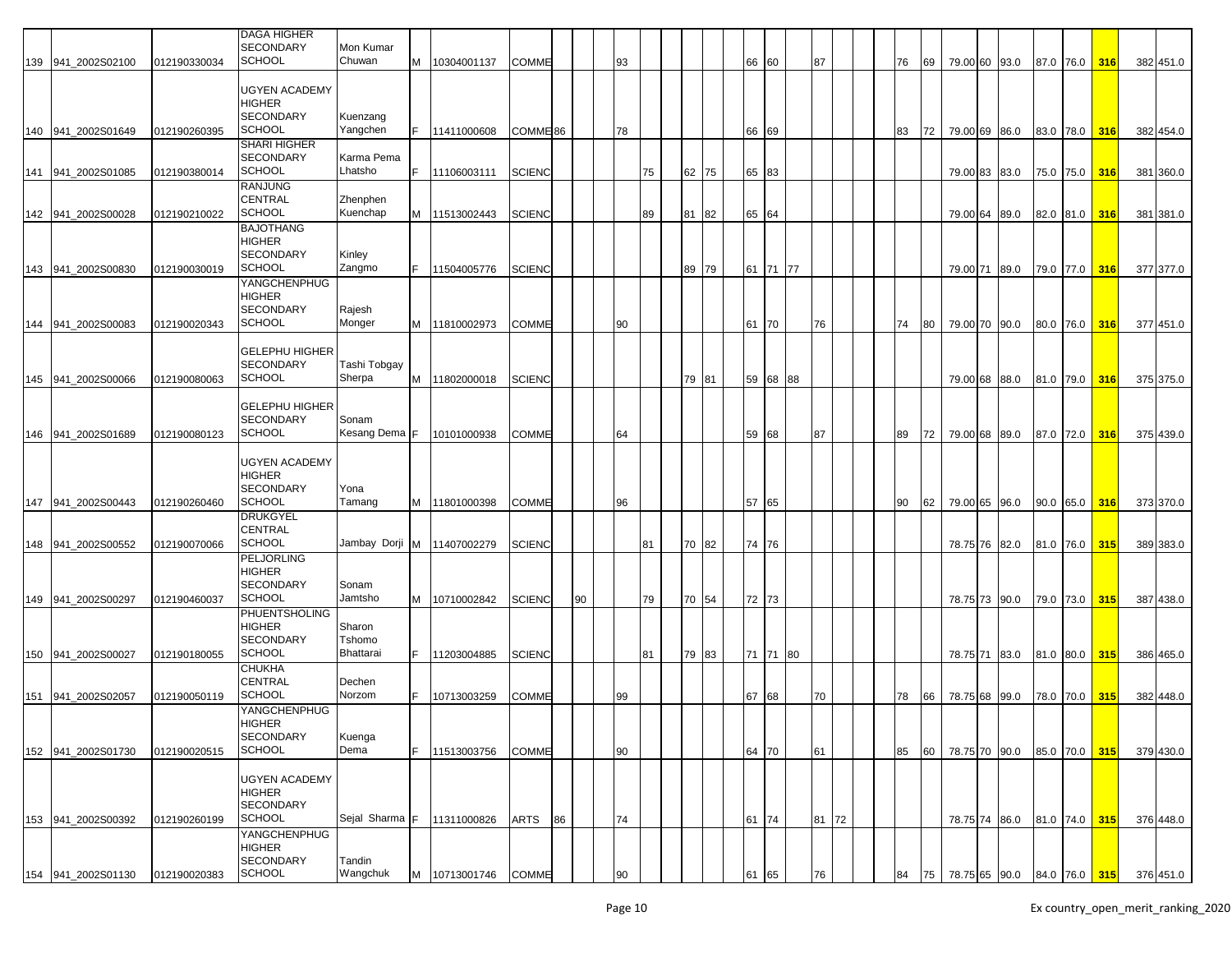|                    |              | <b>DAGA HIGHER</b>    |                              |    |                     |                     |    |    |    |    |       |    |    |          |       |  |    |    |               |      |           |     |                                          |
|--------------------|--------------|-----------------------|------------------------------|----|---------------------|---------------------|----|----|----|----|-------|----|----|----------|-------|--|----|----|---------------|------|-----------|-----|------------------------------------------|
|                    |              | <b>SECONDARY</b>      | Mon Kumar                    |    |                     |                     |    |    |    |    |       |    |    |          |       |  |    |    |               |      |           |     |                                          |
|                    |              | <b>SCHOOL</b>         |                              |    |                     |                     |    |    |    |    |       |    |    |          |       |  |    |    |               |      |           |     |                                          |
| 139 941_2002S02100 | 012190330034 |                       | Chuwan                       | M  | 10304001137         | <b>COMME</b>        |    |    | 93 |    |       |    |    | 66 60    | 87    |  | 76 | 69 | 79.00 60 93.0 |      | 87.0 76.0 | 316 | 382 451.0                                |
|                    |              |                       |                              |    |                     |                     |    |    |    |    |       |    |    |          |       |  |    |    |               |      |           |     |                                          |
|                    |              | <b>UGYEN ACADEMY</b>  |                              |    |                     |                     |    |    |    |    |       |    |    |          |       |  |    |    |               |      |           |     |                                          |
|                    |              | <b>HIGHER</b>         |                              |    |                     |                     |    |    |    |    |       |    |    |          |       |  |    |    |               |      |           |     |                                          |
|                    |              | <b>SECONDARY</b>      | Kuenzang                     |    |                     |                     |    |    |    |    |       |    |    |          |       |  |    |    |               |      |           |     |                                          |
| 140 941_2002S01649 | 012190260395 | <b>SCHOOL</b>         | Yangchen                     |    | 11411000608         | COMME <sub>86</sub> |    |    | 78 |    |       |    |    | 66 69    |       |  | 83 | 72 | 79.00 69 86.0 |      | 83.0 78.0 | 316 | 382 454.0                                |
|                    |              | <b>SHARI HIGHER</b>   |                              |    |                     |                     |    |    |    |    |       |    |    |          |       |  |    |    |               |      |           |     |                                          |
|                    |              | <b>SECONDARY</b>      | Karma Pema                   |    |                     |                     |    |    |    |    |       |    |    |          |       |  |    |    |               |      |           |     |                                          |
| 141 941_2002S01085 | 012190380014 | <b>SCHOOL</b>         | Lhatsho                      |    | 11106003111         | <b>SCIENC</b>       |    |    |    | 75 | 62 75 |    |    | 65 83    |       |  |    |    | 79.00 83 83.0 |      | 75.0 75.0 | 316 | 381 360.0                                |
|                    |              | <b>RANJUNG</b>        |                              |    |                     |                     |    |    |    |    |       |    |    |          |       |  |    |    |               |      |           |     |                                          |
|                    |              | <b>CENTRAL</b>        | Zhenphen                     |    |                     |                     |    |    |    |    |       |    |    |          |       |  |    |    |               |      |           |     |                                          |
|                    |              | <b>SCHOOL</b>         | Kuenchap                     |    |                     |                     |    |    |    |    |       |    |    |          |       |  |    |    |               |      |           |     |                                          |
| 142 941_2002S00028 | 012190210022 |                       |                              |    | M 11513002443       | <b>SCIENC</b>       |    |    |    | 89 | 81    | 82 |    | 65 64    |       |  |    |    | 79.00 64      | 89.0 | 82.0 81.0 | 316 | 381 381.0                                |
|                    |              | <b>BAJOTHANG</b>      |                              |    |                     |                     |    |    |    |    |       |    |    |          |       |  |    |    |               |      |           |     |                                          |
|                    |              | HIGHER                |                              |    |                     |                     |    |    |    |    |       |    |    |          |       |  |    |    |               |      |           |     |                                          |
|                    |              | <b>SECONDARY</b>      | Kinley                       |    |                     |                     |    |    |    |    |       |    |    |          |       |  |    |    |               |      |           |     |                                          |
| 143 941 2002S00830 | 012190030019 | <b>SCHOOL</b>         | Zangmo                       |    | 11504005776         | <b>SCIENC</b>       |    |    |    |    | 89 79 |    |    | 61 71 77 |       |  |    |    | 79.00 71 89.0 |      | 79.0 77.0 | 316 | 377 377.0                                |
|                    |              | YANGCHENPHUG          |                              |    |                     |                     |    |    |    |    |       |    |    |          |       |  |    |    |               |      |           |     |                                          |
|                    |              | HIGHER                |                              |    |                     |                     |    |    |    |    |       |    |    |          |       |  |    |    |               |      |           |     |                                          |
|                    |              | <b>SECONDARY</b>      | Rajesh                       |    |                     |                     |    |    |    |    |       |    |    |          |       |  |    |    |               |      |           |     |                                          |
| 144 941 2002S00083 | 012190020343 | <b>SCHOOL</b>         | Monger                       |    | M 11810002973       | <b>COMME</b>        |    |    | 90 |    |       |    |    | 61 70    | 76    |  | 74 | 80 | 79.00 70 90.0 |      | 80.0 76.0 | 316 | 377 451.0                                |
|                    |              |                       |                              |    |                     |                     |    |    |    |    |       |    |    |          |       |  |    |    |               |      |           |     |                                          |
|                    |              |                       |                              |    |                     |                     |    |    |    |    |       |    |    |          |       |  |    |    |               |      |           |     |                                          |
|                    |              | <b>GELEPHU HIGHER</b> |                              |    |                     |                     |    |    |    |    |       |    |    |          |       |  |    |    |               |      |           |     |                                          |
|                    |              | <b>SECONDARY</b>      | Tashi Tobqay                 |    |                     |                     |    |    |    |    |       |    |    |          |       |  |    |    |               |      |           |     |                                          |
| 145 941 2002S00066 | 012190080063 | <b>SCHOOL</b>         | Sherpa                       |    | M 11802000018       | <b>SCIENC</b>       |    |    |    |    | 79 81 |    |    | 59 68 88 |       |  |    |    | 79.00 68 88.0 |      | 81.0 79.0 | 316 | 375 375.0                                |
|                    |              |                       |                              |    |                     |                     |    |    |    |    |       |    |    |          |       |  |    |    |               |      |           |     |                                          |
|                    |              | <b>GELEPHU HIGHER</b> |                              |    |                     |                     |    |    |    |    |       |    |    |          |       |  |    |    |               |      |           |     |                                          |
|                    |              | <b>SECONDARY</b>      | Sonam                        |    |                     |                     |    |    |    |    |       |    |    |          |       |  |    |    |               |      |           |     |                                          |
| 146 941 2002S01689 | 012190080123 | <b>SCHOOL</b>         | Kesang Dema                  | ΙF | 10101000938         | <b>COMME</b>        |    |    | 64 |    |       |    |    | 59 68    | 87    |  | 89 | 72 | 79.00 68 89.0 |      | 87.0 72.0 | 316 | 375 439.0                                |
|                    |              |                       |                              |    |                     |                     |    |    |    |    |       |    |    |          |       |  |    |    |               |      |           |     |                                          |
|                    |              |                       |                              |    |                     |                     |    |    |    |    |       |    |    |          |       |  |    |    |               |      |           |     |                                          |
|                    |              | UGYEN ACADEMY         |                              |    |                     |                     |    |    |    |    |       |    |    |          |       |  |    |    |               |      |           |     |                                          |
|                    |              | <b>HIGHER</b>         |                              |    |                     |                     |    |    |    |    |       |    |    |          |       |  |    |    |               |      |           |     |                                          |
|                    |              | <b>SECONDARY</b>      | Yona                         |    |                     |                     |    |    |    |    |       |    |    |          |       |  |    |    |               |      |           |     |                                          |
| 147 941 2002S00443 | 012190260460 | <b>SCHOOL</b>         | Tamang                       |    | M   11801000398     | <b>COMME</b>        |    |    | 96 |    |       |    | 57 | 65       |       |  | 90 | 62 | 79.00 65      | 96.0 | 90.0 65.0 | 316 | 373 370.0                                |
|                    |              | <b>DRUKGYEL</b>       |                              |    |                     |                     |    |    |    |    |       |    |    |          |       |  |    |    |               |      |           |     |                                          |
|                    |              | CENTRAL               |                              |    |                     |                     |    |    |    |    |       |    |    |          |       |  |    |    |               |      |           |     |                                          |
| 148 941 2002S00552 | 012190070066 | <b>SCHOOL</b>         | Jambay Dorji M   11407002279 |    |                     | <b>SCIENC</b>       |    |    |    | 81 | 70 82 |    |    | 74 76    |       |  |    |    | 78.75 76 82.0 |      | 81.0 76.0 | 315 | 389 383.0                                |
|                    |              | <b>PELJORLING</b>     |                              |    |                     |                     |    |    |    |    |       |    |    |          |       |  |    |    |               |      |           |     |                                          |
|                    |              | HIGHER                |                              |    |                     |                     |    |    |    |    |       |    |    |          |       |  |    |    |               |      |           |     |                                          |
|                    |              | <b>SECONDARY</b>      |                              |    |                     |                     |    |    |    |    |       |    |    |          |       |  |    |    |               |      |           |     |                                          |
|                    |              |                       | Sonam                        |    |                     |                     |    |    |    |    |       |    |    |          |       |  |    |    |               |      |           |     |                                          |
| 149 941 2002S00297 | 012190460037 | <b>SCHOOL</b>         | Jamtsho                      |    | M 10710002842       | <b>SCIENC</b>       |    | 90 |    | 79 | 70 54 |    |    | 72 73    |       |  |    |    | 78.75 73 90.0 |      | 79.0 73.0 | 315 | 387 438.0                                |
|                    |              | PHUENTSHOLING         |                              |    |                     |                     |    |    |    |    |       |    |    |          |       |  |    |    |               |      |           |     |                                          |
|                    |              | <b>HIGHER</b>         | Sharon                       |    |                     |                     |    |    |    |    |       |    |    |          |       |  |    |    |               |      |           |     |                                          |
|                    |              | <b>SECONDARY</b>      | Tshomo                       |    |                     |                     |    |    |    |    |       |    |    |          |       |  |    |    |               |      |           |     |                                          |
| 150 941_2002S00027 | 012190180055 | <b>SCHOOL</b>         | Bhattarai                    |    | 11203004885         | <b>SCIENC</b>       |    |    |    | 81 | 79 83 |    |    | 71 71 80 |       |  |    |    | 78.75 71 83.0 |      | 81.0 80.0 | 315 | 386 465.0                                |
|                    |              | CHUKHA                |                              |    |                     |                     |    |    |    |    |       |    |    |          |       |  |    |    |               |      |           |     |                                          |
|                    |              | <b>CENTRAL</b>        | Dechen                       |    |                     |                     |    |    |    |    |       |    |    |          |       |  |    |    |               |      |           |     |                                          |
| 151 941_2002S02057 | 012190050119 | <b>SCHOOL</b>         | Norzom                       |    | 10713003259         | <b>COMME</b>        |    |    | 99 |    |       |    |    | 67 68    | 70    |  | 78 | 66 | 78.75 68 99.0 |      | 78.0 70.0 | 315 | 382 448.0                                |
|                    |              |                       |                              |    |                     |                     |    |    |    |    |       |    |    |          |       |  |    |    |               |      |           |     |                                          |
|                    |              | YANGCHENPHUG          |                              |    |                     |                     |    |    |    |    |       |    |    |          |       |  |    |    |               |      |           |     |                                          |
|                    |              | <b>HIGHER</b>         |                              |    |                     |                     |    |    |    |    |       |    |    |          |       |  |    |    |               |      |           |     |                                          |
|                    |              | <b>SECONDARY</b>      | Kuenga                       |    |                     |                     |    |    |    |    |       |    |    |          |       |  |    |    |               |      |           |     |                                          |
| 152 941_2002S01730 | 012190020515 | <b>SCHOOL</b>         | Dema                         |    | 11513003756         | <b>COMME</b>        |    |    | 90 |    |       |    |    | 64 70    | 61    |  | 85 | 60 | 78.75 70 90.0 |      | 85.0 70.0 | 315 | 379 430.0                                |
|                    |              |                       |                              |    |                     |                     |    |    |    |    |       |    |    |          |       |  |    |    |               |      |           |     |                                          |
|                    |              | <b>UGYEN ACADEMY</b>  |                              |    |                     |                     |    |    |    |    |       |    |    |          |       |  |    |    |               |      |           |     |                                          |
|                    |              | <b>HIGHER</b>         |                              |    |                     |                     |    |    |    |    |       |    |    |          |       |  |    |    |               |      |           |     |                                          |
|                    |              | SECONDARY             |                              |    |                     |                     |    |    |    |    |       |    |    |          |       |  |    |    |               |      |           |     |                                          |
| 153 941 2002S00392 | 012190260199 | <b>SCHOOL</b>         | Sejal Sharma F 11311000826   |    |                     | <b>ARTS</b>         | 86 |    | 74 |    |       |    |    | 61 74    | 81 72 |  |    |    | 78.75 74 86.0 |      | 81.0 74.0 | 315 | 376 448.0                                |
|                    |              | YANGCHENPHUG          |                              |    |                     |                     |    |    |    |    |       |    |    |          |       |  |    |    |               |      |           |     |                                          |
|                    |              |                       |                              |    |                     |                     |    |    |    |    |       |    |    |          |       |  |    |    |               |      |           |     |                                          |
|                    |              | HIGHER                |                              |    |                     |                     |    |    |    |    |       |    |    |          |       |  |    |    |               |      |           |     |                                          |
|                    |              | <b>SECONDARY</b>      | Tandin                       |    |                     |                     |    |    |    |    |       |    |    |          |       |  |    |    |               |      |           |     |                                          |
| 154 941_2002S01130 | 012190020383 | <b>SCHOOL</b>         | Wangchuk                     |    | M 10713001746 COMME |                     |    |    |    |    |       |    | 61 | 65       | 76    |  | 84 |    |               |      |           |     | 75 78.75 65 90.0 84.0 76.0 315 376 451.0 |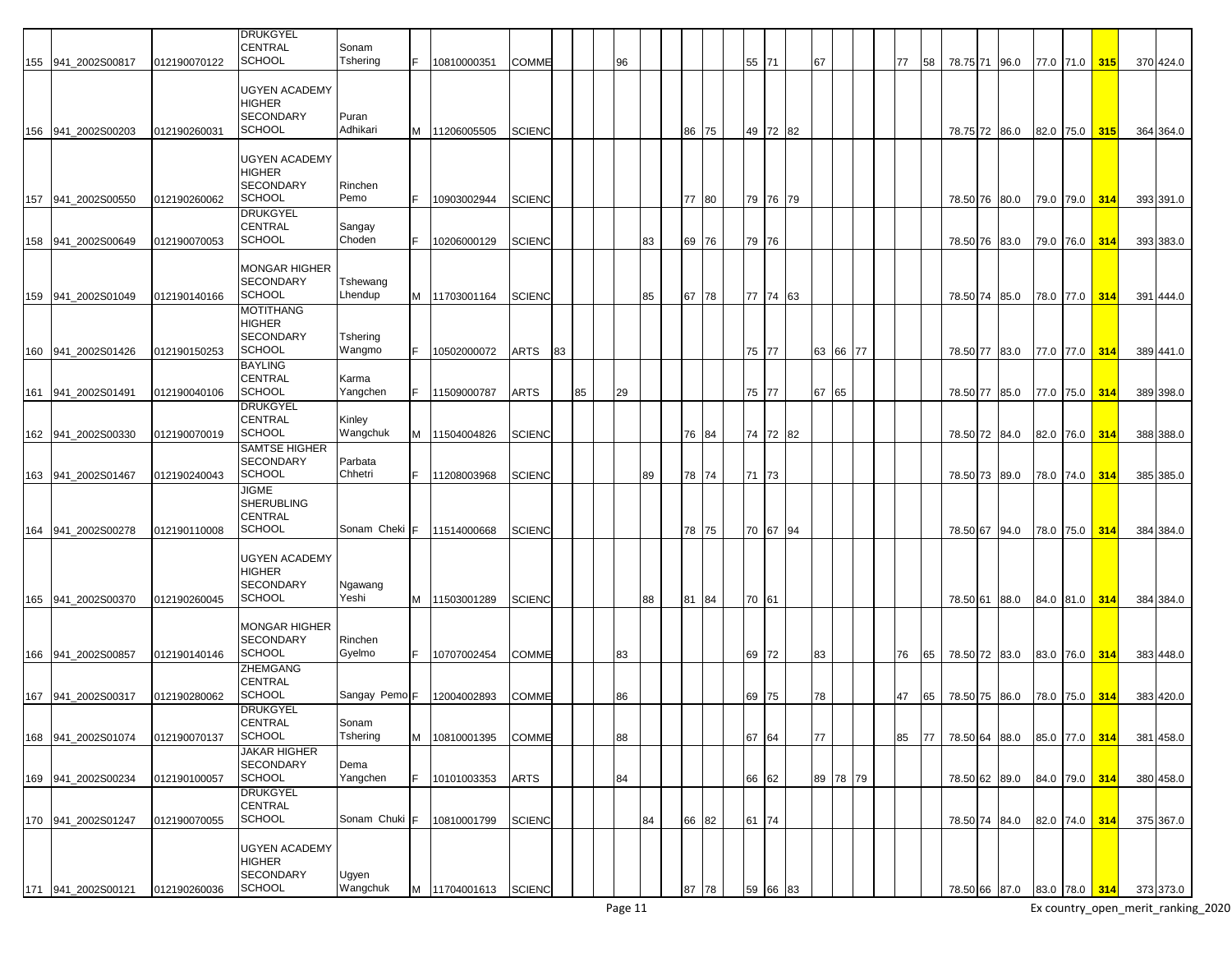|     |                                          |                              | <b>DRUKGYEL</b><br><b>CENTRAL</b>                                            | Sonam               |   |                            |                |    |    |          |    |       |  |                |          |          |          |          |          |                                |                             |                        |            |                        |
|-----|------------------------------------------|------------------------------|------------------------------------------------------------------------------|---------------------|---|----------------------------|----------------|----|----|----------|----|-------|--|----------------|----------|----------|----------|----------|----------|--------------------------------|-----------------------------|------------------------|------------|------------------------|
|     | 155 941_2002S00817                       | 012190070122                 | <b>SCHOOL</b>                                                                | Tshering            |   | 10810000351                | COMME          |    |    | 96       |    |       |  | 55 71          |          | 67       |          | 77       | 58       | 78.75 71 96.0                  |                             | 77.0 71.0              | 315        | 370 424.0              |
|     | 156 941_2002S00203                       | 012190260031                 | <b>UGYEN ACADEMY</b><br><b>HIGHER</b><br><b>SECONDARY</b><br><b>SCHOOL</b>   | Puran<br>Adhikari   |   | M 11206005505              | <b>SCIENC</b>  |    |    |          |    | 86 75 |  |                | 49 72 82 |          |          |          |          | 78.75 72                       | 86.0                        | 82.0 75.0              | 315        | 364 364.0              |
|     | 941 2002S00550                           |                              | <b>UGYEN ACADEMY</b><br><b>HIGHER</b><br><b>SECONDARY</b><br><b>SCHOOL</b>   | Rinchen<br>Pemo     |   | 10903002944                | <b>SCIENC</b>  |    |    |          |    | 77 80 |  |                |          |          |          |          |          |                                |                             |                        |            |                        |
| 157 | 158 941_2002S00649                       | 012190260062<br>012190070053 | <b>DRUKGYEL</b><br><b>CENTRAL</b><br>SCHOOL                                  | Sangay<br>Choden    |   | 10206000129                | SCIENC         |    |    |          | 83 | 69 76 |  | 79 76          | 79 76 79 |          |          |          |          | 78.50 76<br>78.50 76           | 80.0<br>83.0                | 79.0 79.0<br>79.0 76.0 | 314<br>314 | 393 391.0<br>393 383.0 |
|     | 159 941_2002S01049                       | 012190140166                 | <b>MONGAR HIGHER</b><br><b>SECONDARY</b><br><b>SCHOOL</b>                    | Tshewang<br>Lhendup |   | M 11703001164              | <b>SCIENC</b>  |    |    |          | 85 | 67 78 |  |                | 77 74 63 |          |          |          |          | 78.50 74                       | 85.0                        | 78.0 77.0              | 314        | 391 444.0              |
|     | 160 941_2002S01426                       | 012190150253                 | <b>MOTITHANG</b><br><b>HIGHER</b><br><b>SECONDARY</b><br><b>SCHOOL</b>       | Tshering<br>Wangmo  |   | 10502000072                | ARTS           | 83 |    |          |    |       |  | 75 77          |          |          | 63 66 77 |          |          | 78.50 77                       | 83.0                        | 77.0 77.0              | 314        | 389 441.0              |
|     | 161 941 2002S01491                       | 012190040106                 | <b>BAYLING</b><br><b>CENTRAL</b><br><b>SCHOOL</b>                            | Karma<br>Yangchen   |   | 11509000787                | ARTS           |    | 85 | 29       |    |       |  | 75 77          |          | 67 65    |          |          |          | 78.50 77 85.0                  |                             | 77.0 75.0              | 314        | 389 398.0              |
|     | 162 941_2002S00330                       | 012190070019                 | <b>DRUKGYEL</b><br><b>CENTRAL</b><br><b>SCHOOL</b>                           | Kinley<br>Wangchuk  |   | M 11504004826              | <b>SCIENC</b>  |    |    |          |    | 76 84 |  |                | 74 72 82 |          |          |          |          | 78.50 72 84.0                  |                             | 82.0 76.0              | 314        | 388 388.0              |
| 163 | 941_2002S01467                           | 012190240043                 | <b>SAMTSE HIGHER</b><br><b>SECONDARY</b><br><b>SCHOOL</b>                    | Parbata<br>Chhetri  |   | 11208003968                | <b>SCIENC</b>  |    |    |          | 89 | 78 74 |  | 71 73          |          |          |          |          |          | 78.50 73                       | 89.0                        | 78.0 74.0              | 314        | 385 385.0              |
| 164 | 941 2002S00278                           | 012190110008                 | <b>JIGME</b><br><b>SHERUBLING</b><br><b>CENTRAL</b><br><b>SCHOOL</b>         | Sonam Cheki         | F | 11514000668                | SCIENC         |    |    |          |    | 78 75 |  |                | 70 67 94 |          |          |          |          | 78.50 67 94.0                  |                             | 78.0 75.0              | 314        | 384 384.0              |
|     |                                          |                              | <b>UGYEN ACADEMY</b><br><b>HIGHER</b><br><b>SECONDARY</b>                    | Ngawang             |   |                            |                |    |    |          |    |       |  |                |          |          |          |          |          |                                |                             |                        |            |                        |
|     | 165 941 2002S00370                       | 012190260045                 | <b>SCHOOL</b>                                                                | Yeshi               |   | M 11503001289              | <b>SCIENC</b>  |    |    |          | 88 | 81 84 |  | 70 61          |          |          |          |          |          | 78.50 61 88.0                  |                             | 84.0 81.0              | 314        | 384 384.0              |
|     | 166 941_2002S00857                       | 012190140146                 | <b>MONGAR HIGHER</b><br><b>SECONDARY</b><br><b>SCHOOL</b><br><b>ZHEMGANG</b> | Rinchen<br>Gyelmo   |   | 10707002454                | COMME          |    |    | 83       |    |       |  | 69 72          |          | 83       |          | 76       | 65       | 78.50 72 83.0                  |                             | 83.0 76.0              | 314        | 383 448.0              |
|     |                                          | 012190280062                 | <b>CENTRAL</b><br><b>SCHOOL</b>                                              | Sangay Pemo F       |   |                            |                |    |    |          |    |       |  |                |          |          |          |          |          |                                |                             |                        |            |                        |
|     | 167 941_2002S00317<br>168 941_2002S01074 | 012190070137                 | <b>DRUKGYEL</b><br>CENTRAL<br><b>SCHOOL</b>                                  | Sonam<br>Tshering   | М | 12004002893<br>10810001395 | COMME<br>COMME |    |    | 86<br>88 |    |       |  | 69 75<br>67 64 |          | 78<br>77 |          | 47<br>85 | 65<br>77 | 78.50 75 86.0<br>78.50 64 88.0 |                             | 78.0 75.0<br>85.0 77.0 | 314<br>314 | 383 420.0<br>381 458.0 |
|     | 169 941_2002S00234                       | 012190100057                 | <b>JAKAR HIGHER</b><br><b>SECONDARY</b><br>SCHOOL                            | Dema<br>Yangchen    |   | 10101003353                | ARTS           |    |    | 84       |    |       |  | 66 62          |          |          | 89 78 79 |          |          | 78.50 62 89.0                  |                             | 84.0 79.0 314          |            | 380 458.0              |
|     | 170 941_2002S01247                       | 012190070055                 | <b>DRUKGYEL</b><br><b>CENTRAL</b><br><b>SCHOOL</b>                           | Sonam Chuki         | F | 10810001799                | <b>SCIENC</b>  |    |    |          | 84 | 66 82 |  | 61 74          |          |          |          |          |          | 78.50 74 84.0                  |                             | 82.0 74.0              | 314        | 375 367.0              |
|     | 171 941_2002S00121                       | 012190260036                 | <b>UGYEN ACADEMY</b><br><b>HIGHER</b><br><b>SECONDARY</b><br><b>SCHOOL</b>   | Ugyen<br>Wangchuk   |   | M 11704001613              | <b>SCIENC</b>  |    |    |          |    | 87 78 |  |                | 59 66 83 |          |          |          |          |                                | 78.50 66 87.0 83.0 78.0 314 |                        |            | 373 373.0              |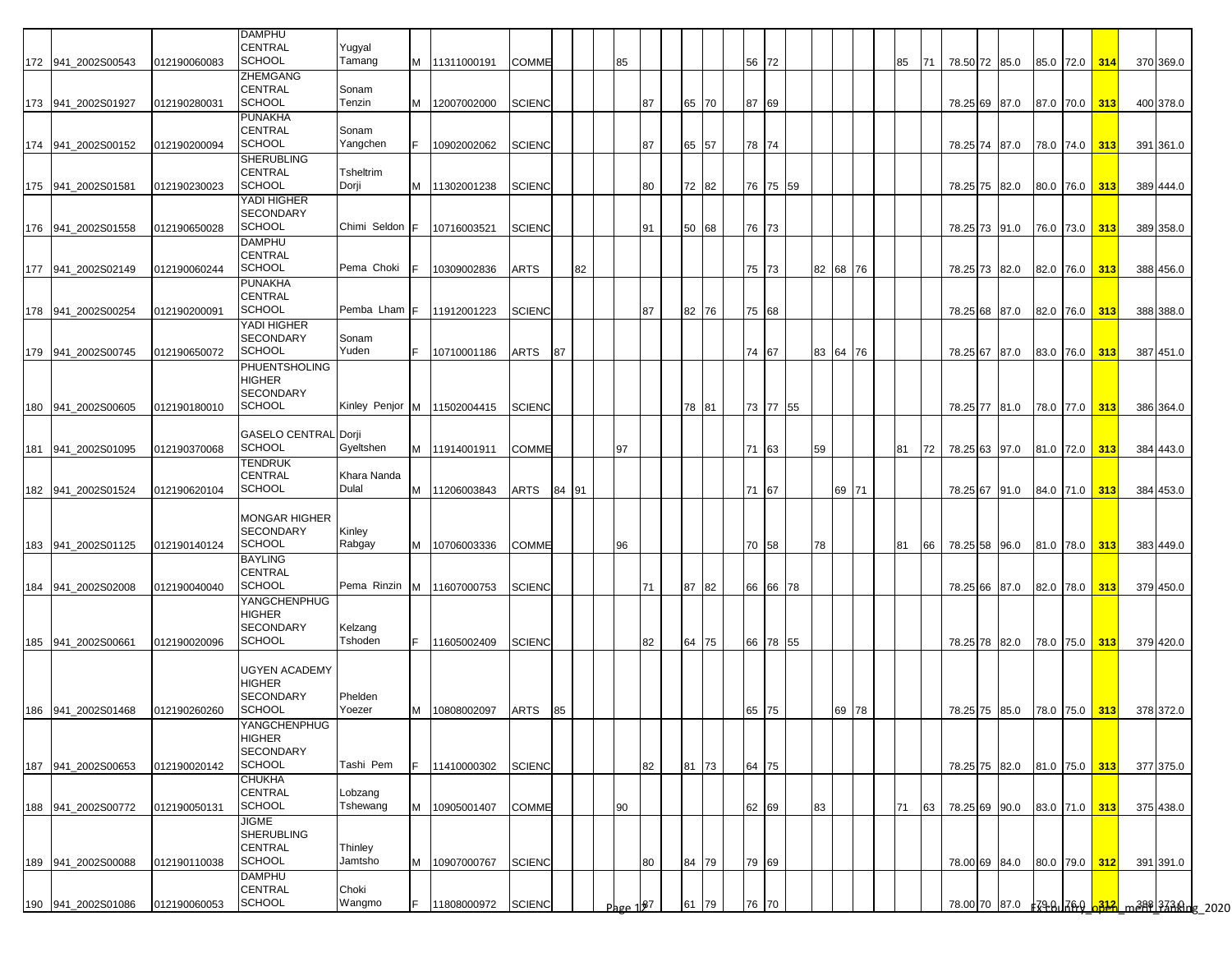| CENTRAL<br>Yugyal<br><b>SCHOOL</b><br>Tamang<br>56 72<br>M   11311000191<br>COMME<br>85<br>78.50 72 85.0<br>85.0 72.0 314<br>370 369.0<br>172 941_2002S00543<br>012190060083<br>85<br>71<br>ZHEMGANG<br>CENTRAL<br>Sonam<br><b>SCHOOL</b><br>Tenzin<br><b>SCIENC</b><br>87 69<br>173 941 2002S01927<br>87<br>65 70<br>78.25 69 87.0 87.0 70.0<br>313<br>400 378.0<br>012190280031<br>M<br>12007002000<br>PUNAKHA<br>CENTRAL<br>Sonam<br><b>SCHOOL</b><br>Yangchen<br><b>SCIENC</b><br>65 57<br>78 74<br>174 941_2002S00152<br>012190200094<br>E<br>10902002062<br>87<br>78.25 74 87.0<br>78.0 74.0<br>313<br>391 361.0<br><b>SHERUBLING</b><br><b>CENTRAL</b><br>Tsheltrim<br><b>SCHOOL</b><br>Dorji<br>72 82<br>76 75 59<br>175 941 2002S01581<br>012190230023<br>M<br>11302001238<br>SCIENC<br>80<br>78.25 75 82.0<br>80.0 76.0<br>313<br>389 444.0<br>YADI HIGHER<br><b>SECONDARY</b><br><b>SCHOOL</b><br>Chimi Seldon F<br>76 73<br>176 941_2002S01558<br>012190650028<br>10716003521<br><b>SCIENC</b><br>50 68<br>78.25 73 91.0<br>76.0 73.0 313<br>389 358.0<br>91<br>DAMPHU<br>CENTRAL<br>SCHOOL<br>Pema Choki<br>177 941_2002S02149<br>10309002836<br>ARTS<br>82<br>75 73<br>82 68 76<br>78.25 73 82.0 82.0 76.0 313<br>388 456.0<br>012190060244<br>PUNAKHA<br>CENTRAL<br><b>SCHOOL</b><br>Pemba Lham F<br>11912001223<br>SCIENC<br>82 76<br>75 68<br>388 388.0<br>178 941_2002S00254<br>012190200091<br>87<br>78.25 68 87.0<br>82.0 76.0<br>313<br>YADI HIGHER<br><b>SECONDARY</b><br>Sonam<br><b>SCHOOL</b><br>Yuden<br>74 67<br>F.<br>ARTS<br>87<br>83 64 76<br>179 941 2002S00745<br>012190650072<br>10710001186<br>78.25 67 87.0<br>83.0 76.0<br>313<br>387 451.0<br>PHUENTSHOLING<br>HIGHER<br><b>SECONDARY</b><br><b>SCHOOL</b><br>Kinley Penjor M   11502004415<br>73 77 55<br><b>SCIENC</b><br>78 81<br>78.25 77 81.0 78.0 77.0 313<br>386 364.0<br>941_2002S00605<br>012190180010<br><b>GASELO CENTRAL Dorji</b><br><b>SCHOOL</b><br>Gyeltshen<br>97<br>71 63<br>M 11914001911<br>COMME<br>59<br>78.25 63 97.0 81.0 72.0 313<br>181 941 2002S01095<br>012190370068<br>81<br>72<br>384 443.0<br>TENDRUK<br>CENTRAL<br>Khara Nanda<br><b>SCHOOL</b><br>Dulal<br>M<br>71 67<br>69 71<br>182 941_2002S01524<br>012190620104<br>11206003843<br>ARTS<br>84 91<br>78.25 67 91.0 84.0 71.0<br>313<br>384 453.0<br>MONGAR HIGHER<br><b>SECONDARY</b><br>Kinley<br><b>SCHOOL</b><br>Rabgay<br>70 58<br>183 941 2002S01125<br>012190140124<br>M<br>10706003336<br>COMME<br>96<br>78<br>81<br>66<br>78.25 58 96.0 81.0 78.0 313<br>383 449.0<br>BAYLING<br><b>CENTRAL</b><br><b>SCHOOL</b><br>Pema Rinzin M<br>941_2002S02008<br>11607000753<br><b>SCIENC</b><br>87 82<br>66 66 78<br>78.25 66 87.0<br>82.0 78.0<br>313<br>379 450.0<br>184<br>012190040040<br>71<br>YANGCHENPHUG<br>HIGHER<br><b>SECONDARY</b><br>Kelzang<br>SCHOOL<br>Tshoden<br>F.<br>64 75<br>66 78 55<br>185<br>941 2002S00661<br>11605002409<br>SCIENC<br>82<br>78.25 78 82.0<br>78.0 75.0<br>313<br>379 420.0<br>012190020096<br>UGYEN ACADEMY<br>HIGHER<br>SECONDARY<br>Phelden<br>SCHOOL<br>Yoezer<br>65 75<br>186 941_2002S01468<br>012190260260<br>M<br>10808002097<br>69 78<br>78.25 75 85.0 78.0 75.0 313<br>378 372.0<br>ARTS<br>85<br>YANGCHENPHUG<br>HIGHER<br>SECONDARY<br><b>SCHOOL</b><br>Tashi Pem<br>81 73<br>187<br>941 2002S00653<br>lF.<br>11410000302<br><b>SCIENC</b><br>82<br>64 75<br>78.25 75 82.0 81.0 75.0<br>313<br>377 375.0<br>012190020142<br>CHUKHA<br>CENTRAL<br>Lobzang<br><b>SCHOOL</b><br>941 2002S00772<br>Tshewang<br>M<br>10905001407<br>COMME<br>90<br>62 69<br>83<br>78.25 69 90.0<br>83.0 71.0 313<br>375 438.0<br>188<br>012190050131<br>71<br>63<br>JIGME<br><b>SHERUBLING</b><br>CENTRAL<br>Thinley<br><b>SCHOOL</b><br>Jamtsho<br>941 2002S00088<br><b>SCIENC</b><br>84 79<br>79 69<br>189<br>012190110038<br>M<br>10907000767<br>80<br>78.00 69 84.0 80.0 79.0 312<br>391 391.0<br>DAMPHU<br>CENTRAL<br>Choki<br><b>SCHOOL</b><br>Wangmo<br><b>SCIENC</b><br>76 70<br>190 941_2002S01086<br>012190060053<br>F.<br>11808000972<br>61 79<br>Page $1\frac{87}{5}$ |     |  | DAMPHU |  |  |  |  |  |  |  |  |  |  |  |  |  |  |
|------------------------------------------------------------------------------------------------------------------------------------------------------------------------------------------------------------------------------------------------------------------------------------------------------------------------------------------------------------------------------------------------------------------------------------------------------------------------------------------------------------------------------------------------------------------------------------------------------------------------------------------------------------------------------------------------------------------------------------------------------------------------------------------------------------------------------------------------------------------------------------------------------------------------------------------------------------------------------------------------------------------------------------------------------------------------------------------------------------------------------------------------------------------------------------------------------------------------------------------------------------------------------------------------------------------------------------------------------------------------------------------------------------------------------------------------------------------------------------------------------------------------------------------------------------------------------------------------------------------------------------------------------------------------------------------------------------------------------------------------------------------------------------------------------------------------------------------------------------------------------------------------------------------------------------------------------------------------------------------------------------------------------------------------------------------------------------------------------------------------------------------------------------------------------------------------------------------------------------------------------------------------------------------------------------------------------------------------------------------------------------------------------------------------------------------------------------------------------------------------------------------------------------------------------------------------------------------------------------------------------------------------------------------------------------------------------------------------------------------------------------------------------------------------------------------------------------------------------------------------------------------------------------------------------------------------------------------------------------------------------------------------------------------------------------------------------------------------------------------------------------------------------------------------------------------------------------------------------------------------------------------------------------------------------------------------------------------------------------------------------------------------------------------------------------------------------------------------------------------------------------------------------------------------------------------------------------------------------------------------------------------------------------------------------------------------------------------------------------------------------------------------------------------------------------------------------------------------------------------------------------------------------------------------------------------------------------------------------------------------------------------------------------------------------------------------------------------|-----|--|--------|--|--|--|--|--|--|--|--|--|--|--|--|--|--|
|                                                                                                                                                                                                                                                                                                                                                                                                                                                                                                                                                                                                                                                                                                                                                                                                                                                                                                                                                                                                                                                                                                                                                                                                                                                                                                                                                                                                                                                                                                                                                                                                                                                                                                                                                                                                                                                                                                                                                                                                                                                                                                                                                                                                                                                                                                                                                                                                                                                                                                                                                                                                                                                                                                                                                                                                                                                                                                                                                                                                                                                                                                                                                                                                                                                                                                                                                                                                                                                                                                                                                                                                                                                                                                                                                                                                                                                                                                                                                                                                                                                                                          |     |  |        |  |  |  |  |  |  |  |  |  |  |  |  |  |  |
|                                                                                                                                                                                                                                                                                                                                                                                                                                                                                                                                                                                                                                                                                                                                                                                                                                                                                                                                                                                                                                                                                                                                                                                                                                                                                                                                                                                                                                                                                                                                                                                                                                                                                                                                                                                                                                                                                                                                                                                                                                                                                                                                                                                                                                                                                                                                                                                                                                                                                                                                                                                                                                                                                                                                                                                                                                                                                                                                                                                                                                                                                                                                                                                                                                                                                                                                                                                                                                                                                                                                                                                                                                                                                                                                                                                                                                                                                                                                                                                                                                                                                          |     |  |        |  |  |  |  |  |  |  |  |  |  |  |  |  |  |
|                                                                                                                                                                                                                                                                                                                                                                                                                                                                                                                                                                                                                                                                                                                                                                                                                                                                                                                                                                                                                                                                                                                                                                                                                                                                                                                                                                                                                                                                                                                                                                                                                                                                                                                                                                                                                                                                                                                                                                                                                                                                                                                                                                                                                                                                                                                                                                                                                                                                                                                                                                                                                                                                                                                                                                                                                                                                                                                                                                                                                                                                                                                                                                                                                                                                                                                                                                                                                                                                                                                                                                                                                                                                                                                                                                                                                                                                                                                                                                                                                                                                                          |     |  |        |  |  |  |  |  |  |  |  |  |  |  |  |  |  |
|                                                                                                                                                                                                                                                                                                                                                                                                                                                                                                                                                                                                                                                                                                                                                                                                                                                                                                                                                                                                                                                                                                                                                                                                                                                                                                                                                                                                                                                                                                                                                                                                                                                                                                                                                                                                                                                                                                                                                                                                                                                                                                                                                                                                                                                                                                                                                                                                                                                                                                                                                                                                                                                                                                                                                                                                                                                                                                                                                                                                                                                                                                                                                                                                                                                                                                                                                                                                                                                                                                                                                                                                                                                                                                                                                                                                                                                                                                                                                                                                                                                                                          |     |  |        |  |  |  |  |  |  |  |  |  |  |  |  |  |  |
|                                                                                                                                                                                                                                                                                                                                                                                                                                                                                                                                                                                                                                                                                                                                                                                                                                                                                                                                                                                                                                                                                                                                                                                                                                                                                                                                                                                                                                                                                                                                                                                                                                                                                                                                                                                                                                                                                                                                                                                                                                                                                                                                                                                                                                                                                                                                                                                                                                                                                                                                                                                                                                                                                                                                                                                                                                                                                                                                                                                                                                                                                                                                                                                                                                                                                                                                                                                                                                                                                                                                                                                                                                                                                                                                                                                                                                                                                                                                                                                                                                                                                          |     |  |        |  |  |  |  |  |  |  |  |  |  |  |  |  |  |
|                                                                                                                                                                                                                                                                                                                                                                                                                                                                                                                                                                                                                                                                                                                                                                                                                                                                                                                                                                                                                                                                                                                                                                                                                                                                                                                                                                                                                                                                                                                                                                                                                                                                                                                                                                                                                                                                                                                                                                                                                                                                                                                                                                                                                                                                                                                                                                                                                                                                                                                                                                                                                                                                                                                                                                                                                                                                                                                                                                                                                                                                                                                                                                                                                                                                                                                                                                                                                                                                                                                                                                                                                                                                                                                                                                                                                                                                                                                                                                                                                                                                                          |     |  |        |  |  |  |  |  |  |  |  |  |  |  |  |  |  |
|                                                                                                                                                                                                                                                                                                                                                                                                                                                                                                                                                                                                                                                                                                                                                                                                                                                                                                                                                                                                                                                                                                                                                                                                                                                                                                                                                                                                                                                                                                                                                                                                                                                                                                                                                                                                                                                                                                                                                                                                                                                                                                                                                                                                                                                                                                                                                                                                                                                                                                                                                                                                                                                                                                                                                                                                                                                                                                                                                                                                                                                                                                                                                                                                                                                                                                                                                                                                                                                                                                                                                                                                                                                                                                                                                                                                                                                                                                                                                                                                                                                                                          |     |  |        |  |  |  |  |  |  |  |  |  |  |  |  |  |  |
|                                                                                                                                                                                                                                                                                                                                                                                                                                                                                                                                                                                                                                                                                                                                                                                                                                                                                                                                                                                                                                                                                                                                                                                                                                                                                                                                                                                                                                                                                                                                                                                                                                                                                                                                                                                                                                                                                                                                                                                                                                                                                                                                                                                                                                                                                                                                                                                                                                                                                                                                                                                                                                                                                                                                                                                                                                                                                                                                                                                                                                                                                                                                                                                                                                                                                                                                                                                                                                                                                                                                                                                                                                                                                                                                                                                                                                                                                                                                                                                                                                                                                          |     |  |        |  |  |  |  |  |  |  |  |  |  |  |  |  |  |
|                                                                                                                                                                                                                                                                                                                                                                                                                                                                                                                                                                                                                                                                                                                                                                                                                                                                                                                                                                                                                                                                                                                                                                                                                                                                                                                                                                                                                                                                                                                                                                                                                                                                                                                                                                                                                                                                                                                                                                                                                                                                                                                                                                                                                                                                                                                                                                                                                                                                                                                                                                                                                                                                                                                                                                                                                                                                                                                                                                                                                                                                                                                                                                                                                                                                                                                                                                                                                                                                                                                                                                                                                                                                                                                                                                                                                                                                                                                                                                                                                                                                                          |     |  |        |  |  |  |  |  |  |  |  |  |  |  |  |  |  |
|                                                                                                                                                                                                                                                                                                                                                                                                                                                                                                                                                                                                                                                                                                                                                                                                                                                                                                                                                                                                                                                                                                                                                                                                                                                                                                                                                                                                                                                                                                                                                                                                                                                                                                                                                                                                                                                                                                                                                                                                                                                                                                                                                                                                                                                                                                                                                                                                                                                                                                                                                                                                                                                                                                                                                                                                                                                                                                                                                                                                                                                                                                                                                                                                                                                                                                                                                                                                                                                                                                                                                                                                                                                                                                                                                                                                                                                                                                                                                                                                                                                                                          |     |  |        |  |  |  |  |  |  |  |  |  |  |  |  |  |  |
|                                                                                                                                                                                                                                                                                                                                                                                                                                                                                                                                                                                                                                                                                                                                                                                                                                                                                                                                                                                                                                                                                                                                                                                                                                                                                                                                                                                                                                                                                                                                                                                                                                                                                                                                                                                                                                                                                                                                                                                                                                                                                                                                                                                                                                                                                                                                                                                                                                                                                                                                                                                                                                                                                                                                                                                                                                                                                                                                                                                                                                                                                                                                                                                                                                                                                                                                                                                                                                                                                                                                                                                                                                                                                                                                                                                                                                                                                                                                                                                                                                                                                          |     |  |        |  |  |  |  |  |  |  |  |  |  |  |  |  |  |
|                                                                                                                                                                                                                                                                                                                                                                                                                                                                                                                                                                                                                                                                                                                                                                                                                                                                                                                                                                                                                                                                                                                                                                                                                                                                                                                                                                                                                                                                                                                                                                                                                                                                                                                                                                                                                                                                                                                                                                                                                                                                                                                                                                                                                                                                                                                                                                                                                                                                                                                                                                                                                                                                                                                                                                                                                                                                                                                                                                                                                                                                                                                                                                                                                                                                                                                                                                                                                                                                                                                                                                                                                                                                                                                                                                                                                                                                                                                                                                                                                                                                                          |     |  |        |  |  |  |  |  |  |  |  |  |  |  |  |  |  |
|                                                                                                                                                                                                                                                                                                                                                                                                                                                                                                                                                                                                                                                                                                                                                                                                                                                                                                                                                                                                                                                                                                                                                                                                                                                                                                                                                                                                                                                                                                                                                                                                                                                                                                                                                                                                                                                                                                                                                                                                                                                                                                                                                                                                                                                                                                                                                                                                                                                                                                                                                                                                                                                                                                                                                                                                                                                                                                                                                                                                                                                                                                                                                                                                                                                                                                                                                                                                                                                                                                                                                                                                                                                                                                                                                                                                                                                                                                                                                                                                                                                                                          |     |  |        |  |  |  |  |  |  |  |  |  |  |  |  |  |  |
|                                                                                                                                                                                                                                                                                                                                                                                                                                                                                                                                                                                                                                                                                                                                                                                                                                                                                                                                                                                                                                                                                                                                                                                                                                                                                                                                                                                                                                                                                                                                                                                                                                                                                                                                                                                                                                                                                                                                                                                                                                                                                                                                                                                                                                                                                                                                                                                                                                                                                                                                                                                                                                                                                                                                                                                                                                                                                                                                                                                                                                                                                                                                                                                                                                                                                                                                                                                                                                                                                                                                                                                                                                                                                                                                                                                                                                                                                                                                                                                                                                                                                          |     |  |        |  |  |  |  |  |  |  |  |  |  |  |  |  |  |
|                                                                                                                                                                                                                                                                                                                                                                                                                                                                                                                                                                                                                                                                                                                                                                                                                                                                                                                                                                                                                                                                                                                                                                                                                                                                                                                                                                                                                                                                                                                                                                                                                                                                                                                                                                                                                                                                                                                                                                                                                                                                                                                                                                                                                                                                                                                                                                                                                                                                                                                                                                                                                                                                                                                                                                                                                                                                                                                                                                                                                                                                                                                                                                                                                                                                                                                                                                                                                                                                                                                                                                                                                                                                                                                                                                                                                                                                                                                                                                                                                                                                                          |     |  |        |  |  |  |  |  |  |  |  |  |  |  |  |  |  |
|                                                                                                                                                                                                                                                                                                                                                                                                                                                                                                                                                                                                                                                                                                                                                                                                                                                                                                                                                                                                                                                                                                                                                                                                                                                                                                                                                                                                                                                                                                                                                                                                                                                                                                                                                                                                                                                                                                                                                                                                                                                                                                                                                                                                                                                                                                                                                                                                                                                                                                                                                                                                                                                                                                                                                                                                                                                                                                                                                                                                                                                                                                                                                                                                                                                                                                                                                                                                                                                                                                                                                                                                                                                                                                                                                                                                                                                                                                                                                                                                                                                                                          |     |  |        |  |  |  |  |  |  |  |  |  |  |  |  |  |  |
|                                                                                                                                                                                                                                                                                                                                                                                                                                                                                                                                                                                                                                                                                                                                                                                                                                                                                                                                                                                                                                                                                                                                                                                                                                                                                                                                                                                                                                                                                                                                                                                                                                                                                                                                                                                                                                                                                                                                                                                                                                                                                                                                                                                                                                                                                                                                                                                                                                                                                                                                                                                                                                                                                                                                                                                                                                                                                                                                                                                                                                                                                                                                                                                                                                                                                                                                                                                                                                                                                                                                                                                                                                                                                                                                                                                                                                                                                                                                                                                                                                                                                          |     |  |        |  |  |  |  |  |  |  |  |  |  |  |  |  |  |
|                                                                                                                                                                                                                                                                                                                                                                                                                                                                                                                                                                                                                                                                                                                                                                                                                                                                                                                                                                                                                                                                                                                                                                                                                                                                                                                                                                                                                                                                                                                                                                                                                                                                                                                                                                                                                                                                                                                                                                                                                                                                                                                                                                                                                                                                                                                                                                                                                                                                                                                                                                                                                                                                                                                                                                                                                                                                                                                                                                                                                                                                                                                                                                                                                                                                                                                                                                                                                                                                                                                                                                                                                                                                                                                                                                                                                                                                                                                                                                                                                                                                                          |     |  |        |  |  |  |  |  |  |  |  |  |  |  |  |  |  |
|                                                                                                                                                                                                                                                                                                                                                                                                                                                                                                                                                                                                                                                                                                                                                                                                                                                                                                                                                                                                                                                                                                                                                                                                                                                                                                                                                                                                                                                                                                                                                                                                                                                                                                                                                                                                                                                                                                                                                                                                                                                                                                                                                                                                                                                                                                                                                                                                                                                                                                                                                                                                                                                                                                                                                                                                                                                                                                                                                                                                                                                                                                                                                                                                                                                                                                                                                                                                                                                                                                                                                                                                                                                                                                                                                                                                                                                                                                                                                                                                                                                                                          |     |  |        |  |  |  |  |  |  |  |  |  |  |  |  |  |  |
|                                                                                                                                                                                                                                                                                                                                                                                                                                                                                                                                                                                                                                                                                                                                                                                                                                                                                                                                                                                                                                                                                                                                                                                                                                                                                                                                                                                                                                                                                                                                                                                                                                                                                                                                                                                                                                                                                                                                                                                                                                                                                                                                                                                                                                                                                                                                                                                                                                                                                                                                                                                                                                                                                                                                                                                                                                                                                                                                                                                                                                                                                                                                                                                                                                                                                                                                                                                                                                                                                                                                                                                                                                                                                                                                                                                                                                                                                                                                                                                                                                                                                          |     |  |        |  |  |  |  |  |  |  |  |  |  |  |  |  |  |
|                                                                                                                                                                                                                                                                                                                                                                                                                                                                                                                                                                                                                                                                                                                                                                                                                                                                                                                                                                                                                                                                                                                                                                                                                                                                                                                                                                                                                                                                                                                                                                                                                                                                                                                                                                                                                                                                                                                                                                                                                                                                                                                                                                                                                                                                                                                                                                                                                                                                                                                                                                                                                                                                                                                                                                                                                                                                                                                                                                                                                                                                                                                                                                                                                                                                                                                                                                                                                                                                                                                                                                                                                                                                                                                                                                                                                                                                                                                                                                                                                                                                                          |     |  |        |  |  |  |  |  |  |  |  |  |  |  |  |  |  |
|                                                                                                                                                                                                                                                                                                                                                                                                                                                                                                                                                                                                                                                                                                                                                                                                                                                                                                                                                                                                                                                                                                                                                                                                                                                                                                                                                                                                                                                                                                                                                                                                                                                                                                                                                                                                                                                                                                                                                                                                                                                                                                                                                                                                                                                                                                                                                                                                                                                                                                                                                                                                                                                                                                                                                                                                                                                                                                                                                                                                                                                                                                                                                                                                                                                                                                                                                                                                                                                                                                                                                                                                                                                                                                                                                                                                                                                                                                                                                                                                                                                                                          |     |  |        |  |  |  |  |  |  |  |  |  |  |  |  |  |  |
|                                                                                                                                                                                                                                                                                                                                                                                                                                                                                                                                                                                                                                                                                                                                                                                                                                                                                                                                                                                                                                                                                                                                                                                                                                                                                                                                                                                                                                                                                                                                                                                                                                                                                                                                                                                                                                                                                                                                                                                                                                                                                                                                                                                                                                                                                                                                                                                                                                                                                                                                                                                                                                                                                                                                                                                                                                                                                                                                                                                                                                                                                                                                                                                                                                                                                                                                                                                                                                                                                                                                                                                                                                                                                                                                                                                                                                                                                                                                                                                                                                                                                          |     |  |        |  |  |  |  |  |  |  |  |  |  |  |  |  |  |
|                                                                                                                                                                                                                                                                                                                                                                                                                                                                                                                                                                                                                                                                                                                                                                                                                                                                                                                                                                                                                                                                                                                                                                                                                                                                                                                                                                                                                                                                                                                                                                                                                                                                                                                                                                                                                                                                                                                                                                                                                                                                                                                                                                                                                                                                                                                                                                                                                                                                                                                                                                                                                                                                                                                                                                                                                                                                                                                                                                                                                                                                                                                                                                                                                                                                                                                                                                                                                                                                                                                                                                                                                                                                                                                                                                                                                                                                                                                                                                                                                                                                                          |     |  |        |  |  |  |  |  |  |  |  |  |  |  |  |  |  |
|                                                                                                                                                                                                                                                                                                                                                                                                                                                                                                                                                                                                                                                                                                                                                                                                                                                                                                                                                                                                                                                                                                                                                                                                                                                                                                                                                                                                                                                                                                                                                                                                                                                                                                                                                                                                                                                                                                                                                                                                                                                                                                                                                                                                                                                                                                                                                                                                                                                                                                                                                                                                                                                                                                                                                                                                                                                                                                                                                                                                                                                                                                                                                                                                                                                                                                                                                                                                                                                                                                                                                                                                                                                                                                                                                                                                                                                                                                                                                                                                                                                                                          |     |  |        |  |  |  |  |  |  |  |  |  |  |  |  |  |  |
|                                                                                                                                                                                                                                                                                                                                                                                                                                                                                                                                                                                                                                                                                                                                                                                                                                                                                                                                                                                                                                                                                                                                                                                                                                                                                                                                                                                                                                                                                                                                                                                                                                                                                                                                                                                                                                                                                                                                                                                                                                                                                                                                                                                                                                                                                                                                                                                                                                                                                                                                                                                                                                                                                                                                                                                                                                                                                                                                                                                                                                                                                                                                                                                                                                                                                                                                                                                                                                                                                                                                                                                                                                                                                                                                                                                                                                                                                                                                                                                                                                                                                          | 180 |  |        |  |  |  |  |  |  |  |  |  |  |  |  |  |  |
|                                                                                                                                                                                                                                                                                                                                                                                                                                                                                                                                                                                                                                                                                                                                                                                                                                                                                                                                                                                                                                                                                                                                                                                                                                                                                                                                                                                                                                                                                                                                                                                                                                                                                                                                                                                                                                                                                                                                                                                                                                                                                                                                                                                                                                                                                                                                                                                                                                                                                                                                                                                                                                                                                                                                                                                                                                                                                                                                                                                                                                                                                                                                                                                                                                                                                                                                                                                                                                                                                                                                                                                                                                                                                                                                                                                                                                                                                                                                                                                                                                                                                          |     |  |        |  |  |  |  |  |  |  |  |  |  |  |  |  |  |
|                                                                                                                                                                                                                                                                                                                                                                                                                                                                                                                                                                                                                                                                                                                                                                                                                                                                                                                                                                                                                                                                                                                                                                                                                                                                                                                                                                                                                                                                                                                                                                                                                                                                                                                                                                                                                                                                                                                                                                                                                                                                                                                                                                                                                                                                                                                                                                                                                                                                                                                                                                                                                                                                                                                                                                                                                                                                                                                                                                                                                                                                                                                                                                                                                                                                                                                                                                                                                                                                                                                                                                                                                                                                                                                                                                                                                                                                                                                                                                                                                                                                                          |     |  |        |  |  |  |  |  |  |  |  |  |  |  |  |  |  |
|                                                                                                                                                                                                                                                                                                                                                                                                                                                                                                                                                                                                                                                                                                                                                                                                                                                                                                                                                                                                                                                                                                                                                                                                                                                                                                                                                                                                                                                                                                                                                                                                                                                                                                                                                                                                                                                                                                                                                                                                                                                                                                                                                                                                                                                                                                                                                                                                                                                                                                                                                                                                                                                                                                                                                                                                                                                                                                                                                                                                                                                                                                                                                                                                                                                                                                                                                                                                                                                                                                                                                                                                                                                                                                                                                                                                                                                                                                                                                                                                                                                                                          |     |  |        |  |  |  |  |  |  |  |  |  |  |  |  |  |  |
|                                                                                                                                                                                                                                                                                                                                                                                                                                                                                                                                                                                                                                                                                                                                                                                                                                                                                                                                                                                                                                                                                                                                                                                                                                                                                                                                                                                                                                                                                                                                                                                                                                                                                                                                                                                                                                                                                                                                                                                                                                                                                                                                                                                                                                                                                                                                                                                                                                                                                                                                                                                                                                                                                                                                                                                                                                                                                                                                                                                                                                                                                                                                                                                                                                                                                                                                                                                                                                                                                                                                                                                                                                                                                                                                                                                                                                                                                                                                                                                                                                                                                          |     |  |        |  |  |  |  |  |  |  |  |  |  |  |  |  |  |
|                                                                                                                                                                                                                                                                                                                                                                                                                                                                                                                                                                                                                                                                                                                                                                                                                                                                                                                                                                                                                                                                                                                                                                                                                                                                                                                                                                                                                                                                                                                                                                                                                                                                                                                                                                                                                                                                                                                                                                                                                                                                                                                                                                                                                                                                                                                                                                                                                                                                                                                                                                                                                                                                                                                                                                                                                                                                                                                                                                                                                                                                                                                                                                                                                                                                                                                                                                                                                                                                                                                                                                                                                                                                                                                                                                                                                                                                                                                                                                                                                                                                                          |     |  |        |  |  |  |  |  |  |  |  |  |  |  |  |  |  |
|                                                                                                                                                                                                                                                                                                                                                                                                                                                                                                                                                                                                                                                                                                                                                                                                                                                                                                                                                                                                                                                                                                                                                                                                                                                                                                                                                                                                                                                                                                                                                                                                                                                                                                                                                                                                                                                                                                                                                                                                                                                                                                                                                                                                                                                                                                                                                                                                                                                                                                                                                                                                                                                                                                                                                                                                                                                                                                                                                                                                                                                                                                                                                                                                                                                                                                                                                                                                                                                                                                                                                                                                                                                                                                                                                                                                                                                                                                                                                                                                                                                                                          |     |  |        |  |  |  |  |  |  |  |  |  |  |  |  |  |  |
|                                                                                                                                                                                                                                                                                                                                                                                                                                                                                                                                                                                                                                                                                                                                                                                                                                                                                                                                                                                                                                                                                                                                                                                                                                                                                                                                                                                                                                                                                                                                                                                                                                                                                                                                                                                                                                                                                                                                                                                                                                                                                                                                                                                                                                                                                                                                                                                                                                                                                                                                                                                                                                                                                                                                                                                                                                                                                                                                                                                                                                                                                                                                                                                                                                                                                                                                                                                                                                                                                                                                                                                                                                                                                                                                                                                                                                                                                                                                                                                                                                                                                          |     |  |        |  |  |  |  |  |  |  |  |  |  |  |  |  |  |
|                                                                                                                                                                                                                                                                                                                                                                                                                                                                                                                                                                                                                                                                                                                                                                                                                                                                                                                                                                                                                                                                                                                                                                                                                                                                                                                                                                                                                                                                                                                                                                                                                                                                                                                                                                                                                                                                                                                                                                                                                                                                                                                                                                                                                                                                                                                                                                                                                                                                                                                                                                                                                                                                                                                                                                                                                                                                                                                                                                                                                                                                                                                                                                                                                                                                                                                                                                                                                                                                                                                                                                                                                                                                                                                                                                                                                                                                                                                                                                                                                                                                                          |     |  |        |  |  |  |  |  |  |  |  |  |  |  |  |  |  |
|                                                                                                                                                                                                                                                                                                                                                                                                                                                                                                                                                                                                                                                                                                                                                                                                                                                                                                                                                                                                                                                                                                                                                                                                                                                                                                                                                                                                                                                                                                                                                                                                                                                                                                                                                                                                                                                                                                                                                                                                                                                                                                                                                                                                                                                                                                                                                                                                                                                                                                                                                                                                                                                                                                                                                                                                                                                                                                                                                                                                                                                                                                                                                                                                                                                                                                                                                                                                                                                                                                                                                                                                                                                                                                                                                                                                                                                                                                                                                                                                                                                                                          |     |  |        |  |  |  |  |  |  |  |  |  |  |  |  |  |  |
|                                                                                                                                                                                                                                                                                                                                                                                                                                                                                                                                                                                                                                                                                                                                                                                                                                                                                                                                                                                                                                                                                                                                                                                                                                                                                                                                                                                                                                                                                                                                                                                                                                                                                                                                                                                                                                                                                                                                                                                                                                                                                                                                                                                                                                                                                                                                                                                                                                                                                                                                                                                                                                                                                                                                                                                                                                                                                                                                                                                                                                                                                                                                                                                                                                                                                                                                                                                                                                                                                                                                                                                                                                                                                                                                                                                                                                                                                                                                                                                                                                                                                          |     |  |        |  |  |  |  |  |  |  |  |  |  |  |  |  |  |
|                                                                                                                                                                                                                                                                                                                                                                                                                                                                                                                                                                                                                                                                                                                                                                                                                                                                                                                                                                                                                                                                                                                                                                                                                                                                                                                                                                                                                                                                                                                                                                                                                                                                                                                                                                                                                                                                                                                                                                                                                                                                                                                                                                                                                                                                                                                                                                                                                                                                                                                                                                                                                                                                                                                                                                                                                                                                                                                                                                                                                                                                                                                                                                                                                                                                                                                                                                                                                                                                                                                                                                                                                                                                                                                                                                                                                                                                                                                                                                                                                                                                                          |     |  |        |  |  |  |  |  |  |  |  |  |  |  |  |  |  |
|                                                                                                                                                                                                                                                                                                                                                                                                                                                                                                                                                                                                                                                                                                                                                                                                                                                                                                                                                                                                                                                                                                                                                                                                                                                                                                                                                                                                                                                                                                                                                                                                                                                                                                                                                                                                                                                                                                                                                                                                                                                                                                                                                                                                                                                                                                                                                                                                                                                                                                                                                                                                                                                                                                                                                                                                                                                                                                                                                                                                                                                                                                                                                                                                                                                                                                                                                                                                                                                                                                                                                                                                                                                                                                                                                                                                                                                                                                                                                                                                                                                                                          |     |  |        |  |  |  |  |  |  |  |  |  |  |  |  |  |  |
|                                                                                                                                                                                                                                                                                                                                                                                                                                                                                                                                                                                                                                                                                                                                                                                                                                                                                                                                                                                                                                                                                                                                                                                                                                                                                                                                                                                                                                                                                                                                                                                                                                                                                                                                                                                                                                                                                                                                                                                                                                                                                                                                                                                                                                                                                                                                                                                                                                                                                                                                                                                                                                                                                                                                                                                                                                                                                                                                                                                                                                                                                                                                                                                                                                                                                                                                                                                                                                                                                                                                                                                                                                                                                                                                                                                                                                                                                                                                                                                                                                                                                          |     |  |        |  |  |  |  |  |  |  |  |  |  |  |  |  |  |
|                                                                                                                                                                                                                                                                                                                                                                                                                                                                                                                                                                                                                                                                                                                                                                                                                                                                                                                                                                                                                                                                                                                                                                                                                                                                                                                                                                                                                                                                                                                                                                                                                                                                                                                                                                                                                                                                                                                                                                                                                                                                                                                                                                                                                                                                                                                                                                                                                                                                                                                                                                                                                                                                                                                                                                                                                                                                                                                                                                                                                                                                                                                                                                                                                                                                                                                                                                                                                                                                                                                                                                                                                                                                                                                                                                                                                                                                                                                                                                                                                                                                                          |     |  |        |  |  |  |  |  |  |  |  |  |  |  |  |  |  |
|                                                                                                                                                                                                                                                                                                                                                                                                                                                                                                                                                                                                                                                                                                                                                                                                                                                                                                                                                                                                                                                                                                                                                                                                                                                                                                                                                                                                                                                                                                                                                                                                                                                                                                                                                                                                                                                                                                                                                                                                                                                                                                                                                                                                                                                                                                                                                                                                                                                                                                                                                                                                                                                                                                                                                                                                                                                                                                                                                                                                                                                                                                                                                                                                                                                                                                                                                                                                                                                                                                                                                                                                                                                                                                                                                                                                                                                                                                                                                                                                                                                                                          |     |  |        |  |  |  |  |  |  |  |  |  |  |  |  |  |  |
|                                                                                                                                                                                                                                                                                                                                                                                                                                                                                                                                                                                                                                                                                                                                                                                                                                                                                                                                                                                                                                                                                                                                                                                                                                                                                                                                                                                                                                                                                                                                                                                                                                                                                                                                                                                                                                                                                                                                                                                                                                                                                                                                                                                                                                                                                                                                                                                                                                                                                                                                                                                                                                                                                                                                                                                                                                                                                                                                                                                                                                                                                                                                                                                                                                                                                                                                                                                                                                                                                                                                                                                                                                                                                                                                                                                                                                                                                                                                                                                                                                                                                          |     |  |        |  |  |  |  |  |  |  |  |  |  |  |  |  |  |
|                                                                                                                                                                                                                                                                                                                                                                                                                                                                                                                                                                                                                                                                                                                                                                                                                                                                                                                                                                                                                                                                                                                                                                                                                                                                                                                                                                                                                                                                                                                                                                                                                                                                                                                                                                                                                                                                                                                                                                                                                                                                                                                                                                                                                                                                                                                                                                                                                                                                                                                                                                                                                                                                                                                                                                                                                                                                                                                                                                                                                                                                                                                                                                                                                                                                                                                                                                                                                                                                                                                                                                                                                                                                                                                                                                                                                                                                                                                                                                                                                                                                                          |     |  |        |  |  |  |  |  |  |  |  |  |  |  |  |  |  |
|                                                                                                                                                                                                                                                                                                                                                                                                                                                                                                                                                                                                                                                                                                                                                                                                                                                                                                                                                                                                                                                                                                                                                                                                                                                                                                                                                                                                                                                                                                                                                                                                                                                                                                                                                                                                                                                                                                                                                                                                                                                                                                                                                                                                                                                                                                                                                                                                                                                                                                                                                                                                                                                                                                                                                                                                                                                                                                                                                                                                                                                                                                                                                                                                                                                                                                                                                                                                                                                                                                                                                                                                                                                                                                                                                                                                                                                                                                                                                                                                                                                                                          |     |  |        |  |  |  |  |  |  |  |  |  |  |  |  |  |  |
|                                                                                                                                                                                                                                                                                                                                                                                                                                                                                                                                                                                                                                                                                                                                                                                                                                                                                                                                                                                                                                                                                                                                                                                                                                                                                                                                                                                                                                                                                                                                                                                                                                                                                                                                                                                                                                                                                                                                                                                                                                                                                                                                                                                                                                                                                                                                                                                                                                                                                                                                                                                                                                                                                                                                                                                                                                                                                                                                                                                                                                                                                                                                                                                                                                                                                                                                                                                                                                                                                                                                                                                                                                                                                                                                                                                                                                                                                                                                                                                                                                                                                          |     |  |        |  |  |  |  |  |  |  |  |  |  |  |  |  |  |
|                                                                                                                                                                                                                                                                                                                                                                                                                                                                                                                                                                                                                                                                                                                                                                                                                                                                                                                                                                                                                                                                                                                                                                                                                                                                                                                                                                                                                                                                                                                                                                                                                                                                                                                                                                                                                                                                                                                                                                                                                                                                                                                                                                                                                                                                                                                                                                                                                                                                                                                                                                                                                                                                                                                                                                                                                                                                                                                                                                                                                                                                                                                                                                                                                                                                                                                                                                                                                                                                                                                                                                                                                                                                                                                                                                                                                                                                                                                                                                                                                                                                                          |     |  |        |  |  |  |  |  |  |  |  |  |  |  |  |  |  |
|                                                                                                                                                                                                                                                                                                                                                                                                                                                                                                                                                                                                                                                                                                                                                                                                                                                                                                                                                                                                                                                                                                                                                                                                                                                                                                                                                                                                                                                                                                                                                                                                                                                                                                                                                                                                                                                                                                                                                                                                                                                                                                                                                                                                                                                                                                                                                                                                                                                                                                                                                                                                                                                                                                                                                                                                                                                                                                                                                                                                                                                                                                                                                                                                                                                                                                                                                                                                                                                                                                                                                                                                                                                                                                                                                                                                                                                                                                                                                                                                                                                                                          |     |  |        |  |  |  |  |  |  |  |  |  |  |  |  |  |  |
|                                                                                                                                                                                                                                                                                                                                                                                                                                                                                                                                                                                                                                                                                                                                                                                                                                                                                                                                                                                                                                                                                                                                                                                                                                                                                                                                                                                                                                                                                                                                                                                                                                                                                                                                                                                                                                                                                                                                                                                                                                                                                                                                                                                                                                                                                                                                                                                                                                                                                                                                                                                                                                                                                                                                                                                                                                                                                                                                                                                                                                                                                                                                                                                                                                                                                                                                                                                                                                                                                                                                                                                                                                                                                                                                                                                                                                                                                                                                                                                                                                                                                          |     |  |        |  |  |  |  |  |  |  |  |  |  |  |  |  |  |
|                                                                                                                                                                                                                                                                                                                                                                                                                                                                                                                                                                                                                                                                                                                                                                                                                                                                                                                                                                                                                                                                                                                                                                                                                                                                                                                                                                                                                                                                                                                                                                                                                                                                                                                                                                                                                                                                                                                                                                                                                                                                                                                                                                                                                                                                                                                                                                                                                                                                                                                                                                                                                                                                                                                                                                                                                                                                                                                                                                                                                                                                                                                                                                                                                                                                                                                                                                                                                                                                                                                                                                                                                                                                                                                                                                                                                                                                                                                                                                                                                                                                                          |     |  |        |  |  |  |  |  |  |  |  |  |  |  |  |  |  |
|                                                                                                                                                                                                                                                                                                                                                                                                                                                                                                                                                                                                                                                                                                                                                                                                                                                                                                                                                                                                                                                                                                                                                                                                                                                                                                                                                                                                                                                                                                                                                                                                                                                                                                                                                                                                                                                                                                                                                                                                                                                                                                                                                                                                                                                                                                                                                                                                                                                                                                                                                                                                                                                                                                                                                                                                                                                                                                                                                                                                                                                                                                                                                                                                                                                                                                                                                                                                                                                                                                                                                                                                                                                                                                                                                                                                                                                                                                                                                                                                                                                                                          |     |  |        |  |  |  |  |  |  |  |  |  |  |  |  |  |  |
|                                                                                                                                                                                                                                                                                                                                                                                                                                                                                                                                                                                                                                                                                                                                                                                                                                                                                                                                                                                                                                                                                                                                                                                                                                                                                                                                                                                                                                                                                                                                                                                                                                                                                                                                                                                                                                                                                                                                                                                                                                                                                                                                                                                                                                                                                                                                                                                                                                                                                                                                                                                                                                                                                                                                                                                                                                                                                                                                                                                                                                                                                                                                                                                                                                                                                                                                                                                                                                                                                                                                                                                                                                                                                                                                                                                                                                                                                                                                                                                                                                                                                          |     |  |        |  |  |  |  |  |  |  |  |  |  |  |  |  |  |
|                                                                                                                                                                                                                                                                                                                                                                                                                                                                                                                                                                                                                                                                                                                                                                                                                                                                                                                                                                                                                                                                                                                                                                                                                                                                                                                                                                                                                                                                                                                                                                                                                                                                                                                                                                                                                                                                                                                                                                                                                                                                                                                                                                                                                                                                                                                                                                                                                                                                                                                                                                                                                                                                                                                                                                                                                                                                                                                                                                                                                                                                                                                                                                                                                                                                                                                                                                                                                                                                                                                                                                                                                                                                                                                                                                                                                                                                                                                                                                                                                                                                                          |     |  |        |  |  |  |  |  |  |  |  |  |  |  |  |  |  |
|                                                                                                                                                                                                                                                                                                                                                                                                                                                                                                                                                                                                                                                                                                                                                                                                                                                                                                                                                                                                                                                                                                                                                                                                                                                                                                                                                                                                                                                                                                                                                                                                                                                                                                                                                                                                                                                                                                                                                                                                                                                                                                                                                                                                                                                                                                                                                                                                                                                                                                                                                                                                                                                                                                                                                                                                                                                                                                                                                                                                                                                                                                                                                                                                                                                                                                                                                                                                                                                                                                                                                                                                                                                                                                                                                                                                                                                                                                                                                                                                                                                                                          |     |  |        |  |  |  |  |  |  |  |  |  |  |  |  |  |  |
|                                                                                                                                                                                                                                                                                                                                                                                                                                                                                                                                                                                                                                                                                                                                                                                                                                                                                                                                                                                                                                                                                                                                                                                                                                                                                                                                                                                                                                                                                                                                                                                                                                                                                                                                                                                                                                                                                                                                                                                                                                                                                                                                                                                                                                                                                                                                                                                                                                                                                                                                                                                                                                                                                                                                                                                                                                                                                                                                                                                                                                                                                                                                                                                                                                                                                                                                                                                                                                                                                                                                                                                                                                                                                                                                                                                                                                                                                                                                                                                                                                                                                          |     |  |        |  |  |  |  |  |  |  |  |  |  |  |  |  |  |
|                                                                                                                                                                                                                                                                                                                                                                                                                                                                                                                                                                                                                                                                                                                                                                                                                                                                                                                                                                                                                                                                                                                                                                                                                                                                                                                                                                                                                                                                                                                                                                                                                                                                                                                                                                                                                                                                                                                                                                                                                                                                                                                                                                                                                                                                                                                                                                                                                                                                                                                                                                                                                                                                                                                                                                                                                                                                                                                                                                                                                                                                                                                                                                                                                                                                                                                                                                                                                                                                                                                                                                                                                                                                                                                                                                                                                                                                                                                                                                                                                                                                                          |     |  |        |  |  |  |  |  |  |  |  |  |  |  |  |  |  |
|                                                                                                                                                                                                                                                                                                                                                                                                                                                                                                                                                                                                                                                                                                                                                                                                                                                                                                                                                                                                                                                                                                                                                                                                                                                                                                                                                                                                                                                                                                                                                                                                                                                                                                                                                                                                                                                                                                                                                                                                                                                                                                                                                                                                                                                                                                                                                                                                                                                                                                                                                                                                                                                                                                                                                                                                                                                                                                                                                                                                                                                                                                                                                                                                                                                                                                                                                                                                                                                                                                                                                                                                                                                                                                                                                                                                                                                                                                                                                                                                                                                                                          |     |  |        |  |  |  |  |  |  |  |  |  |  |  |  |  |  |
|                                                                                                                                                                                                                                                                                                                                                                                                                                                                                                                                                                                                                                                                                                                                                                                                                                                                                                                                                                                                                                                                                                                                                                                                                                                                                                                                                                                                                                                                                                                                                                                                                                                                                                                                                                                                                                                                                                                                                                                                                                                                                                                                                                                                                                                                                                                                                                                                                                                                                                                                                                                                                                                                                                                                                                                                                                                                                                                                                                                                                                                                                                                                                                                                                                                                                                                                                                                                                                                                                                                                                                                                                                                                                                                                                                                                                                                                                                                                                                                                                                                                                          |     |  |        |  |  |  |  |  |  |  |  |  |  |  |  |  |  |
|                                                                                                                                                                                                                                                                                                                                                                                                                                                                                                                                                                                                                                                                                                                                                                                                                                                                                                                                                                                                                                                                                                                                                                                                                                                                                                                                                                                                                                                                                                                                                                                                                                                                                                                                                                                                                                                                                                                                                                                                                                                                                                                                                                                                                                                                                                                                                                                                                                                                                                                                                                                                                                                                                                                                                                                                                                                                                                                                                                                                                                                                                                                                                                                                                                                                                                                                                                                                                                                                                                                                                                                                                                                                                                                                                                                                                                                                                                                                                                                                                                                                                          |     |  |        |  |  |  |  |  |  |  |  |  |  |  |  |  |  |
|                                                                                                                                                                                                                                                                                                                                                                                                                                                                                                                                                                                                                                                                                                                                                                                                                                                                                                                                                                                                                                                                                                                                                                                                                                                                                                                                                                                                                                                                                                                                                                                                                                                                                                                                                                                                                                                                                                                                                                                                                                                                                                                                                                                                                                                                                                                                                                                                                                                                                                                                                                                                                                                                                                                                                                                                                                                                                                                                                                                                                                                                                                                                                                                                                                                                                                                                                                                                                                                                                                                                                                                                                                                                                                                                                                                                                                                                                                                                                                                                                                                                                          |     |  |        |  |  |  |  |  |  |  |  |  |  |  |  |  |  |
|                                                                                                                                                                                                                                                                                                                                                                                                                                                                                                                                                                                                                                                                                                                                                                                                                                                                                                                                                                                                                                                                                                                                                                                                                                                                                                                                                                                                                                                                                                                                                                                                                                                                                                                                                                                                                                                                                                                                                                                                                                                                                                                                                                                                                                                                                                                                                                                                                                                                                                                                                                                                                                                                                                                                                                                                                                                                                                                                                                                                                                                                                                                                                                                                                                                                                                                                                                                                                                                                                                                                                                                                                                                                                                                                                                                                                                                                                                                                                                                                                                                                                          |     |  |        |  |  |  |  |  |  |  |  |  |  |  |  |  |  |
|                                                                                                                                                                                                                                                                                                                                                                                                                                                                                                                                                                                                                                                                                                                                                                                                                                                                                                                                                                                                                                                                                                                                                                                                                                                                                                                                                                                                                                                                                                                                                                                                                                                                                                                                                                                                                                                                                                                                                                                                                                                                                                                                                                                                                                                                                                                                                                                                                                                                                                                                                                                                                                                                                                                                                                                                                                                                                                                                                                                                                                                                                                                                                                                                                                                                                                                                                                                                                                                                                                                                                                                                                                                                                                                                                                                                                                                                                                                                                                                                                                                                                          |     |  |        |  |  |  |  |  |  |  |  |  |  |  |  |  |  |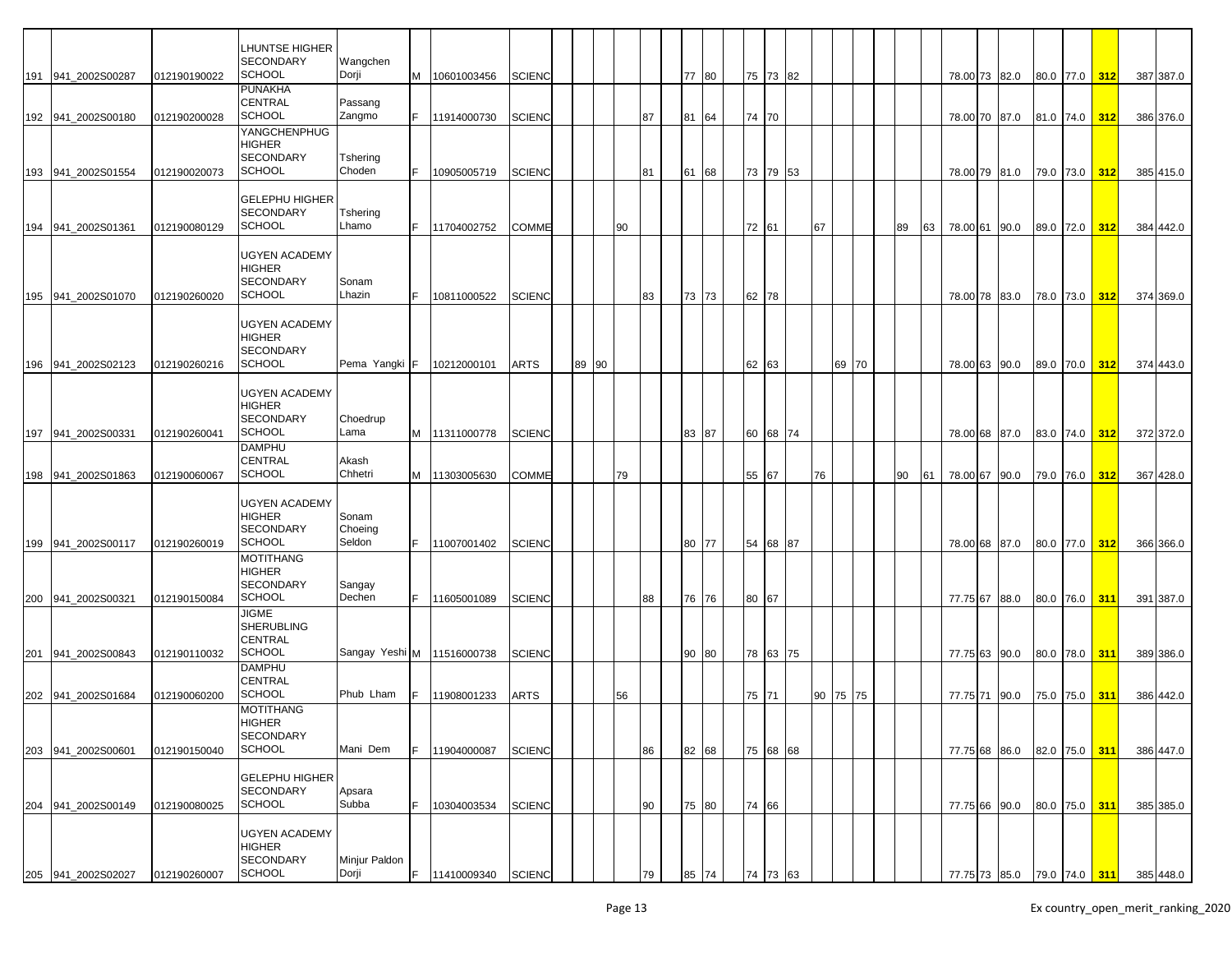|                     |              | LHUNTSE HIGHER<br>SECONDARY<br><b>SCHOOL</b>                 | Wangchen<br>Dorji            |    |                    |               |  |       |    |    |       |       |          |    |    |       |    |    |               |      |           |               |     |                                       |
|---------------------|--------------|--------------------------------------------------------------|------------------------------|----|--------------------|---------------|--|-------|----|----|-------|-------|----------|----|----|-------|----|----|---------------|------|-----------|---------------|-----|---------------------------------------|
| 191 941 2002S00287  | 012190190022 | <b>PUNAKHA</b><br>CENTRAL                                    | Passang                      |    | M 10601003456      | <b>SCIENC</b> |  |       |    |    | 77 80 | 75 73 |          | 82 |    |       |    |    | 78.00 73 82.0 |      |           | 80.0 77.0 312 |     | 387 387.0                             |
| 192 941_2002S00180  | 012190200028 | <b>SCHOOL</b>                                                | Zangmo                       | F. | 11914000730        | <b>SCIENC</b> |  |       |    | 87 | 81 64 | 74 70 |          |    |    |       |    |    | 78.00 70 87.0 |      |           | 81.0 74.0     | 312 | 386 376.0                             |
| 193 941 2002S01554  | 012190020073 | YANGCHENPHUG<br><b>HIGHER</b><br>SECONDARY<br><b>SCHOOL</b>  | Tshering<br>Choden           |    | 10905005719        | <b>SCIENC</b> |  |       |    | 81 | 61 68 |       | 73 79 53 |    |    |       |    |    | 78.00 79 81.0 |      |           | 79.0 73.0     | 312 | 385 415.0                             |
| 194 941 2002S01361  |              | <b>GELEPHU HIGHER</b><br><b>SECONDARY</b><br><b>SCHOOL</b>   | Tshering<br>Lhamo            | F. | 11704002752        | <b>COMME</b>  |  |       | 90 |    |       | 72 61 |          |    | 67 |       | 89 | 63 | 78.00 61 90.0 |      |           |               | 312 | 384 442.0                             |
|                     | 012190080129 | UGYEN ACADEMY<br>HIGHER<br>SECONDARY                         | Sonam                        |    |                    |               |  |       |    |    |       |       |          |    |    |       |    |    |               |      |           | 89.0 72.0     |     |                                       |
| 195 941 2002S01070  | 012190260020 | <b>SCHOOL</b><br>UGYEN ACADEMY<br>HIGHER<br><b>SECONDARY</b> | Lhazin                       |    | 10811000522        | <b>SCIENC</b> |  |       |    | 83 | 73 73 | 62 78 |          |    |    |       |    |    | 78.00 78 83.0 |      | 78.0 73.0 |               | 312 | 374 369.0                             |
| 196 941 2002S02123  | 012190260216 | <b>SCHOOL</b>                                                | Pema Yangki                  | F  | 10212000101        | <b>ARTS</b>   |  | 89 90 |    |    |       | 62 63 |          |    |    | 69 70 |    |    | 78.00 63 90.0 |      |           | 89.0 70.0     | 312 | 374 443.0                             |
| 197 941 2002 S00331 | 012190260041 | UGYEN ACADEMY<br>HIGHER<br>SECONDARY<br><b>SCHOOL</b>        | Choedrup<br>Lama             |    | M 11311000778      | <b>SCIENC</b> |  |       |    |    | 83 87 |       | 60 68 74 |    |    |       |    |    | 78.00 68 87.0 |      |           | 83.0 74.0     | 312 | 372 372.0                             |
| 198 941_2002S01863  | 012190060067 | <b>DAMPHU</b><br>CENTRAL<br><b>SCHOOL</b>                    | Akash<br>Chhetri             |    | M 11303005630      | <b>COMME</b>  |  |       | 79 |    |       | 55    | 67       |    | 76 |       | 90 | 61 | 78.00 67 90.0 |      | 79.0 76.0 |               | 312 | 367 428.0                             |
| 199 941 2002S00117  | 012190260019 | UGYEN ACADEMY<br>HIGHER<br><b>SECONDARY</b><br><b>SCHOOL</b> | Sonam<br>Choeing<br>Seldon   |    | 11007001402        | <b>SCIENC</b> |  |       |    |    | 80 77 | 54 68 |          | 87 |    |       |    |    | 78.00 68 87.0 |      | 80.0 77.0 |               | 312 | 366 366.0                             |
| 200 941 2002 S00321 | 012190150084 | MOTITHANG<br>HIGHER<br><b>SECONDARY</b><br><b>SCHOOL</b>     | Sangay<br>Dechen             | F. | 11605001089        | <b>SCIENC</b> |  |       |    | 88 | 76 76 | 80 67 |          |    |    |       |    |    | 77.75 67 88.0 |      |           | 80.0 76.0 311 |     | 391 387.0                             |
| 201 941_2002S00843  | 012190110032 | JIGME<br>SHERUBLING<br>CENTRAL<br><b>SCHOOL</b>              | Sangay Yeshi M   11516000738 |    |                    | <b>SCIENC</b> |  |       |    |    | 90 80 |       | 78 63 75 |    |    |       |    |    | 77.75 63 90.0 |      |           | 80.0 78.0 311 |     | 389 386.0                             |
| 202 941_2002S01684  | 012190060200 | <b>DAMPHU</b><br>CENTRAL<br>SCHOOL                           | Phub Lham                    |    | 11908001233        | <b>ARTS</b>   |  |       | 56 |    |       | 75 71 |          |    | 90 | 75 75 |    |    | 77.75 71      | 90.0 | 75.0 75.0 |               | 311 | 386 442.0                             |
| 203 941 2002S00601  | 012190150040 | MOTITHANG<br><b>HIGHER</b><br>SECONDARY<br>SCHOOL            | Mani Dem                     | F. | 11904000087        | <b>SCIENC</b> |  |       |    | 86 | 82 68 |       | 75 68 68 |    |    |       |    |    | 77.75 68 86.0 |      |           | 82.0 75.0 311 |     | 386 447.0                             |
| 204 941_2002S00149  | 012190080025 | <b>GELEPHU HIGHER</b><br><b>SECONDARY</b><br><b>SCHOOL</b>   | Apsara<br>Subba              |    | 10304003534        | <b>SCIENC</b> |  |       |    | 90 | 75 80 | 74 66 |          |    |    |       |    |    | 77.75 66 90.0 |      |           | 80.0 75.0     | 311 | 385 385.0                             |
|                     |              | UGYEN ACADEMY<br>HIGHER<br>SECONDARY                         | Minjur Paldon                |    |                    |               |  |       |    |    |       |       |          |    |    |       |    |    |               |      |           |               |     |                                       |
| 205 941_2002S02027  | 012190260007 | <b>SCHOOL</b>                                                | Dorji                        | F. | 11410009340 SCIENC |               |  |       |    | 79 | 85 74 | 74 73 |          | 63 |    |       |    |    |               |      |           |               |     | 77.75 73 85.0 79.0 74.0 311 385 448.0 |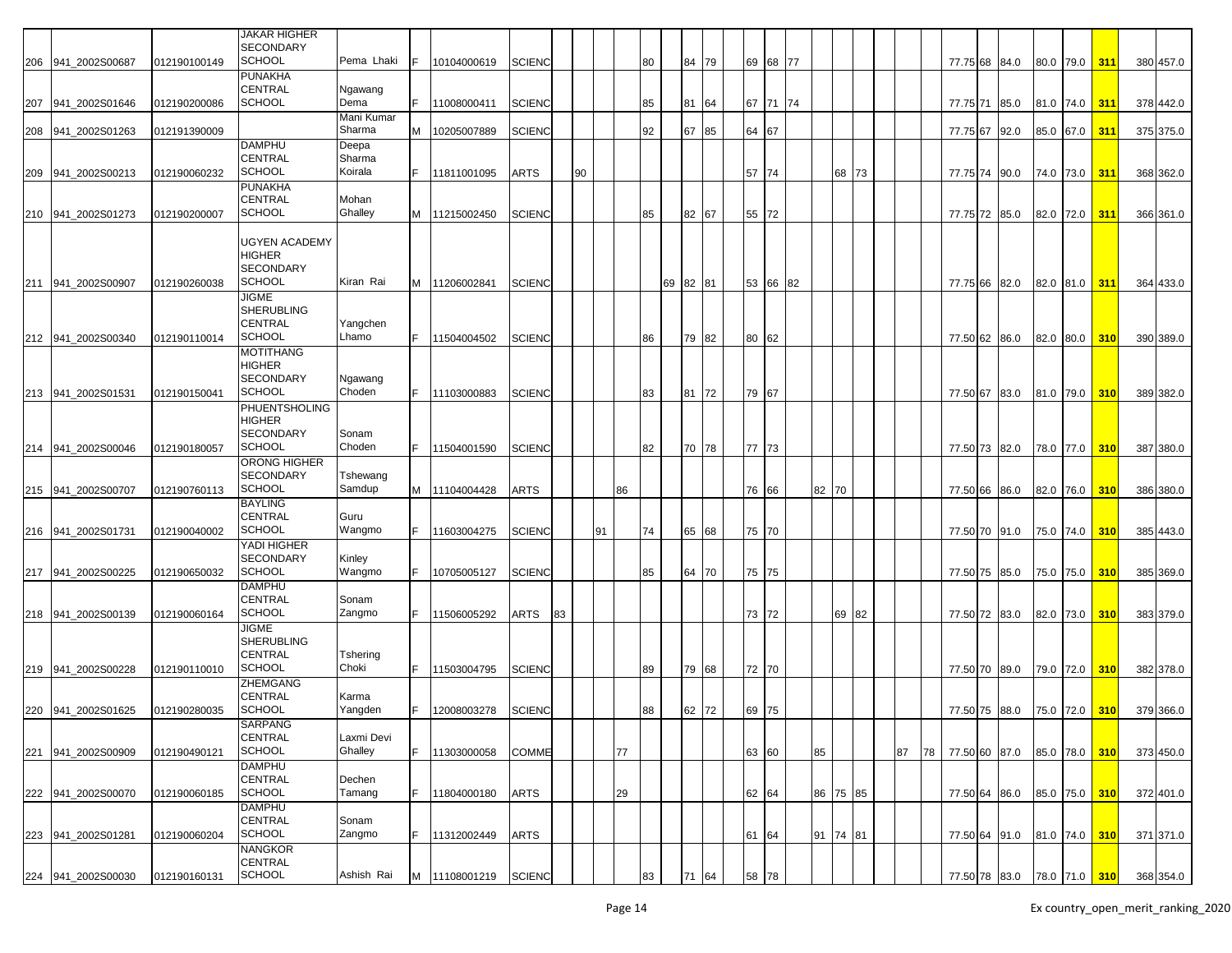|                    |              | <b>JAKAR HIGHER</b> |            |   |               |               |    |    |    |    |          |       |       |          |    |          |    |    |               |      |           |               |     |           |
|--------------------|--------------|---------------------|------------|---|---------------|---------------|----|----|----|----|----------|-------|-------|----------|----|----------|----|----|---------------|------|-----------|---------------|-----|-----------|
|                    |              |                     |            |   |               |               |    |    |    |    |          |       |       |          |    |          |    |    |               |      |           |               |     |           |
|                    |              | <b>SECONDARY</b>    |            |   |               |               |    |    |    |    |          |       |       |          |    |          |    |    |               |      |           |               |     |           |
| 206 941_2002S00687 | 012190100149 | <b>SCHOOL</b>       | Pema Lhaki |   | 10104000619   | <b>SCIENC</b> |    |    |    | 80 |          | 84 79 |       | 69 68 77 |    |          |    |    | 77.75 68      | 84.0 |           | 80.0 79.0 311 |     | 380 457.0 |
|                    |              | <b>PUNAKHA</b>      |            |   |               |               |    |    |    |    |          |       |       |          |    |          |    |    |               |      |           |               |     |           |
|                    |              | <b>CENTRAL</b>      | Ngawang    |   |               |               |    |    |    |    |          |       |       |          |    |          |    |    |               |      |           |               |     |           |
|                    |              | <b>SCHOOL</b>       | Dema       |   |               |               |    |    |    |    |          |       |       |          |    |          |    |    |               |      |           |               |     |           |
| 207 941 2002S01646 | 012190200086 |                     |            |   | 11008000411   | <b>SCIENC</b> |    |    |    | 85 |          | 81 64 |       | 67 71 74 |    |          |    |    | 77.75 71 85.0 |      | 81.0 74.0 |               | 311 | 378 442.0 |
|                    |              |                     | Mani Kumar |   |               |               |    |    |    |    |          |       |       |          |    |          |    |    |               |      |           |               |     |           |
| 208 941 2002S01263 | 012191390009 |                     | Sharma     | M | 10205007889   | <b>SCIENC</b> |    |    |    | 92 |          | 67 85 | 64 67 |          |    |          |    |    | 77.75 67      | 92.0 | 85.0 67.0 |               | 311 | 375 375.0 |
|                    |              | <b>DAMPHU</b>       | Deepa      |   |               |               |    |    |    |    |          |       |       |          |    |          |    |    |               |      |           |               |     |           |
|                    |              | <b>CENTRAL</b>      |            |   |               |               |    |    |    |    |          |       |       |          |    |          |    |    |               |      |           |               |     |           |
|                    |              |                     | Sharma     |   |               |               |    |    |    |    |          |       |       |          |    |          |    |    |               |      |           |               |     |           |
| 209 941_2002S00213 | 012190060232 | <b>SCHOOL</b>       | Koirala    |   | 11811001095   | <b>ARTS</b>   |    | 90 |    |    |          |       | 57 74 |          |    | 68 73    |    |    | 77.75 74 90.0 |      | 74.0 73.0 |               | 311 | 368 362.0 |
|                    |              | <b>PUNAKHA</b>      |            |   |               |               |    |    |    |    |          |       |       |          |    |          |    |    |               |      |           |               |     |           |
|                    |              | CENTRAL             | Mohan      |   |               |               |    |    |    |    |          |       |       |          |    |          |    |    |               |      |           |               |     |           |
|                    |              |                     |            |   |               |               |    |    |    |    |          |       |       |          |    |          |    |    |               |      |           |               |     |           |
| 210 941 2002S01273 | 012190200007 | <b>SCHOOL</b>       | Ghalley    |   | M 11215002450 | <b>SCIENC</b> |    |    |    | 85 |          | 82 67 | 55 72 |          |    |          |    |    | 77.75 72      | 85.0 | 82.0 72.0 |               | 311 | 366 361.0 |
|                    |              |                     |            |   |               |               |    |    |    |    |          |       |       |          |    |          |    |    |               |      |           |               |     |           |
|                    |              | UGYEN ACADEMY       |            |   |               |               |    |    |    |    |          |       |       |          |    |          |    |    |               |      |           |               |     |           |
|                    |              | <b>HIGHER</b>       |            |   |               |               |    |    |    |    |          |       |       |          |    |          |    |    |               |      |           |               |     |           |
|                    |              |                     |            |   |               |               |    |    |    |    |          |       |       |          |    |          |    |    |               |      |           |               |     |           |
|                    |              | <b>SECONDARY</b>    |            |   |               |               |    |    |    |    |          |       |       |          |    |          |    |    |               |      |           |               |     |           |
| 211 941 2002S00907 | 012190260038 | <b>SCHOOL</b>       | Kiran Rai  |   | M 11206002841 | <b>SCIENC</b> |    |    |    |    | 69 82 81 |       |       | 53 66 82 |    |          |    |    | 77.75 66 82.0 |      | 82.0 81.0 |               | 311 | 364 433.0 |
|                    |              | <b>JIGME</b>        |            |   |               |               |    |    |    |    |          |       |       |          |    |          |    |    |               |      |           |               |     |           |
|                    |              | <b>SHERUBLING</b>   |            |   |               |               |    |    |    |    |          |       |       |          |    |          |    |    |               |      |           |               |     |           |
|                    |              |                     |            |   |               |               |    |    |    |    |          |       |       |          |    |          |    |    |               |      |           |               |     |           |
|                    |              | <b>CENTRAL</b>      | Yangchen   |   |               |               |    |    |    |    |          |       |       |          |    |          |    |    |               |      |           |               |     |           |
| 212 941 2002S00340 | 012190110014 | <b>SCHOOL</b>       | Lhamo      |   | F 11504004502 | <b>SCIENC</b> |    |    |    | 86 |          | 79 82 | 80 62 |          |    |          |    |    | 77.50 62 86.0 |      | 82.0 80.0 |               | 310 | 390 389.0 |
|                    |              | <b>MOTITHANG</b>    |            |   |               |               |    |    |    |    |          |       |       |          |    |          |    |    |               |      |           |               |     |           |
|                    |              | <b>HIGHER</b>       |            |   |               |               |    |    |    |    |          |       |       |          |    |          |    |    |               |      |           |               |     |           |
|                    |              |                     |            |   |               |               |    |    |    |    |          |       |       |          |    |          |    |    |               |      |           |               |     |           |
|                    |              | <b>SECONDARY</b>    | Ngawang    |   |               |               |    |    |    |    |          |       |       |          |    |          |    |    |               |      |           |               |     |           |
| 213 941 2002S01531 | 012190150041 | <b>SCHOOL</b>       | Choden     |   | 11103000883   | <b>SCIENC</b> |    |    |    | 83 |          | 81 72 | 79 67 |          |    |          |    |    | 77.50 67      | 83.0 | 81.0 79.0 |               | 310 | 389 382.0 |
|                    |              | PHUENTSHOLING       |            |   |               |               |    |    |    |    |          |       |       |          |    |          |    |    |               |      |           |               |     |           |
|                    |              |                     |            |   |               |               |    |    |    |    |          |       |       |          |    |          |    |    |               |      |           |               |     |           |
|                    |              | <b>HIGHER</b>       |            |   |               |               |    |    |    |    |          |       |       |          |    |          |    |    |               |      |           |               |     |           |
|                    |              | <b>SECONDARY</b>    | Sonam      |   |               |               |    |    |    |    |          |       |       |          |    |          |    |    |               |      |           |               |     |           |
| 214 941 2002S00046 | 012190180057 | <b>SCHOOL</b>       | Choden     |   | 11504001590   | <b>SCIENC</b> |    |    |    | 82 |          | 70 78 | 77 73 |          |    |          |    |    | 77.50 73 82.0 |      | 78.0 77.0 |               | 310 | 387 380.0 |
|                    |              | ORONG HIGHER        |            |   |               |               |    |    |    |    |          |       |       |          |    |          |    |    |               |      |           |               |     |           |
|                    |              |                     |            |   |               |               |    |    |    |    |          |       |       |          |    |          |    |    |               |      |           |               |     |           |
|                    |              | <b>SECONDARY</b>    | Tshewang   |   |               |               |    |    |    |    |          |       |       |          |    |          |    |    |               |      |           |               |     |           |
| 215 941_2002S00707 | 012190760113 | <b>SCHOOL</b>       | Samdup     |   | M 11104004428 | <b>ARTS</b>   |    |    | 86 |    |          |       | 76 66 |          | 82 | 70       |    |    | 77.50 66      | 86.0 | 82.0 76.0 |               | 310 | 386 380.0 |
|                    |              | <b>BAYLING</b>      |            |   |               |               |    |    |    |    |          |       |       |          |    |          |    |    |               |      |           |               |     |           |
|                    |              | <b>CENTRAL</b>      |            |   |               |               |    |    |    |    |          |       |       |          |    |          |    |    |               |      |           |               |     |           |
|                    |              |                     | Guru       |   |               |               |    |    |    |    |          |       |       |          |    |          |    |    |               |      |           |               |     |           |
| 216 941_2002S01731 | 012190040002 | <b>SCHOOL</b>       | Wangmo     |   | 11603004275   | <b>SCIENC</b> |    | 91 |    | 74 |          | 65 68 | 75 70 |          |    |          |    |    | 77.50 70      | 91.0 | 75.0 74.0 |               | 310 | 385 443.0 |
|                    |              | YADI HIGHER         |            |   |               |               |    |    |    |    |          |       |       |          |    |          |    |    |               |      |           |               |     |           |
|                    |              | <b>SECONDARY</b>    | Kinley     |   |               |               |    |    |    |    |          |       |       |          |    |          |    |    |               |      |           |               |     |           |
|                    |              | <b>SCHOOL</b>       |            |   |               |               |    |    |    |    |          |       |       |          |    |          |    |    |               |      |           |               |     |           |
| 217 941 2002S00225 | 012190650032 |                     | Wangmo     |   | 10705005127   | <b>SCIENC</b> |    |    |    | 85 |          | 64 70 | 75 75 |          |    |          |    |    | 77.50 75      | 85.0 | 75.0 75.0 |               | 310 | 385 369.0 |
|                    |              | DAMPHU              |            |   |               |               |    |    |    |    |          |       |       |          |    |          |    |    |               |      |           |               |     |           |
|                    |              | <b>CENTRAL</b>      | Sonam      |   |               |               |    |    |    |    |          |       |       |          |    |          |    |    |               |      |           |               |     |           |
| 218 941_2002S00139 | 012190060164 | <b>SCHOOL</b>       | Zangmo     |   | 11506005292   | ARTS          | 83 |    |    |    |          |       | 73 72 |          |    | 69 82    |    |    | 77.50 72 83.0 |      | 82.0 73.0 |               | 310 | 383 379.0 |
|                    |              |                     |            |   |               |               |    |    |    |    |          |       |       |          |    |          |    |    |               |      |           |               |     |           |
|                    |              | JIGME               |            |   |               |               |    |    |    |    |          |       |       |          |    |          |    |    |               |      |           |               |     |           |
|                    |              | <b>SHERUBLING</b>   |            |   |               |               |    |    |    |    |          |       |       |          |    |          |    |    |               |      |           |               |     |           |
|                    |              | <b>CENTRAL</b>      | Tshering   |   |               |               |    |    |    |    |          |       |       |          |    |          |    |    |               |      |           |               |     |           |
| 219 941_2002S00228 | 012190110010 | <b>SCHOOL</b>       | Choki      |   | F 11503004795 | <b>SCIENC</b> |    |    |    | 89 |          | 79 68 | 72 70 |          |    |          |    |    | 77.50 70      |      | 79.0 72.0 |               | 310 | 382 378.0 |
|                    |              |                     |            |   |               |               |    |    |    |    |          |       |       |          |    |          |    |    |               | 89.0 |           |               |     |           |
|                    |              | <b>ZHEMGANG</b>     |            |   |               |               |    |    |    |    |          |       |       |          |    |          |    |    |               |      |           |               |     |           |
|                    |              | <b>CENTRAL</b>      | Karma      |   |               |               |    |    |    |    |          |       |       |          |    |          |    |    |               |      |           |               |     |           |
| 220 941_2002S01625 | 012190280035 | <b>SCHOOL</b>       | Yangden    |   | 12008003278   | <b>SCIENC</b> |    |    |    | 88 |          | 62 72 | 69 75 |          |    |          |    |    | 77.50 75      | 88.0 | 75.0 72.0 |               | 310 | 379 366.0 |
|                    |              |                     |            |   |               |               |    |    |    |    |          |       |       |          |    |          |    |    |               |      |           |               |     |           |
|                    |              | <b>SARPANG</b>      |            |   |               |               |    |    |    |    |          |       |       |          |    |          |    |    |               |      |           |               |     |           |
|                    |              | CENTRAL             | Laxmi Devi |   |               |               |    |    |    |    |          |       |       |          |    |          |    |    |               |      |           |               |     |           |
| 221 941_2002S00909 | 012190490121 | <b>SCHOOL</b>       | Ghalley    |   | 11303000058   | <b>COMME</b>  |    |    | 77 |    |          |       | 63 60 |          | 85 |          | 87 | 78 | 77.50 60 87.0 |      |           | 85.0 78.0 310 |     | 373 450.0 |
|                    |              | <b>DAMPHU</b>       |            |   |               |               |    |    |    |    |          |       |       |          |    |          |    |    |               |      |           |               |     |           |
|                    |              |                     |            |   |               |               |    |    |    |    |          |       |       |          |    |          |    |    |               |      |           |               |     |           |
|                    |              | CENTRAL             | Dechen     |   |               |               |    |    |    |    |          |       |       |          |    |          |    |    |               |      |           |               |     |           |
| 222 941_2002S00070 | 012190060185 | <b>SCHOOL</b>       | Tamang     |   | 11804000180   | <b>ARTS</b>   |    |    | 29 |    |          |       | 62 64 |          |    | 86 75 85 |    |    | 77.50 64 86.0 |      |           | 85.0 75.0 310 |     | 372 401.0 |
|                    |              | <b>DAMPHU</b>       |            |   |               |               |    |    |    |    |          |       |       |          |    |          |    |    |               |      |           |               |     |           |
|                    |              | <b>CENTRAL</b>      | Sonam      |   |               |               |    |    |    |    |          |       |       |          |    |          |    |    |               |      |           |               |     |           |
|                    |              |                     |            |   |               |               |    |    |    |    |          |       |       |          |    |          |    |    |               |      |           |               |     |           |
| 223 941_2002S01281 | 012190060204 | <b>SCHOOL</b>       | Zangmo     |   | 11312002449   | <b>ARTS</b>   |    |    |    |    |          |       | 61    | 64       |    | 91 74 81 |    |    | 77.50 64 91.0 |      |           | 81.0 74.0 310 |     | 371 371.0 |
|                    |              | <b>NANGKOR</b>      |            |   |               |               |    |    |    |    |          |       |       |          |    |          |    |    |               |      |           |               |     |           |
|                    |              | CENTRAL             |            |   |               |               |    |    |    |    |          |       |       |          |    |          |    |    |               |      |           |               |     |           |
|                    |              | <b>SCHOOL</b>       | Ashish Rai |   | M 11108001219 | <b>SCIENC</b> |    |    |    |    |          | 64    | 58 78 |          |    |          |    |    |               |      |           |               |     |           |
| 224 941_2002S00030 | 012190160131 |                     |            |   |               |               |    |    |    | 83 | 71       |       |       |          |    |          |    |    | 77.50 78 83.0 |      |           | 78.0 71.0 310 |     | 368 354.0 |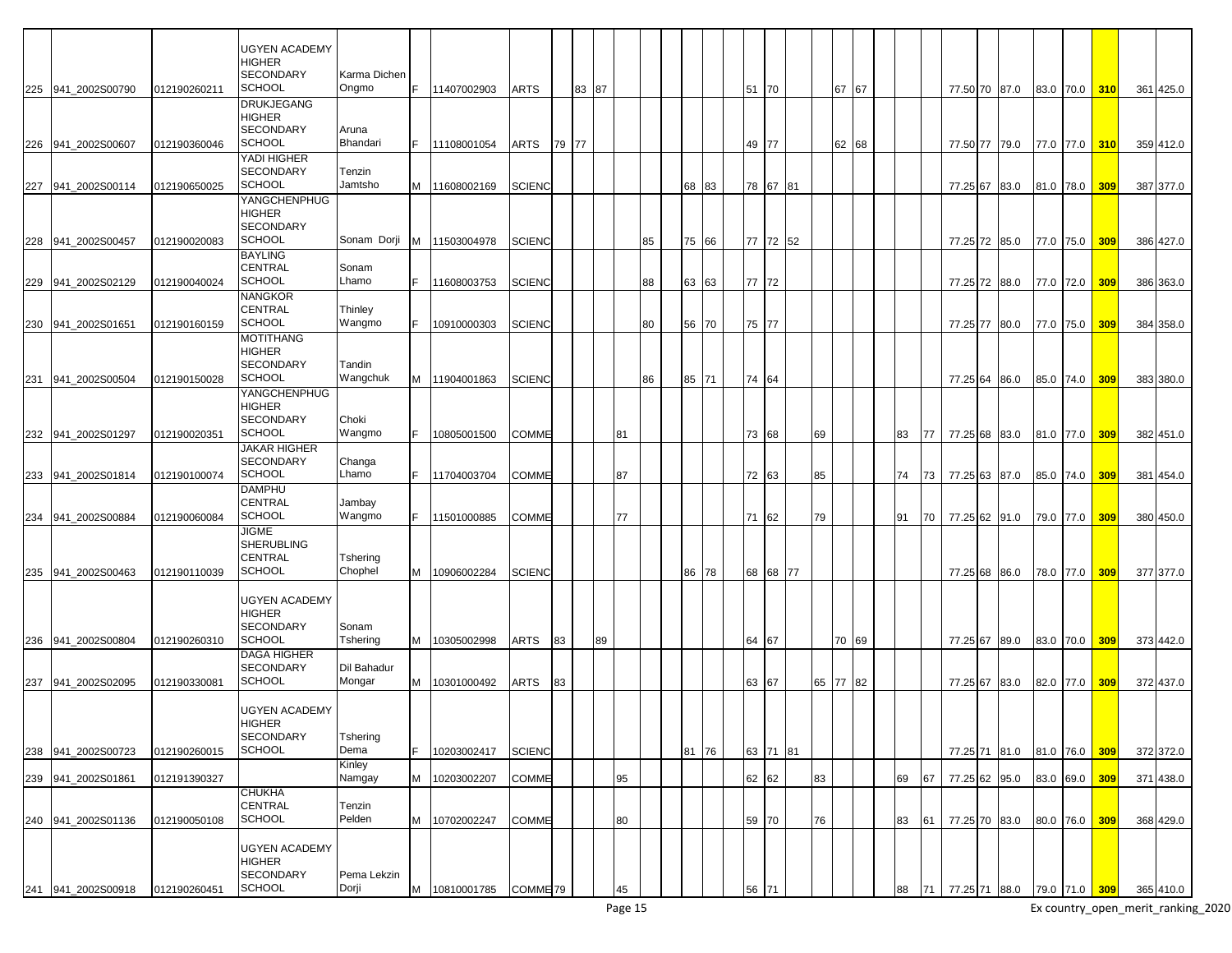|     |                    |              | <b>UGYEN ACADEMY</b><br><b>HIGHER</b>                                      |                       |    |               |                     |    |       |    |    |    |    |       |          |          |    |    |          |    |    |               |                             |           |     |           |
|-----|--------------------|--------------|----------------------------------------------------------------------------|-----------------------|----|---------------|---------------------|----|-------|----|----|----|----|-------|----------|----------|----|----|----------|----|----|---------------|-----------------------------|-----------|-----|-----------|
|     | 225 941_2002S00790 | 012190260211 | <b>SECONDARY</b><br><b>SCHOOL</b>                                          | Karma Dichen<br>Ongmo | F. | 11407002903   | <b>ARTS</b>         |    | 83 87 |    |    |    |    |       | 51 70    |          |    |    | 67 67    |    |    | 77.50 70 87.0 |                             | 83.0 70.0 | 310 | 361 425.0 |
|     |                    |              | <b>DRUKJEGANG</b><br><b>HIGHER</b><br>SECONDARY                            | Aruna                 |    |               |                     |    |       |    |    |    |    |       |          |          |    |    |          |    |    |               |                             |           |     |           |
|     | 226 941_2002S00607 | 012190360046 | <b>SCHOOL</b>                                                              | Bhandari              | F. | 11108001054   | ARTS                | 79 | 177   |    |    |    |    |       | 49 77    |          |    |    | 62 68    |    |    | 77.50 77 79.0 |                             | 77.0 77.0 | 310 | 359 412.0 |
|     | 227 941_2002S00114 | 012190650025 | YADI HIGHER<br><b>SECONDARY</b><br><b>SCHOOL</b>                           | Tenzin<br>Jamtsho     | м  | 11608002169   | SCIENC              |    |       |    |    |    | 68 | 83    |          | 78 67 81 |    |    |          |    |    | 77.25 67 83.0 |                             | 81.0 78.0 | 309 | 387 377.0 |
|     |                    |              | YANGCHENPHUG<br><b>HIGHER</b><br><b>SECONDARY</b>                          |                       |    |               |                     |    |       |    |    |    |    |       |          |          |    |    |          |    |    |               |                             |           |     |           |
|     | 228 941_2002S00457 | 012190020083 | <b>SCHOOL</b>                                                              | Sonam Dorji           | M  | 11503004978   | SCIENC              |    |       |    |    | 85 |    | 75 66 | 77 72    |          | 52 |    |          |    |    | 77.25 72 85.0 |                             | 77.0 75.0 | 309 | 386 427.0 |
|     | 229 941_2002S02129 | 012190040024 | <b>BAYLING</b><br>CENTRAL<br>SCHOOL                                        | Sonam<br>Lhamo        |    | 11608003753   | <b>SCIENC</b>       |    |       |    |    | 88 | 63 | 63    | 77 72    |          |    |    |          |    |    | 77.25 72 88.0 |                             | 77.0 72.0 | 309 | 386 363.0 |
|     |                    |              | <b>NANGKOR</b><br><b>CENTRAL</b>                                           | Thinley               |    |               |                     |    |       |    |    |    |    |       |          |          |    |    |          |    |    |               |                             |           |     |           |
| 230 | 941 2002S01651     | 012190160159 | <b>SCHOOL</b>                                                              | Wangmo                |    | 10910000303   | <b>SCIENC</b>       |    |       |    |    | 80 | 56 | 70    | 75       | 177      |    |    |          |    |    | 77.25 77 80.0 |                             | 77.0 75.0 | 309 | 384 358.0 |
|     |                    |              | <b>MOTITHANG</b><br><b>HIGHER</b><br><b>SECONDARY</b>                      | Tandin                |    |               |                     |    |       |    |    |    |    |       |          |          |    |    |          |    |    |               |                             |           |     |           |
|     | 231 941_2002S00504 | 012190150028 | <b>SCHOOL</b>                                                              | Wangchuk              |    | M 11904001863 | <b>SCIENC</b>       |    |       |    |    | 86 |    | 85 71 | 74 64    |          |    |    |          |    |    | 77.25 64 86.0 |                             | 85.0 74.0 | 309 | 383 380.0 |
|     |                    |              | YANGCHENPHUG<br><b>HIGHER</b><br><b>SECONDARY</b>                          | Choki                 |    |               |                     |    |       |    |    |    |    |       |          |          |    |    |          |    |    |               |                             |           |     |           |
|     | 232 941_2002S01297 | 012190020351 | <b>SCHOOL</b>                                                              | Wangmo                | F. | 10805001500   | COMME               |    |       |    | 81 |    |    |       | 73 68    |          |    | 69 |          | 83 | 77 | 77.25 68 83.0 |                             | 81.0 77.0 | 309 | 382 451.0 |
|     | 233 941 2002S01814 | 012190100074 | <b>JAKAR HIGHER</b><br><b>SECONDARY</b><br><b>SCHOOL</b>                   | Changa<br>Lhamo       |    | 11704003704   | <b>COMME</b>        |    |       |    | 87 |    |    |       | 72 63    |          |    | 85 |          | 74 | 73 | 77.25 63 87.0 |                             | 85.0 74.0 | 309 | 381 454.0 |
|     |                    |              | <b>DAMPHU</b>                                                              |                       |    |               |                     |    |       |    |    |    |    |       |          |          |    |    |          |    |    |               |                             |           |     |           |
|     | 234 941_2002S00884 | 012190060084 | <b>CENTRAL</b><br><b>SCHOOL</b>                                            | Jambay<br>Wangmo      |    | 11501000885   | COMME               |    |       |    | 77 |    |    |       | 71       | 62       |    | 79 |          | 91 | 70 | 77.25 62 91.0 |                             | 79.0 77.0 | 309 | 380 450.0 |
|     |                    |              | <b>JIGME</b><br><b>SHERUBLING</b><br>CENTRAL<br><b>SCHOOL</b>              | Tshering<br>Chophel   | м  |               |                     |    |       |    |    |    |    |       |          |          |    |    |          |    |    |               |                             |           |     |           |
| 235 | 941 2002S00463     | 012190110039 |                                                                            |                       |    | 10906002284   | <b>SCIENC</b>       |    |       |    |    |    | 86 | 78    |          | 68 68 77 |    |    |          |    |    | 77.25 68 86.0 |                             | 78.0 77.0 | 309 | 377 377.0 |
| 236 | 941_2002S00804     | 012190260310 | <b>UGYEN ACADEMY</b><br><b>HIGHER</b><br><b>SECONDARY</b><br><b>SCHOOL</b> | Sonam<br>Tshering     | м  | 10305002998   | ARTS                | 83 |       | 89 |    |    |    |       | 64 67    |          |    |    | 70 69    |    |    | 77.25 67 89.0 |                             | 83.0 70.0 | 309 | 373 442.0 |
|     |                    |              | <b>DAGA HIGHER</b>                                                         |                       |    |               |                     |    |       |    |    |    |    |       |          |          |    |    |          |    |    |               |                             |           |     |           |
|     | 237 941_2002S02095 | 012190330081 | <b>SECONDARY</b><br><b>SCHOOL</b>                                          | Dil Bahadur<br>Mongar | м  | 10301000492   | ARTS                | 83 |       |    |    |    |    |       | 63 67    |          |    |    | 65 77 82 |    |    | 77.25 67 83.0 |                             | 82.0 77.0 | 309 | 372 437.0 |
|     | 238 941_2002S00723 | 012190260015 | <b>UGYEN ACADEMY</b><br><b>HIGHER</b><br>SECONDARY<br><b>SCHOOL</b>        | Tshering<br>Dema      |    | 10203002417   | <b>SCIENC</b>       |    |       |    |    |    |    | 81 76 | 63 71 81 |          |    |    |          |    |    | 77.25 71 81.0 |                             | 81.0 76.0 | 309 | 372 372.0 |
|     |                    |              |                                                                            | Kinley                |    |               |                     |    |       |    |    |    |    |       |          |          |    |    |          |    |    |               |                             |           |     |           |
|     | 239 941_2002S01861 | 012191390327 | <b>CHUKHA</b>                                                              | Namgay                | м  | 10203002207   | COMME               |    |       |    | 95 |    |    |       | 62 62    |          |    | 83 |          | 69 | 67 | 77.25 62 95.0 |                             | 83.0 69.0 | 309 | 371 438.0 |
|     | 240 941_2002S01136 | 012190050108 | CENTRAL<br><b>SCHOOL</b>                                                   | Tenzin<br>Pelden      | М  | 10702002247   | COMME               |    |       |    | 80 |    |    |       | 59 70    |          |    | 76 |          | 83 | 61 | 77.25 70 83.0 |                             | 80.0 76.0 | 309 | 368 429.0 |
|     |                    |              | <b>UGYEN ACADEMY</b><br><b>HIGHER</b><br><b>SECONDARY</b>                  | Pema Lekzin           |    |               |                     |    |       |    |    |    |    |       |          |          |    |    |          |    |    |               |                             |           |     |           |
|     | 241 941_2002S00918 | 012190260451 | SCHOOL                                                                     | Dorji                 | M  | 10810001785   | COMME <sub>79</sub> |    |       |    | 45 |    |    |       | 56 71    |          |    |    |          | 88 | 71 |               | 77.25 71 88.0 79.0 71.0 309 |           |     | 365 410.0 |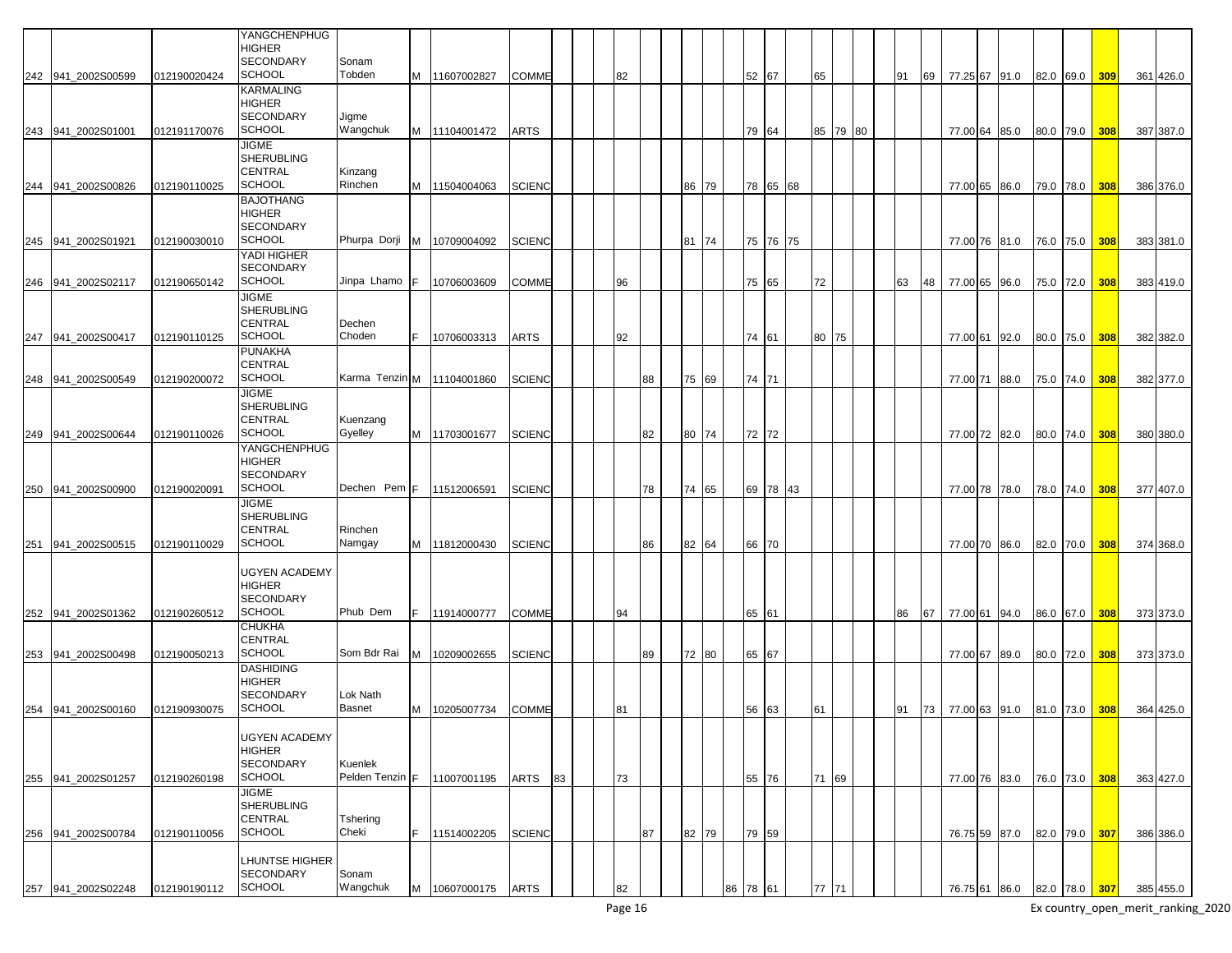|                    |              | YANGCHENPHUG<br><b>HIGHER</b>         |                              |    |               |               |    |    |    |    |       |    |       |          |    |       |          |    |    |               |  |           |     |           |
|--------------------|--------------|---------------------------------------|------------------------------|----|---------------|---------------|----|----|----|----|-------|----|-------|----------|----|-------|----------|----|----|---------------|--|-----------|-----|-----------|
| 242 941 2002S00599 | 012190020424 | <b>SECONDARY</b><br><b>SCHOOL</b>     | Sonam<br>Tobden              |    | M 11607002827 | <b>COMME</b>  |    | 82 |    |    |       |    | 52 67 |          | 65 |       |          | 91 | 69 | 77.25 67 91.0 |  | 82.0 69.0 | 309 | 361 426.0 |
|                    |              | <b>KARMALING</b><br><b>HIGHER</b>     |                              |    |               |               |    |    |    |    |       |    |       |          |    |       |          |    |    |               |  |           |     |           |
|                    |              | <b>SECONDARY</b>                      | Jigme                        |    |               |               |    |    |    |    |       |    |       |          |    |       |          |    |    |               |  |           |     |           |
| 243 941_2002S01001 | 012191170076 | <b>SCHOOL</b><br><b>JIGME</b>         | Wangchuk                     |    | M 11104001472 | ARTS          |    |    |    |    |       |    | 79 64 |          |    |       | 85 79 80 |    |    | 77.00 64 85.0 |  | 80.0 79.0 | 308 | 387 387.0 |
|                    |              | <b>SHERUBLING</b><br><b>CENTRAL</b>   |                              |    |               |               |    |    |    |    |       |    |       |          |    |       |          |    |    |               |  |           |     |           |
| 244 941_2002S00826 | 012190110025 | <b>SCHOOL</b>                         | Kinzang<br>Rinchen           | M  | 11504004063   | <b>SCIENC</b> |    |    |    | 86 | 79    |    |       | 78 65 68 |    |       |          |    |    | 77.00 65 86.0 |  | 79.0 78.0 | 308 | 386 376.0 |
|                    |              | <b>BAJOTHANG</b><br><b>HIGHER</b>     |                              |    |               |               |    |    |    |    |       |    |       |          |    |       |          |    |    |               |  |           |     |           |
|                    |              | <b>SECONDARY</b>                      |                              |    |               |               |    |    |    |    |       |    |       |          |    |       |          |    |    |               |  |           |     |           |
| 245 941_2002S01921 | 012190030010 | <b>SCHOOL</b><br>YADI HIGHER          | Phurpa Dorji                 | м  | 10709004092   | <b>SCIENC</b> |    |    |    | 81 | 74    |    | 75 76 | 175      |    |       |          |    |    | 77.00 76 81.0 |  | 76.0 75.0 | 308 | 383 381.0 |
|                    |              | <b>SECONDARY</b><br><b>SCHOOL</b>     | Jinpa Lhamo                  | IF |               |               |    |    |    |    |       |    |       |          |    |       |          |    |    |               |  |           |     |           |
| 246 941 2002S02117 | 012190650142 | <b>JIGME</b>                          |                              |    | 10706003609   | <b>COMME</b>  |    | 96 |    |    |       |    | 75 65 |          |    | 72    |          | 63 | 48 | 77.00 65 96.0 |  | 75.0 72.0 | 308 | 383 419.0 |
|                    |              | <b>SHERUBLING</b><br>CENTRAL          | Dechen                       |    |               |               |    |    |    |    |       |    |       |          |    |       |          |    |    |               |  |           |     |           |
| 247 941_2002S00417 | 012190110125 | <b>SCHOOL</b>                         | Choden                       |    | 10706003313   | <b>ARTS</b>   |    | 92 |    |    |       |    | 74 61 |          |    | 80 75 |          |    |    | 77.00 61 92.0 |  | 80.0 75.0 | 308 | 382 382.0 |
|                    |              | <b>PUNAKHA</b><br><b>CENTRAL</b>      |                              |    |               |               |    |    |    |    |       |    |       |          |    |       |          |    |    |               |  |           |     |           |
| 248 941_2002S00549 | 012190200072 | <b>SCHOOL</b>                         | Karma Tenzin M   11104001860 |    |               | <b>SCIENC</b> |    |    | 88 |    | 75 69 |    | 74 71 |          |    |       |          |    |    | 77.00 71 88.0 |  | 75.0 74.0 | 308 | 382 377.0 |
|                    |              | <b>JIGME</b><br><b>SHERUBLING</b>     |                              |    |               |               |    |    |    |    |       |    |       |          |    |       |          |    |    |               |  |           |     |           |
| 249 941_2002S00644 | 012190110026 | <b>CENTRAL</b><br><b>SCHOOL</b>       | Kuenzang<br>Gyelley          |    | M 11703001677 | <b>SCIENC</b> |    |    | 82 |    | 80 74 |    | 72 72 |          |    |       |          |    |    | 77.00 72 82.0 |  | 80.0 74.0 |     | 380 380.0 |
|                    |              | YANGCHENPHUG                          |                              |    |               |               |    |    |    |    |       |    |       |          |    |       |          |    |    |               |  |           | 308 |           |
|                    |              | <b>HIGHER</b><br><b>SECONDARY</b>     |                              |    |               |               |    |    |    |    |       |    |       |          |    |       |          |    |    |               |  |           |     |           |
| 250 941_2002S00900 | 012190020091 | <b>SCHOOL</b>                         | Dechen Pem F                 |    | 11512006591   | <b>SCIENC</b> |    |    | 78 |    | 74 65 |    | 69 78 | 43       |    |       |          |    |    | 77.00 78 78.0 |  | 78.0 74.0 | 308 | 377 407.0 |
|                    |              | <b>JIGME</b><br><b>SHERUBLING</b>     |                              |    |               |               |    |    |    |    |       |    |       |          |    |       |          |    |    |               |  |           |     |           |
|                    |              | <b>CENTRAL</b><br><b>SCHOOL</b>       | Rinchen<br>Namgay            |    |               |               |    |    |    |    |       |    |       |          |    |       |          |    |    |               |  |           |     |           |
| 251 941_2002S00515 | 012190110029 |                                       |                              |    | M 11812000430 | <b>SCIENC</b> |    |    | 86 |    | 82 64 |    | 66 70 |          |    |       |          |    |    | 77.00 70 86.0 |  | 82.0 70.0 | 308 | 374 368.0 |
|                    |              | <b>UGYEN ACADEMY</b><br><b>HIGHER</b> |                              |    |               |               |    |    |    |    |       |    |       |          |    |       |          |    |    |               |  |           |     |           |
|                    |              | <b>SECONDARY</b>                      |                              |    |               |               |    |    |    |    |       |    |       |          |    |       |          |    |    |               |  |           |     |           |
| 252 941_2002S01362 | 012190260512 | <b>SCHOOL</b><br><b>CHUKHA</b>        | Phub Dem                     | F. | 11914000777   | <b>COMME</b>  |    | 94 |    |    |       |    | 65 61 |          |    |       |          | 86 | 67 | 77.00 61 94.0 |  | 86.0 67.0 | 308 | 373 373.0 |
|                    |              | CENTRAL<br><b>SCHOOL</b>              | Som Bdr Rai                  | м  |               |               |    |    |    |    |       |    |       |          |    |       |          |    |    |               |  |           |     |           |
| 253 941_2002S00498 | 012190050213 | <b>DASHIDING</b>                      |                              |    | 10209002655   | <b>SCIENC</b> |    |    | 89 |    | 72 80 |    | 65 67 |          |    |       |          |    |    | 77.00 67 89.0 |  | 80.0 72.0 | 308 | 373 373.0 |
|                    |              | <b>HIGHER</b><br><b>SECONDARY</b>     | Lok Nath                     |    |               |               |    |    |    |    |       |    |       |          |    |       |          |    |    |               |  |           |     |           |
| 254 941_2002S00160 | 012190930075 | <b>SCHOOL</b>                         | <b>Basnet</b>                | м  | 10205007734   | COMME         |    | 81 |    |    |       |    | 56 63 |          | 61 |       |          | 91 | 73 | 77.00 63 91.0 |  | 81.0 73.0 | 308 | 364 425.0 |
|                    |              | <b>UGYEN ACADEMY</b>                  |                              |    |               |               |    |    |    |    |       |    |       |          |    |       |          |    |    |               |  |           |     |           |
|                    |              | <b>HIGHER</b><br>SECONDARY            | Kuenlek                      |    |               |               |    |    |    |    |       |    |       |          |    |       |          |    |    |               |  |           |     |           |
| 255 941 2002S01257 | 012190260198 | <b>SCHOOL</b>                         | Pelden Tenzin F              |    | 11007001195   | ARTS          | 83 | 73 |    |    |       |    | 55 76 |          |    | 71 69 |          |    |    | 77.00 76 83.0 |  | 76.0 73.0 | 308 | 363 427.0 |
|                    |              | <b>JIGME</b><br><b>SHERUBLING</b>     |                              |    |               |               |    |    |    |    |       |    |       |          |    |       |          |    |    |               |  |           |     |           |
|                    |              | CENTRAL                               | Tshering                     |    |               |               |    |    |    |    |       |    |       |          |    |       |          |    |    |               |  |           |     |           |
| 256 941_2002S00784 | 012190110056 | <b>SCHOOL</b>                         | Cheki                        | F. | 11514002205   | <b>SCIENC</b> |    |    | 87 |    | 82 79 |    | 79 59 |          |    |       |          |    |    | 76.75 59 87.0 |  | 82.0 79.0 | 307 | 386 386.0 |
|                    |              | <b>LHUNTSE HIGHER</b><br>SECONDARY    | Sonam                        |    |               |               |    |    |    |    |       |    |       |          |    |       |          |    |    |               |  |           |     |           |
| 257 941 2002S02248 | 012190190112 | <b>SCHOOL</b>                         | Wangchuk                     | M  | 10607000175   | <b>ARTS</b>   |    | 82 |    |    |       | 86 | 78 61 |          |    | 77 71 |          |    |    | 76.75 61 86.0 |  | 82.0 78.0 | 307 | 385 455.0 |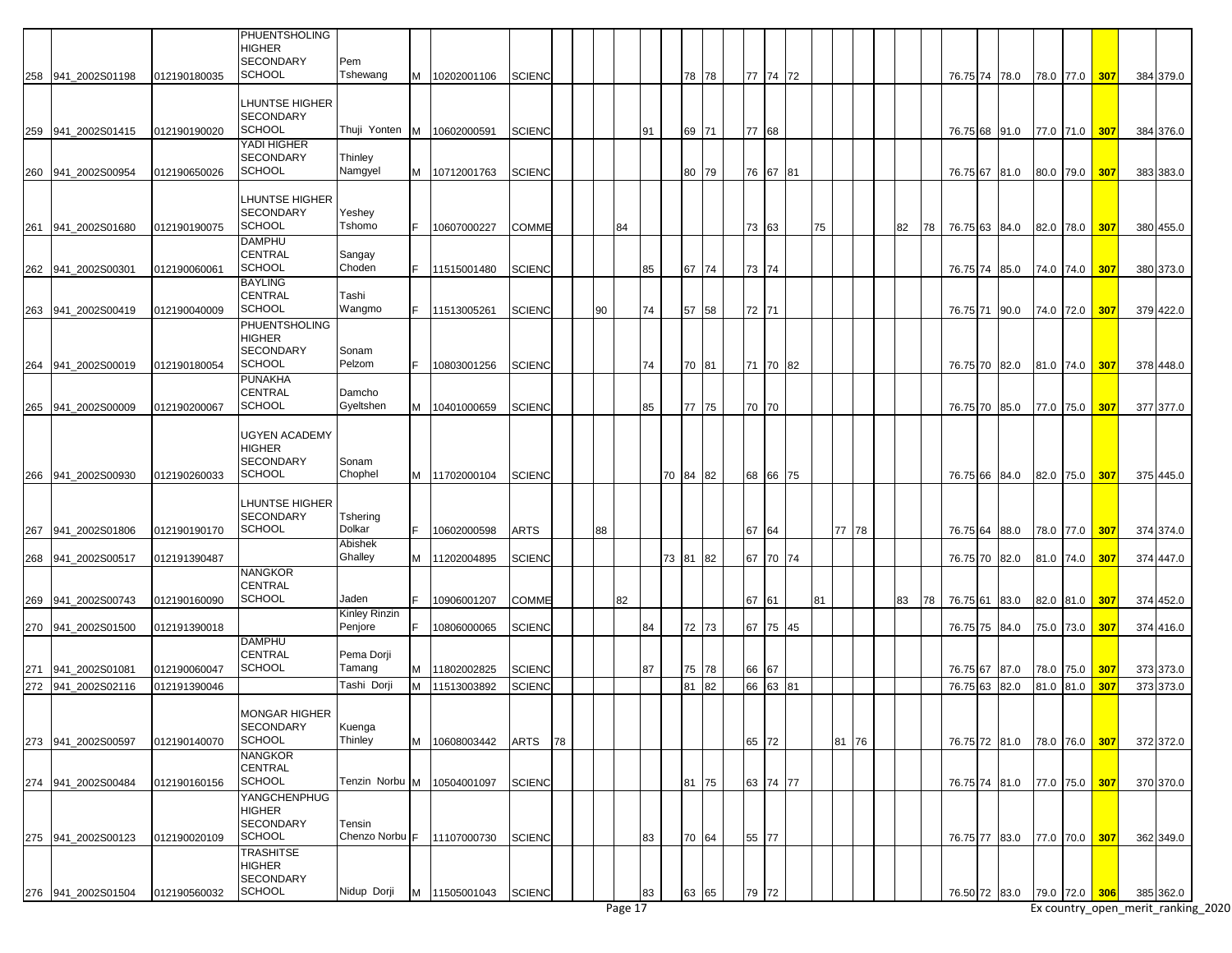|     |                    |              | <b>PHUENTSHOLING</b><br>HIGHER                                      |                              |   |               |               |    |    |    |    |          |       |       |          |    |       |    |    |                         |      |  |               |     |           |
|-----|--------------------|--------------|---------------------------------------------------------------------|------------------------------|---|---------------|---------------|----|----|----|----|----------|-------|-------|----------|----|-------|----|----|-------------------------|------|--|---------------|-----|-----------|
|     | 258 941 2002S01198 | 012190180035 | <b>SECONDARY</b><br><b>SCHOOL</b>                                   | Pem<br>Tshewang              |   | M 10202001106 | <b>SCIENC</b> |    |    |    |    |          | 78 78 |       | 77 74 72 |    |       |    |    | 76.75 74 78.0           |      |  | 78.0 77.0     | 307 | 384 379.0 |
|     |                    |              | LHUNTSE HIGHER<br><b>SECONDARY</b>                                  |                              |   |               |               |    |    |    |    |          |       |       |          |    |       |    |    |                         |      |  |               |     |           |
|     | 259 941_2002S01415 | 012190190020 | <b>SCHOOL</b>                                                       | Thuji Yonten M   10602000591 |   |               | <b>SCIENC</b> |    |    |    | 91 |          | 69 71 | 77 68 |          |    |       |    |    | 76.75 68 91.0           |      |  | 77.0 71.0     | 307 | 384 376.0 |
|     | 260 941 2002S00954 | 012190650026 | YADI HIGHER<br><b>SECONDARY</b><br><b>SCHOOL</b>                    | Thinley<br>Namgyel           |   | M 10712001763 | <b>SCIENC</b> |    |    |    |    |          | 80 79 |       | 76 67 81 |    |       |    |    | 76.75 67 81.0           |      |  | 80.0 79.0     | 307 | 383 383.0 |
|     |                    |              |                                                                     |                              |   |               |               |    |    |    |    |          |       |       |          |    |       |    |    |                         |      |  |               |     |           |
| 261 | 941 2002S01680     | 012190190075 | LHUNTSE HIGHER<br><b>SECONDARY</b><br><b>SCHOOL</b>                 | Yeshey<br>Tshomo             |   | 10607000227   | <b>COMME</b>  |    |    | 84 |    |          |       | 73 63 |          | 75 |       | 82 | 78 | 76.75 63 84.0           |      |  | 82.0 78.0     | 307 | 380 455.0 |
|     |                    |              | <b>DAMPHU</b>                                                       |                              |   |               |               |    |    |    |    |          |       |       |          |    |       |    |    |                         |      |  |               |     |           |
|     |                    |              | <b>CENTRAL</b>                                                      | Sangay                       |   |               |               |    |    |    |    |          |       |       |          |    |       |    |    |                         |      |  |               |     |           |
|     | 262 941_2002S00301 | 012190060061 | <b>SCHOOL</b>                                                       | Choden                       |   | 11515001480   | <b>SCIENC</b> |    |    |    | 85 |          | 67 74 | 73 74 |          |    |       |    |    | 76.75 74 85.0           |      |  | 74.0 74.0     | 307 | 380 373.0 |
| 263 | 941 2002S00419     | 012190040009 | <b>BAYLING</b><br>CENTRAL<br><b>SCHOOL</b>                          | Tashi<br>Wangmo              |   | 11513005261   | <b>SCIENC</b> |    | 90 |    | 74 | 57       | 58    | 72 71 |          |    |       |    |    | 76.75 71                | 90.0 |  | 74.0 72.0     | 307 | 379 422.0 |
|     |                    |              | PHUENTSHOLING                                                       |                              |   |               |               |    |    |    |    |          |       |       |          |    |       |    |    |                         |      |  |               |     |           |
| 264 | 941 2002S00019     | 012190180054 | <b>HIGHER</b><br><b>SECONDARY</b><br><b>SCHOOL</b>                  | Sonam<br>Pelzom              |   | 10803001256   | <b>SCIENC</b> |    |    |    | 74 |          | 70 81 |       | 71 70 82 |    |       |    |    | 76.75 70 82.0           |      |  | 81.0 74.0     | 307 | 378 448.0 |
|     |                    |              | PUNAKHA                                                             |                              |   |               |               |    |    |    |    |          |       |       |          |    |       |    |    |                         |      |  |               |     |           |
|     | 265 941_2002S00009 | 012190200067 | <b>CENTRAL</b><br><b>SCHOOL</b>                                     | Damcho<br>Gyeltshen          |   | M 10401000659 | <b>SCIENC</b> |    |    |    | 85 |          | 77 75 | 70 70 |          |    |       |    |    | 76.75 70 85.0           |      |  | 77.0 75.0     | 307 | 377 377.0 |
| 266 | 941 2002S00930     | 012190260033 | UGYEN ACADEMY<br><b>HIGHER</b><br><b>SECONDARY</b><br><b>SCHOOL</b> | Sonam<br>Chophel             |   | M 11702000104 | <b>SCIENC</b> |    |    |    |    | 70 84 82 |       |       | 68 66 75 |    |       |    |    | 76.75 66 84.0           |      |  | 82.0 75.0     | 307 | 375 445.0 |
|     |                    |              |                                                                     |                              |   |               |               |    |    |    |    |          |       |       |          |    |       |    |    |                         |      |  |               |     |           |
| 267 | 941 2002S01806     | 012190190170 | LHUNTSE HIGHER<br><b>SECONDARY</b><br><b>SCHOOL</b>                 | Tshering<br>Dolkar           |   | 10602000598   | <b>ARTS</b>   |    | 88 |    |    |          |       | 67 64 |          |    | 77 78 |    |    | 76.75 64 88.0           |      |  | 78.0 77.0     | 307 | 374 374.0 |
|     |                    |              |                                                                     | Abishek                      |   |               |               |    |    |    |    |          |       |       |          |    |       |    |    |                         |      |  |               |     |           |
|     | 268 941_2002S00517 | 012191390487 | <b>NANGKOR</b>                                                      | Ghalley                      |   | M 11202004895 | <b>SCIENC</b> |    |    |    |    | 73 81    | 82    |       | 67 70 74 |    |       |    |    | 76.75 70 82.0           |      |  | 81.0 74.0     | 307 | 374 447.0 |
|     |                    |              | CENTRAL                                                             |                              |   |               |               |    |    |    |    |          |       |       |          |    |       |    |    |                         |      |  |               |     |           |
| 269 | 941 2002S00743     | 012190160090 | <b>SCHOOL</b>                                                       | Jaden                        |   | 10906001207   | <b>COMME</b>  |    |    | 82 |    |          |       | 67 61 |          | 81 |       | 83 | 78 | 76.75 61 83.0           |      |  | 82.0 81.0     | 307 | 374 452.0 |
|     |                    |              |                                                                     | Kinley Rinzin                |   |               |               |    |    |    |    |          |       |       |          |    |       |    |    |                         |      |  |               |     |           |
|     | 270 941_2002S01500 | 012191390018 |                                                                     | Penjore                      |   | 10806000065   | <b>SCIENC</b> |    |    |    | 84 |          | 72 73 | 67    | 75 45    |    |       |    |    | 76.75 75                | 84.0 |  | 75.0 73.0     | 307 | 374 416.0 |
|     |                    |              | <b>DAMPHU</b>                                                       |                              |   |               |               |    |    |    |    |          |       |       |          |    |       |    |    |                         |      |  |               |     |           |
|     |                    |              | <b>CENTRAL</b>                                                      | Pema Dorji                   |   |               |               |    |    |    |    |          |       |       |          |    |       |    |    |                         |      |  |               |     |           |
| 271 | 941 2002S01081     | 012190060047 | <b>SCHOOL</b>                                                       | Tamang                       | M | 11802002825   | <b>SCIENC</b> |    |    |    | 87 |          | 75 78 | 66 67 |          |    |       |    |    | 76.75 67 87.0           |      |  | 78.0 75.0     | 307 | 373 373.0 |
|     | 272 941_2002S02116 | 012191390046 |                                                                     | Tashi Dorji                  | M | 11513003892   | <b>SCIENC</b> |    |    |    |    | 81       | 82    |       | 66 63 81 |    |       |    |    | 76.75 63                | 82.0 |  | 81.0 81.0     | 307 | 373 373.0 |
|     |                    |              | <b>MONGAR HIGHER</b><br><b>SECONDARY</b>                            | Kuenga                       |   |               |               |    |    |    |    |          |       |       |          |    |       |    |    |                         |      |  |               |     |           |
|     | 273 941 2002S00597 | 012190140070 | <b>SCHOOL</b>                                                       | Thinley                      | M | 10608003442   | ARTS          | 78 |    |    |    |          |       | 65 72 |          |    | 81 76 |    |    | 76.75 72 81.0           |      |  | 78.0 76.0 307 |     | 372 372.0 |
|     |                    |              | <b>NANGKOR</b><br>CENTRAL                                           |                              |   |               |               |    |    |    |    |          |       |       |          |    |       |    |    |                         |      |  |               |     |           |
|     | 274 941_2002S00484 | 012190160156 | <b>SCHOOL</b>                                                       | Tenzin Norbu M   10504001097 |   |               | <b>SCIENC</b> |    |    |    |    |          | 81 75 |       | 63 74 77 |    |       |    |    | 76.75 74 81.0           |      |  | 77.0 75.0     | 307 | 370 370.0 |
|     |                    |              | <b>YANGCHENPHUG</b><br><b>HIGHER</b><br><b>SECONDARY</b>            | Tensin                       |   |               |               |    |    |    |    |          |       |       |          |    |       |    |    |                         |      |  |               |     |           |
|     | 275 941_2002S00123 | 012190020109 | <b>SCHOOL</b>                                                       | Chenzo Norbu F 11107000730   |   |               | <b>SCIENC</b> |    |    |    | 83 |          | 70 64 | 55 77 |          |    |       |    |    | 76.75 77 83.0           |      |  | 77.0 70.0     | 307 | 362 349.0 |
|     |                    |              | <b>TRASHITSE</b><br>HIGHER<br><b>SECONDARY</b>                      |                              |   |               |               |    |    |    |    |          |       |       |          |    |       |    |    |                         |      |  |               |     |           |
|     | 276 941_2002S01504 | 012190560032 | <b>SCHOOL</b>                                                       | Nidup Dorji                  |   | M 11505001043 | <b>SCIENC</b> |    |    |    | 83 |          | 63 65 | 79    | 72       |    |       |    |    | 76.50 72 83.0 79.0 72.0 |      |  |               | 306 | 385 362.0 |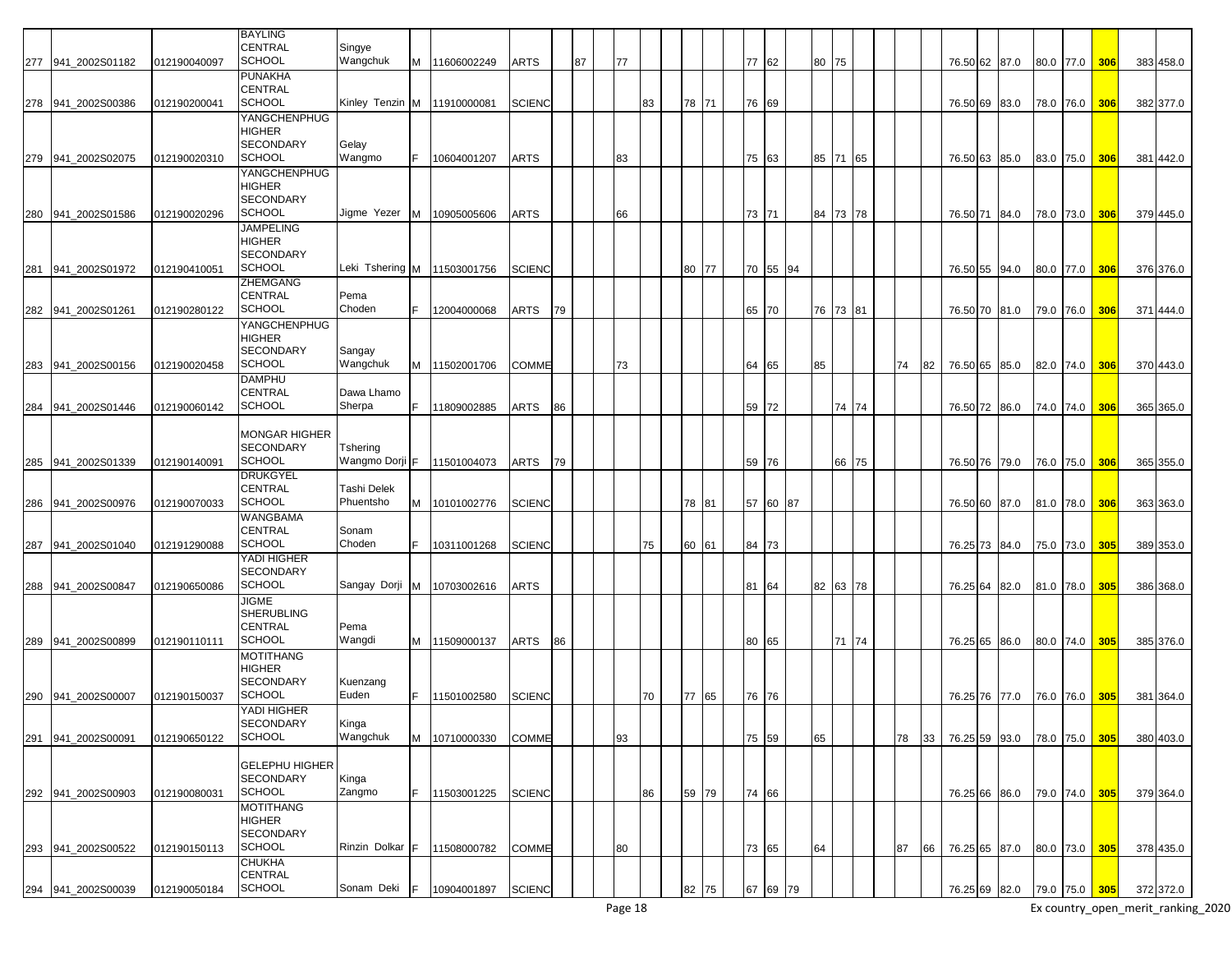|     |                    |              | <b>BAYLING</b>        |                             |    |               |               |    |    |    |    |       |       |          |    |          |          |    |    |                         |      |           |           |     |           |
|-----|--------------------|--------------|-----------------------|-----------------------------|----|---------------|---------------|----|----|----|----|-------|-------|----------|----|----------|----------|----|----|-------------------------|------|-----------|-----------|-----|-----------|
|     |                    |              | <b>CENTRAL</b>        | Singye                      |    |               |               |    |    |    |    |       |       |          |    |          |          |    |    |                         |      |           |           |     |           |
|     |                    |              | <b>SCHOOL</b>         |                             |    |               |               |    |    |    |    |       |       |          |    |          |          |    |    |                         |      |           |           |     |           |
|     | 277 941_2002S01182 | 012190040097 |                       | Wangchuk                    | M  | 11606002249   | ARTS          |    | 87 | 77 |    |       | 77 62 |          |    | 80 75    |          |    |    | 76.50 62 87.0           |      |           | 80.0 77.0 | 306 | 383 458.0 |
|     |                    |              | <b>PUNAKHA</b>        |                             |    |               |               |    |    |    |    |       |       |          |    |          |          |    |    |                         |      |           |           |     |           |
|     |                    |              | <b>CENTRAL</b>        |                             |    |               |               |    |    |    |    |       |       |          |    |          |          |    |    |                         |      |           |           |     |           |
|     | 278 941 2002S00386 | 012190200041 | <b>SCHOOL</b>         | Kinley Tenzin               |    | M 11910000081 | SCIENC        |    |    |    | 83 | 78 71 | 76 69 |          |    |          |          |    |    | 76.50 69 83.0           |      | 78.0 76.0 |           | 306 | 382 377.0 |
|     |                    |              | YANGCHENPHUG          |                             |    |               |               |    |    |    |    |       |       |          |    |          |          |    |    |                         |      |           |           |     |           |
|     |                    |              | <b>HIGHER</b>         |                             |    |               |               |    |    |    |    |       |       |          |    |          |          |    |    |                         |      |           |           |     |           |
|     |                    |              | <b>SECONDARY</b>      | Gelay                       |    |               |               |    |    |    |    |       |       |          |    |          |          |    |    |                         |      |           |           |     |           |
|     | 279 941_2002S02075 | 012190020310 | <b>SCHOOL</b>         | Wangmo                      |    | 10604001207   | ARTS          |    |    | 83 |    |       | 75 63 |          |    |          | 85 71 65 |    |    | 76.50 63                |      | 83.0 75.0 |           | 306 | 381 442.0 |
|     |                    |              |                       |                             |    |               |               |    |    |    |    |       |       |          |    |          |          |    |    |                         | 85.0 |           |           |     |           |
|     |                    |              | YANGCHENPHUG          |                             |    |               |               |    |    |    |    |       |       |          |    |          |          |    |    |                         |      |           |           |     |           |
|     |                    |              | <b>HIGHER</b>         |                             |    |               |               |    |    |    |    |       |       |          |    |          |          |    |    |                         |      |           |           |     |           |
|     |                    |              | <b>SECONDARY</b>      |                             |    |               |               |    |    |    |    |       |       |          |    |          |          |    |    |                         |      |           |           |     |           |
| 280 | 941 2002S01586     | 012190020296 | <b>SCHOOL</b>         | Jigme Yezer                 | M  | 10905005606   | ARTS          |    |    | 66 |    |       | 73 71 |          |    | 84       | 73 78    |    |    | 76.50 71                | 84.0 | 78.0 73.0 |           | 306 | 379 445.0 |
|     |                    |              | <b>JAMPELING</b>      |                             |    |               |               |    |    |    |    |       |       |          |    |          |          |    |    |                         |      |           |           |     |           |
|     |                    |              | <b>HIGHER</b>         |                             |    |               |               |    |    |    |    |       |       |          |    |          |          |    |    |                         |      |           |           |     |           |
|     |                    |              | <b>SECONDARY</b>      |                             |    |               |               |    |    |    |    |       |       |          |    |          |          |    |    |                         |      |           |           |     |           |
| 281 | 941 2002S01972     | 012190410051 | <b>SCHOOL</b>         | Leki Tshering M 11503001756 |    |               | <b>SCIENC</b> |    |    |    |    | 80 77 |       | 70 55 94 |    |          |          |    |    | 76.50 55 94.0           |      | 80.0 77.0 |           | 306 | 376 376.0 |
|     |                    |              | <b>ZHEMGANG</b>       |                             |    |               |               |    |    |    |    |       |       |          |    |          |          |    |    |                         |      |           |           |     |           |
|     |                    |              |                       |                             |    |               |               |    |    |    |    |       |       |          |    |          |          |    |    |                         |      |           |           |     |           |
|     |                    |              | <b>CENTRAL</b>        | Pema                        |    |               |               |    |    |    |    |       |       |          |    |          |          |    |    |                         |      |           |           |     |           |
|     | 282 941_2002S01261 | 012190280122 | <b>SCHOOL</b>         | Choden                      |    | 12004000068   | ARTS          | 79 |    |    |    |       | 65 70 |          |    | 76 73 81 |          |    |    | 76.50 70 81.0           |      | 79.0 76.0 |           | 306 | 371 444.0 |
|     |                    |              | YANGCHENPHUG          |                             |    |               |               |    |    |    |    |       |       |          |    |          |          |    |    |                         |      |           |           |     |           |
|     |                    |              | <b>HIGHER</b>         |                             |    |               |               |    |    |    |    |       |       |          |    |          |          |    |    |                         |      |           |           |     |           |
|     |                    |              | <b>SECONDARY</b>      | Sangay                      |    |               |               |    |    |    |    |       |       |          |    |          |          |    |    |                         |      |           |           |     |           |
| 283 | 941 2002S00156     | 012190020458 | <b>SCHOOL</b>         | Wangchuk                    | M  | 11502001706   | <b>COMME</b>  |    |    | 73 |    |       | 64    | 65       |    | 85       |          | 74 | 82 | 76.50 65                | 85.0 | 82.0 74.0 |           | 306 | 370 443.0 |
|     |                    |              | <b>DAMPHU</b>         |                             |    |               |               |    |    |    |    |       |       |          |    |          |          |    |    |                         |      |           |           |     |           |
|     |                    |              | <b>CENTRAL</b>        | Dawa Lhamo                  |    |               |               |    |    |    |    |       |       |          |    |          |          |    |    |                         |      |           |           |     |           |
|     |                    |              |                       |                             |    |               |               |    |    |    |    |       |       |          |    |          |          |    |    |                         |      |           |           |     |           |
|     | 284 941 2002S01446 | 012190060142 | <b>SCHOOL</b>         | Sherpa                      |    | 11809002885   | ARTS          | 86 |    |    |    |       | 59 72 |          |    |          | 74 74    |    |    | 76.50 72 86.0           |      | 74.0 74.0 |           | 306 | 365 365.0 |
|     |                    |              |                       |                             |    |               |               |    |    |    |    |       |       |          |    |          |          |    |    |                         |      |           |           |     |           |
|     |                    |              | <b>MONGAR HIGHER</b>  |                             |    |               |               |    |    |    |    |       |       |          |    |          |          |    |    |                         |      |           |           |     |           |
|     |                    |              | <b>SECONDARY</b>      | Tshering                    |    |               |               |    |    |    |    |       |       |          |    |          |          |    |    |                         |      |           |           |     |           |
|     | 285 941_2002S01339 | 012190140091 | <b>SCHOOL</b>         | Wangmo Dorji F              |    | 11501004073   | ARTS          | 79 |    |    |    |       | 59 76 |          |    |          | 66 75    |    |    | 76.50 76                | 79.0 | 76.0 75.0 |           | 306 | 365 355.0 |
|     |                    |              | <b>DRUKGYEL</b>       |                             |    |               |               |    |    |    |    |       |       |          |    |          |          |    |    |                         |      |           |           |     |           |
|     |                    |              | <b>CENTRAL</b>        | Tashi Delek                 |    |               |               |    |    |    |    |       |       |          |    |          |          |    |    |                         |      |           |           |     |           |
|     |                    |              | <b>SCHOOL</b>         | Phuentsho                   |    |               |               |    |    |    |    |       |       | 60 87    |    |          |          |    |    |                         |      |           |           | 306 |           |
|     | 286 941_2002S00976 | 012190070033 |                       |                             |    | M 10101002776 | <b>SCIENC</b> |    |    |    |    | 78 81 | 57    |          |    |          |          |    |    | 76.50 60                | 87.0 | 81.0 78.0 |           |     | 363 363.0 |
|     |                    |              | <b>WANGBAMA</b>       |                             |    |               |               |    |    |    |    |       |       |          |    |          |          |    |    |                         |      |           |           |     |           |
|     |                    |              | <b>CENTRAL</b>        | Sonam                       |    |               |               |    |    |    |    |       |       |          |    |          |          |    |    |                         |      |           |           |     |           |
|     | 287 941_2002S01040 | 012191290088 | <b>SCHOOL</b>         | Choden                      |    | 10311001268   | <b>SCIENC</b> |    |    |    | 75 | 60 61 | 84 73 |          |    |          |          |    |    | 76.25 73                | 84.0 | 75.0 73.0 |           | 305 | 389 353.0 |
|     |                    |              | YADI HIGHER           |                             |    |               |               |    |    |    |    |       |       |          |    |          |          |    |    |                         |      |           |           |     |           |
|     |                    |              | <b>SECONDARY</b>      |                             |    |               |               |    |    |    |    |       |       |          |    |          |          |    |    |                         |      |           |           |     |           |
| 288 | 941 2002S00847     | 012190650086 | <b>SCHOOL</b>         | Sangay Dorji                | M  | 10703002616   | ARTS          |    |    |    |    |       | 81    | 64       |    |          | 82 63 78 |    |    | 76.25 64 82.0           |      | 81.0 78.0 |           | 305 | 386 368.0 |
|     |                    |              | <b>JIGME</b>          |                             |    |               |               |    |    |    |    |       |       |          |    |          |          |    |    |                         |      |           |           |     |           |
|     |                    |              | <b>SHERUBLING</b>     |                             |    |               |               |    |    |    |    |       |       |          |    |          |          |    |    |                         |      |           |           |     |           |
|     |                    |              |                       |                             |    |               |               |    |    |    |    |       |       |          |    |          |          |    |    |                         |      |           |           |     |           |
|     |                    |              | <b>CENTRAL</b>        | Pema                        |    |               |               |    |    |    |    |       |       |          |    |          |          |    |    |                         |      |           |           |     |           |
| 289 | 941 2002S00899     | 012190110111 | <b>SCHOOL</b>         | Wangdi                      |    | M 11509000137 | ARTS          | 86 |    |    |    |       | 80 65 |          |    |          | 71 74    |    |    | 76.25 65 86.0           |      | 80.0 74.0 |           | 305 | 385 376.0 |
|     |                    |              | <b>MOTITHANG</b>      |                             |    |               |               |    |    |    |    |       |       |          |    |          |          |    |    |                         |      |           |           |     |           |
|     |                    |              | <b>HIGHER</b>         |                             |    |               |               |    |    |    |    |       |       |          |    |          |          |    |    |                         |      |           |           |     |           |
|     |                    |              | <b>SECONDARY</b>      | Kuenzang                    |    |               |               |    |    |    |    |       |       |          |    |          |          |    |    |                         |      |           |           |     |           |
|     | 290 941_2002S00007 | 012190150037 | <b>SCHOOL</b>         | Euden                       | F. | 11501002580   | <b>SCIENC</b> |    |    |    | 70 | 77 65 | 76 76 |          |    |          |          |    |    | 76.25 76 77.0           |      | 76.0 76.0 |           | 305 | 381 364.0 |
|     |                    |              | YADI HIGHER           |                             |    |               |               |    |    |    |    |       |       |          |    |          |          |    |    |                         |      |           |           |     |           |
|     |                    |              | <b>SECONDARY</b>      | Kinga                       |    |               |               |    |    |    |    |       |       |          |    |          |          |    |    |                         |      |           |           |     |           |
| 291 | 941_2002S00091     | 012190650122 | <b>SCHOOL</b>         | Wangchuk                    |    | 10710000330   | COMME         |    |    | 93 |    |       | 75 59 |          |    | 65       |          | 78 | 33 | 76.25 59                | 93.0 | 78.0 75.0 |           | 305 | 380 403.0 |
|     |                    |              |                       |                             |    |               |               |    |    |    |    |       |       |          |    |          |          |    |    |                         |      |           |           |     |           |
|     |                    |              |                       |                             |    |               |               |    |    |    |    |       |       |          |    |          |          |    |    |                         |      |           |           |     |           |
|     |                    |              | <b>GELEPHU HIGHER</b> |                             |    |               |               |    |    |    |    |       |       |          |    |          |          |    |    |                         |      |           |           |     |           |
|     |                    |              | <b>SECONDARY</b>      | Kinga                       |    |               |               |    |    |    |    |       |       |          |    |          |          |    |    |                         |      |           |           |     |           |
|     | 292 941_2002S00903 | 012190080031 | <b>SCHOOL</b>         | Zangmo                      |    | 11503001225   | <b>SCIENC</b> |    |    |    | 86 | 59 79 | 74 66 |          |    |          |          |    |    | 76.25 66                | 86.0 |           | 79.0 74.0 | 305 | 379 364.0 |
|     |                    |              | <b>MOTITHANG</b>      |                             |    |               |               |    |    |    |    |       |       |          |    |          |          |    |    |                         |      |           |           |     |           |
|     |                    |              | <b>HIGHER</b>         |                             |    |               |               |    |    |    |    |       |       |          |    |          |          |    |    |                         |      |           |           |     |           |
|     |                    |              | <b>SECONDARY</b>      |                             |    |               |               |    |    |    |    |       |       |          |    |          |          |    |    |                         |      |           |           |     |           |
| 293 | 941_2002S00522     | 012190150113 | <b>SCHOOL</b>         | Rinzin Dolkar               | F. | 11508000782   | COMME         |    |    | 80 |    |       | 73 65 |          | 64 |          |          | 87 | 66 | 76.25 65 87.0           |      |           | 80.0 73.0 | 305 | 378 435.0 |
|     |                    |              |                       |                             |    |               |               |    |    |    |    |       |       |          |    |          |          |    |    |                         |      |           |           |     |           |
|     |                    |              | <b>CHUKHA</b>         |                             |    |               |               |    |    |    |    |       |       |          |    |          |          |    |    |                         |      |           |           |     |           |
|     |                    |              | <b>CENTRAL</b>        |                             |    |               |               |    |    |    |    |       |       |          |    |          |          |    |    |                         |      |           |           |     |           |
|     | 294 941_2002S00039 | 012190050184 | <b>SCHOOL</b>         | Sonam Deki                  |    | 10904001897   | <b>SCIENC</b> |    |    |    |    | 82 75 | 67    | 69 79    |    |          |          |    |    | 76.25 69 82.0 79.0 75.0 |      |           |           | 305 | 372 372.0 |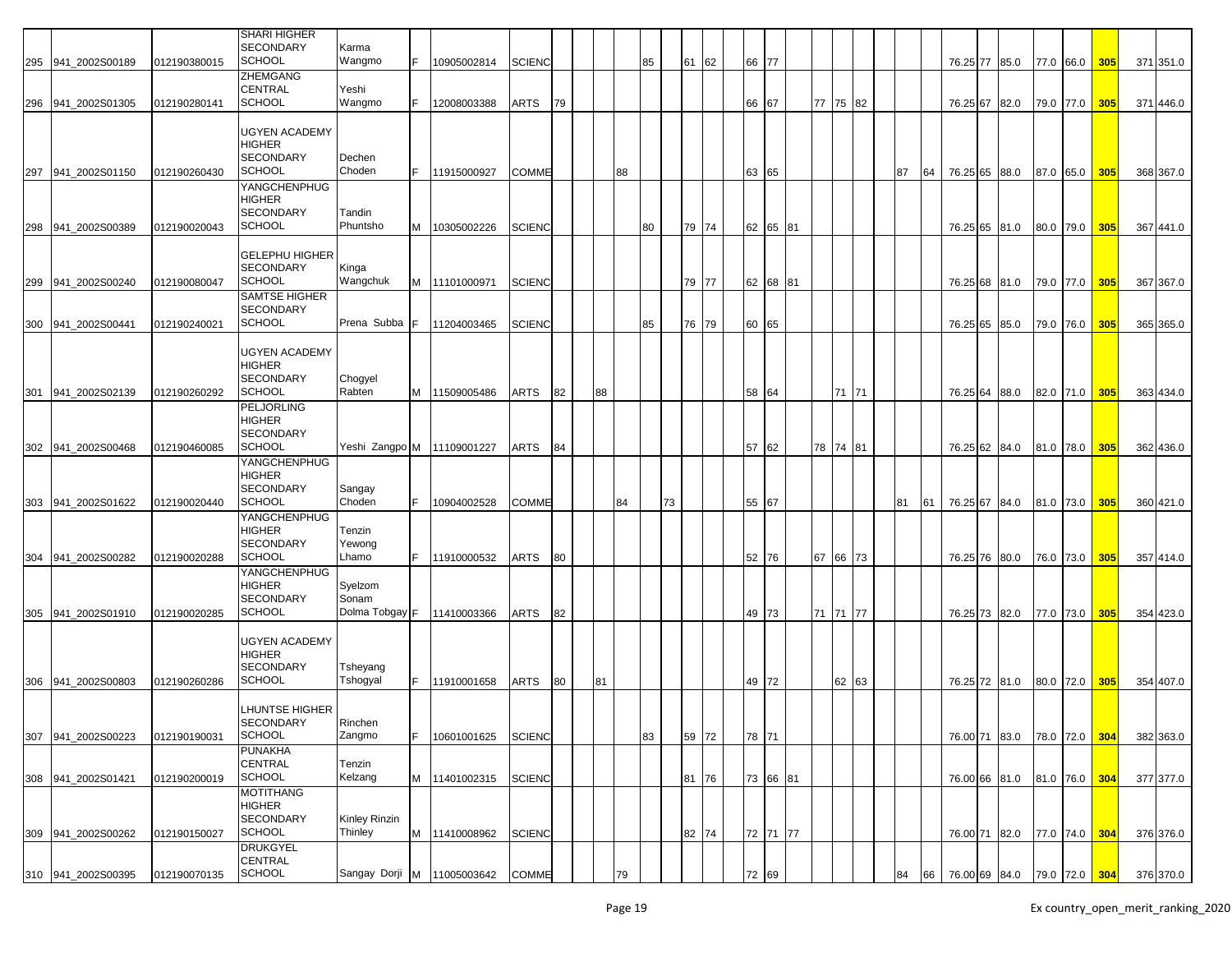|     |                    |              | <b>SHARI HIGHER</b>                       |                            |    |               |               |    |    |    |    |    |    |       |       |          |    |          |    |    |          |                             |           |               |     |           |
|-----|--------------------|--------------|-------------------------------------------|----------------------------|----|---------------|---------------|----|----|----|----|----|----|-------|-------|----------|----|----------|----|----|----------|-----------------------------|-----------|---------------|-----|-----------|
|     |                    |              | <b>SECONDARY</b>                          | Karma                      |    |               |               |    |    |    |    |    |    |       |       |          |    |          |    |    |          |                             |           |               |     |           |
| 295 | 941_2002S00189     | 012190380015 | <b>SCHOOL</b>                             | Wangmo                     | F. | 10905002814   | <b>SCIENC</b> |    |    |    |    | 85 | 61 | 62    | 66 77 |          |    |          |    |    |          | 76.25 77 85.0               |           | 77.0 66.0     | 305 | 371 351.0 |
|     |                    |              | ZHEMGANG                                  |                            |    |               |               |    |    |    |    |    |    |       |       |          |    |          |    |    |          |                             |           |               |     |           |
|     |                    |              | <b>CENTRAL</b>                            | Yeshi                      |    |               |               |    |    |    |    |    |    |       |       |          |    |          |    |    |          |                             |           |               |     |           |
| 296 | 941 2002S01305     | 012190280141 | <b>SCHOOL</b>                             | Wangmo                     |    | 12008003388   | ARTS          | 79 |    |    |    |    |    |       | 66    | 67       |    | 77 75 82 |    |    |          | 76.25 67 82.0               |           | 79.0 77.0 305 |     | 371 446.0 |
|     |                    |              |                                           |                            |    |               |               |    |    |    |    |    |    |       |       |          |    |          |    |    |          |                             |           |               |     |           |
|     |                    |              | UGYEN ACADEMY<br><b>HIGHER</b>            |                            |    |               |               |    |    |    |    |    |    |       |       |          |    |          |    |    |          |                             |           |               |     |           |
|     |                    |              | <b>SECONDARY</b>                          | Dechen                     |    |               |               |    |    |    |    |    |    |       |       |          |    |          |    |    |          |                             |           |               |     |           |
|     | 297 941 2002S01150 | 012190260430 | <b>SCHOOL</b>                             | Choden                     |    | 11915000927   | <b>COMME</b>  |    |    |    | 88 |    |    |       | 63 65 |          |    |          | 87 | 64 |          | 76.25 65 88.0               |           | 87.0 65.0 305 |     | 368 367.0 |
|     |                    |              | YANGCHENPHUG                              |                            |    |               |               |    |    |    |    |    |    |       |       |          |    |          |    |    |          |                             |           |               |     |           |
|     |                    |              | <b>HIGHER</b>                             |                            |    |               |               |    |    |    |    |    |    |       |       |          |    |          |    |    |          |                             |           |               |     |           |
|     |                    |              | <b>SECONDARY</b>                          | Tandin                     |    |               |               |    |    |    |    |    |    |       |       |          |    |          |    |    |          |                             |           |               |     |           |
| 298 | 941 2002S00389     | 012190020043 | <b>SCHOOL</b>                             | Phuntsho                   |    | M 10305002226 | <b>SCIENC</b> |    |    |    |    | 80 |    | 79 74 |       | 62 65 81 |    |          |    |    |          | 76.25 65 81.0               |           | 80.0 79.0 305 |     | 367 441.0 |
|     |                    |              |                                           |                            |    |               |               |    |    |    |    |    |    |       |       |          |    |          |    |    |          |                             |           |               |     |           |
|     |                    |              | <b>GELEPHU HIGHER</b><br><b>SECONDARY</b> | Kinga                      |    |               |               |    |    |    |    |    |    |       |       |          |    |          |    |    |          |                             |           |               |     |           |
| 299 | 941 2002S00240     | 012190080047 | <b>SCHOOL</b>                             | Wangchuk                   |    | M 11101000971 | <b>SCIENC</b> |    |    |    |    |    |    | 79 77 |       | 62 68 81 |    |          |    |    |          | 76.25 68 81.0               |           | 79.0 77.0     | 305 | 367 367.0 |
|     |                    |              | SAMTSE HIGHER                             |                            |    |               |               |    |    |    |    |    |    |       |       |          |    |          |    |    |          |                             |           |               |     |           |
|     |                    |              | <b>SECONDARY</b>                          |                            |    |               |               |    |    |    |    |    |    |       |       |          |    |          |    |    |          |                             |           |               |     |           |
| 300 | 941 2002S00441     | 012190240021 | <b>SCHOOL</b>                             | Prena Subba                |    | 11204003465   | <b>SCIENC</b> |    |    |    |    | 85 |    | 76 79 | 60 65 |          |    |          |    |    |          | 76.25 65 85.0               | 79.0 76.0 |               | 305 | 365 365.0 |
|     |                    |              |                                           |                            |    |               |               |    |    |    |    |    |    |       |       |          |    |          |    |    |          |                             |           |               |     |           |
|     |                    |              | UGYEN ACADEMY                             |                            |    |               |               |    |    |    |    |    |    |       |       |          |    |          |    |    |          |                             |           |               |     |           |
|     |                    |              | HIGHER                                    |                            |    |               |               |    |    |    |    |    |    |       |       |          |    |          |    |    |          |                             |           |               |     |           |
|     | 941 2002S02139     | 012190260292 | <b>SECONDARY</b><br><b>SCHOOL</b>         | Chogyel<br>Rabten          |    |               |               |    |    |    |    |    |    |       |       |          |    | 71 71    |    |    |          |                             |           |               |     |           |
| 301 |                    |              | <b>PELJORLING</b>                         |                            |    | M 11509005486 | ARTS          | 82 |    | 88 |    |    |    |       | 58 64 |          |    |          |    |    |          | 76.25 64 88.0               |           | 82.0 71.0 305 |     | 363 434.0 |
|     |                    |              | <b>HIGHER</b>                             |                            |    |               |               |    |    |    |    |    |    |       |       |          |    |          |    |    |          |                             |           |               |     |           |
|     |                    |              | <b>SECONDARY</b>                          |                            |    |               |               |    |    |    |    |    |    |       |       |          |    |          |    |    |          |                             |           |               |     |           |
|     | 302 941 2002S00468 | 012190460085 | <b>SCHOOL</b>                             | Yeshi Zangpo M 11109001227 |    |               | ARTS          | 84 |    |    |    |    |    |       | 57    | 62       |    | 78 74 81 |    |    |          | 76.25 62 84.0               | 81.0 78.0 |               | 305 | 362 436.0 |
|     |                    |              | YANGCHENPHUG                              |                            |    |               |               |    |    |    |    |    |    |       |       |          |    |          |    |    |          |                             |           |               |     |           |
|     |                    |              | <b>HIGHER</b>                             |                            |    |               |               |    |    |    |    |    |    |       |       |          |    |          |    |    |          |                             |           |               |     |           |
|     |                    |              | <b>SECONDARY</b>                          | Sangay                     |    |               |               |    |    |    |    |    |    |       |       |          |    |          |    |    |          |                             |           |               |     |           |
|     | 303 941_2002S01622 | 012190020440 | <b>SCHOOL</b><br>YANGCHENPHUG             | Choden                     | F. | 10904002528   | <b>COMME</b>  |    |    |    | 84 |    | 73 |       | 55 67 |          |    |          | 81 | 61 |          | 76.25 67 84.0               | 81.0 73.0 |               | 305 | 360 421.0 |
|     |                    |              | HIGHER                                    | Tenzin                     |    |               |               |    |    |    |    |    |    |       |       |          |    |          |    |    |          |                             |           |               |     |           |
|     |                    |              | <b>SECONDARY</b>                          | Yewong                     |    |               |               |    |    |    |    |    |    |       |       |          |    |          |    |    |          |                             |           |               |     |           |
| 304 | 941 2002S00282     | 012190020288 | <b>SCHOOL</b>                             | Lhamo                      |    | 11910000532   | ARTS          | 80 |    |    |    |    |    |       | 52 76 |          | 67 | 66 73    |    |    | 76.25 76 | 80.0                        | 76.0 73.0 |               | 305 | 357 414.0 |
|     |                    |              | YANGCHENPHUG                              |                            |    |               |               |    |    |    |    |    |    |       |       |          |    |          |    |    |          |                             |           |               |     |           |
|     |                    |              | HIGHER                                    | Syelzom                    |    |               |               |    |    |    |    |    |    |       |       |          |    |          |    |    |          |                             |           |               |     |           |
|     |                    |              | <b>SECONDARY</b>                          | Sonam                      |    |               |               |    |    |    |    |    |    |       |       |          |    |          |    |    |          |                             |           |               |     |           |
|     | 305 941_2002S01910 | 012190020285 | <b>SCHOOL</b>                             | Dolma Tobgay F             |    | 11410003366   | ARTS          | 82 |    |    |    |    |    |       | 49 73 |          |    | 71 71 77 |    |    |          | 76.25 73 82.0               | 77.0 73.0 |               | 305 | 354 423.0 |
|     |                    |              |                                           |                            |    |               |               |    |    |    |    |    |    |       |       |          |    |          |    |    |          |                             |           |               |     |           |
|     |                    |              | UGYEN ACADEMY<br>HIGHER                   |                            |    |               |               |    |    |    |    |    |    |       |       |          |    |          |    |    |          |                             |           |               |     |           |
|     |                    |              | <b>SECONDARY</b>                          | Tsheyang                   |    |               |               |    |    |    |    |    |    |       |       |          |    |          |    |    |          |                             |           |               |     |           |
| 306 | 941 2002S00803     | 012190260286 | SCHOOL                                    | Tshogyal                   | F. | 11910001658   | ARTS          | 80 | 81 |    |    |    |    |       | 49 72 |          |    | 62 63    |    |    |          | 76.25 72 81.0               | 80.0 72.0 |               | 305 | 354 407.0 |
|     |                    |              |                                           |                            |    |               |               |    |    |    |    |    |    |       |       |          |    |          |    |    |          |                             |           |               |     |           |
|     |                    |              | <b>LHUNTSE HIGHER</b>                     |                            |    |               |               |    |    |    |    |    |    |       |       |          |    |          |    |    |          |                             |           |               |     |           |
|     |                    |              | SECONDARY                                 | Rinchen                    |    |               |               |    |    |    |    |    |    |       |       |          |    |          |    |    |          |                             |           |               |     |           |
| 307 | 941_2002S00223     | 012190190031 | <b>SCHOOL</b>                             | Zangmo                     | F. | 10601001625   | <b>SCIENC</b> |    |    |    |    | 83 |    | 59 72 | 78 71 |          |    |          |    |    | 76.00 71 | 83.0                        | 78.0 72.0 |               | 304 | 382 363.0 |
|     |                    |              | <b>PUNAKHA</b><br>CENTRAL                 | Tenzin                     |    |               |               |    |    |    |    |    |    |       |       |          |    |          |    |    |          |                             |           |               |     |           |
|     | 308 941_2002S01421 | 012190200019 | <b>SCHOOL</b>                             | Kelzang                    |    | M 11401002315 | <b>SCIENC</b> |    |    |    |    |    |    | 81 76 |       | 73 66 81 |    |          |    |    |          | 76.00 66 81.0               |           | 81.0 76.0 304 |     | 377 377.0 |
|     |                    |              | <b>MOTITHANG</b>                          |                            |    |               |               |    |    |    |    |    |    |       |       |          |    |          |    |    |          |                             |           |               |     |           |
|     |                    |              | HIGHER                                    |                            |    |               |               |    |    |    |    |    |    |       |       |          |    |          |    |    |          |                             |           |               |     |           |
|     |                    |              | SECONDARY                                 | Kinley Rinzin              |    |               |               |    |    |    |    |    |    |       |       |          |    |          |    |    |          |                             |           |               |     |           |
|     | 309 941_2002S00262 | 012190150027 | <b>SCHOOL</b>                             | Thinley                    |    | M 11410008962 | <b>SCIENC</b> |    |    |    |    |    |    | 82 74 |       | 72 71 77 |    |          |    |    |          | 76.00 71 82.0               |           | 77.0 74.0 304 |     | 376 376.0 |
|     |                    |              | <b>DRUKGYEL</b>                           |                            |    |               |               |    |    |    |    |    |    |       |       |          |    |          |    |    |          |                             |           |               |     |           |
|     |                    |              | CENTRAL<br><b>SCHOOL</b>                  |                            |    |               |               |    |    |    |    |    |    |       |       |          |    |          |    |    |          |                             |           |               |     |           |
|     | 310 941 2002S00395 | 012190070135 |                                           | Sangay Dorji M 11005003642 |    |               | <b>COMME</b>  |    |    |    | 79 |    |    |       | 72 69 |          |    |          | 84 | 66 |          | 76.00 69 84.0 79.0 72.0 304 |           |               |     | 376 370.0 |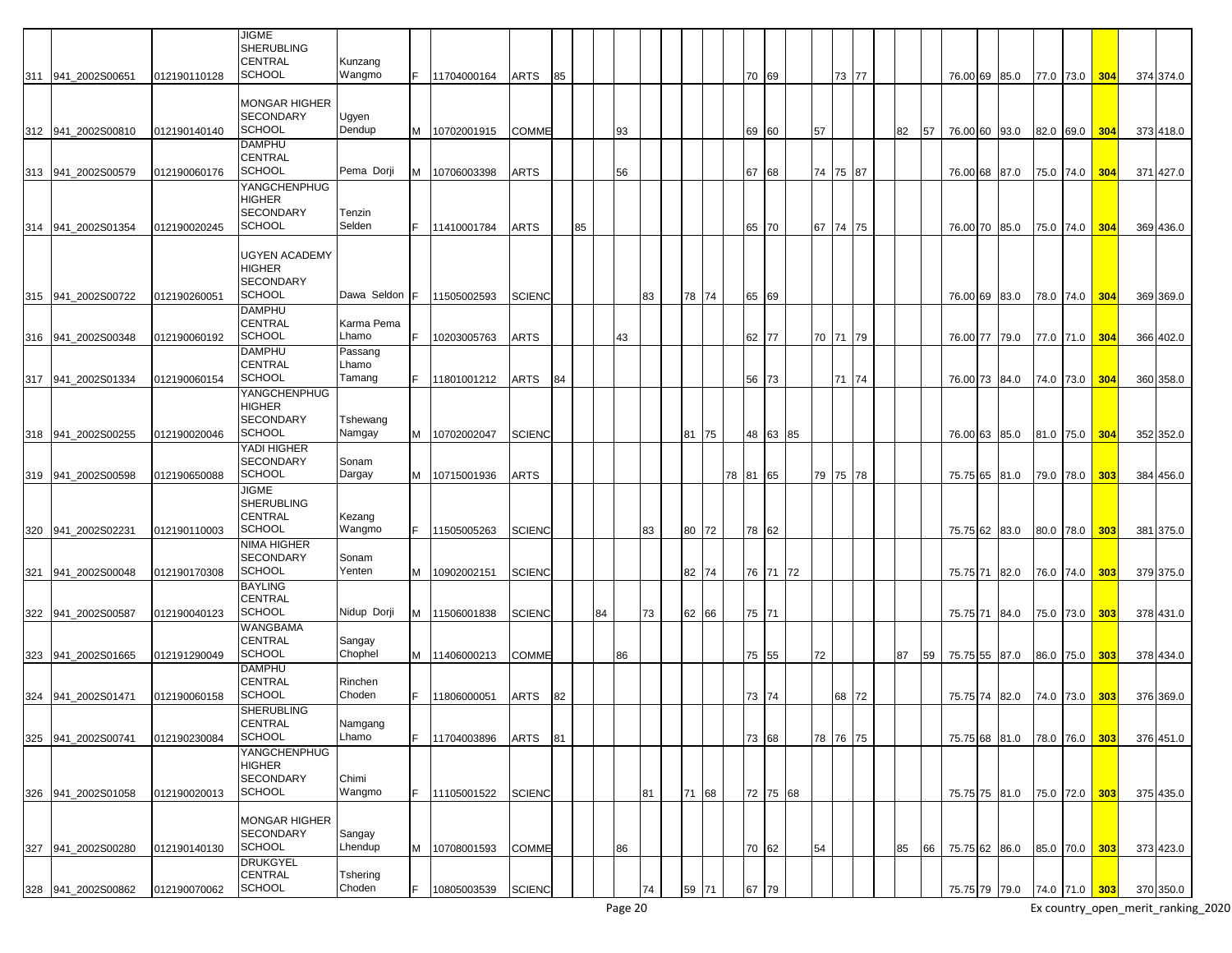|                                          |                              | <b>JIGME</b><br><b>SHERUBLING</b><br><b>CENTRAL</b>                        | Kunzang                    |   |                            |               |          |    |    |    |    |       |       |                |          |    |                   |    |    |                                |      |                        |            |                        |
|------------------------------------------|------------------------------|----------------------------------------------------------------------------|----------------------------|---|----------------------------|---------------|----------|----|----|----|----|-------|-------|----------------|----------|----|-------------------|----|----|--------------------------------|------|------------------------|------------|------------------------|
| 311 941 2002S00651                       | 012190110128                 | <b>SCHOOL</b>                                                              | Wangmo                     |   | 11704000164                | ARTS          | 85       |    |    |    |    |       |       | 70 69          |          |    | 73 77             |    |    | 76.00 69 85.0                  |      | 77.0 73.0              | 304        | 374 374.0              |
| 312 941_2002S00810                       | 012190140140                 | MONGAR HIGHER<br><b>SECONDARY</b><br><b>SCHOOL</b>                         | Ugyen<br>Dendup            |   | 10702001915                | COMME         |          |    |    | 93 |    |       |       | 69             | 60       | 57 |                   | 82 | 57 | 76.00 60 93.0                  |      | 82.0 69.0              | 304        | 373 418.0              |
| 313 941 2002S00579                       | 012190060176                 | <b>DAMPHU</b><br>CENTRAL<br><b>SCHOOL</b>                                  | Pema Dorji                 | M | 10706003398                | ARTS          |          |    |    | 56 |    |       |       | 67             | 68       |    | 74 75 87          |    |    | 76.00 68 87.0                  |      | 75.0 74.0              | 304        | 371 427.0              |
| 314 941 2002S01354                       | 012190020245                 | YANGCHENPHUG<br><b>HIGHER</b><br><b>SECONDARY</b><br><b>SCHOOL</b>         | Tenzin<br>Selden           |   | 11410001784                | ARTS          |          | 85 |    |    |    |       |       | 65 70          |          |    | 67 74 75          |    |    | 76.00 70 85.0                  |      | 75.0 74.0              | 304        | 369 436.0              |
| 315 941 2002S00722                       | 012190260051                 | <b>UGYEN ACADEMY</b><br><b>HIGHER</b><br><b>SECONDARY</b><br><b>SCHOOL</b> | Dawa Seldon                |   | 11505002593                | <b>SCIENC</b> |          |    |    |    | 83 | 78 74 |       | 65 69          |          |    |                   |    |    | 76.00 69 83.0                  |      | 78.0 74.0              | 304        | 369 369.0              |
|                                          |                              | <b>DAMPHU</b><br><b>CENTRAL</b>                                            | Karma Pema                 |   |                            |               |          |    |    |    |    |       |       |                |          |    |                   |    |    |                                |      |                        |            |                        |
| 316 941_2002S00348                       | 012190060192                 | <b>SCHOOL</b><br><b>DAMPHU</b><br><b>CENTRAL</b>                           | Lhamo<br>Passang<br>Lhamo  |   | 10203005763                | ARTS          |          |    |    | 43 |    |       |       | 62 77          |          |    | 70 71 79          |    |    | 76.00 77 79.0                  |      | 77.0 71.0              | 304        | 366 402.0              |
| 317 941_2002S01334                       | 012190060154                 | <b>SCHOOL</b>                                                              | Tamang                     |   | 11801001212                | ARTS          | 84       |    |    |    |    |       |       | 56 73          |          |    | 71 74             |    |    | 76.00 73 84.0                  |      | 74.0 73.0              | 304        | 360 358.0              |
|                                          |                              | <b>YANGCHENPHUG</b><br><b>HIGHER</b><br><b>SECONDARY</b>                   | Tshewang                   |   |                            |               |          |    |    |    |    |       |       |                |          |    |                   |    |    |                                |      |                        |            |                        |
| 318 941 2002S00255                       | 012190020046                 | <b>SCHOOL</b><br>YADI HIGHER                                               | Namgay                     | м | 10702002047                | <b>SCIENC</b> |          |    |    |    |    | 81 75 |       |                | 48 63 85 |    |                   |    |    | 76.00 63 85.0                  |      | 81.0 75.0              | 304        | 352 352.0              |
|                                          |                              | <b>SECONDARY</b>                                                           | Sonam                      |   |                            |               |          |    |    |    |    |       |       |                |          |    |                   |    |    |                                |      |                        |            |                        |
| 319 941_2002S00598                       | 012190650088                 | <b>SCHOOL</b><br><b>JIGME</b>                                              | Dargay                     |   | 10715001936                | ARTS          |          |    |    |    |    |       | 78 81 |                | 65       |    | 79 75 78          |    |    | 75.75 65 81.0                  |      | 79.0 78.0              | 303        | 384 456.0              |
|                                          |                              | <b>SHERUBLING</b><br><b>CENTRAL</b><br><b>SCHOOL</b>                       | Kezang<br>Wangmo           |   |                            |               |          |    |    |    | 83 | 80 72 |       |                |          |    |                   |    |    |                                |      |                        |            |                        |
| 320 941 2002S02231                       | 012190110003                 | <b>NIMA HIGHER</b>                                                         |                            |   | 11505005263                | <b>SCIENC</b> |          |    |    |    |    |       |       | 78 62          |          |    |                   |    |    | 75.75 62                       | 83.0 | 80.0 78.0              | 303        | 381 375.0              |
| 321 941_2002S00048                       | 012190170308                 | <b>SECONDARY</b><br><b>SCHOOL</b><br><b>BAYLING</b>                        | Sonam<br>Yenten            |   | 10902002151                | <b>SCIENC</b> |          |    |    |    |    | 82 74 |       |                | 76 71 72 |    |                   |    |    | 75.75 71                       | 82.0 | 76.0 74.0              | 303        | 379 375.0              |
| 322 941_2002S00587                       | 012190040123                 | <b>CENTRAL</b><br><b>SCHOOL</b>                                            | Nidup Dorji                | M | 11506001838                | <b>SCIENC</b> |          |    | 84 |    | 73 | 62 66 |       | 75 71          |          |    |                   |    |    | 75.75 71 84.0                  |      | 75.0 73.0              | 303        | 378 431.0              |
| 323 941_2002S01665                       | 012191290049                 | WANGBAMA<br>CENTRAL<br><b>SCHOOL</b>                                       | Sangay<br>Chophel          |   | M 11406000213              | COMME         |          |    |    | 86 |    |       |       | 75 55          |          | 72 |                   | 87 | 59 | 75.75 55 87.0                  |      | 86.0 75.0              | 303        | 378 434.0              |
|                                          |                              | <b>DAMPHU</b><br><b>CENTRAL</b><br><b>SCHOOL</b>                           | Rinchen                    |   |                            |               |          |    |    |    |    |       |       |                |          |    |                   |    |    |                                |      |                        |            |                        |
| 324 941_2002S01471<br>325 941_2002S00741 | 012190060158<br>012190230084 | <b>SHERUBLING</b><br>CENTRAL<br><b>SCHOOL</b>                              | Choden<br>Namgang<br>Lhamo |   | 11806000051<br>11704003896 | ARTS<br>ARTS  | 82<br>81 |    |    |    |    |       |       | 73 74<br>73 68 |          |    | 68 72<br>78 76 75 |    |    | 75.75 74 82.0<br>75.75 68 81.0 |      | 74.0 73.0<br>78.0 76.0 | 303<br>303 | 376 369.0<br>376 451.0 |
|                                          |                              | YANGCHENPHUG<br><b>HIGHER</b><br>SECONDARY                                 | Chimi                      |   |                            |               |          |    |    |    |    |       |       |                |          |    |                   |    |    |                                |      |                        |            |                        |
| 326 941 2002S01058                       | 012190020013                 | <b>SCHOOL</b>                                                              | Wangmo                     |   | 11105001522                | <b>SCIENC</b> |          |    |    |    | 81 | 71 68 |       |                | 72 75 68 |    |                   |    |    | 75.75 75 81.0                  |      | 75.0 72.0              | 303        | 375 435.0              |
| 327 941_2002S00280                       | 012190140130                 | <b>MONGAR HIGHER</b><br><b>SECONDARY</b><br><b>SCHOOL</b>                  | Sangay<br>Lhendup          | M | 10708001593                | COMME         |          |    |    | 86 |    |       |       | 70 62          |          | 54 |                   | 85 | 66 | 75.75 62 86.0                  |      | 85.0 70.0              | 303        | 373 423.0              |
|                                          |                              | <b>DRUKGYEL</b><br>CENTRAL                                                 | Tshering                   |   |                            |               |          |    |    |    |    |       |       |                |          |    |                   |    |    |                                |      |                        |            |                        |
| 328 941_2002S00862                       | 012190070062                 | SCHOOL                                                                     | Choden                     |   | 10805003539                | <b>SCIENC</b> |          |    |    |    | 74 | 59 71 |       | 67             | 79       |    |                   |    |    | 75.75 79 79.0                  |      | 74.0 71.0 303          |            | 370 350.0              |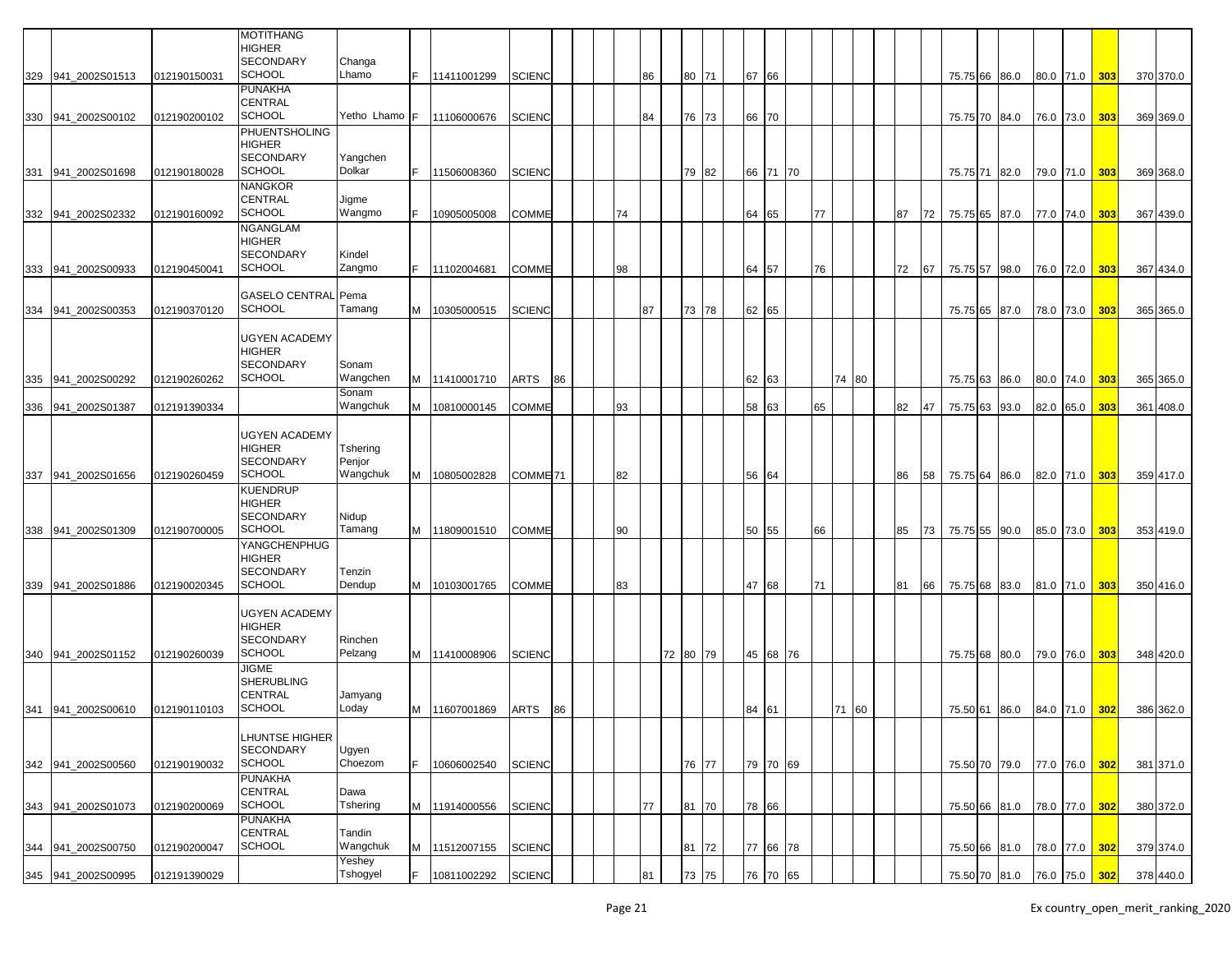|     |                    |              | <b>MOTITHANG</b><br><b>HIGHER</b><br><b>SECONDARY</b><br><b>SCHOOL</b> | Changa<br>Lhamo    |   |               |                     |    |    |    |          |  |       |          |    |       |    |    |               |               |           |               |     |           |
|-----|--------------------|--------------|------------------------------------------------------------------------|--------------------|---|---------------|---------------------|----|----|----|----------|--|-------|----------|----|-------|----|----|---------------|---------------|-----------|---------------|-----|-----------|
|     | 329 941 2002S01513 | 012190150031 | <b>PUNAKHA</b>                                                         |                    |   | 11411001299   | <b>SCIENC</b>       |    |    | 86 | 80 71    |  | 67 66 |          |    |       |    |    | 75.75 66 86.0 |               |           | 80.0 71.0 303 |     | 370 370.0 |
|     | 330 941_2002S00102 | 012190200102 | <b>CENTRAL</b><br><b>SCHOOL</b>                                        | Yetho Lhamo F      |   | 11106000676   | <b>SCIENC</b>       |    |    | 84 | 76 73    |  | 66 70 |          |    |       |    |    | 75.75 70      | 84.0          | 76.0 73.0 |               | 303 | 369 369.0 |
|     |                    |              | <b>PHUENTSHOLING</b>                                                   |                    |   |               |                     |    |    |    |          |  |       |          |    |       |    |    |               |               |           |               |     |           |
|     |                    |              | <b>HIGHER</b><br><b>SECONDARY</b>                                      | Yangchen           |   |               |                     |    |    |    |          |  |       |          |    |       |    |    |               |               |           |               |     |           |
| 331 | 941 2002S01698     | 012190180028 | <b>SCHOOL</b>                                                          | Dolkar             |   | 11506008360   | <b>SCIENC</b>       |    |    |    | 79 82    |  | 66 71 | 70       |    |       |    |    | 75.75 71 82.0 |               | 79.0 71.0 |               | 303 | 369 368.0 |
|     |                    |              | <b>NANGKOR</b>                                                         |                    |   |               |                     |    |    |    |          |  |       |          |    |       |    |    |               |               |           |               |     |           |
|     |                    |              | <b>CENTRAL</b>                                                         | Jigme              |   |               |                     |    |    |    |          |  |       |          |    |       |    |    |               |               |           |               |     |           |
|     | 332 941_2002S02332 | 012190160092 | <b>SCHOOL</b>                                                          | Wangmo             |   | 10905005008   | COMME               |    | 74 |    |          |  | 64 65 |          | 77 |       | 87 | 72 | 75.75 65 87.0 |               | 77.0 74.0 |               | 303 | 367 439.0 |
|     |                    |              | <b>NGANGLAM</b><br><b>HIGHER</b>                                       |                    |   |               |                     |    |    |    |          |  |       |          |    |       |    |    |               |               |           |               |     |           |
|     |                    |              | <b>SECONDARY</b>                                                       | Kindel             |   |               |                     |    |    |    |          |  |       |          |    |       |    |    |               |               |           |               |     |           |
| 333 | 941 2002S00933     | 012190450041 | <b>SCHOOL</b>                                                          | Zangmo             |   | 11102004681   | <b>COMME</b>        |    | 98 |    |          |  | 64 57 |          | 76 |       | 72 | 67 | 75.75 57      | 98.0          | 76.0 72.0 |               | 303 | 367 434.0 |
|     |                    |              |                                                                        |                    |   |               |                     |    |    |    |          |  |       |          |    |       |    |    |               |               |           |               |     |           |
|     | 941 2002S00353     | 012190370120 | <b>GASELO CENTRAL Pema</b><br><b>SCHOOL</b>                            | Tamang             |   | 10305000515   | <b>SCIENC</b>       |    |    | 87 | 73 78    |  | 62 65 |          |    |       |    |    |               |               |           |               | 303 |           |
| 334 |                    |              |                                                                        |                    |   |               |                     |    |    |    |          |  |       |          |    |       |    |    | 75.75 65      | 87.0          | 78.0 73.0 |               |     | 365 365.0 |
|     |                    |              | <b>UGYEN ACADEMY</b>                                                   |                    |   |               |                     |    |    |    |          |  |       |          |    |       |    |    |               |               |           |               |     |           |
|     |                    |              | <b>HIGHER</b>                                                          |                    |   |               |                     |    |    |    |          |  |       |          |    |       |    |    |               |               |           |               |     |           |
|     |                    |              | <b>SECONDARY</b><br><b>SCHOOL</b>                                      | Sonam              |   |               |                     |    |    |    |          |  |       |          |    |       |    |    |               |               |           |               |     |           |
| 335 | 941_2002S00292     | 012190260262 |                                                                        | Wangchen<br>Sonam  |   | M 11410001710 | ARTS                | 86 |    |    |          |  | 62 63 |          |    | 74 80 |    |    | 75.75 63      | 86.0          | 80.0 74.0 |               | 303 | 365 365.0 |
| 336 | 941_2002S01387     | 012191390334 |                                                                        | Wangchuk           | M | 10810000145   | <b>COMME</b>        |    | 93 |    |          |  | 58 63 |          | 65 |       | 82 | 47 | 75.75 63      | 93.0          | 82.0 65.0 |               | 303 | 361 408.0 |
|     |                    |              |                                                                        |                    |   |               |                     |    |    |    |          |  |       |          |    |       |    |    |               |               |           |               |     |           |
|     |                    |              | <b>UGYEN ACADEMY</b>                                                   |                    |   |               |                     |    |    |    |          |  |       |          |    |       |    |    |               |               |           |               |     |           |
|     |                    |              | <b>HIGHER</b><br><b>SECONDARY</b>                                      | Tshering<br>Penjor |   |               |                     |    |    |    |          |  |       |          |    |       |    |    |               |               |           |               |     |           |
| 337 | 941 2002S01656     | 012190260459 | <b>SCHOOL</b>                                                          | Wangchuk           |   | 10805002828   | COMME <sub>71</sub> |    | 82 |    |          |  | 56 64 |          |    |       | 86 | 58 | 75.75 64 86.0 |               | 82.0 71.0 |               | 303 | 359 417.0 |
|     |                    |              | <b>KUENDRUP</b>                                                        |                    |   |               |                     |    |    |    |          |  |       |          |    |       |    |    |               |               |           |               |     |           |
|     |                    |              | <b>HIGHER</b>                                                          |                    |   |               |                     |    |    |    |          |  |       |          |    |       |    |    |               |               |           |               |     |           |
|     |                    |              | <b>SECONDARY</b><br><b>SCHOOL</b>                                      | Nidup              |   |               |                     |    |    |    |          |  |       |          |    |       |    |    |               |               |           |               |     |           |
| 338 | 941 2002S01309     | 012190700005 | YANGCHENPHUG                                                           | Tamang             |   | 11809001510   | <b>COMME</b>        |    | 90 |    |          |  | 50 55 |          | 66 |       | 85 | 73 | 75.75 55 90.0 |               | 85.0 73.0 |               | 303 | 353 419.0 |
|     |                    |              | <b>HIGHER</b>                                                          |                    |   |               |                     |    |    |    |          |  |       |          |    |       |    |    |               |               |           |               |     |           |
|     |                    |              | <b>SECONDARY</b>                                                       | Tenzin             |   |               |                     |    |    |    |          |  |       |          |    |       |    |    |               |               |           |               |     |           |
| 339 | 941 2002S01886     | 012190020345 | <b>SCHOOL</b>                                                          | Dendup             |   | 10103001765   | <b>COMME</b>        |    | 83 |    |          |  | 47    | 68       | 71 |       | 81 | 66 | 75.75 68      | 83.0          | 81.0 71.0 |               | 303 | 350 416.0 |
|     |                    |              |                                                                        |                    |   |               |                     |    |    |    |          |  |       |          |    |       |    |    |               |               |           |               |     |           |
|     |                    |              | <b>UGYEN ACADEMY</b><br><b>HIGHER</b>                                  |                    |   |               |                     |    |    |    |          |  |       |          |    |       |    |    |               |               |           |               |     |           |
|     |                    |              | <b>SECONDARY</b>                                                       | Rinchen            |   |               |                     |    |    |    |          |  |       |          |    |       |    |    |               |               |           |               |     |           |
|     | 340 941 2002S01152 | 012190260039 | <b>SCHOOL</b>                                                          | Pelzang            |   | M 11410008906 | <b>SCIENC</b>       |    |    |    | 72 80 79 |  |       | 45 68 76 |    |       |    |    |               | 75.75 68 80.0 |           | 79.0 76.0     | 303 | 348 420.0 |
|     |                    |              | <b>JIGME</b>                                                           |                    |   |               |                     |    |    |    |          |  |       |          |    |       |    |    |               |               |           |               |     |           |
|     |                    |              | <b>SHERUBLING</b><br><b>CENTRAL</b>                                    | Jamyang            |   |               |                     |    |    |    |          |  |       |          |    |       |    |    |               |               |           |               |     |           |
| 341 | 941 2002S00610     | 012190110103 | <b>SCHOOL</b>                                                          | Loday              |   | 11607001869   | <b>ARTS</b>         | 86 |    |    |          |  | 84 61 |          |    | 71 60 |    |    |               | 75.50 61 86.0 |           | 84.0 71.0     | 302 | 386 362.0 |
|     |                    |              |                                                                        |                    |   |               |                     |    |    |    |          |  |       |          |    |       |    |    |               |               |           |               |     |           |
|     |                    |              | <b>LHUNTSE HIGHER</b>                                                  |                    |   |               |                     |    |    |    |          |  |       |          |    |       |    |    |               |               |           |               |     |           |
|     |                    |              | <b>SECONDARY</b>                                                       | Ugyen              |   |               |                     |    |    |    |          |  |       |          |    |       |    |    |               |               |           |               |     |           |
|     | 342 941_2002S00560 | 012190190032 | <b>SCHOOL</b><br><b>PUNAKHA</b>                                        | Choezom            |   | 10606002540   | <b>SCIENC</b>       |    |    |    | 76 77    |  |       | 79 70 69 |    |       |    |    |               | 75.50 70 79.0 |           | 77.0 76.0     | 302 | 381 371.0 |
|     |                    |              | <b>CENTRAL</b>                                                         | Dawa               |   |               |                     |    |    |    |          |  |       |          |    |       |    |    |               |               |           |               |     |           |
|     | 343 941_2002S01073 | 012190200069 | <b>SCHOOL</b>                                                          | Tshering           | м | 11914000556   | <b>SCIENC</b>       |    |    | 77 | 81 70    |  | 78 66 |          |    |       |    |    | 75.50 66 81.0 |               | 78.0 77.0 |               | 302 | 380 372.0 |
|     |                    |              | <b>PUNAKHA</b>                                                         |                    |   |               |                     |    |    |    |          |  |       |          |    |       |    |    |               |               |           |               |     |           |
|     | 941_2002S00750     | 012190200047 | <b>CENTRAL</b><br><b>SCHOOL</b>                                        | Tandin<br>Wangchuk |   | 11512007155   | <b>SCIENC</b>       |    |    |    | 81 72    |  |       | 77 66 78 |    |       |    |    |               | 75.50 66 81.0 | 78.0 77.0 |               |     | 379 374.0 |
| 344 |                    |              |                                                                        | Yeshey             |   |               |                     |    |    |    |          |  |       |          |    |       |    |    |               |               |           |               | 302 |           |
|     | 345 941_2002S00995 | 012191390029 |                                                                        | Tshogyel           |   | 10811002292   | <b>SCIENC</b>       |    |    | 81 | 73 75    |  | 76 70 | 65       |    |       |    |    |               | 75.50 70 81.0 | 76.0 75.0 |               | 302 | 378 440.0 |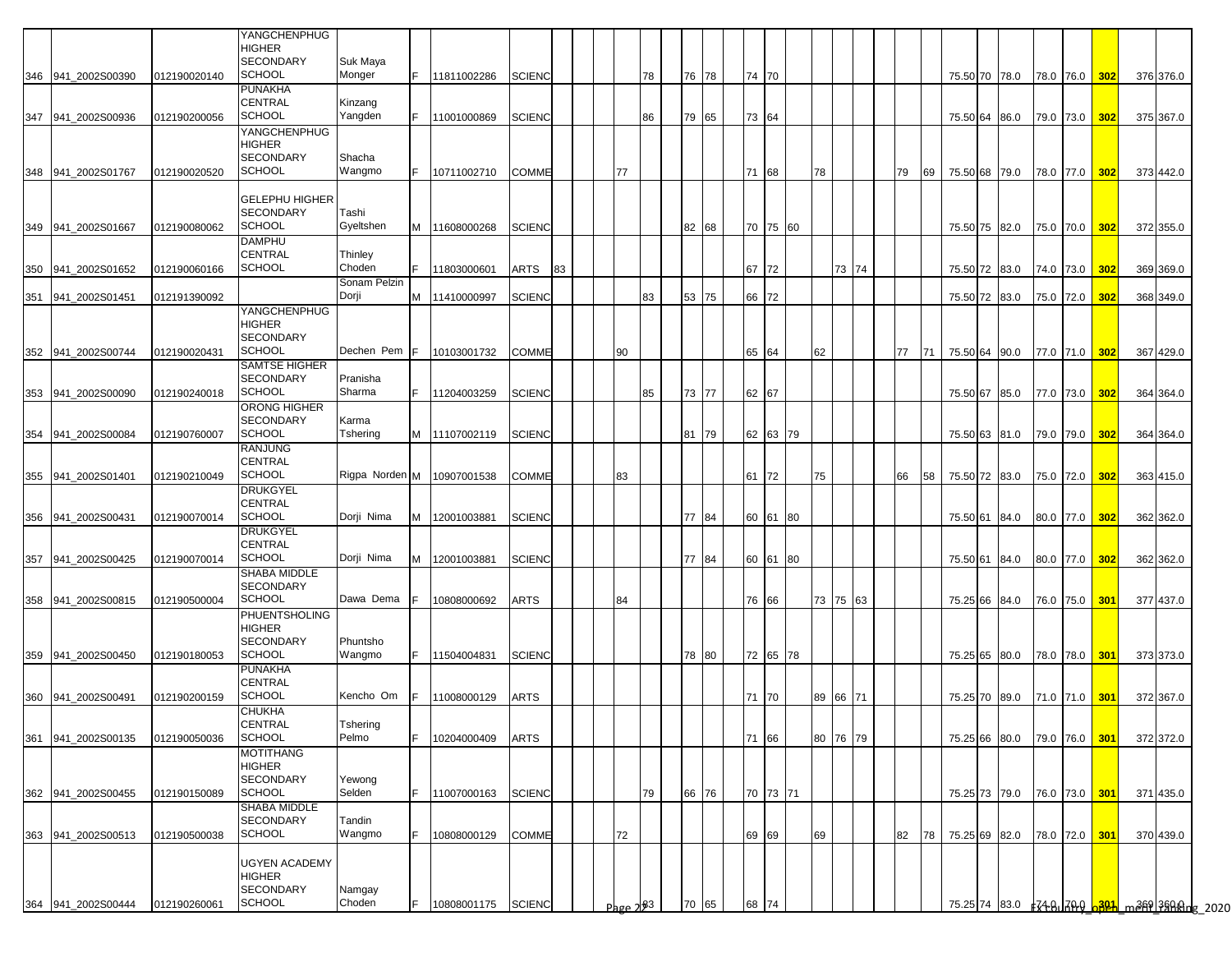|     |                    |              | YANGCHENPHUG                             |                       |     |               |               |    |               |    |       |  |          |    |          |     |    |               |                                |               |     |                                        |  |
|-----|--------------------|--------------|------------------------------------------|-----------------------|-----|---------------|---------------|----|---------------|----|-------|--|----------|----|----------|-----|----|---------------|--------------------------------|---------------|-----|----------------------------------------|--|
|     |                    |              | HIGHER                                   |                       |     |               |               |    |               |    |       |  |          |    |          |     |    |               |                                |               |     |                                        |  |
|     |                    |              | <b>SECONDARY</b>                         | Suk Maya              |     |               |               |    |               |    |       |  |          |    |          |     |    |               |                                |               |     |                                        |  |
|     | 346 941 2002S00390 | 012190020140 | <b>SCHOOL</b>                            | Monger                | IF. | 11811002286   | <b>SCIENC</b> |    |               | 78 | 76 78 |  | 74 70    |    |          |     |    |               | 75.50 70 78.0 78.0 76.0        |               | 302 | 376 376.0                              |  |
|     |                    |              | PUNAKHA<br>CENTRAL                       | Kinzang               |     |               |               |    |               |    |       |  |          |    |          |     |    |               |                                |               |     |                                        |  |
|     | 347 941 2002S00936 | 012190200056 | <b>SCHOOL</b>                            | Yangden               | IF. | 11001000869   | <b>SCIENC</b> |    |               | 86 | 79 65 |  | 73 64    |    |          |     |    |               | 75.50 64 86.0                  | 79.0 73.0 302 |     | 375 367.0                              |  |
|     |                    |              | <b>YANGCHENPHUG</b>                      |                       |     |               |               |    |               |    |       |  |          |    |          |     |    |               |                                |               |     |                                        |  |
|     |                    |              | HIGHER                                   |                       |     |               |               |    |               |    |       |  |          |    |          |     |    |               |                                |               |     |                                        |  |
|     |                    |              | <b>SECONDARY</b>                         | Shacha                |     |               |               |    |               |    |       |  |          |    |          |     |    |               |                                |               |     |                                        |  |
|     | 348 941 2002S01767 | 012190020520 | <b>SCHOOL</b>                            | Wangmo                |     | F 10711002710 | <b>COMME</b>  |    | 77            |    |       |  | 71 68    | 78 |          | 179 |    |               | 69 75.50 68 79.0 78.0 77.0 302 |               |     | 373 442.0                              |  |
|     |                    |              | <b>GELEPHU HIGHER</b>                    |                       |     |               |               |    |               |    |       |  |          |    |          |     |    |               |                                |               |     |                                        |  |
|     |                    |              | <b>SECONDARY</b>                         | Tashi                 |     |               |               |    |               |    |       |  |          |    |          |     |    |               |                                |               |     |                                        |  |
|     | 349 941 2002S01667 | 012190080062 | <b>SCHOOL</b>                            | Gyeltshen             |     | M 11608000268 | <b>SCIENC</b> |    |               |    | 82 68 |  | 70 75 60 |    |          |     |    |               | 75.50 75 82.0 75.0 70.0        |               | 302 | 372 355.0                              |  |
|     |                    |              | DAMPHU                                   |                       |     |               |               |    |               |    |       |  |          |    |          |     |    |               |                                |               |     |                                        |  |
|     |                    |              | CENTRAL                                  | Thinley               |     |               |               |    |               |    |       |  |          |    |          |     |    |               |                                |               |     |                                        |  |
| 350 | 941_2002S01652     | 012190060166 | SCHOOL                                   | Choden                | F.  | 11803000601   | ARTS          | 83 |               |    |       |  | 67 72    |    | 73 74    |     |    |               | 75.50 72 83.0 74.0 73.0        |               | 302 | 369 369.0                              |  |
| 351 | 941 2002S01451     | 012191390092 |                                          | Sonam Pelzin<br>Dorji | M   | 11410000997   | <b>SCIENC</b> |    |               | 83 | 53 75 |  | 66 72    |    |          |     |    | 75.50 72 83.0 |                                | 75.0 72.0     | 302 | 368 349.0                              |  |
|     |                    |              | YANGCHENPHUG                             |                       |     |               |               |    |               |    |       |  |          |    |          |     |    |               |                                |               |     |                                        |  |
|     |                    |              | HIGHER                                   |                       |     |               |               |    |               |    |       |  |          |    |          |     |    |               |                                |               |     |                                        |  |
|     |                    |              | <b>SECONDARY</b>                         |                       |     |               |               |    |               |    |       |  |          |    |          |     |    |               |                                |               |     |                                        |  |
|     | 352 941_2002S00744 | 012190020431 | SCHOOL                                   | Dechen Pem F          |     | 10103001732   | COMME         |    | 90            |    |       |  | 65 64    | 62 |          | 77  | 71 |               | 75.50 64 90.0 77.0 71.0        |               | 302 | 367 429.0                              |  |
|     |                    |              | <b>SAMTSE HIGHER</b><br><b>SECONDARY</b> |                       |     |               |               |    |               |    |       |  |          |    |          |     |    |               |                                |               |     |                                        |  |
|     | 353 941 2002S00090 | 012190240018 | <b>SCHOOL</b>                            | Pranisha<br>Sharma    | F.  | 11204003259   | <b>SCIENC</b> |    |               | 85 | 73 77 |  | 62 67    |    |          |     |    |               | 75.50 67 85.0 77.0 73.0        |               | 302 | 364 364.0                              |  |
|     |                    |              | <b>ORONG HIGHER</b>                      |                       |     |               |               |    |               |    |       |  |          |    |          |     |    |               |                                |               |     |                                        |  |
|     |                    |              | SECONDARY                                | Karma                 |     |               |               |    |               |    |       |  |          |    |          |     |    |               |                                |               |     |                                        |  |
|     | 354 941_2002S00084 | 012190760007 | <b>SCHOOL</b>                            | Tshering              |     | M 11107002119 | <b>SCIENC</b> |    |               |    | 81 79 |  | 62 63 79 |    |          |     |    |               | 75.50 63 81.0 79.0 79.0 302    |               |     | 364 364.0                              |  |
|     |                    |              | <b>RANJUNG</b>                           |                       |     |               |               |    |               |    |       |  |          |    |          |     |    |               |                                |               |     |                                        |  |
|     |                    |              | CENTRAL<br><b>SCHOOL</b>                 |                       |     |               |               |    |               |    |       |  |          |    |          |     |    |               |                                |               |     |                                        |  |
|     | 355 941_2002S01401 | 012190210049 | DRUKGYEL                                 | Rigpa Norden M        |     | 10907001538   | COMME         |    | 83            |    |       |  | 61 72    | 75 |          | 66  | 58 |               | 75.50 72 83.0 75.0 72.0 302    |               |     | 363 415.0                              |  |
|     |                    |              | CENTRAL                                  |                       |     |               |               |    |               |    |       |  |          |    |          |     |    |               |                                |               |     |                                        |  |
|     | 356 941_2002S00431 | 012190070014 | <b>SCHOOL</b>                            | Dorji Nima            | M   | 12001003881   | <b>SCIENC</b> |    |               |    | 77 84 |  | 60 61 80 |    |          |     |    |               | 75.50 61 84.0 80.0 77.0 302    |               |     | 362 362.0                              |  |
|     |                    |              | <b>DRUKGYEL</b>                          |                       |     |               |               |    |               |    |       |  |          |    |          |     |    |               |                                |               |     |                                        |  |
|     |                    |              | CENTRAL                                  |                       |     |               |               |    |               |    |       |  |          |    |          |     |    |               |                                |               |     |                                        |  |
|     | 357 941 2002S00425 | 012190070014 | <b>SCHOOL</b><br>SHABA MIDDLE            | Dorji Nima            | M   | 12001003881   | <b>SCIENC</b> |    |               |    | 77 84 |  | 60 61 80 |    |          |     |    |               | 75.50 61 84.0 80.0 77.0 302    |               |     | 362 362.0                              |  |
|     |                    |              | <b>SECONDARY</b>                         |                       |     |               |               |    |               |    |       |  |          |    |          |     |    |               |                                |               |     |                                        |  |
|     | 358 941 2002S00815 | 012190500004 | <b>SCHOOL</b>                            | Dawa Dema             | IF. | 10808000692   | ARTS          |    | 84            |    |       |  | 76 66    |    | 73 75 63 |     |    |               | 75.25 66 84.0 76.0 75.0 301    |               |     | 377 437.0                              |  |
|     |                    |              | PHUENTSHOLING                            |                       |     |               |               |    |               |    |       |  |          |    |          |     |    |               |                                |               |     |                                        |  |
|     |                    |              | HIGHER                                   |                       |     |               |               |    |               |    |       |  |          |    |          |     |    |               |                                |               |     |                                        |  |
|     |                    |              | <b>SECONDARY</b>                         | Phuntsho              |     |               |               |    |               |    |       |  |          |    |          |     |    |               |                                |               |     |                                        |  |
|     | 359 941 2002S00450 | 012190180053 | <b>SCHOOL</b><br>PUNAKHA                 | Wangmo                | lF. | 11504004831   | <b>SCIENC</b> |    |               |    | 78 80 |  | 72 65 78 |    |          |     |    |               | 75.25 65 80.0 78.0 78.0 301    |               |     | 373 373.0                              |  |
|     |                    |              | <b>CENTRAL</b>                           |                       |     |               |               |    |               |    |       |  |          |    |          |     |    |               |                                |               |     |                                        |  |
|     | 360 941_2002S00491 | 012190200159 | SCHOOL                                   | Kencho Om             |     | 11008000129   | ARTS          |    |               |    |       |  | 71 70    |    | 89 66 71 |     |    |               | 75.25 70 89.0 71.0 71.0        |               | 301 | 372 367.0                              |  |
|     |                    |              | <b>CHUKHA</b>                            |                       |     |               |               |    |               |    |       |  |          |    |          |     |    |               |                                |               |     |                                        |  |
|     |                    |              | CENTRAL                                  | Tshering              |     |               |               |    |               |    |       |  |          |    |          |     |    |               |                                |               |     |                                        |  |
| 361 | 941 2002S00135     | 012190050036 | <b>SCHOOL</b>                            | Pelmo                 | F.  | 10204000409   | ARTS          |    |               |    |       |  | 71 66    |    | 80 76 79 |     |    | 75.25 66 80.0 |                                | 79.0 76.0     | 301 | 372 372.0                              |  |
|     |                    |              | MOTITHANG<br>HIGHER                      |                       |     |               |               |    |               |    |       |  |          |    |          |     |    |               |                                |               |     |                                        |  |
|     |                    |              | SECONDARY                                | Yewong                |     |               |               |    |               |    |       |  |          |    |          |     |    |               |                                |               |     |                                        |  |
| 362 | 941_2002S00455     | 012190150089 | <b>SCHOOL</b>                            | Selden                | F.  | 11007000163   | <b>SCIENC</b> |    |               | 79 | 66 76 |  | 70 73 71 |    |          |     |    |               | 75.25 73 79.0 76.0 73.0 301    |               |     | 371 435.0                              |  |
|     |                    |              | SHABA MIDDLE                             |                       |     |               |               |    |               |    |       |  |          |    |          |     |    |               |                                |               |     |                                        |  |
|     |                    |              | SECONDARY                                | Tandin                |     |               |               |    |               |    |       |  |          |    |          |     |    |               |                                |               |     |                                        |  |
|     | 363 941_2002S00513 | 012190500038 | <b>SCHOOL</b>                            | Wangmo                | lF. | 10808000129   | COMME         |    | 72            |    |       |  | 69 69    | 69 |          | 82  | 78 |               | 75.25 69 82.0 78.0 72.0 301    |               |     | 370 439.0                              |  |
|     |                    |              | <b>UGYEN ACADEMY</b>                     |                       |     |               |               |    |               |    |       |  |          |    |          |     |    |               |                                |               |     |                                        |  |
|     |                    |              | HIGHER                                   |                       |     |               |               |    |               |    |       |  |          |    |          |     |    |               |                                |               |     |                                        |  |
|     |                    |              | <b>SECONDARY</b>                         | Namgay                |     |               |               |    |               |    |       |  |          |    |          |     |    |               |                                |               |     |                                        |  |
| 364 | 941_2002S00444     | 012190260061 | SCHOOL                                   | Choden                | F.  | 10808001175   | <b>SCIENC</b> |    | Page $2^{83}$ |    | 70 65 |  | 68 74    |    |          |     |    |               |                                |               |     | 75.25 74 83.0 FZ48 70 0381 m369 798 mg |  |
|     |                    |              |                                          |                       |     |               |               |    |               |    |       |  |          |    |          |     |    |               |                                |               |     |                                        |  |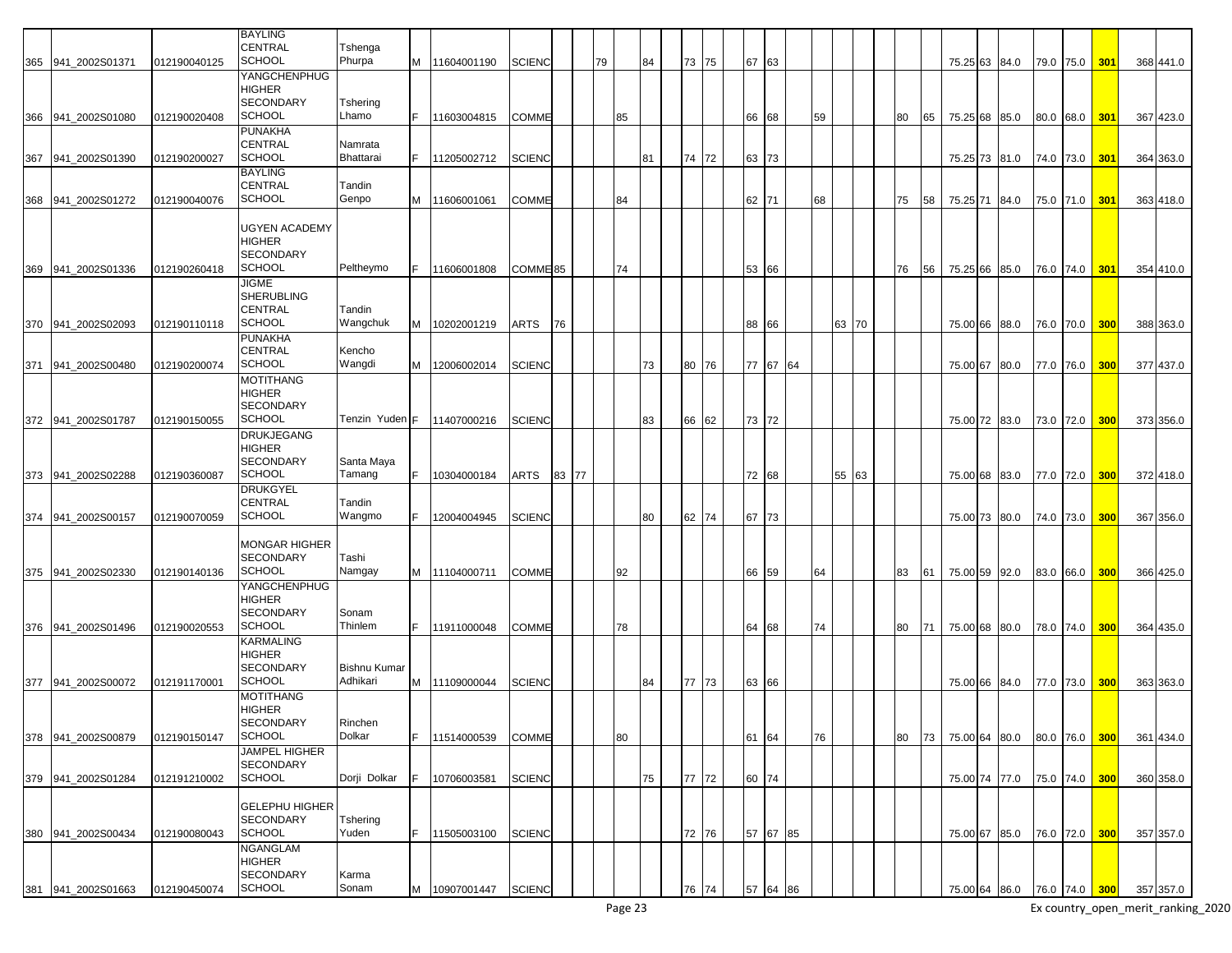|     |                    |              | <b>BAYLING</b>                    |                     |   |                 |                     |       |    |    |    |    |       |       |          |    |    |       |    |    |               |      |           |               |     |           |
|-----|--------------------|--------------|-----------------------------------|---------------------|---|-----------------|---------------------|-------|----|----|----|----|-------|-------|----------|----|----|-------|----|----|---------------|------|-----------|---------------|-----|-----------|
|     |                    |              | <b>CENTRAL</b>                    | Tshenga             |   |                 |                     |       |    |    |    |    |       |       |          |    |    |       |    |    |               |      |           |               |     |           |
|     | 365 941_2002S01371 | 012190040125 | <b>SCHOOL</b>                     | Phurpa              | M | 11604001190     | <b>SCIENC</b>       |       | 79 |    | 84 |    | 73 75 | 67    | 63       |    |    |       |    |    | 75.25 63 84.0 |      |           | 79.0 75.0     | 301 | 368 441.0 |
|     |                    |              | YANGCHENPHUG                      |                     |   |                 |                     |       |    |    |    |    |       |       |          |    |    |       |    |    |               |      |           |               |     |           |
|     |                    |              | <b>HIGHER</b>                     |                     |   |                 |                     |       |    |    |    |    |       |       |          |    |    |       |    |    |               |      |           |               |     |           |
|     |                    |              | <b>SECONDARY</b>                  |                     |   |                 |                     |       |    |    |    |    |       |       |          |    |    |       |    |    |               |      |           |               |     |           |
|     |                    |              |                                   | Tshering            |   |                 |                     |       |    |    |    |    |       |       |          |    |    |       |    |    |               |      |           |               |     |           |
|     | 366 941 2002S01080 | 012190020408 | <b>SCHOOL</b>                     | Lhamo               |   | 11603004815     | COMME               |       |    | 85 |    |    |       | 66 68 |          | 59 |    |       | 80 | 65 | 75.25 68 85.0 |      |           | 80.0 68.0     | 301 | 367 423.0 |
|     |                    |              | <b>PUNAKHA</b>                    |                     |   |                 |                     |       |    |    |    |    |       |       |          |    |    |       |    |    |               |      |           |               |     |           |
|     |                    |              | <b>CENTRAL</b>                    | Namrata             |   |                 |                     |       |    |    |    |    |       |       |          |    |    |       |    |    |               |      |           |               |     |           |
| 367 | 941_2002S01390     | 012190200027 | <b>SCHOOL</b>                     | Bhattarai           |   | 11205002712     | <b>SCIENC</b>       |       |    |    | 81 |    | 74 72 | 63 73 |          |    |    |       |    |    | 75.25 73 81.0 |      | 74.0 73.0 |               | 301 | 364 363.0 |
|     |                    |              | <b>BAYLING</b>                    |                     |   |                 |                     |       |    |    |    |    |       |       |          |    |    |       |    |    |               |      |           |               |     |           |
|     |                    |              | <b>CENTRAL</b>                    | Tandin              |   |                 |                     |       |    |    |    |    |       |       |          |    |    |       |    |    |               |      |           |               |     |           |
| 368 | 941 2002S01272     | 012190040076 | <b>SCHOOL</b>                     | Genpo               | м | 11606001061     | COMME               |       |    | 84 |    |    |       | 62 71 |          | 68 |    |       | 75 | 58 | 75.25 71      | 84.0 |           | 75.0 71.0     | 301 | 363 418.0 |
|     |                    |              |                                   |                     |   |                 |                     |       |    |    |    |    |       |       |          |    |    |       |    |    |               |      |           |               |     |           |
|     |                    |              | <b>UGYEN ACADEMY</b>              |                     |   |                 |                     |       |    |    |    |    |       |       |          |    |    |       |    |    |               |      |           |               |     |           |
|     |                    |              | <b>HIGHER</b>                     |                     |   |                 |                     |       |    |    |    |    |       |       |          |    |    |       |    |    |               |      |           |               |     |           |
|     |                    |              | <b>SECONDARY</b>                  |                     |   |                 |                     |       |    |    |    |    |       |       |          |    |    |       |    |    |               |      |           |               |     |           |
|     |                    |              | <b>SCHOOL</b>                     |                     |   |                 |                     |       |    |    |    |    |       |       |          |    |    |       |    |    |               |      |           |               |     |           |
| 369 | 941 2002S01336     | 012190260418 |                                   | Peltheymo           |   | 11606001808     | COMME <sup>85</sup> |       |    | 74 |    |    |       | 53    | 66       |    |    |       | 76 | 56 | 75.25 66      | 85.0 |           | 76.0 74.0     | 301 | 354 410.0 |
|     |                    |              | <b>JIGME</b>                      |                     |   |                 |                     |       |    |    |    |    |       |       |          |    |    |       |    |    |               |      |           |               |     |           |
|     |                    |              | <b>SHERUBLING</b>                 |                     |   |                 |                     |       |    |    |    |    |       |       |          |    |    |       |    |    |               |      |           |               |     |           |
|     |                    |              | <b>CENTRAL</b>                    | Tandin              |   |                 |                     |       |    |    |    |    |       |       |          |    |    |       |    |    |               |      |           |               |     |           |
|     | 370 941 2002S02093 | 012190110118 | SCHOOL                            | Wangchuk            |   | M 10202001219   | ARTS                | 76    |    |    |    |    |       | 88 66 |          |    |    | 63 70 |    |    | 75.00 66 88.0 |      |           | 76.0 70.0     | 300 | 388 363.0 |
|     |                    |              | <b>PUNAKHA</b>                    |                     |   |                 |                     |       |    |    |    |    |       |       |          |    |    |       |    |    |               |      |           |               |     |           |
|     |                    |              | <b>CENTRAL</b>                    | Kencho              |   |                 |                     |       |    |    |    |    |       |       |          |    |    |       |    |    |               |      |           |               |     |           |
| 371 | 941 2002S00480     | 012190200074 | <b>SCHOOL</b>                     | Wangdi              | м | 12006002014     | <b>SCIENC</b>       |       |    |    | 73 |    | 80 76 |       | 77 67 64 |    |    |       |    |    | 75.00 67 80.0 |      | 77.0 76.0 |               | 300 | 377 437.0 |
|     |                    |              | <b>MOTITHANG</b>                  |                     |   |                 |                     |       |    |    |    |    |       |       |          |    |    |       |    |    |               |      |           |               |     |           |
|     |                    |              | <b>HIGHER</b>                     |                     |   |                 |                     |       |    |    |    |    |       |       |          |    |    |       |    |    |               |      |           |               |     |           |
|     |                    |              | <b>SECONDARY</b>                  |                     |   |                 |                     |       |    |    |    |    |       |       |          |    |    |       |    |    |               |      |           |               |     |           |
| 372 | 941 2002S01787     | 012190150055 | <b>SCHOOL</b>                     | Tenzin Yuden F      |   | 11407000216     | <b>SCIENC</b>       |       |    |    | 83 | 66 | 62    | 73 72 |          |    |    |       |    |    | 75.00 72      | 83.0 | 73.0 72.0 |               | 300 | 373 356.0 |
|     |                    |              |                                   |                     |   |                 |                     |       |    |    |    |    |       |       |          |    |    |       |    |    |               |      |           |               |     |           |
|     |                    |              | <b>DRUKJEGANG</b>                 |                     |   |                 |                     |       |    |    |    |    |       |       |          |    |    |       |    |    |               |      |           |               |     |           |
|     |                    |              | <b>HIGHER</b><br><b>SECONDARY</b> |                     |   |                 |                     |       |    |    |    |    |       |       |          |    |    |       |    |    |               |      |           |               |     |           |
|     |                    |              | SCHOOL                            | Santa Maya          |   |                 |                     |       |    |    |    |    |       |       |          |    |    |       |    |    |               |      |           |               |     |           |
| 373 | 941 2002S02288     | 012190360087 |                                   | Tamang              |   | 10304000184     | ARTS                | 83 77 |    |    |    |    |       | 72 68 |          |    | 55 | 63    |    |    | 75.00 68      | 83.0 | 77.0      | 72.0          | 300 | 372 418.0 |
|     |                    |              | <b>DRUKGYEL</b>                   |                     |   |                 |                     |       |    |    |    |    |       |       |          |    |    |       |    |    |               |      |           |               |     |           |
|     |                    |              | <b>CENTRAL</b>                    | Tandin              |   |                 |                     |       |    |    |    |    |       |       |          |    |    |       |    |    |               |      |           |               |     |           |
| 374 | 941 2002S00157     | 012190070059 | <b>SCHOOL</b>                     | Wangmo              |   | 12004004945     | <b>SCIENC</b>       |       |    |    | 80 |    | 62 74 | 67    | 73       |    |    |       |    |    | 75.00 73      | 80.0 | 74.0 73.0 |               | 300 | 367 356.0 |
|     |                    |              |                                   |                     |   |                 |                     |       |    |    |    |    |       |       |          |    |    |       |    |    |               |      |           |               |     |           |
|     |                    |              | <b>MONGAR HIGHER</b>              |                     |   |                 |                     |       |    |    |    |    |       |       |          |    |    |       |    |    |               |      |           |               |     |           |
|     |                    |              | <b>SECONDARY</b>                  | Tashi               |   |                 |                     |       |    |    |    |    |       |       |          |    |    |       |    |    |               |      |           |               |     |           |
| 375 | 941 2002S02330     | 012190140136 | <b>SCHOOL</b>                     | Namgay              |   | M 11104000711   | <b>COMME</b>        |       |    | 92 |    |    |       | 66    | 59       | 64 |    |       | 83 | 61 | 75.00 59 92.0 |      |           | 83.0 66.0     | 300 | 366 425.0 |
|     |                    |              | YANGCHENPHUG                      |                     |   |                 |                     |       |    |    |    |    |       |       |          |    |    |       |    |    |               |      |           |               |     |           |
|     |                    |              | <b>HIGHER</b>                     |                     |   |                 |                     |       |    |    |    |    |       |       |          |    |    |       |    |    |               |      |           |               |     |           |
|     |                    |              | <b>SECONDARY</b>                  | Sonam               |   |                 |                     |       |    |    |    |    |       |       |          |    |    |       |    |    |               |      |           |               |     |           |
|     | 376 941 2002S01496 | 012190020553 | <b>SCHOOL</b>                     | Thinlem             |   | 11911000048     | <b>COMME</b>        |       |    | 78 |    |    |       | 64    | 68       | 74 |    |       | 80 | 71 | 75.00 68 80.0 |      |           | 78.0 74.0     | 300 | 364 435.0 |
|     |                    |              | <b>KARMALING</b>                  |                     |   |                 |                     |       |    |    |    |    |       |       |          |    |    |       |    |    |               |      |           |               |     |           |
|     |                    |              | <b>HIGHER</b>                     |                     |   |                 |                     |       |    |    |    |    |       |       |          |    |    |       |    |    |               |      |           |               |     |           |
|     |                    |              | <b>SECONDARY</b>                  | <b>Bishnu Kumar</b> |   |                 |                     |       |    |    |    |    |       |       |          |    |    |       |    |    |               |      |           |               |     |           |
|     | 377 941 2002S00072 | 012191170001 | <b>SCHOOL</b>                     | Adhikari            | M | 11109000044     | <b>SCIENC</b>       |       |    |    | 84 |    | 77 73 | 63 66 |          |    |    |       |    |    | 75.00 66 84.0 |      |           | 77.0 73.0     | 300 | 363 363.0 |
|     |                    |              | <b>MOTITHANG</b>                  |                     |   |                 |                     |       |    |    |    |    |       |       |          |    |    |       |    |    |               |      |           |               |     |           |
|     |                    |              | <b>HIGHER</b>                     |                     |   |                 |                     |       |    |    |    |    |       |       |          |    |    |       |    |    |               |      |           |               |     |           |
|     |                    |              | SECONDARY                         | Rinchen             |   |                 |                     |       |    |    |    |    |       |       |          |    |    |       |    |    |               |      |           |               |     |           |
|     | 378 941_2002S00879 | 012190150147 | <b>SCHOOL</b>                     | Dolkar              |   | 11514000539     | COMME               |       |    | 80 |    |    |       | 61    | 64       | 76 |    |       | 80 | 73 | 75.00 64 80.0 |      |           | 80.0 76.0     | 300 | 361 434.0 |
|     |                    |              | <b>JAMPEL HIGHER</b>              |                     |   |                 |                     |       |    |    |    |    |       |       |          |    |    |       |    |    |               |      |           |               |     |           |
|     |                    |              | <b>SECONDARY</b>                  |                     |   |                 |                     |       |    |    |    |    |       |       |          |    |    |       |    |    |               |      |           |               |     |           |
|     |                    |              | <b>SCHOOL</b>                     | Dorji Dolkar        |   |                 |                     |       |    |    |    |    |       |       |          |    |    |       |    |    |               |      |           |               |     |           |
|     | 379 941_2002S01284 | 012191210002 |                                   |                     |   | 10706003581     | <b>SCIENC</b>       |       |    |    | 75 |    | 77 72 | 60 74 |          |    |    |       |    |    | 75.00 74 77.0 |      |           | 75.0 74.0 300 |     | 360 358.0 |
|     |                    |              |                                   |                     |   |                 |                     |       |    |    |    |    |       |       |          |    |    |       |    |    |               |      |           |               |     |           |
|     |                    |              | <b>GELEPHU HIGHER</b>             |                     |   |                 |                     |       |    |    |    |    |       |       |          |    |    |       |    |    |               |      |           |               |     |           |
|     |                    |              | <b>SECONDARY</b>                  | Tshering            |   |                 |                     |       |    |    |    |    |       |       |          |    |    |       |    |    |               |      |           |               |     |           |
|     | 380 941 2002S00434 | 012190080043 | SCHOOL                            | Yuden               |   | 11505003100     | <b>SCIENC</b>       |       |    |    |    |    | 72 76 |       | 57 67 85 |    |    |       |    |    | 75.00 67 85.0 |      |           | 76.0 72.0 300 |     | 357 357.0 |
|     |                    |              | <b>NGANGLAM</b>                   |                     |   |                 |                     |       |    |    |    |    |       |       |          |    |    |       |    |    |               |      |           |               |     |           |
|     |                    |              | <b>HIGHER</b>                     |                     |   |                 |                     |       |    |    |    |    |       |       |          |    |    |       |    |    |               |      |           |               |     |           |
|     |                    |              | <b>SECONDARY</b>                  | Karma               |   |                 |                     |       |    |    |    |    |       |       |          |    |    |       |    |    |               |      |           |               |     |           |
|     | 381 941_2002S01663 | 012190450074 | <b>SCHOOL</b>                     | Sonam               |   | M   10907001447 | <b>SCIENC</b>       |       |    |    |    |    | 76 74 | 57    | 64 86    |    |    |       |    |    | 75.00 64 86.0 |      |           | 76.0 74.0 300 |     | 357 357.0 |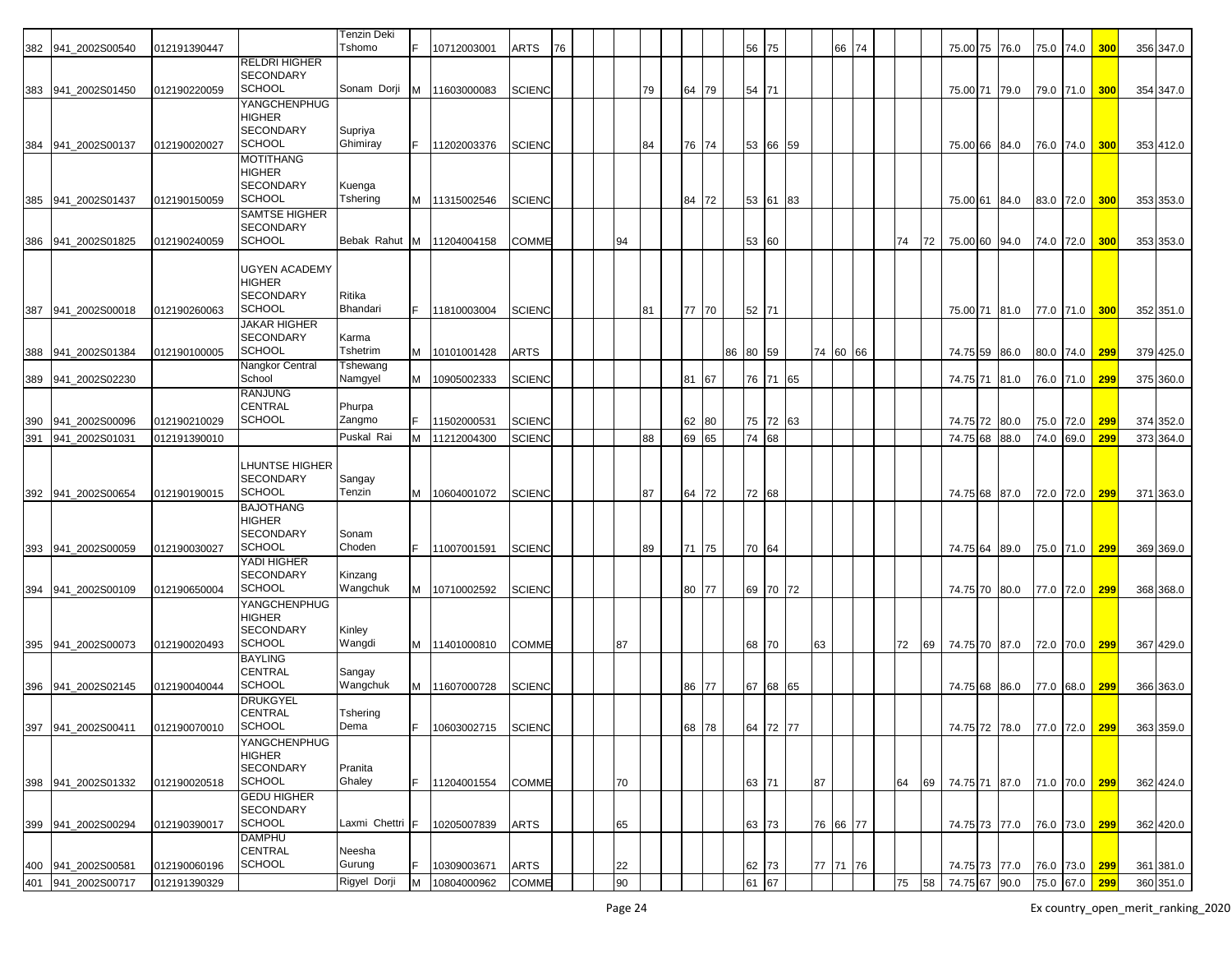|     |                    |              |                                   | <b>Tenzin Deki</b>  |   |               |               |    |    |    |       |    |          |          |          |    |          |    |    |                             |      |           |               |              |           |
|-----|--------------------|--------------|-----------------------------------|---------------------|---|---------------|---------------|----|----|----|-------|----|----------|----------|----------|----|----------|----|----|-----------------------------|------|-----------|---------------|--------------|-----------|
| 382 | 941 2002S00540     | 012191390447 |                                   | Tshomo              |   | 10712003001   | ARTS          | 76 |    |    |       |    |          | 56 75    |          |    | 66 74    |    |    | 75.00 75                    | 76.0 |           | 75.0 74.0 300 |              | 356 347.0 |
|     |                    |              | <b>RELDRI HIGHER</b>              |                     |   |               |               |    |    |    |       |    |          |          |          |    |          |    |    |                             |      |           |               |              |           |
| 383 | 941 2002S01450     | 012190220059 | <b>SECONDARY</b><br><b>SCHOOL</b> | Sonam Dorji         | м | 11603000083   | <b>SCIENC</b> |    |    | 79 | 64 79 |    |          | 54 71    |          |    |          |    |    | 75.00 71                    | 79.0 | 79.0 71.0 |               | 300          | 354 347.0 |
|     |                    |              | <b>YANGCHENPHUG</b>               |                     |   |               |               |    |    |    |       |    |          |          |          |    |          |    |    |                             |      |           |               |              |           |
|     |                    |              | <b>HIGHER</b><br><b>SECONDARY</b> |                     |   |               |               |    |    |    |       |    |          |          |          |    |          |    |    |                             |      |           |               |              |           |
| 384 | 941_2002S00137     | 012190020027 | <b>SCHOOL</b>                     | Supriya<br>Ghimiray |   | 11202003376   | <b>SCIENC</b> |    |    | 84 | 76 74 |    |          | 53 66    | 59       |    |          |    |    | 75.00 66 84.0               |      | 76.0 74.0 |               | 300          | 353 412.0 |
|     |                    |              | <b>MOTITHANG</b>                  |                     |   |               |               |    |    |    |       |    |          |          |          |    |          |    |    |                             |      |           |               |              |           |
|     |                    |              | <b>HIGHER</b><br><b>SECONDARY</b> |                     |   |               |               |    |    |    |       |    |          |          |          |    |          |    |    |                             |      |           |               |              |           |
| 385 | 941 2002S01437     | 012190150059 | SCHOOL                            | Kuenga<br>Tshering  | M | 11315002546   | <b>SCIENC</b> |    |    |    | 84 72 |    |          | 53 61    | 83       |    |          |    |    | 75.00 61 84.0               |      | 83.0 72.0 |               | 300          | 353 353.0 |
|     |                    |              | <b>SAMTSE HIGHER</b>              |                     |   |               |               |    |    |    |       |    |          |          |          |    |          |    |    |                             |      |           |               |              |           |
|     | 941 2002S01825     | 012190240059 | <b>SECONDARY</b><br><b>SCHOOL</b> | Bebak Rahut         | M | 11204004158   | <b>COMME</b>  |    | 94 |    |       |    |          |          | 60       |    |          | 74 | 72 | 75.00 60                    | 94.0 |           |               | 300          |           |
| 386 |                    |              |                                   |                     |   |               |               |    |    |    |       |    |          | 53       |          |    |          |    |    |                             |      | 74.0 72.0 |               |              | 353 353.0 |
|     |                    |              | <b>UGYEN ACADEMY</b>              |                     |   |               |               |    |    |    |       |    |          |          |          |    |          |    |    |                             |      |           |               |              |           |
|     |                    |              | <b>HIGHER</b><br><b>SECONDARY</b> | Ritika              |   |               |               |    |    |    |       |    |          |          |          |    |          |    |    |                             |      |           |               |              |           |
| 387 | 941 2002S00018     | 012190260063 | SCHOOL                            | Bhandari            |   | 11810003004   | <b>SCIENC</b> |    |    | 81 | 77 70 |    |          | 52 71    |          |    |          |    |    | 75.00 71 81.0               |      |           | 77.0 71.0 300 |              | 352 351.0 |
|     |                    |              | <b>JAKAR HIGHER</b>               |                     |   |               |               |    |    |    |       |    |          |          |          |    |          |    |    |                             |      |           |               |              |           |
| 388 | 941_2002S01384     | 012190100005 | <b>SECONDARY</b><br><b>SCHOOL</b> | Karma<br>Tshetrim   |   | M 10101001428 | <b>ARTS</b>   |    |    |    |       |    | 86 80 59 |          |          |    | 74 60 66 |    |    | 74.75 59 86.0               |      |           | 80.0 74.0     | <b>299</b>   | 379 425.0 |
|     |                    |              | Nangkor Central                   | Tshewang            |   |               |               |    |    |    |       |    |          |          |          |    |          |    |    |                             |      |           |               |              |           |
| 389 | 941 2002S02230     |              | School                            | Namgyel             | M | 10905002333   | <b>SCIENC</b> |    |    |    | 81 67 |    |          | 76 71    | 65       |    |          |    |    | 74.75 71                    | 81.0 | 76.0 71.0 |               | 299          | 375 360.0 |
|     |                    |              | <b>RANJUNG</b><br><b>CENTRAL</b>  | Phurpa              |   |               |               |    |    |    |       |    |          |          |          |    |          |    |    |                             |      |           |               |              |           |
| 390 | 941 2002S00096     | 012190210029 | <b>SCHOOL</b>                     | Zangmo              |   | 11502000531   | <b>SCIENC</b> |    |    |    | 62 80 |    |          | 75 72    | 63       |    |          |    |    | 74.75 72 80.0               |      | 75.0 72.0 |               | 299          | 374 352.0 |
| 391 | 941_2002S01031     | 012191390010 |                                   | Puskal Rai          | м | 11212004300   | <b>SCIENC</b> |    |    | 88 | 69    | 65 |          | 74<br>68 |          |    |          |    |    | 74.75 68                    | 88.0 | 74.0      | 69.0          | 299          | 373 364.0 |
|     |                    |              | <b>LHUNTSE HIGHER</b>             |                     |   |               |               |    |    |    |       |    |          |          |          |    |          |    |    |                             |      |           |               |              |           |
|     |                    |              | <b>SECONDARY</b>                  | Sangay              |   |               |               |    |    |    |       |    |          |          |          |    |          |    |    |                             |      |           |               |              |           |
| 392 | 941 2002S00654     | 012190190015 | <b>SCHOOL</b>                     | Tenzin              | м | 10604001072   | <b>SCIENC</b> |    |    | 87 | 64    | 72 |          | 72 68    |          |    |          |    |    | 74.75 68 87.0               |      | 72.0 72.0 |               | 299          | 371 363.0 |
|     |                    |              | <b>BAJOTHANG</b><br><b>HIGHER</b> |                     |   |               |               |    |    |    |       |    |          |          |          |    |          |    |    |                             |      |           |               |              |           |
|     |                    |              | <b>SECONDARY</b>                  | Sonam               |   |               |               |    |    |    |       |    |          |          |          |    |          |    |    |                             |      |           |               |              |           |
| 393 | 941 2002S00059     | 012190030027 | <b>SCHOOL</b>                     | Choden              |   | 11007001591   | <b>SCIENC</b> |    |    | 89 | 71 75 |    |          | 70 64    |          |    |          |    |    | 74.75 64 89.0               |      |           | 75.0 71.0 299 |              | 369 369.0 |
|     |                    |              | YADI HIGHER<br><b>SECONDARY</b>   | Kinzang             |   |               |               |    |    |    |       |    |          |          |          |    |          |    |    |                             |      |           |               |              |           |
| 394 | 941 2002S00109     | 012190650004 | <b>SCHOOL</b>                     | Wangchuk            | M | 10710002592   | <b>SCIENC</b> |    |    |    | 80 77 |    |          |          | 69 70 72 |    |          |    |    | 74.75 70 80.0               |      | 77.0 72.0 |               | 299          | 368 368.0 |
|     |                    |              | <b>YANGCHENPHUG</b>               |                     |   |               |               |    |    |    |       |    |          |          |          |    |          |    |    |                             |      |           |               |              |           |
|     |                    |              | <b>HIGHER</b><br><b>SECONDARY</b> | Kinley              |   |               |               |    |    |    |       |    |          |          |          |    |          |    |    |                             |      |           |               |              |           |
| 395 | 941 2002S00073     | 012190020493 | SCHOOL                            | Wangdi              | M | 11401000810   | <b>COMME</b>  |    | 87 |    |       |    |          | 68 70    |          | 63 |          | 72 | 69 | 74.75 70 87.0               |      | 72.0 70.0 |               | 299          | 367 429.0 |
|     |                    |              | <b>BAYLING</b><br><b>CENTRAL</b>  | Sangay              |   |               |               |    |    |    |       |    |          |          |          |    |          |    |    |                             |      |           |               |              |           |
| 396 | 941_2002S02145     | 012190040044 | <b>SCHOOL</b>                     | Wangchuk            | M | 11607000728   | <b>SCIENC</b> |    |    |    | 86 77 |    |          | 67 68    | 65       |    |          |    |    | 74.75 68                    | 86.0 | 77.0 68.0 |               | <u>299  </u> | 366 363.0 |
|     |                    |              | <b>DRUKGYEL</b>                   |                     |   |               |               |    |    |    |       |    |          |          |          |    |          |    |    |                             |      |           |               |              |           |
|     | 397 941_2002S00411 | 012190070010 | <b>CENTRAL</b><br><b>SCHOOL</b>   | Tshering<br>Dema    |   | 10603002715   | <b>SCIENC</b> |    |    |    | 68 78 |    |          |          | 64 72 77 |    |          |    |    | 74.75 72 78.0 77.0 72.0 299 |      |           |               |              | 363 359.0 |
|     |                    |              | YANGCHENPHUG                      |                     |   |               |               |    |    |    |       |    |          |          |          |    |          |    |    |                             |      |           |               |              |           |
|     |                    |              | <b>HIGHER</b>                     |                     |   |               |               |    |    |    |       |    |          |          |          |    |          |    |    |                             |      |           |               |              |           |
|     | 398 941_2002S01332 | 012190020518 | SECONDARY<br><b>SCHOOL</b>        | Pranita<br>Ghaley   |   | 11204001554   | <b>COMME</b>  |    | 70 |    |       |    |          | 63 71    |          | 87 |          | 64 | 69 | 74.75 71 87.0 71.0 70.0 299 |      |           |               |              | 362 424.0 |
|     |                    |              | <b>GEDU HIGHER</b>                |                     |   |               |               |    |    |    |       |    |          |          |          |    |          |    |    |                             |      |           |               |              |           |
|     |                    |              | <b>SECONDARY</b><br><b>SCHOOL</b> | Laxmi Chettri       |   |               |               |    |    |    |       |    |          |          |          |    |          |    |    |                             |      |           |               |              |           |
|     | 399 941_2002S00294 | 012190390017 | <b>DAMPHU</b>                     |                     |   | 10205007839   | <b>ARTS</b>   |    | 65 |    |       |    |          | 63 73    |          |    | 76 66 77 |    |    | 74.75 73 77.0 76.0 73.0 299 |      |           |               |              | 362 420.0 |
|     |                    |              | CENTRAL                           | Neesha              |   |               |               |    |    |    |       |    |          |          |          |    |          |    |    |                             |      |           |               |              |           |
| 400 | 941 2002S00581     | 012190060196 | <b>SCHOOL</b>                     | Gurung              |   | 10309003671   | <b>ARTS</b>   |    | 22 |    |       |    |          | 62 73    |          |    | 77 71 76 |    |    | 74.75 73 77.0 76.0 73.0 299 |      |           |               |              | 361 381.0 |
|     | 401 941_2002S00717 | 012191390329 |                                   | Rigyel Dorji        | M | 10804000962   | <b>COMME</b>  |    | 90 |    |       |    |          | 61 67    |          |    |          | 75 | 58 | 74.75 67 90.0 75.0 67.0 299 |      |           |               |              | 360 351.0 |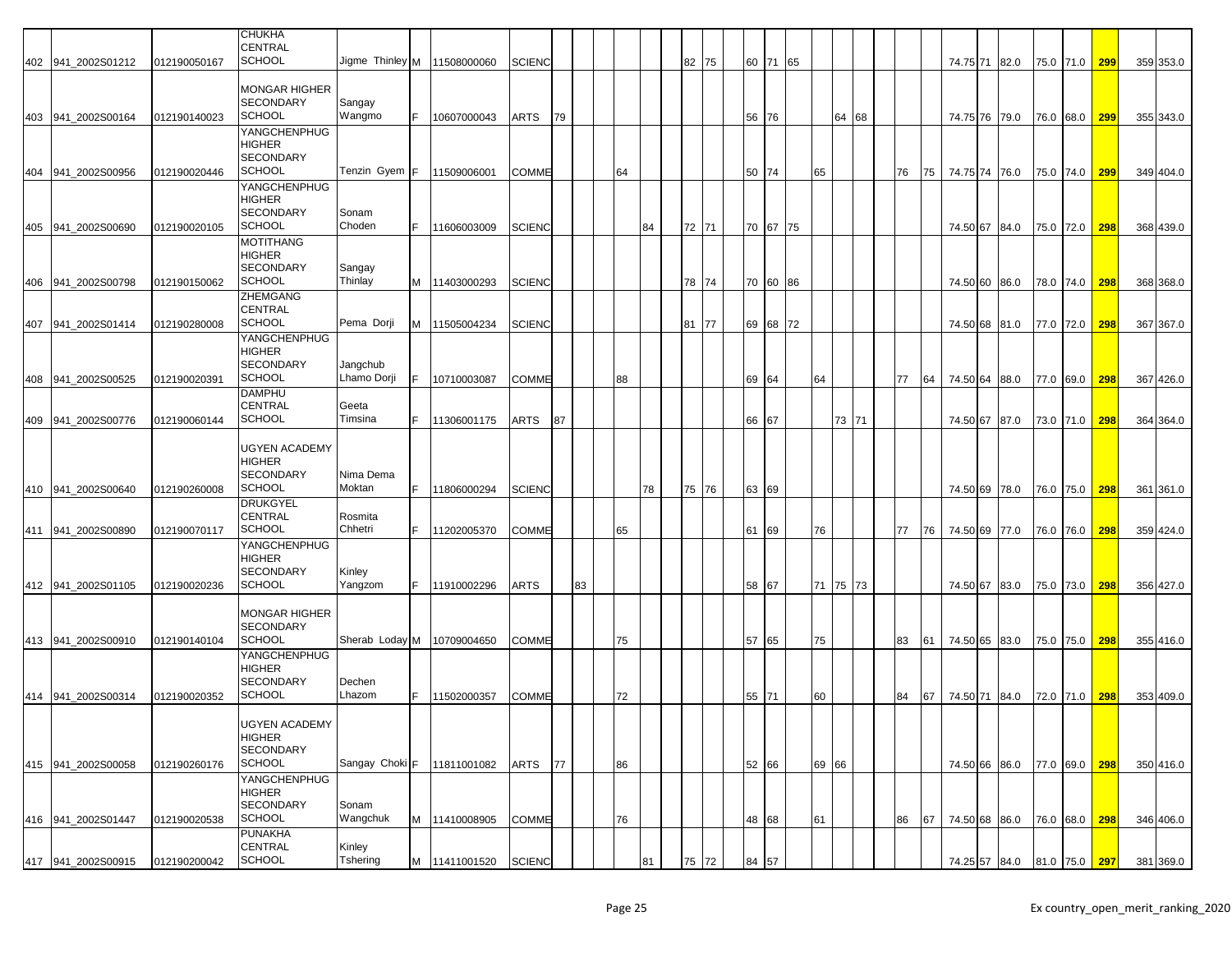|     | 402 941_2002S01212 | 012190050167 | <b>CHUKHA</b><br><b>CENTRAL</b><br><b>SCHOOL</b> | Jigme Thinley M   11508000060 |    |                      | <b>SCIENC</b> |    |    |    |    |    |    | 82 75 | 60 71 |          | 65  |       |       |    |    |    | 74.75 71 82.0               |           | 75.0 71.0 299 |     | 359 353.0 |
|-----|--------------------|--------------|--------------------------------------------------|-------------------------------|----|----------------------|---------------|----|----|----|----|----|----|-------|-------|----------|-----|-------|-------|----|----|----|-----------------------------|-----------|---------------|-----|-----------|
|     |                    |              |                                                  |                               |    |                      |               |    |    |    |    |    |    |       |       |          |     |       |       |    |    |    |                             |           |               |     |           |
|     |                    |              | <b>MONGAR HIGHER</b><br><b>SECONDARY</b>         |                               |    |                      |               |    |    |    |    |    |    |       |       |          |     |       |       |    |    |    |                             |           |               |     |           |
|     | 403 941_2002S00164 | 012190140023 | <b>SCHOOL</b>                                    | Sangay<br>Wangmo              | F. | 10607000043          | <b>ARTS</b>   | 79 |    |    |    |    |    |       | 56 76 |          |     |       | 64 68 |    |    |    | 74.75 76 79.0               |           | 76.0 68.0     | 299 | 355 343.0 |
|     |                    |              | YANGCHENPHUG                                     |                               |    |                      |               |    |    |    |    |    |    |       |       |          |     |       |       |    |    |    |                             |           |               |     |           |
|     |                    |              | <b>HIGHER</b><br><b>SECONDARY</b>                |                               |    |                      |               |    |    |    |    |    |    |       |       |          |     |       |       |    |    |    |                             |           |               |     |           |
|     | 404 941 2002S00956 | 012190020446 | <b>SCHOOL</b>                                    | Tenzin Gyem F   11509006001   |    |                      | <b>COMME</b>  |    |    | 64 |    |    |    |       | 50 74 |          |     | 65    |       |    | 76 | 75 | 74.75 74 76.0               |           | 75.0 74.0     | 299 | 349 404.0 |
|     |                    |              | YANGCHENPHUG<br><b>HIGHER</b>                    |                               |    |                      |               |    |    |    |    |    |    |       |       |          |     |       |       |    |    |    |                             |           |               |     |           |
|     |                    |              | <b>SECONDARY</b>                                 | Sonam                         |    |                      |               |    |    |    |    |    |    |       |       |          |     |       |       |    |    |    |                             |           |               |     |           |
|     | 405 941 2002S00690 | 012190020105 | <b>SCHOOL</b><br><b>MOTITHANG</b>                | Choden                        |    | 11606003009          | <b>SCIENC</b> |    |    |    |    | 84 |    | 72 71 |       | 70 67 75 |     |       |       |    |    |    | 74.50 67 84.0               |           | 75.0 72.0     | 298 | 368 439.0 |
|     |                    |              | <b>HIGHER</b>                                    |                               |    |                      |               |    |    |    |    |    |    |       |       |          |     |       |       |    |    |    |                             |           |               |     |           |
|     | 406 941 2002S00798 | 012190150062 | <b>SECONDARY</b><br><b>SCHOOL</b>                | Sangay<br>Thinlay             |    | M 11403000293        | <b>SCIENC</b> |    |    |    |    |    |    | 78 74 |       | 70 60 86 |     |       |       |    |    |    | 74.50 60 86.0               |           | 78.0 74.0     | 298 | 368 368.0 |
|     |                    |              | ZHEMGANG                                         |                               |    |                      |               |    |    |    |    |    |    |       |       |          |     |       |       |    |    |    |                             |           |               |     |           |
|     | 407 941_2002S01414 | 012190280008 | <b>CENTRAL</b><br><b>SCHOOL</b>                  | Pema Dorji                    |    | M 11505004234        | <b>SCIENC</b> |    |    |    |    |    | 81 | 77    | 69 68 |          | 172 |       |       |    |    |    | 74.50 68 81.0               |           | 77.0 72.0     | 298 | 367 367.0 |
|     |                    |              | YANGCHENPHUG                                     |                               |    |                      |               |    |    |    |    |    |    |       |       |          |     |       |       |    |    |    |                             |           |               |     |           |
|     |                    |              | <b>HIGHER</b><br><b>SECONDARY</b>                | Jangchub                      |    |                      |               |    |    |    |    |    |    |       |       |          |     |       |       |    |    |    |                             |           |               |     |           |
| 408 | 941_2002S00525     | 012190020391 | <b>SCHOOL</b>                                    | Lhamo Dorji                   | F. | 10710003087          | <b>COMME</b>  |    |    |    | 88 |    |    |       | 69 64 |          |     | 64    |       |    | 77 | 64 | 74.50 64 88.0               |           | 77.0 69.0     | 298 | 367 426.0 |
|     |                    |              | <b>DAMPHU</b><br><b>CENTRAL</b>                  | Geeta                         |    |                      |               |    |    |    |    |    |    |       |       |          |     |       |       |    |    |    |                             |           |               |     |           |
|     | 409 941_2002S00776 | 012190060144 | <b>SCHOOL</b>                                    | Timsina                       |    | 11306001175          | <b>ARTS</b>   | 87 |    |    |    |    |    |       | 66 67 |          |     |       | 73 71 |    |    |    | 74.50 67 87.0               |           | 73.0 71.0     | 298 | 364 364.0 |
|     |                    |              | <b>UGYEN ACADEMY</b>                             |                               |    |                      |               |    |    |    |    |    |    |       |       |          |     |       |       |    |    |    |                             |           |               |     |           |
|     |                    |              | <b>HIGHER</b>                                    |                               |    |                      |               |    |    |    |    |    |    |       |       |          |     |       |       |    |    |    |                             |           |               |     |           |
|     | 410 941 2002S00640 | 012190260008 | <b>SECONDARY</b><br><b>SCHOOL</b>                | Nima Dema<br>Moktan           | F. | 11806000294          | <b>SCIENC</b> |    |    |    |    | 78 |    | 75 76 | 63 69 |          |     |       |       |    |    |    | 74.50 69 78.0               |           | 76.0 75.0     | 298 | 361 361.0 |
|     |                    |              | <b>DRUKGYEL</b>                                  |                               |    |                      |               |    |    |    |    |    |    |       |       |          |     |       |       |    |    |    |                             |           |               |     |           |
| 411 | 941_2002S00890     | 012190070117 | <b>CENTRAL</b><br><b>SCHOOL</b>                  | Rosmita<br>Chhetri            |    | 11202005370          | <b>COMME</b>  |    |    |    | 65 |    |    |       | 61    | 69       |     | 76    |       |    | 77 | 76 | 74.50 69 77.0               |           | 76.0 76.0     | 298 | 359 424.0 |
|     |                    |              | YANGCHENPHUG                                     |                               |    |                      |               |    |    |    |    |    |    |       |       |          |     |       |       |    |    |    |                             |           |               |     |           |
|     |                    |              | <b>HIGHER</b><br><b>SECONDARY</b>                | Kinley                        |    |                      |               |    |    |    |    |    |    |       |       |          |     |       |       |    |    |    |                             |           |               |     |           |
|     | 412 941_2002S01105 | 012190020236 | <b>SCHOOL</b>                                    | Yangzom                       |    | 11910002296          | <b>ARTS</b>   |    | 83 |    |    |    |    |       | 58    | 67       |     | 71    | 75    | 73 |    |    | 74.50 67 83.0               |           | 75.0 73.0     | 298 | 356 427.0 |
|     |                    |              | <b>MONGAR HIGHER</b>                             |                               |    |                      |               |    |    |    |    |    |    |       |       |          |     |       |       |    |    |    |                             |           |               |     |           |
|     |                    |              | <b>SECONDARY</b>                                 |                               |    |                      |               |    |    |    |    |    |    |       |       |          |     |       |       |    |    |    |                             |           |               |     |           |
|     | 413 941_2002S00910 | 012190140104 | <b>SCHOOL</b>                                    | Sherab Loday M   10709004650  |    |                      | <b>COMME</b>  |    |    |    | 75 |    |    |       | 57 65 |          |     | 75    |       |    | 83 | 61 | 74.50 65 83.0               |           | 75.0 75.0     | 298 | 355 416.0 |
|     |                    |              | <b>YANGCHENPHUG</b><br>HIGHER                    |                               |    |                      |               |    |    |    |    |    |    |       |       |          |     |       |       |    |    |    |                             |           |               |     |           |
|     |                    |              | <b>SECONDARY</b><br><b>SCHOOL</b>                | Dechen<br>Lhazom              |    |                      |               |    |    |    |    |    |    |       |       |          |     |       |       |    |    |    |                             |           |               |     |           |
|     | 414 941_2002S00314 | 012190020352 |                                                  |                               | F. | 11502000357          | <b>COMME</b>  |    |    |    | 72 |    |    |       | 55 71 |          |     | 60    |       |    | 84 | 67 | 74.50 71 84.0               |           | 72.0 71.0     | 298 | 353 409.0 |
|     |                    |              | <b>UGYEN ACADEMY</b>                             |                               |    |                      |               |    |    |    |    |    |    |       |       |          |     |       |       |    |    |    |                             |           |               |     |           |
|     |                    |              | <b>HIGHER</b><br><b>SECONDARY</b>                |                               |    |                      |               |    |    |    |    |    |    |       |       |          |     |       |       |    |    |    |                             |           |               |     |           |
|     | 415 941_2002S00058 | 012190260176 | <b>SCHOOL</b>                                    | Sangay Choki F 11811001082    |    |                      | ARTS          | 77 |    |    | 86 |    |    |       | 52 66 |          |     | 69 66 |       |    |    |    | 74.50 66 86.0               | 77.0 69.0 |               | 298 | 350 416.0 |
|     |                    |              | YANGCHENPHUG<br><b>HIGHER</b>                    |                               |    |                      |               |    |    |    |    |    |    |       |       |          |     |       |       |    |    |    |                             |           |               |     |           |
|     |                    |              | <b>SECONDARY</b>                                 | Sonam                         |    |                      |               |    |    |    |    |    |    |       |       |          |     |       |       |    |    |    |                             |           |               |     |           |
|     | 416 941 2002S01447 | 012190020538 | <b>SCHOOL</b><br><b>PUNAKHA</b>                  | Wangchuk                      |    | M 11410008905        | <b>COMME</b>  |    |    |    | 76 |    |    |       | 48 68 |          |     | 61    |       |    | 86 | 67 | 74.50 68 86.0               |           | 76.0 68.0     | 298 | 346 406.0 |
|     |                    |              | <b>CENTRAL</b><br><b>SCHOOL</b>                  | Kinley                        |    |                      |               |    |    |    |    |    |    |       |       |          |     |       |       |    |    |    |                             |           |               |     |           |
|     | 417 941_2002S00915 | 012190200042 |                                                  | Tshering                      |    | M 11411001520 SCIENC |               |    |    |    |    | 81 |    | 75 72 | 84    | 57       |     |       |       |    |    |    | 74.25 57 84.0 81.0 75.0 297 |           |               |     | 381 369.0 |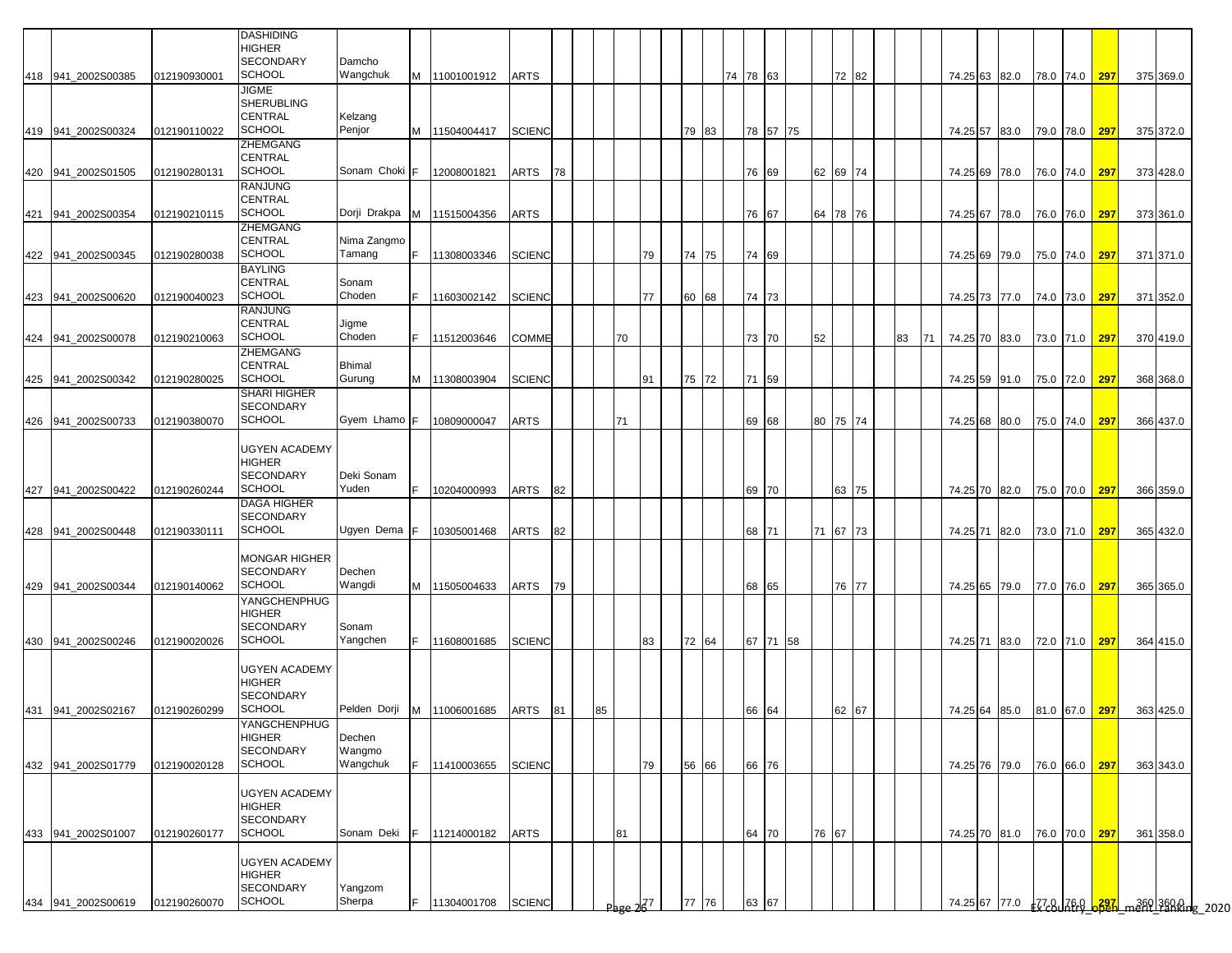|     |                    |              | <b>DASHIDING</b>     |               |     |                            |               |    |    |       |     |          |          |          |       |          |    |    |               |                             |               |            |                                                |  |
|-----|--------------------|--------------|----------------------|---------------|-----|----------------------------|---------------|----|----|-------|-----|----------|----------|----------|-------|----------|----|----|---------------|-----------------------------|---------------|------------|------------------------------------------------|--|
|     |                    |              | <b>HIGHER</b>        |               |     |                            |               |    |    |       |     |          |          |          |       |          |    |    |               |                             |               |            |                                                |  |
|     |                    |              | <b>SECONDARY</b>     | Damcho        |     |                            |               |    |    |       |     |          |          |          |       |          |    |    |               |                             |               |            |                                                |  |
|     | 418 941 2002S00385 | 012190930001 | <b>SCHOOL</b>        | Wangchuk      |     | M 11001001912              | <b>ARTS</b>   |    |    |       |     |          | 74 78 63 |          |       | 72 82    |    |    |               | 74.25 63 82.0               | 78.0 74.0     | 297        | 375 369.0                                      |  |
|     |                    |              | <b>JIGME</b>         |               |     |                            |               |    |    |       |     |          |          |          |       |          |    |    |               |                             |               |            |                                                |  |
|     |                    |              | <b>SHERUBLING</b>    |               |     |                            |               |    |    |       |     |          |          |          |       |          |    |    |               |                             |               |            |                                                |  |
|     |                    |              | CENTRAL              | Kelzang       |     |                            |               |    |    |       |     |          |          |          |       |          |    |    |               |                             |               |            |                                                |  |
|     | 419 941_2002S00324 | 012190110022 | <b>SCHOOL</b>        | Penjor        |     | M 11504004417              | <b>SCIENC</b> |    |    |       |     | 79<br>83 |          | 78 57 75 |       |          |    |    |               | 74.25 57 83.0 79.0 78.0 297 |               |            | 375 372.0                                      |  |
|     |                    |              | ZHEMGANG             |               |     |                            |               |    |    |       |     |          |          |          |       |          |    |    |               |                             |               |            |                                                |  |
|     |                    |              | <b>CENTRAL</b>       |               |     |                            |               |    |    |       |     |          |          |          |       |          |    |    |               |                             |               |            |                                                |  |
|     | 420 941_2002S01505 | 012190280131 | <b>SCHOOL</b>        | Sonam Choki F |     | 12008001821                | ARTS          | 78 |    |       |     |          |          | 76 69    |       | 62 69 74 |    |    |               | 74.25 69 78.0               | 76.0 74.0 297 |            | 373 428.0                                      |  |
|     |                    |              | <b>RANJUNG</b>       |               |     |                            |               |    |    |       |     |          |          |          |       |          |    |    |               |                             |               |            |                                                |  |
|     |                    |              | <b>CENTRAL</b>       |               |     |                            |               |    |    |       |     |          |          |          |       |          |    |    |               |                             |               |            |                                                |  |
| 421 | 941 2002S00354     | 012190210115 | <b>SCHOOL</b>        |               |     | Dorji Drakpa M 11515004356 | <b>ARTS</b>   |    |    |       |     |          |          | 76 67    |       | 64 78 76 |    |    | 74.25 67 78.0 |                             | 76.0 76.0     | 297        | 373 361.0                                      |  |
|     |                    |              | ZHEMGANG             |               |     |                            |               |    |    |       |     |          |          |          |       |          |    |    |               |                             |               |            |                                                |  |
|     |                    |              | <b>CENTRAL</b>       | Nima Zangmo   |     |                            |               |    |    |       |     |          |          |          |       |          |    |    |               |                             |               |            |                                                |  |
|     | 422 941_2002S00345 | 012190280038 | <b>SCHOOL</b>        | Tamang        | IF. | 11308003346                | <b>SCIENC</b> |    |    |       | 79  | 74 75    |          | 74 69    |       |          |    |    | 74.25 69 79.0 |                             | 75.0 74.0     | 297        | 371 371.0                                      |  |
|     |                    |              | <b>BAYLING</b>       |               |     |                            |               |    |    |       |     |          |          |          |       |          |    |    |               |                             |               |            |                                                |  |
|     |                    |              | <b>CENTRAL</b>       | Sonam         |     |                            |               |    |    |       |     |          |          |          |       |          |    |    |               |                             |               |            |                                                |  |
|     | 423 941_2002S00620 | 012190040023 | <b>SCHOOL</b>        | Choden        | F.  | 11603002142                | <b>SCIENC</b> |    |    |       | 77  | 60<br>68 |          | 74 73    |       |          |    |    |               | 74.25 73 77.0               | 74.0 73.0     | 297        | 371 352.0                                      |  |
|     |                    |              | <b>RANJUNG</b>       |               |     |                            |               |    |    |       |     |          |          |          |       |          |    |    |               |                             |               |            |                                                |  |
|     |                    |              | <b>CENTRAL</b>       | Jigme         |     |                            |               |    |    |       |     |          |          |          |       |          |    |    |               |                             |               |            |                                                |  |
|     | 424 941_2002S00078 | 012190210063 | <b>SCHOOL</b>        | Choden        | F.  | 11512003646                | <b>COMME</b>  |    |    | 70    |     |          |          | 73 70    | 52    |          | 83 | 71 | 74.25 70 83.0 |                             | 73.0 71.0     | 297        | 370 419.0                                      |  |
|     |                    |              | ZHEMGANG             |               |     |                            |               |    |    |       |     |          |          |          |       |          |    |    |               |                             |               |            |                                                |  |
|     |                    |              | <b>CENTRAL</b>       | <b>Bhimal</b> |     |                            |               |    |    |       |     |          |          |          |       |          |    |    |               |                             |               |            |                                                |  |
|     | 425 941 2002S00342 | 012190280025 | <b>SCHOOL</b>        | Gurung        |     | M 11308003904              | <b>SCIENC</b> |    |    |       | 91  | 72<br>75 |          | 71 59    |       |          |    |    | 74.25 59 91.0 |                             | 75.0 72.0     | <u>297</u> | 368 368.0                                      |  |
|     |                    |              | <b>SHARI HIGHER</b>  |               |     |                            |               |    |    |       |     |          |          |          |       |          |    |    |               |                             |               |            |                                                |  |
|     |                    |              | <b>SECONDARY</b>     |               |     |                            |               |    |    |       |     |          |          |          |       |          |    |    |               |                             |               |            |                                                |  |
|     | 426 941 2002S00733 | 012190380070 | <b>SCHOOL</b>        | Gyem Lhamo F  |     | 10809000047                | <b>ARTS</b>   |    |    | 71    |     |          |          | 69 68    |       | 80 75 74 |    |    | 74.25 68 80.0 |                             | 75.0 74.0     | 297        | 366 437.0                                      |  |
|     |                    |              |                      |               |     |                            |               |    |    |       |     |          |          |          |       |          |    |    |               |                             |               |            |                                                |  |
|     |                    |              | <b>UGYEN ACADEMY</b> |               |     |                            |               |    |    |       |     |          |          |          |       |          |    |    |               |                             |               |            |                                                |  |
|     |                    |              | <b>HIGHER</b>        |               |     |                            |               |    |    |       |     |          |          |          |       |          |    |    |               |                             |               |            |                                                |  |
|     |                    |              | <b>SECONDARY</b>     | Deki Sonam    |     |                            |               |    |    |       |     |          |          |          |       |          |    |    |               |                             |               |            |                                                |  |
|     | 427 941_2002S00422 | 012190260244 | <b>SCHOOL</b>        | Yuden         | IF. | 10204000993                | ARTS          | 82 |    |       |     |          |          | 69 70    |       | 63 75    |    |    |               | 74.25 70 82.0               | 75.0 70.0     | 297        | 366 359.0                                      |  |
|     |                    |              | <b>DAGA HIGHER</b>   |               |     |                            |               |    |    |       |     |          |          |          |       |          |    |    |               |                             |               |            |                                                |  |
|     |                    |              | <b>SECONDARY</b>     |               |     |                            |               |    |    |       |     |          |          |          |       |          |    |    |               |                             |               |            |                                                |  |
|     | 428 941_2002S00448 | 012190330111 | <b>SCHOOL</b>        | Ugyen Dema F  |     | 10305001468                | ARTS          | 82 |    |       |     |          |          | 68 71    |       | 71 67 73 |    |    |               | 74.25 71 82.0               | 73.0 71.0     | 297        | 365 432.0                                      |  |
|     |                    |              |                      |               |     |                            |               |    |    |       |     |          |          |          |       |          |    |    |               |                             |               |            |                                                |  |
|     |                    |              | <b>MONGAR HIGHER</b> |               |     |                            |               |    |    |       |     |          |          |          |       |          |    |    |               |                             |               |            |                                                |  |
|     |                    |              | <b>SECONDARY</b>     | Dechen        |     |                            |               |    |    |       |     |          |          |          |       |          |    |    |               |                             |               |            |                                                |  |
| 429 | 941 2002S00344     | 012190140062 | <b>SCHOOL</b>        | Wangdi        |     | M 11505004633              | ARTS          | 79 |    |       |     |          |          | 68 65    |       | 76 77    |    |    |               | 74.25 65 79.0               | 77.0 76.0     | 297        | 365 365.0                                      |  |
|     |                    |              | YANGCHENPHUG         |               |     |                            |               |    |    |       |     |          |          |          |       |          |    |    |               |                             |               |            |                                                |  |
|     |                    |              | <b>HIGHER</b>        |               |     |                            |               |    |    |       |     |          |          |          |       |          |    |    |               |                             |               |            |                                                |  |
|     |                    |              | <b>SECONDARY</b>     | Sonam         |     |                            |               |    |    |       |     |          |          |          |       |          |    |    |               |                             |               |            |                                                |  |
| 430 | 941 2002S00246     | 012190020026 | <b>SCHOOL</b>        | Yangchen      | F.  | 11608001685                | <b>SCIENC</b> |    |    |       | 83  | 72<br>64 |          | 67 71 58 |       |          |    |    | 74.25 71 83.0 |                             | 72.0 71.0     | 297        | 364 415.0                                      |  |
|     |                    |              |                      |               |     |                            |               |    |    |       |     |          |          |          |       |          |    |    |               |                             |               |            |                                                |  |
|     |                    |              | <b>UGYEN ACADEMY</b> |               |     |                            |               |    |    |       |     |          |          |          |       |          |    |    |               |                             |               |            |                                                |  |
|     |                    |              | <b>HIGHER</b>        |               |     |                            |               |    |    |       |     |          |          |          |       |          |    |    |               |                             |               |            |                                                |  |
|     |                    |              | <b>SECONDARY</b>     |               |     |                            |               |    |    |       |     |          |          |          |       |          |    |    |               |                             |               |            |                                                |  |
|     | 431 941_2002S02167 | 012190260299 | SCHOOL               | Pelden Dorji  |     | M 11006001685              | ARTS          | 81 | 85 |       |     |          |          | 66 64    |       | 62 67    |    |    |               | 74.25 64 85.0 81.0 67.0 297 |               |            | 363 425.0                                      |  |
|     |                    |              | YANGCHENPHUG         |               |     |                            |               |    |    |       |     |          |          |          |       |          |    |    |               |                             |               |            |                                                |  |
|     |                    |              | <b>HIGHER</b>        | Dechen        |     |                            |               |    |    |       |     |          |          |          |       |          |    |    |               |                             |               |            |                                                |  |
|     |                    |              | <b>SECONDARY</b>     | Wangmo        |     |                            |               |    |    |       |     |          |          |          |       |          |    |    |               |                             |               |            |                                                |  |
|     | 432 941_2002S01779 | 012190020128 | <b>SCHOOL</b>        | Wangchuk      | F.  | 11410003655                | <b>SCIENC</b> |    |    |       | 79  | 56<br>66 |          | 66 76    |       |          |    |    |               | 74.25 76 79.0 76.0 66.0 297 |               |            | 363 343.0                                      |  |
|     |                    |              |                      |               |     |                            |               |    |    |       |     |          |          |          |       |          |    |    |               |                             |               |            |                                                |  |
|     |                    |              | <b>UGYEN ACADEMY</b> |               |     |                            |               |    |    |       |     |          |          |          |       |          |    |    |               |                             |               |            |                                                |  |
|     |                    |              | <b>HIGHER</b>        |               |     |                            |               |    |    |       |     |          |          |          |       |          |    |    |               |                             |               |            |                                                |  |
|     |                    |              | <b>SECONDARY</b>     |               |     |                            |               |    |    |       |     |          |          |          |       |          |    |    |               |                             |               |            |                                                |  |
|     | 433 941 2002S01007 | 012190260177 | <b>SCHOOL</b>        | Sonam Deki    | F.  | 11214000182                | <b>ARTS</b>   |    |    | 81    |     |          |          | 64 70    | 76 67 |          |    |    |               | 74.25 70 81.0               | 76.0 70.0 297 |            | 361 358.0                                      |  |
|     |                    |              |                      |               |     |                            |               |    |    |       |     |          |          |          |       |          |    |    |               |                             |               |            |                                                |  |
|     |                    |              | <b>UGYEN ACADEMY</b> |               |     |                            |               |    |    |       |     |          |          |          |       |          |    |    |               |                             |               |            |                                                |  |
|     |                    |              | <b>HIGHER</b>        |               |     |                            |               |    |    |       |     |          |          |          |       |          |    |    |               |                             |               |            |                                                |  |
|     |                    |              | <b>SECONDARY</b>     | Yangzom       |     |                            |               |    |    |       |     |          |          |          |       |          |    |    |               |                             |               |            |                                                |  |
|     | 434 941_2002S00619 | 012190260070 | <b>SCHOOL</b>        | Sherpa        | F.  | 11304001708                | <b>SCIENC</b> |    |    | Page. | ንፈ7 | 77<br>76 |          | 63 67    |       |          |    |    |               |                             |               |            | 74.25 67 77.0 77.8 76.9 6336 man 1280 380 80 9 |  |
|     |                    |              |                      |               |     |                            |               |    |    |       |     |          |          |          |       |          |    |    |               |                             |               |            |                                                |  |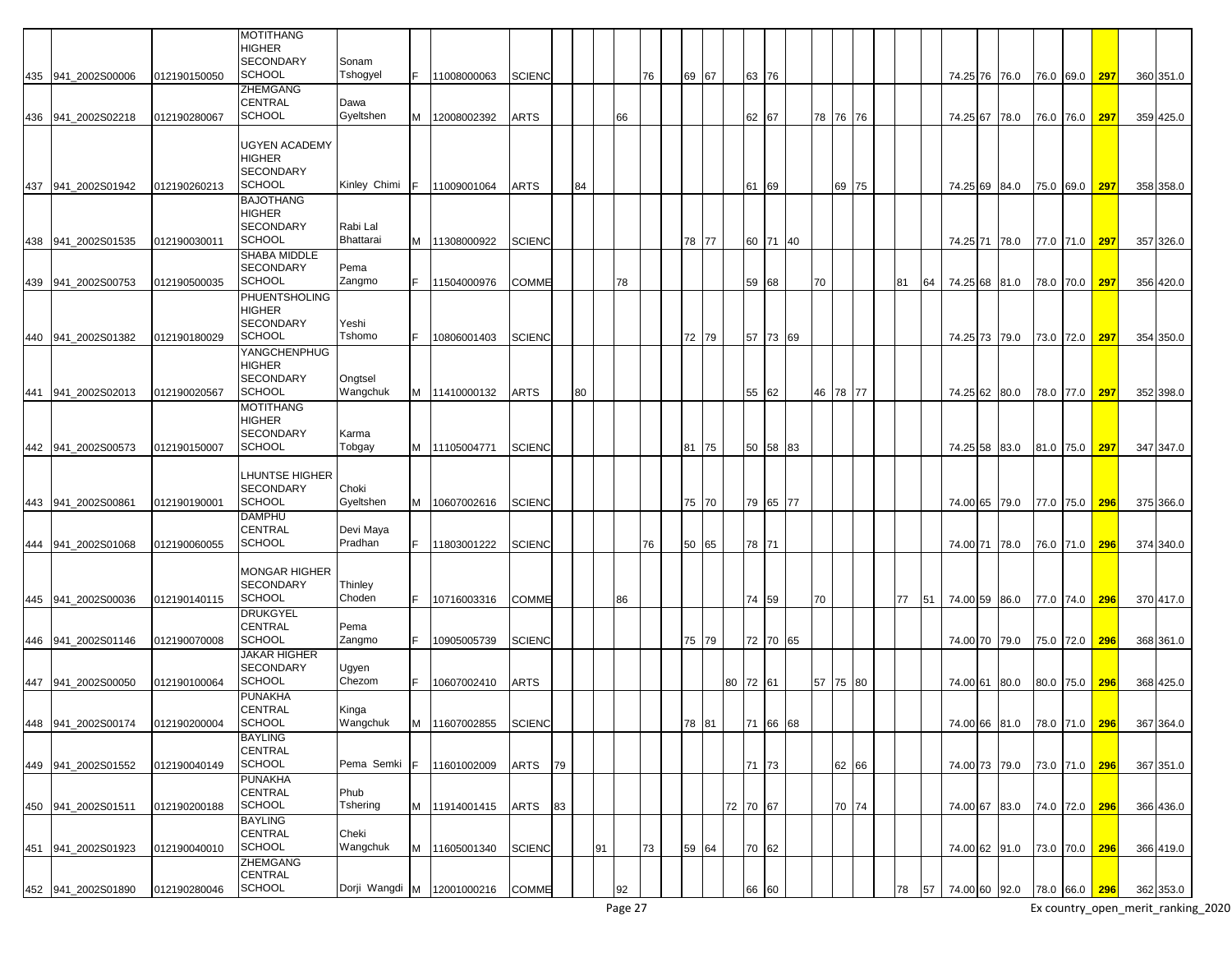|                    |              | MOTITHANG<br>HIGHER<br><b>SECONDARY</b>                     | Sonam                      |   |               |               |    |    |    |    |    |    |       |          |          |    |    |          |    |    |               |                             |               |     |                                       |
|--------------------|--------------|-------------------------------------------------------------|----------------------------|---|---------------|---------------|----|----|----|----|----|----|-------|----------|----------|----|----|----------|----|----|---------------|-----------------------------|---------------|-----|---------------------------------------|
| 435 941 2002S00006 | 012190150050 | <b>SCHOOL</b>                                               | Tshogyel                   |   | 11008000063   | <b>SCIENC</b> |    |    |    |    | 76 |    | 69 67 | 63 76    |          |    |    |          |    |    | 74.25 76 76.0 |                             | 76.0 69.0     | 297 | 360 351.0                             |
| 436 941_2002S02218 | 012190280067 | ZHEMGANG<br>CENTRAL<br><b>SCHOOL</b>                        | Dawa<br>Gyeltshen          |   | M 12008002392 | <b>ARTS</b>   |    |    |    | 66 |    |    |       | 62 67    |          |    | 78 | 76 76    |    |    | 74.25 67 78.0 |                             | 76.0 76.0     | 297 | 359 425.0                             |
| 437 941 2002S01942 | 012190260213 | UGYEN ACADEMY<br>HIGHER<br>SECONDARY<br><b>SCHOOL</b>       | Kinley Chimi               |   | 11009001064   | ARTS          |    | 84 |    |    |    |    |       | 61       | 69       |    |    | 69 75    |    |    | 74.25 69 84.0 |                             | 75.0 69.0     | 297 | 358 358.0                             |
| 438 941_2002S01535 | 012190030011 | <b>BAJOTHANG</b><br>HIGHER<br>SECONDARY<br><b>SCHOOL</b>    | Rabi Lal<br>Bhattarai      |   | M 11308000922 | <b>SCIENC</b> |    |    |    |    |    |    | 78 77 |          | 60 71    | 40 |    |          |    |    | 74.25 71 78.0 |                             | 77.0 71.0     | 297 | 357 326.0                             |
| 439 941_2002S00753 | 012190500035 | SHABA MIDDLE<br><b>SECONDARY</b><br><b>SCHOOL</b>           | Pema<br>Zangmo             |   | 11504000976   | <b>COMME</b>  |    |    |    | 78 |    |    |       |          | 59 68    |    | 70 |          | 81 | 64 | 74.25 68 81.0 |                             | 78.0 70.0     | 297 | 356 420.0                             |
| 440 941 2002S01382 | 012190180029 | PHUENTSHOLING<br>HIGHER<br>SECONDARY<br><b>SCHOOL</b>       | Yeshi<br>Tshomo            |   | 10806001403   | <b>SCIENC</b> |    |    |    |    |    |    | 72 79 |          | 57 73 69 |    |    |          |    |    | 74.25 73 79.0 |                             | 73.0 72.0     | 297 | 354 350.0                             |
| 441 941 2002S02013 | 012190020567 | YANGCHENPHUG<br>HIGHER<br><b>SECONDARY</b><br><b>SCHOOL</b> | Ongtsel<br>Wangchuk        |   | M 11410000132 | <b>ARTS</b>   |    | 80 |    |    |    |    |       |          | 55 62    |    |    | 46 78 77 |    |    | 74.25 62 80.0 |                             | 78.0 77.0     | 297 | 352 398.0                             |
| 442 941 2002S00573 | 012190150007 | <b>MOTITHANG</b><br>HIGHER<br>SECONDARY<br><b>SCHOOL</b>    | Karma<br>Tobgay            |   | M 11105004771 | <b>SCIENC</b> |    |    |    |    |    | 81 | 75    |          | 50 58    | 83 |    |          |    |    | 74.25 58 83.0 |                             | 81.0 75.0     | 297 | 347 347.0                             |
| 443 941 2002S00861 | 012190190001 | LHUNTSE HIGHER<br><b>SECONDARY</b><br><b>SCHOOL</b>         | Choki<br>Gyeltshen         | M | 10607002616   | <b>SCIENC</b> |    |    |    |    |    |    | 75 70 |          | 79 65    | 77 |    |          |    |    | 74.00 65 79.0 |                             | 77.0 75.0     | 296 | 375 366.0                             |
| 444 941 2002S01068 | 012190060055 | <b>DAMPHU</b><br><b>CENTRAL</b><br>SCHOOL                   | Devi Maya<br>Pradhan       |   | 11803001222   | <b>SCIENC</b> |    |    |    |    | 76 |    | 50 65 | 78 71    |          |    |    |          |    |    | 74.00 71 78.0 |                             | 76.0 71.0     | 296 | 374 340.0                             |
| 445 941 2002S00036 | 012190140115 | MONGAR HIGHER<br>SECONDARY<br><b>SCHOOL</b><br>DRUKGYEL     | Thinley<br>Choden          |   | 10716003316   | <b>COMME</b>  |    |    |    | 86 |    |    |       |          | 74 59    |    | 70 |          | 77 | 51 | 74.00 59 86.0 |                             | 77.0 74.0     | 296 | 370 417.0                             |
| 446 941_2002S01146 | 012190070008 | CENTRAL<br><b>SCHOOL</b><br><b>JAKAR HIGHER</b>             | Pema<br>Zangmo             |   | 10905005739   | <b>SCIENC</b> |    |    |    |    |    |    | 75 79 |          | 72 70    | 65 |    |          |    |    | 74.00 70 79.0 |                             | 75.0 72.0     | 296 | 368 361.0                             |
| 447 941 2002S00050 | 012190100064 | <b>SECONDARY</b><br><b>SCHOOL</b>                           | Ugyen<br>Chezom            |   | 10607002410   | <b>ARTS</b>   |    |    |    |    |    |    |       | 80 72 61 |          |    |    | 57 75 80 |    |    | 74.00 61 80.0 |                             | 80.0 75.0     | 296 | 368 425.0                             |
| 448 941_2002S00174 | 012190200004 | PUNAKHA<br><b>CENTRAL</b><br><b>SCHOOL</b>                  | Kinga<br>Wangchuk          |   | M 11607002855 | <b>SCIENC</b> |    |    |    |    |    |    | 78 81 |          | 71 66    | 68 |    |          |    |    |               |                             |               |     | 74.00 66 81.0 78.0 71.0 296 367 364.0 |
| 449 941 2002S01552 | 012190040149 | BAYLING<br>CENTRAL<br><b>SCHOOL</b>                         | Pema Semki                 | E | 11601002009   | <b>ARTS</b>   | 79 |    |    |    |    |    |       | 71 73    |          |    |    | 62 66    |    |    | 74.00 73 79.0 |                             | 73.0 71.0 296 |     | 367 351.0                             |
| 450 941 2002S01511 | 012190200188 | <b>PUNAKHA</b><br>CENTRAL<br><b>SCHOOL</b>                  | Phub<br>Tshering           |   | M 11914001415 | ARTS          | 83 |    |    |    |    |    |       | 72 70 67 |          |    |    | 70 74    |    |    | 74.00 67 83.0 |                             | 74.0 72.0 296 |     | 366 436.0                             |
| 451 941_2002S01923 | 012190040010 | BAYLING<br>CENTRAL<br><b>SCHOOL</b>                         | Cheki<br>Wangchuk          |   | M 11605001340 | <b>SCIENC</b> |    |    | 91 |    | 73 |    | 59 64 | 70 62    |          |    |    |          |    |    | 74.00 62 91.0 |                             | 73.0 70.0 296 |     | 366 419.0                             |
| 452 941_2002S01890 | 012190280046 | ZHEMGANG<br>CENTRAL<br><b>SCHOOL</b>                        | Dorji Wangdi M 12001000216 |   |               | <b>COMME</b>  |    |    |    | 92 |    |    |       | 66 60    |          |    |    |          | 78 | 57 |               | 74.00 60 92.0 78.0 66.0 296 |               |     | 362 353.0                             |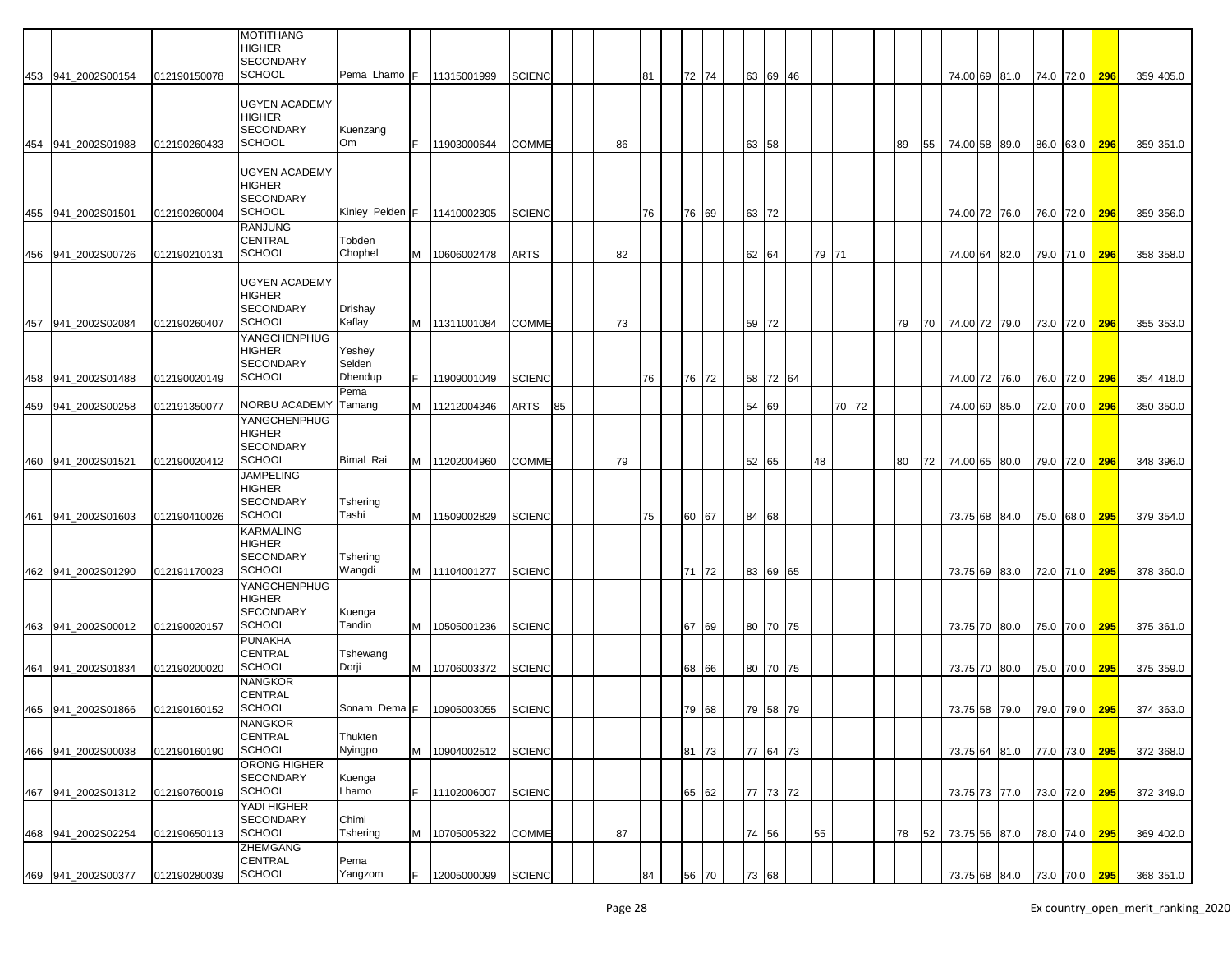|                    |              | MOTITHANG<br>HIGHER<br><b>SECONDARY</b>                             |                             |    |               |               |    |    |    |       |       |          |       |       |    |    |          |               |               |               |     |           |
|--------------------|--------------|---------------------------------------------------------------------|-----------------------------|----|---------------|---------------|----|----|----|-------|-------|----------|-------|-------|----|----|----------|---------------|---------------|---------------|-----|-----------|
| 453 941 2002S00154 | 012190150078 | <b>SCHOOL</b>                                                       | Pema Lhamo F                |    | 11315001999   | <b>SCIENC</b> |    |    | 81 | 72 74 |       | 63 69 46 |       |       |    |    |          | 74.00 69 81.0 | 74.0 72.0 296 |               |     | 359 405.0 |
| 454 941 2002S01988 | 012190260433 | UGYEN ACADEMY<br>HIGHER<br><b>SECONDARY</b><br><b>SCHOOL</b>        | Kuenzang<br>Om              | F  | 11903000644   | COMME         |    | 86 |    |       | 63 58 |          |       |       | 89 | 55 |          | 74.00 58 89.0 |               | 86.0 63.0     | 296 | 359 351.0 |
|                    |              | <b>UGYEN ACADEMY</b><br>HIGHER<br><b>SECONDARY</b>                  |                             |    |               |               |    |    |    |       |       |          |       |       |    |    |          |               |               |               |     |           |
| 455 941 2002S01501 | 012190260004 | <b>SCHOOL</b><br><b>RANJUNG</b>                                     | Kinley Pelden F             |    | 11410002305   | SCIENC        |    |    | 76 | 76 69 | 63 72 |          |       |       |    |    |          | 74.00 72 76.0 |               | 76.0 72.0     | 296 | 359 356.0 |
| 456 941_2002S00726 | 012190210131 | CENTRAL<br><b>SCHOOL</b>                                            | Tobden<br>Chophel           | м  | 10606002478   | ARTS          |    | 82 |    |       | 62 64 |          | 79 71 |       |    |    | 74.00 64 | 82.0          |               | 79.0 71.0     | 296 | 358 358.0 |
| 457 941_2002S02084 | 012190260407 | <b>UGYEN ACADEMY</b><br><b>HIGHER</b><br>SECONDARY<br><b>SCHOOL</b> | Drishay<br>Kaflay           |    | M 11311001084 | COMME         |    | 73 |    |       | 59 72 |          |       |       | 79 | 70 |          | 74.00 72 79.0 |               | 73.0 72.0     | 296 | 355 353.0 |
| 458 941_2002S01488 | 012190020149 | YANGCHENPHUG<br>HIGHER<br><b>SECONDARY</b><br><b>SCHOOL</b>         | Yeshey<br>Selden<br>Dhendup | F. | 11909001049   | <b>SCIENC</b> |    |    | 76 | 76 72 |       | 58 72 64 |       |       |    |    |          | 74.00 72 76.0 |               | 76.0 72.0     | 296 | 354 418.0 |
| 459 941_2002S00258 | 012191350077 | NORBU ACADEMY                                                       | Pema<br>Tamang              | м  | 11212004346   | ARTS          | 85 |    |    |       | 54 69 |          |       | 70 72 |    |    |          | 74.00 69 85.0 |               |               | 296 | 350 350.0 |
|                    |              | YANGCHENPHUG<br><b>HIGHER</b><br><b>SECONDARY</b>                   |                             |    |               |               |    |    |    |       |       |          |       |       |    |    |          |               |               | 72.0 70.0     |     |           |
| 460 941 2002S01521 | 012190020412 | <b>SCHOOL</b><br><b>JAMPELING</b>                                   | Bimal Rai                   | М  | 11202004960   | <b>COMME</b>  |    | 79 |    |       | 52 65 |          | 48    |       | 80 | 72 |          | 74.00 65 80.0 |               | 79.0 72.0     | 296 | 348 396.0 |
| 461 941_2002S01603 | 012190410026 | <b>HIGHER</b><br><b>SECONDARY</b><br><b>SCHOOL</b>                  | Tshering<br>Tashi           | M  | 11509002829   | <b>SCIENC</b> |    |    | 75 | 60 67 | 84 68 |          |       |       |    |    |          | 73.75 68 84.0 |               | 75.0 68.0     | 295 | 379 354.0 |
|                    |              | KARMALING<br><b>HIGHER</b><br><b>SECONDARY</b>                      | Tshering                    |    |               |               |    |    |    |       |       |          |       |       |    |    |          |               |               |               |     |           |
| 462 941_2002S01290 | 012191170023 | <b>SCHOOL</b>                                                       | Wangdi                      |    | M 11104001277 | <b>SCIENC</b> |    |    |    | 71 72 |       | 83 69 65 |       |       |    |    |          | 73.75 69 83.0 |               | 72.0 71.0     | 295 | 378 360.0 |
|                    |              | YANGCHENPHUG<br>HIGHER<br><b>SECONDARY</b>                          | Kuenga                      |    |               |               |    |    |    |       |       |          |       |       |    |    |          |               |               |               |     |           |
| 463 941_2002S00012 | 012190020157 | <b>SCHOOL</b><br>PUNAKHA                                            | Tandin                      | м  | 10505001236   | <b>SCIENC</b> |    |    |    | 67 69 |       | 80 70 75 |       |       |    |    |          | 73.75 70 80.0 |               | 75.0 70.0     | 295 | 375 361.0 |
| 464 941 2002S01834 | 012190200020 | CENTRAL<br><b>SCHOOL</b>                                            | Tshewang<br>Dorji           | м  | 10706003372   | <b>SCIENC</b> |    |    |    | 68 66 |       | 80 70 75 |       |       |    |    |          | 73.75 70 80.0 |               | 75.0 70.0     | 295 | 375 359.0 |
| 465 941_2002S01866 | 012190160152 | NANGKOR<br>CENTRAL<br><b>SCHOOL</b>                                 | Sonam Dema F                |    | 10905003055   | <b>SCIENC</b> |    |    |    | 79 68 |       | 79 58 79 |       |       |    |    |          | 73.75 58 79.0 |               | 79.0 79.0 295 |     | 374 363.0 |
|                    |              | <b>NANGKOR</b><br>CENTRAL                                           | Thukten                     |    |               |               |    |    |    |       |       |          |       |       |    |    |          |               |               |               |     |           |
| 466 941 2002S00038 | 012190160190 | <b>SCHOOL</b><br><b>ORONG HIGHER</b>                                | Nyingpo                     | М  | 10904002512   | <b>SCIENC</b> |    |    |    | 81 73 |       | 77 64 73 |       |       |    |    |          | 73.75 64 81.0 | 77.0 73.0     |               | 295 | 372 368.0 |
| 467 941_2002S01312 | 012190760019 | <b>SECONDARY</b><br><b>SCHOOL</b>                                   | Kuenga<br>Lhamo             | F. | 11102006007   | <b>SCIENC</b> |    |    |    | 65 62 |       | 77 73 72 |       |       |    |    |          | 73.75 73 77.0 | 73.0 72.0 295 |               |     | 372 349.0 |
| 468 941_2002S02254 | 012190650113 | YADI HIGHER<br><b>SECONDARY</b><br><b>SCHOOL</b>                    | Chimi<br>Tshering           | M  | 10705005322   | <b>COMME</b>  |    | 87 |    |       | 74 56 |          | 55    |       | 78 | 52 |          | 73.75 56 87.0 | 78.0 74.0 295 |               |     | 369 402.0 |
| 469 941_2002S00377 | 012190280039 | ZHEMGANG<br>CENTRAL<br><b>SCHOOL</b>                                | Pema<br>Yangzom             |    | 12005000099   | <b>SCIENC</b> |    |    | 84 | 56 70 | 73    | 68       |       |       |    |    |          | 73.75 68 84.0 | 73.0 70.0 295 |               |     | 368 351.0 |
|                    |              |                                                                     |                             |    |               |               |    |    |    |       |       |          |       |       |    |    |          |               |               |               |     |           |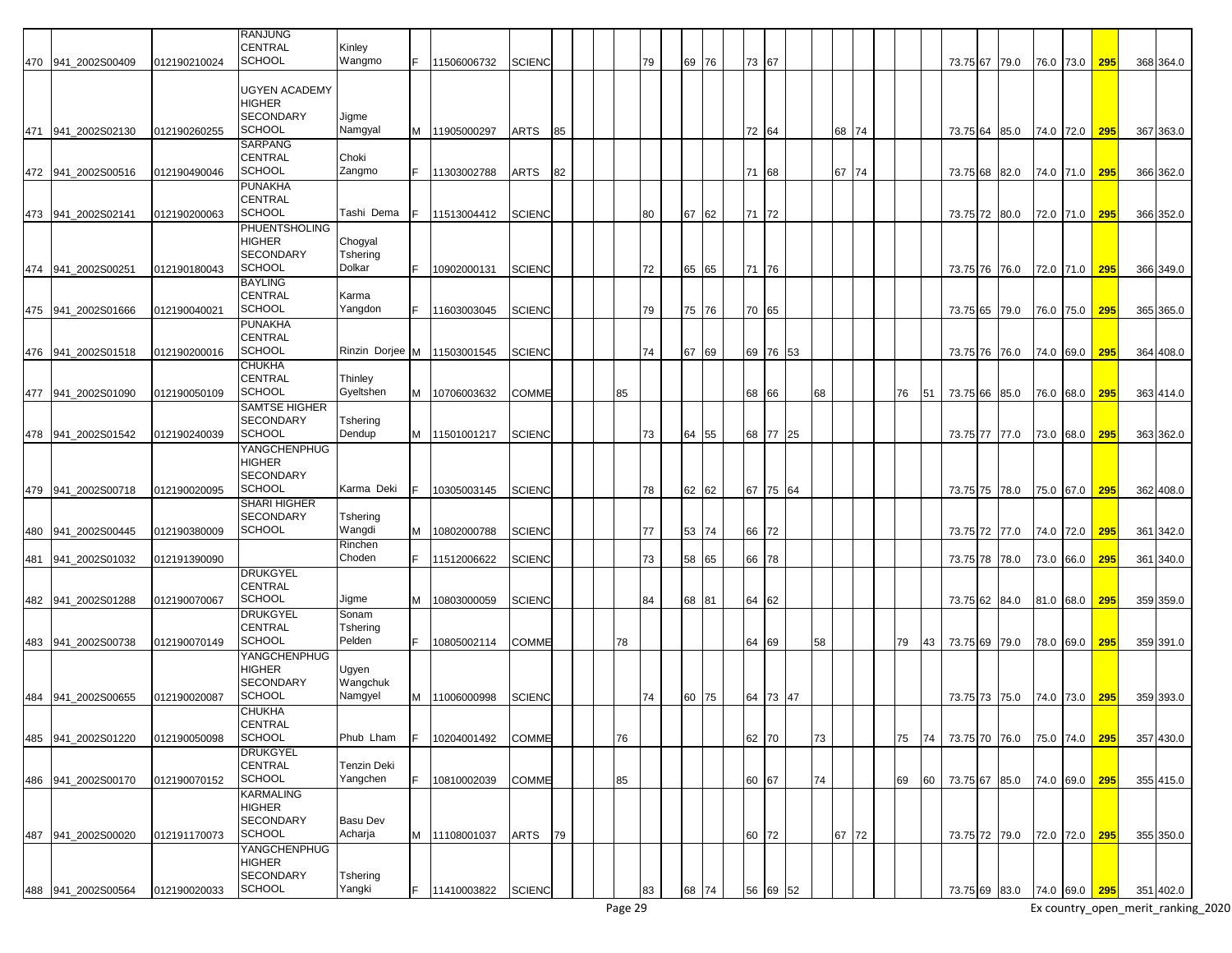|     |                    |              | <b>RANJUNG</b>       |                 |   |               |               |    |    |    |    |       |       |          |    |       |    |    |               |                         |           |     |           |
|-----|--------------------|--------------|----------------------|-----------------|---|---------------|---------------|----|----|----|----|-------|-------|----------|----|-------|----|----|---------------|-------------------------|-----------|-----|-----------|
|     |                    |              | <b>CENTRAL</b>       | Kinley          |   |               |               |    |    |    |    |       |       |          |    |       |    |    |               |                         |           |     |           |
|     |                    |              |                      |                 |   |               |               |    |    |    |    |       |       |          |    |       |    |    |               |                         |           |     |           |
|     | 470 941 2002S00409 | 012190210024 | <b>SCHOOL</b>        | Wangmo          |   | 11506006732   | <b>SCIENC</b> |    |    | 79 | 69 | 76    | 73 67 |          |    |       |    |    | 73.75 67 79.0 |                         | 76.0 73.0 | 295 | 368 364.0 |
|     |                    |              |                      |                 |   |               |               |    |    |    |    |       |       |          |    |       |    |    |               |                         |           |     |           |
|     |                    |              | <b>UGYEN ACADEMY</b> |                 |   |               |               |    |    |    |    |       |       |          |    |       |    |    |               |                         |           |     |           |
|     |                    |              | <b>HIGHER</b>        |                 |   |               |               |    |    |    |    |       |       |          |    |       |    |    |               |                         |           |     |           |
|     |                    |              | <b>SECONDARY</b>     | Jigme           |   |               |               |    |    |    |    |       |       |          |    |       |    |    |               |                         |           |     |           |
| 471 | 941 2002S02130     | 012190260255 | <b>SCHOOL</b>        | Namgyal         |   | M 11905000297 | ARTS          | 85 |    |    |    |       | 72 64 |          |    | 68 74 |    |    | 73.75 64 85.0 |                         | 74.0 72.0 | 295 | 367 363.0 |
|     |                    |              | SARPANG              |                 |   |               |               |    |    |    |    |       |       |          |    |       |    |    |               |                         |           |     |           |
|     |                    |              |                      |                 |   |               |               |    |    |    |    |       |       |          |    |       |    |    |               |                         |           |     |           |
|     |                    |              | <b>CENTRAL</b>       | Choki           |   |               |               |    |    |    |    |       |       |          |    |       |    |    |               |                         |           |     |           |
|     | 472 941_2002S00516 | 012190490046 | <b>SCHOOL</b>        | Zangmo          |   | 11303002788   | <b>ARTS</b>   | 82 |    |    |    |       | 71    | 68       |    | 67 74 |    |    | 73.75 68 82.0 |                         | 74.0 71.0 | 295 | 366 362.0 |
|     |                    |              | <b>PUNAKHA</b>       |                 |   |               |               |    |    |    |    |       |       |          |    |       |    |    |               |                         |           |     |           |
|     |                    |              | <b>CENTRAL</b>       |                 |   |               |               |    |    |    |    |       |       |          |    |       |    |    |               |                         |           |     |           |
| 473 | 941 2002S02141     | 012190200063 | <b>SCHOOL</b>        | Tashi Dema      |   | 11513004412   | <b>SCIENC</b> |    |    | 80 | 67 | 62    | 71    | 72       |    |       |    |    | 73.75 72 80.0 |                         | 72.0 71.0 | 295 | 366 352.0 |
|     |                    |              | <b>PHUENTSHOLING</b> |                 |   |               |               |    |    |    |    |       |       |          |    |       |    |    |               |                         |           |     |           |
|     |                    |              | <b>HIGHER</b>        | Chogyal         |   |               |               |    |    |    |    |       |       |          |    |       |    |    |               |                         |           |     |           |
|     |                    |              | <b>SECONDARY</b>     | Tshering        |   |               |               |    |    |    |    |       |       |          |    |       |    |    |               |                         |           |     |           |
|     |                    |              | <b>SCHOOL</b>        |                 |   |               |               |    |    |    |    |       |       |          |    |       |    |    |               |                         |           |     |           |
| 474 | 941 2002S00251     | 012190180043 |                      | Dolkar          |   | 10902000131   | <b>SCIENC</b> |    |    | 72 |    | 65 65 | 71    | 176      |    |       |    |    | 73.75 76 76.0 |                         | 72.0 71.0 | 295 | 366 349.0 |
|     |                    |              | <b>BAYLING</b>       |                 |   |               |               |    |    |    |    |       |       |          |    |       |    |    |               |                         |           |     |           |
|     |                    |              | <b>CENTRAL</b>       | Karma           |   |               |               |    |    |    |    |       |       |          |    |       |    |    |               |                         |           |     |           |
|     | 475 941_2002S01666 | 012190040021 | <b>SCHOOL</b>        | Yangdon         |   | 11603003045   | <b>SCIENC</b> |    |    | 79 |    | 75 76 | 70 65 |          |    |       |    |    | 73.75 65 79.0 |                         | 76.0 75.0 | 295 | 365 365.0 |
|     |                    |              | <b>PUNAKHA</b>       |                 |   |               |               |    |    |    |    |       |       |          |    |       |    |    |               |                         |           |     |           |
|     |                    |              | <b>CENTRAL</b>       |                 |   |               |               |    |    |    |    |       |       |          |    |       |    |    |               |                         |           |     |           |
|     |                    | 012190200016 | <b>SCHOOL</b>        | Rinzin Dorjee M |   | 11503001545   | <b>SCIENC</b> |    |    | 74 | 67 | 69    |       | 69 76 53 |    |       |    |    |               |                         |           |     | 364 408.0 |
|     | 476 941_2002S01518 |              |                      |                 |   |               |               |    |    |    |    |       |       |          |    |       |    |    | 73.75 76 76.0 |                         | 74.0 69.0 | 295 |           |
|     |                    |              | <b>CHUKHA</b>        |                 |   |               |               |    |    |    |    |       |       |          |    |       |    |    |               |                         |           |     |           |
|     |                    |              | <b>CENTRAL</b>       | Thinley         |   |               |               |    |    |    |    |       |       |          |    |       |    |    |               |                         |           |     |           |
|     | 477 941_2002S01090 | 012190050109 | <b>SCHOOL</b>        | Gyeltshen       | Μ | 10706003632   | <b>COMME</b>  |    | 85 |    |    |       | 68    | 66       | 68 |       | 76 | 51 | 73.75 66 85.0 |                         | 76.0 68.0 | 295 | 363 414.0 |
|     |                    |              | <b>SAMTSE HIGHER</b> |                 |   |               |               |    |    |    |    |       |       |          |    |       |    |    |               |                         |           |     |           |
|     |                    |              | <b>SECONDARY</b>     | Tshering        |   |               |               |    |    |    |    |       |       |          |    |       |    |    |               |                         |           |     |           |
|     | 478 941 2002S01542 | 012190240039 | <b>SCHOOL</b>        | Dendup          |   | M 11501001217 | <b>SCIENC</b> |    |    | 73 | 64 | 55    |       | 68 77 25 |    |       |    |    | 73.75 77 77.0 |                         | 73.0 68.0 | 295 | 363 362.0 |
|     |                    |              |                      |                 |   |               |               |    |    |    |    |       |       |          |    |       |    |    |               |                         |           |     |           |
|     |                    |              | <b>YANGCHENPHUG</b>  |                 |   |               |               |    |    |    |    |       |       |          |    |       |    |    |               |                         |           |     |           |
|     |                    |              | <b>HIGHER</b>        |                 |   |               |               |    |    |    |    |       |       |          |    |       |    |    |               |                         |           |     |           |
|     |                    |              | <b>SECONDARY</b>     |                 |   |               |               |    |    |    |    |       |       |          |    |       |    |    |               |                         |           |     |           |
|     | 479 941 2002S00718 | 012190020095 | <b>SCHOOL</b>        | Karma Deki      |   | 10305003145   | <b>SCIENC</b> |    |    | 78 |    | 62 62 |       | 67 75 64 |    |       |    |    | 73.75 75 78.0 |                         | 75.0 67.0 | 295 | 362 408.0 |
|     |                    |              | <b>SHARI HIGHER</b>  |                 |   |               |               |    |    |    |    |       |       |          |    |       |    |    |               |                         |           |     |           |
|     |                    |              | <b>SECONDARY</b>     | Tshering        |   |               |               |    |    |    |    |       |       |          |    |       |    |    |               |                         |           |     |           |
| 480 | 941_2002S00445     | 012190380009 | <b>SCHOOL</b>        | Wangdi          | Μ | 10802000788   | <b>SCIENC</b> |    |    | 77 | 53 | 74    | 66    | 72       |    |       |    |    | 73.75 72 77.0 |                         |           | 295 | 361 342.0 |
|     |                    |              |                      |                 |   |               |               |    |    |    |    |       |       |          |    |       |    |    |               |                         | 74.0 72.0 |     |           |
|     |                    |              |                      | Rinchen         |   |               |               |    |    |    |    |       |       |          |    |       |    |    |               |                         |           |     |           |
| 481 | 941 2002S01032     | 012191390090 |                      | Choden          |   | 11512006622   | <b>SCIENC</b> |    |    | 73 | 58 | 65    | 66    | 78       |    |       |    |    | 73.75 78 78.0 |                         | 73.0 66.0 | 295 | 361 340.0 |
|     |                    |              | <b>DRUKGYEL</b>      |                 |   |               |               |    |    |    |    |       |       |          |    |       |    |    |               |                         |           |     |           |
|     |                    |              | <b>CENTRAL</b>       |                 |   |               |               |    |    |    |    |       |       |          |    |       |    |    |               |                         |           |     |           |
|     | 482 941_2002S01288 | 012190070067 | <b>SCHOOL</b>        | Jigme           |   | M 10803000059 | <b>SCIENC</b> |    |    | 84 |    | 68 81 | 64 62 |          |    |       |    |    | 73.75 62 84.0 |                         | 81.0 68.0 | 295 | 359 359.0 |
|     |                    |              | <b>DRUKGYEL</b>      | Sonam           |   |               |               |    |    |    |    |       |       |          |    |       |    |    |               |                         |           |     |           |
|     |                    |              | <b>CENTRAL</b>       | Tshering        |   |               |               |    |    |    |    |       |       |          |    |       |    |    |               |                         |           |     |           |
|     |                    |              | <b>SCHOOL</b>        | Pelden          |   |               |               |    |    |    |    |       |       |          |    |       |    |    |               |                         |           |     |           |
| 483 | 941 2002S00738     | 012190070149 |                      |                 |   | 10805002114   | <b>COMME</b>  |    | 78 |    |    |       | 64    | 69       | 58 |       | 79 | 43 | 73.75 69 79.0 |                         | 78.0 69.0 | 295 | 359 391.0 |
|     |                    |              | <b>YANGCHENPHUG</b>  |                 |   |               |               |    |    |    |    |       |       |          |    |       |    |    |               |                         |           |     |           |
|     |                    |              | <b>HIGHER</b>        | Ugyen           |   |               |               |    |    |    |    |       |       |          |    |       |    |    |               |                         |           |     |           |
|     |                    |              | <b>SECONDARY</b>     | Wangchuk        |   |               |               |    |    |    |    |       |       |          |    |       |    |    |               |                         |           |     |           |
| 484 | 941 2002S00655     | 012190020087 | <b>SCHOOL</b>        | Namgyel         |   | M 11006000998 | <b>SCIENC</b> |    |    | 74 |    | 60 75 |       | 64 73 47 |    |       |    |    | 73.75 73 75.0 |                         | 74.0 73.0 | 295 | 359 393.0 |
|     |                    |              | <b>CHUKHA</b>        |                 |   |               |               |    |    |    |    |       |       |          |    |       |    |    |               |                         |           |     |           |
|     |                    |              | <b>CENTRAL</b>       |                 |   |               |               |    |    |    |    |       |       |          |    |       |    |    |               |                         |           |     |           |
|     | 941 2002S01220     |              | <b>SCHOOL</b>        | Phub Lham       |   | 10204001492   |               |    |    |    |    |       | 62    |          |    |       |    | 74 | 73.75 70 76.0 |                         |           | 295 | 357 430.0 |
| 485 |                    | 012190050098 |                      |                 |   |               | COMME         |    | 76 |    |    |       |       | 70       | 73 |       | 75 |    |               |                         | 75.0 74.0 |     |           |
|     |                    |              | <b>DRUKGYEL</b>      |                 |   |               |               |    |    |    |    |       |       |          |    |       |    |    |               |                         |           |     |           |
|     |                    |              | CENTRAL              | Tenzin Deki     |   |               |               |    |    |    |    |       |       |          |    |       |    |    |               |                         |           |     |           |
| 486 | 941_2002S00170     | 012190070152 | <b>SCHOOL</b>        | Yangchen        |   | 10810002039   | <b>COMME</b>  |    | 85 |    |    |       | 60 67 |          | 74 |       | 69 | 60 | 73.75 67 85.0 |                         | 74.0 69.0 | 295 | 355 415.0 |
|     |                    |              | <b>KARMALING</b>     |                 |   |               |               |    |    |    |    |       |       |          |    |       |    |    |               |                         |           |     |           |
|     |                    |              | <b>HIGHER</b>        |                 |   |               |               |    |    |    |    |       |       |          |    |       |    |    |               |                         |           |     |           |
|     |                    |              | <b>SECONDARY</b>     | Basu Dev        |   |               |               |    |    |    |    |       |       |          |    |       |    |    |               |                         |           |     |           |
|     |                    |              | SCHOOL               | Acharja         |   |               |               |    |    |    |    |       |       |          |    |       |    |    |               |                         |           |     |           |
| 487 | 941_2002S00020     | 012191170073 |                      |                 |   | M 11108001037 | <b>ARTS</b>   | 79 |    |    |    |       | 60 72 |          |    | 67 72 |    |    | 73.75 72 79.0 |                         | 72.0 72.0 | 295 | 355 350.0 |
|     |                    |              | YANGCHENPHUG         |                 |   |               |               |    |    |    |    |       |       |          |    |       |    |    |               |                         |           |     |           |
|     |                    |              | <b>HIGHER</b>        |                 |   |               |               |    |    |    |    |       |       |          |    |       |    |    |               |                         |           |     |           |
|     |                    |              | <b>SECONDARY</b>     | Tshering        |   |               |               |    |    |    |    |       |       |          |    |       |    |    |               |                         |           |     |           |
|     | 488 941_2002S00564 | 012190020033 | <b>SCHOOL</b>        | Yangki          |   | 11410003822   | <b>SCIENC</b> |    |    | 83 | 68 | 74    |       | 56 69 52 |    |       |    |    |               | 73.75 69 83.0 74.0 69.0 |           | 295 | 351 402.0 |
|     |                    |              |                      |                 |   |               |               |    |    |    |    |       |       |          |    |       |    |    |               |                         |           |     |           |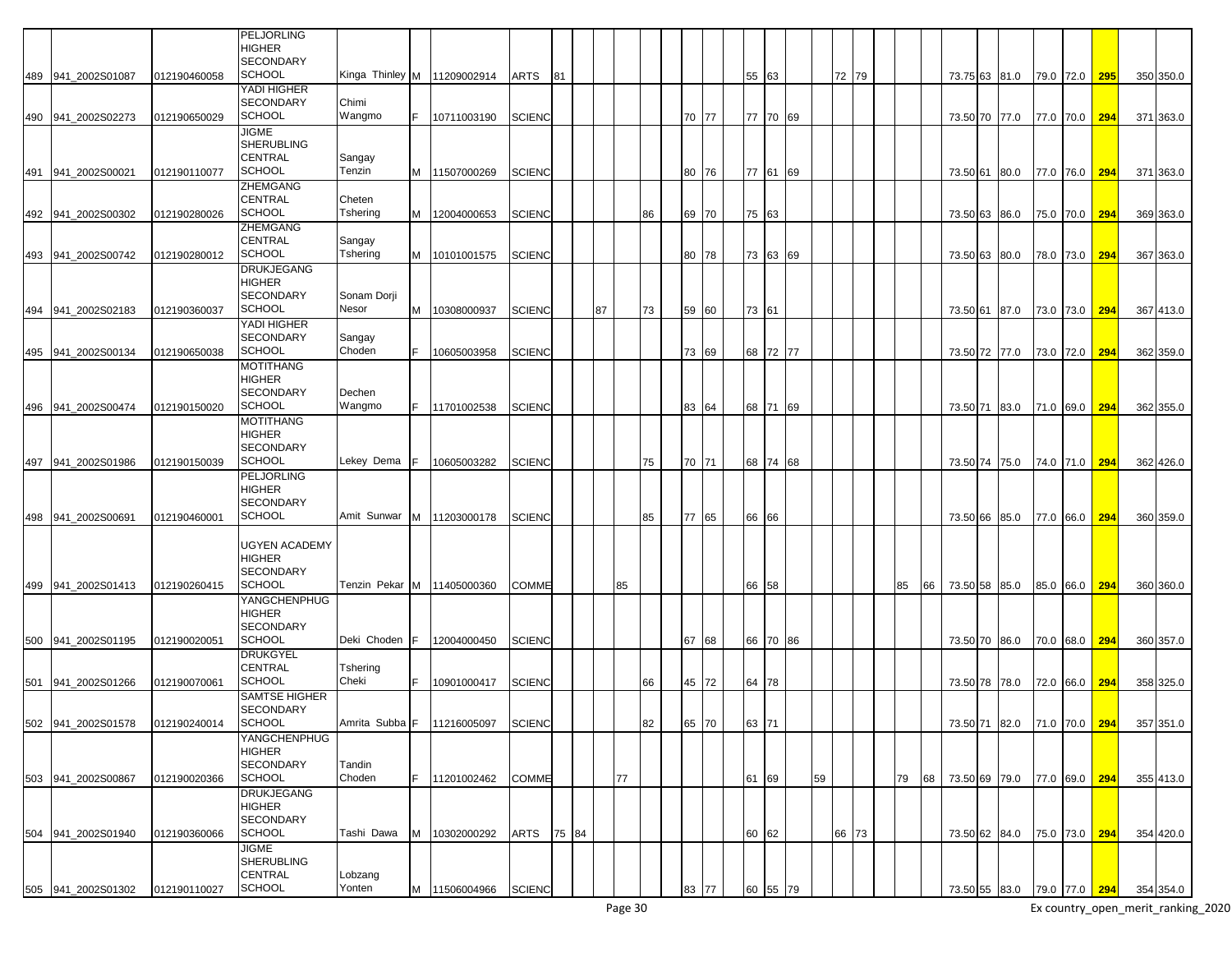|     |                    |              | PELJORLING<br><b>HIGHER</b>           |                               |    |                                   |               |       |    |    |       |    |       |          |    |       |    |    |          |                             |               |           |     |           |
|-----|--------------------|--------------|---------------------------------------|-------------------------------|----|-----------------------------------|---------------|-------|----|----|-------|----|-------|----------|----|-------|----|----|----------|-----------------------------|---------------|-----------|-----|-----------|
|     | 489 941 2002S01087 | 012190460058 | <b>SECONDARY</b><br><b>SCHOOL</b>     | Kinga Thinley M   11209002914 |    |                                   | ARTS          | 81    |    |    |       |    | 55 63 |          |    | 72 79 |    |    |          | 73.75 63 81.0               | 79.0 72.0     |           | 295 | 350 350.0 |
|     |                    |              | YADI HIGHER                           |                               |    |                                   |               |       |    |    |       |    |       |          |    |       |    |    |          |                             |               |           |     |           |
|     | 490 941_2002S02273 | 012190650029 | <b>SECONDARY</b><br><b>SCHOOL</b>     | Chimi<br>Wangmo               | F. | 10711003190                       | <b>SCIENC</b> |       |    |    | 70 77 |    |       | 77 70 69 |    |       |    |    |          |                             |               |           |     |           |
|     |                    |              | <b>JIGME</b>                          |                               |    |                                   |               |       |    |    |       |    |       |          |    |       |    |    |          | 73.50 70 77.0               |               | 77.0 70.0 | 294 | 371 363.0 |
|     |                    |              | <b>SHERUBLING</b>                     |                               |    |                                   |               |       |    |    |       |    |       |          |    |       |    |    |          |                             |               |           |     |           |
|     |                    |              | <b>CENTRAL</b>                        | Sangay                        |    |                                   |               |       |    |    |       |    |       |          |    |       |    |    |          |                             |               |           |     |           |
| 491 | 941 2002S00021     | 012190110077 | <b>SCHOOL</b><br><b>ZHEMGANG</b>      | Tenzin                        |    | M 11507000269                     | <b>SCIENC</b> |       |    |    | 80 76 |    |       | 77 61 69 |    |       |    |    |          | 73.50 61 80.0               |               | 77.0 76.0 | 294 | 371 363.0 |
|     |                    |              | <b>CENTRAL</b>                        | Cheten                        |    |                                   |               |       |    |    |       |    |       |          |    |       |    |    |          |                             |               |           |     |           |
|     | 492 941_2002S00302 | 012190280026 | <b>SCHOOL</b>                         | Tshering                      | M  | 12004000653                       | SCIENC        |       |    | 86 | 69 70 |    | 75 63 |          |    |       |    |    | 73.50 63 | 86.0                        |               | 75.0 70.0 | 294 | 369 363.0 |
|     |                    |              | <b>ZHEMGANG</b><br><b>CENTRAL</b>     |                               |    |                                   |               |       |    |    |       |    |       |          |    |       |    |    |          |                             |               |           |     |           |
| 493 | 941_2002S00742     | 012190280012 | <b>SCHOOL</b>                         | Sangay<br>Tshering            | M  | 10101001575                       | <b>SCIENC</b> |       |    |    | 80 78 |    |       | 73 63 69 |    |       |    |    | 73.50 63 | 80.0                        |               | 78.0 73.0 | 294 | 367 363.0 |
|     |                    |              | <b>DRUKJEGANG</b>                     |                               |    |                                   |               |       |    |    |       |    |       |          |    |       |    |    |          |                             |               |           |     |           |
|     |                    |              | <b>HIGHER</b>                         |                               |    |                                   |               |       |    |    |       |    |       |          |    |       |    |    |          |                             |               |           |     |           |
| 494 | 941 2002S02183     | 012190360037 | <b>SECONDARY</b><br><b>SCHOOL</b>     | Sonam Dorji<br>Nesor          | M  | 10308000937                       | <b>SCIENC</b> |       | 87 | 73 | 59 60 |    | 73 61 |          |    |       |    |    | 73.50 61 | 87.0                        |               | 73.0 73.0 | 294 | 367 413.0 |
|     |                    |              | YADI HIGHER                           |                               |    |                                   |               |       |    |    |       |    |       |          |    |       |    |    |          |                             |               |           |     |           |
|     |                    |              | <b>SECONDARY</b>                      | Sangay                        |    |                                   |               |       |    |    |       |    |       |          |    |       |    |    |          |                             |               |           |     |           |
| 495 | 941 2002S00134     | 012190650038 | <b>SCHOOL</b>                         | Choden                        |    | 10605003958                       | <b>SCIENC</b> |       |    |    | 73 69 |    |       | 68 72 77 |    |       |    |    | 73.50 72 | 77.0                        |               | 73.0 72.0 | 294 | 362 359.0 |
|     |                    |              | <b>MOTITHANG</b><br><b>HIGHER</b>     |                               |    |                                   |               |       |    |    |       |    |       |          |    |       |    |    |          |                             |               |           |     |           |
|     |                    |              | <b>SECONDARY</b>                      | Dechen                        |    |                                   |               |       |    |    |       |    |       |          |    |       |    |    |          |                             |               |           |     |           |
|     | 496 941 2002S00474 | 012190150020 | <b>SCHOOL</b>                         | Wangmo                        | F. | 11701002538                       | <b>SCIENC</b> |       |    |    | 83 64 |    |       | 68 71 69 |    |       |    |    | 73.50 71 | 83.0                        |               | 71.0 69.0 | 294 | 362 355.0 |
|     |                    |              | <b>MOTITHANG</b><br><b>HIGHER</b>     |                               |    |                                   |               |       |    |    |       |    |       |          |    |       |    |    |          |                             |               |           |     |           |
|     |                    |              | <b>SECONDARY</b>                      |                               |    |                                   |               |       |    |    |       |    |       |          |    |       |    |    |          |                             |               |           |     |           |
| 497 | 941 2002S01986     | 012190150039 | <b>SCHOOL</b>                         | Lekey Dema                    |    | 10605003282                       | <b>SCIENC</b> |       |    | 75 | 70 71 |    |       | 68 74 68 |    |       |    |    | 73.50 74 | 75.0                        |               | 74.0 71.0 | 294 | 362 426.0 |
|     |                    |              | <b>PELJORLING</b><br><b>HIGHER</b>    |                               |    |                                   |               |       |    |    |       |    |       |          |    |       |    |    |          |                             |               |           |     |           |
|     |                    |              | <b>SECONDARY</b>                      |                               |    |                                   |               |       |    |    |       |    |       |          |    |       |    |    |          |                             |               |           |     |           |
|     | 498 941_2002S00691 | 012190460001 | <b>SCHOOL</b>                         | Amit Sunwar                   |    | M 11203000178                     | <b>SCIENC</b> |       |    | 85 | 77 65 |    | 66 66 |          |    |       |    |    | 73.50 66 | 85.0                        |               | 77.0 66.0 | 294 | 360 359.0 |
|     |                    |              |                                       |                               |    |                                   |               |       |    |    |       |    |       |          |    |       |    |    |          |                             |               |           |     |           |
|     |                    |              | <b>UGYEN ACADEMY</b><br><b>HIGHER</b> |                               |    |                                   |               |       |    |    |       |    |       |          |    |       |    |    |          |                             |               |           |     |           |
|     |                    |              | <b>SECONDARY</b>                      |                               |    |                                   |               |       |    |    |       |    |       |          |    |       |    |    |          |                             |               |           |     |           |
| 499 | 941 2002S01413     | 012190260415 | <b>SCHOOL</b>                         | Tenzin Pekar                  | M  | 11405000360                       | COMME         |       | 85 |    |       | 66 | 58    |          |    |       | 85 | 66 | 73.50 58 | 85.0                        | 85.0          | 66.0      | 294 | 360 360.0 |
|     |                    |              | YANGCHENPHUG<br><b>HIGHER</b>         |                               |    |                                   |               |       |    |    |       |    |       |          |    |       |    |    |          |                             |               |           |     |           |
|     |                    |              | <b>SECONDARY</b>                      |                               |    |                                   |               |       |    |    |       |    |       |          |    |       |    |    |          |                             |               |           |     |           |
| 500 | 941 2002S01195     | 012190020051 | <b>SCHOOL</b>                         | Deki Choden                   | F  | 12004000450                       | <b>SCIENC</b> |       |    |    | 67 68 |    | 66 70 | 86       |    |       |    |    | 73.50 70 | 86.0                        |               | 70.0 68.0 | 294 | 360 357.0 |
|     |                    |              | <b>DRUKGYEL</b><br><b>CENTRAL</b>     | Tshering                      |    |                                   |               |       |    |    |       |    |       |          |    |       |    |    |          |                             |               |           |     |           |
| 501 | 941_2002S01266     | 012190070061 | <b>SCHOOL</b>                         | Cheki                         |    | 10901000417                       | <b>SCIENC</b> |       |    | 66 | 45 72 |    | 64 78 |          |    |       |    |    |          | 73.50 78 78.0               |               | 72.0 66.0 | 294 | 358 325.0 |
|     |                    |              | <b>SAMTSE HIGHER</b>                  |                               |    |                                   |               |       |    |    |       |    |       |          |    |       |    |    |          |                             |               |           |     |           |
|     | 502 941_2002S01578 | 012190240014 | <b>SECONDARY</b><br>SCHOOL            |                               |    | Amrita Subba F 11216005097 SCIENC |               |       |    | 82 | 65 70 |    | 63 71 |          |    |       |    |    |          | 73.50 71 82.0 71.0 70.0 294 |               |           |     | 357 351.0 |
|     |                    |              | YANGCHENPHUG                          |                               |    |                                   |               |       |    |    |       |    |       |          |    |       |    |    |          |                             |               |           |     |           |
|     |                    |              | <b>HIGHER</b>                         |                               |    |                                   |               |       |    |    |       |    |       |          |    |       |    |    |          |                             |               |           |     |           |
|     |                    |              | <b>SECONDARY</b>                      | Tandin                        |    |                                   |               |       |    |    |       |    |       |          |    |       |    |    |          |                             |               |           |     |           |
|     | 503 941_2002S00867 | 012190020366 | <b>SCHOOL</b><br><b>DRUKJEGANG</b>    | Choden                        |    | 11201002462                       | COMME         |       | 77 |    |       |    | 61 69 |          | 59 |       | 79 | 68 |          | 73.50 69 79.0 77.0 69.0 294 |               |           |     | 355 413.0 |
|     |                    |              | <b>HIGHER</b>                         |                               |    |                                   |               |       |    |    |       |    |       |          |    |       |    |    |          |                             |               |           |     |           |
|     |                    |              | <b>SECONDARY</b>                      |                               |    |                                   |               |       |    |    |       |    |       |          |    |       |    |    |          |                             |               |           |     |           |
|     | 504 941_2002S01940 | 012190360066 | <b>SCHOOL</b><br><b>JIGME</b>         | Tashi Dawa                    | M  | 10302000292                       | ARTS          | 75 84 |    |    |       |    | 60 62 |          |    | 66 73 |    |    |          | 73.50 62 84.0               | 75.0 73.0 294 |           |     | 354 420.0 |
|     |                    |              | <b>SHERUBLING</b>                     |                               |    |                                   |               |       |    |    |       |    |       |          |    |       |    |    |          |                             |               |           |     |           |
|     |                    |              | <b>CENTRAL</b>                        | Lobzang                       |    |                                   |               |       |    |    |       |    |       |          |    |       |    |    |          |                             |               |           |     |           |
|     | 505 941 2002S01302 | 012190110027 | <b>SCHOOL</b>                         | Yonten                        | M  | 11506004966                       | <b>SCIENC</b> |       |    |    | 83 77 |    |       | 60 55 79 |    |       |    |    |          | 73.50 55 83.0 79.0 77.0 294 |               |           |     | 354 354.0 |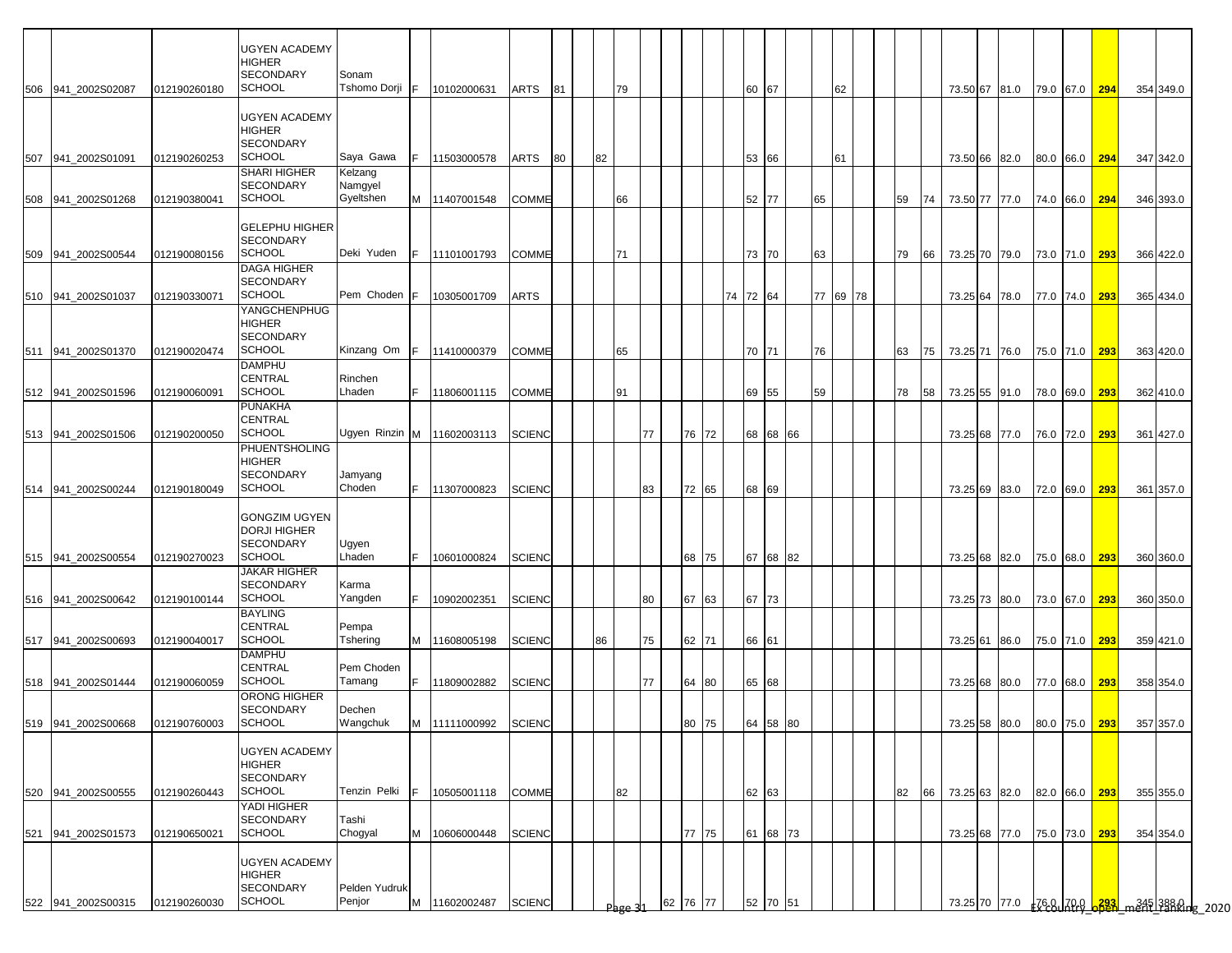|                    |              | <b>UGYEN ACADEMY</b>                        |                         |     |                            |               |    |    |      |    |       |          |          |          |          |    |          |    |    |  |                             |               |               |           |                                                |
|--------------------|--------------|---------------------------------------------|-------------------------|-----|----------------------------|---------------|----|----|------|----|-------|----------|----------|----------|----------|----|----------|----|----|--|-----------------------------|---------------|---------------|-----------|------------------------------------------------|
|                    |              | HIGHER                                      |                         |     |                            |               |    |    |      |    |       |          |          |          |          |    |          |    |    |  |                             |               |               |           |                                                |
|                    |              | <b>SECONDARY</b><br><b>SCHOOL</b>           | Sonam<br>Tshomo Dorji F |     |                            |               |    |    |      |    |       |          |          |          |          |    |          |    |    |  |                             |               |               |           |                                                |
| 506 941 2002S02087 | 012190260180 |                                             |                         |     | 10102000631                | ARTS          | 81 |    | 79   |    |       |          | 60 67    |          |          |    | 62       |    |    |  | 73.50 67 81.0               | 79.0 67.0 294 |               | 354 349.0 |                                                |
|                    |              | <b>UGYEN ACADEMY</b>                        |                         |     |                            |               |    |    |      |    |       |          |          |          |          |    |          |    |    |  |                             |               |               |           |                                                |
|                    |              | HIGHER                                      |                         |     |                            |               |    |    |      |    |       |          |          |          |          |    |          |    |    |  |                             |               |               |           |                                                |
|                    |              | <b>SECONDARY</b><br><b>SCHOOL</b>           | Saya Gawa               |     |                            |               |    |    |      |    |       |          |          |          |          |    |          |    |    |  |                             |               |               |           |                                                |
| 507 941_2002S01091 | 012190260253 | SHARI HIGHER                                | Kelzang                 |     | 11503000578                | ARTS          | 80 | 82 |      |    |       |          |          | 53 66    |          |    | 61       |    |    |  | 73.50 66 82.0               | 80.0 66.0 294 |               | 347 342.0 |                                                |
|                    |              | SECONDARY                                   | Namgyel                 |     |                            |               |    |    |      |    |       |          |          |          |          |    |          |    |    |  |                             |               |               |           |                                                |
| 508 941_2002S01268 | 012190380041 | <b>SCHOOL</b>                               | Gyeltshen               |     | M 11407001548              | <b>COMME</b>  |    |    | 66   |    |       |          |          | 52 77    |          | 65 |          | 59 | 74 |  | 73.50 77 77.0               | 74.0 66.0 294 |               | 346 393.0 |                                                |
|                    |              |                                             |                         |     |                            |               |    |    |      |    |       |          |          |          |          |    |          |    |    |  |                             |               |               |           |                                                |
|                    |              | <b>GELEPHU HIGHER</b><br><b>SECONDARY</b>   |                         |     |                            |               |    |    |      |    |       |          |          |          |          |    |          |    |    |  |                             |               |               |           |                                                |
| 509 941 2002S00544 | 012190080156 | <b>SCHOOL</b>                               | Deki Yuden              | F.  | 11101001793                | <b>COMME</b>  |    |    | 71   |    |       |          | 73 70    |          |          | 63 |          | 79 | 66 |  | 73.25 70 79.0               | 73.0 71.0 293 |               | 366 422.0 |                                                |
|                    |              | <b>DAGA HIGHER</b>                          |                         |     |                            |               |    |    |      |    |       |          |          |          |          |    |          |    |    |  |                             |               |               |           |                                                |
|                    |              | <b>SECONDARY</b>                            |                         |     |                            |               |    |    |      |    |       |          |          |          |          |    |          |    |    |  |                             |               |               |           |                                                |
| 510 941_2002S01037 | 012190330071 | <b>SCHOOL</b><br>YANGCHENPHUG               | Pem Choden              |     | 10305001709                | ARTS          |    |    |      |    |       |          | 74 72 64 |          |          |    | 77 69 78 |    |    |  | 73.25 64 78.0               | 77.0 74.0 293 |               | 365 434.0 |                                                |
|                    |              | HIGHER                                      |                         |     |                            |               |    |    |      |    |       |          |          |          |          |    |          |    |    |  |                             |               |               |           |                                                |
|                    |              | <b>SECONDARY</b>                            |                         |     |                            |               |    |    |      |    |       |          |          |          |          |    |          |    |    |  |                             |               |               |           |                                                |
| 511 941 2002S01370 | 012190020474 | <b>SCHOOL</b>                               | Kinzang Om              | IF. | 11410000379                | <b>COMME</b>  |    |    | 65   |    |       |          | 70 71    |          |          | 76 |          | 63 | 75 |  | 73.25 71 76.0               | 75.0 71.0 293 |               | 363 420.0 |                                                |
|                    |              | <b>DAMPHU</b><br>CENTRAL                    | Rinchen                 |     |                            |               |    |    |      |    |       |          |          |          |          |    |          |    |    |  |                             |               |               |           |                                                |
| 512 941_2002S01596 | 012190060091 | <b>SCHOOL</b>                               | Lhaden                  | F.  | 11806001115                | COMME         |    |    | 91   |    |       |          | 69 55    |          |          | 59 |          | 78 | 58 |  | 73.25 55 91.0               | 78.0 69.0 293 |               | 362 410.0 |                                                |
|                    |              | <b>PUNAKHA</b>                              |                         |     |                            |               |    |    |      |    |       |          |          |          |          |    |          |    |    |  |                             |               |               |           |                                                |
|                    |              | CENTRAL                                     |                         |     |                            |               |    |    |      |    |       |          |          |          |          |    |          |    |    |  |                             |               |               |           |                                                |
| 513 941 2002S01506 | 012190200050 | <b>SCHOOL</b><br>PHUENTSHOLING              |                         |     | Ugyen Rinzin M 11602003113 | <b>SCIENC</b> |    |    |      | 77 |       | 72<br>76 |          | 68 68 66 |          |    |          |    |    |  | 73.25 68 77.0               | 76.0 72.0 293 |               | 361 427.0 |                                                |
|                    |              | <b>HIGHER</b>                               |                         |     |                            |               |    |    |      |    |       |          |          |          |          |    |          |    |    |  |                             |               |               |           |                                                |
|                    |              | <b>SECONDARY</b>                            | Jamyang                 |     |                            |               |    |    |      |    |       |          |          |          |          |    |          |    |    |  |                             |               |               |           |                                                |
| 514 941 2002S00244 | 012190180049 | <b>SCHOOL</b>                               | Choden                  | IF. | 11307000823                | <b>SCIENC</b> |    |    |      | 83 |       | 72<br>65 | 68 69    |          |          |    |          |    |    |  | 73.25 69 83.0               |               | 72.0 69.0 293 | 361 357.0 |                                                |
|                    |              |                                             |                         |     |                            |               |    |    |      |    |       |          |          |          |          |    |          |    |    |  |                             |               |               |           |                                                |
|                    |              | <b>GONGZIM UGYEN</b><br><b>DORJI HIGHER</b> |                         |     |                            |               |    |    |      |    |       |          |          |          |          |    |          |    |    |  |                             |               |               |           |                                                |
|                    |              | <b>SECONDARY</b>                            | Ugyen                   |     |                            |               |    |    |      |    |       |          |          |          |          |    |          |    |    |  |                             |               |               |           |                                                |
| 515 941 2002S00554 | 012190270023 | <b>SCHOOL</b>                               | Lhaden                  |     | 10601000824                | <b>SCIENC</b> |    |    |      |    |       | 68<br>75 |          | 67 68 82 |          |    |          |    |    |  | 73.25 68 82.0               | 75.0 68.0 293 |               | 360 360.0 |                                                |
|                    |              | <b>JAKAR HIGHER</b>                         |                         |     |                            |               |    |    |      |    |       |          |          |          |          |    |          |    |    |  |                             |               |               |           |                                                |
| 516 941_2002S00642 | 012190100144 | <b>SECONDARY</b><br><b>SCHOOL</b>           | Karma<br>Yangden        |     | 10902002351                | <b>SCIENC</b> |    |    |      | 80 |       | 67<br>63 | 67 73    |          |          |    |          |    |    |  | 73.25 73 80.0               | 73.0 67.0 293 |               | 360 350.0 |                                                |
|                    |              | <b>BAYLING</b>                              |                         |     |                            |               |    |    |      |    |       |          |          |          |          |    |          |    |    |  |                             |               |               |           |                                                |
|                    |              | <b>CENTRAL</b>                              | Pempa                   |     |                            |               |    |    |      |    |       |          |          |          |          |    |          |    |    |  |                             |               |               |           |                                                |
| 517 941_2002S00693 | 012190040017 | <b>SCHOOL</b>                               | Tshering                | M   | 11608005198                | <b>SCIENC</b> |    | 86 |      | 75 |       | 62<br>71 | 66 61    |          |          |    |          |    |    |  | 73.25 61 86.0               | 75.0 71.0 293 |               | 359 421.0 |                                                |
|                    |              | <b>DAMPHU</b><br>CENTRAL                    | Pem Choden              |     |                            |               |    |    |      |    |       |          |          |          |          |    |          |    |    |  |                             |               |               |           |                                                |
| 518 941_2002S01444 | 012190060059 | <b>SCHOOL</b>                               | Tamang                  | F.  | 11809002882                | <b>SCIENC</b> |    |    |      | 77 |       | 64<br>80 | 65 68    |          |          |    |          |    |    |  | 73.25 68 80.0               | 77.0 68.0 293 |               | 358 354.0 |                                                |
|                    |              | ORONG HIGHER                                |                         |     |                            |               |    |    |      |    |       |          |          |          |          |    |          |    |    |  |                             |               |               |           |                                                |
|                    |              | <b>SECONDARY</b><br><b>SCHOOL</b>           | Dechen<br>Wangchuk      |     |                            |               |    |    |      |    |       |          |          |          |          |    |          |    |    |  |                             |               |               |           |                                                |
| 519 941_2002S00668 | 012190760003 |                                             |                         |     | M 11111000992              | SCIENC        |    |    |      |    |       | 80 75    |          |          | 64 58 80 |    |          |    |    |  | 73.25 58 60.0 60.0 75.0 293 |               |               | 357 357.0 |                                                |
|                    |              | <b>UGYEN ACADEMY</b>                        |                         |     |                            |               |    |    |      |    |       |          |          |          |          |    |          |    |    |  |                             |               |               |           |                                                |
|                    |              | HIGHER                                      |                         |     |                            |               |    |    |      |    |       |          |          |          |          |    |          |    |    |  |                             |               |               |           |                                                |
|                    |              | <b>SECONDARY</b>                            |                         |     |                            |               |    |    |      |    |       |          |          |          |          |    |          |    |    |  |                             |               |               |           |                                                |
| 520 941_2002S00555 | 012190260443 | <b>SCHOOL</b><br>YADI HIGHER                | Tenzin Pelki            |     | 10505001118                | COMME         |    |    | 82   |    |       |          | 62 63    |          |          |    |          | 82 | 66 |  | 73.25 63 82.0 82.0 66.0 293 |               |               | 355 355.0 |                                                |
|                    |              | <b>SECONDARY</b>                            | Tashi                   |     |                            |               |    |    |      |    |       |          |          |          |          |    |          |    |    |  |                             |               |               |           |                                                |
| 521 941 2002S01573 | 012190650021 | <b>SCHOOL</b>                               | Chogyal                 |     | M 10606000448              | <b>SCIENC</b> |    |    |      |    |       | 77 75    |          | 61 68 73 |          |    |          |    |    |  | 73.25 68 77.0               | 75.0 73.0 293 |               | 354 354.0 |                                                |
|                    |              |                                             |                         |     |                            |               |    |    |      |    |       |          |          |          |          |    |          |    |    |  |                             |               |               |           |                                                |
|                    |              | <b>UGYEN ACADEMY</b><br>HIGHER              |                         |     |                            |               |    |    |      |    |       |          |          |          |          |    |          |    |    |  |                             |               |               |           |                                                |
|                    |              | SECONDARY                                   | Pelden Yudruk           |     |                            |               |    |    |      |    |       |          |          |          |          |    |          |    |    |  |                             |               |               |           |                                                |
| 522 941_2002S00315 | 012190260030 | <b>SCHOOL</b>                               | Penjor                  | M   | 11602002487                | <b>SCIENC</b> |    |    | Page |    | 62 76 | 77       |          | 52 70 51 |          |    |          |    |    |  |                             |               |               |           | 73.25 70 77.0 <u>FCBUALDO 6323</u> m345 3888 p |
|                    |              |                                             |                         |     |                            |               |    |    |      |    |       |          |          |          |          |    |          |    |    |  |                             |               |               |           |                                                |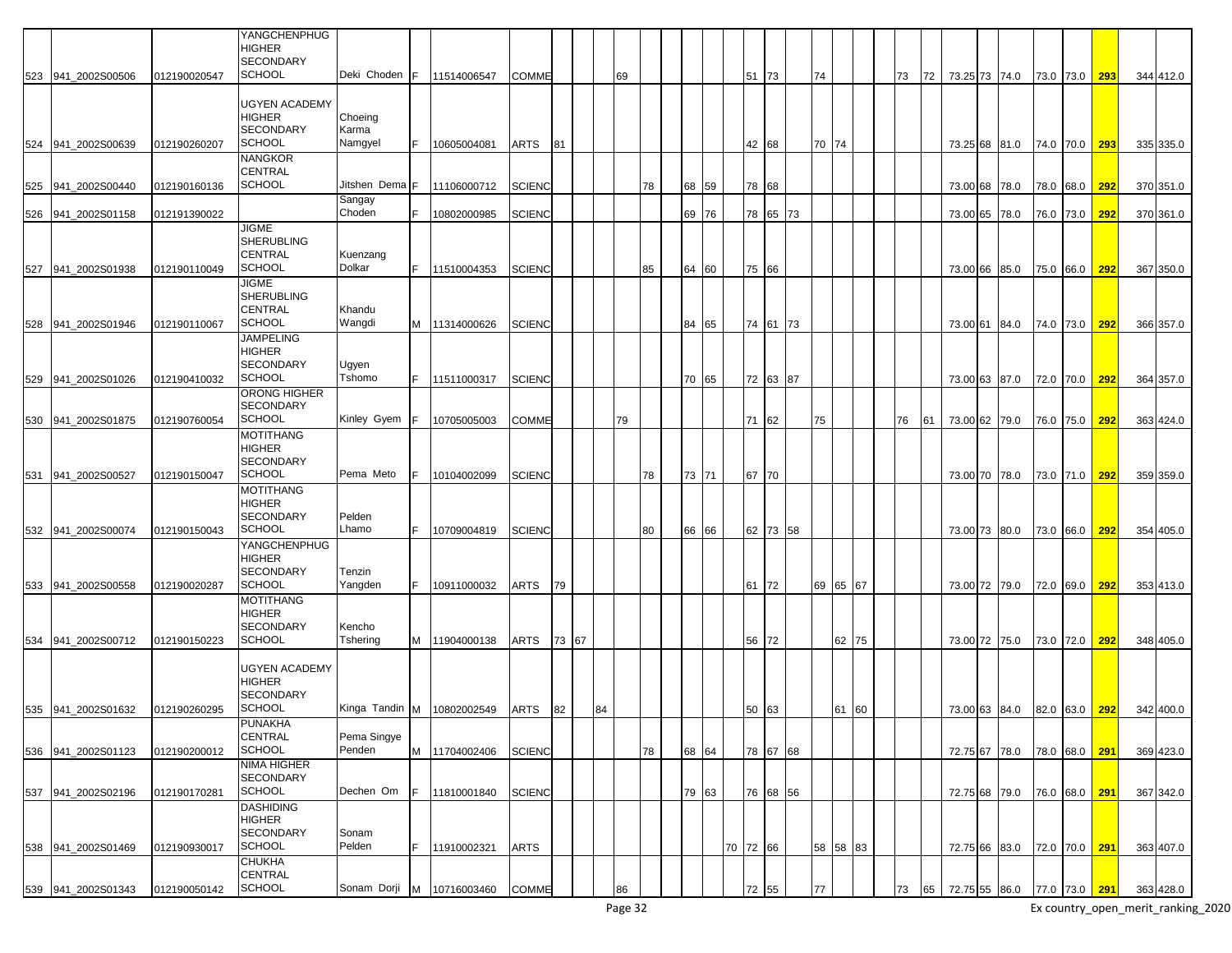| <b>YANGCHENPHUG</b><br><b>HIGHER</b><br><b>SECONDARY</b><br><b>SCHOOL</b><br>Deki Choden<br>523 941 2002S00506<br>012190020547<br>F.<br>11514006547<br><b>COMME</b><br>51 73<br>74<br>73<br>72<br>73.25 73 74.0<br>73.0 73.0<br>69<br><b>UGYEN ACADEMY</b><br><b>HIGHER</b><br>Choeing | 293 |           |
|----------------------------------------------------------------------------------------------------------------------------------------------------------------------------------------------------------------------------------------------------------------------------------------|-----|-----------|
|                                                                                                                                                                                                                                                                                        |     |           |
|                                                                                                                                                                                                                                                                                        |     |           |
|                                                                                                                                                                                                                                                                                        |     | 344 412.0 |
|                                                                                                                                                                                                                                                                                        |     |           |
|                                                                                                                                                                                                                                                                                        |     |           |
| <b>SECONDARY</b><br>Karma                                                                                                                                                                                                                                                              |     |           |
| <b>SCHOOL</b><br>Namgyel<br>524 941_2002S00639<br>012190260207<br>10605004081<br>ARTS<br>81<br>42 68<br>70 74<br>73.25 68 81.0<br>74.0 70.0                                                                                                                                            | 293 | 335 335.0 |
| <b>NANGKOR</b>                                                                                                                                                                                                                                                                         |     |           |
| <b>CENTRAL</b>                                                                                                                                                                                                                                                                         |     |           |
| <b>SCHOOL</b><br>Jitshen Dema F<br>11106000712<br><b>SCIENC</b><br>78<br>68 59<br>78 68<br>525 941_2002S00440<br>012190160136<br>73.00 68 78.0<br>78.0 68.0                                                                                                                            | 292 | 370 351.0 |
| Sangay<br>Choden<br>526 941 2002S01158<br>012191390022<br><b>SCIENC</b><br>69 76<br>78 65<br>73<br>73.00 65 78.0<br>76.0 73.0<br>10802000985                                                                                                                                           | 292 | 370 361.0 |
| <b>JIGME</b>                                                                                                                                                                                                                                                                           |     |           |
| <b>SHERUBLING</b>                                                                                                                                                                                                                                                                      |     |           |
| <b>CENTRAL</b><br>Kuenzang                                                                                                                                                                                                                                                             |     |           |
| <b>SCHOOL</b><br>Dolkar<br><b>SCIENC</b><br>85<br>64 60<br>75 66<br>527<br>941 2002S01938<br>012190110049<br>11510004353<br>73.00 66 85.0<br>75.0 66.0                                                                                                                                 | 292 | 367 350.0 |
| <b>JIGME</b>                                                                                                                                                                                                                                                                           |     |           |
| <b>SHERUBLING</b><br><b>CENTRAL</b><br>Khandu                                                                                                                                                                                                                                          |     |           |
| <b>SCHOOL</b><br>Wangdi<br>528 941 2002S01946<br>M 11314000626<br><b>SCIENC</b><br>84 65<br>74 61<br>73<br>74.0 73.0<br>012190110067<br>73.00 61 84.0                                                                                                                                  | 292 | 366 357.0 |
| <b>JAMPELING</b>                                                                                                                                                                                                                                                                       |     |           |
| <b>HIGHER</b>                                                                                                                                                                                                                                                                          |     |           |
| <b>SECONDARY</b><br>Ugyen                                                                                                                                                                                                                                                              |     |           |
| <b>SCHOOL</b><br>Tshomo<br>72 63 87<br><b>SCIENC</b><br>70 65<br>529 941_2002S01026<br>012190410032<br>F.<br>11511000317<br>73.00 63 87.0<br>72.0 70.0<br><b>ORONG HIGHER</b>                                                                                                          | 292 | 364 357.0 |
| <b>SECONDARY</b>                                                                                                                                                                                                                                                                       |     |           |
| <b>SCHOOL</b><br>Kinley Gyem<br>COMME<br>79<br>62<br>75<br>530 941 2002S01875<br>012190760054<br>10705005003<br>71<br>76<br>61<br>73.00 62 79.0<br>76.0 75.0                                                                                                                           | 292 | 363 424.0 |
| <b>MOTITHANG</b>                                                                                                                                                                                                                                                                       |     |           |
| <b>HIGHER</b>                                                                                                                                                                                                                                                                          |     |           |
| <b>SECONDARY</b>                                                                                                                                                                                                                                                                       |     |           |
| <b>SCHOOL</b><br>Pema Meto<br><b>SCIENC</b><br>67 70<br>531<br>941 2002S00527<br>012190150047<br>10104002099<br>78<br>73 71<br>73.00 70 78.0<br>73.0 71.0                                                                                                                              | 292 | 359 359.0 |
| <b>MOTITHANG</b><br><b>HIGHER</b>                                                                                                                                                                                                                                                      |     |           |
| <b>SECONDARY</b><br>Pelden                                                                                                                                                                                                                                                             |     |           |
| <b>SCHOOL</b><br>532 941_2002S00074<br>Lhamo<br>10709004819<br><b>SCIENC</b><br>80<br>66 66<br>62 73<br>73.00 73 80.0<br>73.0 66.0<br>012190150043<br>58                                                                                                                               | 292 | 354 405.0 |
| YANGCHENPHUG                                                                                                                                                                                                                                                                           |     |           |
| <b>HIGHER</b>                                                                                                                                                                                                                                                                          |     |           |
| <b>SECONDARY</b><br>Tenzin<br><b>SCHOOL</b><br>Yangden<br>ARTS<br>941_2002S00558<br>79<br>61<br>72<br>69<br>65 67<br>73.00 72 79.0<br>72.0 69.0<br>533<br>012190020287<br>10911000032                                                                                                  | 292 |           |
| <b>MOTITHANG</b>                                                                                                                                                                                                                                                                       |     | 353 413.0 |
| <b>HIGHER</b>                                                                                                                                                                                                                                                                          |     |           |
| <b>SECONDARY</b><br>Kencho                                                                                                                                                                                                                                                             |     |           |
| <b>SCHOOL</b><br>Tshering<br>62 75<br>941_2002S00712<br>012190150223<br>M 11904000138<br>ARTS<br>73<br>67<br>56 72<br>73.00 72 75.0<br>73.0 72.0<br>534                                                                                                                                | 292 | 348 405.0 |
|                                                                                                                                                                                                                                                                                        |     |           |
| <b>UGYEN ACADEMY</b><br><b>HIGHER</b>                                                                                                                                                                                                                                                  |     |           |
| <b>SECONDARY</b>                                                                                                                                                                                                                                                                       |     |           |
| <b>SCHOOL</b><br>Kinga Tandin M   10802002549<br>535 941_2002S01632<br>012190260295<br>ARTS<br>82<br>50 63<br>61 60<br>82.0 63.0 292<br>84<br>73.00 63 84.0                                                                                                                            |     | 342 400.0 |
| <b>PUNAKHA</b>                                                                                                                                                                                                                                                                         |     |           |
| <b>CENTRAL</b><br>Pema Singye                                                                                                                                                                                                                                                          |     |           |
| <b>SCHOOL</b><br>Penden<br><b>SCIENC</b><br>78<br>68 64<br>78 67 68<br>536 941_2002S01123<br>012190200012<br>M 11704002406<br>72.75 67 78.0<br>78.0 68.0                                                                                                                               | 291 | 369 423.0 |
| <b>NIMA HIGHER</b><br><b>SECONDARY</b>                                                                                                                                                                                                                                                 |     |           |
| <b>SCHOOL</b><br>Dechen Om<br>537 941_2002S02196<br>012190170281<br>11810001840<br><b>SCIENC</b><br>79 63<br>76 68 56<br>72.75 68 79.0<br>76.0 68.0 291                                                                                                                                |     | 367 342.0 |
| <b>DASHIDING</b>                                                                                                                                                                                                                                                                       |     |           |
| <b>HIGHER</b>                                                                                                                                                                                                                                                                          |     |           |
| <b>SECONDARY</b><br>Sonam                                                                                                                                                                                                                                                              |     |           |
| <b>SCHOOL</b><br>Pelden<br>ARTS<br>70 72 66<br>58 83<br>941_2002S01469<br>012190930017<br>11910002321<br>58<br>72.75 66 83.0<br>72.0 70.0<br>538<br><b>CHUKHA</b>                                                                                                                      | 291 | 363 407.0 |
| <b>CENTRAL</b>                                                                                                                                                                                                                                                                         |     |           |
| SCHOOL<br>Sonam Dorji<br>10716003460<br>72 55<br>539 941 2002S01343<br>012190050142<br>M<br><b>COMME</b><br>86<br>77<br>73<br>65<br>72.75 55 86.0<br>77.0 73.0 291                                                                                                                     |     | 363 428.0 |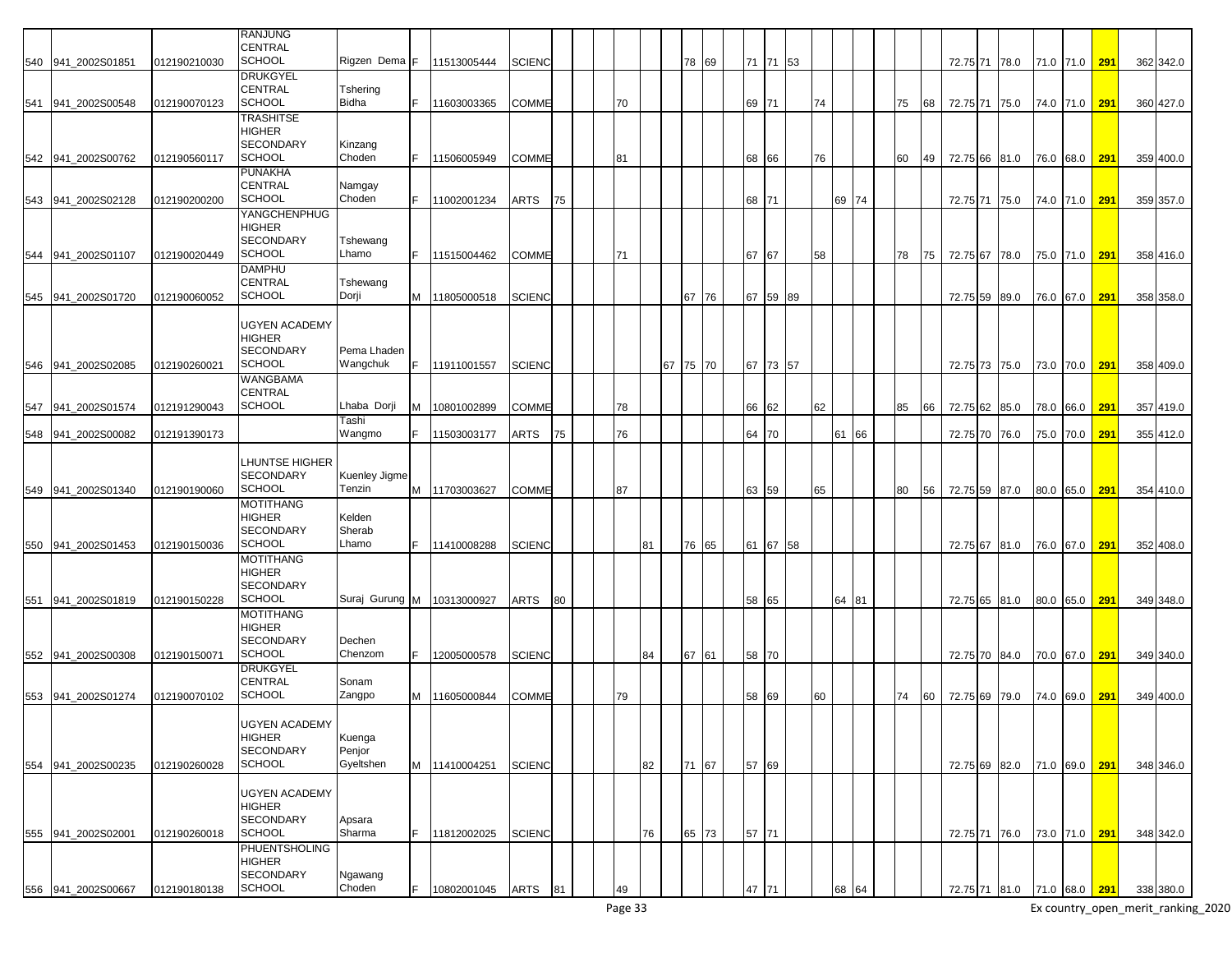|                    |              | <b>RANJUNG</b>       |                              |   |               |               |    |    |    |          |       |       |          |    |       |    |    |               |      |               |     |           |
|--------------------|--------------|----------------------|------------------------------|---|---------------|---------------|----|----|----|----------|-------|-------|----------|----|-------|----|----|---------------|------|---------------|-----|-----------|
|                    |              | <b>CENTRAL</b>       |                              |   |               |               |    |    |    |          |       |       |          |    |       |    |    |               |      |               |     |           |
|                    |              | <b>SCHOOL</b>        | Rigzen Dema F                |   |               |               |    |    |    |          |       |       |          |    |       |    |    |               |      |               |     |           |
| 540 941_2002S01851 | 012190210030 |                      |                              |   | 11513005444   | <b>SCIENC</b> |    |    |    |          | 78 69 |       | 71 71 53 |    |       |    |    | 72.75 71 78.0 |      | 71.0 71.0 291 |     | 362 342.0 |
|                    |              | <b>DRUKGYEL</b>      |                              |   |               |               |    |    |    |          |       |       |          |    |       |    |    |               |      |               |     |           |
|                    |              | <b>CENTRAL</b>       | Tshering                     |   |               |               |    |    |    |          |       |       |          |    |       |    |    |               |      |               |     |           |
| 541 941 2002S00548 | 012190070123 | <b>SCHOOL</b>        | Bidha                        |   | 11603003365   | <b>COMME</b>  |    | 70 |    |          |       | 69    | 171      | 74 |       | 75 | 68 | 72.75 71 75.0 |      | 74.0 71.0     | 291 | 360 427.0 |
|                    |              | <b>TRASHITSE</b>     |                              |   |               |               |    |    |    |          |       |       |          |    |       |    |    |               |      |               |     |           |
|                    |              | <b>HIGHER</b>        |                              |   |               |               |    |    |    |          |       |       |          |    |       |    |    |               |      |               |     |           |
|                    |              | <b>SECONDARY</b>     | Kinzang                      |   |               |               |    |    |    |          |       |       |          |    |       |    |    |               |      |               |     |           |
| 542 941 2002S00762 | 012190560117 | <b>SCHOOL</b>        | Choden                       |   | 11506005949   | COMME         |    | 81 |    |          |       | 68    | 66       | 76 |       | 60 | 49 | 72.75 66 81.0 |      | 76.0 68.0     | 291 | 359 400.0 |
|                    |              | <b>PUNAKHA</b>       |                              |   |               |               |    |    |    |          |       |       |          |    |       |    |    |               |      |               |     |           |
|                    |              | CENTRAL              | Namgay                       |   |               |               |    |    |    |          |       |       |          |    |       |    |    |               |      |               |     |           |
| 543 941 2002S02128 | 012190200200 | <b>SCHOOL</b>        | Choden                       |   | 11002001234   | ARTS          | 75 |    |    |          |       | 68 71 |          |    | 69 74 |    |    | 72.75 71      | 75.0 | 74.0 71.0     | 291 | 359 357.0 |
|                    |              | YANGCHENPHUG         |                              |   |               |               |    |    |    |          |       |       |          |    |       |    |    |               |      |               |     |           |
|                    |              | <b>HIGHER</b>        |                              |   |               |               |    |    |    |          |       |       |          |    |       |    |    |               |      |               |     |           |
|                    |              | <b>SECONDARY</b>     | Tshewang                     |   |               |               |    |    |    |          |       |       |          |    |       |    |    |               |      |               |     |           |
| 544 941 2002S01107 | 012190020449 | <b>SCHOOL</b>        | Lhamo                        |   | 11515004462   | COMME         |    | 71 |    |          |       | 67    | 67       | 58 |       | 78 | 75 | 72.75 67      | 78.0 | 75.0 71.0     | 291 | 358 416.0 |
|                    |              | <b>DAMPHU</b>        |                              |   |               |               |    |    |    |          |       |       |          |    |       |    |    |               |      |               |     |           |
|                    |              | <b>CENTRAL</b>       | Tshewang                     |   |               |               |    |    |    |          |       |       |          |    |       |    |    |               |      |               |     |           |
|                    |              | <b>SCHOOL</b>        | Dorji                        |   |               |               |    |    |    |          | 67 76 |       | 59 89    |    |       |    |    |               |      |               |     |           |
| 545 941 2002S01720 | 012190060052 |                      |                              | M | 11805000518   | <b>SCIENC</b> |    |    |    |          |       | 67    |          |    |       |    |    | 72.75 59      | 89.0 | 76.0 67.0     | 291 | 358 358.0 |
|                    |              |                      |                              |   |               |               |    |    |    |          |       |       |          |    |       |    |    |               |      |               |     |           |
|                    |              | UGYEN ACADEMY        |                              |   |               |               |    |    |    |          |       |       |          |    |       |    |    |               |      |               |     |           |
|                    |              | <b>HIGHER</b>        |                              |   |               |               |    |    |    |          |       |       |          |    |       |    |    |               |      |               |     |           |
|                    |              | <b>SECONDARY</b>     | Pema Lhaden                  |   |               |               |    |    |    |          |       |       |          |    |       |    |    |               |      |               |     |           |
| 546 941 2002S02085 | 012190260021 | <b>SCHOOL</b>        | Wangchuk                     |   | 11911001557   | <b>SCIENC</b> |    |    |    | 67 75 70 |       |       | 67 73 57 |    |       |    |    | 72.75 73 75.0 |      | 73.0 70.0     | 291 | 358 409.0 |
|                    |              | <b>WANGBAMA</b>      |                              |   |               |               |    |    |    |          |       |       |          |    |       |    |    |               |      |               |     |           |
|                    |              | CENTRAL              |                              |   |               |               |    |    |    |          |       |       |          |    |       |    |    |               |      |               |     |           |
| 547 941_2002S01574 | 012191290043 | <b>SCHOOL</b>        | Lhaba Dorji                  |   | 10801002899   | COMME         |    | 78 |    |          |       | 66    | 62       | 62 |       | 85 | 66 | 72.75 62      | 85.0 | 78.0 66.0     | 291 | 357 419.0 |
|                    |              |                      | Tashi                        |   |               |               |    |    |    |          |       |       |          |    |       |    |    |               |      |               |     |           |
| 548 941 2002S00082 | 012191390173 |                      | Wangmo                       |   | 11503003177   | ARTS          | 75 | 76 |    |          |       | 64    | 170      |    | 61 66 |    |    | 72.75 70      | 76.0 | 75.0 70.0     | 291 | 355 412.0 |
|                    |              |                      |                              |   |               |               |    |    |    |          |       |       |          |    |       |    |    |               |      |               |     |           |
|                    |              | LHUNTSE HIGHER       |                              |   |               |               |    |    |    |          |       |       |          |    |       |    |    |               |      |               |     |           |
|                    |              | <b>SECONDARY</b>     | Kuenley Jigme                |   |               |               |    |    |    |          |       |       |          |    |       |    |    |               |      |               |     |           |
| 549 941 2002S01340 | 012190190060 | <b>SCHOOL</b>        | Tenzin                       |   | M 11703003627 | <b>COMME</b>  |    | 87 |    |          |       |       | 63 59    | 65 |       | 80 | 56 | 72.75 59 87.0 |      | 80.0 65.0     | 291 | 354 410.0 |
|                    |              |                      |                              |   |               |               |    |    |    |          |       |       |          |    |       |    |    |               |      |               |     |           |
|                    |              | <b>MOTITHANG</b>     |                              |   |               |               |    |    |    |          |       |       |          |    |       |    |    |               |      |               |     |           |
|                    |              | <b>HIGHER</b>        | Kelden                       |   |               |               |    |    |    |          |       |       |          |    |       |    |    |               |      |               |     |           |
|                    |              | <b>SECONDARY</b>     | Sherab                       |   |               |               |    |    |    |          |       |       |          |    |       |    |    |               |      |               |     |           |
| 550 941 2002S01453 | 012190150036 | <b>SCHOOL</b>        | Lhamo                        |   | 11410008288   | <b>SCIENC</b> |    |    | 81 |          | 76 65 | 61    | 67 58    |    |       |    |    | 72.75 67 81.0 |      | 76.0 67.0     | 291 | 352 408.0 |
|                    |              | <b>MOTITHANG</b>     |                              |   |               |               |    |    |    |          |       |       |          |    |       |    |    |               |      |               |     |           |
|                    |              | <b>HIGHER</b>        |                              |   |               |               |    |    |    |          |       |       |          |    |       |    |    |               |      |               |     |           |
|                    |              | <b>SECONDARY</b>     |                              |   |               |               |    |    |    |          |       |       |          |    |       |    |    |               |      |               |     |           |
| 551 941 2002S01819 | 012190150228 | <b>SCHOOL</b>        | Suraj Gurung M   10313000927 |   |               | ARTS          | 80 |    |    |          |       |       | 58 65    |    | 64 81 |    |    | 72.75 65 81.0 |      | 80.0 65.0     | 291 | 349 348.0 |
|                    |              | <b>MOTITHANG</b>     |                              |   |               |               |    |    |    |          |       |       |          |    |       |    |    |               |      |               |     |           |
|                    |              | <b>HIGHER</b>        |                              |   |               |               |    |    |    |          |       |       |          |    |       |    |    |               |      |               |     |           |
|                    |              | <b>SECONDARY</b>     | Dechen                       |   |               |               |    |    |    |          |       |       |          |    |       |    |    |               |      |               |     |           |
| 552 941_2002S00308 | 012190150071 | <b>SCHOOL</b>        | Chenzom                      |   | 12005000578   | <b>SCIENC</b> |    |    | 84 |          | 67 61 |       | 58 70    |    |       |    |    | 72.75 70 84.0 |      | 70.0 67.0 291 |     | 349 340.0 |
|                    |              | <b>DRUKGYEL</b>      |                              |   |               |               |    |    |    |          |       |       |          |    |       |    |    |               |      |               |     |           |
|                    |              | <b>CENTRAL</b>       | Sonam                        |   |               |               |    |    |    |          |       |       |          |    |       |    |    |               |      |               |     |           |
| 553 941 2002S01274 | 012190070102 | <b>SCHOOL</b>        | Zangpo                       | м | 11605000844   | COMME         |    | 79 |    |          |       | 58    | 69       | 60 |       | 74 | 60 | 72.75 69 79.0 |      | 74.0 69.0     | 291 | 349 400.0 |
|                    |              |                      |                              |   |               |               |    |    |    |          |       |       |          |    |       |    |    |               |      |               |     |           |
|                    |              | <b>UGYEN ACADEMY</b> |                              |   |               |               |    |    |    |          |       |       |          |    |       |    |    |               |      |               |     |           |
|                    |              | <b>HIGHER</b>        | Kuenga                       |   |               |               |    |    |    |          |       |       |          |    |       |    |    |               |      |               |     |           |
|                    |              | <b>SECONDARY</b>     | Penjor                       |   |               |               |    |    |    |          |       |       |          |    |       |    |    |               |      |               |     |           |
|                    |              | <b>SCHOOL</b>        | Gyeltshen                    |   |               |               |    |    | 82 |          |       |       |          |    |       |    |    |               |      |               |     |           |
| 554 941_2002S00235 | 012190260028 |                      |                              |   | M 11410004251 | <b>SCIENC</b> |    |    |    |          | 71 67 | 57    | 69       |    |       |    |    | 72.75 69 82.0 |      | 71.0 69.0     | 291 | 348 346.0 |
|                    |              |                      |                              |   |               |               |    |    |    |          |       |       |          |    |       |    |    |               |      |               |     |           |
|                    |              | UGYEN ACADEMY        |                              |   |               |               |    |    |    |          |       |       |          |    |       |    |    |               |      |               |     |           |
|                    |              | <b>HIGHER</b>        |                              |   |               |               |    |    |    |          |       |       |          |    |       |    |    |               |      |               |     |           |
|                    |              | <b>SECONDARY</b>     | Apsara                       |   |               |               |    |    |    |          |       |       |          |    |       |    |    |               |      |               |     |           |
| 555 941_2002S02001 | 012190260018 | <b>SCHOOL</b>        | Sharma                       |   | 11812002025   | <b>SCIENC</b> |    |    | 76 |          | 65 73 | 57 71 |          |    |       |    |    | 72.75 71 76.0 |      | 73.0 71.0     | 291 | 348 342.0 |
|                    |              | <b>PHUENTSHOLING</b> |                              |   |               |               |    |    |    |          |       |       |          |    |       |    |    |               |      |               |     |           |
|                    |              | <b>HIGHER</b>        |                              |   |               |               |    |    |    |          |       |       |          |    |       |    |    |               |      |               |     |           |
|                    |              | SECONDARY            | Ngawang                      |   |               |               |    |    |    |          |       |       |          |    |       |    |    |               |      |               |     |           |
| 556 941_2002S00667 | 012190180138 | <b>SCHOOL</b>        | Choden                       |   | 10802001045   | ARTS          | 81 | 49 |    |          |       | 47    | 71       |    | 68 64 |    |    | 72.75 71 81.0 |      | 71.0 68.0 291 |     | 338 380.0 |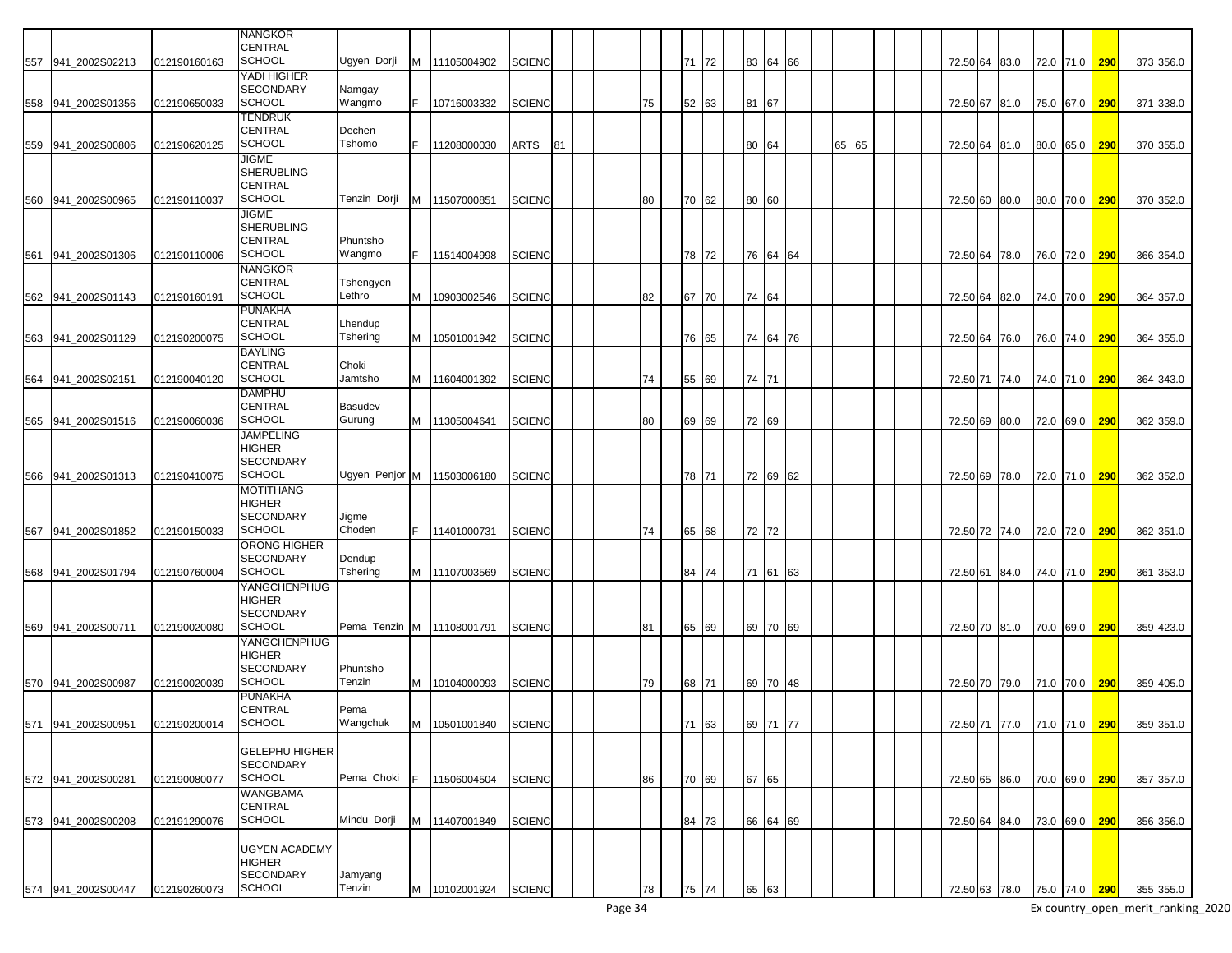|     |                    |              | NANGKOR               |                              |    |                      |               |    |  |    |       |          |          |    |       |  |                             |      |           |               |     |                                       |
|-----|--------------------|--------------|-----------------------|------------------------------|----|----------------------|---------------|----|--|----|-------|----------|----------|----|-------|--|-----------------------------|------|-----------|---------------|-----|---------------------------------------|
|     |                    |              | CENTRAL               |                              |    |                      |               |    |  |    |       |          |          |    |       |  |                             |      |           |               |     |                                       |
|     | 557 941_2002S02213 | 012190160163 | <b>SCHOOL</b>         | Ugyen Dorji                  |    | M 11105004902        | <b>SCIENC</b> |    |  |    | 71 72 | 83 64    |          | 66 |       |  | 72.50 64                    | 83.0 | 72.0 71.0 |               | 290 | 373 356.0                             |
|     |                    |              | YADI HIGHER           |                              |    |                      |               |    |  |    |       |          |          |    |       |  |                             |      |           |               |     |                                       |
|     |                    |              |                       |                              |    |                      |               |    |  |    |       |          |          |    |       |  |                             |      |           |               |     |                                       |
|     |                    |              | <b>SECONDARY</b>      | Namgay                       |    |                      |               |    |  |    |       |          |          |    |       |  |                             |      |           |               |     |                                       |
|     | 558 941 2002S01356 | 012190650033 | <b>SCHOOL</b>         | Wangmo                       |    | 10716003332          | <b>SCIENC</b> |    |  | 75 | 52 63 | 81 67    |          |    |       |  | 72.50 67 81.0               |      | 75.0 67.0 |               | 290 | 371 338.0                             |
|     |                    |              | <b>TENDRUK</b>        |                              |    |                      |               |    |  |    |       |          |          |    |       |  |                             |      |           |               |     |                                       |
|     |                    |              |                       |                              |    |                      |               |    |  |    |       |          |          |    |       |  |                             |      |           |               |     |                                       |
|     |                    |              | <b>CENTRAL</b>        | Dechen                       |    |                      |               |    |  |    |       |          |          |    |       |  |                             |      |           |               |     |                                       |
|     | 559 941_2002S00806 | 012190620125 | <b>SCHOOL</b>         | Tshomo                       |    | 11208000030          | ARTS          | 81 |  |    |       | 80 64    |          |    | 65 65 |  | 72.50 64 81.0               |      | 80.0 65.0 |               | 290 | 370 355.0                             |
|     |                    |              | JIGME                 |                              |    |                      |               |    |  |    |       |          |          |    |       |  |                             |      |           |               |     |                                       |
|     |                    |              | <b>SHERUBLING</b>     |                              |    |                      |               |    |  |    |       |          |          |    |       |  |                             |      |           |               |     |                                       |
|     |                    |              |                       |                              |    |                      |               |    |  |    |       |          |          |    |       |  |                             |      |           |               |     |                                       |
|     |                    |              | CENTRAL               |                              |    |                      |               |    |  |    |       |          |          |    |       |  |                             |      |           |               |     |                                       |
|     | 560 941 2002S00965 | 012190110037 | <b>SCHOOL</b>         | Tenzin Dorji                 |    | M 11507000851        | <b>SCIENC</b> |    |  | 80 | 70 62 | 80 60    |          |    |       |  | 72.50 60                    | 80.0 | 80.0 70.0 |               | 290 | 370 352.0                             |
|     |                    |              | JIGME                 |                              |    |                      |               |    |  |    |       |          |          |    |       |  |                             |      |           |               |     |                                       |
|     |                    |              |                       |                              |    |                      |               |    |  |    |       |          |          |    |       |  |                             |      |           |               |     |                                       |
|     |                    |              | <b>SHERUBLING</b>     |                              |    |                      |               |    |  |    |       |          |          |    |       |  |                             |      |           |               |     |                                       |
|     |                    |              | <b>CENTRAL</b>        | Phuntsho                     |    |                      |               |    |  |    |       |          |          |    |       |  |                             |      |           |               |     |                                       |
|     | 561 941 2002S01306 | 012190110006 | <b>SCHOOL</b>         | Wangmo                       |    | 11514004998          | <b>SCIENC</b> |    |  |    | 78 72 |          | 76 64 64 |    |       |  | 72.50 64 78.0               |      | 76.0 72.0 |               | 290 | 366 354.0                             |
|     |                    |              | NANGKOR               |                              |    |                      |               |    |  |    |       |          |          |    |       |  |                             |      |           |               |     |                                       |
|     |                    |              |                       |                              |    |                      |               |    |  |    |       |          |          |    |       |  |                             |      |           |               |     |                                       |
|     |                    |              | CENTRAL               | Tshengyen                    |    |                      |               |    |  |    |       |          |          |    |       |  |                             |      |           |               |     |                                       |
|     | 562 941_2002S01143 | 012190160191 | <b>SCHOOL</b>         | Lethro                       | M  | 10903002546          | <b>SCIENC</b> |    |  | 82 | 67 70 | 74 64    |          |    |       |  | 72.50 64                    | 82.0 | 74.0 70.0 |               | 290 | 364 357.0                             |
|     |                    |              | PUNAKHA               |                              |    |                      |               |    |  |    |       |          |          |    |       |  |                             |      |           |               |     |                                       |
|     |                    |              | <b>CENTRAL</b>        | Lhendup                      |    |                      |               |    |  |    |       |          |          |    |       |  |                             |      |           |               |     |                                       |
|     |                    |              |                       |                              |    |                      |               |    |  |    |       |          |          |    |       |  |                             |      |           |               |     |                                       |
|     | 563 941 2002S01129 | 012190200075 | <b>SCHOOL</b>         | Tshering                     |    | M 10501001942        | <b>SCIENC</b> |    |  |    | 76 65 |          | 74 64 76 |    |       |  | 72.50 64 76.0               |      | 76.0 74.0 |               | 290 | 364 355.0                             |
|     |                    |              | <b>BAYLING</b>        |                              |    |                      |               |    |  |    |       |          |          |    |       |  |                             |      |           |               |     |                                       |
|     |                    |              | <b>CENTRAL</b>        | Choki                        |    |                      |               |    |  |    |       |          |          |    |       |  |                             |      |           |               |     |                                       |
|     |                    |              | <b>SCHOOL</b>         | Jamtsho                      |    |                      |               |    |  |    |       |          |          |    |       |  |                             |      |           |               |     |                                       |
|     | 564 941_2002S02151 | 012190040120 |                       |                              |    | M 11604001392        | <b>SCIENC</b> |    |  | 74 | 55 69 | 74 71    |          |    |       |  | 72.50 71 74.0               |      | 74.0 71.0 |               | 290 | 364 343.0                             |
|     |                    |              | DAMPHU                |                              |    |                      |               |    |  |    |       |          |          |    |       |  |                             |      |           |               |     |                                       |
|     |                    |              | <b>CENTRAL</b>        | Basudev                      |    |                      |               |    |  |    |       |          |          |    |       |  |                             |      |           |               |     |                                       |
|     | 565 941 2002S01516 | 012190060036 | <b>SCHOOL</b>         | Gurung                       |    | M 11305004641        | <b>SCIENC</b> |    |  | 80 | 69 69 | 72 69    |          |    |       |  | 72.50 69                    | 80.0 | 72.0 69.0 |               | 290 | 362 359.0                             |
|     |                    |              |                       |                              |    |                      |               |    |  |    |       |          |          |    |       |  |                             |      |           |               |     |                                       |
|     |                    |              | <b>JAMPELING</b>      |                              |    |                      |               |    |  |    |       |          |          |    |       |  |                             |      |           |               |     |                                       |
|     |                    |              | <b>HIGHER</b>         |                              |    |                      |               |    |  |    |       |          |          |    |       |  |                             |      |           |               |     |                                       |
|     |                    |              | <b>SECONDARY</b>      |                              |    |                      |               |    |  |    |       |          |          |    |       |  |                             |      |           |               |     |                                       |
|     |                    |              | <b>SCHOOL</b>         | Ugyen Penjor M   11503006180 |    |                      |               |    |  |    |       |          |          |    |       |  |                             |      |           |               |     |                                       |
|     | 566 941 2002S01313 | 012190410075 |                       |                              |    |                      | <b>SCIENC</b> |    |  |    | 78 71 | 72 69    |          | 62 |       |  | 72.50 69 78.0               |      | 72.0 71.0 |               | 290 | 362 352.0                             |
|     |                    |              | <b>MOTITHANG</b>      |                              |    |                      |               |    |  |    |       |          |          |    |       |  |                             |      |           |               |     |                                       |
|     |                    |              | HIGHER                |                              |    |                      |               |    |  |    |       |          |          |    |       |  |                             |      |           |               |     |                                       |
|     |                    |              | <b>SECONDARY</b>      | Jigme                        |    |                      |               |    |  |    |       |          |          |    |       |  |                             |      |           |               |     |                                       |
|     |                    |              |                       |                              |    |                      |               |    |  |    |       |          |          |    |       |  |                             |      |           |               |     |                                       |
| 567 | 941 2002S01852     | 012190150033 | <b>SCHOOL</b>         | Choden                       |    | 11401000731          | <b>SCIENC</b> |    |  | 74 | 65 68 | 72 72    |          |    |       |  | 72.50 72 74.0               |      | 72.0 72.0 |               | 290 | 362 351.0                             |
|     |                    |              | ORONG HIGHER          |                              |    |                      |               |    |  |    |       |          |          |    |       |  |                             |      |           |               |     |                                       |
|     |                    |              | <b>SECONDARY</b>      | Dendup                       |    |                      |               |    |  |    |       |          |          |    |       |  |                             |      |           |               |     |                                       |
|     | 568 941 2002S01794 | 012190760004 | <b>SCHOOL</b>         | Tshering                     |    | M 11107003569        | <b>SCIENC</b> |    |  |    | 84 74 |          | 71 61 63 |    |       |  |                             |      |           |               | 290 | 361 353.0                             |
|     |                    |              |                       |                              |    |                      |               |    |  |    |       |          |          |    |       |  | 72.50 61 84.0               |      | 74.0 71.0 |               |     |                                       |
|     |                    |              | YANGCHENPHUG          |                              |    |                      |               |    |  |    |       |          |          |    |       |  |                             |      |           |               |     |                                       |
|     |                    |              | <b>HIGHER</b>         |                              |    |                      |               |    |  |    |       |          |          |    |       |  |                             |      |           |               |     |                                       |
|     |                    |              | <b>SECONDARY</b>      |                              |    |                      |               |    |  |    |       |          |          |    |       |  |                             |      |           |               |     |                                       |
|     |                    |              |                       |                              |    |                      |               |    |  |    |       |          |          |    |       |  |                             |      |           |               |     |                                       |
|     | 569 941 2002S00711 | 012190020080 | <b>SCHOOL</b>         | Pema Tenzin M   11108001791  |    |                      | <b>SCIENC</b> |    |  | 81 | 65 69 |          | 69 70 69 |    |       |  | 72.50 70 81.0               |      | 70.0 69.0 |               | 290 | 359 423.0                             |
|     |                    |              | YANGCHENPHUG          |                              |    |                      |               |    |  |    |       |          |          |    |       |  |                             |      |           |               |     |                                       |
|     |                    |              | HIGHER                |                              |    |                      |               |    |  |    |       |          |          |    |       |  |                             |      |           |               |     |                                       |
|     |                    |              | <b>SECONDARY</b>      | Phuntsho                     |    |                      |               |    |  |    |       |          |          |    |       |  |                             |      |           |               |     |                                       |
|     |                    |              |                       |                              |    |                      |               |    |  |    |       |          |          |    |       |  |                             |      |           |               |     |                                       |
|     | 570 941 2002S00987 | 012190020039 | <b>SCHOOL</b>         | Tenzin                       |    | M 10104000093        | <b>SCIENC</b> |    |  | 79 | 68 71 | 69 70    |          | 48 |       |  | 72.50 70 79.0               |      | 71.0 70.0 |               | 290 | 359 405.0                             |
|     |                    |              | PUNAKHA               |                              |    |                      |               |    |  |    |       |          |          |    |       |  |                             |      |           |               |     |                                       |
|     |                    |              | <b>CENTRAL</b>        | Pema                         |    |                      |               |    |  |    |       |          |          |    |       |  |                             |      |           |               |     |                                       |
|     | 571 941_2002S00951 | 012190200014 | <b>SCHOOL</b>         | Wangchuk                     |    | M 10501001840 SCIENC |               |    |  |    | 71 63 | 69 71    |          | 77 |       |  |                             |      |           |               |     | 72.50 71 77.0 71.0 71.0 290 359 351.0 |
|     |                    |              |                       |                              |    |                      |               |    |  |    |       |          |          |    |       |  |                             |      |           |               |     |                                       |
|     |                    |              |                       |                              |    |                      |               |    |  |    |       |          |          |    |       |  |                             |      |           |               |     |                                       |
|     |                    |              | <b>GELEPHU HIGHER</b> |                              |    |                      |               |    |  |    |       |          |          |    |       |  |                             |      |           |               |     |                                       |
|     |                    |              | <b>SECONDARY</b>      |                              |    |                      |               |    |  |    |       |          |          |    |       |  |                             |      |           |               |     |                                       |
|     |                    |              | <b>SCHOOL</b>         | Pema Choki                   | E. |                      |               |    |  |    |       |          |          |    |       |  |                             |      |           |               |     |                                       |
|     | 572 941_2002S00281 | 012190080077 |                       |                              |    | 11506004504          | <b>SCIENC</b> |    |  | 86 | 70 69 | 67 65    |          |    |       |  | 72.50 65 86.0               |      |           | 70.0 69.0 290 |     | 357 357.0                             |
|     |                    |              | WANGBAMA              |                              |    |                      |               |    |  |    |       |          |          |    |       |  |                             |      |           |               |     |                                       |
|     |                    |              | CENTRAL               |                              |    |                      |               |    |  |    |       |          |          |    |       |  |                             |      |           |               |     |                                       |
|     | 573 941_2002S00208 | 012191290076 | <b>SCHOOL</b>         | Mindu Dorji                  |    | M 11407001849        | <b>SCIENC</b> |    |  |    | 84 73 | 66 64 69 |          |    |       |  | 72.50 64 84.0               |      |           | 73.0 69.0     | 290 | 356 356.0                             |
|     |                    |              |                       |                              |    |                      |               |    |  |    |       |          |          |    |       |  |                             |      |           |               |     |                                       |
|     |                    |              |                       |                              |    |                      |               |    |  |    |       |          |          |    |       |  |                             |      |           |               |     |                                       |
|     |                    |              | UGYEN ACADEMY         |                              |    |                      |               |    |  |    |       |          |          |    |       |  |                             |      |           |               |     |                                       |
|     |                    |              | <b>HIGHER</b>         |                              |    |                      |               |    |  |    |       |          |          |    |       |  |                             |      |           |               |     |                                       |
|     |                    |              | <b>SECONDARY</b>      | Jamyang                      |    |                      |               |    |  |    |       |          |          |    |       |  |                             |      |           |               |     |                                       |
|     |                    |              |                       |                              |    |                      |               |    |  |    |       |          |          |    |       |  |                             |      |           |               |     |                                       |
|     | 574 941_2002S00447 | 012190260073 | <b>SCHOOL</b>         | Tenzin                       |    | M 10102001924 SCIENC |               |    |  | 78 | 75 74 | 65 63    |          |    |       |  | 72.50 63 78.0 75.0 74.0 290 |      |           |               |     | 355 355.0                             |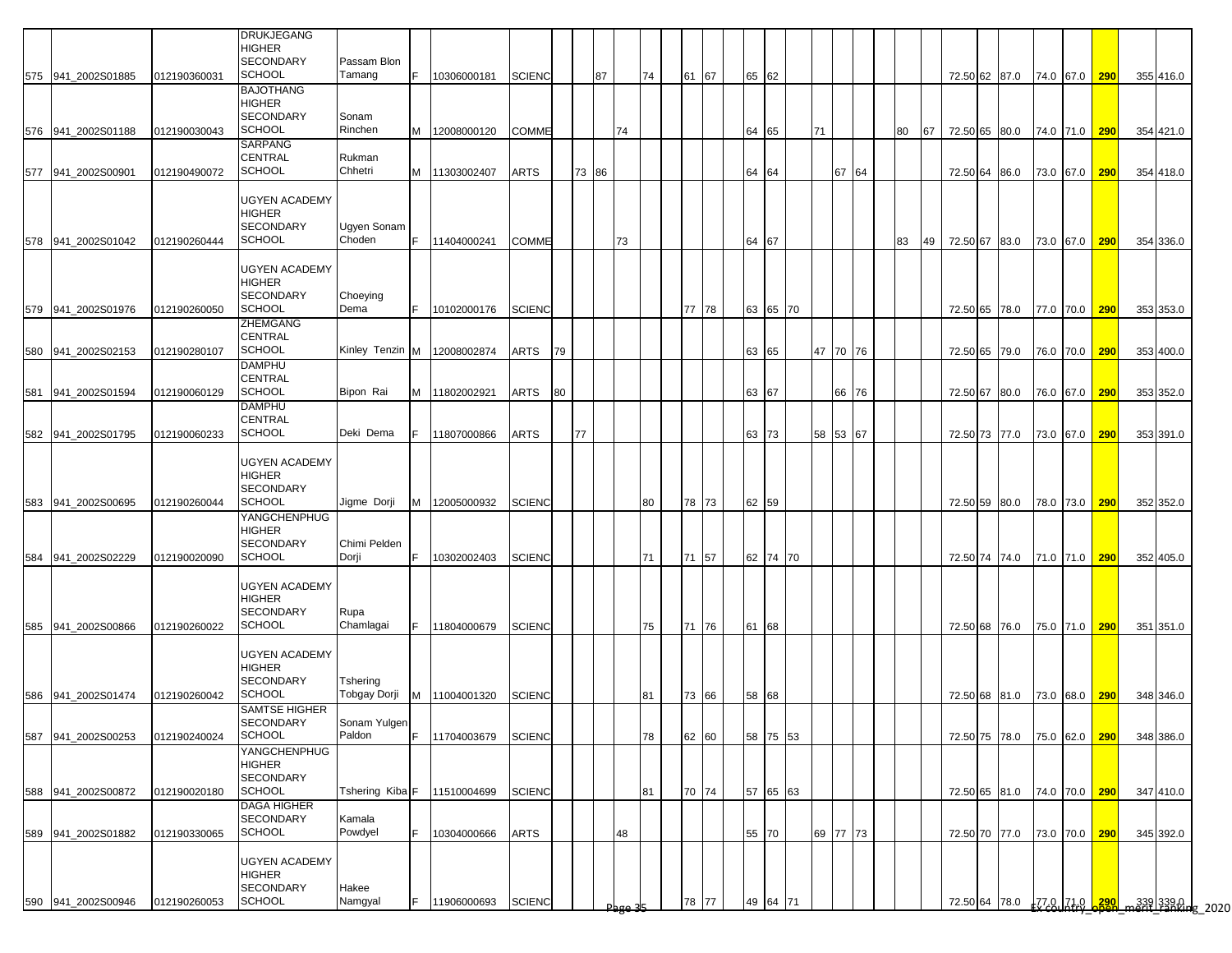|                    |              | <b>DRUKJEGANG</b><br><b>HIGHER</b><br><b>SECONDARY</b>                     | Passam Blon            |     |                               |               |    |       |    |    |    |          |       |          |    |          |    |    |                  |                             |           |               |           |                                          |
|--------------------|--------------|----------------------------------------------------------------------------|------------------------|-----|-------------------------------|---------------|----|-------|----|----|----|----------|-------|----------|----|----------|----|----|------------------|-----------------------------|-----------|---------------|-----------|------------------------------------------|
| 575 941 2002S01885 | 012190360031 | <b>SCHOOL</b>                                                              | Tamang                 | IF. | 10306000181                   | <b>SCIENC</b> |    |       | 87 |    | 74 | 61 67    | 65 62 |          |    |          |    |    |                  | 72.50 62 87.0 74.0 67.0 290 |           |               | 355 416.0 |                                          |
| 576 941 2002S01188 | 012190030043 | <b>BAJOTHANG</b><br>HIGHER<br><b>SECONDARY</b><br><b>SCHOOL</b>            | Sonam<br>Rinchen       |     | M 12008000120                 | <b>COMME</b>  |    |       |    | 74 |    |          |       | 64 65    | 71 |          | 80 | 67 |                  | 72.50 65 80.0 74.0 71.0 290 |           |               | 354 421.0 |                                          |
| 577 941 2002S00901 | 012190490072 | SARPANG<br>CENTRAL<br><b>SCHOOL</b>                                        | Rukman<br>Chhetri      | M   | 11303002407                   | <b>ARTS</b>   |    | 73 86 |    |    |    |          |       | 64 64    |    | 67 64    |    |    |                  | 72.50 64 86.0               |           | 73.0 67.0 290 | 354 418.0 |                                          |
| 578 941_2002S01042 | 012190260444 | <b>UGYEN ACADEMY</b><br><b>HIGHER</b><br><b>SECONDARY</b><br><b>SCHOOL</b> | Ugyen Sonam<br>Choden  | F.  | 11404000241                   | <b>COMME</b>  |    |       |    | 73 |    |          | 64 67 |          |    |          | 83 |    | 49 72.50 67 83.0 |                             |           | 73.0 67.0 290 | 354 336.0 |                                          |
|                    |              | <b>UGYEN ACADEMY</b><br><b>HIGHER</b><br><b>SECONDARY</b>                  | Choeying               |     |                               |               |    |       |    |    |    |          |       |          |    |          |    |    |                  |                             |           |               |           |                                          |
| 579 941_2002S01976 | 012190260050 | <b>SCHOOL</b><br>ZHEMGANG                                                  | Dema                   | E   | 10102000176                   | <b>SCIENC</b> |    |       |    |    |    | 77<br>78 |       | 63 65 70 |    |          |    |    |                  | 72.50 65 78.0               |           | 77.0 70.0 290 | 353 353.0 |                                          |
| 580 941_2002S02153 | 012190280107 | CENTRAL<br><b>SCHOOL</b><br><b>DAMPHU</b>                                  |                        |     | Kinley Tenzin M   12008002874 | ARTS          | 79 |       |    |    |    |          |       | 63 65    |    | 47 70 76 |    |    |                  | 72.50 65 79.0               |           | 76.0 70.0 290 | 353 400.0 |                                          |
| 581 941_2002S01594 | 012190060129 | CENTRAL<br><b>SCHOOL</b>                                                   | Bipon Rai              |     | M 11802002921                 | ARTS          | 80 |       |    |    |    |          |       | 63 67    |    | 66 76    |    |    |                  | 72.50 67 80.0               |           | 76.0 67.0 290 | 353 352.0 |                                          |
| 582 941_2002S01795 | 012190060233 | <b>DAMPHU</b><br>CENTRAL<br><b>SCHOOL</b>                                  | Deki Dema              | F   | 11807000866                   | <b>ARTS</b>   |    | 77    |    |    |    |          |       | 63 73    |    | 58 53 67 |    |    |                  | 72.50 73 77.0               |           | 73.0 67.0 290 | 353 391.0 |                                          |
| 583 941 2002S00695 | 012190260044 | <b>UGYEN ACADEMY</b><br>HIGHER<br><b>SECONDARY</b><br>SCHOOL               | Jigme Dorji            | IM. | 12005000932                   | <b>SCIENC</b> |    |       |    |    | 80 | 78 73    | 62 59 |          |    |          |    |    |                  | 72.50 59 80.0               |           | 78.0 73.0 290 | 352 352.0 |                                          |
| 584 941 2002S02229 | 012190020090 | YANGCHENPHUG<br>HIGHER<br><b>SECONDARY</b><br><b>SCHOOL</b>                | Chimi Pelden<br>Dorji  | F.  | 10302002403                   | <b>SCIENC</b> |    |       |    |    | 71 | 71 57    |       | 62 74 70 |    |          |    |    |                  | 72.50 74 74.0               |           | 71.0 71.0 290 | 352 405.0 |                                          |
|                    |              | <b>UGYEN ACADEMY</b><br>HIGHER<br><b>SECONDARY</b>                         | Rupa                   |     |                               |               |    |       |    |    |    |          |       |          |    |          |    |    |                  |                             |           |               |           |                                          |
| 585 941 2002S00866 | 012190260022 | <b>SCHOOL</b><br><b>UGYEN ACADEMY</b><br>HIGHER                            | Chamlagai              | IF. | 11804000679                   | <b>SCIENC</b> |    |       |    |    | 75 | 71 76    | 61 68 |          |    |          |    |    |                  | 72.50 68 76.0               |           | 75.0 71.0 290 | 351 351.0 |                                          |
| 586 941_2002S01474 | 012190260042 | <b>SECONDARY</b><br>SCHOOL<br><b>SAMTSE HIGHER</b>                         | Tshering               |     | Tobgay Dorji M 11004001320    | <b>SCIENC</b> |    |       |    |    | 81 | 73<br>66 |       | 58 68    |    |          |    |    |                  | 72.50 68 81.0               |           | 73.0 68.0 290 | 348 346.0 |                                          |
| 587 941_2002S00253 | 012190240024 | SECONDARY<br><b>SCHOOL</b>                                                 | Sonam Yulgen<br>Paldon | E   | 11704003679                   | <b>SCIENC</b> |    |       |    |    | 78 | 62<br>60 |       | 58 75 53 |    |          |    |    |                  | 72.50 75 78.0               | 75.0 62.0 | 290           | 348 386.0 |                                          |
| 588 941_2002S00872 | 012190020180 | YANGCHENPHUG<br>HIGHER<br>SECONDARY<br>SCHOOL                              | Tshering Kiba F        |     | 11510004699                   | <b>SCIENC</b> |    |       |    |    | 81 | 70 74    |       | 57 65 63 |    |          |    |    |                  | 72.50 65 81.0               |           | 74.0 70.0 290 | 347 410.0 |                                          |
| 589 941_2002S01882 | 012190330065 | <b>DAGA HIGHER</b><br><b>SECONDARY</b><br><b>SCHOOL</b>                    | Kamala<br>Powdyel      |     | 10304000666                   | <b>ARTS</b>   |    |       |    | 48 |    |          |       | 55 70    |    | 69 77 73 |    |    |                  | 72.50 70 77.0               |           | 73.0 70.0 290 | 345 392.0 |                                          |
|                    |              | <b>UGYEN ACADEMY</b><br><b>HIGHER</b><br>SECONDARY                         | Hakee                  |     |                               |               |    |       |    |    |    |          |       |          |    |          |    |    |                  |                             |           |               |           |                                          |
| 590 941 2002S00946 | 012190260053 | <b>SCHOOL</b>                                                              | Namgyal                |     | 11906000693                   | <b>SCIENC</b> |    |       |    |    |    | 77<br>78 |       | 49 64 71 |    |          |    |    |                  |                             |           |               |           | 72.50 64 78.0 77.0 71.0 290 m339 339.0 p |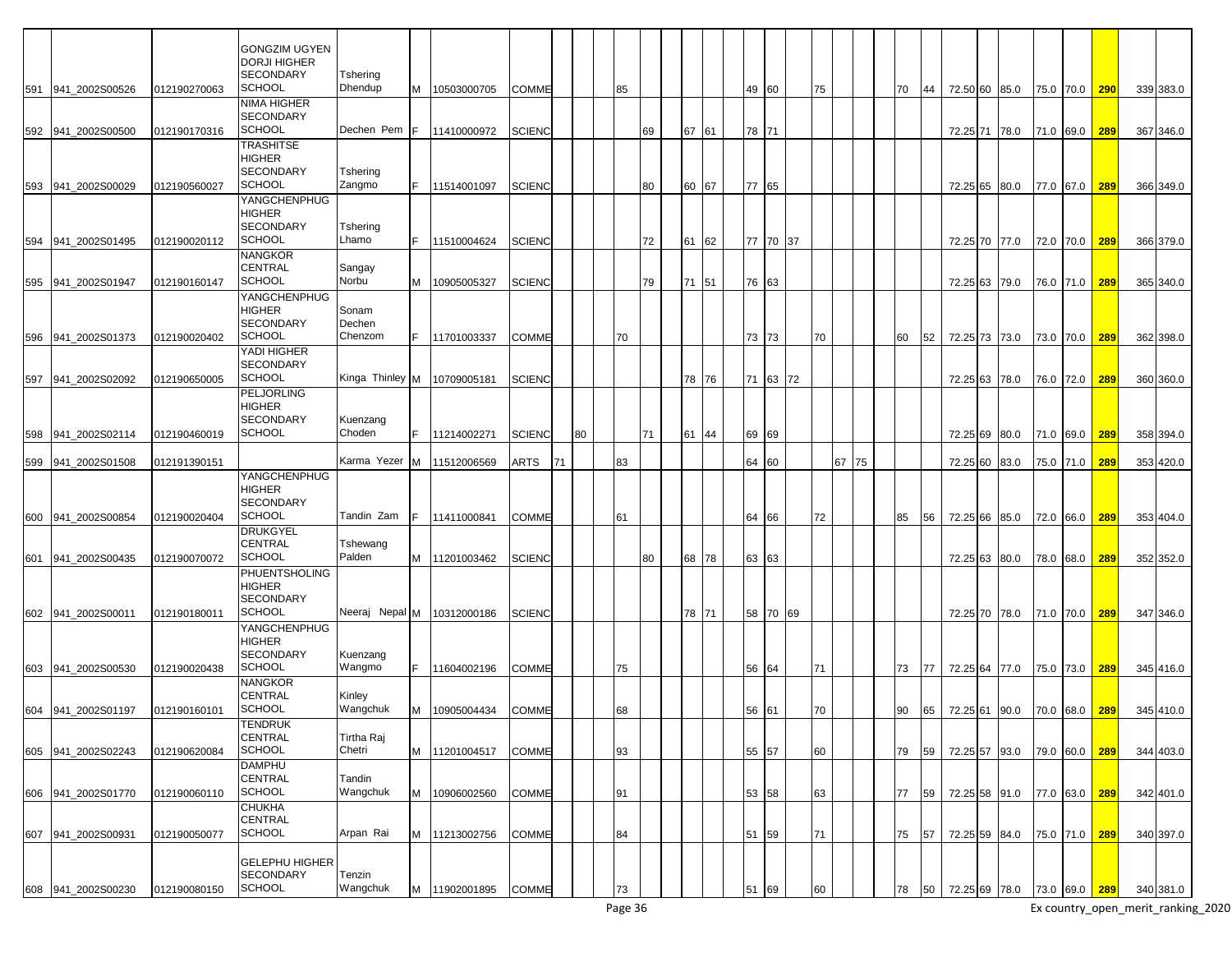|                    |              | <b>GONGZIM UGYEN</b>                      |                    |    |               |               |    |    |    |    |    |       |       |    |    |    |       |    |    |                             |      |           |               |            |           |
|--------------------|--------------|-------------------------------------------|--------------------|----|---------------|---------------|----|----|----|----|----|-------|-------|----|----|----|-------|----|----|-----------------------------|------|-----------|---------------|------------|-----------|
|                    |              | DORJI HIGHER                              |                    |    |               |               |    |    |    |    |    |       |       |    |    |    |       |    |    |                             |      |           |               |            |           |
|                    |              | SECONDARY                                 | Tshering           |    |               |               |    |    |    |    |    |       |       |    |    |    |       |    |    |                             |      |           |               |            |           |
| 591 941_2002S00526 | 012190270063 | <b>SCHOOL</b>                             | Dhendup            | M  | 10503000705   | <b>COMME</b>  |    |    | 85 |    |    |       | 49 60 |    |    | 75 |       | 70 | 44 | 72.50 60 85.0               |      | 75.0 70.0 |               | 290        | 339 383.0 |
|                    |              | NIMA HIGHER                               |                    |    |               |               |    |    |    |    |    |       |       |    |    |    |       |    |    |                             |      |           |               |            |           |
|                    |              | <b>SECONDARY</b>                          |                    |    |               |               |    |    |    |    |    |       |       |    |    |    |       |    |    |                             |      |           |               |            |           |
| 592 941_2002S00500 | 012190170316 | <b>SCHOOL</b>                             | Dechen Pem         | F  | 11410000972   | <b>SCIENC</b> |    |    |    | 69 |    | 67 61 | 78 71 |    |    |    |       |    |    | 72.25 71 78.0               |      | 71.0 69.0 |               | 289        | 367 346.0 |
|                    |              | TRASHITSE                                 |                    |    |               |               |    |    |    |    |    |       |       |    |    |    |       |    |    |                             |      |           |               |            |           |
|                    |              | HIGHER                                    |                    |    |               |               |    |    |    |    |    |       |       |    |    |    |       |    |    |                             |      |           |               |            |           |
|                    |              | <b>SECONDARY</b>                          | Tshering           |    |               |               |    |    |    |    |    |       |       |    |    |    |       |    |    |                             |      |           |               |            |           |
| 593 941 2002S00029 | 012190560027 | <b>SCHOOL</b>                             | Zangmo             | F. | 11514001097   | <b>SCIENC</b> |    |    |    | 80 | 60 | 67    | 77 65 |    |    |    |       |    |    | 72.25 65 80.0               |      | 77.0 67.0 |               | 289        | 366 349.0 |
|                    |              | YANGCHENPHUG                              |                    |    |               |               |    |    |    |    |    |       |       |    |    |    |       |    |    |                             |      |           |               |            |           |
|                    |              | HIGHER                                    |                    |    |               |               |    |    |    |    |    |       |       |    |    |    |       |    |    |                             |      |           |               |            |           |
|                    |              | SECONDARY                                 | Tshering           |    |               |               |    |    |    |    |    |       |       |    |    |    |       |    |    |                             |      |           |               |            |           |
| 594 941 2002S01495 | 012190020112 | <b>SCHOOL</b>                             | Lhamo              | F. | 11510004624   | <b>SCIENC</b> |    |    |    | 72 | 61 | 62    | 77 70 |    | 37 |    |       |    |    | 72.25 70 77.0               |      | 72.0 70.0 |               | 289        | 366 379.0 |
|                    |              | NANGKOR                                   |                    |    |               |               |    |    |    |    |    |       |       |    |    |    |       |    |    |                             |      |           |               |            |           |
|                    |              | CENTRAL                                   | Sangay             |    |               |               |    |    |    |    |    |       |       |    |    |    |       |    |    |                             |      |           |               |            |           |
| 595 941_2002S01947 | 012190160147 | <b>SCHOOL</b>                             | Norbu              |    | M 10905005327 | <b>SCIENC</b> |    |    |    | 79 |    | 71 51 | 76 63 |    |    |    |       |    |    | 72.25 63 79.0               |      | 76.0 71.0 |               | 289        | 365 340.0 |
|                    |              | YANGCHENPHUG                              |                    |    |               |               |    |    |    |    |    |       |       |    |    |    |       |    |    |                             |      |           |               |            |           |
|                    |              | HIGHER                                    | Sonam              |    |               |               |    |    |    |    |    |       |       |    |    |    |       |    |    |                             |      |           |               |            |           |
|                    |              | SECONDARY                                 | Dechen             |    |               |               |    |    |    |    |    |       |       |    |    |    |       |    |    |                             |      |           |               |            |           |
| 596 941 2002S01373 | 012190020402 | <b>SCHOOL</b>                             | Chenzom            |    | 11701003337   | <b>COMME</b>  |    |    | 70 |    |    |       | 73 73 |    |    | 70 |       | 60 | 52 | 72.25 73 73.0               |      | 73.0 70.0 |               | 289        | 362 398.0 |
|                    |              | YADI HIGHER                               |                    |    |               |               |    |    |    |    |    |       |       |    |    |    |       |    |    |                             |      |           |               |            |           |
|                    |              | <b>SECONDARY</b>                          |                    |    |               |               |    |    |    |    |    |       |       |    |    |    |       |    |    |                             |      |           |               |            |           |
| 597 941 2002S02092 | 012190650005 | <b>SCHOOL</b>                             | Kinga Thinley M    |    | 10709005181   | <b>SCIENC</b> |    |    |    |    |    | 78 76 | 71 63 |    | 72 |    |       |    |    | 72.25 63                    | 78.0 | 76.0 72.0 |               | 289        | 360 360.0 |
|                    |              | PELJORLING                                |                    |    |               |               |    |    |    |    |    |       |       |    |    |    |       |    |    |                             |      |           |               |            |           |
|                    |              | HIGHER                                    |                    |    |               |               |    |    |    |    |    |       |       |    |    |    |       |    |    |                             |      |           |               |            |           |
|                    |              | <b>SECONDARY</b><br><b>SCHOOL</b>         | Kuenzang<br>Choden |    |               |               |    |    |    |    |    |       |       |    |    |    |       |    |    |                             |      |           |               |            |           |
| 598 941_2002S02114 | 012190460019 |                                           |                    |    | 11214002271   | <b>SCIENC</b> |    | 80 |    | 71 |    | 61 44 | 69 69 |    |    |    |       |    |    | 72.25 69                    | 80.0 | 71.0 69.0 |               | 289        | 358 394.0 |
|                    |              |                                           | Karma Yezer        |    |               |               |    |    | 83 |    |    |       |       |    |    |    | 67 75 |    |    |                             |      |           |               |            |           |
| 599 941_2002S01508 | 012191390151 | YANGCHENPHUG                              |                    | M  | 11512006569   | ARTS          | 71 |    |    |    |    |       | 64 60 |    |    |    |       |    |    | 72.25 60                    | 83.0 | 75.0 71.0 |               | 289        | 353 420.0 |
|                    |              | <b>HIGHER</b>                             |                    |    |               |               |    |    |    |    |    |       |       |    |    |    |       |    |    |                             |      |           |               |            |           |
|                    |              | SECONDARY                                 |                    |    |               |               |    |    |    |    |    |       |       |    |    |    |       |    |    |                             |      |           |               |            |           |
| 600 941 2002S00854 | 012190020404 | <b>SCHOOL</b>                             | Tandin Zam         |    | 11411000841   | <b>COMME</b>  |    |    | 61 |    |    |       | 64 66 |    |    | 72 |       | 85 | 56 | 72.25 66 85.0               |      | 72.0 66.0 |               | 289        | 353 404.0 |
|                    |              | DRUKGYEL                                  |                    |    |               |               |    |    |    |    |    |       |       |    |    |    |       |    |    |                             |      |           |               |            |           |
|                    |              | CENTRAL                                   | Tshewang           |    |               |               |    |    |    |    |    |       |       |    |    |    |       |    |    |                             |      |           |               |            |           |
| 601 941 2002S00435 | 012190070072 | <b>SCHOOL</b>                             | Palden             |    | M 11201003462 | <b>SCIENC</b> |    |    |    | 80 |    | 68 78 | 63 63 |    |    |    |       |    |    | 72.25 63 80.0               |      | 78.0 68.0 |               | 289        | 352 352.0 |
|                    |              | PHUENTSHOLING                             |                    |    |               |               |    |    |    |    |    |       |       |    |    |    |       |    |    |                             |      |           |               |            |           |
|                    |              | HIGHER                                    |                    |    |               |               |    |    |    |    |    |       |       |    |    |    |       |    |    |                             |      |           |               |            |           |
|                    |              | SECONDARY                                 |                    |    |               |               |    |    |    |    |    |       |       |    |    |    |       |    |    |                             |      |           |               |            |           |
| 602 941 2002S00011 | 012190180011 | <b>SCHOOL</b>                             | Neeraj Nepal M     |    | 10312000186   | <b>SCIENC</b> |    |    |    |    |    | 78 71 | 58 70 |    | 69 |    |       |    |    | 72.25 70 78.0               |      | 71.0 70.0 |               | 289        | 347 346.0 |
|                    |              | YANGCHENPHUG                              |                    |    |               |               |    |    |    |    |    |       |       |    |    |    |       |    |    |                             |      |           |               |            |           |
|                    |              | HIGHER                                    |                    |    |               |               |    |    |    |    |    |       |       |    |    |    |       |    |    |                             |      |           |               |            |           |
|                    |              | SECONDARY                                 | Kuenzang           |    |               |               |    |    |    |    |    |       |       |    |    |    |       |    |    |                             |      |           |               |            |           |
| 603 941 2002S00530 | 012190020438 | <b>SCHOOL</b>                             | Wangmo             |    | 11604002196   | <b>COMME</b>  |    |    | 75 |    |    |       | 56 64 |    |    | 71 |       | 73 | 77 | 72.25 64 77.0               |      | 75.0 73.0 |               | 289        | 345 416.0 |
|                    |              | NANGKOR                                   |                    |    |               |               |    |    |    |    |    |       |       |    |    |    |       |    |    |                             |      |           |               |            |           |
|                    |              | CENTRAL                                   | Kinley             |    |               |               |    |    |    |    |    |       |       |    |    |    |       |    |    |                             |      |           |               |            |           |
| 604 941_2002S01197 | 012190160101 | <b>SCHOOL</b>                             | Wangchuk           | M  | 10905004434   | <b>COMME</b>  |    |    | 68 |    |    |       | 56 61 |    |    | 70 |       | 90 | 65 | 72.25 61 90.0               |      | 70.0 68.0 |               | <b>289</b> | 345 410.0 |
|                    |              | TENDRUK                                   |                    |    |               |               |    |    |    |    |    |       |       |    |    |    |       |    |    |                             |      |           |               |            |           |
|                    |              | CENTRAL                                   | Tirtha Raj         |    |               |               |    |    |    |    |    |       |       |    |    |    |       |    |    |                             |      |           |               |            |           |
| 605 941_2002S02243 | 012190620084 | <b>SCHOOL</b>                             | Chetri             |    | M 11201004517 | <b>COMME</b>  |    |    | 93 |    |    |       | 55 57 |    |    | 60 |       | 79 | 59 | 72.25 57 93.0               |      |           | 79.0 60.0     | 289        | 344 403.0 |
|                    |              | <b>DAMPHU</b>                             |                    |    |               |               |    |    |    |    |    |       |       |    |    |    |       |    |    |                             |      |           |               |            |           |
|                    |              | CENTRAL                                   | Tandin             |    |               |               |    |    |    |    |    |       |       |    |    |    |       |    |    |                             |      |           |               |            |           |
| 606 941_2002S01770 | 012190060110 | <b>SCHOOL</b>                             | Wangchuk           | M  | 10906002560   | <b>COMME</b>  |    |    | 91 |    |    |       | 53 58 |    |    | 63 |       | 77 | 59 | 72.25 58 91.0 77.0 63.0     |      |           |               | 289        | 342 401.0 |
|                    |              | CHUKHA                                    |                    |    |               |               |    |    |    |    |    |       |       |    |    |    |       |    |    |                             |      |           |               |            |           |
|                    |              | CENTRAL<br><b>SCHOOL</b>                  |                    |    |               |               |    |    |    |    |    |       |       |    |    |    |       |    |    |                             |      |           |               |            |           |
| 607 941_2002S00931 | 012190050077 |                                           | Arpan Rai          |    | M 11213002756 | <b>COMME</b>  |    |    | 84 |    |    |       | 51 59 |    |    | 71 |       | 75 | 57 | 72.25 59 84.0               |      |           | 75.0 71.0 289 |            | 340 397.0 |
|                    |              |                                           |                    |    |               |               |    |    |    |    |    |       |       |    |    |    |       |    |    |                             |      |           |               |            |           |
|                    |              | <b>GELEPHU HIGHER</b><br><b>SECONDARY</b> | Tenzin             |    |               |               |    |    |    |    |    |       |       |    |    |    |       |    |    |                             |      |           |               |            |           |
|                    | 012190080150 | <b>SCHOOL</b>                             | Wangchuk           |    |               | <b>COMME</b>  |    |    |    |    |    |       |       |    |    |    |       |    |    |                             |      |           |               |            |           |
| 608 941_2002S00230 |              |                                           |                    |    | M 11902001895 |               |    |    | 73 |    |    |       | 51    | 69 |    | 60 |       | 78 | 50 | 72.25 69 78.0 73.0 69.0 289 |      |           |               |            | 340 381.0 |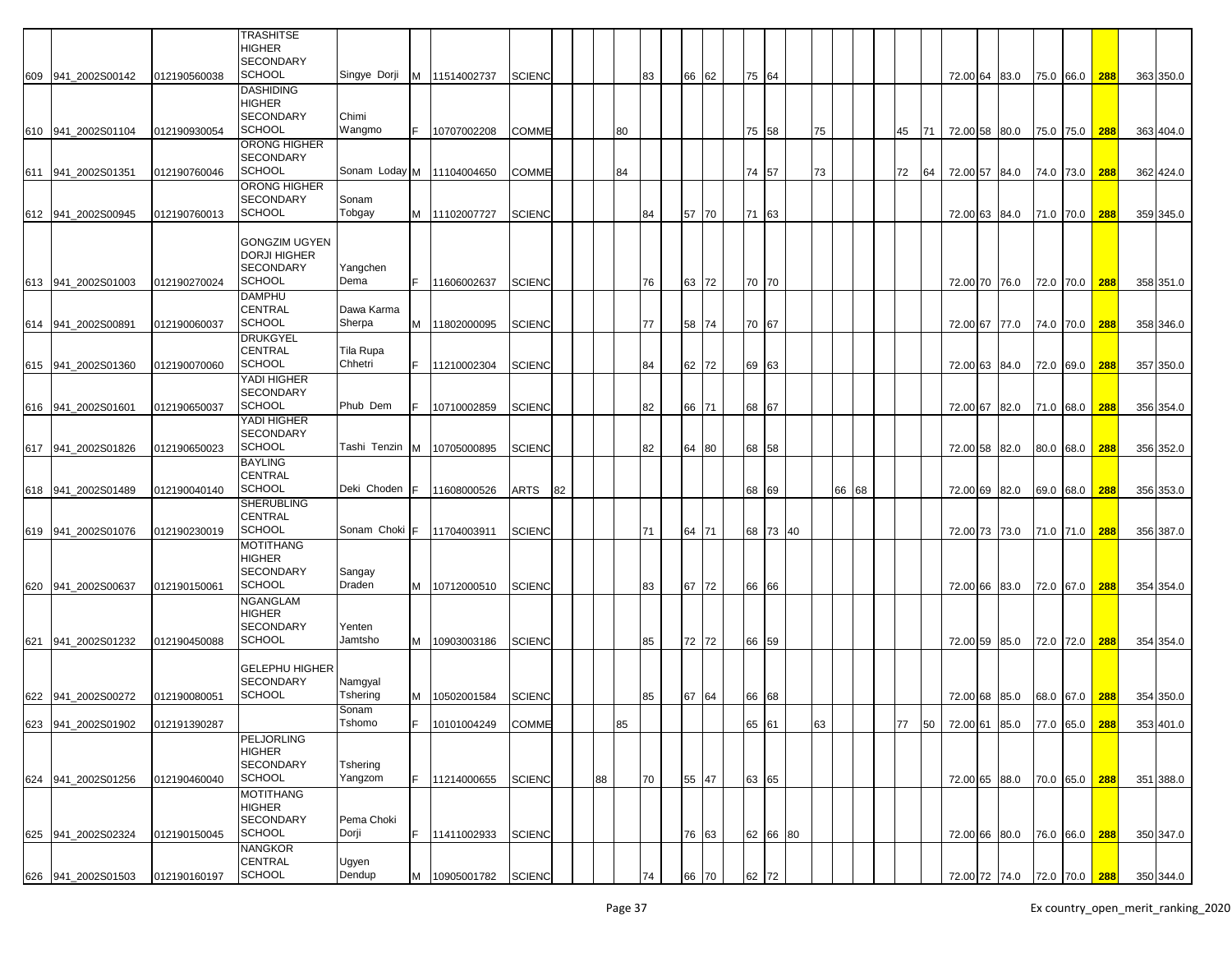|     |                    |              | <b>TRASHITSE</b>                                                       |                           |     |                      |               |    |    |    |    |    |       |               |          |    |    |       |    |    |                                |  |           |     |           |
|-----|--------------------|--------------|------------------------------------------------------------------------|---------------------------|-----|----------------------|---------------|----|----|----|----|----|-------|---------------|----------|----|----|-------|----|----|--------------------------------|--|-----------|-----|-----------|
|     |                    |              | <b>HIGHER</b><br><b>SECONDARY</b>                                      |                           |     |                      |               |    |    |    |    |    |       |               |          |    |    |       |    |    |                                |  |           |     |           |
|     | 609 941 2002S00142 | 012190560038 | <b>SCHOOL</b>                                                          | Singye Dorji              |     | M 11514002737        | <b>SCIENC</b> |    |    |    | 83 | 66 | 62    | 75 64         |          |    |    |       |    |    | 72.00 64 83.0 75.0 66.0 288    |  |           |     | 363 350.0 |
|     | 610 941 2002S01104 | 012190930054 | <b>DASHIDING</b><br>HIGHER<br><b>SECONDARY</b><br><b>SCHOOL</b>        | Chimi<br>Wangmo           | F.  | 10707002208          | <b>COMME</b>  |    |    | 80 |    |    |       | 75 58         |          |    | 75 |       | 45 | 71 | 72.00 58 80.0                  |  | 75.0 75.0 | 288 | 363 404.0 |
|     | 611 941_2002S01351 | 012190760046 | ORONG HIGHER<br><b>SECONDARY</b><br><b>SCHOOL</b>                      | Sonam Loday M 11104004650 |     |                      | <b>COMME</b>  |    |    | 84 |    |    |       | 74 57         |          |    | 73 |       | 72 | 64 | 72.00 57 84.0                  |  | 74.0 73.0 | 288 | 362 424.0 |
|     |                    |              | ORONG HIGHER                                                           |                           |     |                      |               |    |    |    |    |    |       |               |          |    |    |       |    |    |                                |  |           |     |           |
|     | 612 941_2002S00945 | 012190760013 | <b>SECONDARY</b><br><b>SCHOOL</b>                                      | Sonam<br>Tobgay           |     | M 11102007727        | <b>SCIENC</b> |    |    |    | 84 | 57 | 70    | 71            | 63       |    |    |       |    |    | 72.00 63 84.0                  |  | 71.0 70.0 | 288 | 359 345.0 |
|     |                    |              | <b>GONGZIM UGYEN</b><br><b>DORJI HIGHER</b><br><b>SECONDARY</b>        | Yangchen                  |     |                      |               |    |    |    |    |    |       |               |          |    |    |       |    |    |                                |  |           |     |           |
|     | 613 941 2002S01003 | 012190270024 | <b>SCHOOL</b><br><b>DAMPHU</b>                                         | Dema                      |     | 11606002637          | <b>SCIENC</b> |    |    |    | 76 |    | 63 72 | 70 70         |          |    |    |       |    |    | 72.00 70 76.0                  |  | 72.0 70.0 | 288 | 358 351.0 |
|     | 614 941_2002S00891 | 012190060037 | <b>CENTRAL</b><br><b>SCHOOL</b>                                        | Dawa Karma<br>Sherpa      |     | M 11802000095        | <b>SCIENC</b> |    |    |    | 77 |    | 58 74 | 70 67         |          |    |    |       |    |    | 72.00 67 77.0                  |  | 74.0 70.0 | 288 | 358 346.0 |
|     | 615 941 2002S01360 | 012190070060 | <b>DRUKGYEL</b><br><b>CENTRAL</b><br><b>SCHOOL</b>                     | Tila Rupa<br>Chhetri      |     | 11210002304          | <b>SCIENC</b> |    |    |    | 84 |    | 62 72 | 69 63         |          |    |    |       |    |    | 72.00 63 84.0                  |  | 72.0 69.0 | 288 | 357 350.0 |
|     |                    |              | YADI HIGHER<br><b>SECONDARY</b>                                        |                           |     |                      |               |    |    |    |    |    |       |               |          |    |    |       |    |    |                                |  |           |     |           |
|     | 616 941_2002S01601 | 012190650037 | <b>SCHOOL</b>                                                          | Phub Dem                  | F.  | 10710002859          | <b>SCIENC</b> |    |    |    | 82 |    | 66 71 | 68 67         |          |    |    |       |    |    | 72.00 67 82.0                  |  | 71.0 68.0 | 288 | 356 354.0 |
|     | 617 941 2002S01826 | 012190650023 | YADI HIGHER<br><b>SECONDARY</b><br><b>SCHOOL</b>                       | Tashi Tenzin              |     | M 10705000895        | <b>SCIENC</b> |    |    |    | 82 | 64 | 80    | 68 58         |          |    |    |       |    |    | 72.00 58 82.0                  |  | 80.0 68.0 | 288 | 356 352.0 |
|     | 618 941 2002S01489 | 012190040140 | <b>BAYLING</b><br><b>CENTRAL</b><br><b>SCHOOL</b>                      | Deki Choden               | IF. | 11608000526          | <b>ARTS</b>   | 82 |    |    |    |    |       | 68 69         |          |    |    | 66 68 |    |    | 72.00 69 82.0                  |  | 69.0 68.0 | 288 | 356 353.0 |
|     | 619 941_2002S01076 | 012190230019 | <b>SHERUBLING</b><br><b>CENTRAL</b><br>SCHOOL                          | Sonam Choki               | IF. | 11704003911          | <b>SCIENC</b> |    |    |    | 71 | 64 | 71    | 68 73         |          | 40 |    |       |    |    | 72.00 73 73.0                  |  | 71.0 71.0 | 288 | 356 387.0 |
|     |                    |              | <b>MOTITHANG</b><br><b>HIGHER</b><br><b>SECONDARY</b>                  | Sangay                    |     |                      |               |    |    |    |    |    |       |               |          |    |    |       |    |    |                                |  |           |     |           |
| 620 | 941 2002S00637     | 012190150061 | <b>SCHOOL</b><br><b>NGANGLAM</b>                                       | Draden                    |     | M 10712000510        | <b>SCIENC</b> |    |    |    | 83 | 67 | 72    | 66 66         |          |    |    |       |    |    | 72.00 66 83.0                  |  | 72.0 67.0 | 288 | 354 354.0 |
| 621 | 941 2002S01232     | 012190450088 | <b>HIGHER</b><br><b>SECONDARY</b><br><b>SCHOOL</b>                     | Yenten<br>Jamtsho         |     | M 10903003186        | <b>SCIENC</b> |    |    |    | 85 |    | 72 72 | 66 59         |          |    |    |       |    |    | 72.00 59 85.0                  |  | 72.0 72.0 | 288 | 354 354.0 |
|     |                    |              | <b>GELEPHU HIGHER</b>                                                  |                           |     |                      |               |    |    |    |    |    |       |               |          |    |    |       |    |    |                                |  |           |     |           |
|     | 622 941_2002S00272 | 012190080051 | <b>SECONDARY</b><br><b>SCHOOL</b>                                      | Namgyal<br>Tshering       | M   | 10502001584          | <b>SCIENC</b> |    |    |    | 85 |    | 67 64 | 66 68         |          |    |    |       |    |    | 72.00 68 85.0                  |  | 68.0 67.0 | 288 | 354 350.0 |
|     | 623 941_2002S01902 | 012191390287 |                                                                        | Sonam<br>Tshomo           |     | 10101004249          | <b>COMME</b>  |    |    | 85 |    |    |       | <b>b5 b</b> 1 |          |    | ხა |       | 77 |    | 50 72.00 61 85.0 77.0 65.0 288 |  |           |     | 353 401.0 |
|     | 624 941_2002S01256 | 012190460040 | PELJORLING<br><b>HIGHER</b><br><b>SECONDARY</b><br><b>SCHOOL</b>       | Tshering<br>Yangzom       | F.  | 11214000655          | <b>SCIENC</b> |    | 88 |    | 70 |    | 55 47 | 63 65         |          |    |    |       |    |    | 72.00 65 88.0 70.0 65.0 288    |  |           |     | 351 388.0 |
|     | 625 941_2002S02324 | 012190150045 | <b>MOTITHANG</b><br><b>HIGHER</b><br><b>SECONDARY</b><br><b>SCHOOL</b> | Pema Choki<br>Dorji       |     | F  11411002933       | <b>SCIENC</b> |    |    |    |    |    | 76 63 |               | 62 66 80 |    |    |       |    |    | 72.00 66 80.0 76.0 66.0 288    |  |           |     | 350 347.0 |
|     | 626 941_2002S01503 | 012190160197 | <b>NANGKOR</b><br><b>CENTRAL</b><br><b>SCHOOL</b>                      | Ugyen<br>Dendup           |     | M 10905001782 SCIENC |               |    |    |    | 74 |    | 66 70 | 62 72         |          |    |    |       |    |    | 72.00 72 74.0 72.0 70.0 288    |  |           |     | 350 344.0 |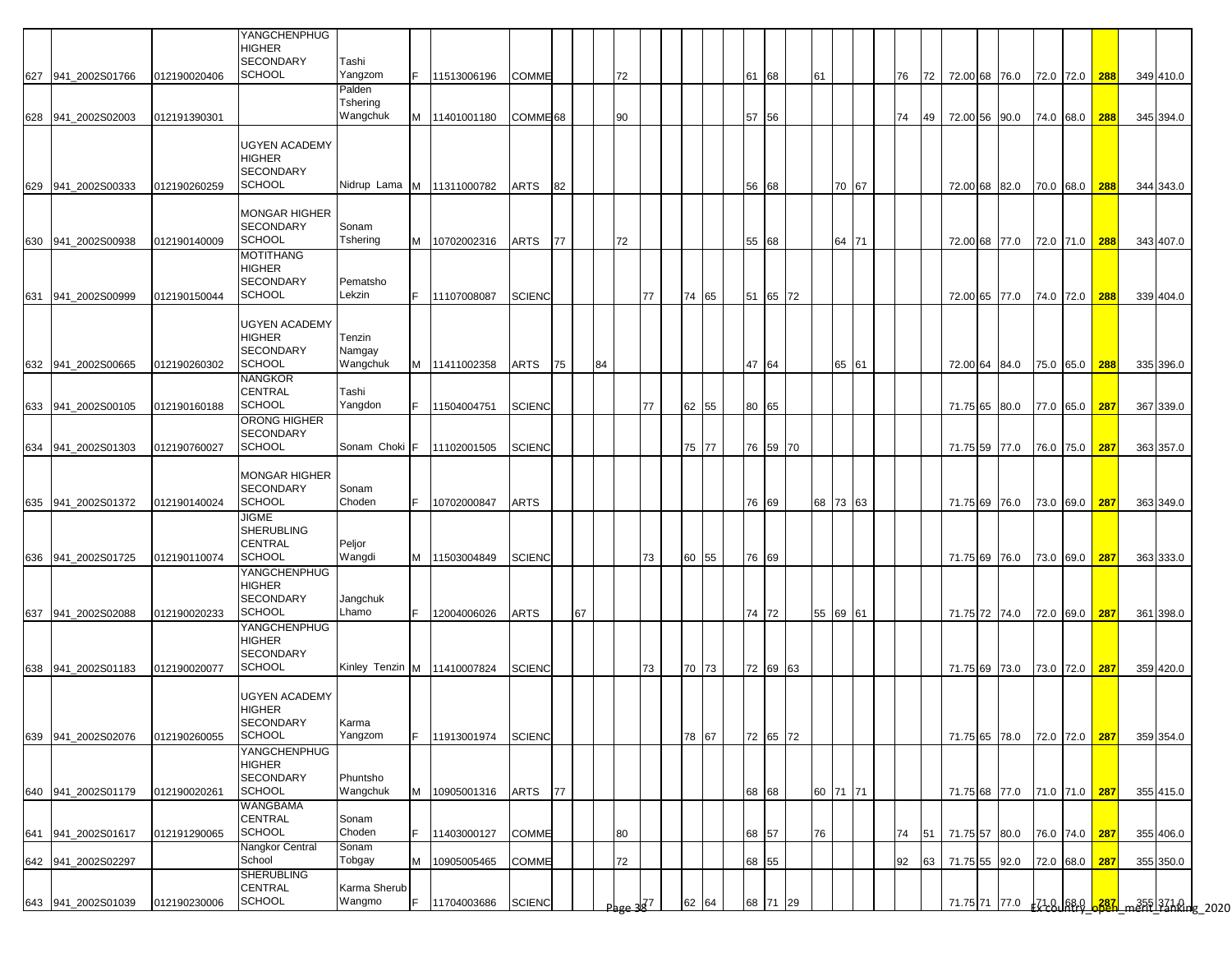|     |                    |              | YANGCHENPHUG<br><b>HIGHER</b><br><b>SECONDARY</b>                          | Tashi                        |    |                               |                     |    |    |    |              |    |          |       |          |    |          |    |    |  |                             |               |     |           |  |
|-----|--------------------|--------------|----------------------------------------------------------------------------|------------------------------|----|-------------------------------|---------------------|----|----|----|--------------|----|----------|-------|----------|----|----------|----|----|--|-----------------------------|---------------|-----|-----------|--|
|     | 627 941_2002S01766 | 012190020406 | <b>SCHOOL</b>                                                              | Yangzom<br>Palden            | F. | 11513006196                   | <b>COMME</b>        |    |    |    | 72           |    |          | 61 68 |          | 61 |          | 76 |    |  | 72 72.00 68 76.0            | 72.0 72.0     | 288 | 349 410.0 |  |
|     | 628 941 2002S02003 | 012191390301 |                                                                            | Tshering<br>Wangchuk         |    | M 11401001180                 | COMME <sup>68</sup> |    |    |    | 90           |    |          | 57 56 |          |    |          | 74 | 49 |  | 72.00 56 90.0               | 74.0 68.0     | 288 | 345 394.0 |  |
|     | 629 941_2002S00333 | 012190260259 | <b>UGYEN ACADEMY</b><br><b>HIGHER</b><br><b>SECONDARY</b><br><b>SCHOOL</b> |                              |    | Nidrup Lama M 11311000782     | ARTS                | 82 |    |    |              |    |          |       | 56 68    |    | 70 67    |    |    |  | 72.00 68 82.0 70.0 68.0 288 |               |     | 344 343.0 |  |
|     | 630 941_2002S00938 | 012190140009 | <b>MONGAR HIGHER</b><br><b>SECONDARY</b><br><b>SCHOOL</b>                  | Sonam<br>Tshering            |    | M 10702002316                 | ARTS                | 77 |    |    | 72           |    |          |       | 55 68    |    | 64 71    |    |    |  | 72.00 68 77.0 72.0 71.0     |               | 288 | 343 407.0 |  |
| 631 | 941 2002S00999     | 012190150044 | <b>MOTITHANG</b><br><b>HIGHER</b><br><b>SECONDARY</b><br><b>SCHOOL</b>     | Pematsho<br>Lekzin           | F. | 11107008087                   | <b>SCIENC</b>       |    |    |    |              | 77 | 74<br>65 |       | 51 65 72 |    |          |    |    |  | 72.00 65 77.0               | 74.0 72.0     | 288 | 339 404.0 |  |
|     | 632 941_2002S00665 | 012190260302 | <b>UGYEN ACADEMY</b><br><b>HIGHER</b><br><b>SECONDARY</b><br><b>SCHOOL</b> | Tenzin<br>Namgay<br>Wangchuk |    | M 11411002358                 | ARTS                | 75 |    | 84 |              |    |          |       | 47 64    |    | 65 61    |    |    |  | 72.00 64 84.0               | 75.0 65.0     | 288 | 335 396.0 |  |
|     |                    |              | <b>NANGKOR</b>                                                             |                              |    |                               |                     |    |    |    |              |    |          |       |          |    |          |    |    |  |                             |               |     |           |  |
|     | 633 941_2002S00105 | 012190160188 | <b>CENTRAL</b><br><b>SCHOOL</b>                                            | Tashi<br>Yangdon             |    | 11504004751                   | <b>SCIENC</b>       |    |    |    |              | 77 | 62<br>55 | 80 65 |          |    |          |    |    |  | 71.75 65 80.0               | 77.0 65.0     | 287 | 367 339.0 |  |
|     |                    |              | ORONG HIGHER                                                               |                              |    |                               |                     |    |    |    |              |    |          |       |          |    |          |    |    |  |                             |               |     |           |  |
|     | 634 941 2002S01303 | 012190760027 | <b>SECONDARY</b><br><b>SCHOOL</b>                                          | Sonam Choki F                |    | 11102001505                   | <b>SCIENC</b>       |    |    |    |              |    | 75<br>77 |       | 76 59 70 |    |          |    |    |  | 71.75 59 77.0 76.0 75.0 287 |               |     | 363 357.0 |  |
|     |                    |              | <b>MONGAR HIGHER</b><br><b>SECONDARY</b>                                   | Sonam                        |    |                               |                     |    |    |    |              |    |          |       |          |    |          |    |    |  |                             |               |     |           |  |
|     | 635 941_2002S01372 | 012190140024 | <b>SCHOOL</b><br><b>JIGME</b><br><b>SHERUBLING</b><br><b>CENTRAL</b>       | Choden<br>Peljor             | F. | 10702000847                   | <b>ARTS</b>         |    |    |    |              |    |          |       | 76 69    |    | 68 73 63 |    |    |  | 71.75 69 76.0 73.0 69.0 287 |               |     | 363 349.0 |  |
|     | 636 941 2002S01725 | 012190110074 | <b>SCHOOL</b>                                                              | Wangdi                       |    | M 11503004849                 | <b>SCIENC</b>       |    |    |    |              | 73 | 60<br>55 | 76 69 |          |    |          |    |    |  | 71.75 69 76.0               | 73.0 69.0 287 |     | 363 333.0 |  |
|     |                    |              | YANGCHENPHUG<br><b>HIGHER</b><br><b>SECONDARY</b><br><b>SCHOOL</b>         | Jangchuk<br>Lhamo            | F. |                               |                     |    |    |    |              |    |          |       |          |    |          |    |    |  |                             |               |     |           |  |
|     | 637 941_2002S02088 | 012190020233 | <b>YANGCHENPHUG</b><br><b>HIGHER</b><br><b>SECONDARY</b>                   |                              |    | 12004006026                   | ARTS                |    | 67 |    |              |    |          |       | 74 72    |    | 55 69 61 |    |    |  | 71.75 72 74.0               | 72.0 69.0     | 287 | 361 398.0 |  |
|     | 638 941 2002S01183 | 012190020077 | <b>SCHOOL</b>                                                              |                              |    | Kinley Tenzin M   11410007824 | <b>SCIENC</b>       |    |    |    |              | 73 | 70<br>73 |       | 72 69 63 |    |          |    |    |  | 71.75 69 73.0               | 73.0 72.0     | 287 | 359 420.0 |  |
|     | 639 941 2002S02076 | 012190260055 | <b>UGYEN ACADEMY</b><br><b>HIGHER</b><br>SECONDARY<br><b>SCHOOL</b>        | Karma<br>Yangzom             | F  | 11913001974                   | <b>SCIENC</b>       |    |    |    |              |    | 78<br>67 |       | 72 65 72 |    |          |    |    |  | 71.75 65 78.0               | 72.0 72.0 287 |     | 359 354.0 |  |
|     | 640 941_2002S01179 | 012190020261 | YANGCHENPHUG<br><b>HIGHER</b><br><b>SECONDARY</b><br><b>SCHOOL</b>         | Phuntsho<br>Wangchuk         |    | M 10905001316                 | ARTS                | 77 |    |    |              |    |          | 68 68 |          |    | 60 71 71 |    |    |  | 71.75 68 77.0 71.0 71.0 287 |               |     | 355 415.0 |  |
|     | 641 941_2002S01617 | 012191290065 | WANGBAMA<br><b>CENTRAL</b><br><b>SCHOOL</b>                                | Sonam<br>Choden              | F. | 11403000127                   | <b>COMME</b>        |    |    |    | 80           |    |          | 68 57 |          | 76 |          | 74 |    |  | 51 71.75 57 80.0            | 76.0 74.0 287 |     | 355 406.0 |  |
|     | 642 941_2002S02297 |              | Nangkor Central<br>School                                                  | Sonam<br>Tobgay              | M  | 10905005465                   | COMME               |    |    |    | 72           |    |          | 68 55 |          |    |          | 92 |    |  | 63 71.75 55 92.0            | 72.0 68.0     | 287 | 355 350.0 |  |
|     |                    |              | <b>SHERUBLING</b><br><b>CENTRAL</b>                                        | Karma Sherub                 |    |                               |                     |    |    |    |              |    |          |       |          |    |          |    |    |  |                             |               |     |           |  |
|     | 643 941_2002S01039 | 012190230006 | SCHOOL                                                                     | Wangmo                       | F  | 11704003686                   | <b>SCIENC</b>       |    |    |    | $Pbge 3^{7}$ |    | 62<br>64 |       | 68 71 29 |    |          |    |    |  |                             |               |     |           |  |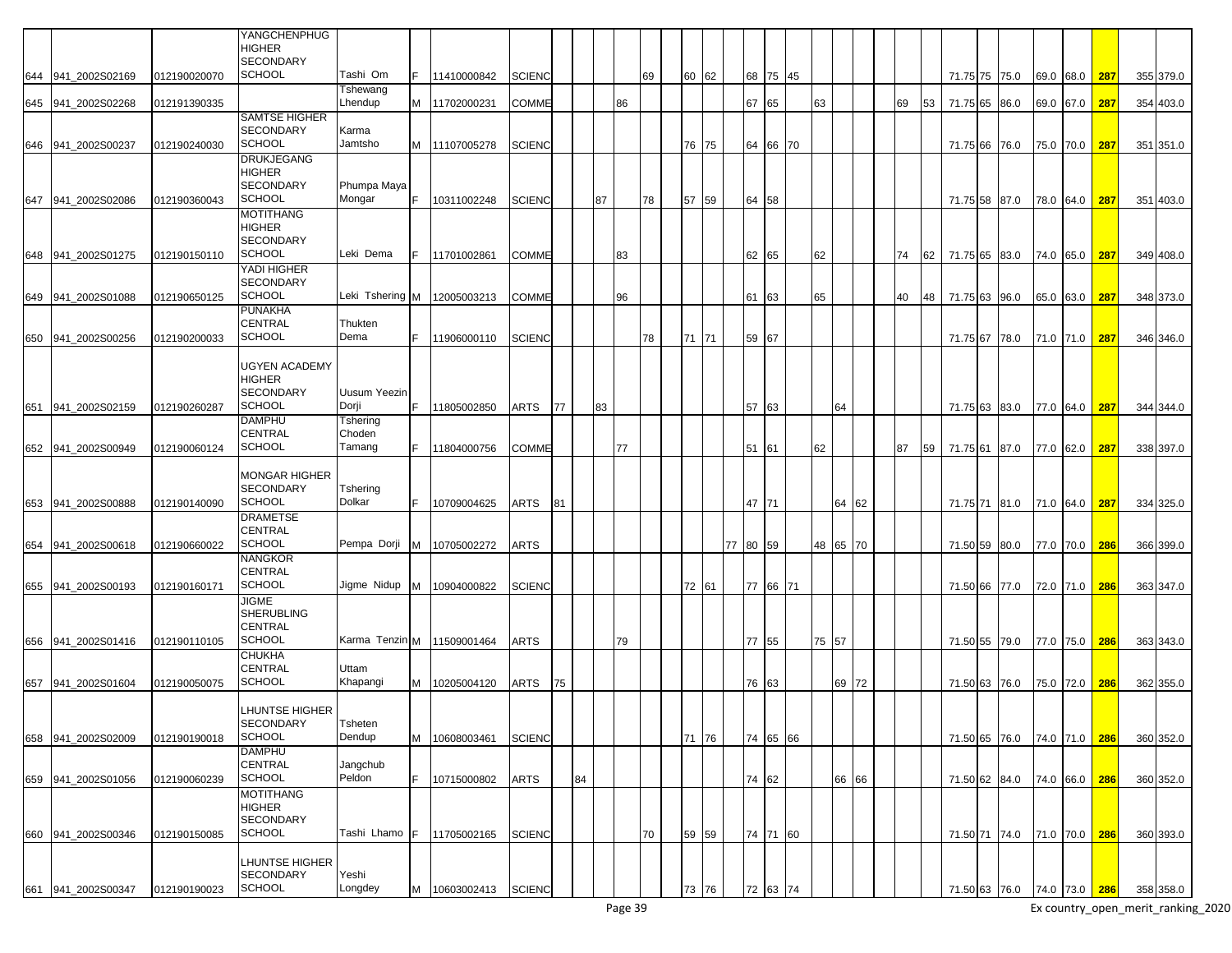|                    |              | <b>YANGCHENPHUG</b><br><b>HIGHER</b>     |                              |    |               |               |    |    |    |    |    |       |          |          |    |    |          |    |    |          |                         |      |           |     |           |
|--------------------|--------------|------------------------------------------|------------------------------|----|---------------|---------------|----|----|----|----|----|-------|----------|----------|----|----|----------|----|----|----------|-------------------------|------|-----------|-----|-----------|
| 644 941 2002S02169 | 012190020070 | <b>SECONDARY</b><br><b>SCHOOL</b>        | Tashi Om                     |    | 11410000842   | <b>SCIENC</b> |    |    |    |    | 69 | 60 62 |          |          |    |    |          |    |    |          |                         |      | 69.0 68.0 | 287 |           |
|                    |              |                                          | Tshewang                     |    |               |               |    |    |    |    |    |       |          | 68 75 45 |    |    |          |    |    |          | 71.75 75 75.0           |      |           |     | 355 379.0 |
| 645 941_2002S02268 | 012191390335 |                                          | Lhendup                      |    | 11702000231   | <b>COMME</b>  |    |    |    | 86 |    |       | 67 65    |          |    | 63 |          | 69 | 53 | 71.75 65 | 86.0                    |      | 69.0 67.0 | 287 | 354 403.0 |
|                    |              | <b>SAMTSE HIGHER</b><br><b>SECONDARY</b> | Karma                        |    |               |               |    |    |    |    |    |       |          |          |    |    |          |    |    |          |                         |      |           |     |           |
| 646 941_2002S00237 | 012190240030 | <b>SCHOOL</b>                            | Jamtsho                      |    | M 11107005278 | <b>SCIENC</b> |    |    |    |    |    | 76 75 |          | 64 66 70 |    |    |          |    |    | 71.75 66 | 76.0                    |      | 75.0 70.0 | 287 | 351 351.0 |
|                    |              | <b>DRUKJEGANG</b>                        |                              |    |               |               |    |    |    |    |    |       |          |          |    |    |          |    |    |          |                         |      |           |     |           |
|                    |              | <b>HIGHER</b><br>SECONDARY               | Phumpa Maya                  |    |               |               |    |    |    |    |    |       |          |          |    |    |          |    |    |          |                         |      |           |     |           |
| 647 941 2002S02086 | 012190360043 | <b>SCHOOL</b>                            | Mongar                       | E. | 10311002248   | <b>SCIENC</b> |    |    | 87 |    | 78 | 57 59 |          | 64 58    |    |    |          |    |    | 71.75 58 | 87.0                    |      | 78.0 64.0 | 287 | 351 403.0 |
|                    |              | MOTITHANG                                |                              |    |               |               |    |    |    |    |    |       |          |          |    |    |          |    |    |          |                         |      |           |     |           |
|                    |              | <b>HIGHER</b><br><b>SECONDARY</b>        |                              |    |               |               |    |    |    |    |    |       |          |          |    |    |          |    |    |          |                         |      |           |     |           |
| 648 941 2002S01275 | 012190150110 | <b>SCHOOL</b>                            | Leki Dema                    | F. | 11701002861   | <b>COMME</b>  |    |    |    | 83 |    |       |          | 62 65    |    | 62 |          | 74 | 62 | 71.75 65 | 83.0                    |      | 74.0 65.0 | 287 | 349 408.0 |
|                    |              | YADI HIGHER                              |                              |    |               |               |    |    |    |    |    |       |          |          |    |    |          |    |    |          |                         |      |           |     |           |
| 649 941_2002S01088 | 012190650125 | <b>SECONDARY</b><br><b>SCHOOL</b>        | Leki Tshering M              |    | 12005003213   | <b>COMME</b>  |    |    |    | 96 |    |       | 61       | 63       |    | 65 |          | 40 | 48 | 71.75 63 | 96.0                    | 65.0 | 63.0      | 287 | 348 373.0 |
|                    |              | <b>PUNAKHA</b>                           |                              |    |               |               |    |    |    |    |    |       |          |          |    |    |          |    |    |          |                         |      |           |     |           |
|                    |              | <b>CENTRAL</b>                           | Thukten                      |    |               |               |    |    |    |    |    |       |          |          |    |    |          |    |    |          |                         |      |           |     |           |
| 650 941 2002S00256 | 012190200033 | SCHOOL                                   | Dema                         |    | 11906000110   | <b>SCIENC</b> |    |    |    |    | 78 | 71 71 |          | 59 67    |    |    |          |    |    |          | 71.75 67 78.0           |      | 71.0 71.0 | 287 | 346 346.0 |
|                    |              | UGYEN ACADEMY                            |                              |    |               |               |    |    |    |    |    |       |          |          |    |    |          |    |    |          |                         |      |           |     |           |
|                    |              | HIGHER                                   |                              |    |               |               |    |    |    |    |    |       |          |          |    |    |          |    |    |          |                         |      |           |     |           |
| 651 941_2002S02159 | 012190260287 | SECONDARY<br><b>SCHOOL</b>               | <b>Uusum Yeezin</b><br>Dorji | F. | 11805002850   | <b>ARTS</b>   | 77 |    | 83 |    |    |       |          | 57 63    |    |    | 64       |    |    | 71.75 63 | 83.0                    |      | 77.0 64.0 | 287 | 344 344.0 |
|                    |              | <b>DAMPHU</b>                            | Tshering                     |    |               |               |    |    |    |    |    |       |          |          |    |    |          |    |    |          |                         |      |           |     |           |
|                    |              | <b>CENTRAL</b>                           | Choden                       |    |               |               |    |    |    |    |    |       |          |          |    |    |          |    |    |          |                         |      |           |     |           |
| 652 941 2002S00949 | 012190060124 | <b>SCHOOL</b>                            | Tamang                       | F. | 11804000756   | COMME         |    |    |    | 77 |    |       | 51       | 61       |    | 62 |          | 87 | 59 | 71.75 61 | 87.0                    |      | 77.0 62.0 | 287 | 338 397.0 |
|                    |              | MONGAR HIGHER                            |                              |    |               |               |    |    |    |    |    |       |          |          |    |    |          |    |    |          |                         |      |           |     |           |
|                    |              | <b>SECONDARY</b><br><b>SCHOOL</b>        | Tshering<br>Dolkar           |    |               |               |    |    |    |    |    |       |          |          |    |    |          |    |    |          |                         |      |           |     |           |
| 653 941 2002S00888 | 012190140090 | <b>DRAMETSE</b>                          |                              |    | 10709004625   | ARTS          | 81 |    |    |    |    |       |          | 47 71    |    |    | 64 62    |    |    |          | 71.75 71 81.0           |      | 71.0 64.0 | 287 | 334 325.0 |
|                    |              | CENTRAL                                  |                              |    |               |               |    |    |    |    |    |       |          |          |    |    |          |    |    |          |                         |      |           |     |           |
| 654 941_2002S00618 | 012190660022 | <b>SCHOOL</b>                            | Pempa Dorji                  |    | M 10705002272 | <b>ARTS</b>   |    |    |    |    |    |       | 77 80 59 |          |    |    | 48 65 70 |    |    |          | 71.50 59 80.0           |      | 77.0 70.0 | 286 | 366 399.0 |
|                    |              | NANGKOR<br>CENTRAL                       |                              |    |               |               |    |    |    |    |    |       |          |          |    |    |          |    |    |          |                         |      |           |     |           |
| 655 941 2002S00193 | 012190160171 | <b>SCHOOL</b>                            | Jigme Nidup                  | M  | 10904000822   | <b>SCIENC</b> |    |    |    |    |    | 72 61 |          | 77 66    | 71 |    |          |    |    |          | 71.50 66 77.0           |      | 72.0 71.0 | 286 | 363 347.0 |
|                    |              | <b>JIGME</b><br><b>SHERUBLING</b>        |                              |    |               |               |    |    |    |    |    |       |          |          |    |    |          |    |    |          |                         |      |           |     |           |
|                    |              | <b>CENTRAL</b>                           |                              |    |               |               |    |    |    |    |    |       |          |          |    |    |          |    |    |          |                         |      |           |     |           |
| 656 941 2002S01416 | 012190110105 | <b>SCHOOL</b>                            | Karma Tenzin M 11509001464   |    |               | <b>ARTS</b>   |    |    |    | 79 |    |       |          | 77 55    |    | 75 | 57       |    |    |          | 71.50 55 79.0           |      | 77.0 75.0 | 286 | 363 343.0 |
|                    |              | <b>CHUKHA</b><br><b>CENTRAL</b>          | Uttam                        |    |               |               |    |    |    |    |    |       |          |          |    |    |          |    |    |          |                         |      |           |     |           |
| 657 941 2002S01604 | 012190050075 | <b>SCHOOL</b>                            | Khapangi                     | M  | 10205004120   | ARTS          | 75 |    |    |    |    |       |          | 76 63    |    |    | 69 72    |    |    |          | 71.50 63 76.0           |      | 75.0 72.0 | 286 | 362 355.0 |
|                    |              |                                          |                              |    |               |               |    |    |    |    |    |       |          |          |    |    |          |    |    |          |                         |      |           |     |           |
|                    |              | LHUNTSE HIGHER<br>SECONDARY              | Tsheten                      |    |               |               |    |    |    |    |    |       |          |          |    |    |          |    |    |          |                         |      |           |     |           |
| 658 941_2002S02009 | 012190190018 | <b>SCHOOL</b>                            | Dendup                       | M  | 10608003461   | <b>SCIENC</b> |    |    |    |    |    | 71 76 |          | 74 65 66 |    |    |          |    |    |          | 71.50 65 76.0           |      | 74.0 71.0 | 286 | 360 352.0 |
|                    |              | <b>DAMPHU</b>                            |                              |    |               |               |    |    |    |    |    |       |          |          |    |    |          |    |    |          |                         |      |           |     |           |
| 659 941_2002S01056 | 012190060239 | CENTRAL<br><b>SCHOOL</b>                 | Jangchub<br>Peldon           | F. | 10715000802   | <b>ARTS</b>   |    | 84 |    |    |    |       |          | 74 62    |    |    | 66 66    |    |    |          | 71.50 62 84.0           |      | 74.0 66.0 | 286 | 360 352.0 |
|                    |              | MOTITHANG                                |                              |    |               |               |    |    |    |    |    |       |          |          |    |    |          |    |    |          |                         |      |           |     |           |
|                    |              | <b>HIGHER</b>                            |                              |    |               |               |    |    |    |    |    |       |          |          |    |    |          |    |    |          |                         |      |           |     |           |
| 660 941_2002S00346 | 012190150085 | <b>SECONDARY</b><br><b>SCHOOL</b>        | Tashi Lhamo F                |    | 11705002165   | <b>SCIENC</b> |    |    |    |    | 70 | 59 59 |          | 74 71 60 |    |    |          |    |    |          | 71.50 71 74.0 71.0 70.0 |      |           | 286 | 360 393.0 |
|                    |              |                                          |                              |    |               |               |    |    |    |    |    |       |          |          |    |    |          |    |    |          |                         |      |           |     |           |
|                    |              | LHUNTSE HIGHER<br><b>SECONDARY</b>       | Yeshi                        |    |               |               |    |    |    |    |    |       |          |          |    |    |          |    |    |          |                         |      |           |     |           |
| 661 941 2002S00347 | 012190190023 | <b>SCHOOL</b>                            | Longdey                      | M  | 10603002413   | <b>SCIENC</b> |    |    |    |    |    | 73 76 |          | 72 63 74 |    |    |          |    |    |          | 71.50 63 76.0 74.0 73.0 |      |           | 286 | 358 358.0 |
|                    |              |                                          |                              |    |               |               |    |    |    |    |    |       |          |          |    |    |          |    |    |          |                         |      |           |     |           |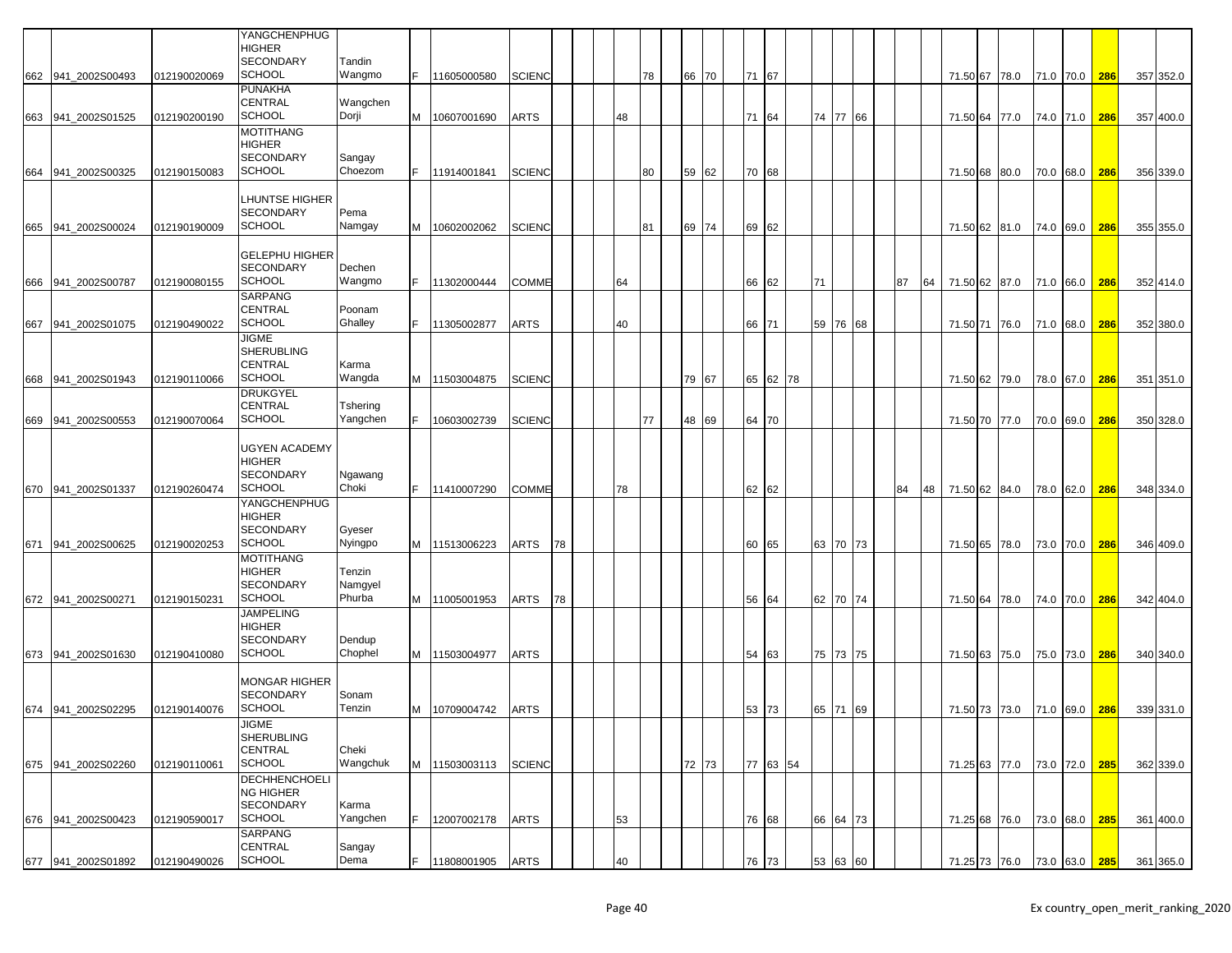|                    |              | YANGCHENPHUG          |          |    |                 |               |    |    |    |       |    |       |          |    |          |    |    |               |  |           |               |     |           |
|--------------------|--------------|-----------------------|----------|----|-----------------|---------------|----|----|----|-------|----|-------|----------|----|----------|----|----|---------------|--|-----------|---------------|-----|-----------|
|                    |              | HIGHER                |          |    |                 |               |    |    |    |       |    |       |          |    |          |    |    |               |  |           |               |     |           |
|                    |              | <b>SECONDARY</b>      | Tandin   |    |                 |               |    |    |    |       |    |       |          |    |          |    |    |               |  |           |               |     |           |
| 662 941_2002S00493 | 012190020069 | <b>SCHOOL</b>         | Wangmo   |    | 11605000580     | <b>SCIENC</b> |    |    | 78 | 66 70 |    | 71 67 |          |    |          |    |    | 71.50 67 78.0 |  | 71.0 70.0 |               | 286 | 357 352.0 |
|                    |              | <b>PUNAKHA</b>        |          |    |                 |               |    |    |    |       |    |       |          |    |          |    |    |               |  |           |               |     |           |
|                    |              | CENTRAL               | Wangchen |    |                 |               |    |    |    |       |    |       |          |    |          |    |    |               |  |           |               |     |           |
| 663 941_2002S01525 | 012190200190 | <b>SCHOOL</b>         | Dorji    |    | M   10607001690 | <b>ARTS</b>   |    | 48 |    |       | 71 | 64    |          |    | 74 77 66 |    |    | 71.50 64 77.0 |  | 74.0 71.0 |               | 286 | 357 400.0 |
|                    |              | <b>MOTITHANG</b>      |          |    |                 |               |    |    |    |       |    |       |          |    |          |    |    |               |  |           |               |     |           |
|                    |              | HIGHER                |          |    |                 |               |    |    |    |       |    |       |          |    |          |    |    |               |  |           |               |     |           |
|                    |              | SECONDARY             | Sangay   |    |                 |               |    |    |    |       |    |       |          |    |          |    |    |               |  |           |               |     |           |
| 664 941 2002S00325 | 012190150083 | <b>SCHOOL</b>         | Choezom  | F. | 11914001841     | <b>SCIENC</b> |    |    | 80 | 59 62 |    | 70 68 |          |    |          |    |    | 71.50 68 80.0 |  | 70.0 68.0 |               | 286 | 356 339.0 |
|                    |              |                       |          |    |                 |               |    |    |    |       |    |       |          |    |          |    |    |               |  |           |               |     |           |
|                    |              | LHUNTSE HIGHER        |          |    |                 |               |    |    |    |       |    |       |          |    |          |    |    |               |  |           |               |     |           |
|                    |              |                       |          |    |                 |               |    |    |    |       |    |       |          |    |          |    |    |               |  |           |               |     |           |
|                    |              | <b>SECONDARY</b>      | Pema     |    |                 |               |    |    |    |       |    |       |          |    |          |    |    |               |  |           |               |     |           |
| 665 941_2002S00024 | 012190190009 | <b>SCHOOL</b>         | Namgay   |    | M 10602002062   | <b>SCIENC</b> |    |    | 81 | 69 74 |    | 69 62 |          |    |          |    |    | 71.50 62 81.0 |  |           | 74.0 69.0     | 286 | 355 355.0 |
|                    |              |                       |          |    |                 |               |    |    |    |       |    |       |          |    |          |    |    |               |  |           |               |     |           |
|                    |              | <b>GELEPHU HIGHER</b> |          |    |                 |               |    |    |    |       |    |       |          |    |          |    |    |               |  |           |               |     |           |
|                    |              | SECONDARY             | Dechen   |    |                 |               |    |    |    |       |    |       |          |    |          |    |    |               |  |           |               |     |           |
| 666 941_2002S00787 | 012190080155 | <b>SCHOOL</b>         | Wangmo   | F. | 11302000444     | <b>COMME</b>  |    | 64 |    |       |    | 66 62 |          | 71 |          | 87 | 64 | 71.50 62 87.0 |  | 71.0 66.0 |               | 286 | 352 414.0 |
|                    |              | SARPANG               |          |    |                 |               |    |    |    |       |    |       |          |    |          |    |    |               |  |           |               |     |           |
|                    |              | CENTRAL               | Poonam   |    |                 |               |    |    |    |       |    |       |          |    |          |    |    |               |  |           |               |     |           |
| 667 941_2002S01075 | 012190490022 | <b>SCHOOL</b>         | Ghalley  |    | 11305002877     | ARTS          |    | 40 |    |       |    | 66 71 |          | 59 | 76 68    |    |    | 71.50 71 76.0 |  | 71.0 68.0 |               | 286 | 352 380.0 |
|                    |              | <b>JIGME</b>          |          |    |                 |               |    |    |    |       |    |       |          |    |          |    |    |               |  |           |               |     |           |
|                    |              | SHERUBLING            |          |    |                 |               |    |    |    |       |    |       |          |    |          |    |    |               |  |           |               |     |           |
|                    |              | CENTRAL               | Karma    |    |                 |               |    |    |    |       |    |       |          |    |          |    |    |               |  |           |               |     |           |
|                    |              | <b>SCHOOL</b>         | Wangda   |    |                 |               |    |    |    |       |    |       |          |    |          |    |    |               |  |           |               |     |           |
| 668 941_2002S01943 | 012190110066 |                       |          |    | M 11503004875   | <b>SCIENC</b> |    |    |    | 79 67 |    | 65 62 | 78       |    |          |    |    | 71.50 62 79.0 |  | 78.0 67.0 |               | 286 | 351 351.0 |
|                    |              | <b>DRUKGYEL</b>       |          |    |                 |               |    |    |    |       |    |       |          |    |          |    |    |               |  |           |               |     |           |
|                    |              | CENTRAL               | Tshering |    |                 |               |    |    |    |       |    |       |          |    |          |    |    |               |  |           |               |     |           |
| 669 941 2002S00553 | 012190070064 | <b>SCHOOL</b>         | Yangchen |    | 10603002739     | <b>SCIENC</b> |    |    | 77 | 48 69 |    | 64 70 |          |    |          |    |    | 71.50 70 77.0 |  | 70.0 69.0 |               | 286 | 350 328.0 |
|                    |              |                       |          |    |                 |               |    |    |    |       |    |       |          |    |          |    |    |               |  |           |               |     |           |
|                    |              | UGYEN ACADEMY         |          |    |                 |               |    |    |    |       |    |       |          |    |          |    |    |               |  |           |               |     |           |
|                    |              | HIGHER                |          |    |                 |               |    |    |    |       |    |       |          |    |          |    |    |               |  |           |               |     |           |
|                    |              | <b>SECONDARY</b>      | Ngawang  |    |                 |               |    |    |    |       |    |       |          |    |          |    |    |               |  |           |               |     |           |
| 670 941 2002S01337 | 012190260474 | <b>SCHOOL</b>         | Choki    |    | F 11410007290   | <b>COMME</b>  |    | 78 |    |       |    | 62 62 |          |    |          | 84 | 48 | 71.50 62 84.0 |  | 78.0 62.0 |               | 286 | 348 334.0 |
|                    |              | YANGCHENPHUG          |          |    |                 |               |    |    |    |       |    |       |          |    |          |    |    |               |  |           |               |     |           |
|                    |              | HIGHER                |          |    |                 |               |    |    |    |       |    |       |          |    |          |    |    |               |  |           |               |     |           |
|                    |              | SECONDARY             |          |    |                 |               |    |    |    |       |    |       |          |    |          |    |    |               |  |           |               |     |           |
|                    |              | <b>SCHOOL</b>         | Gyeser   |    |                 |               |    |    |    |       |    |       |          |    |          |    |    |               |  |           |               |     |           |
| 671 941 2002S00625 | 012190020253 |                       | Nyingpo  |    | M 11513006223   | <b>ARTS</b>   | 78 |    |    |       |    | 60 65 |          |    | 63 70 73 |    |    | 71.50 65 78.0 |  | 73.0 70.0 |               | 286 | 346 409.0 |
|                    |              | MOTITHANG             |          |    |                 |               |    |    |    |       |    |       |          |    |          |    |    |               |  |           |               |     |           |
|                    |              | HIGHER                | Tenzin   |    |                 |               |    |    |    |       |    |       |          |    |          |    |    |               |  |           |               |     |           |
|                    |              | <b>SECONDARY</b>      | Namgyel  |    |                 |               |    |    |    |       |    |       |          |    |          |    |    |               |  |           |               |     |           |
| 672 941_2002S00271 | 012190150231 | <b>SCHOOL</b>         | Phurba   |    | M 11005001953   | ARTS          | 78 |    |    |       |    | 56 64 |          | 62 | 70 74    |    |    | 71.50 64 78.0 |  | 74.0 70.0 |               | 286 | 342 404.0 |
|                    |              | <b>JAMPELING</b>      |          |    |                 |               |    |    |    |       |    |       |          |    |          |    |    |               |  |           |               |     |           |
|                    |              | HIGHER                |          |    |                 |               |    |    |    |       |    |       |          |    |          |    |    |               |  |           |               |     |           |
|                    |              | <b>SECONDARY</b>      | Dendup   |    |                 |               |    |    |    |       |    |       |          |    |          |    |    |               |  |           |               |     |           |
| 673 941_2002S01630 | 012190410080 | <b>SCHOOL</b>         | Chophel  |    | M 11503004977   | <b>ARTS</b>   |    |    |    |       |    | 54 63 |          |    | 75 73 75 |    |    | 71.50 63 75.0 |  | 75.0 73.0 |               | 286 | 340 340.0 |
|                    |              |                       |          |    |                 |               |    |    |    |       |    |       |          |    |          |    |    |               |  |           |               |     |           |
|                    |              | MONGAR HIGHER         |          |    |                 |               |    |    |    |       |    |       |          |    |          |    |    |               |  |           |               |     |           |
|                    |              | SECONDARY             | Sonam    |    |                 |               |    |    |    |       |    |       |          |    |          |    |    |               |  |           |               |     |           |
| 674 941 2002S02295 |              | <b>SCHOOL</b>         | Tenzin   |    |                 | <b>ARTS</b>   |    |    |    |       |    |       |          |    |          |    |    |               |  |           |               |     |           |
|                    | 012190140076 |                       |          |    | M 10709004742   |               |    |    |    |       |    | 53 73 |          |    | 65 71 69 |    |    | 71.50 73 73.0 |  |           | 71.0 69.0 286 |     | 339 331.0 |
|                    |              | JIGME                 |          |    |                 |               |    |    |    |       |    |       |          |    |          |    |    |               |  |           |               |     |           |
|                    |              | SHERUBLING            |          |    |                 |               |    |    |    |       |    |       |          |    |          |    |    |               |  |           |               |     |           |
|                    |              | <b>CENTRAL</b>        | Cheki    |    |                 |               |    |    |    |       |    |       |          |    |          |    |    |               |  |           |               |     |           |
| 675 941 2002S02260 | 012190110061 | <b>SCHOOL</b>         | Wangchuk |    | M 11503003113   | <b>SCIENC</b> |    |    |    | 72 73 |    |       | 77 63 54 |    |          |    |    | 71.25 63 77.0 |  |           | 73.0 72.0     | 285 | 362 339.0 |
|                    |              | DECHHENCHOELI         |          |    |                 |               |    |    |    |       |    |       |          |    |          |    |    |               |  |           |               |     |           |
|                    |              | NG HIGHER             |          |    |                 |               |    |    |    |       |    |       |          |    |          |    |    |               |  |           |               |     |           |
|                    |              | <b>SECONDARY</b>      | Karma    |    |                 |               |    |    |    |       |    |       |          |    |          |    |    |               |  |           |               |     |           |
| 676 941_2002S00423 | 012190590017 | <b>SCHOOL</b>         | Yangchen | F. | 12007002178     | <b>ARTS</b>   |    | 53 |    |       |    | 76 68 |          | 66 | 64 73    |    |    | 71.25 68 76.0 |  |           | 73.0 68.0     | 285 | 361 400.0 |
|                    |              | SARPANG               |          |    |                 |               |    |    |    |       |    |       |          |    |          |    |    |               |  |           |               |     |           |
|                    |              | CENTRAL               | Sangay   |    |                 |               |    |    |    |       |    |       |          |    |          |    |    |               |  |           |               |     |           |
| 677 941 2002S01892 | 012190490026 | <b>SCHOOL</b>         | Dema     | F. | 11808001905     | <b>ARTS</b>   |    | 40 |    |       |    | 76 73 |          |    | 53 63 60 |    |    | 71.25 73 76.0 |  |           | 73.0 63.0 285 |     | 361 365.0 |
|                    |              |                       |          |    |                 |               |    |    |    |       |    |       |          |    |          |    |    |               |  |           |               |     |           |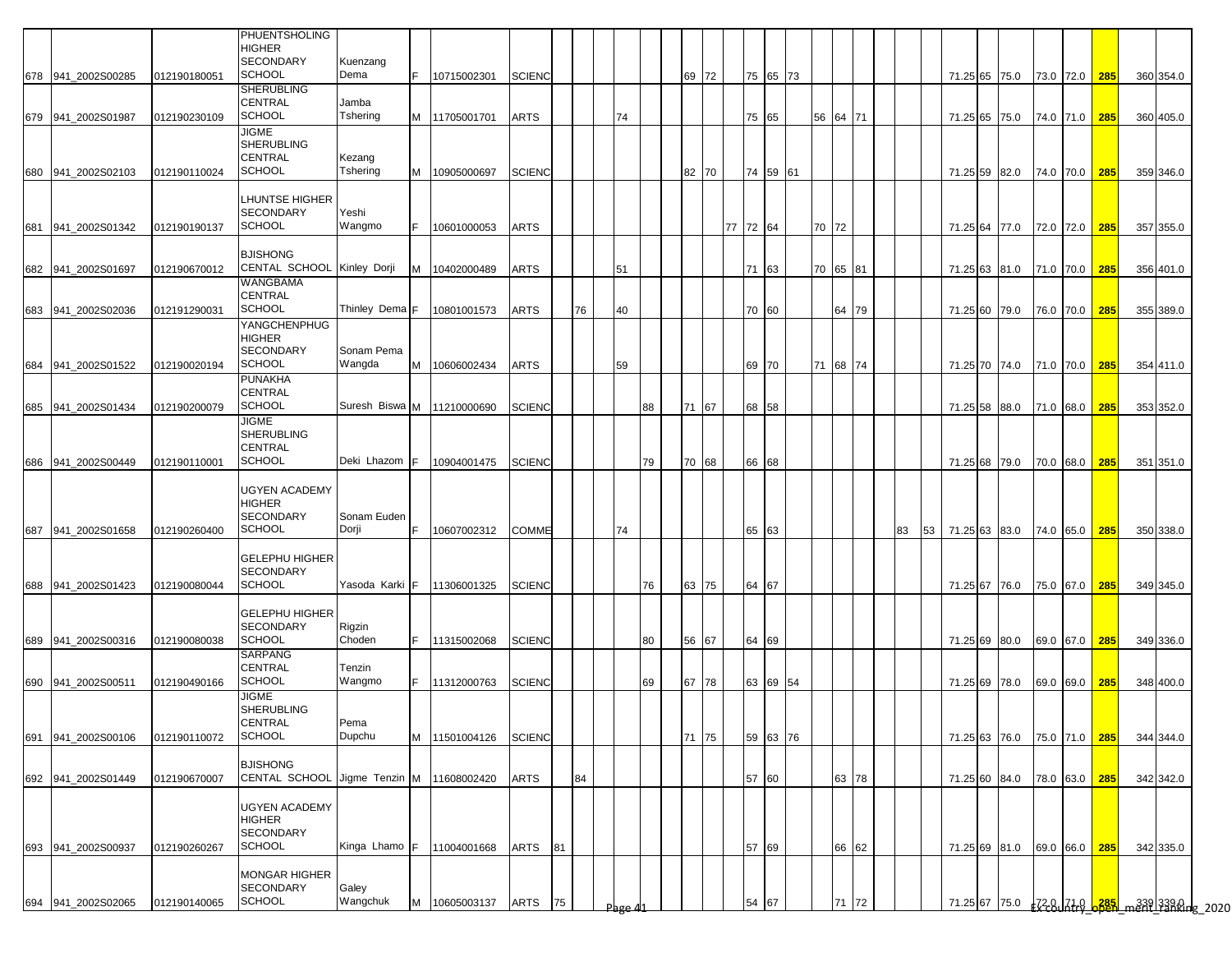|     |                                          |                              | PHUENTSHOLING<br>HIGHER<br><b>SECONDARY</b><br><b>SCHOOL</b>               | Kuenzang<br>Dema     | IF. | 10715002301   | <b>SCIENC</b> |    |    |    |    |    | 69 72    |          | 75 65 73 |       |          |    |  |                                |                                |  |                        |  |
|-----|------------------------------------------|------------------------------|----------------------------------------------------------------------------|----------------------|-----|---------------|---------------|----|----|----|----|----|----------|----------|----------|-------|----------|----|--|--------------------------------|--------------------------------|--|------------------------|--|
|     | 678 941_2002S00285<br>679 941_2002S01987 | 012190180051<br>012190230109 | <b>SHERUBLING</b><br><b>CENTRAL</b><br><b>SCHOOL</b>                       | Jamba<br>Tshering    |     | M 11705001701 | <b>ARTS</b>   |    |    | 74 |    |    |          |          | 75 65    | 56    | 64 71    |    |  | 71.25 65 75.0<br>71.25 65 75.0 | 73.0 72.0 285<br>74.0 71.0 285 |  | 360 354.0<br>360 405.0 |  |
|     | 680 941_2002S02103                       | 012190110024                 | <b>JIGME</b><br><b>SHERUBLING</b><br>CENTRAL<br><b>SCHOOL</b>              | Kezang<br>Tshering   |     | M 10905000697 | <b>SCIENC</b> |    |    |    |    |    | 82 70    |          | 74 59 61 |       |          |    |  | 71.25 59 82.0                  | 74.0 70.0 285                  |  | 359 346.0              |  |
|     | 681 941_2002S01342                       | 012190190137                 | <b>LHUNTSE HIGHER</b><br><b>SECONDARY</b><br><b>SCHOOL</b>                 | Yeshi<br>Wangmo      | IF. | 10601000053   | <b>ARTS</b>   |    |    |    |    |    |          | 77 72 64 |          | 70 72 |          |    |  | 71.25 64 77.0                  | 72.0 72.0 285                  |  | 357 355.0              |  |
|     | 682 941_2002S01697                       | 012190670012                 | <b>BJISHONG</b><br>CENTAL SCHOOL<br><b>WANGBAMA</b>                        | Kinley Dorji         | M   | 10402000489   | <b>ARTS</b>   |    |    | 51 |    |    |          |          | 71 63    |       | 70 65 81 |    |  | 71.25 63 81.0 71.0 70.0 285    |                                |  | 356 401.0              |  |
|     | 683 941_2002S02036                       | 012191290031                 | CENTRAL<br><b>SCHOOL</b><br>YANGCHENPHUG                                   | Thinley Dema F       |     | 10801001573   | <b>ARTS</b>   |    | 76 | 40 |    |    |          |          | 70 60    |       | 64 79    |    |  | 71.25 60 79.0                  | 76.0 70.0 285                  |  | 355 389.0              |  |
|     | 684 941_2002S01522                       | 012190020194                 | <b>HIGHER</b><br><b>SECONDARY</b><br><b>SCHOOL</b>                         | Sonam Pema<br>Wangda |     | M 10606002434 | <b>ARTS</b>   |    |    | 59 |    |    |          |          | 69 70    |       | 71 68 74 |    |  | 71.25 70 74.0                  | 71.0 70.0 285                  |  | 354 411.0              |  |
|     | 685 941_2002S01434                       | 012190200079                 | <b>PUNAKHA</b><br>CENTRAL<br><b>SCHOOL</b>                                 | Suresh Biswa M       |     | 11210000690   | <b>SCIENC</b> |    |    |    | 88 |    | 67<br>71 |          | 68 58    |       |          |    |  | 71.25 58 88.0                  | 71.0 68.0 285                  |  | 353 352.0              |  |
|     | 686 941 2002S00449                       | 012190110001                 | <b>JIGME</b><br><b>SHERUBLING</b><br>CENTRAL<br><b>SCHOOL</b>              | Deki Lhazom F        |     | 10904001475   | <b>SCIENC</b> |    |    |    | 79 |    | 70 68    |          | 66 68    |       |          |    |  | 71.25 68 79.0                  | 70.0 68.0 285                  |  | 351 351.0              |  |
|     | 687 941 2002S01658                       | 012190260400                 | <b>UGYEN ACADEMY</b><br><b>HIGHER</b><br><b>SECONDARY</b><br><b>SCHOOL</b> | Sonam Euden<br>Dorji | F   | 10607002312   | COMME         |    |    | 74 |    |    |          |          | 65 63    |       |          | 83 |  | 53 71.25 63 83.0 74.0 65.0 285 |                                |  | 350 338.0              |  |
|     | 688 941 2002S01423                       | 012190080044                 | <b>GELEPHU HIGHER</b><br><b>SECONDARY</b><br><b>SCHOOL</b>                 | Yasoda Karki         | IF. | 11306001325   | <b>SCIENC</b> |    |    |    | 76 | 63 | 75       | 64 67    |          |       |          |    |  | 71.25 67 76.0                  | 75.0 67.0 285                  |  | 349 345.0              |  |
|     | 689 941_2002S00316                       | 012190080038                 | <b>GELEPHU HIGHER</b><br><b>SECONDARY</b><br><b>SCHOOL</b>                 | Rigzin<br>Choden     | F.  | 11315002068   | <b>SCIENC</b> |    |    |    | 80 | 56 | 67       | 64 69    |          |       |          |    |  | 71.25 69 80.0                  | 69.0 67.0 285                  |  | 349 336.0              |  |
|     | 690 941_2002S00511                       | 012190490166                 | SARPANG<br>CENTRAL<br><b>SCHOOL</b>                                        | Tenzin<br>Wangmo     |     | 11312000763   | <b>SCIENC</b> |    |    |    | 69 |    | 67 78    |          | 63 69 54 |       |          |    |  | 71.25 69 78.0                  | 69.0 69.0 285                  |  | 348 400.0              |  |
|     | 691 941_2002S00106                       | 012190110072                 | JIGME<br><b>SHERUBLING</b><br>CENTRAL<br><b>SCHOOL</b>                     | Pema<br>Dupchu       |     | M 11501004126 | <b>SCIENC</b> |    |    |    |    |    | 71 75    |          | 59 63 76 |       |          |    |  | 71.25 63 76.0                  | 75.0 71.0 285                  |  | 344 344.0              |  |
|     | 692 941_2002S01449                       | 012190670007                 | <b>BJISHONG</b><br>CENTAL SCHOOL Jigme Tenzin M 11608002420                |                      |     |               | <b>ARTS</b>   |    | 84 |    |    |    |          |          | 57 60    |       | 63 78    |    |  | 71.25 60 84.0                  | 78.0 63.0 285                  |  | 342 342.0              |  |
|     | 693 941_2002S00937                       | 012190260267                 | <b>UGYEN ACADEMY</b><br>HIGHER<br>SECONDARY<br><b>SCHOOL</b>               | Kinga Lhamo F        |     | 11004001668   | ARTS          | 81 |    |    |    |    |          |          | 57 69    |       | 66 62    |    |  | 71.25 69 81.0                  | 69.0 66.0 285                  |  | 342 335.0              |  |
| 694 | 941_2002S02065                           | 012190140065                 | <b>MONGAR HIGHER</b><br>SECONDARY<br><b>SCHOOL</b>                         | Galey<br>Wangchuk    | M   | 10605003137   | ARTS          | 75 |    |    |    |    |          | 54 67    |          |       | 71 72    |    |  |                                |                                |  |                        |  |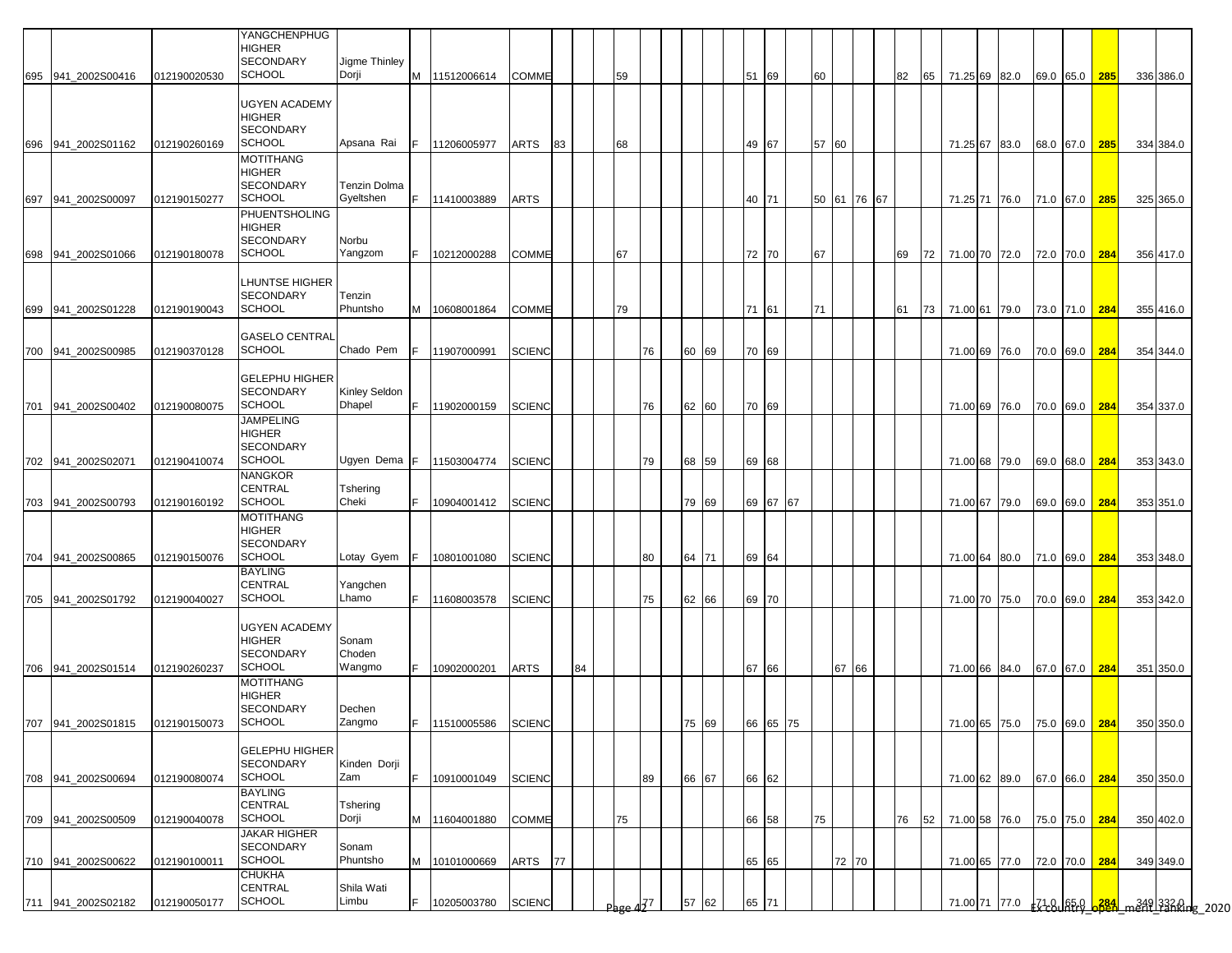|     |                                                       |              | YANGCHENPHUG<br>HIGHER<br><b>SECONDARY</b>                          | Jigme Thinley              |     |                            |                                |    |    |                       |    |                |  |       |          |    |       |             |    |    |      |               |                                                            |               |     |                                                 |  |
|-----|-------------------------------------------------------|--------------|---------------------------------------------------------------------|----------------------------|-----|----------------------------|--------------------------------|----|----|-----------------------|----|----------------|--|-------|----------|----|-------|-------------|----|----|------|---------------|------------------------------------------------------------|---------------|-----|-------------------------------------------------|--|
| 695 | 941 2002S00416                                        | 012190020530 | <b>SCHOOL</b>                                                       | Dorji                      | M   | 11512006614                | COMME                          |    |    | 59                    |    |                |  | 51 69 |          | 60 |       |             |    | 82 | 65   | 71.25 69 82.0 |                                                            | 69.0 65.0     | 285 | 336 386.0                                       |  |
| 696 | 941_2002S01162                                        | 012190260169 | <b>UGYEN ACADEMY</b><br>HIGHER<br><b>SECONDARY</b><br><b>SCHOOL</b> | Apsana Rai                 | IF. | 11206005977                | ARTS                           | 83 |    | 68                    |    |                |  | 49 67 |          |    | 57 60 |             |    |    |      | 71.25 67 83.0 |                                                            | 68.0 67.0     | 285 | 334 384.0                                       |  |
|     |                                                       |              | MOTITHANG<br>HIGHER<br><b>SECONDARY</b>                             | Tenzin Dolma               |     |                            |                                |    |    |                       |    |                |  |       |          |    |       |             |    |    |      |               |                                                            |               |     |                                                 |  |
| 697 | 941 2002S00097                                        | 012190150277 | SCHOOL<br>PHUENTSHOLING<br>HIGHER                                   | Gyeltshen                  | IF. | 11410003889                | ARTS                           |    |    |                       |    |                |  | 40 71 |          |    |       | 50 61 76 67 |    |    |      |               | 71.25 71 76.0 71.0 67.0                                    |               | 285 | 325 365.0                                       |  |
| 698 | 941_2002S01066                                        | 012190180078 | <b>SECONDARY</b><br>SCHOOL                                          | Norbu<br>Yangzom           | F.  | 10212000288                | COMME                          |    |    | 67                    |    |                |  | 72 70 |          | 67 |       |             | 69 |    | 72 l | 71.00 70 72.0 |                                                            | 72.0 70.0     | 284 | 356 417.0                                       |  |
| 699 | 941 2002S01228                                        | 012190190043 | LHUNTSE HIGHER<br>SECONDARY<br><b>SCHOOL</b>                        | Tenzin<br>Phuntsho         | M   | 10608001864                | COMME                          |    |    | 79                    |    |                |  | 71 61 |          | 71 |       |             | 61 |    | 73   | 71.00 61 79.0 |                                                            | 73.0 71.0     | 284 | 355 416.0                                       |  |
| 700 | 941 2002S00985                                        | 012190370128 | <b>GASELO CENTRAL</b><br><b>SCHOOL</b>                              | Chado Pem                  | F.  | 11907000991                | <b>SCIENC</b>                  |    |    |                       | 76 | 60 69          |  | 70 69 |          |    |       |             |    |    |      | 71.00 69 76.0 |                                                            | 70.0 69.0     | 284 | 354 344.0                                       |  |
|     |                                                       |              | GELEPHU HIGHER<br><b>SECONDARY</b>                                  | Kinley Seldon              |     |                            |                                |    |    |                       |    |                |  |       |          |    |       |             |    |    |      |               |                                                            |               |     |                                                 |  |
| 701 | 941 2002S00402                                        | 012190080075 | <b>SCHOOL</b><br><b>JAMPELING</b><br>HIGHER<br><b>SECONDARY</b>     | <b>Dhapel</b>              | F.  | 11902000159                | SCIENC                         |    |    |                       | 76 | 62 60          |  | 70 69 |          |    |       |             |    |    |      | 71.00 69 76.0 |                                                            | 70.0 69.0     | 284 | 354 337.0                                       |  |
|     | 702 941_2002S02071                                    | 012190410074 | <b>SCHOOL</b><br>NANGKOR                                            | Ugyen Dema F               |     | 11503004774                | <b>SCIENC</b>                  |    |    |                       | 79 | 68 59          |  | 69 68 |          |    |       |             |    |    |      | 71.00 68 79.0 |                                                            | 69.0 68.0     | 284 | 353 343.0                                       |  |
|     | 703 941_2002S00793                                    | 012190160192 | CENTRAL<br><b>SCHOOL</b>                                            | Tshering<br>Cheki          | F.  | 10904001412                | <b>SCIENC</b>                  |    |    |                       |    | 79 69          |  |       | 69 67 67 |    |       |             |    |    |      | 71.00 67 79.0 |                                                            | 69.0 69.0     | 284 | 353 351.0                                       |  |
|     | 704 941_2002S00865                                    | 012190150076 | MOTITHANG<br>HIGHER<br>SECONDARY<br>SCHOOL                          | Lotay Gyem                 | IF. | 10801001080                | <b>SCIENC</b>                  |    |    |                       | 80 | 64 71          |  | 69 64 |          |    |       |             |    |    |      |               | 71.00 64 80.0 71.0 69.0                                    |               | 284 | 353 348.0                                       |  |
|     |                                                       |              | <b>BAYLING</b><br><b>CENTRAL</b><br>SCHOOL                          | Yangchen<br>Lhamo          | F.  |                            | <b>SCIENC</b>                  |    |    |                       |    |                |  | 69 70 |          |    |       |             |    |    |      |               |                                                            |               |     |                                                 |  |
|     | 705 941_2002S01792                                    | 012190040027 | UGYEN ACADEMY<br>HIGHER<br>SECONDARY                                | Sonam<br>Choden            |     | 11608003578                |                                |    |    |                       | 75 | 62 66          |  |       |          |    |       |             |    |    |      | 71.00 70 75.0 |                                                            | 70.0 69.0     | 284 | 353 342.0                                       |  |
|     | 706 941 2002S01514                                    | 012190260237 | <b>SCHOOL</b><br>MOTITHANG<br>HIGHER<br>SECONDARY<br><b>SCHOOL</b>  | Wangmo<br>Dechen<br>Zangmo | F.  | 10902000201                | ARTS                           |    | 84 |                       |    |                |  | 67 66 |          |    | 67 66 |             |    |    |      |               | 71.00 66 84.0                                              | 67.0 67.0 284 |     | 351 350.0                                       |  |
|     | 707 941_2002S01815 012190150073<br>708 941_2002S00694 | 012190080074 | <b>GELEPHU HIGHER</b><br>SECONDARY<br><b>SCHOOL</b>                 | Kinden Dorji<br>Zam        | IF. | 11510005586<br>10910001049 | <b>SCIENC</b><br><b>SCIENC</b> |    |    |                       | 89 | 75 69<br>66 67 |  | 66 62 | 66 65 75 |    |       |             |    |    |      |               | 71.00 65 75.0 75.0 69.0 284<br>71.00 62 89.0 67.0 66.0 284 |               |     | 350 350.0<br>350 350.0                          |  |
|     | 709 941 2002S00509                                    | 012190040078 | BAYLING<br>CENTRAL<br><b>SCHOOL</b>                                 | Tshering<br>Dorji          | M   | 11604001880                | COMME                          |    |    | 75                    |    |                |  | 66 58 |          | 75 |       |             |    | 76 | 52   |               | 71.00 58 76.0 75.0 75.0 284                                |               |     | 350 402.0                                       |  |
|     | 710 941_2002S00622                                    | 012190100011 | JAKAR HIGHER<br><b>SECONDARY</b><br><b>SCHOOL</b>                   | Sonam<br>Phuntsho          | M   | 10101000669                | ARTS                           | 77 |    |                       |    |                |  | 65 65 |          |    | 72 70 |             |    |    |      |               | 71.00 65 77.0 72.0 70.0 284                                |               |     | 349 349.0                                       |  |
|     | 711 941_2002S02182                                    | 012190050177 | CHUKHA<br>CENTRAL<br><b>SCHOOL</b>                                  | Shila Wati<br>Limbu        | F.  | 10205003780                | <b>SCIENC</b>                  |    |    | Page $4\overline{37}$ |    | 57 62          |  | 65 71 |          |    |       |             |    |    |      |               |                                                            |               |     | 71.00 71 77.0 - 71.0 65.0 384 m349 3320 pg 2020 |  |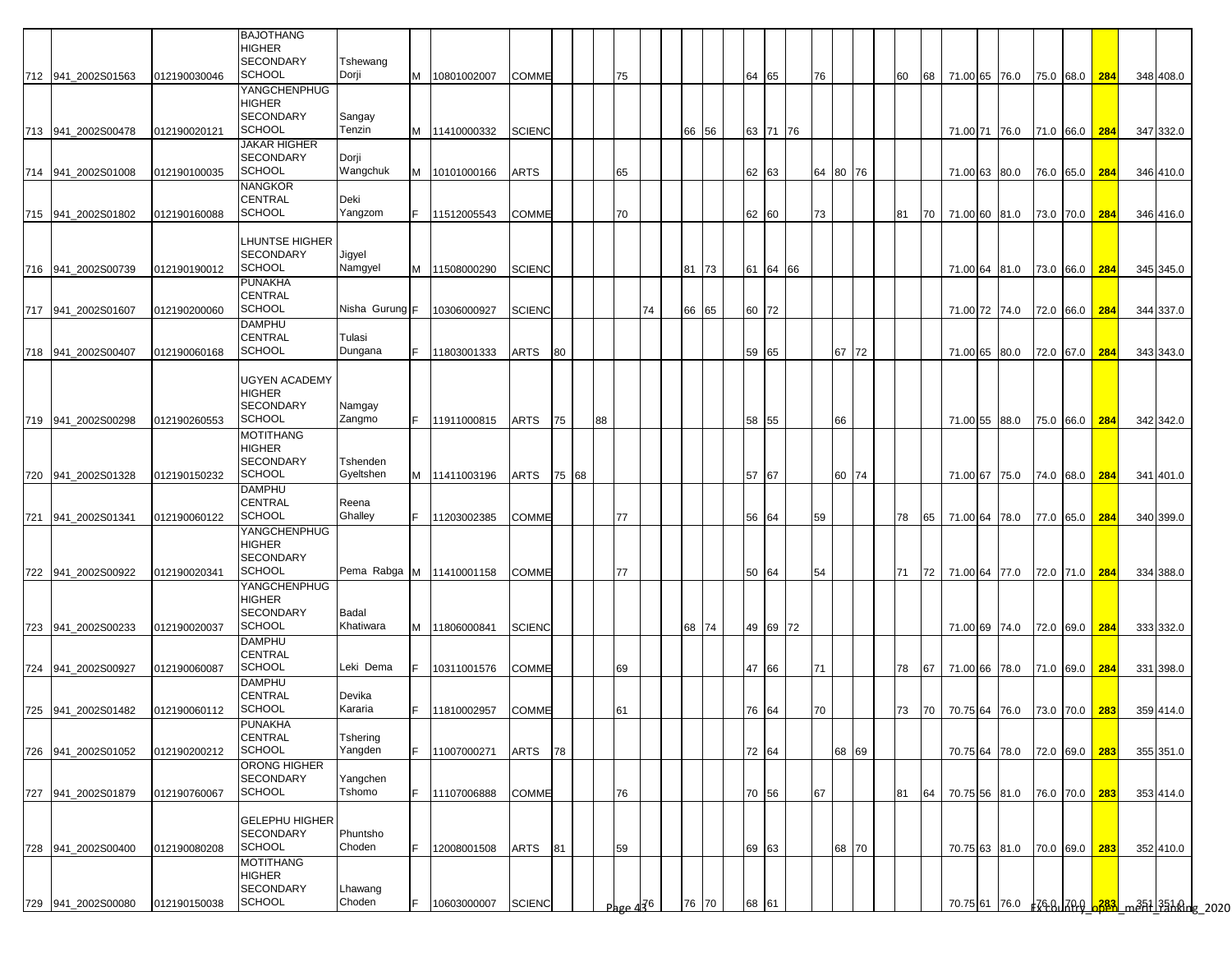|     |                    |              | <b>BAJOTHANG</b><br><b>HIGHER</b><br><b>SECONDARY</b>              | Tshewang              |     |                            |               |    |       |    |                                   |    |       |    |       |          |    |       |    |    |                             |  |               |               |               |           |                                             |
|-----|--------------------|--------------|--------------------------------------------------------------------|-----------------------|-----|----------------------------|---------------|----|-------|----|-----------------------------------|----|-------|----|-------|----------|----|-------|----|----|-----------------------------|--|---------------|---------------|---------------|-----------|---------------------------------------------|
|     | 712 941_2002S01563 | 012190030046 | <b>SCHOOL</b>                                                      | Dorji                 | M   | 10801002007                | COMME         |    |       |    | 75                                |    |       |    | 64 65 |          | 76 |       | 60 |    | 68 71.00 65 76.0            |  |               |               | 75.0 68.0 284 | 348 408.0 |                                             |
|     | 713 941_2002S00478 | 012190020121 | YANGCHENPHUG<br><b>HIGHER</b><br><b>SECONDARY</b><br><b>SCHOOL</b> | Sangay<br>Tenzin      |     | M 11410000332              | <b>SCIENC</b> |    |       |    |                                   |    | 66 56 |    |       | 63 71 76 |    |       |    |    | 71.00 71 76.0 71.0 66.0 284 |  |               |               |               | 347 332.0 |                                             |
|     | 714 941_2002S01008 | 012190100035 | JAKAR HIGHER<br><b>SECONDARY</b><br><b>SCHOOL</b>                  | Dorji<br>Wangchuk     |     | M 10101000166              | ARTS          |    |       |    | 65                                |    |       |    | 62 63 |          | 64 | 80 76 |    |    | 71.00 63 80.0               |  |               |               | 76.0 65.0 284 | 346 410.0 |                                             |
|     | 715 941_2002S01802 | 012190160088 | <b>NANGKOR</b><br>CENTRAL<br><b>SCHOOL</b>                         | Deki<br>Yangzom       | IF. | 11512005543                | <b>COMME</b>  |    |       |    | 70                                |    |       |    | 62 60 |          | 73 |       | 81 |    | 70 71.00 60 81.0            |  | 73.0 70.0 284 |               |               | 346 416.0 |                                             |
|     |                    |              | LHUNTSE HIGHER<br><b>SECONDARY</b>                                 |                       |     |                            |               |    |       |    |                                   |    |       |    |       |          |    |       |    |    |                             |  |               |               |               |           |                                             |
|     | 716 941_2002S00739 | 012190190012 | <b>SCHOOL</b><br>PUNAKHA                                           | Jigyel<br>Namgyel     | M   | 11508000290                | <b>SCIENC</b> |    |       |    |                                   |    | 81 73 |    |       | 61 64 66 |    |       |    |    | 71.00 64 81.0               |  | 73.0 66.0 284 |               |               | 345 345.0 |                                             |
|     | 717 941_2002S01607 | 012190200060 | CENTRAL<br><b>SCHOOL</b>                                           | Nisha Gurung F        |     | 10306000927                | <b>SCIENC</b> |    |       |    |                                   | 74 | 66 65 |    | 60 72 |          |    |       |    |    | 71.00 72 74.0               |  | 72.0 66.0 284 |               |               | 344 337.0 |                                             |
|     | 718 941 2002S00407 | 012190060168 | DAMPHU<br><b>CENTRAL</b><br><b>SCHOOL</b>                          | Tulasi<br>Dungana     | F.  |                            | ARTS          | 80 |       |    |                                   |    |       |    | 59 65 |          |    | 67 72 |    |    |                             |  |               |               |               | 343 343.0 |                                             |
|     |                    |              |                                                                    |                       |     | 11803001333                |               |    |       |    |                                   |    |       |    |       |          |    |       |    |    | 71.00 65 80.0               |  |               | 72.0 67.0 284 |               |           |                                             |
|     |                    |              | UGYEN ACADEMY<br>HIGHER<br>SECONDARY                               | Namgay                |     |                            |               |    |       |    |                                   |    |       |    |       |          |    |       |    |    |                             |  |               |               |               |           |                                             |
|     | 719 941 2002S00298 | 012190260553 | SCHOOL<br>MOTITHANG                                                | Zangmo                | F.  | 11911000815                | ARTS          | 75 |       | 88 |                                   |    |       |    | 58 55 |          |    | 66    |    |    | 71.00 55 88.0               |  |               |               | 75.0 66.0 284 | 342 342.0 |                                             |
|     |                    |              | <b>HIGHER</b><br><b>SECONDARY</b><br><b>SCHOOL</b>                 | Tshenden<br>Gyeltshen |     |                            |               |    | 75 68 |    |                                   |    |       |    | 57 67 |          |    |       |    |    |                             |  |               |               |               |           |                                             |
|     | 720 941_2002S01328 | 012190150232 | DAMPHU                                                             |                       |     | M 11411003196              | ARTS          |    |       |    |                                   |    |       |    |       |          |    | 60 74 |    |    | 71.00 67 75.0 74.0 68.0 284 |  |               |               |               | 341 401.0 |                                             |
|     |                    | 012190060122 | <b>CENTRAL</b><br><b>SCHOOL</b>                                    | Reena<br>Ghalley      | F.  | 11203002385                | <b>COMME</b>  |    |       |    | 77                                |    |       |    |       |          | 59 |       | 78 |    |                             |  |               |               |               |           |                                             |
|     | 721 941_2002S01341 |              | YANGCHENPHUG<br><b>HIGHER</b><br><b>SECONDARY</b>                  |                       |     |                            |               |    |       |    |                                   |    |       |    | 56 64 |          |    |       |    | 65 | 71.00 64 78.0               |  | 77.0 65.0 284 |               |               | 340 399.0 |                                             |
|     | 722 941_2002S00922 | 012190020341 | <b>SCHOOL</b>                                                      |                       |     | Pema Rabga M   11410001158 | COMME         |    |       |    | 77                                |    |       |    | 50 64 |          | 54 |       | 71 |    | 72 71.00 64 77.0            |  | 72.0 71.0 284 |               |               | 334 388.0 |                                             |
|     |                    |              | YANGCHENPHUG<br><b>HIGHER</b><br><b>SECONDARY</b>                  | Badal                 |     |                            |               |    |       |    |                                   |    |       |    |       |          |    |       |    |    |                             |  |               |               |               |           |                                             |
|     | 723 941_2002S00233 | 012190020037 | <b>SCHOOL</b>                                                      | Khatiwara             | M   | 11806000841                | <b>SCIENC</b> |    |       |    |                                   |    | 68 74 |    |       | 49 69 72 |    |       |    |    | 71.00 69 74.0               |  | 72.0 69.0 284 |               |               | 333 332.0 |                                             |
| 724 | 941_2002S00927     | 012190060087 | <b>DAMPHU</b><br><b>CENTRAL</b><br><b>SCHOOL</b>                   | Leki Dema             | F.  | 10311001576                | COMME         |    |       |    | 69                                |    |       |    | 47 66 |          | 71 |       | 78 | 67 | 71.00 66 78.0               |  |               |               | 71.0 69.0 284 | 331 398.0 |                                             |
|     |                    |              | <b>DAMPHU</b>                                                      |                       |     |                            |               |    |       |    |                                   |    |       |    |       |          |    |       |    |    |                             |  |               |               |               |           |                                             |
|     | 725 941_2002S01482 | 012190060112 | CENTRAL<br><b>SCHOOL</b>                                           | Devika<br>Kararia     | F.  | 11810002957                | COMME         |    |       |    | 61                                |    |       |    | 76 64 |          | 70 |       | 73 |    | 70 70.75 64 76.0            |  |               |               | 73.0 70.0 283 | 359 414.0 |                                             |
|     | 726 941_2002S01052 | 012190200212 | PUNAKHA<br>CENTRAL<br><b>SCHOOL</b>                                | Tshering<br>Yangden   | F.  | 11007000271                | ARTS          | 78 |       |    |                                   |    |       |    | 72 64 |          |    | 68 69 |    |    | 70.75 64 78.0               |  | 72.0 69.0 283 |               |               | 355 351.0 |                                             |
|     | 727 941 2002S01879 | 012190760067 | ORONG HIGHER<br>SECONDARY<br><b>SCHOOL</b>                         | Yangchen<br>Tshomo    | IF. | 11107006888                | COMME         |    |       |    | 76                                |    |       |    | 70 56 |          | 67 |       | 81 | 64 | 70.75 56 81.0               |  | 76.0 70.0 283 |               |               | 353 414.0 |                                             |
|     |                    |              | <b>GELEPHU HIGHER</b><br>SECONDARY                                 | Phuntsho              |     |                            |               |    |       |    |                                   |    |       |    |       |          |    |       |    |    |                             |  |               |               |               |           |                                             |
|     | 728 941 2002S00400 | 012190080208 | <b>SCHOOL</b><br>MOTITHANG<br><b>HIGHER</b><br><b>SECONDARY</b>    | Choden<br>Lhawang     | F.  | 12008001508                | ARTS          | 81 |       |    | 59                                |    |       |    | 69 63 |          |    | 68 70 |    |    | 70.75 63 81.0               |  | 70.0 69.0 283 |               |               | 352 410.0 |                                             |
|     | 729 941_2002S00080 | 012190150038 | <b>SCHOOL</b>                                                      | Choden                | F.  | 10603000007                | <b>SCIENC</b> |    |       |    | Page $4\overline{3}$ <sup>6</sup> |    | 76    | 70 | 68 61 |          |    |       |    |    |                             |  |               |               |               |           | 70.7561 76.0 FCR, 70.9 683 m351 3510ng 2020 |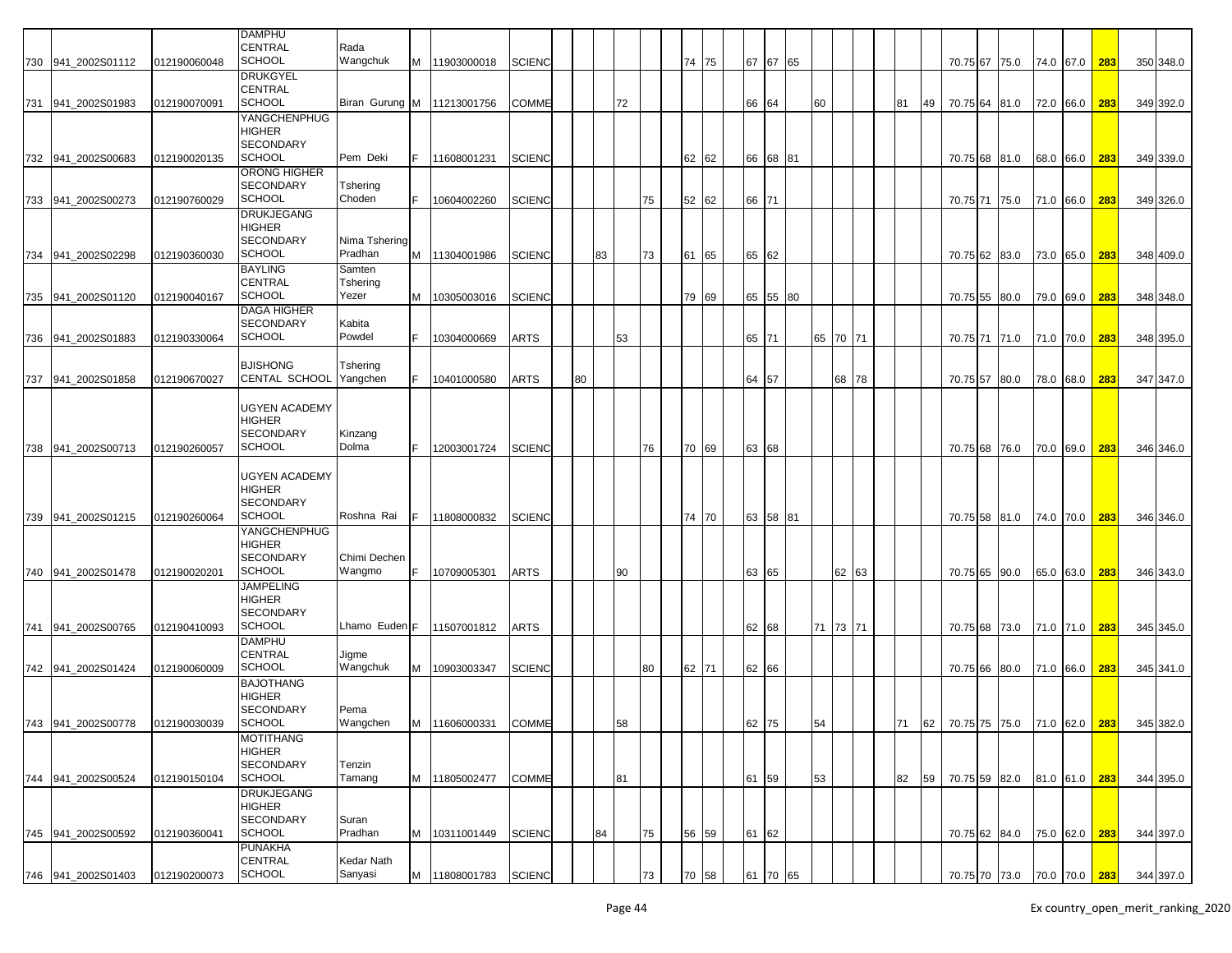|     |                    |              | DAMPHU               |                    |   |               |               |    |    |    |    |    |       |       |          |          |       |    |    |                             |                             |               |     |           |
|-----|--------------------|--------------|----------------------|--------------------|---|---------------|---------------|----|----|----|----|----|-------|-------|----------|----------|-------|----|----|-----------------------------|-----------------------------|---------------|-----|-----------|
|     |                    |              | CENTRAL              | Rada               |   |               |               |    |    |    |    |    |       |       |          |          |       |    |    |                             |                             |               |     |           |
|     | 730 941_2002S01112 | 012190060048 | <b>SCHOOL</b>        | Wangchuk           |   | M 11903000018 | <b>SCIENC</b> |    |    |    |    |    | 74 75 | 67 67 | 65       |          |       |    |    | 70.75 67 75.0               |                             | 74.0 67.0     | 283 | 350 348.0 |
|     |                    |              | <b>DRUKGYEL</b>      |                    |   |               |               |    |    |    |    |    |       |       |          |          |       |    |    |                             |                             |               |     |           |
|     |                    |              | CENTRAL              |                    |   |               |               |    |    |    |    |    |       |       |          |          |       |    |    |                             |                             |               |     |           |
|     | 731 941_2002S01983 | 012190070091 | <b>SCHOOL</b>        | Biran Gurung M     |   | 11213001756   | <b>COMME</b>  |    |    | 72 |    |    |       | 66    | 64       | 60       |       | 81 | 49 | 70.75 64 81.0               |                             | 72.0 66.0     | 283 | 349 392.0 |
|     |                    |              | YANGCHENPHUG         |                    |   |               |               |    |    |    |    |    |       |       |          |          |       |    |    |                             |                             |               |     |           |
|     |                    |              | HIGHER               |                    |   |               |               |    |    |    |    |    |       |       |          |          |       |    |    |                             |                             |               |     |           |
|     |                    |              | SECONDARY            |                    |   |               |               |    |    |    |    |    |       |       |          |          |       |    |    |                             |                             |               |     |           |
|     | 732 941 2002S00683 | 012190020135 | <b>SCHOOL</b>        | Pem Deki           |   | 11608001231   | <b>SCIENC</b> |    |    |    |    |    | 62 62 | 66 68 | 81       |          |       |    |    | 70.75 68 81.0               |                             | 68.0 66.0     | 283 | 349 339.0 |
|     |                    |              | ORONG HIGHER         |                    |   |               |               |    |    |    |    |    |       |       |          |          |       |    |    |                             |                             |               |     |           |
|     |                    |              | SECONDARY            |                    |   |               |               |    |    |    |    |    |       |       |          |          |       |    |    |                             |                             |               |     |           |
|     |                    |              | <b>SCHOOL</b>        | Tshering<br>Choden |   | 10604002260   |               |    |    |    |    |    |       |       |          |          |       |    |    |                             |                             |               |     |           |
|     | 733 941_2002S00273 | 012190760029 |                      |                    |   |               | <b>SCIENC</b> |    |    |    | 75 |    | 52 62 | 66 71 |          |          |       |    |    | 70.75 71                    | 75.0                        | 71.0 66.0     | 283 | 349 326.0 |
|     |                    |              | DRUKJEGANG           |                    |   |               |               |    |    |    |    |    |       |       |          |          |       |    |    |                             |                             |               |     |           |
|     |                    |              | HIGHER               |                    |   |               |               |    |    |    |    |    |       |       |          |          |       |    |    |                             |                             |               |     |           |
|     |                    |              | <b>SECONDARY</b>     | Nima Tshering      |   |               |               |    |    |    |    |    |       |       |          |          |       |    |    |                             |                             |               |     |           |
| 734 | 941 2002S02298     | 012190360030 | <b>SCHOOL</b>        | Pradhan            | M | 11304001986   | <b>SCIENC</b> |    | 83 |    | 73 | 61 | 65    | 65 62 |          |          |       |    |    | 70.75 62 83.0               |                             | 73.0 65.0     | 283 | 348 409.0 |
|     |                    |              | BAYLING              | Samten             |   |               |               |    |    |    |    |    |       |       |          |          |       |    |    |                             |                             |               |     |           |
|     |                    |              | CENTRAL              | Tshering           |   |               |               |    |    |    |    |    |       |       |          |          |       |    |    |                             |                             |               |     |           |
|     | 735 941_2002S01120 | 012190040167 | <b>SCHOOL</b>        | Yezer              | M | 10305003016   | SCIENC        |    |    |    |    |    | 79 69 | 65 55 | 80       |          |       |    |    | 70.75 55 80.0               |                             | 79.0 69.0     | 283 | 348 348.0 |
|     |                    |              | <b>DAGA HIGHER</b>   |                    |   |               |               |    |    |    |    |    |       |       |          |          |       |    |    |                             |                             |               |     |           |
|     |                    |              | SECONDARY            | Kabita             |   |               |               |    |    |    |    |    |       |       |          |          |       |    |    |                             |                             |               |     |           |
|     | 736 941_2002S01883 | 012190330064 | <b>SCHOOL</b>        | Powdel             |   | 10304000669   | ARTS          |    |    | 53 |    |    |       | 65 71 |          | 65 70 71 |       |    |    | 70.75 71 71.0               |                             | 71.0 70.0 283 |     | 348 395.0 |
|     |                    |              |                      |                    |   |               |               |    |    |    |    |    |       |       |          |          |       |    |    |                             |                             |               |     |           |
|     |                    |              | <b>BJISHONG</b>      | Tshering           |   |               |               |    |    |    |    |    |       |       |          |          |       |    |    |                             |                             |               |     |           |
|     | 737 941_2002S01858 | 012190670027 | <b>CENTAL SCHOOL</b> | Yangchen           |   | 10401000580   | <b>ARTS</b>   | 80 |    |    |    |    |       | 64 57 |          |          | 68 78 |    |    | 70.75 57 80.0               |                             | 78.0 68.0     | 283 | 347 347.0 |
|     |                    |              |                      |                    |   |               |               |    |    |    |    |    |       |       |          |          |       |    |    |                             |                             |               |     |           |
|     |                    |              | UGYEN ACADEMY        |                    |   |               |               |    |    |    |    |    |       |       |          |          |       |    |    |                             |                             |               |     |           |
|     |                    |              | HIGHER               |                    |   |               |               |    |    |    |    |    |       |       |          |          |       |    |    |                             |                             |               |     |           |
|     |                    |              | SECONDARY            | Kinzang            |   |               |               |    |    |    |    |    |       |       |          |          |       |    |    |                             |                             |               |     |           |
|     | 738 941 2002S00713 | 012190260057 | <b>SCHOOL</b>        | Dolma              |   | 12003001724   | <b>SCIENC</b> |    |    |    | 76 |    | 70 69 | 63 68 |          |          |       |    |    | 70.75 68 76.0               |                             | 70.0 69.0     | 283 | 346 346.0 |
|     |                    |              |                      |                    |   |               |               |    |    |    |    |    |       |       |          |          |       |    |    |                             |                             |               |     |           |
|     |                    |              | UGYEN ACADEMY        |                    |   |               |               |    |    |    |    |    |       |       |          |          |       |    |    |                             |                             |               |     |           |
|     |                    |              | HIGHER               |                    |   |               |               |    |    |    |    |    |       |       |          |          |       |    |    |                             |                             |               |     |           |
|     |                    |              | SECONDARY            |                    |   |               |               |    |    |    |    |    |       |       |          |          |       |    |    |                             |                             |               |     |           |
|     | 739 941_2002S01215 | 012190260064 | <b>SCHOOL</b>        | Roshna Rai         |   | 11808000832   | <b>SCIENC</b> |    |    |    |    |    | 74 70 | 63 58 | 81       |          |       |    |    | 70.75 58 81.0               |                             | 74.0 70.0     | 283 | 346 346.0 |
|     |                    |              | YANGCHENPHUG         |                    |   |               |               |    |    |    |    |    |       |       |          |          |       |    |    |                             |                             |               |     |           |
|     |                    |              | HIGHER               |                    |   |               |               |    |    |    |    |    |       |       |          |          |       |    |    |                             |                             |               |     |           |
|     |                    |              | SECONDARY            | Chimi Dechen       |   |               |               |    |    |    |    |    |       |       |          |          |       |    |    |                             |                             |               |     |           |
|     | 740 941 2002S01478 | 012190020201 | <b>SCHOOL</b>        | Wangmo             |   | 10709005301   | <b>ARTS</b>   |    |    | 90 |    |    |       | 63    | 65       |          | 62 63 |    |    | 70.75 65 90.0               |                             | 65.0 63.0     | 283 | 346 343.0 |
|     |                    |              | <b>JAMPELING</b>     |                    |   |               |               |    |    |    |    |    |       |       |          |          |       |    |    |                             |                             |               |     |           |
|     |                    |              | HIGHER               |                    |   |               |               |    |    |    |    |    |       |       |          |          |       |    |    |                             |                             |               |     |           |
|     |                    |              | <b>SECONDARY</b>     |                    |   |               |               |    |    |    |    |    |       |       |          |          |       |    |    |                             |                             |               |     |           |
|     | 741 941 2002S00765 | 012190410093 | <b>SCHOOL</b>        | Lhamo Euden F      |   | 11507001812   | ARTS          |    |    |    |    |    |       | 62 68 |          | 71 73 71 |       |    |    | 70.75 68 73.0               |                             | 71.0 71.0     | 283 | 345 345.0 |
|     |                    |              | DAMPHU               |                    |   |               |               |    |    |    |    |    |       |       |          |          |       |    |    |                             |                             |               |     |           |
|     |                    |              | CENTRAL              | Jigme              |   |               |               |    |    |    |    |    |       |       |          |          |       |    |    |                             |                             |               |     |           |
|     | 742 941_2002S01424 | 012190060009 | <b>SCHOOL</b>        | Wangchuk           | м | 10903003347   | <b>SCIENC</b> |    |    |    | 80 |    | 62 71 | 62 66 |          |          |       |    |    | 70.75 66 80.0               |                             | 71.0 66.0     | 283 | 345 341.0 |
|     |                    |              | <b>BAJOTHANG</b>     |                    |   |               |               |    |    |    |    |    |       |       |          |          |       |    |    |                             |                             |               |     |           |
|     |                    |              | HIGHER               |                    |   |               |               |    |    |    |    |    |       |       |          |          |       |    |    |                             |                             |               |     |           |
|     |                    |              | <b>SECONDARY</b>     | Pema               |   |               |               |    |    |    |    |    |       |       |          |          |       |    |    |                             |                             |               |     |           |
|     |                    |              | <b>SCHOOL</b>        | Wangchen           |   |               |               |    |    |    |    |    |       |       |          | 54       |       |    |    |                             |                             |               |     |           |
|     | 743 941_2002S00778 | 012190030039 |                      |                    |   | M 11606000331 | <b>COMME</b>  |    |    | 58 |    |    |       | 62 75 |          |          |       | 71 |    |                             |                             |               |     |           |
|     |                    |              | MOTITHANG            |                    |   |               |               |    |    |    |    |    |       |       |          |          |       |    |    |                             |                             |               |     |           |
|     |                    |              | HIGHER               |                    |   |               |               |    |    |    |    |    |       |       |          |          |       |    |    |                             |                             |               |     |           |
|     |                    |              | SECONDARY            | Tenzin             |   |               |               |    |    |    |    |    |       |       |          |          |       |    |    |                             |                             |               |     |           |
|     | 744 941_2002S00524 | 012190150104 | <b>SCHOOL</b>        | Tamang             |   | M 11805002477 | COMME         |    |    | 81 |    |    |       | 61 59 |          | 53       |       | 82 | 59 | 70.75 59 82.0 81.0 61.0 283 |                             |               |     | 344 395.0 |
|     |                    |              | DRUKJEGANG           |                    |   |               |               |    |    |    |    |    |       |       |          |          |       |    |    |                             |                             |               |     |           |
|     |                    |              | HIGHER               |                    |   |               |               |    |    |    |    |    |       |       |          |          |       |    |    |                             |                             |               |     |           |
|     |                    |              | SECONDARY            | Suran              |   |               |               |    |    |    |    |    |       |       |          |          |       |    |    |                             |                             |               |     |           |
|     | 745 941_2002S00592 | 012190360041 | <b>SCHOOL</b>        | Pradhan            |   | M 10311001449 | <b>SCIENC</b> |    | 84 |    | 75 |    | 56 59 | 61 62 |          |          |       |    |    | 70.75 62 84.0 75.0 62.0 283 |                             |               |     | 344 397.0 |
|     |                    |              | PUNAKHA              |                    |   |               |               |    |    |    |    |    |       |       |          |          |       |    |    |                             |                             |               |     |           |
|     |                    |              | CENTRAL              | Kedar Nath         |   |               |               |    |    |    |    |    |       |       |          |          |       |    |    |                             |                             |               |     |           |
|     | 746 941_2002S01403 | 012190200073 | <b>SCHOOL</b>        | Sanyasi            |   | M 11808001783 | <b>SCIENC</b> |    |    |    | 73 |    | 70 58 |       | 61 70 65 |          |       |    |    |                             | 70.75 70 73.0 70.0 70.0 283 |               |     | 344 397.0 |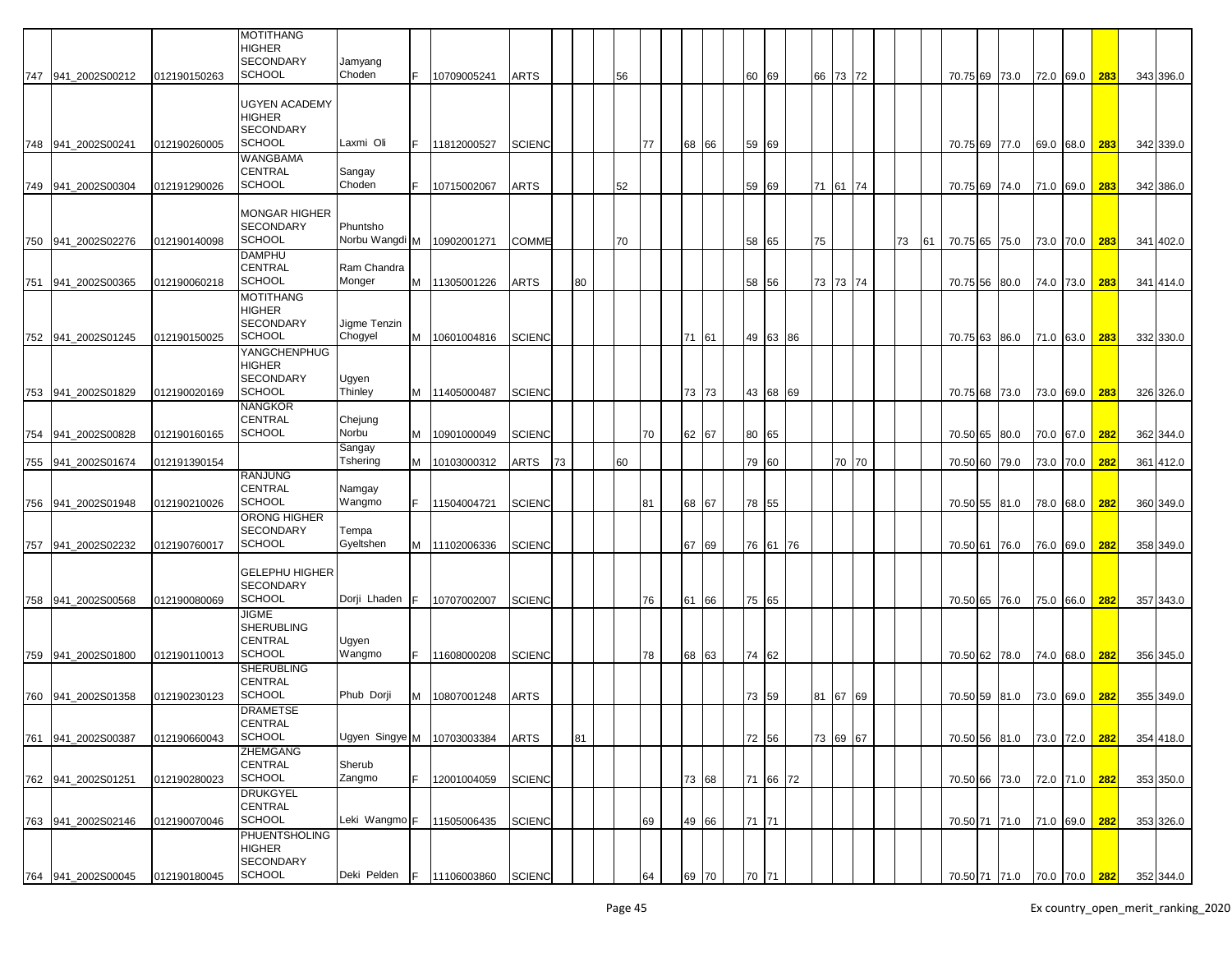|                    |              | MOTITHANG<br>HIGHER<br><b>SECONDARY</b>                            | Jamyang                    |    |               |               |    |    |    |    |    |       |       |          |    |          |    |    |          |                             |           |               |     |           |
|--------------------|--------------|--------------------------------------------------------------------|----------------------------|----|---------------|---------------|----|----|----|----|----|-------|-------|----------|----|----------|----|----|----------|-----------------------------|-----------|---------------|-----|-----------|
| 747 941 2002S00212 | 012190150263 | <b>SCHOOL</b>                                                      | Choden                     |    | 10709005241   | ARTS          |    |    | 56 |    |    |       | 60 69 |          |    | 66 73 72 |    |    |          | 70.75 69 73.0               |           | 72.0 69.0     | 283 | 343 396.0 |
|                    |              | UGYEN ACADEMY<br>HIGHER<br><b>SECONDARY</b>                        | Laxmi Oli                  |    |               |               |    |    |    |    |    |       |       |          |    |          |    |    |          |                             |           |               |     |           |
| 748 941 2002S00241 | 012190260005 | <b>SCHOOL</b><br>WANGBAMA                                          |                            |    | 11812000527   | <b>SCIENC</b> |    |    |    |    | 77 | 68 66 | 59 69 |          |    |          |    |    |          | 70.75 69 77.0               | 69.0 68.0 |               | 283 | 342 339.0 |
| 749 941_2002S00304 | 012191290026 | CENTRAL<br><b>SCHOOL</b>                                           | Sangay<br>Choden           |    | 10715002067   | ARTS          |    |    | 52 |    |    |       | 59    | 69       |    | 71 61 74 |    |    |          | 70.75 69 74.0               | 71.0 69.0 |               | 283 | 342 386.0 |
| 750 941_2002S02276 | 012190140098 | <b>MONGAR HIGHER</b><br><b>SECONDARY</b><br><b>SCHOOL</b>          | Phuntsho<br>Norbu Wangdi M |    | 10902001271   | COMME         |    |    | 70 |    |    |       | 58    | 65       | 75 |          | 73 | 61 |          | 70.75 65 75.0               | 73.0 70.0 |               | 283 | 341 402.0 |
| 751 941_2002S00365 | 012190060218 | <b>DAMPHU</b><br>CENTRAL<br><b>SCHOOL</b>                          | Ram Chandra<br>Monger      | M  | 11305001226   | <b>ARTS</b>   |    | 80 |    |    |    |       | 58 56 |          |    | 73 73 74 |    |    | 70.75 56 | 80.0                        | 74.0 73.0 |               | 283 | 341 414.0 |
|                    |              | MOTITHANG<br><b>HIGHER</b><br><b>SECONDARY</b>                     | Jigme Tenzin               |    |               |               |    |    |    |    |    |       |       |          |    |          |    |    |          |                             |           |               |     |           |
| 752 941 2002S01245 | 012190150025 | <b>SCHOOL</b>                                                      | Chogyel                    | M  | 10601004816   | <b>SCIENC</b> |    |    |    |    |    | 71 61 |       | 49 63 86 |    |          |    |    |          | 70.75 63 86.0               |           | 71.0 63.0     | 283 | 332 330.0 |
| 753 941_2002S01829 | 012190020169 | YANGCHENPHUG<br><b>HIGHER</b><br><b>SECONDARY</b><br><b>SCHOOL</b> | Ugyen<br>Thinley           |    | M 11405000487 | <b>SCIENC</b> |    |    |    |    |    | 73 73 |       | 43 68 69 |    |          |    |    |          | 70.75 68 73.0               |           | 73.0 69.0 283 |     | 326 326.0 |
| 754 941_2002S00828 | 012190160165 | <b>NANGKOR</b><br>CENTRAL<br><b>SCHOOL</b>                         | Chejung<br>Norbu           | м  | 10901000049   | <b>SCIENC</b> |    |    |    |    | 70 | 62 67 | 80 65 |          |    |          |    |    |          | 70.50 65 80.0               |           | 70.0 67.0     | 282 | 362 344.0 |
|                    |              |                                                                    | Sangay                     |    |               |               |    |    |    |    |    |       |       |          |    |          |    |    |          |                             |           |               |     |           |
| 755 941_2002S01674 | 012191390154 |                                                                    | Tshering                   | М  | 10103000312   | ARTS          | 73 |    |    | 60 |    |       | 79 60 |          |    | 70 70    |    |    | 70.50 60 | 79.0                        | 73.0 70.0 |               | 282 | 361 412.0 |
| 756 941 2002S01948 | 012190210026 | <b>RANJUNG</b><br>CENTRAL<br><b>SCHOOL</b>                         | Namgay<br>Wangmo           |    | 11504004721   | <b>SCIENC</b> |    |    |    |    | 81 | 68 67 | 78 55 |          |    |          |    |    |          | 70.50 55 81.0               | 78.0 68.0 |               | 282 | 360 349.0 |
| 757 941_2002S02232 | 012190760017 | <b>ORONG HIGHER</b><br><b>SECONDARY</b><br><b>SCHOOL</b>           | Tempa<br>Gyeltshen         |    | M 11102006336 | SCIENC        |    |    |    |    |    | 67 69 |       | 76 61 76 |    |          |    |    | 70.50 61 | 76.0                        | 76.0 69.0 |               | 282 | 358 349.0 |
| 758 941 2002S00568 | 012190080069 | <b>GELEPHU HIGHER</b><br><b>SECONDARY</b><br><b>SCHOOL</b>         | Dorji Lhaden               | F  | 10707002007   | <b>SCIENC</b> |    |    |    |    | 76 | 61 66 | 75 65 |          |    |          |    |    |          | 70.50 65 76.0               | 75.0 66.0 |               | 282 | 357 343.0 |
| 759 941 2002S01800 | 012190110013 | JIGME<br><b>SHERUBLING</b><br>CENTRAL<br><b>SCHOOL</b>             | Ugyen<br>Wangmo            | F. | 11608000208   | SCIENC        |    |    |    |    | 78 | 68 63 | 74 62 |          |    |          |    |    |          | 70.50 62 78.0               |           | 74.0 68.0 282 |     | 356 345.0 |
|                    |              | <b>SHERUBLING</b>                                                  |                            |    |               |               |    |    |    |    |    |       |       |          |    |          |    |    |          |                             |           |               |     |           |
| 760 941_2002S01358 | 012190230123 | CENTRAL<br><b>SCHOOL</b>                                           | Phub Dorji                 | м  | 10807001248   | ARTS          |    |    |    |    |    |       | 73 59 |          |    | 81 67 69 |    |    |          | 70.50 59 81.0               | 73.0 69.0 |               | 282 | 355 349.0 |
|                    |              | <b>DRAMETSE</b><br>CENTRAL                                         |                            |    |               |               |    |    |    |    |    |       |       |          |    |          |    |    |          |                             |           |               |     |           |
| 761 941_2002S00387 | 012190660043 | <b>SCHOOL</b><br><b>ZHEMGANG</b>                                   | Ugyen Singye M             |    | 10703003384   | ARTS          |    | 81 |    |    |    |       | 72 56 |          |    | 73 69 67 |    |    |          | 70.50 56 81.0               |           | 73.0 72.0 282 |     | 354 418.0 |
| 762 941_2002S01251 | 012190280023 | <b>CENTRAL</b><br><b>SCHOOL</b>                                    | Sherub<br>Zangmo           | F. | 12001004059   | <b>SCIENC</b> |    |    |    |    |    | 73 68 |       | 71 66 72 |    |          |    |    |          | 70.50 66 73.0 72.0 71.0 282 |           |               |     | 353 350.0 |
|                    |              | <b>DRUKGYEL</b><br><b>CENTRAL</b>                                  |                            |    |               |               |    |    |    |    |    |       |       |          |    |          |    |    |          |                             |           |               |     |           |
| 763 941_2002S02146 | 012190070046 | <b>SCHOOL</b><br><b>PHUENTSHOLING</b><br>HIGHER                    | Leki Wangmo F              |    | 11505006435   | <b>SCIENC</b> |    |    |    |    | 69 | 49 66 | 71 71 |          |    |          |    |    |          | 70.50 71 71.0 71.0 69.0 282 |           |               |     | 353 326.0 |
| 764 941_2002S00045 | 012190180045 | <b>SECONDARY</b><br><b>SCHOOL</b>                                  | Deki Pelden                | F. | 11106003860   | <b>SCIENC</b> |    |    |    |    | 64 | 69 70 | 70 71 |          |    |          |    |    |          | 70.50 71 71.0 70.0 70.0 282 |           |               |     | 352 344.0 |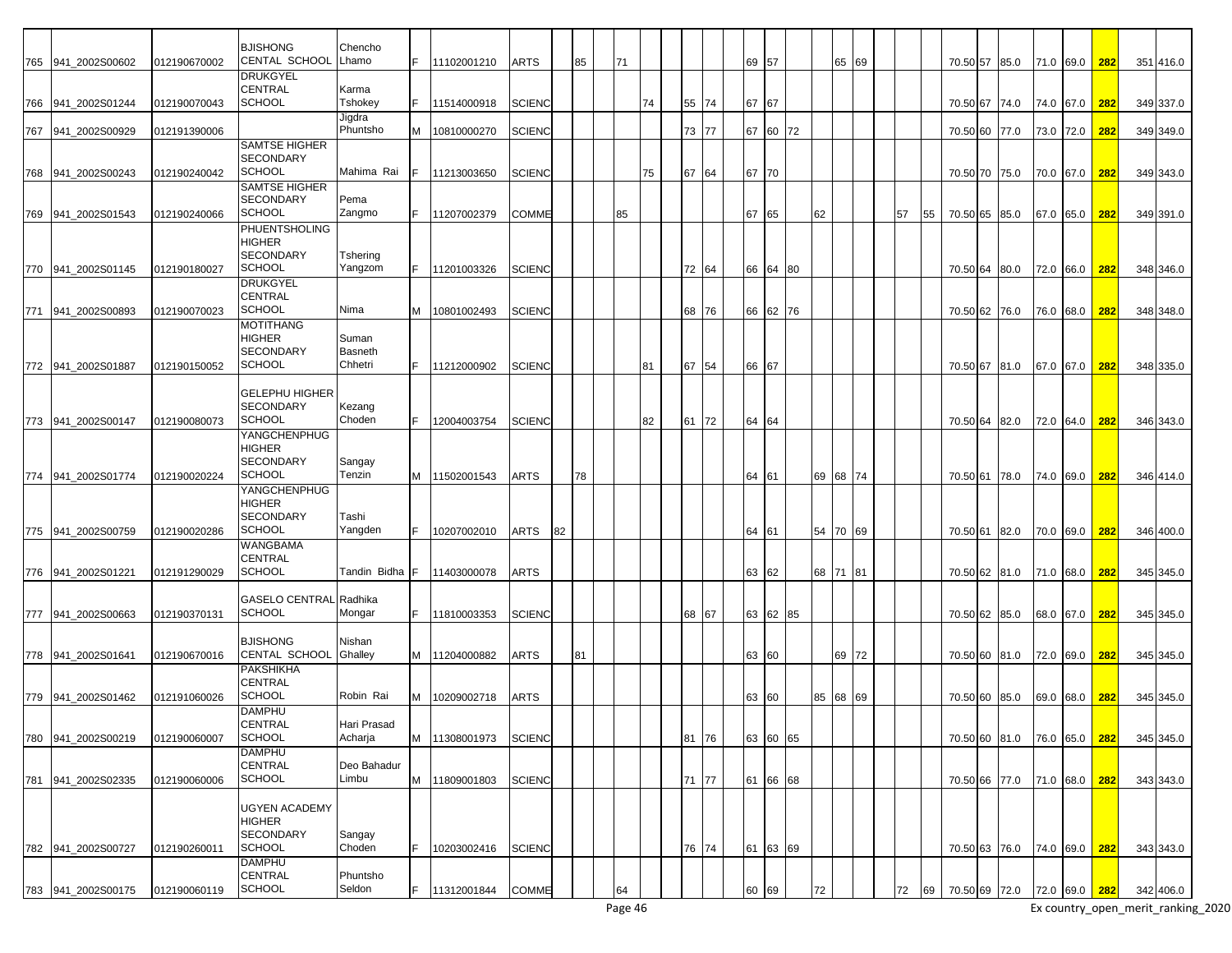| 765 941 2002S00602 | 012190670002 | <b>BJISHONG</b><br>CENTAL SCHOOL        | Chencho<br>Lhamo       |   | 11102001210   | <b>ARTS</b>   |    | 85 | 71 |    |    |       | 69 57 |          |    | 65 69    |    |    | 70.50 57 85.0               |  | 71.0 69.0 282 |     | 351 416.0 |
|--------------------|--------------|-----------------------------------------|------------------------|---|---------------|---------------|----|----|----|----|----|-------|-------|----------|----|----------|----|----|-----------------------------|--|---------------|-----|-----------|
|                    |              | <b>DRUKGYEL</b>                         |                        |   |               |               |    |    |    |    |    |       |       |          |    |          |    |    |                             |  |               |     |           |
|                    |              | <b>CENTRAL</b>                          | Karma                  |   |               |               |    |    |    |    |    |       |       |          |    |          |    |    |                             |  |               |     |           |
| 766 941_2002S01244 | 012190070043 | <b>SCHOOL</b>                           | Tshokey                |   | 11514000918   | <b>SCIENC</b> |    |    |    | 74 |    | 55 74 | 67    | 67       |    |          |    |    | 70.50 67 74.0               |  | 74.0 67.0     | 282 | 349 337.0 |
| 767 941_2002S00929 | 012191390006 |                                         | Jigdra<br>Phuntsho     | M | 10810000270   | <b>SCIENC</b> |    |    |    |    |    | 73 77 |       | 67 60 72 |    |          |    |    | 70.50 60 77.0               |  | 73.0 72.0     | 282 | 349 349.0 |
|                    |              | <b>SAMTSE HIGHER</b>                    |                        |   |               |               |    |    |    |    |    |       |       |          |    |          |    |    |                             |  |               |     |           |
|                    |              | <b>SECONDARY</b>                        |                        |   |               |               |    |    |    |    |    |       |       |          |    |          |    |    |                             |  |               |     |           |
| 768 941_2002S00243 | 012190240042 | <b>SCHOOL</b><br><b>SAMTSE HIGHER</b>   | Mahima Rai             |   | 11213003650   | <b>SCIENC</b> |    |    |    | 75 | 67 | 64    | 67    | 70       |    |          |    |    | 70.50 70 75.0               |  | 70.0 67.0     | 282 | 349 343.0 |
|                    |              | <b>SECONDARY</b>                        | Pema                   |   |               |               |    |    |    |    |    |       |       |          |    |          |    |    |                             |  |               |     |           |
| 769 941_2002S01543 | 012190240066 | <b>SCHOOL</b>                           | Zangmo                 |   | 11207002379   | <b>COMME</b>  |    |    | 85 |    |    |       | 67    | 65       | 62 |          | 57 | 55 | 70.50 65 85.0               |  | 67.0 65.0     | 282 | 349 391.0 |
|                    |              | <b>PHUENTSHOLING</b><br>HIGHER          |                        |   |               |               |    |    |    |    |    |       |       |          |    |          |    |    |                             |  |               |     |           |
|                    |              | <b>SECONDARY</b>                        | Tshering               |   |               |               |    |    |    |    |    |       |       |          |    |          |    |    |                             |  |               |     |           |
| 770 941 2002S01145 | 012190180027 | <b>SCHOOL</b>                           | Yangzom                |   | 11201003326   | <b>SCIENC</b> |    |    |    |    |    | 72 64 |       | 66 64 80 |    |          |    |    | 70.50 64 80.0               |  | 72.0 66.0     | 282 | 348 346.0 |
|                    |              | <b>DRUKGYEL</b>                         |                        |   |               |               |    |    |    |    |    |       |       |          |    |          |    |    |                             |  |               |     |           |
| 771 941_2002S00893 | 012190070023 | <b>CENTRAL</b><br><b>SCHOOL</b>         | Nima                   |   | M 10801002493 | <b>SCIENC</b> |    |    |    |    |    | 68 76 |       | 66 62 76 |    |          |    |    | 70.50 62 76.0               |  | 76.0 68.0     | 282 | 348 348.0 |
|                    |              | <b>MOTITHANG</b>                        |                        |   |               |               |    |    |    |    |    |       |       |          |    |          |    |    |                             |  |               |     |           |
|                    |              | <b>HIGHER</b>                           | Suman                  |   |               |               |    |    |    |    |    |       |       |          |    |          |    |    |                             |  |               |     |           |
| 772 941_2002S01887 | 012190150052 | <b>SECONDARY</b><br><b>SCHOOL</b>       | Basneth<br>Chhetri     |   | 11212000902   | <b>SCIENC</b> |    |    |    | 81 | 67 | 54    | 66    | 67       |    |          |    |    | 70.50 67 81.0               |  | 67.0 67.0     | 282 | 348 335.0 |
|                    |              |                                         |                        |   |               |               |    |    |    |    |    |       |       |          |    |          |    |    |                             |  |               |     |           |
|                    |              | <b>GELEPHU HIGHER</b>                   |                        |   |               |               |    |    |    |    |    |       |       |          |    |          |    |    |                             |  |               |     |           |
|                    |              | <b>SECONDARY</b><br><b>SCHOOL</b>       | Kezang<br>Choden       |   |               |               |    |    |    |    |    |       |       |          |    |          |    |    |                             |  |               |     |           |
| 773 941_2002S00147 | 012190080073 | YANGCHENPHUG                            |                        |   | 12004003754   | <b>SCIENC</b> |    |    |    | 82 |    | 61 72 | 64    | 64       |    |          |    |    | 70.50 64 82.0               |  | 72.0 64.0     | 282 | 346 343.0 |
|                    |              | HIGHER                                  |                        |   |               |               |    |    |    |    |    |       |       |          |    |          |    |    |                             |  |               |     |           |
|                    |              | <b>SECONDARY</b>                        | Sangay                 |   |               |               |    |    |    |    |    |       |       |          |    |          |    |    |                             |  |               |     |           |
| 774 941 2002S01774 | 012190020224 | <b>SCHOOL</b><br>YANGCHENPHUG           | Tenzin                 |   | M 11502001543 | <b>ARTS</b>   |    | 78 |    |    |    |       | 64    | 61       |    | 69 68 74 |    |    | 70.50 61 78.0               |  | 74.0 69.0     | 282 | 346 414.0 |
|                    |              | <b>HIGHER</b>                           |                        |   |               |               |    |    |    |    |    |       |       |          |    |          |    |    |                             |  |               |     |           |
|                    |              | <b>SECONDARY</b>                        | Tashi                  |   |               |               |    |    |    |    |    |       |       |          |    |          |    |    |                             |  |               |     |           |
| 775 941_2002S00759 | 012190020286 | <b>SCHOOL</b>                           | Yangden                |   | 10207002010   | ARTS          | 82 |    |    |    |    |       | 64    | 61       |    | 54 70 69 |    |    | 70.50 61 82.0               |  | 70.0 69.0     | 282 | 346 400.0 |
|                    |              | WANGBAMA<br><b>CENTRAL</b>              |                        |   |               |               |    |    |    |    |    |       |       |          |    |          |    |    |                             |  |               |     |           |
| 776 941_2002S01221 | 012191290029 | <b>SCHOOL</b>                           | Tandin Bidha           |   | 11403000078   | <b>ARTS</b>   |    |    |    |    |    |       | 63 62 |          |    | 68 71 81 |    |    | 70.50 62 81.0               |  | 71.0 68.0 282 |     | 345 345.0 |
|                    |              |                                         |                        |   |               |               |    |    |    |    |    |       |       |          |    |          |    |    |                             |  |               |     |           |
| 777 941_2002S00663 | 012190370131 | GASELO CENTRAL Radhika<br><b>SCHOOL</b> | Mongar                 |   | 11810003353   | <b>SCIENC</b> |    |    |    |    |    | 68 67 |       | 63 62 85 |    |          |    |    | 70.50 62 85.0               |  | 68.0 67.0 282 |     | 345 345.0 |
|                    |              |                                         |                        |   |               |               |    |    |    |    |    |       |       |          |    |          |    |    |                             |  |               |     |           |
|                    |              | <b>BJISHONG</b>                         | Nishan                 |   |               |               |    |    |    |    |    |       |       |          |    |          |    |    |                             |  |               |     |           |
| 778 941_2002S01641 | 012190670016 | CENTAL SCHOOL                           | Ghalley                |   | M 11204000882 | <b>ARTS</b>   |    | 81 |    |    |    |       | 63    | 60       |    | 69 72    |    |    | 70.50 60 81.0               |  | 72.0 69.0     | 282 | 345 345.0 |
|                    |              | PAKSHIKHA<br>CENTRAL                    |                        |   |               |               |    |    |    |    |    |       |       |          |    |          |    |    |                             |  |               |     |           |
| 779 941_2002S01462 | 012191060026 | <b>SCHOOL</b>                           | Robin Rai              |   | M 10209002718 | <b>ARTS</b>   |    |    |    |    |    |       | 63 60 |          |    | 85 68 69 |    |    | 70.50 60 85.0               |  | 69.0 68.0     | 282 | 345 345.0 |
|                    |              | <b>DAMPHU</b>                           |                        |   |               |               |    |    |    |    |    |       |       |          |    |          |    |    |                             |  |               |     |           |
| 780 941 2002S00219 | 012190060007 | <b>CENTRAL</b><br><b>SCHOOL</b>         | Hari Prasad<br>Acharja |   | M 11308001973 | <b>SCIENC</b> |    |    |    |    |    | 81 76 |       | 63 60 65 |    |          |    |    | 70.50 60 81.0               |  | 76.0 65.0     | 282 | 345 345.0 |
|                    |              | <b>DAMPHU</b>                           |                        |   |               |               |    |    |    |    |    |       |       |          |    |          |    |    |                             |  |               |     |           |
|                    |              | CENTRAL                                 | Deo Bahadur            |   |               |               |    |    |    |    |    |       |       |          |    |          |    |    |                             |  |               |     |           |
| 781 941_2002S02335 | 012190060006 | <b>SCHOOL</b>                           | Limbu                  |   | M 11809001803 | <b>SCIENC</b> |    |    |    |    |    | 71 77 |       | 61 66 68 |    |          |    |    | 70.50 66 77.0               |  | 71.0 68.0 282 |     | 343 343.0 |
|                    |              | <b>UGYEN ACADEMY</b>                    |                        |   |               |               |    |    |    |    |    |       |       |          |    |          |    |    |                             |  |               |     |           |
|                    |              | <b>HIGHER</b>                           |                        |   |               |               |    |    |    |    |    |       |       |          |    |          |    |    |                             |  |               |     |           |
| 782 941 2002S00727 | 012190260011 | <b>SECONDARY</b><br><b>SCHOOL</b>       | Sangay<br>Choden       |   |               |               |    |    |    |    |    |       |       |          |    |          |    |    | 70.50 63 76.0               |  |               |     | 343 343.0 |
|                    |              | <b>DAMPHU</b>                           |                        |   | 10203002416   | <b>SCIENC</b> |    |    |    |    |    | 76 74 |       | 61 63 69 |    |          |    |    |                             |  | 74.0 69.0 282 |     |           |
|                    |              | CENTRAL                                 | Phuntsho               |   |               |               |    |    |    |    |    |       |       |          |    |          |    |    |                             |  |               |     |           |
| 783 941_2002S00175 | 012190060119 | <b>SCHOOL</b>                           | Seldon                 |   | 11312001844   | <b>COMME</b>  |    |    | 64 |    |    |       | 60 69 |          | 72 |          | 72 | 69 | 70.50 69 72.0 72.0 69.0 282 |  |               |     | 342 406.0 |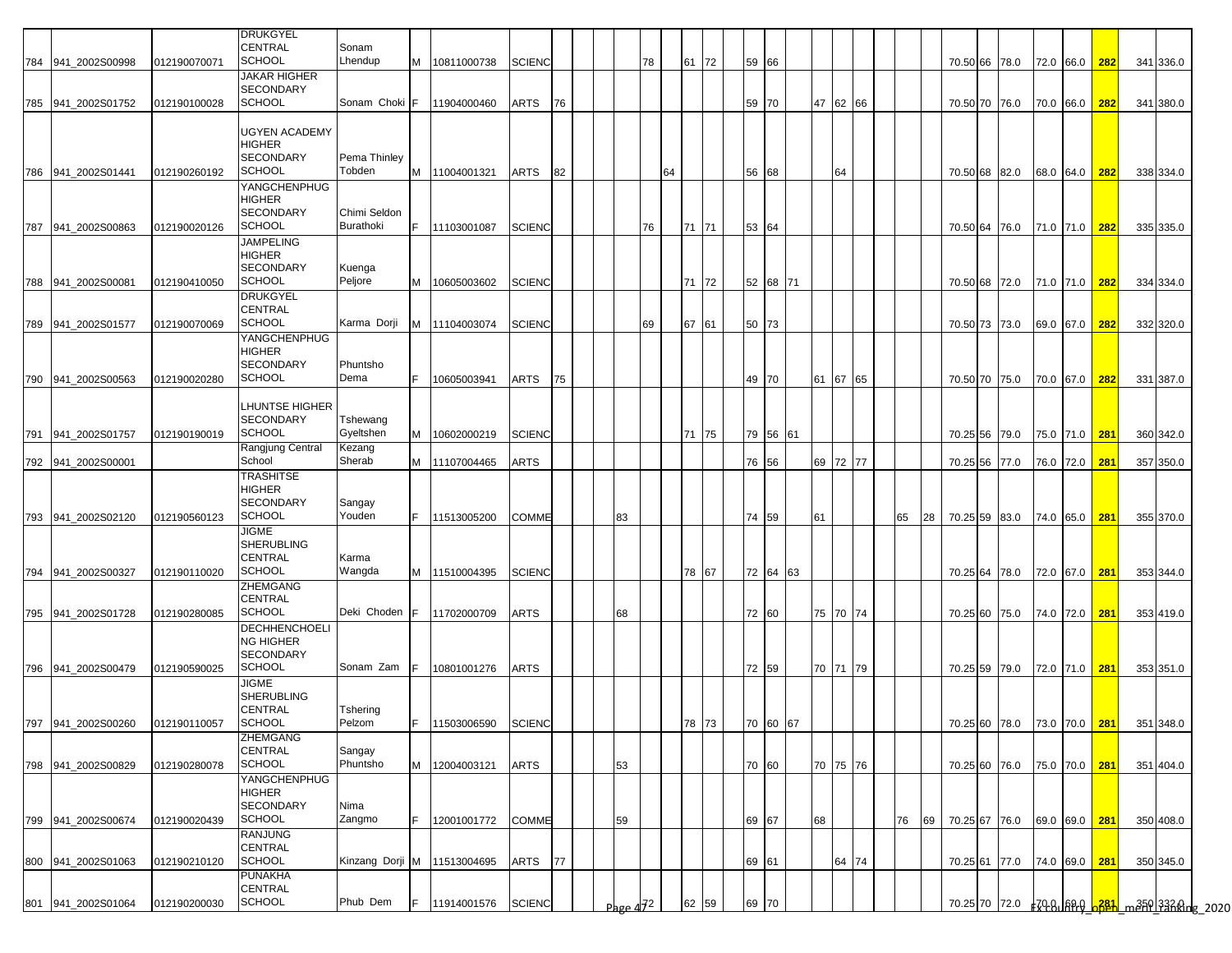|     |                     |              | <b>DRUKGYEL</b>                                                        |                             |     |               |               |    |                        |    |    |              |       |          |    |          |    |    |  |                             |               |     |           |  |
|-----|---------------------|--------------|------------------------------------------------------------------------|-----------------------------|-----|---------------|---------------|----|------------------------|----|----|--------------|-------|----------|----|----------|----|----|--|-----------------------------|---------------|-----|-----------|--|
|     | 784 941_2002S00998  | 012190070071 | <b>CENTRAL</b><br><b>SCHOOL</b>                                        | Sonam<br>Lhendup            | M   | 10811000738   | <b>SCIENC</b> |    |                        | 78 |    | 61 72        | 59 66 |          |    |          |    |    |  | 70.50 66 78.0               | 72.0 66.0     | 282 | 341 336.0 |  |
|     |                     |              | <b>JAKAR HIGHER</b><br><b>SECONDARY</b><br><b>SCHOOL</b>               | Sonam Choki                 | E   |               |               |    |                        |    |    |              |       |          |    |          |    |    |  |                             |               |     |           |  |
|     | 785 941 2002S01752  | 012190100028 | <b>UGYEN ACADEMY</b><br>HIGHER                                         |                             |     | 11904000460   | ARTS          | 76 |                        |    |    |              | 59 70 |          |    | 47 62 66 |    |    |  | 70.50 70 76.0 70.0 66.0     |               | 282 | 341 380.0 |  |
|     | 786 941 2002S01441  | 012190260192 | <b>SECONDARY</b><br><b>SCHOOL</b>                                      | Pema Thinley<br>Tobden      | M   | 11004001321   | <b>ARTS</b>   | 82 |                        |    | 64 |              | 56 68 |          |    | 64       |    |    |  | 70.50 68 82.0 68.0 64.0 282 |               |     | 338 334.0 |  |
|     | 787 941 2002S00863  | 012190020126 | YANGCHENPHUG<br><b>HIGHER</b><br><b>SECONDARY</b><br><b>SCHOOL</b>     | Chimi Seldon<br>Burathoki   | IF. | 11103001087   | <b>SCIENC</b> |    |                        | 76 |    | 71 71        | 53 64 |          |    |          |    |    |  | 70.50 64 76.0 71.0 71.0     |               | 282 | 335 335.0 |  |
|     | 788 941 2002 S00081 | 012190410050 | <b>JAMPELING</b><br><b>HIGHER</b><br><b>SECONDARY</b><br>SCHOOL        | Kuenga<br>Peljore           | M   | 10605003602   | <b>SCIENC</b> |    |                        |    |    | 71 72        |       | 52 68 71 |    |          |    |    |  | 70.50 68 72.0 71.0 71.0 282 |               |     | 334 334.0 |  |
|     | 789 941_2002S01577  | 012190070069 | <b>DRUKGYEL</b><br><b>CENTRAL</b><br><b>SCHOOL</b>                     | Karma Dorji                 | M   | 11104003074   | <b>SCIENC</b> |    |                        | 69 |    | 67 61        | 50 73 |          |    |          |    |    |  | 70.50 73 73.0               | 69.0 67.0     | 282 | 332 320.0 |  |
|     | 790 941 2002S00563  | 012190020280 | YANGCHENPHUG<br><b>HIGHER</b><br><b>SECONDARY</b><br><b>SCHOOL</b>     | Phuntsho<br>Dema            | F.  | 10605003941   | ARTS          | 75 |                        |    |    |              | 49 70 |          |    | 61 67 65 |    |    |  | 70.50 70 75.0               | 70.0 67.0     | 282 | 331 387.0 |  |
| 791 | 941 2002S01757      | 012190190019 | <b>LHUNTSE HIGHER</b><br><b>SECONDARY</b><br><b>SCHOOL</b>             | Tshewang<br>Gyeltshen       | M   | 10602000219   | <b>SCIENC</b> |    |                        |    |    | 71 75        |       | 79 56 61 |    |          |    |    |  | 70.25 56 79.0               | 75.0 71.0 281 |     | 360 342.0 |  |
|     | 792 941_2002S00001  |              | Rangjung Central<br>School                                             | Kezang<br>Sherab            |     | M 11107004465 | ARTS          |    |                        |    |    |              | 76 56 |          |    | 69 72 77 |    |    |  | 70.25 56 77.0               | 76.0 72.0     | 281 | 357 350.0 |  |
|     | 793 941_2002S02120  | 012190560123 | <b>TRASHITSE</b><br><b>HIGHER</b><br><b>SECONDARY</b><br><b>SCHOOL</b> | Sangay<br>Youden            | IF. | 11513005200   | COMME         |    | 83                     |    |    |              | 74 59 |          | 61 |          | 65 | 28 |  | 70.25 59 83.0 74.0 65.0     |               | 281 | 355 370.0 |  |
|     | 794 941_2002S00327  | 012190110020 | <b>JIGME</b><br><b>SHERUBLING</b><br><b>CENTRAL</b><br><b>SCHOOL</b>   | Karma<br>Wangda             | M   | 11510004395   | <b>SCIENC</b> |    |                        |    |    | 78 67        |       | 72 64 63 |    |          |    |    |  | 70.25 64 78.0 72.0 67.0     |               | 281 | 353 344.0 |  |
|     | 795 941_2002S01728  | 012190280085 | ZHEMGANG<br><b>CENTRAL</b><br><b>SCHOOL</b>                            | Deki Choden                 | IF. | 11702000709   | ARTS          |    | 68                     |    |    |              | 72 60 |          |    | 75 70 74 |    |    |  | 70.25 60 75.0               | 74.0 72.0     | 281 | 353 419.0 |  |
|     |                     |              | <b>DECHHENCHOELI</b><br><b>NG HIGHER</b><br><b>SECONDARY</b>           |                             |     |               |               |    |                        |    |    |              |       |          |    |          |    |    |  |                             |               |     |           |  |
|     | 796 941_2002S00479  | 012190590025 | <b>SCHOOL</b><br><b>JIGME</b><br><b>SHERUBLING</b><br>CENTRAL          | Sonam Zam<br>Tshering       |     | 10801001276   | <b>ARTS</b>   |    |                        |    |    |              | 72 59 |          |    | 70 71 79 |    |    |  | 70.25 59 79.0               | 72.0 71.0     | 281 | 353 351.0 |  |
|     | 797 941_2002S00260  | 012190110057 | <b>SCHOOL</b><br><b>ZHEMGANG</b>                                       | Pelzom                      |     | 11503006590   | <b>SCIENC</b> |    |                        |    |    | $18 \mid 13$ |       | 70 60 67 |    |          |    |    |  | 70.25 60 78.0 73.0 70.0 281 |               |     | 351 348.0 |  |
|     | 798 941_2002S00829  | 012190280078 | <b>CENTRAL</b><br><b>SCHOOL</b>                                        | Sangay<br>Phuntsho          | M   | 12004003121   | <b>ARTS</b>   |    | 53                     |    |    |              | 70 60 |          |    | 70 75 76 |    |    |  | 70.25 60 76.0 75.0 70.0 281 |               |     | 351 404.0 |  |
|     |                     |              | YANGCHENPHUG<br><b>HIGHER</b><br><b>SECONDARY</b>                      | Nima                        |     |               |               |    |                        |    |    |              |       |          |    |          |    |    |  |                             |               |     |           |  |
|     | 799 941_2002S00674  | 012190020439 | <b>SCHOOL</b><br><b>RANJUNG</b><br><b>CENTRAL</b>                      | Zangmo                      | IF. | 12001001772   | COMME         |    | 59                     |    |    |              | 69 67 |          | 68 |          | 76 |    |  | 69 70.25 67 76.0 69.0 69.0  |               | 281 | 350 408.0 |  |
|     | 800 941_2002S01063  | 012190210120 | <b>SCHOOL</b><br><b>PUNAKHA</b>                                        | Kinzang Dorji M 11513004695 |     |               | ARTS          | 77 |                        |    |    |              | 69 61 |          |    | 64 74    |    |    |  | 70.25 61 77.0 74.0 69.0 281 |               |     | 350 345.0 |  |
|     | 801 941_2002S01064  | 012190200030 | <b>CENTRAL</b><br><b>SCHOOL</b>                                        | Phub Dem                    | IF. | 11914001576   | <b>SCIENC</b> |    | Page $4\overline{J}^2$ |    |    | 62 59        | 69 70 |          |    |          |    |    |  |                             |               |     |           |  |
|     |                     |              |                                                                        |                             |     |               |               |    |                        |    |    |              |       |          |    |          |    |    |  |                             |               |     |           |  |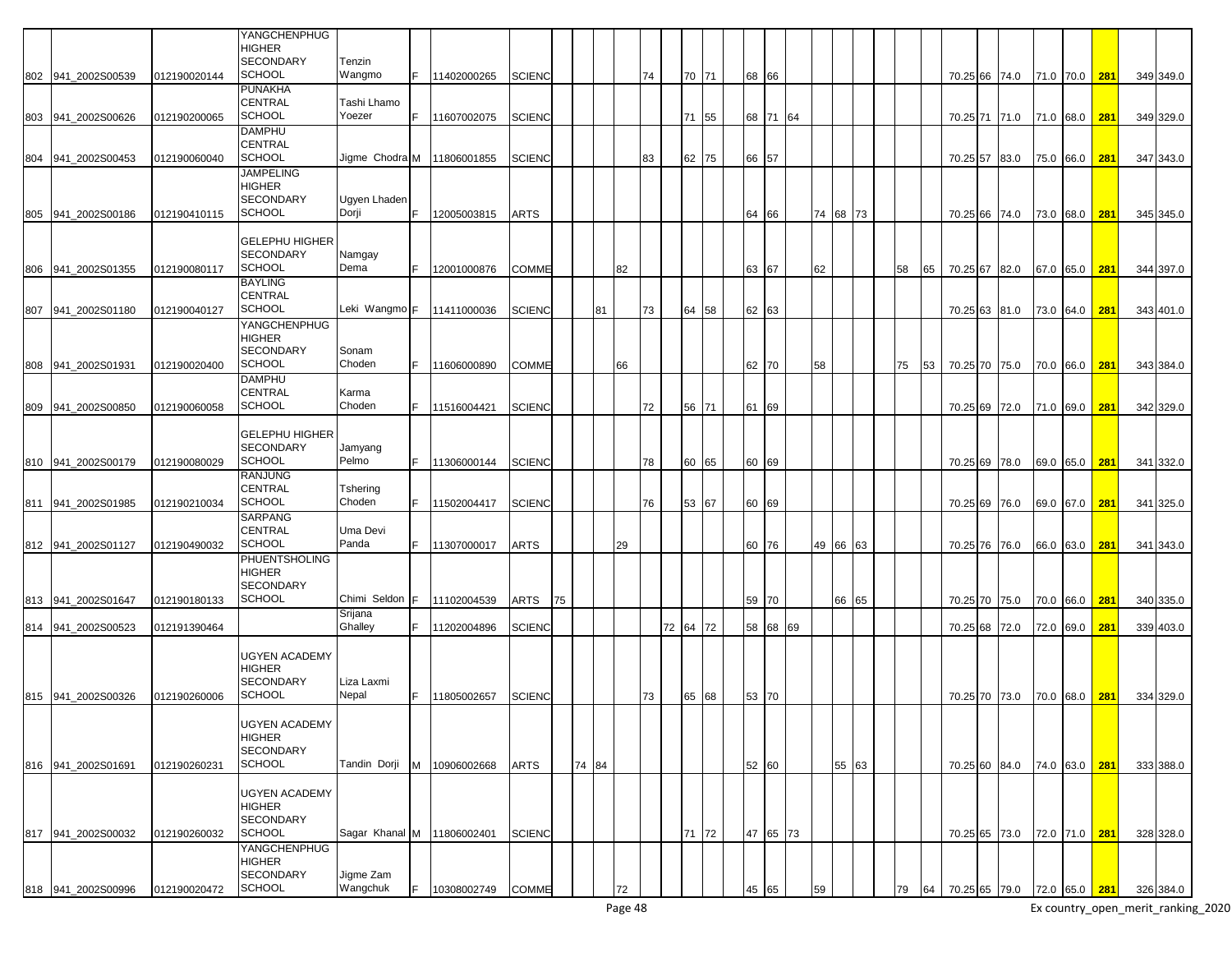|     |                    |              | YANGCHENPHUG<br><b>HIGHER</b>         |                            |    |               |               |    |       |    |    |          |       |       |          |    |          |    |    |          |               |               |     |           |
|-----|--------------------|--------------|---------------------------------------|----------------------------|----|---------------|---------------|----|-------|----|----|----------|-------|-------|----------|----|----------|----|----|----------|---------------|---------------|-----|-----------|
|     | 802 941 2002S00539 | 012190020144 | <b>SECONDARY</b><br><b>SCHOOL</b>     | Tenzin<br>Wangmo           |    | 11402000265   | <b>SCIENC</b> |    |       |    | 74 |          | 70 71 | 68 66 |          |    |          |    |    |          | 70.25 66 74.0 | 71.0 70.0 281 |     | 349 349.0 |
|     |                    |              | <b>PUNAKHA</b><br><b>CENTRAL</b>      | Tashi Lhamo                |    |               |               |    |       |    |    |          |       |       |          |    |          |    |    |          |               |               |     |           |
|     | 803 941_2002S00626 | 012190200065 | <b>SCHOOL</b>                         | Yoezer                     | F. | 11607002075   | <b>SCIENC</b> |    |       |    |    |          | 71 55 |       | 68 71 64 |    |          |    |    |          | 70.25 71 71.0 | 71.0 68.0     | 281 | 349 329.0 |
|     |                    |              | <b>DAMPHU</b><br><b>CENTRAL</b>       |                            |    |               |               |    |       |    |    |          |       |       |          |    |          |    |    |          |               |               |     |           |
| 804 | 941 2002S00453     | 012190060040 | <b>SCHOOL</b><br><b>JAMPELING</b>     | Jiame Chodra M             |    | 11806001855   | <b>SCIENC</b> |    |       |    | 83 |          | 62 75 | 66 57 |          |    |          |    |    |          | 70.25 57 83.0 | 75.0 66.0     | 281 | 347 343.0 |
|     |                    |              | <b>HIGHER</b>                         |                            |    |               |               |    |       |    |    |          |       |       |          |    |          |    |    |          |               |               |     |           |
|     | 805 941 2002S00186 | 012190410115 | <b>SECONDARY</b><br><b>SCHOOL</b>     | Ugyen Lhaden<br>Dorji      |    | 12005003815   | ARTS          |    |       |    |    |          |       | 64    | 66       |    | 74 68 73 |    |    |          | 70.25 66 74.0 | 73.0 68.0     | 281 | 345 345.0 |
|     |                    |              | <b>GELEPHU HIGHER</b>                 |                            |    |               |               |    |       |    |    |          |       |       |          |    |          |    |    |          |               |               |     |           |
|     |                    |              | <b>SECONDARY</b>                      | Namgay                     |    |               |               |    |       |    |    |          |       |       |          |    |          |    |    |          |               |               |     |           |
| 806 | 941 2002S01355     | 012190080117 | <b>SCHOOL</b><br><b>BAYLING</b>       | Dema                       |    | 12001000876   | COMME         |    |       | 82 |    |          |       | 63    | 67       | 62 |          | 58 | 65 |          | 70.25 67 82.0 | 67.0 65.0     | 281 | 344 397.0 |
|     |                    |              | <b>CENTRAL</b>                        |                            |    |               |               |    |       |    |    |          |       |       |          |    |          |    |    |          |               |               |     |           |
| 807 | 941 2002S01180     | 012190040127 | <b>SCHOOL</b><br><b>YANGCHENPHUG</b>  | Leki Wangmo F              |    | 11411000036   | <b>SCIENC</b> |    | 81    |    | 73 |          | 64 58 | 62 63 |          |    |          |    |    | 70.25 63 | 81.0          | 73.0 64.0     | 281 | 343 401.0 |
|     |                    |              | <b>HIGHER</b><br><b>SECONDARY</b>     | Sonam                      |    |               |               |    |       |    |    |          |       |       |          |    |          |    |    |          |               |               |     |           |
| 808 | 941 2002S01931     | 012190020400 | <b>SCHOOL</b>                         | Choden                     |    | 11606000890   | <b>COMME</b>  |    |       | 66 |    |          |       |       | 62 70    | 58 |          | 75 | 53 |          | 70.25 70 75.0 | 70.0 66.0     | 281 | 343 384.0 |
|     |                    |              | <b>DAMPHU</b><br><b>CENTRAL</b>       | Karma                      |    |               |               |    |       |    |    |          |       |       |          |    |          |    |    |          |               |               |     |           |
| 809 | 941_2002S00850     | 012190060058 | <b>SCHOOL</b>                         | Choden                     |    | 11516004421   | <b>SCIENC</b> |    |       |    | 72 |          | 56 71 | 61    | 69       |    |          |    |    |          | 70.25 69 72.0 | 71.0 69.0     | 281 | 342 329.0 |
|     |                    |              | <b>GELEPHU HIGHER</b>                 |                            |    |               |               |    |       |    |    |          |       |       |          |    |          |    |    |          |               |               |     |           |
|     | 810 941 2002S00179 | 012190080029 | <b>SECONDARY</b><br><b>SCHOOL</b>     | Jamyang<br>Pelmo           |    | 11306000144   | <b>SCIENC</b> |    |       |    | 78 |          | 60 65 |       | 60 69    |    |          |    |    |          | 70.25 69 78.0 | 69.0 65.0     | 281 | 341 332.0 |
|     |                    |              | <b>RANJUNG</b><br><b>CENTRAL</b>      | Tshering                   |    |               |               |    |       |    |    |          |       |       |          |    |          |    |    |          |               |               |     |           |
|     | 811 941 2002S01985 | 012190210034 | <b>SCHOOL</b>                         | Choden                     |    | 11502004417   | <b>SCIENC</b> |    |       |    | 76 |          | 53 67 |       | 60 69    |    |          |    |    |          | 70.25 69 76.0 | 69.0 67.0     | 281 | 341 325.0 |
|     |                    |              | <b>SARPANG</b><br><b>CENTRAL</b>      | Uma Devi                   |    |               |               |    |       |    |    |          |       |       |          |    |          |    |    |          |               |               |     |           |
|     | 812 941 2002S01127 | 012190490032 | <b>SCHOOL</b><br>PHUENTSHOLING        | Panda                      |    | 11307000017   | ARTS          |    |       | 29 |    |          |       |       | 60 76    |    | 49 66 63 |    |    |          | 70.25 76 76.0 | 66.0 63.0     | 281 | 341 343.0 |
|     |                    |              | <b>HIGHER</b>                         |                            |    |               |               |    |       |    |    |          |       |       |          |    |          |    |    |          |               |               |     |           |
|     | 813 941 2002S01647 | 012190180133 | <b>SECONDARY</b><br><b>SCHOOL</b>     | Chimi Seldon               |    | 11102004539   | ARTS          | 75 |       |    |    |          |       |       | 59 70    |    | 66 65    |    |    |          | 70.25 70 75.0 | 70.0 66.0     | 281 | 340 335.0 |
| 814 | 941 2002S00523     | 012191390464 |                                       | Srijana<br>Ghalley         |    | 11202004896   | <b>SCIENC</b> |    |       |    |    | 72 64 72 |       |       | 58 68 69 |    |          |    |    | 70.25 68 | 72.0          | 72.0 69.0     | 281 | 339 403.0 |
|     |                    |              |                                       |                            |    |               |               |    |       |    |    |          |       |       |          |    |          |    |    |          |               |               |     |           |
|     |                    |              | <b>UGYEN ACADEMY</b><br><b>HIGHER</b> |                            |    |               |               |    |       |    |    |          |       |       |          |    |          |    |    |          |               |               |     |           |
|     | 815 941_2002S00326 | 012190260006 | <b>SECONDARY</b><br><b>SCHOOL</b>     | Liza Laxmi<br>Nepal        |    | 11805002657   | <b>SCIENC</b> |    |       |    | 73 |          | 65 68 | 53 70 |          |    |          |    |    |          | 70.25 70 73.0 | 70.0 68.0     | 281 | 334 329.0 |
|     |                    |              |                                       |                            |    |               |               |    |       |    |    |          |       |       |          |    |          |    |    |          |               |               |     |           |
|     |                    |              | <b>UGYEN ACADEMY</b><br><b>HIGHER</b> |                            |    |               |               |    |       |    |    |          |       |       |          |    |          |    |    |          |               |               |     |           |
|     | 816 941 2002S01691 | 012190260231 | <b>SECONDARY</b><br><b>SCHOOL</b>     | Tandin Dorji               |    | M 10906002668 | ARTS          |    | 74 84 |    |    |          |       |       | 52 60    |    | 55 63    |    |    |          | 70.25 60 84.0 | 74.0 63.0 281 |     | 333 388.0 |
|     |                    |              |                                       |                            |    |               |               |    |       |    |    |          |       |       |          |    |          |    |    |          |               |               |     |           |
|     |                    |              | <b>UGYEN ACADEMY</b><br><b>HIGHER</b> |                            |    |               |               |    |       |    |    |          |       |       |          |    |          |    |    |          |               |               |     |           |
|     | 817 941_2002S00032 | 012190260032 | <b>SECONDARY</b><br><b>SCHOOL</b>     | Sagar Khanal M 11806002401 |    |               | <b>SCIENC</b> |    |       |    |    |          | 71 72 |       | 47 65 73 |    |          |    |    |          | 70.25 65 73.0 | 72.0 71.0 281 |     | 328 328.0 |
|     |                    |              | YANGCHENPHUG                          |                            |    |               |               |    |       |    |    |          |       |       |          |    |          |    |    |          |               |               |     |           |
|     |                    |              | <b>HIGHER</b><br><b>SECONDARY</b>     | Jigme Zam                  |    |               |               |    |       |    |    |          |       |       |          |    |          |    |    |          |               |               |     |           |
|     | 818 941_2002S00996 | 012190020472 | <b>SCHOOL</b>                         | Wangchuk                   |    | 10308002749   | <b>COMME</b>  |    |       | 72 |    |          |       | 45    | 65       | 59 |          | 79 | 64 |          | 70.25 65 79.0 | 72.0 65.0 281 |     | 326 384.0 |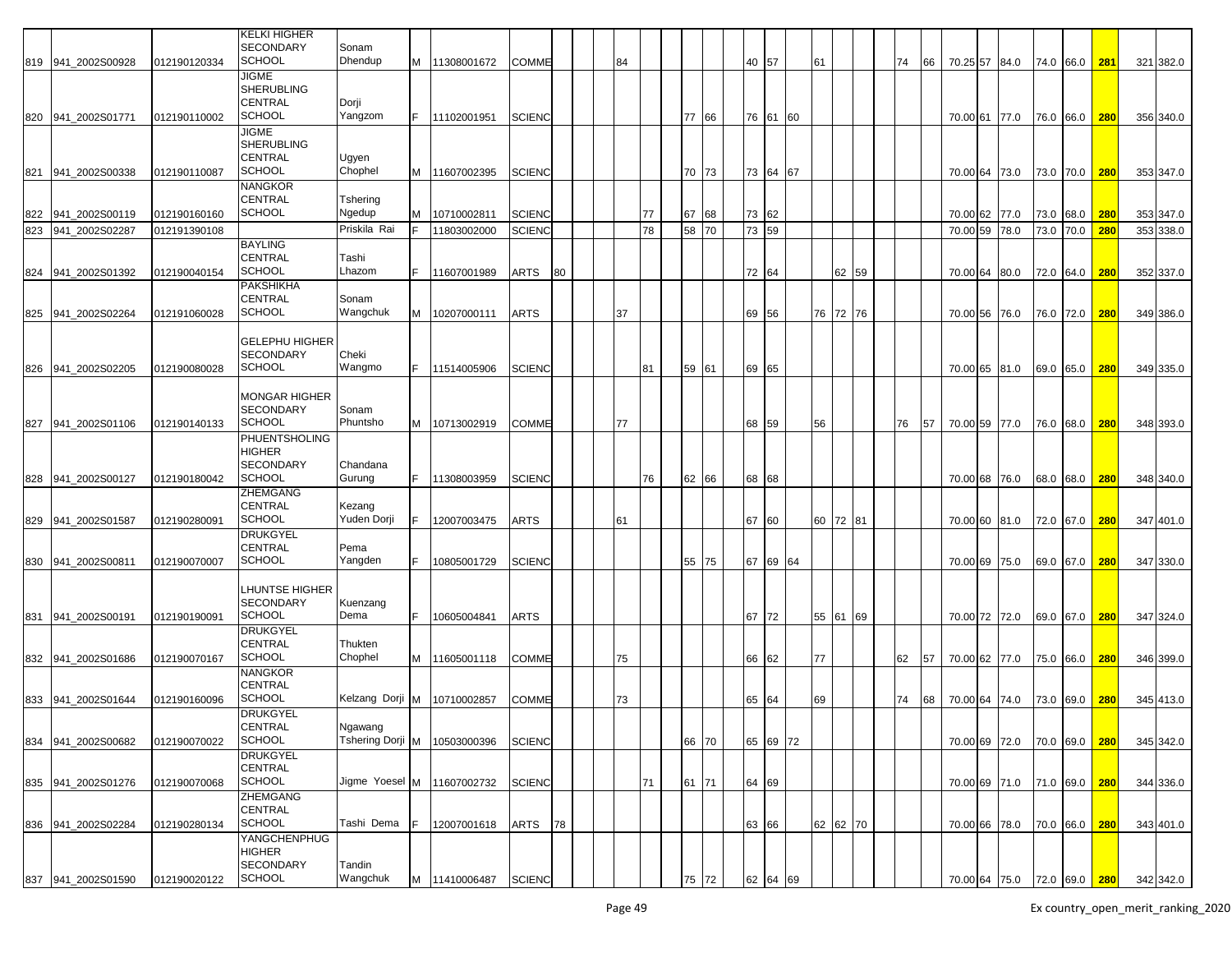|     |                    |              | <b>KELKI HIGHER</b><br><b>SECONDARY</b>                              | Sonam                                   |    |               |               |    |    |    |       |       |          |    |    |          |    |    |               |                             |               |            |           |
|-----|--------------------|--------------|----------------------------------------------------------------------|-----------------------------------------|----|---------------|---------------|----|----|----|-------|-------|----------|----|----|----------|----|----|---------------|-----------------------------|---------------|------------|-----------|
|     | 819 941_2002S00928 | 012190120334 | SCHOOL                                                               | Dhendup                                 |    | M 11308001672 | <b>COMME</b>  |    | 84 |    |       | 40 57 |          |    | 61 |          | 74 | 66 | 70.25 57 84.0 |                             | 74.0 66.0     | 281        | 321 382.0 |
|     | 820 941 2002S01771 | 012190110002 | JIGME<br><b>SHERUBLING</b><br><b>CENTRAL</b><br><b>SCHOOL</b>        | Dorji<br>Yangzom                        | F. | 11102001951   | <b>SCIENC</b> |    |    |    | 77 66 |       | 76 61 60 |    |    |          |    |    | 70.00 61 77.0 |                             | 76.0 66.0     | 280        | 356 340.0 |
|     | 821 941_2002S00338 | 012190110087 | <b>JIGME</b><br><b>SHERUBLING</b><br><b>CENTRAL</b><br><b>SCHOOL</b> | Ugyen<br>Chophel                        |    | M 11607002395 | <b>SCIENC</b> |    |    |    | 70 73 |       | 73 64 67 |    |    |          |    |    | 70.00 64 73.0 |                             | 73.0 70.0     | 280        | 353 347.0 |
| 822 | 941_2002S00119     | 012190160160 | <b>NANGKOR</b><br>CENTRAL<br><b>SCHOOL</b>                           | Tshering<br>Ngedup                      | м  | 10710002811   | <b>SCIENC</b> |    |    | 77 | 67 68 | 73 62 |          |    |    |          |    |    | 70.00 62 77.0 |                             | 73.0 68.0     | <b>280</b> | 353 347.0 |
| 823 | 941_2002S02287     | 012191390108 |                                                                      | Priskila Rai                            |    | 11803002000   | <b>SCIENC</b> |    |    | 78 | 58 70 | 73 59 |          |    |    |          |    |    | 70.00 59 78.0 |                             | 73.0 70.0     | 280        | 353 338.0 |
|     | 824 941_2002S01392 | 012190040154 | <b>BAYLING</b><br><b>CENTRAL</b><br><b>SCHOOL</b>                    | Tashi<br>Lhazom                         |    | 11607001989   | ARTS          | 80 |    |    |       | 72 64 |          |    |    | 62 59    |    |    | 70.00 64 80.0 |                             | 72.0 64.0     | 280        | 352 337.0 |
|     | 825 941_2002S02264 | 012191060028 | PAKSHIKHA<br><b>CENTRAL</b><br><b>SCHOOL</b>                         | Sonam<br>Wangchuk                       | M  | 10207000111   | <b>ARTS</b>   |    | 37 |    |       | 69 56 |          |    |    | 76 72 76 |    |    | 70.00 56 76.0 |                             | 76.0 72.0     | 280        | 349 386.0 |
|     | 826 941_2002S02205 | 012190080028 | <b>GELEPHU HIGHER</b><br><b>SECONDARY</b><br><b>SCHOOL</b>           | Cheki<br>Wangmo                         |    | 11514005906   | <b>SCIENC</b> |    |    | 81 | 59 61 | 69 65 |          |    |    |          |    |    | 70.00 65 81.0 |                             | 69.0 65.0     | 280        | 349 335.0 |
|     | 827 941 2002S01106 | 012190140133 | <b>MONGAR HIGHER</b><br><b>SECONDARY</b><br><b>SCHOOL</b>            | Sonam<br>Phuntsho                       | M  | 10713002919   | COMME         |    | 77 |    |       | 68 59 |          |    | 56 |          | 76 | 57 | 70.00 59 77.0 |                             | 76.0 68.0     | 280        | 348 393.0 |
|     | 828 941_2002S00127 | 012190180042 | PHUENTSHOLING<br><b>HIGHER</b><br><b>SECONDARY</b><br><b>SCHOOL</b>  | Chandana<br>Gurung                      |    | 11308003959   | <b>SCIENC</b> |    |    | 76 | 62 66 | 68 68 |          |    |    |          |    |    | 70.00 68 76.0 |                             | 68.0 68.0     | 280        | 348 340.0 |
|     | 829 941_2002S01587 | 012190280091 | ZHEMGANG<br><b>CENTRAL</b><br><b>SCHOOL</b>                          | Kezang<br>Yuden Dorji                   |    | 12007003475   | ARTS          |    | 61 |    |       | 67 60 |          |    | 60 | 72 81    |    |    | 70.00 60 81.0 |                             | 72.0 67.0     | 280        | 347 401.0 |
|     | 830 941 2002S00811 | 012190070007 | <b>DRUKGYEL</b><br><b>CENTRAL</b><br><b>SCHOOL</b>                   | Pema<br>Yangden                         |    | 10805001729   | <b>SCIENC</b> |    |    |    | 55 75 |       | 67 69 64 |    |    |          |    |    | 70.00 69 75.0 |                             | 69.0 67.0     | 280        | 347 330.0 |
|     | 831 941 2002S00191 | 012190190091 | LHUNTSE HIGHER<br><b>SECONDARY</b><br><b>SCHOOL</b>                  | Kuenzang<br>Dema                        |    | 10605004841   | <b>ARTS</b>   |    |    |    |       | 67 72 |          |    | 55 | 61 69    |    |    | 70.00 72 72.0 |                             | 69.0 67.0     | 280        | 347 324.0 |
|     | 832 941_2002S01686 | 012190070167 | <b>DRUKGYEL</b><br>CENTRAL<br><b>SCHOOL</b>                          | Thukten<br>Chophel                      | M  | 11605001118   | COMME         |    | 75 |    |       | 66 62 |          |    | 77 |          | 62 | 57 | 70.00 62 77.0 |                             | 75.0 66.0     | 280        | 346 399.0 |
|     | 833 941_2002S01644 | 012190160096 | NANGKOR<br>CENTRAL<br><b>SCHOOL</b>                                  | Kelzang Dorji M                         |    | 10710002857   | COMME         |    | 73 |    |       | 65 64 |          |    | 69 |          | 74 | 68 | 70.00 64 74.0 |                             | 73.0 69.0     | <b>280</b> | 345 413.0 |
|     | 834 941_2002S00682 | 012190070022 | <b>DRUKGYEL</b><br>CENTRAL<br><b>SCHOOL</b>                          | Ngawang<br>Tshering Dorji M 10503000396 |    |               | <b>SCIENC</b> |    |    |    | 66 70 |       | 65 69 72 |    |    |          |    |    | 70.00 69 72.0 |                             | 70.0 69.0 280 |            | 345 342.0 |
|     | 835 941_2002S01276 | 012190070068 | <b>DRUKGYEL</b><br>CENTRAL<br><b>SCHOOL</b><br>ZHEMGANG              | Jigme Yoesel M                          |    | 11607002732   | <b>SCIENC</b> |    |    | 71 | 61 71 | 64 69 |          |    |    |          |    |    | 70.00 69 71.0 |                             | 71.0 69.0     | 280        | 344 336.0 |
|     | 836 941 2002S02284 | 012190280134 | CENTRAL<br><b>SCHOOL</b><br>YANGCHENPHUG                             | Tashi Dema                              |    | 12007001618   | ARTS          | 78 |    |    |       | 63 66 |          |    |    | 62 62 70 |    |    | 70.00 66 78.0 |                             | 70.0 66.0 280 |            | 343 401.0 |
|     | 837 941_2002S01590 | 012190020122 | HIGHER<br><b>SECONDARY</b><br><b>SCHOOL</b>                          | Tandin<br>Wangchuk                      | M  | 11410006487   | <b>SCIENC</b> |    |    |    | 75 72 | 62 64 |          | 69 |    |          |    |    |               | 70.00 64 75.0 72.0 69.0 280 |               |            | 342 342.0 |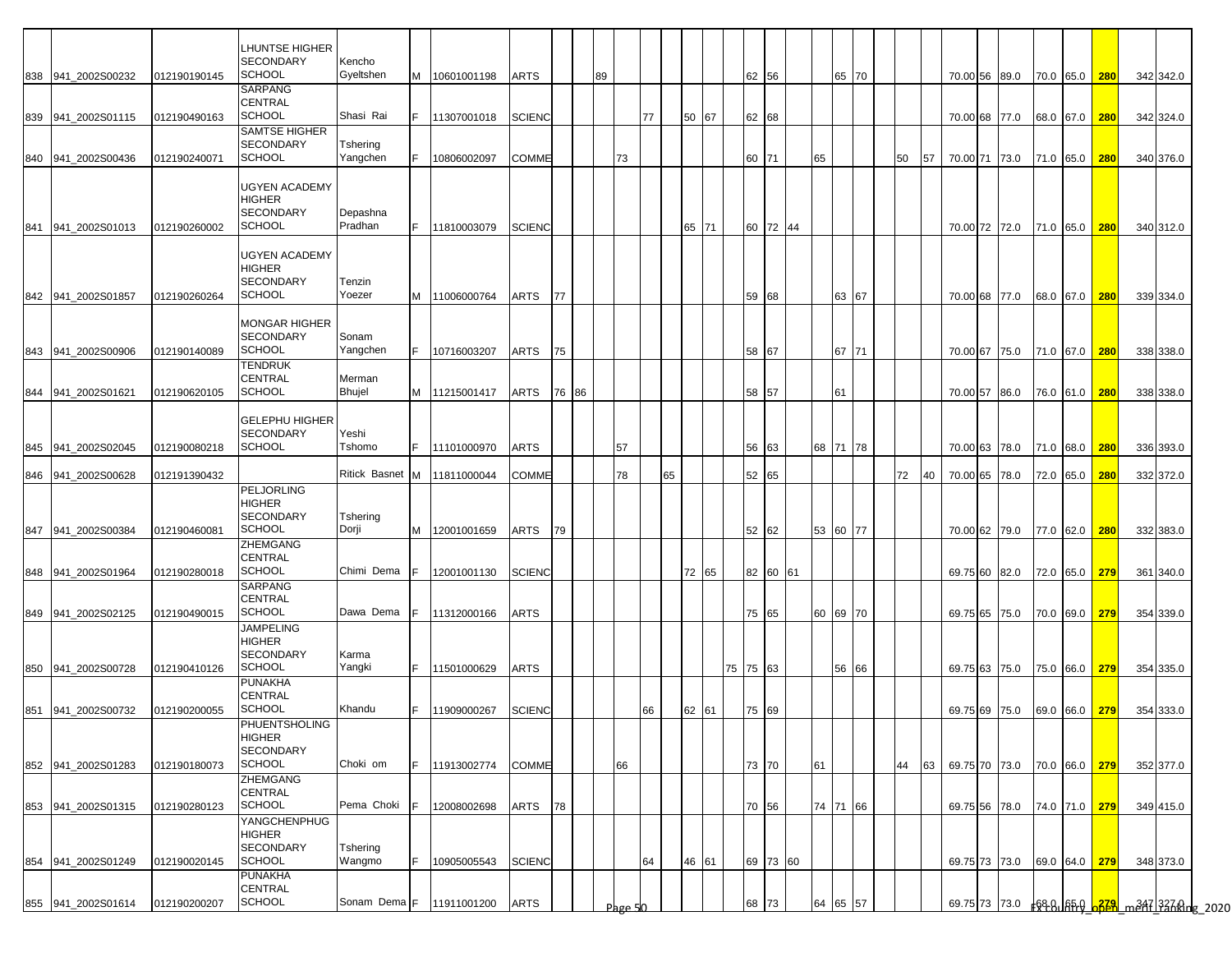|     |                    |              | LHUNTSE HIGHER<br>SECONDARY                                            | Kencho               |     |               |               |       |    |         |    |    |       |       |          |          |  |    |          |    |    |                                         |  |               |               |           |  |
|-----|--------------------|--------------|------------------------------------------------------------------------|----------------------|-----|---------------|---------------|-------|----|---------|----|----|-------|-------|----------|----------|--|----|----------|----|----|-----------------------------------------|--|---------------|---------------|-----------|--|
|     | 838 941 2002S00232 | 012190190145 | <b>SCHOOL</b>                                                          | Gyeltshen            | M   | 10601001198   | ARTS          |       | 89 |         |    |    |       |       |          | 62 56    |  |    | 65 70    |    |    | 70.00 56 89.0                           |  |               | 70.0 65.0 280 | 342 342.0 |  |
|     | 839 941_2002S01115 | 012190490163 | SARPANG<br>CENTRAL<br><b>SCHOOL</b>                                    | Shasi Rai            | F.  | 11307001018   | <b>SCIENC</b> |       |    |         | 77 |    | 50 67 |       |          | 62 68    |  |    |          |    |    | 70.00 68 77.0                           |  | 68.0 67.0 280 |               | 342 324.0 |  |
|     |                    | 012190240071 | SAMTSE HIGHER<br><b>SECONDARY</b><br><b>SCHOOL</b>                     | Tshering<br>Yangchen | F.  | 10806002097   | COMME         |       |    | 73      |    |    |       |       |          | 60 71    |  | 65 |          | 50 | 57 | 70.00 71 73.0                           |  | 71.0 65.0 280 |               | 340 376.0 |  |
|     | 840 941_2002S00436 |              |                                                                        |                      |     |               |               |       |    |         |    |    |       |       |          |          |  |    |          |    |    |                                         |  |               |               |           |  |
|     | 841 941 2002S01013 | 012190260002 | UGYEN ACADEMY<br><b>HIGHER</b><br>SECONDARY<br><b>SCHOOL</b>           | Depashna<br>Pradhan  | IF. | 11810003079   | <b>SCIENC</b> |       |    |         |    |    |       | 65 71 |          | 60 72 44 |  |    |          |    |    | 70.00 72 72.0                           |  | 71.0 65.0 280 |               | 340 312.0 |  |
|     | 842 941_2002S01857 | 012190260264 | <b>UGYEN ACADEMY</b><br>HIGHER<br><b>SECONDARY</b><br><b>SCHOOL</b>    | Tenzin<br>Yoezer     | M   | 11006000764   | ARTS          | 77    |    |         |    |    |       |       |          | 59 68    |  |    | 63 67    |    |    | 70.00 68 77.0                           |  | 68.0 67.0 280 |               | 339 334.0 |  |
| 843 | 941 2002S00906     | 012190140089 | <b>MONGAR HIGHER</b><br><b>SECONDARY</b><br><b>SCHOOL</b>              | Sonam<br>Yangchen    | IF. | 10716003207   | ARTS          | 75    |    |         |    |    |       |       |          | 58 67    |  |    | 67 71    |    |    | 70.00 67 75.0                           |  | 71.0 67.0 280 |               | 338 338.0 |  |
|     | 844 941_2002S01621 | 012190620105 | TENDRUK<br>CENTRAL<br><b>SCHOOL</b>                                    | Merman<br>Bhujel     |     | M 11215001417 | ARTS          | 76 86 |    |         |    |    |       |       |          | 58 57    |  |    | 61       |    |    | 70.00 57 86.0                           |  | 76.0 61.0 280 |               | 338 338.0 |  |
|     |                    |              | <b>GELEPHU HIGHER</b><br><b>SECONDARY</b>                              | Yeshi                |     |               |               |       |    |         |    |    |       |       |          |          |  |    |          |    |    |                                         |  |               |               |           |  |
|     | 845 941_2002S02045 | 012190080218 | <b>SCHOOL</b>                                                          | Tshomo               | IF. | 11101000970   | ARTS          |       |    | 57      |    |    |       |       |          | 56 63    |  |    | 68 71 78 |    |    | 70.00 63 78.0 71.0 68.0 280             |  |               |               | 336 393.0 |  |
|     | 846 941_2002S00628 | 012191390432 |                                                                        | Ritick Basnet M      |     | 11811000044   | COMME         |       |    | 78      |    | 65 |       |       |          | 52 65    |  |    |          | 72 | 40 | 70.00 65 78.0                           |  | 72.0 65.0     | 280           | 332 372.0 |  |
|     |                    |              | <b>PELJORLING</b><br><b>HIGHER</b><br><b>SECONDARY</b>                 | Tshering             |     |               |               |       |    |         |    |    |       |       |          |          |  |    |          |    |    |                                         |  |               |               |           |  |
| 847 | 941_2002S00384     | 012190460081 | <b>SCHOOL</b>                                                          | Dorji                | M   | 12001001659   | ARTS          | 79    |    |         |    |    |       |       |          | 52 62    |  |    | 53 60 77 |    |    | 70.00 62 79.0                           |  | 77.0 62.0 280 |               | 332 383.0 |  |
|     |                    |              | ZHEMGANG<br>CENTRAL                                                    |                      |     |               |               |       |    |         |    |    |       |       |          |          |  |    |          |    |    |                                         |  |               |               |           |  |
|     | 848 941_2002S01964 | 012190280018 | <b>SCHOOL</b>                                                          | Chimi Dema           | F.  | 12001001130   | <b>SCIENC</b> |       |    |         |    |    | 72 65 |       |          | 82 60 61 |  |    |          |    |    | 69.75 60 82.0                           |  | 72.0 65.0 279 |               | 361 340.0 |  |
|     | 849 941_2002S02125 | 012190490015 | SARPANG<br>CENTRAL<br><b>SCHOOL</b>                                    | Dawa Dema            | F.  | 11312000166   | ARTS          |       |    |         |    |    |       |       |          | 75 65    |  |    | 60 69 70 |    |    | 69.75 65 75.0                           |  | 70.0 69.0 279 |               | 354 339.0 |  |
|     | 850 941 2002S00728 | 012190410126 | <b>JAMPELING</b><br><b>HIGHER</b><br><b>SECONDARY</b><br><b>SCHOOL</b> | Karma<br>Yangki      | F.  | 11501000629   | ARTS          |       |    |         |    |    |       |       | 75 75 63 |          |  |    | 56 66    |    |    | 69.75 63 75.0                           |  |               | 75.0 66.0 279 | 354 335.0 |  |
|     |                    |              | PUNAKHA<br>CENTRAL<br><b>SCHOOL</b>                                    |                      |     |               |               |       |    |         |    |    |       |       |          |          |  |    |          |    |    |                                         |  |               |               |           |  |
|     | 851 941_2002S00732 | 012190200055 | PHUENTSHOLING<br>HIGHER                                                | Khandu               | F.  | 11909000267   | <b>SCIENC</b> |       |    |         | 66 |    | 62 61 |       |          | 75 69    |  |    |          |    |    | 69.75 69 75.0 69.0 66.0 279             |  |               |               | 354 333.0 |  |
|     | 852 941_2002S01283 | 012190180073 | SECONDARY<br><b>SCHOOL</b>                                             | Choki om             | F.  | 11913002774   | COMME         |       |    | 66      |    |    |       |       |          | 73 70    |  | 61 |          | 44 | 63 | 69.75 70 73.0                           |  | 70.0 66.0 279 |               | 352 377.0 |  |
| 853 | 941_2002S01315     | 012190280123 | ZHEMGANG<br>CENTRAL<br><b>SCHOOL</b>                                   | Pema Choki           |     | 12008002698   | ARTS          | 78    |    |         |    |    |       |       |          | 70 56    |  |    | 74 71 66 |    |    | 69.75 56 78.0                           |  | 74.0 71.0 279 |               | 349 415.0 |  |
| 854 | 941_2002S01249     | 012190020145 | YANGCHENPHUG<br><b>HIGHER</b><br><b>SECONDARY</b><br><b>SCHOOL</b>     | Tshering<br>Wangmo   | F.  | 10905005543   | <b>SCIENC</b> |       |    |         | 64 |    | 46 61 |       |          | 69 73 60 |  |    |          |    |    | 69.75 73 73.0                           |  | 69.0 64.0 279 |               | 348 373.0 |  |
|     | 855 941_2002S01614 | 012190200207 | PUNAKHA<br>CENTRAL<br>SCHOOL                                           | Sonam Dema F         |     | 11911001200   | ARTS          |       |    | Page 50 |    |    |       |       |          | 68 73    |  | 64 | 65 57    |    |    | 69.75 73 73.0 68.8 65.9 323 m347 337 km |  |               |               |           |  |
|     |                    |              |                                                                        |                      |     |               |               |       |    |         |    |    |       |       |          |          |  |    |          |    |    |                                         |  |               |               |           |  |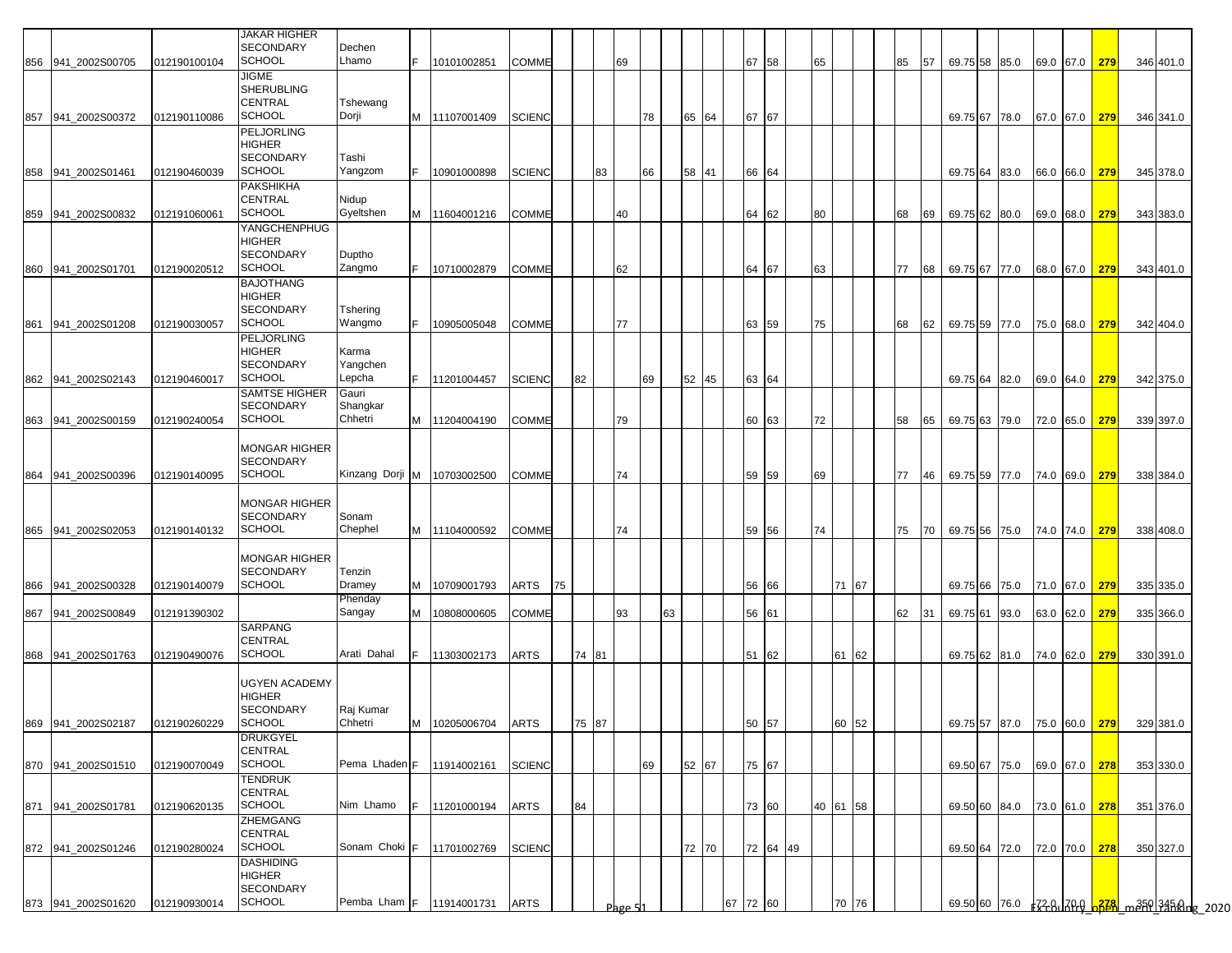| <b>JAKAR HIGHER</b><br><b>SECONDARY</b><br>Dechen<br><b>SCHOOL</b><br>Lhamo<br>67 58<br>65<br>IF.<br>10101002851<br><b>COMME</b><br>69<br>85<br>57<br>856 941_2002S00705<br>012190100104<br>JIGME<br><b>SHERUBLING</b><br><b>CENTRAL</b><br>Tshewang<br><b>SCHOOL</b><br>Dorji<br><b>SCIENC</b><br>65 64<br>67 67<br>M<br>11107001409<br>78<br>857 941_2002S00372<br>012190110086<br><b>PELJORLING</b><br><b>HIGHER</b> | 69.75 58 85.0<br>69.75 67 78.0 |  |  | 69.0 67.0 279 |     | 346 401.0        |
|-------------------------------------------------------------------------------------------------------------------------------------------------------------------------------------------------------------------------------------------------------------------------------------------------------------------------------------------------------------------------------------------------------------------------|--------------------------------|--|--|---------------|-----|------------------|
|                                                                                                                                                                                                                                                                                                                                                                                                                         |                                |  |  |               |     |                  |
|                                                                                                                                                                                                                                                                                                                                                                                                                         |                                |  |  |               |     |                  |
|                                                                                                                                                                                                                                                                                                                                                                                                                         |                                |  |  |               |     |                  |
|                                                                                                                                                                                                                                                                                                                                                                                                                         |                                |  |  | 67.0 67.0 279 |     | 346 341.0        |
| <b>SECONDARY</b><br>Tashi                                                                                                                                                                                                                                                                                                                                                                                               |                                |  |  |               |     |                  |
| <b>SCHOOL</b><br>Yangzom<br><b>SCIENC</b><br>83<br>58 41<br>66 64<br>858 941_2002S01461<br>012190460039<br>10901000898<br>66                                                                                                                                                                                                                                                                                            | 69.75 64 83.0                  |  |  | 66.0 66.0 279 |     | 345 378.0        |
| <b>PAKSHIKHA</b><br><b>CENTRAL</b><br>Nidup<br><b>SCHOOL</b><br>Gyeltshen<br>859 941_2002S00832<br>M<br>11604001216<br>COMME<br>40<br>64 62<br>80<br>68<br>69<br>012191060061                                                                                                                                                                                                                                           | 69.75 62 80.0                  |  |  | 69.0 68.0     |     | 279<br>343 383.0 |
| YANGCHENPHUG<br>HIGHER<br><b>SECONDARY</b><br>Duptho<br><b>SCHOOL</b><br>Zangmo<br>860<br><b>COMME</b><br>62<br>64 67<br>63<br>77<br>941_2002S01701<br>012190020512<br>IF.<br>10710002879<br>68                                                                                                                                                                                                                         | 69.75 67 77.0                  |  |  | 68.0 67.0     |     | 279<br>343 401.0 |
| <b>BAJOTHANG</b><br><b>HIGHER</b>                                                                                                                                                                                                                                                                                                                                                                                       |                                |  |  |               |     |                  |
| <b>SECONDARY</b><br>Tshering<br><b>SCHOOL</b><br>Wangmo<br>63 59<br>861<br>941_2002S01208<br>012190030057<br>IF.<br>10905005048<br><b>COMME</b><br>77<br>75<br>68<br>62                                                                                                                                                                                                                                                 | 69.75 59 77.0                  |  |  | 75.0 68.0 279 |     | 342 404.0        |
| <b>PELJORLING</b><br>HIGHER<br>Karma                                                                                                                                                                                                                                                                                                                                                                                    |                                |  |  |               |     |                  |
| <b>SECONDARY</b><br>Yangchen<br><b>SCHOOL</b><br>82<br>Lepcha<br>52<br>45<br>63 64<br>862 941_2002S02143<br>IF.<br>11201004457<br><b>SCIENC</b><br>69<br>012190460017                                                                                                                                                                                                                                                   | 69.75 64 82.0                  |  |  | 69.0 64.0 279 |     | 342 375.0        |
| <b>SAMTSE HIGHER</b><br>Gauri<br><b>SECONDARY</b><br>Shangkar                                                                                                                                                                                                                                                                                                                                                           |                                |  |  |               |     |                  |
| <b>SCHOOL</b><br>Chhetri<br><b>COMME</b><br>60 63<br>72<br>863 941_2002S00159<br>012190240054<br>M<br>11204004190<br>79<br>58<br>65                                                                                                                                                                                                                                                                                     | 69.75 63 79.0 72.0 65.0        |  |  |               | 279 | 339 397.0        |
| <b>MONGAR HIGHER</b>                                                                                                                                                                                                                                                                                                                                                                                                    |                                |  |  |               |     |                  |
| <b>SECONDARY</b><br><b>SCHOOL</b><br>Kinzang Dorji M<br>10703002500<br>864<br>941 2002S00396<br>012190140095<br><b>COMME</b><br>74<br>59 59<br>69<br>77<br>46                                                                                                                                                                                                                                                           | 69.75 59 77.0 74.0 69.0        |  |  |               | 279 | 338 384.0        |
| <b>MONGAR HIGHER</b>                                                                                                                                                                                                                                                                                                                                                                                                    |                                |  |  |               |     |                  |
| <b>SECONDARY</b><br>Sonam<br><b>SCHOOL</b><br>Chephel<br>59 56<br>941_2002S02053<br>M<br><b>COMME</b><br>74<br>74<br>75<br>865<br>012190140132<br>11104000592<br>70                                                                                                                                                                                                                                                     | 69.75 56 75.0                  |  |  | 74.0 74.0     |     | 279<br>338 408.0 |
| <b>MONGAR HIGHER</b>                                                                                                                                                                                                                                                                                                                                                                                                    |                                |  |  |               |     |                  |
| <b>SECONDARY</b><br>Tenzin<br><b>SCHOOL</b>                                                                                                                                                                                                                                                                                                                                                                             |                                |  |  |               |     |                  |
| Dramey<br>71 67<br>941_2002S00328<br>M<br>10709001793<br>ARTS<br>56 66<br>866<br>012190140079<br>75<br>Phenday                                                                                                                                                                                                                                                                                                          | 69.75 66 75.0                  |  |  | 71.0 67.0     | 279 | 335 335.0        |
| Sangay<br>93<br>63<br>941_2002S00849<br>012191390302<br>M<br>10808000605<br><b>COMME</b><br>56 61<br>62<br>31<br>867<br>SARPANG                                                                                                                                                                                                                                                                                         | 69.75 61 93.0                  |  |  | 63.0 62.0     | 279 | 335 366.0        |
| <b>CENTRAL</b><br><b>SCHOOL</b><br>Arati Dahal<br>61 62<br>74 81<br>51 62<br>868 941_2002S01763<br>012190490076<br>IF.<br>11303002173<br>ARTS                                                                                                                                                                                                                                                                           | 69.75 62 81.0 74.0 62.0 279    |  |  |               |     | 330 391.0        |
|                                                                                                                                                                                                                                                                                                                                                                                                                         |                                |  |  |               |     |                  |
| UGYEN ACADEMY<br>HIGHER                                                                                                                                                                                                                                                                                                                                                                                                 |                                |  |  |               |     |                  |
| <b>SECONDARY</b><br>Raj Kumar<br><b>SCHOOL</b><br>Chhetri<br>869 941_2002S02187 012190260229<br>M 10205006704 ARTS<br>75 87<br>50 57<br>60 52                                                                                                                                                                                                                                                                           | 69.75 57 87.0 75.0 60.0 279    |  |  |               |     | 329 381.0        |
| <b>DRUKGYEL</b><br><b>CENTRAL</b>                                                                                                                                                                                                                                                                                                                                                                                       |                                |  |  |               |     |                  |
| <b>SCHOOL</b><br>52 67<br>Pema Lhaden <sup>F</sup><br>11914002161<br><b>SCIENC</b><br>75 67<br>870 941_2002S01510<br>012190070049<br>69                                                                                                                                                                                                                                                                                 | 69.50 67 75.0                  |  |  | 69.0 67.0 278 |     | 353 330.0        |
| <b>TENDRUK</b><br>CENTRAL                                                                                                                                                                                                                                                                                                                                                                                               |                                |  |  |               |     |                  |
| <b>SCHOOL</b><br>Nim Lhamo<br>84<br>40 61 58<br>871 941_2002S01781<br>012190620135<br>11201000194<br><b>ARTS</b><br>73 60<br>ZHEMGANG                                                                                                                                                                                                                                                                                   | 69.50 60 84.0 73.0 61.0 278    |  |  |               |     | 351 376.0        |
| <b>CENTRAL</b><br><b>SCHOOL</b><br>Sonam Choki F<br>72 64 49<br><b>SCIENC</b><br>72 70<br>872 941_2002S01246<br>012190280024<br>11701002769                                                                                                                                                                                                                                                                             | 69.50 64 72.0 72.0 70.0 278    |  |  |               |     | 350 327.0        |
| <b>DASHIDING</b><br><b>HIGHER</b>                                                                                                                                                                                                                                                                                                                                                                                       |                                |  |  |               |     |                  |
| <b>SECONDARY</b>                                                                                                                                                                                                                                                                                                                                                                                                        |                                |  |  |               |     |                  |
| <b>SCHOOL</b><br>Pemba Lham F<br><b>ARTS</b><br>67 72 60<br>70 76<br>873 941_2002S01620<br>012190930014<br>11914001731<br>Page 5                                                                                                                                                                                                                                                                                        |                                |  |  |               |     |                  |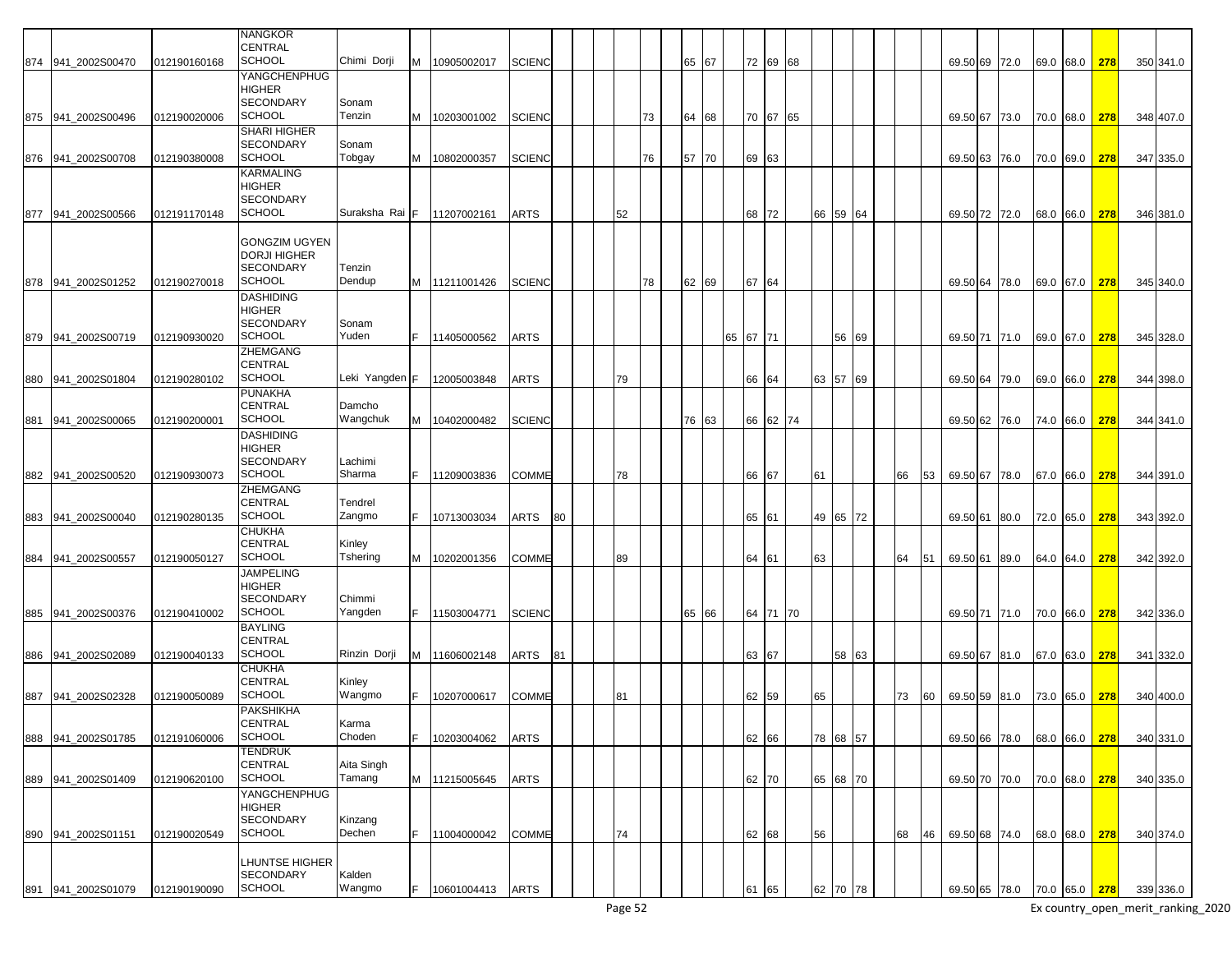|     |                    |              | <b>NANGKOR</b>        |                |   |               |               |    |    |    |       |          |          |       |          |    |    |               |      |  |               |     |           |
|-----|--------------------|--------------|-----------------------|----------------|---|---------------|---------------|----|----|----|-------|----------|----------|-------|----------|----|----|---------------|------|--|---------------|-----|-----------|
|     |                    |              | <b>CENTRAL</b>        |                |   |               |               |    |    |    |       |          |          |       |          |    |    |               |      |  |               |     |           |
|     | 874 941 2002S00470 | 012190160168 | <b>SCHOOL</b>         | Chimi Dorji    |   | M 10905002017 | <b>SCIENC</b> |    |    |    | 65 67 |          | 72 69 68 |       |          |    |    | 69.50 69 72.0 |      |  | 69.0 68.0 278 |     | 350 341.0 |
|     |                    |              | <b>YANGCHENPHUG</b>   |                |   |               |               |    |    |    |       |          |          |       |          |    |    |               |      |  |               |     |           |
|     |                    |              | <b>HIGHER</b>         |                |   |               |               |    |    |    |       |          |          |       |          |    |    |               |      |  |               |     |           |
|     |                    |              | <b>SECONDARY</b>      | Sonam          |   |               |               |    |    |    |       |          |          |       |          |    |    |               |      |  |               |     |           |
|     | 875 941 2002S00496 | 012190020006 | <b>SCHOOL</b>         | Tenzin         | M | 10203001002   | <b>SCIENC</b> |    |    | 73 | 64 68 |          | 70 67 65 |       |          |    |    | 69.50 67 73.0 |      |  | 70.0 68.0     | 278 | 348 407.0 |
|     |                    |              | <b>SHARI HIGHER</b>   |                |   |               |               |    |    |    |       |          |          |       |          |    |    |               |      |  |               |     |           |
|     |                    |              | <b>SECONDARY</b>      | Sonam          |   |               |               |    |    |    |       |          |          |       |          |    |    |               |      |  |               |     |           |
|     |                    |              | <b>SCHOOL</b>         | Tobgay         |   |               |               |    |    | 76 |       |          |          |       |          |    |    |               |      |  |               |     |           |
|     | 876 941_2002S00708 | 012190380008 |                       |                | м | 10802000357   | <b>SCIENC</b> |    |    |    | 57 70 | 69 63    |          |       |          |    |    | 69.50 63 76.0 |      |  | 70.0 69.0     | 278 | 347 335.0 |
|     |                    |              | <b>KARMALING</b>      |                |   |               |               |    |    |    |       |          |          |       |          |    |    |               |      |  |               |     |           |
|     |                    |              | <b>HIGHER</b>         |                |   |               |               |    |    |    |       |          |          |       |          |    |    |               |      |  |               |     |           |
|     |                    |              | <b>SECONDARY</b>      |                |   |               |               |    |    |    |       |          |          |       |          |    |    |               |      |  |               |     |           |
| 877 | 941 2002S00566     | 012191170148 | <b>SCHOOL</b>         | Suraksha Rai   | F | 11207002161   | ARTS          |    | 52 |    |       | 68 72    |          | 66 59 | 64       |    |    | 69.50 72 72.0 |      |  | 68.0 66.0     | 278 | 346 381.0 |
|     |                    |              |                       |                |   |               |               |    |    |    |       |          |          |       |          |    |    |               |      |  |               |     |           |
|     |                    |              | <b>GONGZIM UGYEN</b>  |                |   |               |               |    |    |    |       |          |          |       |          |    |    |               |      |  |               |     |           |
|     |                    |              | <b>DORJI HIGHER</b>   |                |   |               |               |    |    |    |       |          |          |       |          |    |    |               |      |  |               |     |           |
|     |                    |              | <b>SECONDARY</b>      | Tenzin         |   |               |               |    |    |    |       |          |          |       |          |    |    |               |      |  |               |     |           |
|     | 878 941 2002S01252 | 012190270018 | <b>SCHOOL</b>         | Dendup         |   | M 11211001426 | <b>SCIENC</b> |    |    | 78 | 62 69 | 67 64    |          |       |          |    |    | 69.50 64 78.0 |      |  | 69.0 67.0     | 278 | 345 340.0 |
|     |                    |              | <b>DASHIDING</b>      |                |   |               |               |    |    |    |       |          |          |       |          |    |    |               |      |  |               |     |           |
|     |                    |              | <b>HIGHER</b>         |                |   |               |               |    |    |    |       |          |          |       |          |    |    |               |      |  |               |     |           |
|     |                    |              | <b>SECONDARY</b>      | Sonam          |   |               |               |    |    |    |       |          |          |       |          |    |    |               |      |  |               |     |           |
|     | 879 941 2002S00719 | 012190930020 | <b>SCHOOL</b>         | Yuden          |   | 11405000562   | ARTS          |    |    |    |       | 65 67 71 |          |       | 56 69    |    |    | 69.50 71 71.0 |      |  | 69.0 67.0 278 |     | 345 328.0 |
|     |                    |              | <b>ZHEMGANG</b>       |                |   |               |               |    |    |    |       |          |          |       |          |    |    |               |      |  |               |     |           |
|     |                    |              | <b>CENTRAL</b>        |                |   |               |               |    |    |    |       |          |          |       |          |    |    |               |      |  |               |     |           |
|     | 880 941_2002S01804 | 012190280102 | <b>SCHOOL</b>         | Leki Yangden F |   | 12005003848   | ARTS          |    | 79 |    |       | 66 64    |          |       | 63 57 69 |    |    | 69.50 64 79.0 |      |  | 69.0 66.0     | 278 | 344 398.0 |
|     |                    |              | <b>PUNAKHA</b>        |                |   |               |               |    |    |    |       |          |          |       |          |    |    |               |      |  |               |     |           |
|     |                    |              | <b>CENTRAL</b>        | Damcho         |   |               |               |    |    |    |       |          |          |       |          |    |    |               |      |  |               |     |           |
| 881 | 941_2002S00065     | 012190200001 | <b>SCHOOL</b>         | Wangchuk       | м | 10402000482   | <b>SCIENC</b> |    |    |    | 76 63 |          | 66 62 74 |       |          |    |    | 69.50 62 76.0 |      |  | 74.0 66.0     | 278 | 344 341.0 |
|     |                    |              | <b>DASHIDING</b>      |                |   |               |               |    |    |    |       |          |          |       |          |    |    |               |      |  |               |     |           |
|     |                    |              | <b>HIGHER</b>         |                |   |               |               |    |    |    |       |          |          |       |          |    |    |               |      |  |               |     |           |
|     |                    |              | <b>SECONDARY</b>      | Lachimi        |   |               |               |    |    |    |       |          |          |       |          |    |    |               |      |  |               |     |           |
|     |                    |              | <b>SCHOOL</b>         | Sharma         |   |               |               |    |    |    |       |          |          |       |          |    |    |               |      |  |               |     |           |
| 882 | 941 2002S00520     | 012190930073 |                       |                |   | 11209003836   | COMME         |    | 78 |    |       | 66 67    |          | 61    |          | 66 | 53 | 69.50 67 78.0 |      |  | 67.0 66.0     | 278 | 344 391.0 |
|     |                    |              | <b>ZHEMGANG</b>       |                |   |               |               |    |    |    |       |          |          |       |          |    |    |               |      |  |               |     |           |
|     |                    |              | <b>CENTRAL</b>        | Tendrel        |   |               |               |    |    |    |       |          |          |       |          |    |    |               |      |  |               |     |           |
| 883 | 941 2002S00040     | 012190280135 | <b>SCHOOL</b>         | Zangmo         |   | 10713003034   | ARTS          | 80 |    |    |       | 65 61    |          |       | 49 65 72 |    |    | 69.50 61      | 80.0 |  | 72.0 65.0     | 278 | 343 392.0 |
|     |                    |              | <b>CHUKHA</b>         |                |   |               |               |    |    |    |       |          |          |       |          |    |    |               |      |  |               |     |           |
|     |                    |              | <b>CENTRAL</b>        | Kinley         |   |               |               |    |    |    |       |          |          |       |          |    |    |               |      |  |               |     |           |
|     | 884 941_2002S00557 | 012190050127 | <b>SCHOOL</b>         | Tshering       | M | 10202001356   | COMME         |    | 89 |    |       | 64       | 61       | 63    |          | 64 | 51 | 69.50 61      | 89.0 |  | 64.0 64.0     | 278 | 342 392.0 |
|     |                    |              | <b>JAMPELING</b>      |                |   |               |               |    |    |    |       |          |          |       |          |    |    |               |      |  |               |     |           |
|     |                    |              | <b>HIGHER</b>         |                |   |               |               |    |    |    |       |          |          |       |          |    |    |               |      |  |               |     |           |
|     |                    |              | <b>SECONDARY</b>      | Chimmi         |   |               |               |    |    |    |       |          |          |       |          |    |    |               |      |  |               |     |           |
|     | 885 941_2002S00376 | 012190410002 | <b>SCHOOL</b>         | Yangden        |   | 11503004771   | <b>SCIENC</b> |    |    |    | 65 66 |          | 64 71 70 |       |          |    |    | 69.50 71 71.0 |      |  | 70.0 66.0     | 278 | 342 336.0 |
|     |                    |              | <b>BAYLING</b>        |                |   |               |               |    |    |    |       |          |          |       |          |    |    |               |      |  |               |     |           |
|     |                    |              | <b>CENTRAL</b>        |                |   |               |               |    |    |    |       |          |          |       |          |    |    |               |      |  |               |     |           |
|     | 886 941_2002S02089 | 012190040133 | <b>SCHOOL</b>         | Rinzin Dorji   |   | M 11606002148 | ARTS          | 81 |    |    |       | 63 67    |          |       | 58 63    |    |    | 69.50 67 81.0 |      |  | 67.0 63.0 278 |     | 341 332.0 |
|     |                    |              | <b>CHUKHA</b>         |                |   |               |               |    |    |    |       |          |          |       |          |    |    |               |      |  |               |     |           |
|     |                    |              | <b>CENTRAL</b>        | Kinley         |   |               |               |    |    |    |       |          |          |       |          |    |    |               |      |  |               |     |           |
| 887 | 941_2002S02328     | 012190050089 | <b>SCHOOL</b>         | Wangmo         |   | 10207000617   | <b>COMME</b>  |    | 81 |    |       | 62 59    |          | 65    |          | 73 | 60 | 69.50 59 81.0 |      |  | 73.0 65.0     | 278 | 340 400.0 |
|     |                    |              | <b>PAKSHIKHA</b>      |                |   |               |               |    |    |    |       |          |          |       |          |    |    |               |      |  |               |     |           |
|     |                    |              | <b>CENTRAL</b>        | Karma          |   |               |               |    |    |    |       |          |          |       |          |    |    |               |      |  |               |     |           |
| 888 | 941_2002S01785     | 012191060006 | SCHOOL                | Choden         |   | 10203004062   | <b>ARTS</b>   |    |    |    |       | 62       | 66       |       | 78 68 57 |    |    | 69.50 66 78.0 |      |  | 68.0 66.0     | 278 | 340 331.0 |
|     |                    |              | <b>TENDRUK</b>        |                |   |               |               |    |    |    |       |          |          |       |          |    |    |               |      |  |               |     |           |
|     |                    |              | <b>CENTRAL</b>        | Aita Singh     |   |               |               |    |    |    |       |          |          |       |          |    |    |               |      |  |               |     |           |
|     | 889 941 2002S01409 | 012190620100 | <b>SCHOOL</b>         | Tamang         |   | M 11215005645 | <b>ARTS</b>   |    |    |    |       |          | 62 70    |       | 65 68 70 |    |    | 69.50 70 70.0 |      |  | 70.0 68.0 278 |     | 340 335.0 |
|     |                    |              | YANGCHENPHUG          |                |   |               |               |    |    |    |       |          |          |       |          |    |    |               |      |  |               |     |           |
|     |                    |              | <b>HIGHER</b>         |                |   |               |               |    |    |    |       |          |          |       |          |    |    |               |      |  |               |     |           |
|     |                    |              | <b>SECONDARY</b>      | Kinzang        |   |               |               |    |    |    |       |          |          |       |          |    |    |               |      |  |               |     |           |
|     | 890 941_2002S01151 | 012190020549 | <b>SCHOOL</b>         | Dechen         |   | 11004000042   | COMME         |    | 74 |    |       | 62 68    |          | 56    |          | 68 | 46 | 69.50 68 74.0 |      |  | 68.0 68.0 278 |     | 340 374.0 |
|     |                    |              |                       |                |   |               |               |    |    |    |       |          |          |       |          |    |    |               |      |  |               |     |           |
|     |                    |              | <b>LHUNTSE HIGHER</b> |                |   |               |               |    |    |    |       |          |          |       |          |    |    |               |      |  |               |     |           |
|     |                    |              | <b>SECONDARY</b>      |                |   |               |               |    |    |    |       |          |          |       |          |    |    |               |      |  |               |     |           |
|     |                    |              | SCHOOL                | Kalden         |   |               |               |    |    |    |       |          |          |       |          |    |    |               |      |  |               |     |           |
|     | 891 941_2002S01079 | 012190190090 |                       | Wangmo         |   | 10601004413   | ARTS          |    |    |    |       | 61       | 65       |       | 62 70 78 |    |    | 69.50 65 78.0 |      |  | 70.0 65.0 278 |     | 339 336.0 |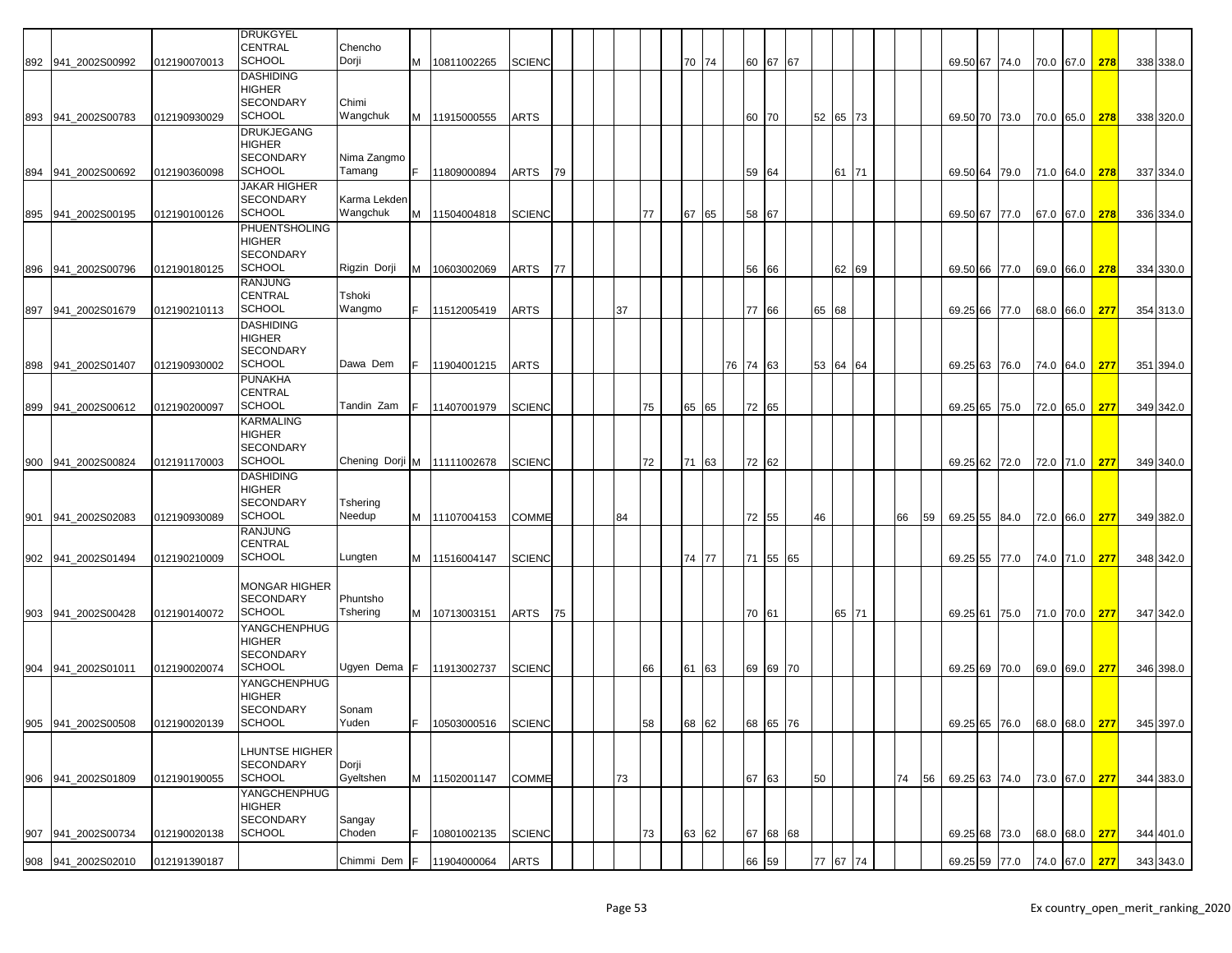|     |                    |              | <b>DRUKGYEL</b>                   |                             |     |                       |               |    |    |    |       |          |          |          |          |    |    |               |                                       |               |     |           |
|-----|--------------------|--------------|-----------------------------------|-----------------------------|-----|-----------------------|---------------|----|----|----|-------|----------|----------|----------|----------|----|----|---------------|---------------------------------------|---------------|-----|-----------|
|     | 892 941_2002S00992 | 012190070013 | CENTRAL<br><b>SCHOOL</b>          | Chencho<br>Dorji            |     | M 10811002265         | <b>SCIENC</b> |    |    |    | 70 74 |          | 60 67 67 |          |          |    |    | 69.50 67 74.0 |                                       | 70.0 67.0 278 |     | 338 338.0 |
|     |                    |              | <b>DASHIDING</b>                  |                             |     |                       |               |    |    |    |       |          |          |          |          |    |    |               |                                       |               |     |           |
|     |                    |              | <b>HIGHER</b><br><b>SECONDARY</b> | Chimi                       |     |                       |               |    |    |    |       |          |          |          |          |    |    |               |                                       |               |     |           |
|     | 893 941_2002S00783 | 012190930029 | <b>SCHOOL</b>                     | Wangchuk                    |     | M 11915000555         | <b>ARTS</b>   |    |    |    |       | 60 70    |          |          | 52 65 73 |    |    | 69.50 70 73.0 |                                       | 70.0 65.0 278 |     | 338 320.0 |
|     |                    |              | <b>DRUKJEGANG</b>                 |                             |     |                       |               |    |    |    |       |          |          |          |          |    |    |               |                                       |               |     |           |
|     |                    |              | <b>HIGHER</b><br><b>SECONDARY</b> | Nima Zangmo                 |     |                       |               |    |    |    |       |          |          |          |          |    |    |               |                                       |               |     |           |
|     | 894 941_2002S00692 | 012190360098 | <b>SCHOOL</b>                     | Tamang                      | F   | 11809000894           | ARTS          | 79 |    |    |       | 59 64    |          |          | 61 71    |    |    | 69.50 64 79.0 |                                       | 71.0 64.0     | 278 | 337 334.0 |
|     |                    |              | <b>JAKAR HIGHER</b>               |                             |     |                       |               |    |    |    |       |          |          |          |          |    |    |               |                                       |               |     |           |
|     | 895 941 2002S00195 | 012190100126 | <b>SECONDARY</b><br><b>SCHOOL</b> | Karma Lekden<br>Wangchuk    | M   | 11504004818           | <b>SCIENC</b> |    |    | 77 | 67 65 | 58       | 67       |          |          |    |    | 69.50 67 77.0 |                                       | 67.0 67.0     | 278 | 336 334.0 |
|     |                    |              | <b>PHUENTSHOLING</b>              |                             |     |                       |               |    |    |    |       |          |          |          |          |    |    |               |                                       |               |     |           |
|     |                    |              | HIGHER                            |                             |     |                       |               |    |    |    |       |          |          |          |          |    |    |               |                                       |               |     |           |
| 896 | 941_2002S00796     | 012190180125 | <b>SECONDARY</b><br><b>SCHOOL</b> | Rigzin Dorji                | M   | 10603002069           | ARTS          | 77 |    |    |       | 56       | 66       |          | 62 69    |    |    | 69.50 66      | 77.0                                  | 69.0 66.0     | 278 | 334 330.0 |
|     |                    |              | <b>RANJUNG</b>                    |                             |     |                       |               |    |    |    |       |          |          |          |          |    |    |               |                                       |               |     |           |
|     |                    |              | <b>CENTRAL</b>                    | Tshoki                      |     |                       |               |    |    |    |       |          |          |          |          |    |    |               |                                       |               |     |           |
|     | 897 941_2002S01679 | 012190210113 | <b>SCHOOL</b><br><b>DASHIDING</b> | Wangmo                      |     | 11512005419           | <b>ARTS</b>   |    | 37 |    |       | 77       | 66       | 65 68    |          |    |    | 69.25 66      | 77.0                                  | 68.0 66.0     | 277 | 354 313.0 |
|     |                    |              | HIGHER                            |                             |     |                       |               |    |    |    |       |          |          |          |          |    |    |               |                                       |               |     |           |
|     |                    |              | <b>SECONDARY</b><br><b>SCHOOL</b> | Dawa Dem                    |     |                       |               |    |    |    |       |          |          |          |          |    |    |               |                                       |               |     |           |
|     | 898 941_2002S01407 | 012190930002 | <b>PUNAKHA</b>                    |                             |     | 11904001215           | <b>ARTS</b>   |    |    |    |       | 76 74 63 |          |          | 53 64 64 |    |    | 69.25 63 76.0 |                                       | 74.0 64.0     | 277 | 351 394.0 |
|     |                    |              | <b>CENTRAL</b>                    |                             |     |                       |               |    |    |    |       |          |          |          |          |    |    |               |                                       |               |     |           |
|     | 899 941_2002S00612 | 012190200097 | <b>SCHOOL</b>                     | Tandin Zam                  |     | 11407001979           | <b>SCIENC</b> |    |    | 75 | 65 65 | 72 65    |          |          |          |    |    | 69.25 65      | 75.0                                  | 72.0 65.0     | 277 | 349 342.0 |
|     |                    |              | <b>KARMALING</b><br><b>HIGHER</b> |                             |     |                       |               |    |    |    |       |          |          |          |          |    |    |               |                                       |               |     |           |
|     |                    |              | <b>SECONDARY</b>                  |                             |     |                       |               |    |    |    |       |          |          |          |          |    |    |               |                                       |               |     |           |
|     | 900 941 2002S00824 | 012191170003 | <b>SCHOOL</b>                     | Chening Dorji M 11111002678 |     |                       | <b>SCIENC</b> |    |    | 72 | 71 63 | 72 62    |          |          |          |    |    | 69.25 62 72.0 |                                       | 72.0 71.0     | 277 | 349 340.0 |
|     |                    |              | <b>DASHIDING</b><br><b>HIGHER</b> |                             |     |                       |               |    |    |    |       |          |          |          |          |    |    |               |                                       |               |     |           |
|     |                    |              | <b>SECONDARY</b>                  | Tshering                    |     |                       |               |    |    |    |       |          |          |          |          |    |    |               |                                       |               |     |           |
| 901 | 941_2002S02083     | 012190930089 | <b>SCHOOL</b><br><b>RANJUNG</b>   | Needup                      |     | M   11107004153       | COMME         |    | 84 |    |       |          | 72 55    | 46       |          | 66 | 59 | 69.25 55      | 84.0                                  | 72.0 66.0     | 277 | 349 382.0 |
|     |                    |              | <b>CENTRAL</b>                    |                             |     |                       |               |    |    |    |       |          |          |          |          |    |    |               |                                       |               |     |           |
|     | 902 941_2002S01494 | 012190210009 | <b>SCHOOL</b>                     | Lungten                     |     | M   11516004147       | <b>SCIENC</b> |    |    |    | 74 77 | 71       | 55 65    |          |          |    |    | 69.25 55      | 77.0                                  | 74.0 71.0     | 277 | 348 342.0 |
|     |                    |              | <b>MONGAR HIGHER</b>              |                             |     |                       |               |    |    |    |       |          |          |          |          |    |    |               |                                       |               |     |           |
|     |                    |              | <b>SECONDARY</b>                  | Phuntsho                    |     |                       |               |    |    |    |       |          |          |          |          |    |    |               |                                       |               |     |           |
|     | 903 941_2002S00428 | 012190140072 | <b>SCHOOL</b>                     | Tshering                    |     | M 10713003151         | ARTS          | 75 |    |    |       | 70 61    |          |          | 65 71    |    |    | 69.25 61 75.0 |                                       | 71.0 70.0     | 277 | 347 342.0 |
|     |                    |              | YANGCHENPHUG<br>HIGHER            |                             |     |                       |               |    |    |    |       |          |          |          |          |    |    |               |                                       |               |     |           |
|     |                    |              | <b>SECONDARY</b>                  |                             |     |                       |               |    |    |    |       |          |          |          |          |    |    |               |                                       |               |     |           |
|     | 904 941_2002S01011 | 012190020074 | <b>SCHOOL</b>                     | Ugyen Dema F 11913002737    |     |                       | <b>SCIENC</b> |    |    | 66 | 61 63 |          | 69 69 70 |          |          |    |    | 69.25 69      | 70.0                                  | 69.0 69.0     | 277 | 346 398.0 |
|     |                    |              | YANGCHENPHUG<br>HIGHER            |                             |     |                       |               |    |    |    |       |          |          |          |          |    |    |               |                                       |               |     |           |
|     |                    |              | <b>SECONDARY</b>                  | Sonam                       |     |                       |               |    |    |    |       |          |          |          |          |    |    |               |                                       |               |     |           |
|     | 905 941_2002S00508 | 012190020139 | <b>SCHOOL</b>                     | Yuden                       |     | F  10503000516 SCIENC |               |    |    | 58 | 68 62 |          | 68 65 76 |          |          |    |    |               | 69.25 65 76.0 68.0 68.0 277 345 397.0 |               |     |           |
|     |                    |              | LHUNTSE HIGHER                    |                             |     |                       |               |    |    |    |       |          |          |          |          |    |    |               |                                       |               |     |           |
|     |                    |              | <b>SECONDARY</b>                  | Dorji                       |     |                       |               |    |    |    |       |          |          |          |          |    |    |               |                                       |               |     |           |
|     | 906 941 2002S01809 | 012190190055 | <b>SCHOOL</b>                     | Gyeltshen                   |     | M 11502001147         | <b>COMME</b>  |    | 73 |    |       | 67 63    |          | 50       |          | 74 | 56 |               | 69.25 63 74.0 73.0 67.0 277           |               |     | 344 383.0 |
|     |                    |              | YANGCHENPHUG<br>HIGHER            |                             |     |                       |               |    |    |    |       |          |          |          |          |    |    |               |                                       |               |     |           |
|     |                    |              | <b>SECONDARY</b>                  | Sangay                      |     |                       |               |    |    |    |       |          |          |          |          |    |    |               |                                       |               |     |           |
|     | 907 941_2002S00734 | 012190020138 | <b>SCHOOL</b>                     | Choden                      |     | 10801002135           | <b>SCIENC</b> |    |    | 73 | 63 62 |          | 67 68 68 |          |          |    |    | 69.25 68 73.0 |                                       | 68.0 68.0 277 |     | 344 401.0 |
|     | 908 941 2002S02010 | 012191390187 |                                   | Chimmi Dem                  | IF. | 11904000064           | <b>ARTS</b>   |    |    |    |       |          | 66 59    | 77 67 74 |          |    |    | 69.25 59 77.0 |                                       | 74.0 67.0 277 |     | 343 343.0 |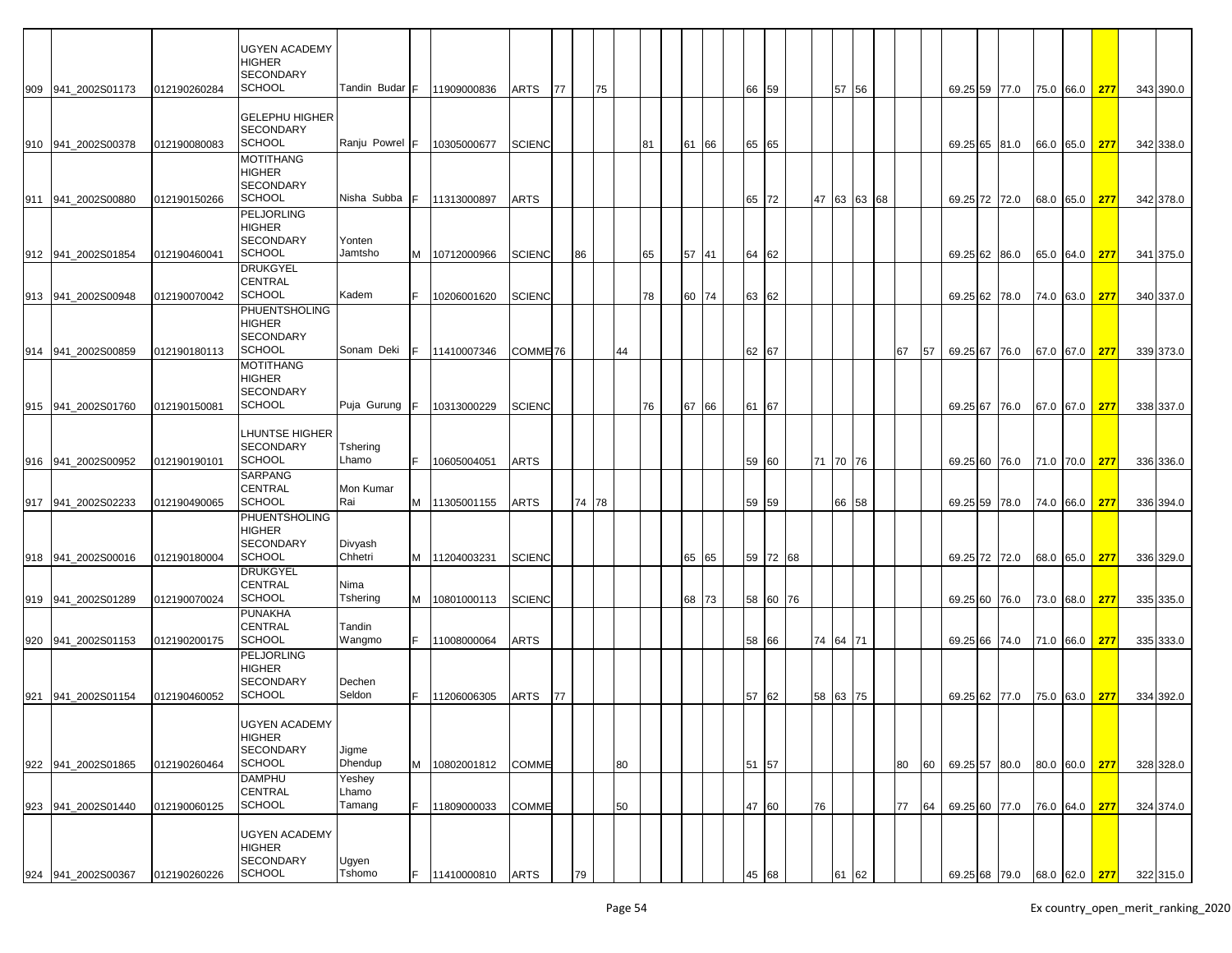| 909 941_2002S01173  | 012190260284 | UGYEN ACADEMY<br>HIGHER<br><b>SECONDARY</b><br><b>SCHOOL</b>    | Tandin Budar              | IF. | 11909000836           | <b>ARTS</b>         | 77 |       | 75 |    |    |    |       |    | 66 59 |    |    | 57 56       |    |    |          | 69.25 59 77.0 | 75.0 66.0 | 277           |                                       | 343 390.0 |  |
|---------------------|--------------|-----------------------------------------------------------------|---------------------------|-----|-----------------------|---------------------|----|-------|----|----|----|----|-------|----|-------|----|----|-------------|----|----|----------|---------------|-----------|---------------|---------------------------------------|-----------|--|
|                     |              | <b>GELEPHU HIGHER</b><br>SECONDARY                              |                           |     |                       |                     |    |       |    |    |    |    |       |    |       |    |    |             |    |    |          |               |           |               |                                       |           |  |
| 910 941 2002S00378  | 012190080083 | <b>SCHOOL</b>                                                   | Ranju Powrel              | IF. | 10305000677           | <b>SCIENC</b>       |    |       |    |    | 81 |    | 61 66 |    | 65 65 |    |    |             |    |    |          | 69.25 65 81.0 | 66.0 65.0 | 277           |                                       | 342 338.0 |  |
| 911 941 2002S00880  | 012190150266 | <b>MOTITHANG</b><br>HIGHER<br><b>SECONDARY</b><br><b>SCHOOL</b> | Nisha Subba               | F   | 11313000897           | <b>ARTS</b>         |    |       |    |    |    |    |       |    | 65 72 |    |    | 47 63 63 68 |    |    |          | 69.25 72 72.0 | 68.0 65.0 | 277           |                                       | 342 378.0 |  |
| 912 941_2002S01854  | 012190460041 | <b>PELJORLING</b><br>HIGHER<br>SECONDARY<br><b>SCHOOL</b>       | Yonten<br>Jamtsho         |     | M   10712000966       | <b>SCIENC</b>       |    | 86    |    |    | 65 |    | 57 41 |    | 64 62 |    |    |             |    |    |          | 69.25 62 86.0 | 65.0 64.0 | 277           |                                       | 341 375.0 |  |
| 913 941 2002S00948  | 012190070042 | DRUKGYEL<br>CENTRAL<br><b>SCHOOL</b>                            | Kadem                     |     | 10206001620           | <b>SCIENC</b>       |    |       |    |    | 78 |    | 60 74 |    | 63 62 |    |    |             |    |    |          | 69.25 62 78.0 | 74.0 63.0 | 277           |                                       | 340 337.0 |  |
|                     |              | PHUENTSHOLING<br>HIGHER<br>SECONDARY                            |                           |     |                       |                     |    |       |    |    |    |    |       |    |       |    |    |             |    |    |          |               |           |               |                                       |           |  |
| 914 941 2002S00859  | 012190180113 | <b>SCHOOL</b><br><b>MOTITHANG</b><br>HIGHER<br><b>SECONDARY</b> | Sonam Deki                | F.  | 11410007346           | COMME <sub>76</sub> |    |       |    | 44 |    |    |       |    | 62 67 |    |    |             | 67 | 57 |          | 69.25 67 76.0 | 67.0 67.0 | 277           |                                       | 339 373.0 |  |
| 915 941_2002S01760  | 012190150081 | <b>SCHOOL</b>                                                   | Puja Gurung               | F.  | 10313000229           | <b>SCIENC</b>       |    |       |    |    | 76 |    | 67 66 |    | 61 67 |    |    |             |    |    | 69.25 67 | 76.0          | 67.0 67.0 | 277           |                                       | 338 337.0 |  |
| 916 941_2002S00952  | 012190190101 | LHUNTSE HIGHER<br>SECONDARY<br><b>SCHOOL</b>                    | Tshering<br>Lhamo         | F.  | 10605004051           | <b>ARTS</b>         |    |       |    |    |    |    |       |    | 59 60 |    |    | 71 70 76    |    |    |          | 69.25 60 76.0 | 71.0 70.0 | 277           |                                       | 336 336.0 |  |
|                     |              | <b>SARPANG</b><br><b>CENTRAL</b><br><b>SCHOOL</b>               | Mon Kumar                 |     |                       |                     |    |       |    |    |    |    |       |    |       |    |    |             |    |    |          |               |           |               |                                       |           |  |
| 917 941 2002S02233  | 012190490065 | PHUENTSHOLING<br>HIGHER<br><b>SECONDARY</b>                     | Rai<br>Divyash            |     | M 11305001155         | <b>ARTS</b>         |    | 74 78 |    |    |    |    |       |    | 59 59 |    |    | 66 58       |    |    |          | 69.25 59 78.0 | 74.0 66.0 | 277           |                                       | 336 394.0 |  |
| 918 941 2002 S00016 | 012190180004 | <b>SCHOOL</b><br>DRUKGYEL<br>CENTRAL                            | Chhetri<br>Nima           |     | M 11204003231         | <b>SCIENC</b>       |    |       |    |    |    | 65 | 65    |    | 59 72 | 68 |    |             |    |    |          | 69.25 72 72.0 | 68.0 65.0 | 277           |                                       | 336 329.0 |  |
| 919 941 2002S01289  | 012190070024 | <b>SCHOOL</b><br>PUNAKHA                                        | Tshering                  |     | M 10801000113         | <b>SCIENC</b>       |    |       |    |    |    |    | 68 73 |    | 58 60 | 76 |    |             |    |    |          | 69.25 60 76.0 | 73.0 68.0 | 277           |                                       | 335 335.0 |  |
| 920 941 2002S01153  | 012190200175 | CENTRAL<br><b>SCHOOL</b>                                        | Tandin<br>Wangmo          |     | 11008000064           | <b>ARTS</b>         |    |       |    |    |    |    |       |    | 58 66 |    |    | 74 64 71    |    |    |          | 69.25 66 74.0 | 71.0 66.0 | 277           |                                       | 335 333.0 |  |
| 921 941_2002S01154  | 012190460052 | PELJORLING<br>HIGHER<br><b>SECONDARY</b><br><b>SCHOOL</b>       | Dechen<br>Seldon          |     | 11206006305           | <b>ARTS</b>         | 77 |       |    |    |    |    |       |    | 57 62 |    | 58 | 63 75       |    |    |          | 69.25 62 77.0 | 75.0 63.0 | 277           |                                       | 334 392.0 |  |
|                     |              | <b>UGYEN ACADEMY</b><br>HIGHER<br><b>SECONDARY</b>              | Jigme                     |     |                       |                     |    |       |    |    |    |    |       |    |       |    |    |             |    |    |          |               |           |               |                                       |           |  |
| 922 941 2002S01865  | 012190260464 | <b>SCHOOL</b>                                                   | Dhendup                   | M   | 10802001812           | <b>COMME</b>        |    |       |    | 80 |    |    |       |    | 51 57 |    |    |             | 80 | 60 |          | 69.25 57 80.0 | 80.0 60.0 | 277           |                                       | 328 328.0 |  |
| 923 941_2002S01440  | 012190060125 | <b>DAMPHU</b><br>CENTRAL<br><b>SCHOOL</b>                       | Yeshey<br>Lhamo<br>Tamang | F.  | 11809000033           | <b>COMME</b>        |    |       |    | 50 |    |    |       |    | 47 60 |    | 76 |             | 77 | 64 |          | 69.25 60 77.0 |           | 76.0 64.0 277 |                                       | 324 374.0 |  |
| 924 941_2002S00367  | 012190260226 | UGYEN ACADEMY<br>HIGHER<br><b>SECONDARY</b><br><b>SCHOOL</b>    | Ugyen<br>Tshomo           |     | F  11410000810   ARTS |                     |    | 79    |    |    |    |    |       | 45 | 68    |    |    |             |    |    |          |               |           |               | 69.25 68 79.0 68.0 62.0 277 322 315.0 |           |  |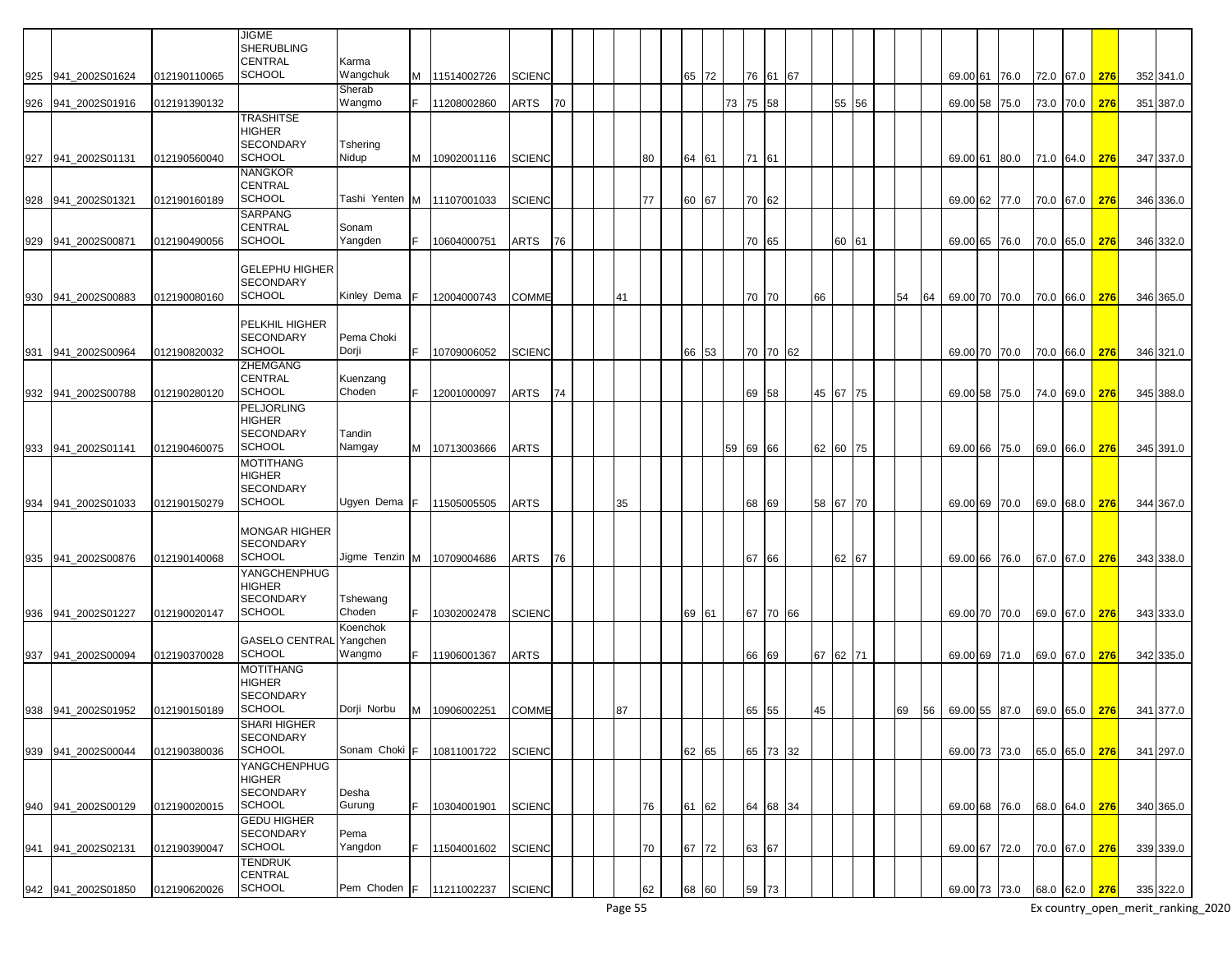|     |                    |              | <b>JIGME</b><br><b>SHERUBLING</b> |                            |   |               |               |    |    |    |       |          |          |    |          |    |    |               |      |           |               |     |           |
|-----|--------------------|--------------|-----------------------------------|----------------------------|---|---------------|---------------|----|----|----|-------|----------|----------|----|----------|----|----|---------------|------|-----------|---------------|-----|-----------|
|     |                    |              | <b>CENTRAL</b>                    | Karma                      |   |               |               |    |    |    |       |          |          |    |          |    |    |               |      |           |               |     |           |
| 925 | 941 2002S01624     | 012190110065 | <b>SCHOOL</b>                     | Wangchuk                   |   | M 11514002726 | <b>SCIENC</b> |    |    |    | 65 72 |          | 76 61 67 |    |          |    |    | 69.00 61 76.0 |      |           | 72.0 67.0     | 276 | 352 341.0 |
|     |                    |              |                                   | Sherab                     |   |               |               |    |    |    |       |          |          |    |          |    |    |               |      |           |               |     |           |
| 926 | 941 2002S01916     | 012191390132 |                                   | Wangmo                     |   | 11208002860   | ARTS          | 70 |    |    |       | 73 75 58 |          |    | 55 56    |    |    | 69.00 58      | 75.0 |           | 73.0 70.0     | 276 | 351 387.0 |
|     |                    |              | <b>TRASHITSE</b>                  |                            |   |               |               |    |    |    |       |          |          |    |          |    |    |               |      |           |               |     |           |
|     |                    |              | <b>HIGHER</b>                     |                            |   |               |               |    |    |    |       |          |          |    |          |    |    |               |      |           |               |     |           |
|     |                    |              | <b>SECONDARY</b>                  | Tshering                   |   |               |               |    |    |    |       |          |          |    |          |    |    |               |      |           |               |     |           |
| 927 | 941 2002S01131     | 012190560040 | <b>SCHOOL</b>                     | Nidup                      | м | 10902001116   | <b>SCIENC</b> |    |    | 80 | 64 61 | 71       | 61       |    |          |    |    | 69.00 61      | 80.0 |           | 71.0 64.0     | 276 | 347 337.0 |
|     |                    |              | <b>NANGKOR</b>                    |                            |   |               |               |    |    |    |       |          |          |    |          |    |    |               |      |           |               |     |           |
|     |                    |              | <b>CENTRAL</b>                    |                            |   |               |               |    |    |    |       |          |          |    |          |    |    |               |      |           |               |     |           |
| 928 | 941_2002S01321     | 012190160189 | <b>SCHOOL</b>                     | Tashi Yenten M 11107001033 |   |               | <b>SCIENC</b> |    |    | 77 | 60 67 |          | 70 62    |    |          |    |    | 69.00 62 77.0 |      |           | 70.0 67.0     | 276 | 346 336.0 |
|     |                    |              | <b>SARPANG</b>                    |                            |   |               |               |    |    |    |       |          |          |    |          |    |    |               |      |           |               |     |           |
|     |                    |              | <b>CENTRAL</b>                    | Sonam                      |   |               |               |    |    |    |       |          |          |    |          |    |    |               |      |           |               |     |           |
| 929 | 941_2002S00871     | 012190490056 | <b>SCHOOL</b>                     | Yangden                    |   | 10604000751   | ARTS          | 76 |    |    |       |          | 70 65    |    | 60 61    |    |    | 69.00 65 76.0 |      |           | 70.0 65.0     | 276 | 346 332.0 |
|     |                    |              |                                   |                            |   |               |               |    |    |    |       |          |          |    |          |    |    |               |      |           |               |     |           |
|     |                    |              | <b>GELEPHU HIGHER</b>             |                            |   |               |               |    |    |    |       |          |          |    |          |    |    |               |      |           |               |     |           |
|     |                    |              | <b>SECONDARY</b>                  |                            |   |               |               |    |    |    |       |          |          |    |          |    |    |               |      |           |               |     |           |
| 930 | 941 2002S00883     | 012190080160 | <b>SCHOOL</b>                     | Kinley Dema                |   | 12004000743   | COMME         |    | 41 |    |       |          | 70 70    | 66 |          | 54 | 64 | 69.00 70      | 70.0 | 70.0      | 66.0          | 276 | 346 365.0 |
|     |                    |              |                                   |                            |   |               |               |    |    |    |       |          |          |    |          |    |    |               |      |           |               |     |           |
|     |                    |              | <b>PELKHIL HIGHER</b>             |                            |   |               |               |    |    |    |       |          |          |    |          |    |    |               |      |           |               |     |           |
|     |                    |              | <b>SECONDARY</b><br><b>SCHOOL</b> | Pema Choki<br>Dorji        |   |               |               |    |    |    |       |          |          |    |          |    |    |               |      |           |               |     |           |
| 931 | 941 2002S00964     | 012190820032 | <b>ZHEMGANG</b>                   |                            |   | 10709006052   | <b>SCIENC</b> |    |    |    | 66 53 |          | 70 70 62 |    |          |    |    | 69.00 70 70.0 |      |           | 70.0 66.0     | 276 | 346 321.0 |
|     |                    |              | <b>CENTRAL</b>                    | Kuenzang                   |   |               |               |    |    |    |       |          |          |    |          |    |    |               |      |           |               |     |           |
|     | 932 941 2002S00788 | 012190280120 | <b>SCHOOL</b>                     | Choden                     |   | 12001000097   | ARTS          | 74 |    |    |       |          | 69 58    |    | 45 67 75 |    |    | 69.00 58 75.0 |      |           | 74.0 69.0     | 276 | 345 388.0 |
|     |                    |              | PELJORLING                        |                            |   |               |               |    |    |    |       |          |          |    |          |    |    |               |      |           |               |     |           |
|     |                    |              | <b>HIGHER</b>                     |                            |   |               |               |    |    |    |       |          |          |    |          |    |    |               |      |           |               |     |           |
|     |                    |              | <b>SECONDARY</b>                  | Tandin                     |   |               |               |    |    |    |       |          |          |    |          |    |    |               |      |           |               |     |           |
|     | 933 941 2002S01141 | 012190460075 | <b>SCHOOL</b>                     | Namgay                     | M | 10713003666   | ARTS          |    |    |    |       | 59 69 66 |          |    | 62 60 75 |    |    | 69.00 66 75.0 |      |           | 69.0 66.0     | 276 | 345 391.0 |
|     |                    |              | <b>MOTITHANG</b>                  |                            |   |               |               |    |    |    |       |          |          |    |          |    |    |               |      |           |               |     |           |
|     |                    |              | <b>HIGHER</b>                     |                            |   |               |               |    |    |    |       |          |          |    |          |    |    |               |      |           |               |     |           |
|     |                    |              | <b>SECONDARY</b>                  |                            |   |               |               |    |    |    |       |          |          |    |          |    |    |               |      |           |               |     |           |
| 934 | 941 2002S01033     | 012190150279 | <b>SCHOOL</b>                     | Ugyen Dema                 |   | 11505005505   | ARTS          |    | 35 |    |       |          | 68 69    |    | 58 67 70 |    |    | 69.00 69 70.0 |      |           | 69.0 68.0     | 276 | 344 367.0 |
|     |                    |              |                                   |                            |   |               |               |    |    |    |       |          |          |    |          |    |    |               |      |           |               |     |           |
|     |                    |              | <b>MONGAR HIGHER</b>              |                            |   |               |               |    |    |    |       |          |          |    |          |    |    |               |      |           |               |     |           |
|     |                    |              | <b>SECONDARY</b>                  |                            |   |               |               |    |    |    |       |          |          |    |          |    |    |               |      |           |               |     |           |
| 935 | 941 2002S00876     | 012190140068 | <b>SCHOOL</b>                     | Jigme Tenzin M             |   | 10709004686   | ARTS          | 76 |    |    |       | 67       | 66       |    | 62 67    |    |    | 69.00 66      | 76.0 | 67.0 67.0 |               | 276 | 343 338.0 |
|     |                    |              | YANGCHENPHUG                      |                            |   |               |               |    |    |    |       |          |          |    |          |    |    |               |      |           |               |     |           |
|     |                    |              | <b>HIGHER</b>                     |                            |   |               |               |    |    |    |       |          |          |    |          |    |    |               |      |           |               |     |           |
|     |                    |              | <b>SECONDARY</b>                  | Tshewang                   |   |               |               |    |    |    |       |          |          |    |          |    |    |               |      |           |               |     |           |
| 936 | 941 2002S01227     | 012190020147 | <b>SCHOOL</b>                     | Choden                     |   | 10302002478   | <b>SCIENC</b> |    |    |    | 69 61 |          | 67 70 66 |    |          |    |    | 69.00 70 70.0 |      |           | 69.0 67.0     | 276 | 343 333.0 |
|     |                    |              | GASELO CENTRAL Yangchen           | Koenchok                   |   |               |               |    |    |    |       |          |          |    |          |    |    |               |      |           |               |     |           |
| 937 | 941 2002S00094     | 012190370028 | <b>SCHOOL</b>                     | Wangmo                     |   | 11906001367   | ARTS          |    |    |    |       |          | 66 69    |    | 67 62 71 |    |    | 69.00 69 71.0 |      |           | 69.0 67.0 276 |     | 342 335.0 |
|     |                    |              | <b>MOTITHANG</b>                  |                            |   |               |               |    |    |    |       |          |          |    |          |    |    |               |      |           |               |     |           |
|     |                    |              | <b>HIGHER</b>                     |                            |   |               |               |    |    |    |       |          |          |    |          |    |    |               |      |           |               |     |           |
|     |                    |              | <b>SECONDARY</b>                  |                            |   |               |               |    |    |    |       |          |          |    |          |    |    |               |      |           |               |     |           |
|     | 938 941_2002S01952 | 012190150189 | <b>SCHOOL</b>                     | Dorji Norbu                | м | 10906002251   | <b>COMME</b>  |    | 87 |    |       |          | 65 55    | 45 |          | 69 | 56 | 69.00 55 87.0 |      |           | 69.0 65.0 276 |     | 341 377.0 |
|     |                    |              | <b>SHARI HIGHER</b>               |                            |   |               |               |    |    |    |       |          |          |    |          |    |    |               |      |           |               |     |           |
|     |                    |              | <b>SECONDARY</b>                  |                            |   |               |               |    |    |    |       |          |          |    |          |    |    |               |      |           |               |     |           |
|     | 939 941 2002S00044 | 012190380036 | <b>SCHOOL</b>                     | Sonam Choki F              |   | 10811001722   | <b>SCIENC</b> |    |    |    | 62 65 |          | 65 73 32 |    |          |    |    | 69.00 73 73.0 |      |           | 65.0 65.0 276 |     | 341 297.0 |
|     |                    |              | YANGCHENPHUG                      |                            |   |               |               |    |    |    |       |          |          |    |          |    |    |               |      |           |               |     |           |
|     |                    |              | <b>HIGHER</b>                     |                            |   |               |               |    |    |    |       |          |          |    |          |    |    |               |      |           |               |     |           |
|     |                    |              | <b>SECONDARY</b>                  | Desha                      |   |               |               |    |    |    |       |          |          |    |          |    |    |               |      |           |               |     |           |
|     | 940 941_2002S00129 | 012190020015 | <b>SCHOOL</b>                     | Gurung                     |   | 10304001901   | <b>SCIENC</b> |    |    | 76 | 61 62 |          | 64 68 34 |    |          |    |    | 69.00 68 76.0 |      |           | 68.0 64.0     | 276 | 340 365.0 |
|     |                    |              | <b>GEDU HIGHER</b>                |                            |   |               |               |    |    |    |       |          |          |    |          |    |    |               |      |           |               |     |           |
|     |                    |              | <b>SECONDARY</b>                  | Pema                       |   |               |               |    |    |    |       |          |          |    |          |    |    |               |      |           |               |     |           |
|     | 941 941_2002S02131 | 012190390047 | <b>SCHOOL</b>                     | Yangdon                    |   | 11504001602   | <b>SCIENC</b> |    |    | 70 | 67 72 | 63 67    |          |    |          |    |    | 69.00 67 72.0 |      |           | 70.0 67.0     | 276 | 339 339.0 |
|     |                    |              | <b>TENDRUK</b><br><b>CENTRAL</b>  |                            |   |               |               |    |    |    |       |          |          |    |          |    |    |               |      |           |               |     |           |
|     | 942 941 2002S01850 | 012190620026 | <b>SCHOOL</b>                     | Pem Choden F               |   | 11211002237   | <b>SCIENC</b> |    |    | 62 | 68 60 |          |          |    |          |    |    | 69.00 73 73.0 |      |           | 68.0 62.0 276 |     |           |
|     |                    |              |                                   |                            |   |               |               |    |    |    |       |          | 59 73    |    |          |    |    |               |      |           |               |     | 335 322.0 |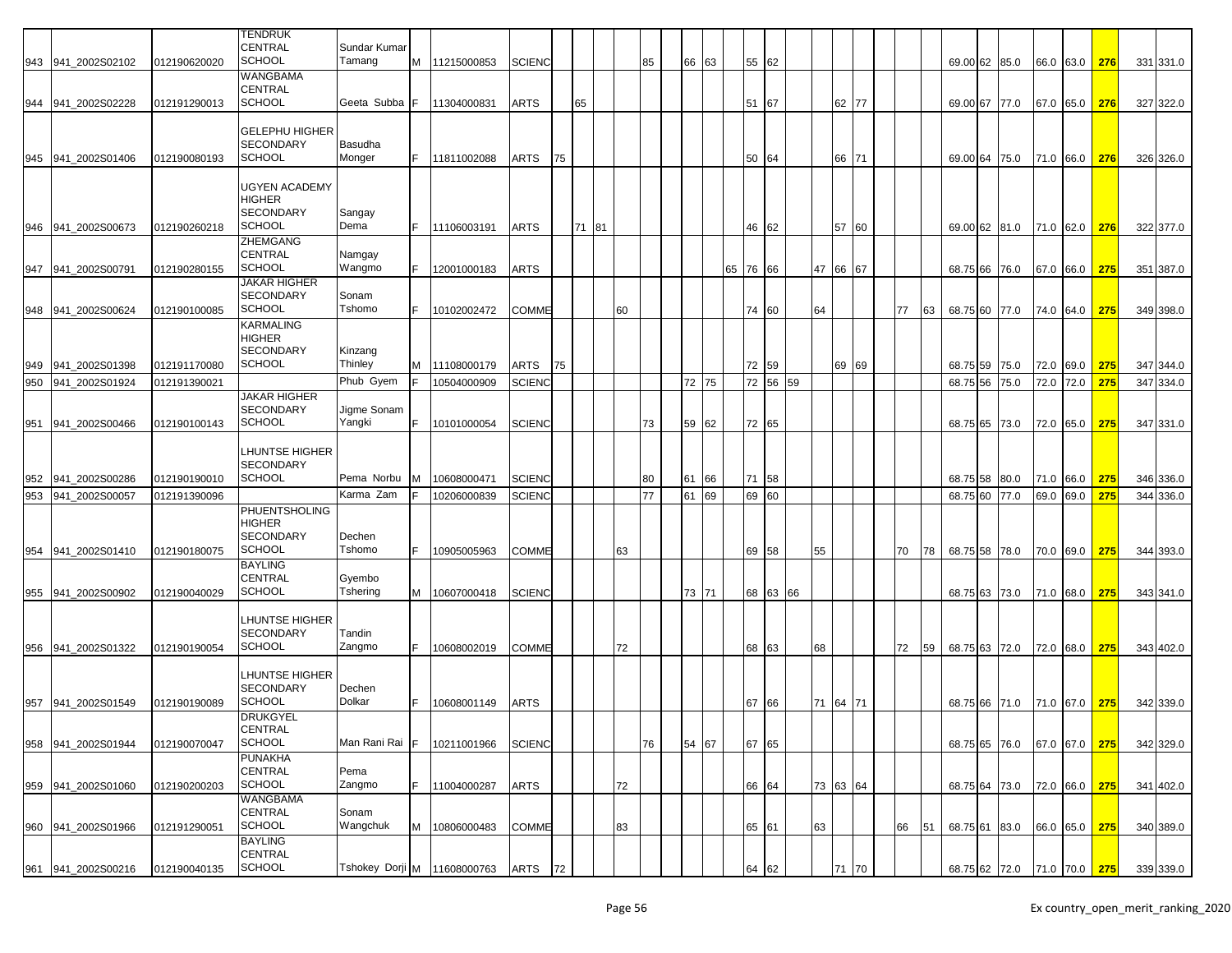|     |                    |              | <b>TENDRUK</b>                          |                       |    |               |               |    |       |    |    |    |       |    |       |    |    |          |       |    |    |    |                         |      |           |     |           |
|-----|--------------------|--------------|-----------------------------------------|-----------------------|----|---------------|---------------|----|-------|----|----|----|-------|----|-------|----|----|----------|-------|----|----|----|-------------------------|------|-----------|-----|-----------|
|     |                    |              | <b>CENTRAL</b>                          | Sundar Kumar          |    |               |               |    |       |    |    |    |       |    |       |    |    |          |       |    |    |    |                         |      |           |     |           |
|     | 943 941_2002S02102 | 012190620020 | <b>SCHOOL</b>                           | Tamang                |    | M 11215000853 | <b>SCIENC</b> |    |       |    | 85 |    | 66 63 |    | 55 62 |    |    |          |       |    |    |    | 69.00 62 85.0           |      | 66.0 63.0 | 276 | 331 331.0 |
|     |                    |              | <b>WANGBAMA</b>                         |                       |    |               |               |    |       |    |    |    |       |    |       |    |    |          |       |    |    |    |                         |      |           |     |           |
|     |                    |              | <b>CENTRAL</b>                          |                       |    |               |               |    |       |    |    |    |       |    |       |    |    |          |       |    |    |    |                         |      |           |     |           |
| 944 | 941 2002S02228     | 012191290013 | <b>SCHOOL</b>                           | Geeta Subba           |    | 11304000831   | <b>ARTS</b>   |    | 65    |    |    |    |       |    | 51    | 67 |    |          | 62 77 |    |    |    | 69.00 67 77.0           |      | 67.0 65.0 | 276 | 327 322.0 |
|     |                    |              | <b>GELEPHU HIGHER</b>                   |                       |    |               |               |    |       |    |    |    |       |    |       |    |    |          |       |    |    |    |                         |      |           |     |           |
|     |                    |              | <b>SECONDARY</b>                        | Basudha               |    |               |               |    |       |    |    |    |       |    |       |    |    |          |       |    |    |    |                         |      |           |     |           |
|     | 945 941 2002S01406 | 012190080193 | <b>SCHOOL</b>                           | Monger                |    | 11811002088   | ARTS          | 75 |       |    |    |    |       |    | 50 64 |    |    |          | 66 71 |    |    |    | 69.00 64 75.0           |      | 71.0 66.0 | 276 | 326 326.0 |
|     |                    |              |                                         |                       |    |               |               |    |       |    |    |    |       |    |       |    |    |          |       |    |    |    |                         |      |           |     |           |
|     |                    |              | <b>UGYEN ACADEMY</b>                    |                       |    |               |               |    |       |    |    |    |       |    |       |    |    |          |       |    |    |    |                         |      |           |     |           |
|     |                    |              | <b>HIGHER</b>                           |                       |    |               |               |    |       |    |    |    |       |    |       |    |    |          |       |    |    |    |                         |      |           |     |           |
|     |                    |              | <b>SECONDARY</b>                        | Sangay                |    |               |               |    |       |    |    |    |       |    |       |    |    |          |       |    |    |    |                         |      |           |     |           |
|     | 946 941 2002S00673 | 012190260218 | <b>SCHOOL</b>                           | Dema                  |    | 11106003191   | ARTS          |    | 71 81 |    |    |    |       |    | 46 62 |    |    |          | 57 60 |    |    |    | 69.00 62 81.0           |      | 71.0 62.0 | 276 | 322 377.0 |
|     |                    |              | <b>ZHEMGANG</b>                         |                       |    |               |               |    |       |    |    |    |       |    |       |    |    |          |       |    |    |    |                         |      |           |     |           |
|     |                    |              | <b>CENTRAL</b>                          | Namgay                |    |               |               |    |       |    |    |    |       |    |       |    |    |          |       |    |    |    |                         |      |           |     |           |
| 947 | 941_2002S00791     | 012190280155 | <b>SCHOOL</b>                           | Wangmo                |    | 12001000183   | ARTS          |    |       |    |    |    |       | 65 | 76    | 66 |    | 47       | 66    | 67 |    |    | 68.75 66 76.0           |      | 67.0 66.0 | 275 | 351 387.0 |
|     |                    |              | <b>JAKAR HIGHER</b>                     |                       |    |               |               |    |       |    |    |    |       |    |       |    |    |          |       |    |    |    |                         |      |           |     |           |
|     |                    |              | <b>SECONDARY</b>                        | Sonam                 |    |               |               |    |       |    |    |    |       |    |       |    |    |          |       |    |    |    |                         |      |           |     |           |
|     | 948 941 2002S00624 | 012190100085 | <b>SCHOOL</b>                           | Tshomo                |    | 10102002472   | <b>COMME</b>  |    |       | 60 |    |    |       |    | 74 60 |    |    | 64       |       |    | 77 | 63 | 68.75 60 77.0           |      | 74.0 64.0 | 275 | 349 398.0 |
|     |                    |              | <b>KARMALING</b>                        |                       |    |               |               |    |       |    |    |    |       |    |       |    |    |          |       |    |    |    |                         |      |           |     |           |
|     |                    |              | <b>HIGHER</b>                           |                       |    |               |               |    |       |    |    |    |       |    |       |    |    |          |       |    |    |    |                         |      |           |     |           |
|     |                    |              | <b>SECONDARY</b><br><b>SCHOOL</b>       | Kinzang               |    |               |               |    |       |    |    |    |       |    |       |    |    |          |       |    |    |    |                         |      |           |     |           |
| 949 | 941 2002S01398     | 012191170080 |                                         | Thinley               |    | M 11108000179 | ARTS          | 75 |       |    |    |    |       |    | 72 59 |    |    |          | 69 69 |    |    |    | 68.75 59 75.0           |      | 72.0 69.0 | 275 | 347 344.0 |
| 950 | 941 2002S01924     | 012191390021 |                                         | Phub Gyem             |    | 10504000909   | SCIENC        |    |       |    |    | 72 | 75    |    | 72 56 |    | 59 |          |       |    |    |    | 68.75 56                | 75.0 | 72.0 72.0 | 275 | 347 334.0 |
|     |                    |              | <b>JAKAR HIGHER</b><br><b>SECONDARY</b> |                       |    |               |               |    |       |    |    |    |       |    |       |    |    |          |       |    |    |    |                         |      |           |     |           |
|     |                    |              | <b>SCHOOL</b>                           | Jigme Sonam<br>Yangki |    |               |               |    |       |    |    |    |       |    |       |    |    |          |       |    |    |    |                         |      |           |     |           |
| 951 | 941_2002S00466     | 012190100143 |                                         |                       |    | 10101000054   | <b>SCIENC</b> |    |       |    | 73 |    | 59 62 |    | 72 65 |    |    |          |       |    |    |    | 68.75 65 73.0           |      | 72.0 65.0 | 275 | 347 331.0 |
|     |                    |              | <b>LHUNTSE HIGHER</b>                   |                       |    |               |               |    |       |    |    |    |       |    |       |    |    |          |       |    |    |    |                         |      |           |     |           |
|     |                    |              | <b>SECONDARY</b>                        |                       |    |               |               |    |       |    |    |    |       |    |       |    |    |          |       |    |    |    |                         |      |           |     |           |
| 952 | 941 2002S00286     | 012190190010 | <b>SCHOOL</b>                           | Pema Norbu            |    | 10608000471   | <b>SCIENC</b> |    |       |    | 80 | 61 | 66    |    | 71 58 |    |    |          |       |    |    |    | 68.75 58 80.0           |      | 71.0 66.0 | 275 | 346 336.0 |
|     |                    |              |                                         | Karma Zam             |    |               |               |    |       |    | 77 |    | 69    |    |       |    |    |          |       |    |    |    |                         |      | 69.0 69.0 | 275 |           |
| 953 | 941 2002S00057     | 012191390096 | <b>PHUENTSHOLING</b>                    |                       |    | 10206000839   | <b>SCIENC</b> |    |       |    |    | 61 |       |    | 69 60 |    |    |          |       |    |    |    | 68.75 60                | 77.0 |           |     | 344 336.0 |
|     |                    |              | <b>HIGHER</b>                           |                       |    |               |               |    |       |    |    |    |       |    |       |    |    |          |       |    |    |    |                         |      |           |     |           |
|     |                    |              | <b>SECONDARY</b>                        | Dechen                |    |               |               |    |       |    |    |    |       |    |       |    |    |          |       |    |    |    |                         |      |           |     |           |
| 954 | 941 2002S01410     | 012190180075 | SCHOOL                                  | Tshomo                |    | 10905005963   | <b>COMME</b>  |    |       | 63 |    |    |       |    | 69 58 |    |    | 55       |       |    | 70 | 78 | 68.75 58 78.0           |      | 70.0 69.0 | 275 | 344 393.0 |
|     |                    |              | <b>BAYLING</b>                          |                       |    |               |               |    |       |    |    |    |       |    |       |    |    |          |       |    |    |    |                         |      |           |     |           |
|     |                    |              | <b>CENTRAL</b>                          | Gyembo                |    |               |               |    |       |    |    |    |       |    |       |    |    |          |       |    |    |    |                         |      |           |     |           |
|     | 955 941_2002S00902 | 012190040029 | <b>SCHOOL</b>                           | Tshering              | м  | 10607000418   | <b>SCIENC</b> |    |       |    |    |    | 73 71 |    | 68 63 |    | 66 |          |       |    |    |    | 68.75 63 73.0           |      | 71.0 68.0 | 275 | 343 341.0 |
|     |                    |              |                                         |                       |    |               |               |    |       |    |    |    |       |    |       |    |    |          |       |    |    |    |                         |      |           |     |           |
|     |                    |              | <b>LHUNTSE HIGHER</b>                   |                       |    |               |               |    |       |    |    |    |       |    |       |    |    |          |       |    |    |    |                         |      |           |     |           |
|     |                    |              | <b>SECONDARY</b>                        | Tandin                |    |               |               |    |       |    |    |    |       |    |       |    |    |          |       |    |    |    |                         |      |           |     |           |
|     | 956 941_2002S01322 | 012190190054 | <b>SCHOOL</b>                           | Zangmo                |    | 10608002019   | COMME         |    |       | 72 |    |    |       |    | 68 63 |    |    | 68       |       |    | 72 | 59 | 68.75 63 72.0           |      | 72.0 68.0 | 275 | 343 402.0 |
|     |                    |              |                                         |                       |    |               |               |    |       |    |    |    |       |    |       |    |    |          |       |    |    |    |                         |      |           |     |           |
|     |                    |              | <b>LHUNTSE HIGHER</b>                   |                       |    |               |               |    |       |    |    |    |       |    |       |    |    |          |       |    |    |    |                         |      |           |     |           |
|     |                    |              | <b>SECONDARY</b>                        | Dechen                |    |               |               |    |       |    |    |    |       |    |       |    |    |          |       |    |    |    |                         |      |           |     |           |
|     | 957 941_2002S01549 | 012190190089 | <b>SCHOOL</b>                           | Dolkar                |    | 10608001149   | ARTS          |    |       |    |    |    |       |    | 67 66 |    |    | 71 64 71 |       |    |    |    | 68.75 66 71.0           |      | 71.0 67.0 | 275 | 342 339.0 |
|     |                    |              | <b>DRUKGYEL</b>                         |                       |    |               |               |    |       |    |    |    |       |    |       |    |    |          |       |    |    |    |                         |      |           |     |           |
|     | 941 2002S01944     | 012190070047 | <b>CENTRAL</b><br><b>SCHOOL</b>         | Man Rani Rai          | F. | 10211001966   | <b>SCIENC</b> |    |       |    | 76 |    | 54 67 |    | 67 65 |    |    |          |       |    |    |    | 68.75 65 76.0           |      | 67.0 67.0 | 275 | 342 329.0 |
| 958 |                    |              | <b>PUNAKHA</b>                          |                       |    |               |               |    |       |    |    |    |       |    |       |    |    |          |       |    |    |    |                         |      |           |     |           |
|     |                    |              | <b>CENTRAL</b>                          | Pema                  |    |               |               |    |       |    |    |    |       |    |       |    |    |          |       |    |    |    |                         |      |           |     |           |
|     | 959 941 2002S01060 | 012190200203 | <b>SCHOOL</b>                           | Zangmo                | F. | 11004000287   | ARTS          |    |       | 72 |    |    |       |    | 66 64 |    |    | 73 63 64 |       |    |    |    | 68.75 64 73.0           |      | 72.0 66.0 | 275 | 341 402.0 |
|     |                    |              | WANGBAMA                                |                       |    |               |               |    |       |    |    |    |       |    |       |    |    |          |       |    |    |    |                         |      |           |     |           |
|     |                    |              | <b>CENTRAL</b>                          | Sonam                 |    |               |               |    |       |    |    |    |       |    |       |    |    |          |       |    |    |    |                         |      |           |     |           |
| 960 | 941_2002S01966     | 012191290051 | <b>SCHOOL</b>                           | Wangchuk              | М  | 10806000483   | COMME         |    |       | 83 |    |    |       |    | 65 61 |    |    | 63       |       |    | 66 | 51 | 68.75 61 83.0           |      | 66.0 65.0 | 275 | 340 389.0 |
|     |                    |              | <b>BAYLING</b>                          |                       |    |               |               |    |       |    |    |    |       |    |       |    |    |          |       |    |    |    |                         |      |           |     |           |
|     |                    |              | <b>CENTRAL</b>                          |                       |    |               |               |    |       |    |    |    |       |    |       |    |    |          |       |    |    |    |                         |      |           |     |           |
| 961 | 941 2002S00216     | 012190040135 | <b>SCHOOL</b>                           | Tshokey Dorji M       |    | 11608000763   | ARTS          | 72 |       |    |    |    |       |    | 64 62 |    |    |          | 71    | 70 |    |    | 68.75 62 72.0 71.0 70.0 |      |           | 275 | 339 339.0 |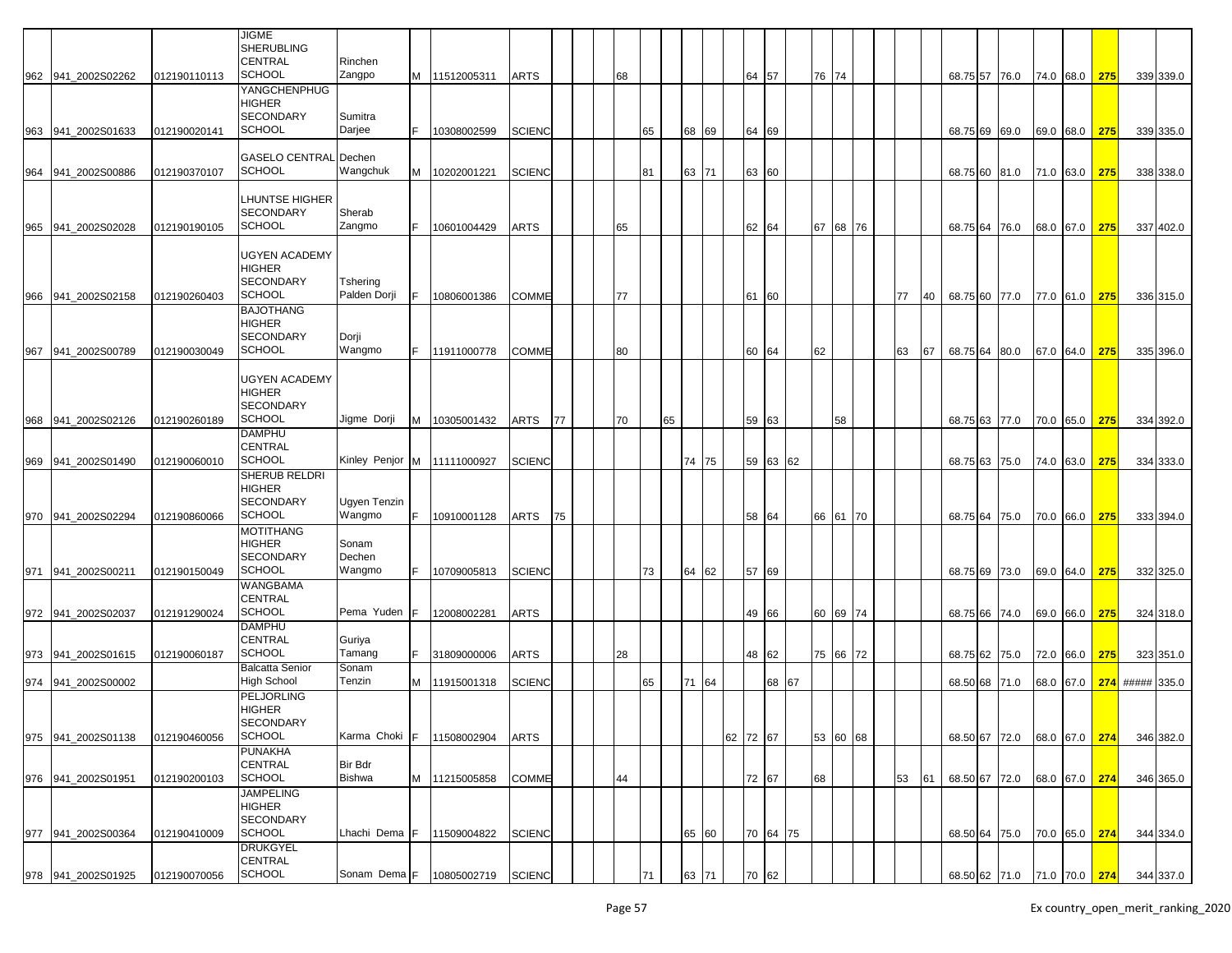|     |                    |              | <b>JIGME</b><br><b>SHERUBLING</b><br><b>CENTRAL</b><br><b>SCHOOL</b>       | Rinchen<br>Zangpo           |    |                    |               |    |    |    |    |       |          |          |       |       |          |    |    |               |                             |               |     |                 |           |
|-----|--------------------|--------------|----------------------------------------------------------------------------|-----------------------------|----|--------------------|---------------|----|----|----|----|-------|----------|----------|-------|-------|----------|----|----|---------------|-----------------------------|---------------|-----|-----------------|-----------|
|     | 962 941 2002S02262 | 012190110113 | <b>YANGCHENPHUG</b>                                                        |                             |    | M 11512005311      | <b>ARTS</b>   |    | 68 |    |    |       |          | 64 57    |       | 76 74 |          |    |    |               | 68.75 57 76.0 74.0 68.0 275 |               |     |                 | 339 339.0 |
|     | 963 941 2002S01633 | 012190020141 | <b>HIGHER</b><br><b>SECONDARY</b><br><b>SCHOOL</b>                         | Sumitra<br>Darjee           |    | 10308002599        | <b>SCIENC</b> |    |    | 65 | 68 | 69    |          | 64 69    |       |       |          |    |    | 68.75 69 69.0 |                             | 69.0 68.0     | 275 |                 | 339 335.0 |
|     |                    |              | <b>GASELO CENTRAL Dechen</b>                                               |                             |    |                    |               |    |    |    |    |       |          |          |       |       |          |    |    |               |                             |               |     |                 |           |
|     | 964 941 2002S00886 | 012190370107 | <b>SCHOOL</b>                                                              | Wangchuk                    | M  | 10202001221        | <b>SCIENC</b> |    |    | 81 |    | 63 71 |          | 63 60    |       |       |          |    |    | 68.75 60 81.0 |                             | 71.0 63.0     | 275 |                 | 338 338.0 |
|     |                    |              |                                                                            |                             |    |                    |               |    |    |    |    |       |          |          |       |       |          |    |    |               |                             |               |     |                 |           |
|     |                    |              | LHUNTSE HIGHER                                                             |                             |    |                    |               |    |    |    |    |       |          |          |       |       |          |    |    |               |                             |               |     |                 |           |
|     |                    |              | <b>SECONDARY</b><br><b>SCHOOL</b>                                          | Sherab                      |    |                    |               |    |    |    |    |       |          |          |       |       |          |    |    |               |                             |               |     |                 |           |
|     | 965 941 2002S02028 | 012190190105 |                                                                            | Zangmo                      | F. | 10601004429        | <b>ARTS</b>   |    | 65 |    |    |       |          | 62 64    |       | 67    | 68 76    |    |    | 68.75 64 76.0 |                             | 68.0 67.0     | 275 |                 | 337 402.0 |
| 966 | 941 2002S02158     | 012190260403 | <b>UGYEN ACADEMY</b><br><b>HIGHER</b><br><b>SECONDARY</b><br><b>SCHOOL</b> | Tshering<br>Palden Dorji    |    | 10806001386        | <b>COMME</b>  |    | 77 |    |    |       | 61       | 60       |       |       |          | 77 | 40 | 68.75 60 77.0 |                             | 77.0 61.0     | 275 |                 | 336 315.0 |
|     |                    |              | <b>BAJOTHANG</b><br><b>HIGHER</b>                                          |                             |    |                    |               |    |    |    |    |       |          |          |       |       |          |    |    |               |                             |               |     |                 |           |
|     |                    |              | <b>SECONDARY</b>                                                           | Dorji                       |    |                    |               |    |    |    |    |       |          |          |       |       |          |    |    |               |                             |               |     |                 |           |
| 967 | 941_2002S00789     | 012190030049 | <b>SCHOOL</b>                                                              | Wangmo                      | F. | 11911000778        | <b>COMME</b>  |    | 80 |    |    |       |          | 60 64    |       | 62    |          | 63 | 67 | 68.75 64 80.0 |                             | 67.0 64.0     | 275 |                 | 335 396.0 |
|     |                    |              | <b>UGYEN ACADEMY</b><br><b>HIGHER</b><br><b>SECONDARY</b>                  |                             |    |                    |               |    |    |    |    |       |          |          |       |       |          |    |    |               |                             |               |     |                 |           |
| 968 | 941 2002S02126     | 012190260189 | SCHOOL                                                                     | Jigme Dorji                 | M  | 10305001432        | <b>ARTS</b>   | 77 | 70 |    | 65 |       |          | 59 63    |       |       | 58       |    |    | 68.75 63 77.0 |                             | 70.0 65.0     | 275 |                 | 334 392.0 |
|     | 969 941 2002S01490 | 012190060010 | <b>DAMPHU</b><br><b>CENTRAL</b><br><b>SCHOOL</b>                           | Kinley Penjor M 11111000927 |    |                    | <b>SCIENC</b> |    |    |    |    | 74 75 |          | 59 63 62 |       |       |          |    |    | 68.75 63 75.0 |                             | 74.0 63.0     | 275 |                 | 334 333.0 |
|     |                    |              | SHERUB RELDRI                                                              |                             |    |                    |               |    |    |    |    |       |          |          |       |       |          |    |    |               |                             |               |     |                 |           |
|     |                    |              | <b>HIGHER</b>                                                              |                             |    |                    |               |    |    |    |    |       |          |          |       |       |          |    |    |               |                             |               |     |                 |           |
|     |                    |              | <b>SECONDARY</b>                                                           | Ugyen Tenzin                |    |                    |               |    |    |    |    |       |          |          |       |       |          |    |    |               |                             |               |     |                 |           |
|     | 970 941 2002S02294 | 012190860066 | <b>SCHOOL</b><br><b>MOTITHANG</b>                                          | Wangmo                      | F. | 10910001128        | <b>ARTS</b>   | 75 |    |    |    |       |          | 58 64    |       |       | 66 61 70 |    |    | 68.75 64 75.0 |                             | 70.0 66.0     | 275 |                 | 333 394.0 |
|     |                    |              | <b>HIGHER</b>                                                              | Sonam                       |    |                    |               |    |    |    |    |       |          |          |       |       |          |    |    |               |                             |               |     |                 |           |
|     |                    |              | <b>SECONDARY</b>                                                           | Dechen                      |    |                    |               |    |    |    |    |       |          |          |       |       |          |    |    |               |                             |               |     |                 |           |
| 971 | 941 2002S00211     | 012190150049 | <b>SCHOOL</b>                                                              | Wangmo                      |    | 10709005813        | <b>SCIENC</b> |    |    | 73 | 64 | 62    |          | 57 69    |       |       |          |    |    | 68.75 69 73.0 |                             | 69.0 64.0     | 275 |                 | 332 325.0 |
|     |                    |              | <b>WANGBAMA</b>                                                            |                             |    |                    |               |    |    |    |    |       |          |          |       |       |          |    |    |               |                             |               |     |                 |           |
|     | 972 941_2002S02037 | 012191290024 | <b>CENTRAL</b><br><b>SCHOOL</b>                                            | Pema Yuden                  |    | 12008002281        | <b>ARTS</b>   |    |    |    |    |       |          | 49 66    |       |       | 60 69 74 |    |    | 68.75 66 74.0 |                             | 69.0 66.0     | 275 |                 | 324 318.0 |
|     |                    |              | <b>DAMPHU</b>                                                              |                             |    |                    |               |    |    |    |    |       |          |          |       |       |          |    |    |               |                             |               |     |                 |           |
|     |                    |              | <b>CENTRAL</b>                                                             | Guriya                      |    |                    |               |    |    |    |    |       |          |          |       |       |          |    |    |               |                             |               |     |                 |           |
|     | 973 941_2002S01615 | 012190060187 | <b>SCHOOL</b>                                                              | Tamang                      |    | 31809000006        | <b>ARTS</b>   |    | 28 |    |    |       |          | 48 62    |       |       | 75 66 72 |    |    | 68.75 62 75.0 |                             | 72.0 66.0 275 |     |                 | 323 351.0 |
|     | 974 941_2002S00002 |              | <b>Balcatta Senior</b><br><b>High School</b>                               | Sonam<br>Tenzin             | M  | 11915001318        | <b>SCIENC</b> |    |    | 65 | 71 | 64    |          |          | 68 67 |       |          |    |    | 68.50 68 71.0 |                             | 68.0 67.0     |     | 274 ##### 335.0 |           |
|     |                    |              | <b>PELJORLING</b>                                                          |                             |    |                    |               |    |    |    |    |       |          |          |       |       |          |    |    |               |                             |               |     |                 |           |
|     |                    |              | <b>HIGHER</b><br>SECONDARY                                                 |                             |    |                    |               |    |    |    |    |       |          |          |       |       |          |    |    |               |                             |               |     |                 |           |
|     | 975 941_2002S01138 | 012190460056 | <b>SCHOOL</b>                                                              | Karma Choki                 |    | 11508002904        | <b>ARTS</b>   |    |    |    |    |       | 62 72 67 |          |       |       | 53 60 68 |    |    | 68.50 67 72.0 |                             | 68.0 67.0     | 274 |                 | 346 382.0 |
|     | 976 941_2002S01951 | 012190200103 | <b>PUNAKHA</b><br><b>CENTRAL</b><br><b>SCHOOL</b>                          | Bir Bdr<br><b>Bishwa</b>    |    | M 11215005858      | <b>COMME</b>  |    | 44 |    |    |       |          | 72 67    |       | 68    |          | 53 | 61 |               | 68.50 67 72.0 68.0 67.0 274 |               |     |                 | 346 365.0 |
|     | 977 941_2002S00364 | 012190410009 | <b>JAMPELING</b><br><b>HIGHER</b><br><b>SECONDARY</b><br><b>SCHOOL</b>     | Lhachi Dema F               |    | 11509004822        | <b>SCIENC</b> |    |    |    |    | 65 60 |          | 70 64 75 |       |       |          |    |    |               | 68.50 64 75.0 70.0 65.0 274 |               |     |                 | 344 334.0 |
|     |                    |              | <b>DRUKGYEL</b>                                                            |                             |    |                    |               |    |    |    |    |       |          |          |       |       |          |    |    |               |                             |               |     |                 |           |
|     |                    | 012190070056 | <b>CENTRAL</b><br><b>SCHOOL</b>                                            | Sonam Dema F                |    | 10805002719 SCIENC |               |    |    | 71 |    |       |          |          |       |       |          |    |    |               | 68.50 62 71.0 71.0 70.0 274 |               |     |                 | 344 337.0 |
|     | 978 941_2002S01925 |              |                                                                            |                             |    |                    |               |    |    |    |    | 63 71 |          | 70 62    |       |       |          |    |    |               |                             |               |     |                 |           |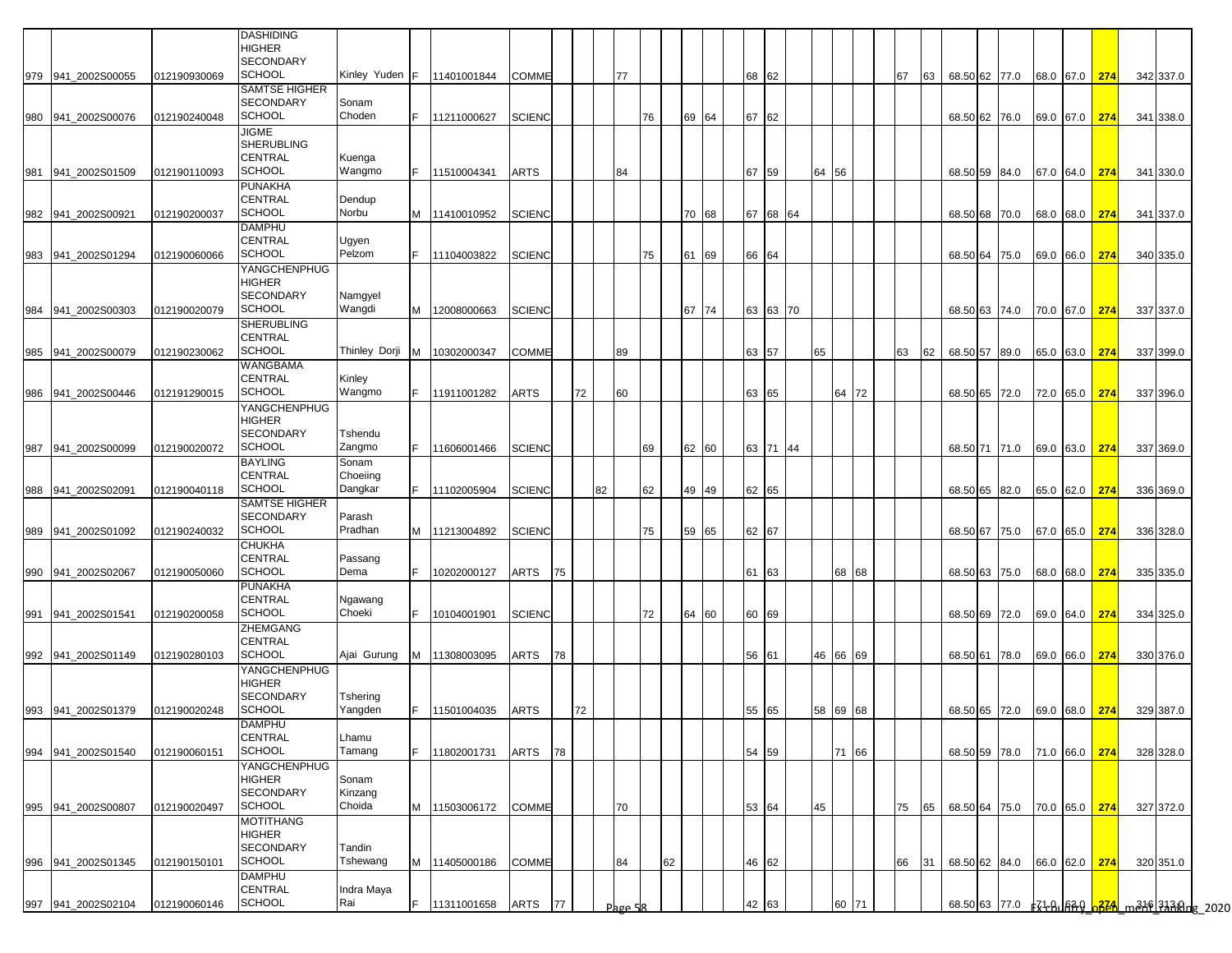|     |                    |              | <b>DASHIDING</b><br><b>HIGHER</b><br><b>SECONDARY</b>                     |                              |     |               |               |    |    |         |    |    |       |    |       |          |    |          |    |    |               |  |                      |                      |           |  |
|-----|--------------------|--------------|---------------------------------------------------------------------------|------------------------------|-----|---------------|---------------|----|----|---------|----|----|-------|----|-------|----------|----|----------|----|----|---------------|--|----------------------|----------------------|-----------|--|
| 979 | 941 2002S00055     | 012190930069 | <b>SCHOOL</b><br>SAMTSE HIGHER                                            | Kinley Yuden F               |     | 11401001844   | COMME         |    |    | 77      |    |    |       |    | 68 62 |          |    |          | 67 | 63 | 68.50 62 77.0 |  | 68.0 67.0 274        |                      | 342 337.0 |  |
| 980 | 941_2002S00076     | 012190240048 | <b>SECONDARY</b><br><b>SCHOOL</b>                                         | Sonam<br>Choden              | F.  | 11211000627   | <b>SCIENC</b> |    |    |         | 76 |    | 69 64 |    | 67 62 |          |    |          |    |    | 68.50 62 76.0 |  | 69.0 67.0 274        |                      | 341 338.0 |  |
| 981 | 941_2002S01509     | 012190110093 | JIGME<br>SHERUBLING<br><b>CENTRAL</b><br><b>SCHOOL</b>                    | Kuenga<br>Wangmo             | IF. | 11510004341   | ARTS          |    |    | 84      |    |    |       |    | 67 59 |          | 64 | 56       |    |    | 68.50 59 84.0 |  |                      | 67.0 64.0 <b>274</b> | 341 330.0 |  |
|     | 982 941_2002S00921 | 012190200037 | <b>PUNAKHA</b><br><b>CENTRAL</b><br><b>SCHOOL</b>                         | Dendup<br>Norbu              | M   | 11410010952   | <b>SCIENC</b> |    |    |         |    |    | 70    | 68 |       | 67 68 64 |    |          |    |    | 68.50 68 70.0 |  | 68.0 68.0 274        |                      | 341 337.0 |  |
|     |                    |              | DAMPHU<br><b>CENTRAL</b>                                                  | Ugyen                        |     |               |               |    |    |         |    |    |       |    |       |          |    |          |    |    |               |  |                      |                      |           |  |
|     | 983 941_2002S01294 | 012190060066 | <b>SCHOOL</b><br>YANGCHENPHUG<br><b>HIGHER</b><br><b>SECONDARY</b>        | Pelzom<br>Namgyel            | F.  | 11104003822   | <b>SCIENC</b> |    |    |         | 75 |    | 61 69 |    | 66 64 |          |    |          |    |    | 68.50 64 75.0 |  | 69.0 66.0 274        |                      | 340 335.0 |  |
| 984 | 941_2002S00303     | 012190020079 | <b>SCHOOL</b><br>SHERUBLING                                               | Wangdi                       | M   | 12008000663   | <b>SCIENC</b> |    |    |         |    |    | 67 74 |    |       | 63 63 70 |    |          |    |    | 68.50 63 74.0 |  | 70.0 67.0 274        |                      | 337 337.0 |  |
|     | 985 941_2002S00079 | 012190230062 | <b>CENTRAL</b><br><b>SCHOOL</b>                                           | Thinley Dorji M              |     | 10302000347   | COMME         |    |    | 89      |    |    |       |    | 63 57 |          | 65 |          | 63 | 62 | 68.50 57 89.0 |  | 65.0 63.0 <b>274</b> |                      | 337 399.0 |  |
| 986 | 941_2002S00446     | 012191290015 | WANGBAMA<br><b>CENTRAL</b><br><b>SCHOOL</b>                               | Kinley<br>Wangmo             | F.  | 11911001282   | ARTS          |    | 72 | 60      |    |    |       |    | 63 65 |          |    | 64 72    |    |    | 68.50 65 72.0 |  | 72.0 65.0 <b>274</b> |                      | 337 396.0 |  |
|     | 987 941_2002S00099 | 012190020072 | YANGCHENPHUG<br><b>HIGHER</b><br><b>SECONDARY</b><br><b>SCHOOL</b>        | Tshendu<br>Zangmo            | IF. | 11606001466   | SCIENC        |    |    |         | 69 |    | 62 60 |    |       | 63 71 44 |    |          |    |    | 68.50 71 71.0 |  |                      | 69.0 63.0 274        | 337 369.0 |  |
|     | 988 941_2002S02091 | 012190040118 | <b>BAYLING</b><br><b>CENTRAL</b><br><b>SCHOOL</b><br><b>SAMTSE HIGHER</b> | Sonam<br>Choeiing<br>Dangkar | IF. | 11102005904   | <b>SCIENC</b> |    | 82 |         | 62 |    | 49 49 |    | 62 65 |          |    |          |    |    | 68.50 65 82.0 |  | 65.0 62.0 274        |                      | 336 369.0 |  |
| 989 | 941_2002S01092     | 012190240032 | <b>SECONDARY</b><br><b>SCHOOL</b>                                         | Parash<br>Pradhan            | M   | 11213004892   | <b>SCIENC</b> |    |    |         | 75 |    | 59    | 65 | 62 67 |          |    |          |    |    | 68.50 67 75.0 |  | 67.0 65.0 274        |                      | 336 328.0 |  |
|     |                    |              | <b>CHUKHA</b><br>CENTRAL                                                  | Passang                      |     |               |               |    |    |         |    |    |       |    |       |          |    |          |    |    |               |  |                      |                      |           |  |
|     | 990 941_2002S02067 | 012190050060 | <b>SCHOOL</b><br>PUNAKHA                                                  | Dema                         | F.  | 10202000127   | ARTS          | 75 |    |         |    |    |       |    | 61 63 |          |    | 68 68    |    |    | 68.50 63 75.0 |  | 68.0 68.0 274        |                      | 335 335.0 |  |
|     | 991 941_2002S01541 | 012190200058 | CENTRAL<br><b>SCHOOL</b>                                                  | Ngawang<br>Choeki            | F.  | 10104001901   | <b>SCIENC</b> |    |    |         | 72 |    | 64 60 |    | 60 69 |          |    |          |    |    | 68.50 69 72.0 |  |                      | 69.0 64.0 274        | 334 325.0 |  |
|     | 992 941_2002S01149 | 012190280103 | ZHEMGANG<br><b>CENTRAL</b><br><b>SCHOOL</b>                               | Ajai Gurung M                |     | 11308003095   | ARTS          | 78 |    |         |    |    |       |    | 56 61 |          |    | 46 66 69 |    |    | 68.50 61 78.0 |  | 69.0 66.0 274        |                      | 330 376.0 |  |
|     | 993 941_2002S01379 | 012190020248 | YANGCHENPHUG<br><b>HIGHER</b><br>SECONDARY<br><b>SCHOOL</b>               | Tshering<br>Yangden          |     | 11501004035   | ARTS          |    | 72 |         |    |    |       |    | 55 65 |          |    | 58 69 68 |    |    | 68.50 65 72.0 |  |                      | 69.0 68.0 274        | 329 387.0 |  |
| 994 | 941 2002S01540     | 012190060151 | DAMPHU<br>CENTRAL<br><b>SCHOOL</b>                                        | Lhamu<br>Tamang              | F.  | 11802001731   | ARTS          | 78 |    |         |    |    |       |    | 54 59 |          |    | 71 66    |    |    | 68.50 59 78.0 |  | 71.0 66.0 274        |                      | 328 328.0 |  |
| 995 | 941_2002S00807     | 012190020497 | YANGCHENPHUG<br><b>HIGHER</b><br><b>SECONDARY</b><br><b>SCHOOL</b>        | Sonam<br>Kinzang<br>Choida   |     | M 11503006172 | <b>COMME</b>  |    |    | 70      |    |    |       |    | 53 64 |          | 45 |          | 75 | 65 | 68.50 64 75.0 |  | 70.0 65.0 <b>274</b> |                      | 327 372.0 |  |
| 996 | 941_2002S01345     | 012190150101 | <b>MOTITHANG</b><br><b>HIGHER</b><br><b>SECONDARY</b><br><b>SCHOOL</b>    | Tandin<br>Tshewang           | M   | 11405000186   | COMME         |    |    | 84      |    | 62 |       |    | 46 62 |          |    |          | 66 | 31 | 68.50 62 84.0 |  | 66.0 62.0 274        |                      | 320 351.0 |  |
|     | 997 941_2002S02104 | 012190060146 | DAMPHU<br>CENTRAL<br><b>SCHOOL</b>                                        | Indra Maya<br>Rai            | F.  | 11311001658   | ARTS          | 77 |    | Page 58 |    |    |       |    | 42 63 |          |    | 60 71    |    |    |               |  |                      |                      |           |  |
|     |                    |              |                                                                           |                              |     |               |               |    |    |         |    |    |       |    |       |          |    |          |    |    |               |  |                      |                      |           |  |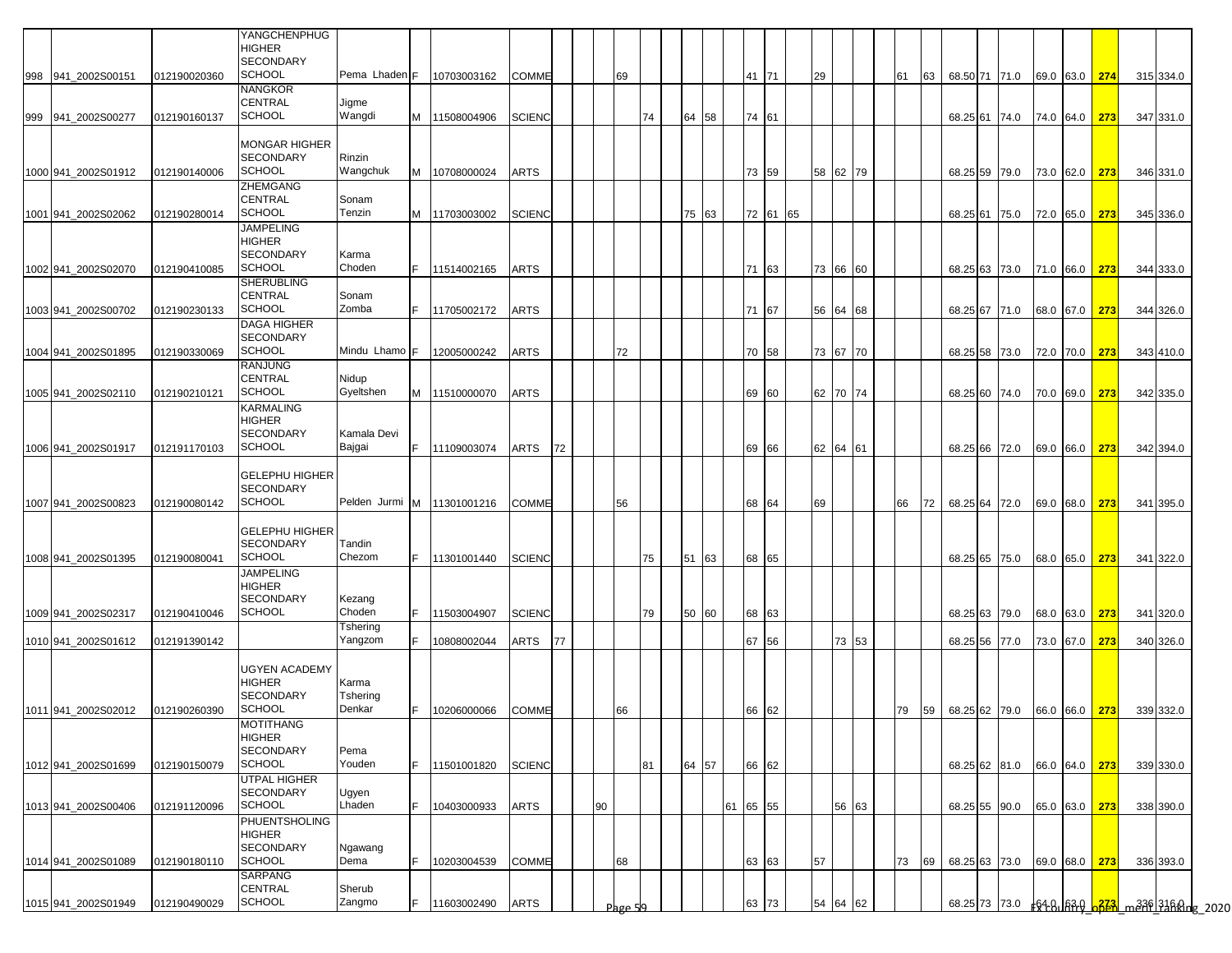|     |                                            |                              | YANGCHENPHUG<br><b>HIGHER</b><br><b>SECONDARY</b>                      |                             |     |                            |                       |    |    |         |    |       |    |    |                |          |    |          |    |    |                                |                                |               |                      |                        |                                    |
|-----|--------------------------------------------|------------------------------|------------------------------------------------------------------------|-----------------------------|-----|----------------------------|-----------------------|----|----|---------|----|-------|----|----|----------------|----------|----|----------|----|----|--------------------------------|--------------------------------|---------------|----------------------|------------------------|------------------------------------|
| 998 | 941 2002S00151                             | 012190020360                 | <b>SCHOOL</b><br><b>NANGKOR</b>                                        | Pema Lhaden F               |     | 10703003162                | COMME                 |    |    | 69      |    |       |    |    | 41 71          |          | 29 |          | 61 | 63 |                                | 68.50 71 71.0                  |               | 69.0 63.0 274        | 315 334.0              |                                    |
| 999 | 941_2002S00277                             | 012190160137                 | CENTRAL<br><b>SCHOOL</b>                                               | Jigme<br>Wangdi             | M   | 11508004906                | <b>SCIENC</b>         |    |    |         | 74 | 64 58 |    |    | 74 61          |          |    |          |    |    |                                | 68.25 61 74.0                  |               | 74.0 64.0 273        | 347 331.0              |                                    |
|     | 1000 941_2002S01912                        | 012190140006                 | <b>MONGAR HIGHER</b><br><b>SECONDARY</b><br><b>SCHOOL</b>              | Rinzin<br>Wangchuk          |     | M 10708000024              | ARTS                  |    |    |         |    |       |    |    | 73 59          |          |    | 58 62 79 |    |    |                                | 68.25 59 79.0                  |               | 73.0 62.0 <b>273</b> | 346 331.0              |                                    |
|     | 1001 941_2002S02062                        | 012190280014                 | ZHEMGANG<br><b>CENTRAL</b><br><b>SCHOOL</b>                            | Sonam<br>Tenzin             | M   | 11703003002                | <b>SCIENC</b>         |    |    |         |    | 75    | 63 |    |                | 72 61 65 |    |          |    |    |                                | 68.25 61 75.0                  |               | 72.0 65.0 273        | 345 336.0              |                                    |
|     | 1002 941 2002S02070                        | 012190410085                 | JAMPELING<br><b>HIGHER</b><br><b>SECONDARY</b><br><b>SCHOOL</b>        | Karma<br>Choden             | IF. | 11514002165                | ARTS                  |    |    |         |    |       |    |    | 71 63          |          |    | 73 66 60 |    |    |                                | 68.25 63 73.0                  |               | 71.0 66.0 273        | 344 333.0              |                                    |
|     |                                            |                              | SHERUBLING<br>CENTRAL<br><b>SCHOOL</b>                                 | Sonam<br>Zomba              |     |                            |                       |    |    |         |    |       |    |    |                |          |    |          |    |    |                                |                                |               |                      |                        |                                    |
|     | 1003 941_2002S00702                        | 012190230133                 | DAGA HIGHER<br><b>SECONDARY</b>                                        |                             |     | 11705002172                | ARTS                  |    |    |         |    |       |    |    | 71 67          |          |    | 56 64 68 |    |    |                                | 68.25 67 71.0                  | 68.0 67.0 273 |                      | 344 326.0              |                                    |
|     | 1004 941 2002S01895                        | 012190330069                 | <b>SCHOOL</b><br><b>RANJUNG</b><br><b>CENTRAL</b>                      | Mindu Lhamo F<br>Nidup      |     | 12005000242                | ARTS                  |    |    | 72      |    |       |    |    | 70 58          |          |    | 73 67 70 |    |    |                                | 68.25 58 73.0                  |               | 72.0 70.0 273        | 343 410.0              |                                    |
|     | 1005 941_2002S02110                        | 012190210121                 | <b>SCHOOL</b><br>KARMALING                                             | Gyeltshen                   | M   | 11510000070                | ARTS                  |    |    |         |    |       |    |    | 69 60          |          |    | 62 70 74 |    |    |                                | 68.25 60 74.0                  |               | 70.0 69.0 273        | 342 335.0              |                                    |
|     | 1006 941 2002S01917                        | 012191170103                 | <b>HIGHER</b><br><b>SECONDARY</b><br><b>SCHOOL</b>                     | Kamala Devi<br>Bajgai       | IF. | 11109003074                | ARTS                  | 72 |    |         |    |       |    |    | 69 66          |          |    | 62 64 61 |    |    |                                | 68.25 66 72.0                  |               | 69.0 66.0 273        | 342 394.0              |                                    |
|     | 1007 941 2002S00823                        | 012190080142                 | <b>GELEPHU HIGHER</b><br><b>SECONDARY</b><br><b>SCHOOL</b>             | Pelden Jurmi M 11301001216  |     |                            | COMME                 |    |    | 56      |    |       |    |    | 68 64          |          | 69 |          | 66 | 72 |                                | 68.25 64 72.0                  |               | 69.0 68.0 273        | 341 395.0              |                                    |
|     | 1008 941 2002S01395                        | 012190080041                 | <b>GELEPHU HIGHER</b><br><b>SECONDARY</b><br><b>SCHOOL</b>             | Tandin<br>Chezom            | IF. | 11301001440                | <b>SCIENC</b>         |    |    |         | 75 | 51 63 |    |    | 68 65          |          |    |          |    |    |                                | 68.25 65 75.0                  |               | 68.0 65.0 273        | 341 322.0              |                                    |
|     |                                            |                              | <b>JAMPELING</b><br><b>HIGHER</b><br><b>SECONDARY</b><br><b>SCHOOL</b> | Kezang<br>Choden            | E   |                            |                       |    |    |         |    |       |    |    |                |          |    |          |    |    |                                |                                |               |                      |                        |                                    |
|     | 1009 941_2002S02317<br>1010 941 2002S01612 | 012190410046<br>012191390142 |                                                                        | Tshering<br>Yangzom         | F.  | 11503004907<br>10808002044 | <b>SCIENC</b><br>ARTS | 77 |    |         | 79 | 50 60 |    |    | 68 63<br>67 56 |          |    | 73 53    |    |    |                                | 68.25 63 79.0<br>68.25 56 77.0 | 73.0 67.0     | 68.0 63.0 273<br>273 | 341 320.0<br>340 326.0 |                                    |
|     | 1011 941 2002S02012                        | 012190260390                 | UGYEN ACADEMY<br><b>HIGHER</b><br>SECONDARY<br><b>SCHOOL</b>           | Karma<br>Tshering<br>Denkar |     | 10206000066                | <b>COMME</b>          |    |    | 66      |    |       |    |    | 66 62          |          |    |          | 79 |    | 59 68.25 62 79.0 66.0 66.0 273 |                                |               |                      | 339 332.0              |                                    |
|     | 1012 941 2002S01699                        | 012190150079                 | MOTITHANG<br><b>HIGHER</b><br>SECONDARY<br><b>SCHOOL</b>               | Pema<br>Youden              | F.  | 11501001820                | <b>SCIENC</b>         |    |    |         | 81 | 64 57 |    |    | 66 62          |          |    |          |    |    |                                | 68.25 62 81.0                  |               | 66.0 64.0 273        | 339 330.0              |                                    |
|     | 1013 941 2002S00406                        | 012191120096                 | <b>UTPAL HIGHER</b><br>SECONDARY<br><b>SCHOOL</b>                      | Ugyen<br>Lhaden             | F.  | 10403000933                | ARTS                  |    | 90 |         |    |       |    | 61 | 65 55          |          |    | 56 63    |    |    |                                | 68.25 55 90.0                  | 65.0 63.0 273 |                      | 338 390.0              |                                    |
|     | 1014 941_2002S01089                        | 012190180110                 | PHUENTSHOLING<br><b>HIGHER</b><br><b>SECONDARY</b><br><b>SCHOOL</b>    | Ngawang<br>Dema             | F.  | 10203004539                | COMME                 |    |    | 68      |    |       |    |    | 63 63          |          | 57 |          | 73 | 69 |                                | 68.25 63 73.0                  |               | 69.0 68.0 273        | 336 393.0              |                                    |
|     | 1015 941_2002S01949                        | 012190490029                 | SARPANG<br>CENTRAL<br><b>SCHOOL</b>                                    | Sherub<br>Zangmo            | F.  | 11603002490                | ARTS                  |    |    | Page 50 |    |       |    |    | 63 73          |          | 54 | 64 62    |    |    |                                |                                |               |                      |                        | 68.25 73 73.0 64 83 634 73 849 845 |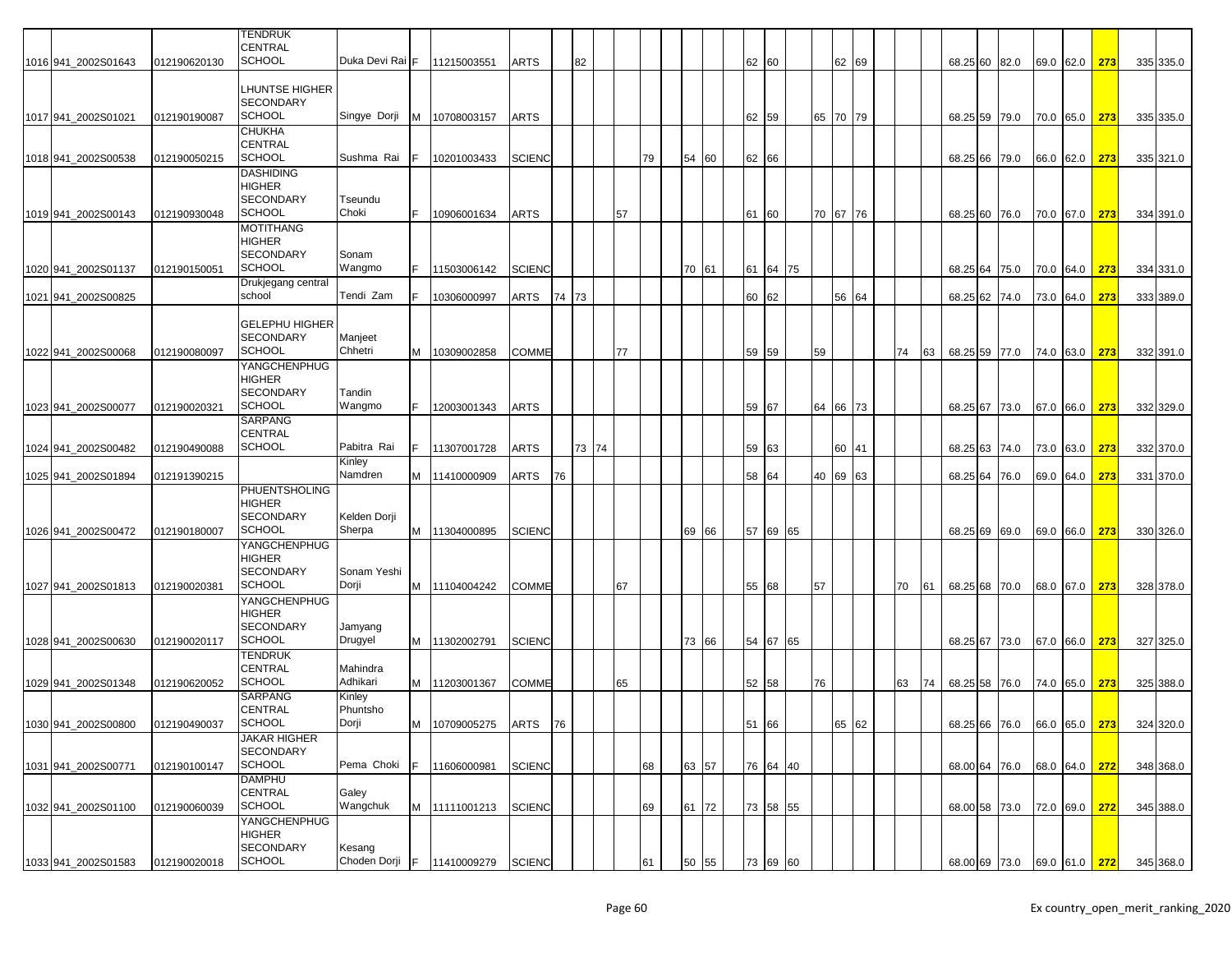|                     |              | <b>TENDRUK</b><br><b>CENTRAL</b>          |                    |     |                       |               |       |       |    |    |       |           |          |    |    |          |    |    |                             |      |               |     |           |
|---------------------|--------------|-------------------------------------------|--------------------|-----|-----------------------|---------------|-------|-------|----|----|-------|-----------|----------|----|----|----------|----|----|-----------------------------|------|---------------|-----|-----------|
| 1016 941_2002S01643 | 012190620130 | <b>SCHOOL</b>                             | Duka Devi Rai F    |     | 11215003551           | <b>ARTS</b>   |       | 82    |    |    |       | 62        | 60       |    |    | 62 69    |    |    | 68.25 60 82.0               |      | 69.0 62.0     | 273 | 335 335.0 |
|                     |              |                                           |                    |     |                       |               |       |       |    |    |       |           |          |    |    |          |    |    |                             |      |               |     |           |
|                     |              | LHUNTSE HIGHER                            |                    |     |                       |               |       |       |    |    |       |           |          |    |    |          |    |    |                             |      |               |     |           |
|                     |              | <b>SECONDARY</b><br><b>SCHOOL</b>         | Singye Dorji       |     |                       |               |       |       |    |    |       |           |          |    |    | 65 70 79 |    |    |                             |      |               |     |           |
| 1017 941_2002S01021 | 012190190087 | <b>CHUKHA</b>                             |                    |     | M 10708003157         | <b>ARTS</b>   |       |       |    |    |       | 62 59     |          |    |    |          |    |    | 68.25 59 79.0               |      | 70.0 65.0     | 273 | 335 335.0 |
|                     |              | <b>CENTRAL</b>                            |                    |     |                       |               |       |       |    |    |       |           |          |    |    |          |    |    |                             |      |               |     |           |
| 1018 941_2002S00538 | 012190050215 | <b>SCHOOL</b>                             | Sushma Rai         |     | 10201003433           | <b>SCIENC</b> |       |       |    | 79 | 54 60 | 62 66     |          |    |    |          |    |    | 68.25 66                    | 79.0 | 66.0 62.0     | 273 | 335 321.0 |
|                     |              | <b>DASHIDING</b>                          |                    |     |                       |               |       |       |    |    |       |           |          |    |    |          |    |    |                             |      |               |     |           |
|                     |              | <b>HIGHER</b><br><b>SECONDARY</b>         | Tseundu            |     |                       |               |       |       |    |    |       |           |          |    |    |          |    |    |                             |      |               |     |           |
| 1019 941_2002S00143 | 012190930048 | <b>SCHOOL</b>                             | Choki              |     | 10906001634           | <b>ARTS</b>   |       |       | 57 |    |       | 61        | 60       |    |    | 70 67 76 |    |    | 68.25 60                    | 76.0 | 70.0 67.0     | 273 | 334 391.0 |
|                     |              | <b>MOTITHANG</b>                          |                    |     |                       |               |       |       |    |    |       |           |          |    |    |          |    |    |                             |      |               |     |           |
|                     |              | HIGHER                                    |                    |     |                       |               |       |       |    |    |       |           |          |    |    |          |    |    |                             |      |               |     |           |
| 1020 941 2002S01137 | 012190150051 | <b>SECONDARY</b><br><b>SCHOOL</b>         | Sonam<br>Wangmo    |     | 11503006142           | <b>SCIENC</b> |       |       |    |    | 70 61 |           | 64 75    |    |    |          |    |    | 68.25 64                    |      |               | 273 |           |
|                     |              | Drukjegang central                        |                    |     |                       |               |       |       |    |    |       | 61        |          |    |    |          |    |    |                             | 75.0 | 70.0 64.0     |     | 334 331.0 |
| 1021 941 2002S00825 |              | school                                    | Tendi Zam          |     | 10306000997           | ARTS          | 74 73 |       |    |    |       | 60        | 62       |    |    | 56 64    |    |    | 68.25 62                    | 74.0 | 73.0 64.0     | 273 | 333 389.0 |
|                     |              |                                           |                    |     |                       |               |       |       |    |    |       |           |          |    |    |          |    |    |                             |      |               |     |           |
|                     |              | <b>GELEPHU HIGHER</b><br><b>SECONDARY</b> | Manjeet            |     |                       |               |       |       |    |    |       |           |          |    |    |          |    |    |                             |      |               |     |           |
| 1022 941 2002S00068 | 012190080097 | <b>SCHOOL</b>                             | Chhetri            | M   | 10309002858           | <b>COMME</b>  |       |       | 77 |    |       | 59 59     |          |    | 59 |          | 74 | 63 | 68.25 59 77.0               |      | 74.0 63.0     | 273 | 332 391.0 |
|                     |              | YANGCHENPHUG                              |                    |     |                       |               |       |       |    |    |       |           |          |    |    |          |    |    |                             |      |               |     |           |
|                     |              | HIGHER                                    |                    |     |                       |               |       |       |    |    |       |           |          |    |    |          |    |    |                             |      |               |     |           |
|                     |              | <b>SECONDARY</b><br><b>SCHOOL</b>         | Tandin             |     |                       |               |       |       |    |    |       |           |          |    |    |          |    |    |                             |      |               |     |           |
| 1023 941_2002S00077 | 012190020321 | <b>SARPANG</b>                            | Wangmo             |     | 12003001343           | <b>ARTS</b>   |       |       |    |    |       | 59        | 67       |    |    | 64 66 73 |    |    | 68.25 67                    | 73.0 | 67.0 66.0     | 273 | 332 329.0 |
|                     |              | <b>CENTRAL</b>                            |                    |     |                       |               |       |       |    |    |       |           |          |    |    |          |    |    |                             |      |               |     |           |
| 1024 941_2002S00482 | 012190490088 | <b>SCHOOL</b>                             | Pabitra Rai        |     | 11307001728           | <b>ARTS</b>   |       | 73 74 |    |    |       | 59 63     |          |    |    | 60 41    |    |    | 68.25 63 74.0               |      | 73.0 63.0     | 273 | 332 370.0 |
|                     |              |                                           | Kinley<br>Namdren  |     |                       |               |       |       |    |    |       |           |          |    |    |          |    |    |                             |      |               |     |           |
| 1025 941_2002S01894 | 012191390215 | <b>PHUENTSHOLING</b>                      |                    | M   | 11410000909           | ARTS          | 76    |       |    |    |       | 58 64     |          |    |    | 40 69 63 |    |    | 68.25 64                    | 76.0 | 69.0 64.0     | 273 | 331 370.0 |
|                     |              | <b>HIGHER</b>                             |                    |     |                       |               |       |       |    |    |       |           |          |    |    |          |    |    |                             |      |               |     |           |
|                     |              | <b>SECONDARY</b>                          | Kelden Dorji       |     |                       |               |       |       |    |    |       |           |          |    |    |          |    |    |                             |      |               |     |           |
| 1026 941_2002S00472 | 012190180007 | <b>SCHOOL</b>                             | Sherpa             |     | M 11304000895         | <b>SCIENC</b> |       |       |    |    | 69 66 | 57        | 69       | 65 |    |          |    |    | 68.25 69                    | 69.0 | 69.0 66.0     | 273 | 330 326.0 |
|                     |              | YANGCHENPHUG<br><b>HIGHER</b>             |                    |     |                       |               |       |       |    |    |       |           |          |    |    |          |    |    |                             |      |               |     |           |
|                     |              | <b>SECONDARY</b>                          | Sonam Yeshi        |     |                       |               |       |       |    |    |       |           |          |    |    |          |    |    |                             |      |               |     |           |
| 1027 941 2002S01813 | 012190020381 | <b>SCHOOL</b>                             | Dorji              |     | M 11104004242         | <b>COMME</b>  |       |       | 67 |    |       | 55        | 68       |    | 57 |          | 70 | 61 | 68.25 68                    | 70.0 | 68.0 67.0     | 273 | 328 378.0 |
|                     |              | YANGCHENPHUG                              |                    |     |                       |               |       |       |    |    |       |           |          |    |    |          |    |    |                             |      |               |     |           |
|                     |              | <b>HIGHER</b><br><b>SECONDARY</b>         | Jamyang            |     |                       |               |       |       |    |    |       |           |          |    |    |          |    |    |                             |      |               |     |           |
| 1028 941 2002S00630 | 012190020117 | <b>SCHOOL</b>                             | Drugyel            |     | M 11302002791         | <b>SCIENC</b> |       |       |    |    | 73 66 |           | 54 67 65 |    |    |          |    |    | 68.25 67 73.0               |      | 67.0 66.0     | 273 | 327 325.0 |
|                     |              | <b>TENDRUK</b>                            |                    |     |                       |               |       |       |    |    |       |           |          |    |    |          |    |    |                             |      |               |     |           |
|                     |              | CENTRAL                                   | Mahindra           |     |                       |               |       |       |    |    |       |           |          |    |    |          |    |    |                             |      |               |     |           |
| 1029 941 2002S01348 | 012190620052 | <b>SCHOOL</b><br><b>SARPANG</b>           | Adhikari<br>Kinley |     | M 11203001367         | <b>COMME</b>  |       |       | 65 |    |       | 52 58     |          |    | 76 |          | 63 | 74 | 68.25 58 76.0               |      | 74.0 65.0     | 273 | 325 388.0 |
|                     |              | <b>CENTRAL</b>                            | Phuntsho           |     |                       |               |       |       |    |    |       |           |          |    |    |          |    |    |                             |      |               |     |           |
| 1030 941_2002S00800 | 012190490037 | <b>SCHOOL</b>                             | Dorji              |     | M 10709005275 ARTS 76 |               |       |       |    |    |       | $51$ $66$ |          |    |    | 50 GO    |    |    | 68.25 66 76.0 66.0 65.0 273 |      |               |     | 324 320.0 |
|                     |              | <b>JAKAR HIGHER</b>                       |                    |     |                       |               |       |       |    |    |       |           |          |    |    |          |    |    |                             |      |               |     |           |
| 1031 941_2002S00771 | 012190100147 | <b>SECONDARY</b><br><b>SCHOOL</b>         | Pema Choki         |     | 11606000981           | <b>SCIENC</b> |       |       |    | 68 | 63 57 |           | 76 64 40 |    |    |          |    |    | 68.00 64 76.0               |      | 68.0 64.0 272 |     | 348 368.0 |
|                     |              | <b>DAMPHU</b>                             |                    |     |                       |               |       |       |    |    |       |           |          |    |    |          |    |    |                             |      |               |     |           |
|                     |              | CENTRAL                                   | Galey              |     |                       |               |       |       |    |    |       |           |          |    |    |          |    |    |                             |      |               |     |           |
| 1032 941_2002S01100 | 012190060039 | <b>SCHOOL</b>                             | Wangchuk           |     | M 11111001213         | <b>SCIENC</b> |       |       |    | 69 | 61 72 |           | 73 58 55 |    |    |          |    |    | 68.00 58 73.0               |      | 72.0 69.0 272 |     | 345 388.0 |
|                     |              | YANGCHENPHUG<br><b>HIGHER</b>             |                    |     |                       |               |       |       |    |    |       |           |          |    |    |          |    |    |                             |      |               |     |           |
|                     |              | <b>SECONDARY</b>                          | Kesang             |     |                       |               |       |       |    |    |       |           |          |    |    |          |    |    |                             |      |               |     |           |
| 1033 941_2002S01583 | 012190020018 | <b>SCHOOL</b>                             | Choden Dorji       | IF. | 11410009279           | <b>SCIENC</b> |       |       |    | 61 | 50 55 |           | 73 69 60 |    |    |          |    |    | 68.00 69 73.0 69.0 61.0 272 |      |               |     | 345 368.0 |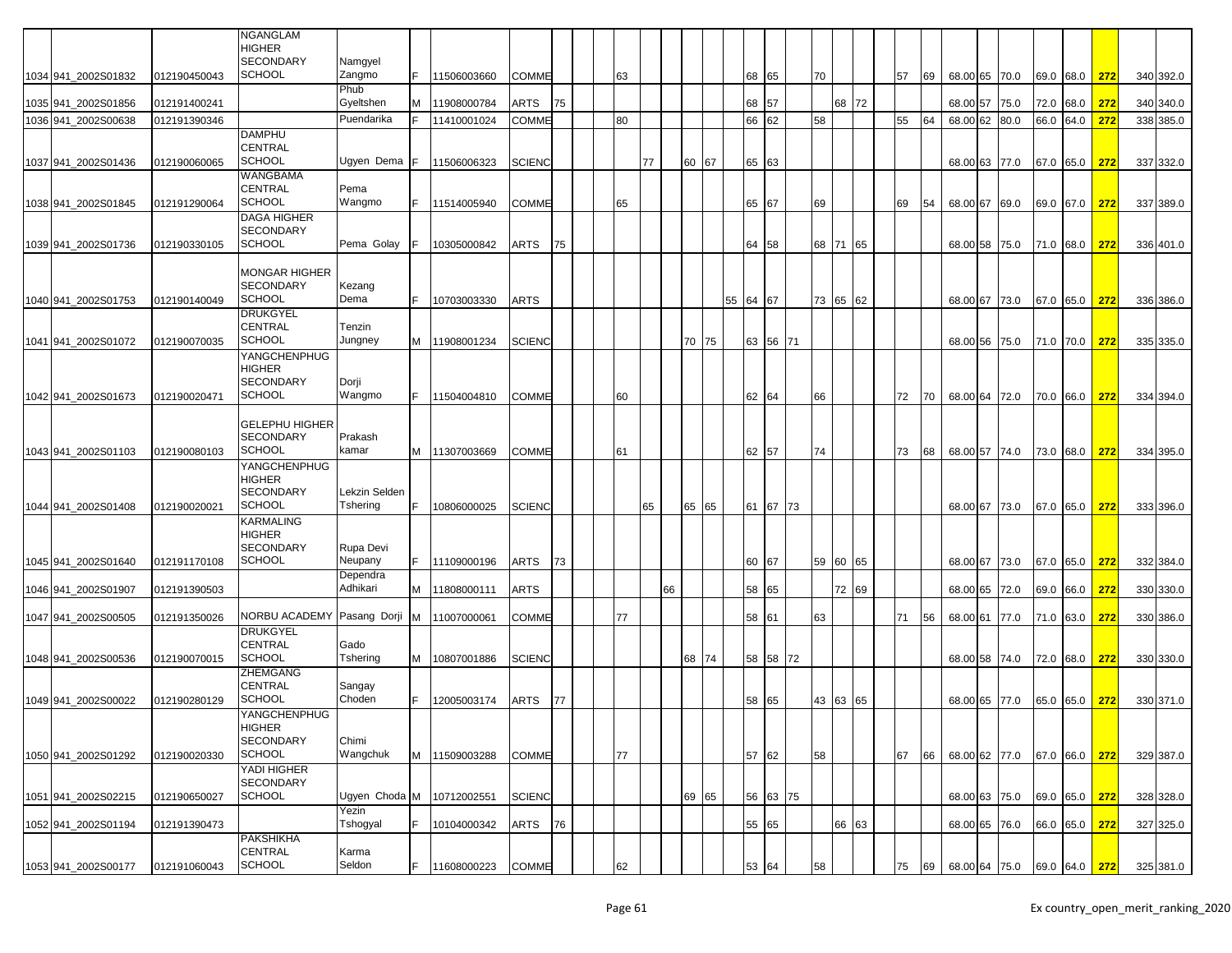|                     |              | <b>NGANGLAM</b><br><b>HIGHER</b>       |                           |   |               |               |    |    |    |    |       |  |          |          |    |          |    |    |               |      |      |               |     |           |
|---------------------|--------------|----------------------------------------|---------------------------|---|---------------|---------------|----|----|----|----|-------|--|----------|----------|----|----------|----|----|---------------|------|------|---------------|-----|-----------|
|                     |              | <b>SECONDARY</b>                       | Namgyel                   |   |               |               |    |    |    |    |       |  |          |          |    |          |    |    |               |      |      |               |     |           |
| 1034 941 2002S01832 | 012190450043 | <b>SCHOOL</b>                          | Zangmo                    |   | 11506003660   | <b>COMME</b>  |    | 63 |    |    |       |  | 68 65    |          | 70 |          | 57 | 69 | 68.00 65 70.0 |      |      | 69.0 68.0     | 272 | 340 392.0 |
|                     |              |                                        | Phub                      |   |               |               |    |    |    |    |       |  |          |          |    |          |    |    |               |      |      |               |     |           |
| 1035 941 2002S01856 | 012191400241 |                                        | Gyeltshen                 |   | 11908000784   | ARTS          | 75 |    |    |    |       |  | 68 57    |          |    | 68 72    |    |    | 68.00 57      | 75.0 | 72.0 | 68.0          | 272 | 340 340.0 |
| 1036 941 2002S00638 | 012191390346 |                                        | Puendarika                |   | 11410001024   | <b>COMME</b>  |    | 80 |    |    |       |  | 66       | 62       | 58 |          | 55 | 64 | 68.00 62      | 80.0 | 66.0 | 64.0          | 272 | 338 385.0 |
|                     |              | <b>DAMPHU</b>                          |                           |   |               |               |    |    |    |    |       |  |          |          |    |          |    |    |               |      |      |               |     |           |
|                     |              | <b>CENTRAL</b>                         |                           |   |               |               |    |    |    |    |       |  |          |          |    |          |    |    |               |      |      |               |     |           |
| 1037 941_2002S01436 | 012190060065 | <b>SCHOOL</b>                          | Ugyen Dema                |   | 11506006323   | <b>SCIENC</b> |    |    | 77 |    | 60 67 |  | 65 63    |          |    |          |    |    | 68.00 63 77.0 |      |      | 67.0 65.0     | 272 | 337 332.0 |
|                     |              | <b>WANGBAMA</b>                        |                           |   |               |               |    |    |    |    |       |  |          |          |    |          |    |    |               |      |      |               |     |           |
|                     |              | <b>CENTRAL</b>                         | Pema                      |   |               |               |    |    |    |    |       |  |          |          |    |          |    |    |               |      |      |               |     |           |
| 1038 941_2002S01845 | 012191290064 | SCHOOL                                 | Wangmo                    |   | 11514005940   | <b>COMME</b>  |    | 65 |    |    |       |  | 65 67    |          | 69 |          | 69 | 54 | 68.00 67      | 69.0 |      | 69.0 67.0     | 272 | 337 389.0 |
|                     |              | <b>DAGA HIGHER</b><br><b>SECONDARY</b> |                           |   |               |               |    |    |    |    |       |  |          |          |    |          |    |    |               |      |      |               |     |           |
| 1039 941 2002S01736 | 012190330105 | <b>SCHOOL</b>                          | Pema Golay                |   | 10305000842   | ARTS          | 75 |    |    |    |       |  | 64 58    |          |    | 68 71 65 |    |    | 68.00 58 75.0 |      |      | 71.0 68.0     | 272 | 336 401.0 |
|                     |              |                                        |                           |   |               |               |    |    |    |    |       |  |          |          |    |          |    |    |               |      |      |               |     |           |
|                     |              | <b>MONGAR HIGHER</b>                   |                           |   |               |               |    |    |    |    |       |  |          |          |    |          |    |    |               |      |      |               |     |           |
|                     |              | <b>SECONDARY</b>                       | Kezang                    |   |               |               |    |    |    |    |       |  |          |          |    |          |    |    |               |      |      |               |     |           |
| 1040 941 2002S01753 | 012190140049 | <b>SCHOOL</b>                          | Dema                      |   | 10703003330   | ARTS          |    |    |    |    |       |  | 55 64 67 |          |    | 73 65 62 |    |    | 68.00 67 73.0 |      |      | 67.0 65.0     | 272 | 336 386.0 |
|                     |              | <b>DRUKGYEL</b>                        |                           |   |               |               |    |    |    |    |       |  |          |          |    |          |    |    |               |      |      |               |     |           |
|                     |              | <b>CENTRAL</b>                         | Tenzin                    |   |               |               |    |    |    |    |       |  |          |          |    |          |    |    |               |      |      |               |     |           |
| 1041 941 2002S01072 | 012190070035 | <b>SCHOOL</b>                          | Jungney                   | M | 11908001234   | <b>SCIENC</b> |    |    |    |    | 70 75 |  | 63 56    | 71       |    |          |    |    | 68.00 56      | 75.0 |      | 71.0 70.0     | 272 | 335 335.0 |
|                     |              | YANGCHENPHUG                           |                           |   |               |               |    |    |    |    |       |  |          |          |    |          |    |    |               |      |      |               |     |           |
|                     |              | <b>HIGHER</b><br><b>SECONDARY</b>      |                           |   |               |               |    |    |    |    |       |  |          |          |    |          |    |    |               |      |      |               |     |           |
|                     | 012190020471 | <b>SCHOOL</b>                          | Dorji<br>Wangmo           |   | 11504004810   | <b>COMME</b>  |    | 60 |    |    |       |  | 62 64    |          | 66 |          | 72 | 70 | 68.00 64 72.0 |      |      | 70.0 66.0     | 272 | 334 394.0 |
| 1042 941_2002S01673 |              |                                        |                           |   |               |               |    |    |    |    |       |  |          |          |    |          |    |    |               |      |      |               |     |           |
|                     |              | <b>GELEPHU HIGHER</b>                  |                           |   |               |               |    |    |    |    |       |  |          |          |    |          |    |    |               |      |      |               |     |           |
|                     |              | <b>SECONDARY</b>                       | Prakash                   |   |               |               |    |    |    |    |       |  |          |          |    |          |    |    |               |      |      |               |     |           |
| 1043 941 2002S01103 | 012190080103 | <b>SCHOOL</b>                          | kamar                     |   | M 11307003669 | <b>COMME</b>  |    | 61 |    |    |       |  | 62 57    |          | 74 |          | 73 | 68 | 68.00 57 74.0 |      |      | 73.0 68.0     | 272 | 334 395.0 |
|                     |              | YANGCHENPHUG                           |                           |   |               |               |    |    |    |    |       |  |          |          |    |          |    |    |               |      |      |               |     |           |
|                     |              | <b>HIGHER</b>                          |                           |   |               |               |    |    |    |    |       |  |          |          |    |          |    |    |               |      |      |               |     |           |
|                     |              | <b>SECONDARY</b>                       | Lekzin Selden             |   |               |               |    |    |    |    |       |  |          |          |    |          |    |    |               |      |      |               |     |           |
| 1044 941 2002S01408 | 012190020021 | <b>SCHOOL</b>                          | Tshering                  |   | 10806000025   | <b>SCIENC</b> |    |    | 65 |    | 65 65 |  | 61 67    | 73       |    |          |    |    | 68.00 67 73.0 |      |      | 67.0 65.0     | 272 | 333 396.0 |
|                     |              | <b>KARMALING</b>                       |                           |   |               |               |    |    |    |    |       |  |          |          |    |          |    |    |               |      |      |               |     |           |
|                     |              | <b>HIGHER</b><br><b>SECONDARY</b>      |                           |   |               |               |    |    |    |    |       |  |          |          |    |          |    |    |               |      |      |               |     |           |
| 1045 941 2002S01640 | 012191170108 | <b>SCHOOL</b>                          | Rupa Devi<br>Neupany      |   | 11109000196   | ARTS          | 73 |    |    |    |       |  | 60 67    |          | 59 | 60 65    |    |    | 68.00 67 73.0 |      |      | 67.0 65.0     | 272 | 332 384.0 |
|                     |              |                                        | Dependra                  |   |               |               |    |    |    |    |       |  |          |          |    |          |    |    |               |      |      |               |     |           |
| 1046 941 2002S01907 | 012191390503 |                                        | Adhikari                  |   | 11808000111   | ARTS          |    |    |    | 66 |       |  | 58 65    |          |    | 72 69    |    |    | 68.00 65      | 72.0 |      | 69.0 66.0     | 272 | 330 330.0 |
|                     |              |                                        |                           |   |               |               |    |    |    |    |       |  |          |          |    |          |    |    |               |      |      |               |     |           |
| 1047 941 2002S00505 | 012191350026 | NORBU ACADEMY Pasang Dorji             |                           | M | 11007000061   | <b>COMME</b>  |    | 77 |    |    |       |  | 58 61    |          | 63 |          | 71 | 56 | 68.00 61      | 77.0 |      | 71.0 63.0     | 272 | 330 386.0 |
|                     |              | <b>DRUKGYEL</b>                        |                           |   |               |               |    |    |    |    |       |  |          |          |    |          |    |    |               |      |      |               |     |           |
|                     |              | <b>CENTRAL</b>                         | Gado                      |   |               |               |    |    |    |    |       |  |          |          |    |          |    |    |               |      |      |               |     |           |
| 1048 941_2002S00536 | 012190070015 | <b>SCHOOL</b>                          | Tshering                  | M | 10807001886   | <b>SCIENC</b> |    |    |    |    | 68 74 |  | 58 58    | 72       |    |          |    |    | 68.00 58 74.0 |      |      | 72.0 68.0     | 272 | 330 330.0 |
|                     |              | <b>ZHEMGANG</b>                        |                           |   |               |               |    |    |    |    |       |  |          |          |    |          |    |    |               |      |      |               |     |           |
|                     |              | <b>CENTRAL</b><br><b>SCHOOL</b>        | Sangay<br>Choden          |   |               |               |    |    |    |    |       |  |          |          |    |          |    |    |               |      |      |               |     |           |
| 1049 941_2002S00022 | 012190280129 | YANGCHENPHUG                           |                           |   | 12005003174   | ARTS          | 77 |    |    |    |       |  | 58 65    |          |    | 43 63 65 |    |    | 68.00 65 77.0 |      |      | 65.0 65.0     | 272 | 330 371.0 |
|                     |              | <b>HIGHER</b>                          |                           |   |               |               |    |    |    |    |       |  |          |          |    |          |    |    |               |      |      |               |     |           |
|                     |              | <b>SECONDARY</b>                       | Chimi                     |   |               |               |    |    |    |    |       |  |          |          |    |          |    |    |               |      |      |               |     |           |
| 1050 941_2002S01292 | 012190020330 | <b>SCHOOL</b>                          | Wangchuk                  | M | 11509003288   | COMME         |    | 77 |    |    |       |  | 57 62    |          | 58 |          | 67 | 66 | 68.00 62 77.0 |      |      | 67.0 66.0     | 272 | 329 387.0 |
|                     |              | YADI HIGHER                            |                           |   |               |               |    |    |    |    |       |  |          |          |    |          |    |    |               |      |      |               |     |           |
|                     |              | <b>SECONDARY</b>                       |                           |   |               |               |    |    |    |    |       |  |          |          |    |          |    |    |               |      |      |               |     |           |
| 1051 941_2002S02215 | 012190650027 | <b>SCHOOL</b>                          | Ugyen Choda M 10712002551 |   |               | <b>SCIENC</b> |    |    |    |    | 69 65 |  |          | 56 63 75 |    |          |    |    | 68.00 63 75.0 |      |      | 69.0 65.0 272 |     | 328 328.0 |
|                     |              |                                        | Yezin                     |   |               |               |    |    |    |    |       |  |          |          |    |          |    |    |               |      |      |               |     |           |
| 1052 941_2002S01194 | 012191390473 |                                        | Tshogyal                  |   | 10104000342   | ARTS          | 76 |    |    |    |       |  | 55 65    |          |    | 66 63    |    |    | 68.00 65 76.0 |      |      | 66.0 65.0     | 272 | 327 325.0 |
|                     |              | <b>PAKSHIKHA</b><br><b>CENTRAL</b>     |                           |   |               |               |    |    |    |    |       |  |          |          |    |          |    |    |               |      |      |               |     |           |
|                     |              | <b>SCHOOL</b>                          | Karma<br>Seldon           |   | 11608000223   |               |    |    |    |    |       |  |          |          |    |          |    |    |               |      |      |               |     |           |
| 1053 941_2002S00177 | 012191060043 |                                        |                           |   |               | <b>COMME</b>  |    | 62 |    |    |       |  | 53 64    |          | 58 |          | 75 | 69 | 68.00 64 75.0 |      |      | 69.0 64.0     | 272 | 325 381.0 |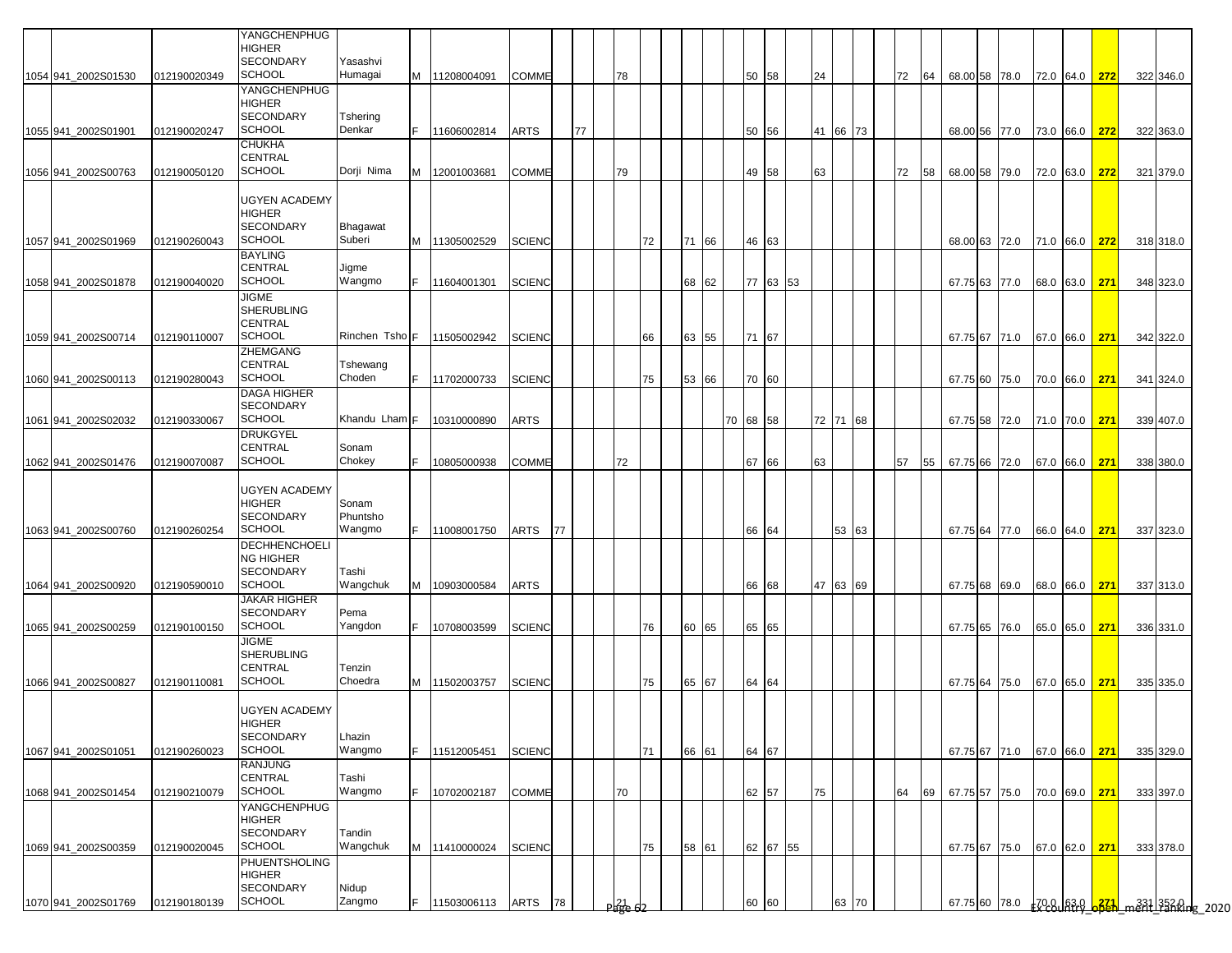|                                            |                              | YANGCHENPHUG<br><b>HIGHER</b><br><b>SECONDARY</b>                             | Yasashvi                    |    |                            |               |    |    |                        |    |       |    |          |       |          |    |          |    |      |                                |  |                      |  |                                                     |  |
|--------------------------------------------|------------------------------|-------------------------------------------------------------------------------|-----------------------------|----|----------------------------|---------------|----|----|------------------------|----|-------|----|----------|-------|----------|----|----------|----|------|--------------------------------|--|----------------------|--|-----------------------------------------------------|--|
| 1054 941_2002S01530                        | 012190020349                 | <b>SCHOOL</b>                                                                 | Humagai                     |    | M 11208004091              | <b>COMME</b>  |    |    | 78                     |    |       |    |          | 50 58 |          | 24 |          | 72 | 64   | 68.00 58 78.0                  |  | 72.0 64.0 <b>272</b> |  | 322 346.0                                           |  |
| 1055 941 2002S01901                        | 012190020247                 | YANGCHENPHUG<br><b>HIGHER</b><br><b>SECONDARY</b><br><b>SCHOOL</b>            | Tshering<br>Denkar          |    | 11606002814                | <b>ARTS</b>   |    | 77 |                        |    |       |    |          | 50 56 |          |    | 41 66 73 |    |      | 68.00 56 77.0                  |  | 73.0 66.0 <b>272</b> |  | 322 363.0                                           |  |
| 1056 941_2002S00763                        | 012190050120                 | <b>CHUKHA</b><br><b>CENTRAL</b><br><b>SCHOOL</b>                              | Dorji Nima                  |    | M 12001003681              | <b>COMME</b>  |    |    | 79                     |    |       |    |          | 49 58 |          | 63 |          | 72 | 58   | 68.00 58 79.0                  |  | 72.0 63.0 272        |  | 321 379.0                                           |  |
| 1057 941 2002S01969                        | 012190260043                 | <b>UGYEN ACADEMY</b><br><b>HIGHER</b><br><b>SECONDARY</b><br><b>SCHOOL</b>    | <b>Bhagawat</b><br>Suberi   |    | M 11305002529              | <b>SCIENC</b> |    |    |                        | 72 | 71    | 66 |          | 46 63 |          |    |          |    |      | 68.00 63 72.0                  |  | 71.0 66.0 272        |  | 318 318.0                                           |  |
| 1058 941_2002S01878                        | 012190040020                 | <b>BAYLING</b><br><b>CENTRAL</b><br><b>SCHOOL</b>                             | Jigme<br>Wangmo             | F. | 11604001301                | <b>SCIENC</b> |    |    |                        |    | 68    | 62 |          |       | 77 63 53 |    |          |    |      | 67.75 63 77.0                  |  | 68.0 63.0 271        |  | 348 323.0                                           |  |
| 1059 941 2002S00714                        | 012190110007                 | <b>JIGME</b><br><b>SHERUBLING</b><br><b>CENTRAL</b><br><b>SCHOOL</b>          |                             |    | Rinchen Tsho F 11505002942 | <b>SCIENC</b> |    |    |                        | 66 | 63 55 |    |          | 71 67 |          |    |          |    |      |                                |  | 67.0 66.0 271        |  | 342 322.0                                           |  |
| 1060 941_2002S00113                        | 012190280043                 | <b>ZHEMGANG</b><br><b>CENTRAL</b><br>SCHOOL                                   | Tshewang<br>Choden          | F. | 11702000733                | <b>SCIENC</b> |    |    |                        | 75 | 53    | 66 |          | 70 60 |          |    |          |    |      | 67.75 67 71.0<br>67.75 60 75.0 |  | 70.0 66.0 271        |  | 341 324.0                                           |  |
| 1061 941 2002S02032                        | 012190330067                 | <b>DAGA HIGHER</b><br><b>SECONDARY</b><br>SCHOOL                              | Khandu Lham F               |    | 10310000890                | <b>ARTS</b>   |    |    |                        |    |       |    | 70 68 58 |       |          |    | 72 71 68 |    |      | 67.75 58 72.0                  |  | 71.0 70.0 271        |  | 339 407.0                                           |  |
|                                            |                              | <b>DRUKGYEL</b><br><b>CENTRAL</b><br><b>SCHOOL</b>                            | Sonam<br>Chokey             |    | 10805000938                | <b>COMME</b>  |    |    | 72                     |    |       |    |          | 67 66 |          | 63 |          | 57 |      | 67.75 66 72.0                  |  | 67.0 66.0 271        |  |                                                     |  |
| 1062 941 2002S01476<br>1063 941 2002S00760 | 012190070087<br>012190260254 | <b>UGYEN ACADEMY</b><br><b>HIGHER</b><br><b>SECONDARY</b><br><b>SCHOOL</b>    | Sonam<br>Phuntsho<br>Wangmo | F. | 11008001750                | ARTS          | 77 |    |                        |    |       |    |          | 66 64 |          |    | 53 63    |    | 55   | 67.75 64 77.0                  |  | 66.0 64.0 271        |  | 338 380.0<br>337 323.0                              |  |
| 1064 941 2002S00920                        | 012190590010                 | <b>DECHHENCHOELI</b><br><b>NG HIGHER</b><br><b>SECONDARY</b><br><b>SCHOOL</b> | Tashi<br>Wangchuk           | M  | 10903000584                | ARTS          |    |    |                        |    |       |    |          | 66 68 |          |    | 47 63 69 |    |      | 67.75 68 69.0                  |  | 68.0 66.0 271        |  | 337 313.0                                           |  |
| 1065 941_2002S00259                        | 012190100150                 | <b>JAKAR HIGHER</b><br><b>SECONDARY</b><br><b>SCHOOL</b>                      | Pema<br>Yangdon             | F. | 10708003599                | <b>SCIENC</b> |    |    |                        | 76 | 60 65 |    |          | 65 65 |          |    |          |    |      | 67.75 65 76.0                  |  | 65.0 65.0 271        |  | 336 331.0                                           |  |
| 1066 941 2002S00827                        | 012190110081                 | <b>JIGME</b><br><b>SHERUBLING</b><br><b>CENTRAL</b><br><b>SCHOOL</b>          | Tenzin<br>Choedra           |    | M 11502003757              | <b>SCIENC</b> |    |    |                        | 75 | 65 67 |    |          | 64 64 |          |    |          |    |      | 67.75 64 75.0                  |  | 67.0 65.0 271        |  | 335 335.0                                           |  |
| 1067 941_2002S01051                        | 012190260023                 | <b>UGYEN ACADEMY</b><br><b>HIGHER</b><br><b>SECONDARY</b><br><b>SCHOOL</b>    | Lhazin<br>Wangmo            | F. | 11512005451                | <b>SCIENC</b> |    |    |                        | 71 | 66    | 61 |          | 64 67 |          |    |          |    |      | 67.75 67 71.0                  |  | 67.0 66.0 271        |  | 335 329.0                                           |  |
| 1068 941_2002S01454                        | 012190210079                 | <b>RANJUNG</b><br><b>CENTRAL</b><br><b>SCHOOL</b>                             | Tashi<br>Wangmo             | F. | 10702002187                | COMME         |    |    | 70                     |    |       |    |          | 62 57 |          | 75 |          | 64 | 69 I | 67.75 57 75.0                  |  | 70.0 69.0 271        |  | 333 397.0                                           |  |
| 1069 941_2002S00359                        | 012190020045                 | YANGCHENPHUG<br><b>HIGHER</b><br><b>SECONDARY</b><br><b>SCHOOL</b>            | Tandin<br>Wangchuk          |    | M 11410000024              | <b>SCIENC</b> |    |    |                        | 75 | 58 61 |    |          |       | 62 67 55 |    |          |    |      | 67.75 67 75.0                  |  | 67.0 62.0 271        |  | 333 378.0                                           |  |
| 1070 941_2002S01769                        | 012190180139                 | <b>PHUENTSHOLING</b><br><b>HIGHER</b><br><b>SECONDARY</b><br><b>SCHOOL</b>    | Nidup<br>Zangmo             | F. | 11503006113                | ARTS          | 78 |    | $P_{\text{H}}^{21}$ 62 |    |       |    |          | 60 60 |          |    | 63 70    |    |      | 67.75 60 78.0                  |  |                      |  | 708   630 <mark>  6321</mark>   m231   3528    9520 |  |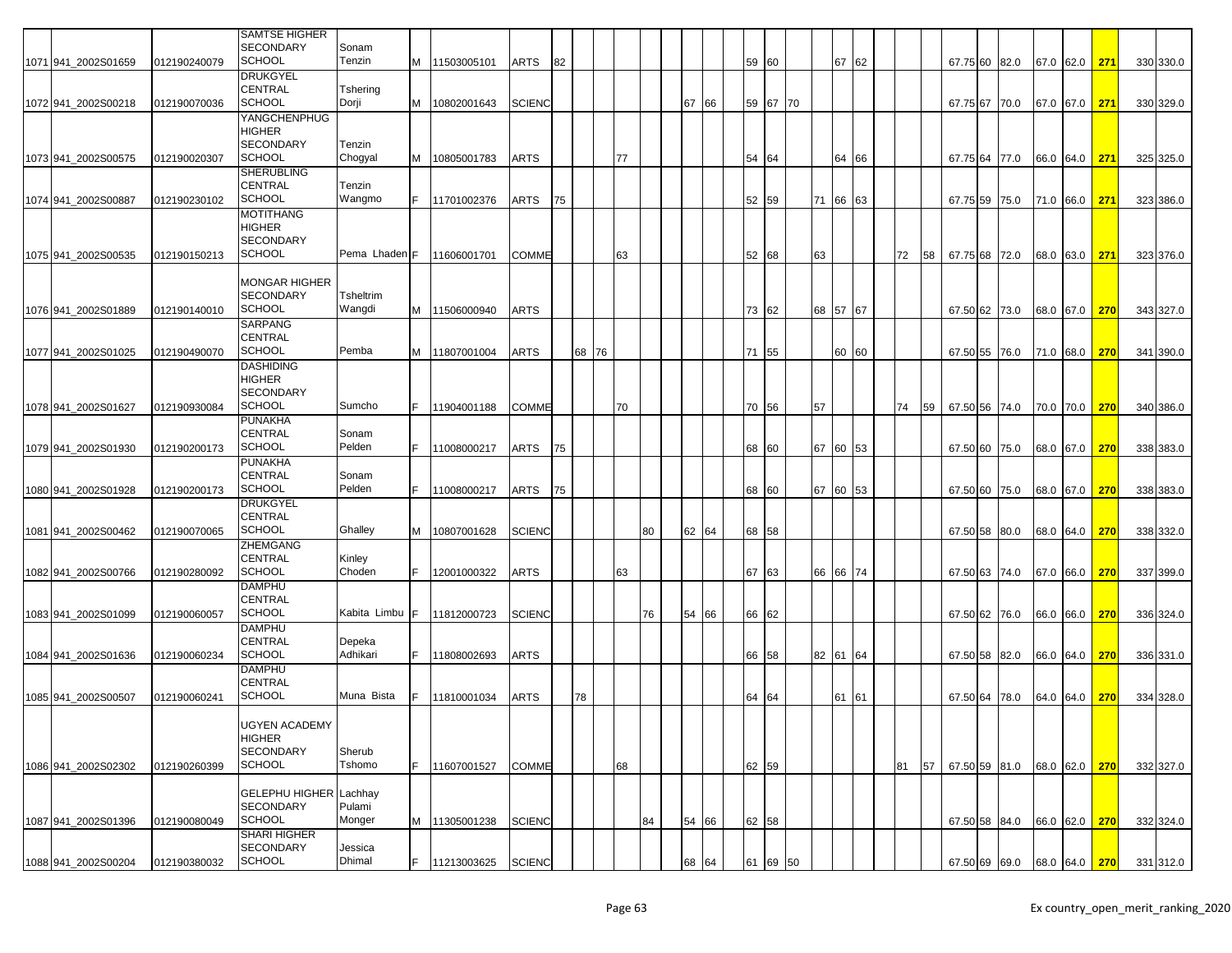|                     |              | <b>SAMTSE HIGHER</b><br><b>SECONDARY</b>  | Sonam                     |     |                 |               |    |       |    |    |    |       |       |          |    |          |    |    |    |               |      |           |               |              |           |
|---------------------|--------------|-------------------------------------------|---------------------------|-----|-----------------|---------------|----|-------|----|----|----|-------|-------|----------|----|----------|----|----|----|---------------|------|-----------|---------------|--------------|-----------|
| 1071 941_2002S01659 | 012190240079 | <b>SCHOOL</b>                             | Tenzin                    |     | M 11503005101   | ARTS          | 82 |       |    |    |    |       | 59 60 |          |    | 67 62    |    |    |    | 67.75 60 82.0 |      |           | 67.0 62.0 271 |              | 330 330.0 |
|                     |              | <b>DRUKGYEL</b>                           |                           |     |                 |               |    |       |    |    |    |       |       |          |    |          |    |    |    |               |      |           |               |              |           |
|                     |              | <b>CENTRAL</b><br><b>SCHOOL</b>           | Tshering                  |     |                 |               |    |       |    |    |    |       |       |          |    |          |    |    |    |               |      |           |               |              | 330 329.0 |
| 1072 941 2002S00218 | 012190070036 | YANGCHENPHUG                              | Dorji                     | M   | 10802001643     | <b>SCIENC</b> |    |       |    |    | 67 | 66    |       | 59 67 70 |    |          |    |    |    | 67.75 67 70.0 |      |           | 67.0 67.0 271 |              |           |
|                     |              | <b>HIGHER</b>                             |                           |     |                 |               |    |       |    |    |    |       |       |          |    |          |    |    |    |               |      |           |               |              |           |
|                     |              | <b>SECONDARY</b>                          | Tenzin                    |     |                 |               |    |       |    |    |    |       |       |          |    |          |    |    |    |               |      |           |               |              |           |
| 1073 941 2002S00575 | 012190020307 | <b>SCHOOL</b>                             | Chogyal                   | M   | 10805001783     | ARTS          |    |       | 77 |    |    |       | 54 64 |          |    | 64       | 66 |    |    | 67.75 64      | 77.0 | 66.0 64.0 |               | 271          | 325 325.0 |
|                     |              | <b>SHERUBLING</b>                         |                           |     |                 |               |    |       |    |    |    |       |       |          |    |          |    |    |    |               |      |           |               |              |           |
|                     |              | <b>CENTRAL</b>                            | Tenzin                    |     |                 |               |    |       |    |    |    |       |       |          |    |          |    |    |    |               |      |           |               |              |           |
| 1074 941 2002S00887 | 012190230102 | <b>SCHOOL</b>                             | Wangmo                    |     | 11701002376     | ARTS          | 75 |       |    |    |    |       | 52 59 |          |    | 71 66 63 |    |    |    | 67.75 59      | 75.0 | 71.0 66.0 |               | 271          | 323 386.0 |
|                     |              | <b>MOTITHANG</b><br><b>HIGHER</b>         |                           |     |                 |               |    |       |    |    |    |       |       |          |    |          |    |    |    |               |      |           |               |              |           |
|                     |              | <b>SECONDARY</b>                          |                           |     |                 |               |    |       |    |    |    |       |       |          |    |          |    |    |    |               |      |           |               |              |           |
| 1075 941 2002S00535 | 012190150213 | <b>SCHOOL</b>                             | Pema Lhaden <sub>IF</sub> |     | 11606001701     | <b>COMME</b>  |    |       | 63 |    |    |       | 52 68 |          | 63 |          |    | 72 | 58 | 67.75 68 72.0 |      | 68.0 63.0 |               | 271          | 323 376.0 |
|                     |              |                                           |                           |     |                 |               |    |       |    |    |    |       |       |          |    |          |    |    |    |               |      |           |               |              |           |
|                     |              | <b>MONGAR HIGHER</b>                      |                           |     |                 |               |    |       |    |    |    |       |       |          |    |          |    |    |    |               |      |           |               |              |           |
|                     |              | <b>SECONDARY</b>                          | <b>Tsheltrim</b>          |     |                 |               |    |       |    |    |    |       |       |          |    |          |    |    |    |               |      |           |               |              |           |
| 1076 941 2002S01889 | 012190140010 | <b>SCHOOL</b><br>SARPANG                  | Wangdi                    |     | M 11506000940   | ARTS          |    |       |    |    |    |       | 73    | 62       | 68 | 57 67    |    |    |    | 67.50 62 73.0 |      | 68.0 67.0 |               | 270          | 343 327.0 |
|                     |              | <b>CENTRAL</b>                            |                           |     |                 |               |    |       |    |    |    |       |       |          |    |          |    |    |    |               |      |           |               |              |           |
| 1077 941 2002S01025 | 012190490070 | <b>SCHOOL</b>                             | Pemba                     |     | M   11807001004 | ARTS          |    | 68 76 |    |    |    |       |       | 71 55    |    | 60 60    |    |    |    | 67.50 55      | 76.0 | 71.0 68.0 |               | 270          | 341 390.0 |
|                     |              | <b>DASHIDING</b>                          |                           |     |                 |               |    |       |    |    |    |       |       |          |    |          |    |    |    |               |      |           |               |              |           |
|                     |              | HIGHER                                    |                           |     |                 |               |    |       |    |    |    |       |       |          |    |          |    |    |    |               |      |           |               |              |           |
|                     |              | <b>SECONDARY</b>                          |                           |     |                 |               |    |       |    |    |    |       |       |          |    |          |    |    |    |               |      |           |               |              |           |
| 1078 941_2002S01627 | 012190930084 | <b>SCHOOL</b>                             | Sumcho                    | F.  | 11904001188     | <b>COMME</b>  |    |       | 70 |    |    |       | 70 56 |          | 57 |          |    | 74 | 59 | 67.50 56 74.0 |      | 70.0 70.0 |               | 270          | 340 386.0 |
|                     |              | <b>PUNAKHA</b><br><b>CENTRAL</b>          | Sonam                     |     |                 |               |    |       |    |    |    |       |       |          |    |          |    |    |    |               |      |           |               |              |           |
| 1079 941 2002S01930 | 012190200173 | <b>SCHOOL</b>                             | Pelden                    |     | 11008000217     | ARTS          | 75 |       |    |    |    |       |       | 68 60    |    | 67 60 53 |    |    |    | 67.50 60 75.0 |      |           | 68.0 67.0 270 |              | 338 383.0 |
|                     |              | <b>PUNAKHA</b>                            |                           |     |                 |               |    |       |    |    |    |       |       |          |    |          |    |    |    |               |      |           |               |              |           |
|                     |              | <b>CENTRAL</b>                            | Sonam                     |     |                 |               |    |       |    |    |    |       |       |          |    |          |    |    |    |               |      |           |               |              |           |
| 1080 941 2002S01928 | 012190200173 | <b>SCHOOL</b>                             | Pelden                    |     | 11008000217     | ARTS          | 75 |       |    |    |    |       | 68 60 |          |    | 67 60 53 |    |    |    | 67.50 60 75.0 |      | 68.0 67.0 |               | $\sqrt{270}$ | 338 383.0 |
|                     |              | <b>DRUKGYEL</b>                           |                           |     |                 |               |    |       |    |    |    |       |       |          |    |          |    |    |    |               |      |           |               |              |           |
| 1081 941_2002S00462 | 012190070065 | <b>CENTRAL</b><br><b>SCHOOL</b>           | Ghalley                   | M   | 10807001628     | <b>SCIENC</b> |    |       |    | 80 |    | 62 64 | 68 58 |          |    |          |    |    |    | 67.50 58 80.0 |      | 68.0 64.0 |               | $\sqrt{270}$ | 338 332.0 |
|                     |              | ZHEMGANG                                  |                           |     |                 |               |    |       |    |    |    |       |       |          |    |          |    |    |    |               |      |           |               |              |           |
|                     |              | <b>CENTRAL</b>                            | Kinley                    |     |                 |               |    |       |    |    |    |       |       |          |    |          |    |    |    |               |      |           |               |              |           |
| 1082 941_2002S00766 | 012190280092 | <b>SCHOOL</b>                             | Choden                    |     | 12001000322     | <b>ARTS</b>   |    |       | 63 |    |    |       | 67 63 |          |    | 66 66 74 |    |    |    | 67.50 63 74.0 |      | 67.0 66.0 |               | 270          | 337 399.0 |
|                     |              | <b>DAMPHU</b>                             |                           |     |                 |               |    |       |    |    |    |       |       |          |    |          |    |    |    |               |      |           |               |              |           |
|                     |              | <b>CENTRAL</b>                            |                           |     |                 |               |    |       |    |    |    |       |       |          |    |          |    |    |    |               |      |           |               |              |           |
| 1083 941 2002S01099 | 012190060057 | <b>SCHOOL</b><br><b>DAMPHU</b>            | Kabita Limbu              | IF. | 11812000723     | <b>SCIENC</b> |    |       |    | 76 | 54 | 66    | 66    | 62       |    |          |    |    |    | 67.50 62      | 76.0 | 66.0 66.0 |               | 270          | 336 324.0 |
|                     |              | <b>CENTRAL</b>                            | Depeka                    |     |                 |               |    |       |    |    |    |       |       |          |    |          |    |    |    |               |      |           |               |              |           |
| 1084 941 2002S01636 | 012190060234 | <b>SCHOOL</b>                             | Adhikari                  |     | 11808002693     | ARTS          |    |       |    |    |    |       | 66 58 |          |    | 82 61 64 |    |    |    | 67.50 58 82.0 |      |           | 66.0 64.0 270 |              | 336 331.0 |
|                     |              | <b>DAMPHU</b>                             |                           |     |                 |               |    |       |    |    |    |       |       |          |    |          |    |    |    |               |      |           |               |              |           |
|                     |              | <b>CENTRAL</b>                            |                           |     |                 |               |    |       |    |    |    |       |       |          |    |          |    |    |    |               |      |           |               |              |           |
| 1085 941 2002S00507 | 012190060241 | <b>SCHOOL</b>                             | Muna Bista                |     | 11810001034     | ARTS          |    | 78    |    |    |    |       | 64 64 |          |    | 61 61    |    |    |    | 67.50 64 78.0 |      | 64.0 64.0 |               | 270          | 334 328.0 |
|                     |              |                                           |                           |     |                 |               |    |       |    |    |    |       |       |          |    |          |    |    |    |               |      |           |               |              |           |
|                     |              | <b>UGYEN ACADEMY</b><br>HIGHER            |                           |     |                 |               |    |       |    |    |    |       |       |          |    |          |    |    |    |               |      |           |               |              |           |
|                     |              | <b>SECONDARY</b>                          | Sherub                    |     |                 |               |    |       |    |    |    |       |       |          |    |          |    |    |    |               |      |           |               |              |           |
| 1086 941 2002S02302 | 012190260399 | <b>SCHOOL</b>                             | Tshomo                    | E.  | 11607001527     | <b>COMME</b>  |    |       | 68 |    |    |       | 62 59 |          |    |          |    | 81 | 57 | 67.50 59 81.0 |      |           | 68.0 62.0     | 270          | 332 327.0 |
|                     |              |                                           |                           |     |                 |               |    |       |    |    |    |       |       |          |    |          |    |    |    |               |      |           |               |              |           |
|                     |              | <b>GELEPHU HIGHER</b><br><b>SECONDARY</b> | Lachhay                   |     |                 |               |    |       |    |    |    |       |       |          |    |          |    |    |    |               |      |           |               |              |           |
| 1087 941 2002S01396 | 012190080049 | <b>SCHOOL</b>                             | Pulami<br>Monger          |     | M 11305001238   | <b>SCIENC</b> |    |       |    | 84 |    | 54 66 | 62 58 |          |    |          |    |    |    | 67.50 58 84.0 |      |           | 66.0 62.0 270 |              | 332 324.0 |
|                     |              | <b>SHARI HIGHER</b>                       |                           |     |                 |               |    |       |    |    |    |       |       |          |    |          |    |    |    |               |      |           |               |              |           |
|                     |              | <b>SECONDARY</b>                          | Jessica                   |     |                 |               |    |       |    |    |    |       |       |          |    |          |    |    |    |               |      |           |               |              |           |
| 1088 941_2002S00204 | 012190380032 | <b>SCHOOL</b>                             | Dhimal                    |     | 11213003625     | <b>SCIENC</b> |    |       |    |    |    | 68 64 |       | 61 69 50 |    |          |    |    |    | 67.50 69 69.0 |      |           | 68.0 64.0 270 |              | 331 312.0 |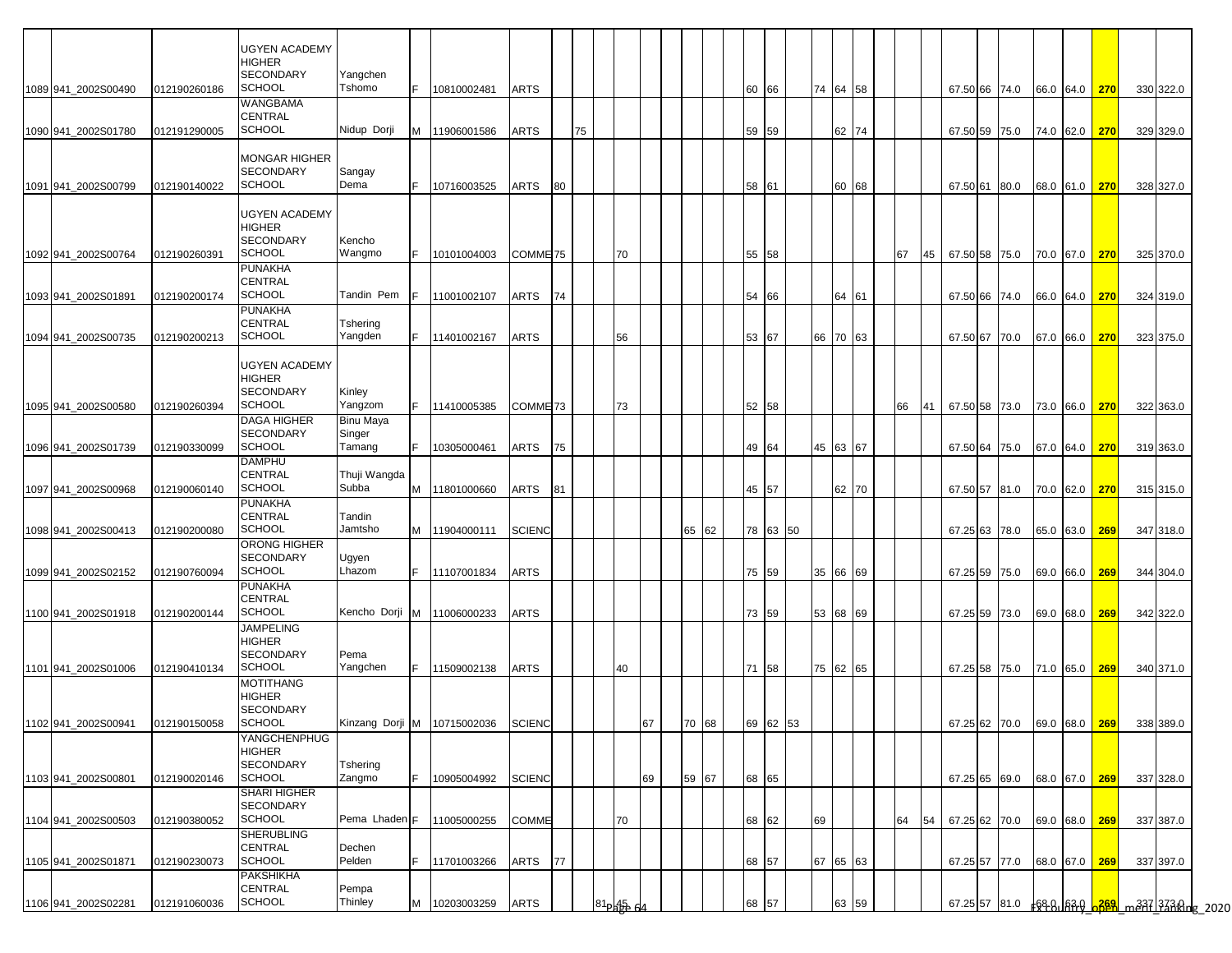|                     |              | <b>UGYEN ACADEMY</b>                     |                    |     |                             |                     |    |    |                         |    |          |    |          |    |          |  |    |    |                             |  |               |     |           |                                       |
|---------------------|--------------|------------------------------------------|--------------------|-----|-----------------------------|---------------------|----|----|-------------------------|----|----------|----|----------|----|----------|--|----|----|-----------------------------|--|---------------|-----|-----------|---------------------------------------|
|                     |              | <b>HIGHER</b>                            |                    |     |                             |                     |    |    |                         |    |          |    |          |    |          |  |    |    |                             |  |               |     |           |                                       |
|                     |              | <b>SECONDARY</b>                         | Yangchen           |     |                             |                     |    |    |                         |    |          |    |          |    |          |  |    |    |                             |  |               |     |           |                                       |
| 1089 941 2002S00490 | 012190260186 | <b>SCHOOL</b><br><b>WANGBAMA</b>         | Tshomo             | F.  | 10810002481                 | <b>ARTS</b>         |    |    |                         |    |          |    | 60 66    |    | 74 64 58 |  |    |    | 67.50 66 74.0               |  | 66.0 64.0 270 |     | 330 322.0 |                                       |
|                     |              | <b>CENTRAL</b>                           |                    |     |                             |                     |    |    |                         |    |          |    |          |    |          |  |    |    |                             |  |               |     |           |                                       |
| 1090 941 2002S01780 | 012191290005 | <b>SCHOOL</b>                            | Nidup Dorji        |     | M 11906001586               | <b>ARTS</b>         |    | 75 |                         |    |          |    | 59 59    |    | 62 74    |  |    |    | 67.50 59 75.0               |  | 74.0 62.0 270 |     | 329 329.0 |                                       |
|                     |              |                                          |                    |     |                             |                     |    |    |                         |    |          |    |          |    |          |  |    |    |                             |  |               |     |           |                                       |
|                     |              | <b>MONGAR HIGHER</b><br><b>SECONDARY</b> | Sangay             |     |                             |                     |    |    |                         |    |          |    |          |    |          |  |    |    |                             |  |               |     |           |                                       |
| 1091 941 2002S00799 | 012190140022 | <b>SCHOOL</b>                            | Dema               | IF. | 10716003525                 | ARTS                | 80 |    |                         |    |          |    | 58 61    |    | 60 68    |  |    |    | 67.50 61 80.0               |  | 68.0 61.0 270 |     | 328 327.0 |                                       |
|                     |              |                                          |                    |     |                             |                     |    |    |                         |    |          |    |          |    |          |  |    |    |                             |  |               |     |           |                                       |
|                     |              | <b>UGYEN ACADEMY</b>                     |                    |     |                             |                     |    |    |                         |    |          |    |          |    |          |  |    |    |                             |  |               |     |           |                                       |
|                     |              | <b>HIGHER</b><br><b>SECONDARY</b>        | Kencho             |     |                             |                     |    |    |                         |    |          |    |          |    |          |  |    |    |                             |  |               |     |           |                                       |
| 1092 941 2002S00764 | 012190260391 | <b>SCHOOL</b>                            | Wangmo             | IF. | 10101004003                 | COMME <sub>75</sub> |    |    | 70                      |    |          |    | 55 58    |    |          |  | 67 | 45 | 67.50 58 75.0               |  | 70.0 67.0 270 |     | 325 370.0 |                                       |
|                     |              | <b>PUNAKHA</b>                           |                    |     |                             |                     |    |    |                         |    |          |    |          |    |          |  |    |    |                             |  |               |     |           |                                       |
|                     |              | <b>CENTRAL</b>                           |                    |     |                             |                     |    |    |                         |    |          |    |          |    |          |  |    |    |                             |  |               |     |           |                                       |
| 1093 941 2002S01891 | 012190200174 | <b>SCHOOL</b><br><b>PUNAKHA</b>          | Tandin Pem         |     | 11001002107                 | ARTS                | 74 |    |                         |    |          | 54 | 66       |    | 64 61    |  |    |    | 67.50 66 74.0               |  | 66.0 64.0 270 |     | 324 319.0 |                                       |
|                     |              | <b>CENTRAL</b>                           | Tshering           |     |                             |                     |    |    |                         |    |          |    |          |    |          |  |    |    |                             |  |               |     |           |                                       |
| 1094 941_2002S00735 | 012190200213 | <b>SCHOOL</b>                            | Yangden            |     | F 11401002167               | <b>ARTS</b>         |    |    | 56                      |    |          |    | 53 67    |    | 66 70 63 |  |    |    | 67.50 67 70.0               |  | 67.0 66.0 270 |     | 323 375.0 |                                       |
|                     |              |                                          |                    |     |                             |                     |    |    |                         |    |          |    |          |    |          |  |    |    |                             |  |               |     |           |                                       |
|                     |              | <b>UGYEN ACADEMY</b><br><b>HIGHER</b>    |                    |     |                             |                     |    |    |                         |    |          |    |          |    |          |  |    |    |                             |  |               |     |           |                                       |
|                     |              | <b>SECONDARY</b>                         | Kinley             |     |                             |                     |    |    |                         |    |          |    |          |    |          |  |    |    |                             |  |               |     |           |                                       |
| 1095 941 2002S00580 | 012190260394 | <b>SCHOOL</b>                            | Yangzom            |     | 11410005385                 | COMME <sub>73</sub> |    |    | 73                      |    |          |    | 52 58    |    |          |  | 66 | 41 | 67.50 58 73.0               |  | 73.0 66.0 270 |     | 322 363.0 |                                       |
|                     |              | <b>DAGA HIGHER</b><br><b>SECONDARY</b>   | Binu Maya          |     |                             |                     |    |    |                         |    |          |    |          |    |          |  |    |    |                             |  |               |     |           |                                       |
| 1096 941 2002S01739 | 012190330099 | <b>SCHOOL</b>                            | Singer<br>Tamang   |     | 10305000461                 | ARTS                | 75 |    |                         |    |          |    | 49 64    |    | 45 63 67 |  |    |    | 67.50 64 75.0               |  | 67.0 64.0 270 |     | 319 363.0 |                                       |
|                     |              | <b>DAMPHU</b>                            |                    |     |                             |                     |    |    |                         |    |          |    |          |    |          |  |    |    |                             |  |               |     |           |                                       |
|                     |              | <b>CENTRAL</b>                           | Thuji Wangda       |     |                             |                     |    |    |                         |    |          |    |          |    |          |  |    |    |                             |  |               |     |           |                                       |
| 1097 941_2002S00968 | 012190060140 | <b>SCHOOL</b>                            | Subba              |     | M 11801000660               | ARTS                | 81 |    |                         |    |          |    | 45 57    |    | 62 70    |  |    |    | 67.50 57 81.0               |  | 70.0 62.0 270 |     | 315 315.0 |                                       |
|                     |              | <b>PUNAKHA</b><br><b>CENTRAL</b>         | Tandin             |     |                             |                     |    |    |                         |    |          |    |          |    |          |  |    |    |                             |  |               |     |           |                                       |
| 1098 941 2002S00413 | 012190200080 | <b>SCHOOL</b>                            | Jamtsho            |     | M 11904000111               | <b>SCIENC</b>       |    |    |                         |    | 65<br>62 |    | 78 63 50 |    |          |  |    |    | 67.25 63 78.0               |  | 65.0 63.0 269 |     | 347 318.0 |                                       |
|                     |              | ORONG HIGHER                             |                    |     |                             |                     |    |    |                         |    |          |    |          |    |          |  |    |    |                             |  |               |     |           |                                       |
| 1099 941 2002S02152 | 012190760094 | <b>SECONDARY</b><br><b>SCHOOL</b>        | Ugyen<br>Lhazom    | F.  |                             | <b>ARTS</b>         |    |    |                         |    |          |    | 75 59    |    | 35 66 69 |  |    |    |                             |  |               |     |           |                                       |
|                     |              | <b>PUNAKHA</b>                           |                    |     | 11107001834                 |                     |    |    |                         |    |          |    |          |    |          |  |    |    | 67.25 59 75.0               |  | 69.0 66.0     | 269 | 344 304.0 |                                       |
|                     |              | <b>CENTRAL</b>                           |                    |     |                             |                     |    |    |                         |    |          |    |          |    |          |  |    |    |                             |  |               |     |           |                                       |
| 1100 941 2002S01918 | 012190200144 | <b>SCHOOL</b>                            |                    |     | Kencho Dorji M 11006000233  | ARTS                |    |    |                         |    |          |    | 73 59    |    | 53 68 69 |  |    |    | 67.25 59 73.0               |  | 69.0 68.0 269 |     | 342 322.0 |                                       |
|                     |              | <b>JAMPELING</b><br><b>HIGHER</b>        |                    |     |                             |                     |    |    |                         |    |          |    |          |    |          |  |    |    |                             |  |               |     |           |                                       |
|                     |              | <b>SECONDARY</b>                         | Pema               |     |                             |                     |    |    |                         |    |          |    |          |    |          |  |    |    |                             |  |               |     |           |                                       |
| 1101 941 2002S01006 | 012190410134 | <b>SCHOOL</b>                            | Yangchen           | F.  | 11509002138                 | ARTS                |    |    | 40                      |    |          |    | 71 58    |    | 75 62 65 |  |    |    | 67.25 58 75.0               |  | 71.0 65.0 269 |     | 340 371.0 |                                       |
|                     |              | <b>MOTITHANG</b>                         |                    |     |                             |                     |    |    |                         |    |          |    |          |    |          |  |    |    |                             |  |               |     |           |                                       |
|                     |              | <b>HIGHER</b><br><b>SECONDARY</b>        |                    |     |                             |                     |    |    |                         |    |          |    |          |    |          |  |    |    |                             |  |               |     |           |                                       |
| 1102 941_2002S00941 | 012190150058 | <b>SCHOOL</b>                            |                    |     | Kinzang Dorji M 10715002036 | <b>SCIENC</b>       |    |    |                         | 67 | 70 68    |    | 69 62 53 |    |          |  |    |    | 67.25 62 70.0 69.0 68.0 269 |  |               |     | 338 389.0 |                                       |
|                     |              | YANGCHENPHUG                             |                    |     |                             |                     |    |    |                         |    |          |    |          |    |          |  |    |    |                             |  |               |     |           |                                       |
|                     |              | <b>HIGHER</b>                            |                    |     |                             |                     |    |    |                         |    |          |    |          |    |          |  |    |    |                             |  |               |     |           |                                       |
| 1103 941 2002S00801 | 012190020146 | <b>SECONDARY</b><br>SCHOOL               | Tshering<br>Zangmo | F.  | 10905004992                 | <b>SCIENC</b>       |    |    |                         | 69 | 59 67    |    | 68 65    |    |          |  |    |    | 67.25 65 69.0               |  | 68.0 67.0 269 |     | 337 328.0 |                                       |
|                     |              | <b>SHARI HIGHER</b>                      |                    |     |                             |                     |    |    |                         |    |          |    |          |    |          |  |    |    |                             |  |               |     |           |                                       |
|                     |              | <b>SECONDARY</b>                         |                    |     |                             |                     |    |    |                         |    |          |    |          |    |          |  |    |    |                             |  |               |     |           |                                       |
| 1104 941_2002S00503 | 012190380052 | <b>SCHOOL</b>                            | Pema Lhaden F      |     | 11005000255                 | <b>COMME</b>        |    |    | 70                      |    |          |    | 68 62    | 69 |          |  | 64 | 54 | 67.25 62 70.0               |  | 69.0 68.0 269 |     | 337 387.0 |                                       |
|                     |              | <b>SHERUBLING</b><br>CENTRAL             | Dechen             |     |                             |                     |    |    |                         |    |          |    |          |    |          |  |    |    |                             |  |               |     |           |                                       |
| 1105 941_2002S01871 | 012190230073 | <b>SCHOOL</b>                            | Pelden             | IF. | 11701003266                 | ARTS 77             |    |    |                         |    |          |    | 68 57    |    | 67 65 63 |  |    |    | 67.25 57 77.0               |  | 68.0 67.0 269 |     | 337 397.0 |                                       |
|                     |              | <b>PAKSHIKHA</b>                         |                    |     |                             |                     |    |    |                         |    |          |    |          |    |          |  |    |    |                             |  |               |     |           |                                       |
|                     |              | <b>CENTRAL</b>                           | Pempa              |     |                             |                     |    |    |                         |    |          |    |          |    |          |  |    |    |                             |  |               |     |           |                                       |
| 1106 941_2002S02281 | 012191060036 | SCHOOL                                   | Thinley            |     | M 10203003259               | <b>ARTS</b>         |    |    | $81$ <sub>Pape</sub> 64 |    |          |    | 68 57    |    | 63 59    |  |    |    |                             |  |               |     |           | 67.25 57 81.0 688 689 688 m337 333 km |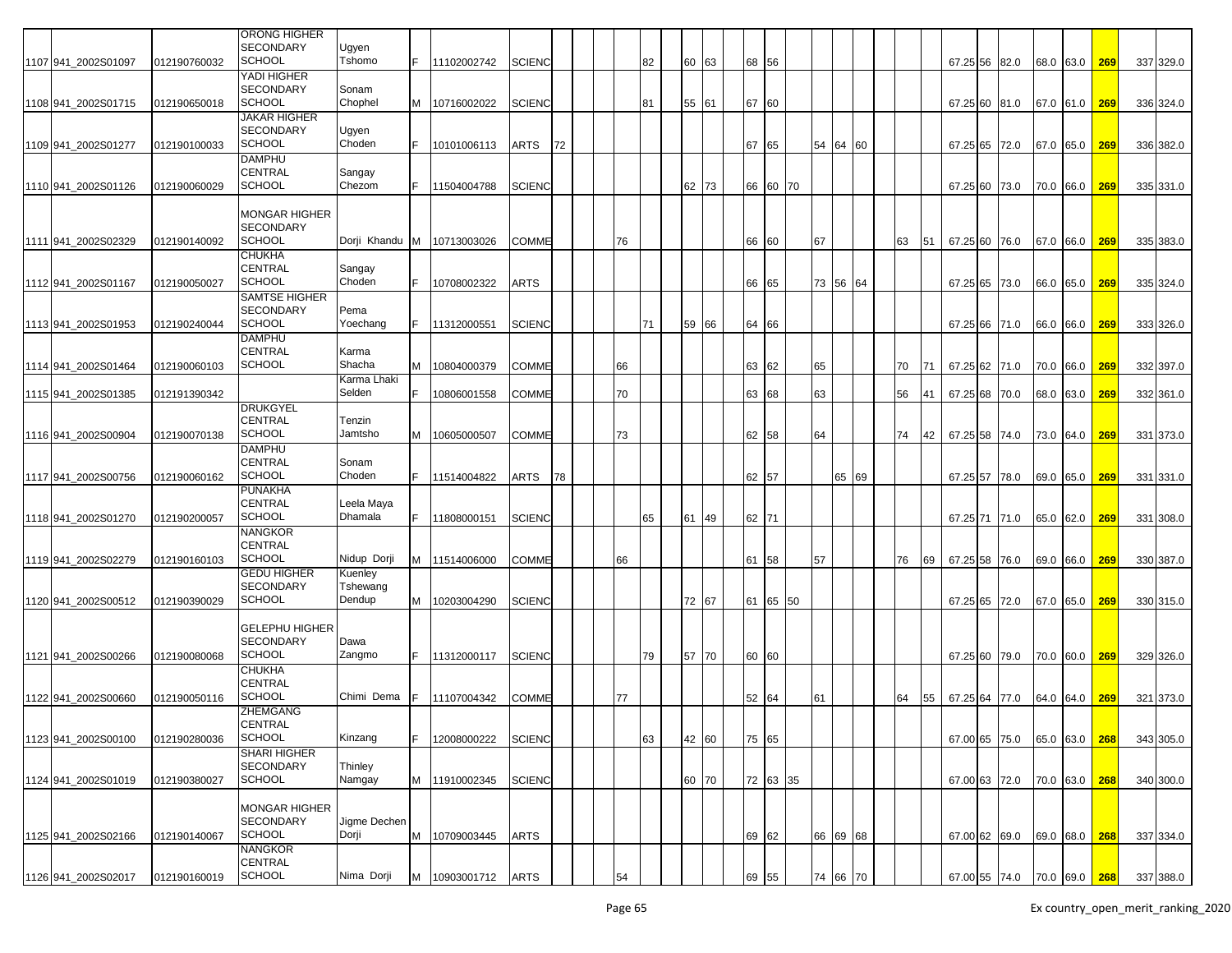|                      |              | ORONG HIGHER                                               |                       |     |               |               |    |    |    |       |       |          |    |          |    |    |               |                             |               |     |           |
|----------------------|--------------|------------------------------------------------------------|-----------------------|-----|---------------|---------------|----|----|----|-------|-------|----------|----|----------|----|----|---------------|-----------------------------|---------------|-----|-----------|
| 1107 941_2002S01097  | 012190760032 | SECONDARY<br><b>SCHOOL</b>                                 | Ugyen<br>Tshomo       | F.  | 11102002742   | <b>SCIENC</b> |    |    | 82 | 60 63 | 68 56 |          |    |          |    |    | 67.25 56 82.0 |                             | 68.0 63.0     | 269 | 337 329.0 |
|                      |              | YADI HIGHER                                                |                       |     |               |               |    |    |    |       |       |          |    |          |    |    |               |                             |               |     |           |
|                      |              | <b>SECONDARY</b>                                           | Sonam                 |     |               |               |    |    |    |       |       |          |    |          |    |    |               |                             |               |     |           |
| 1108 941_2002S01715  | 012190650018 | <b>SCHOOL</b>                                              | Chophel               | м   | 10716002022   | <b>SCIENC</b> |    |    | 81 | 55 61 | 67 60 |          |    |          |    |    | 67.25 60 81.0 |                             | 67.0 61.0     | 269 | 336 324.0 |
|                      |              | <b>JAKAR HIGHER</b><br>SECONDARY                           | Ugyen                 |     |               |               |    |    |    |       |       |          |    |          |    |    |               |                             |               |     |           |
| 1109 941_2002S01277  | 012190100033 | <b>SCHOOL</b>                                              | Choden                |     | 10101006113   | ARTS          | 72 |    |    |       | 67    | 65       |    | 54 64 60 |    |    | 67.25 65 72.0 |                             | 67.0 65.0     | 269 | 336 382.0 |
|                      |              | DAMPHU                                                     |                       |     |               |               |    |    |    |       |       |          |    |          |    |    |               |                             |               |     |           |
|                      |              | CENTRAL                                                    | Sangay                |     |               |               |    |    |    |       |       |          |    |          |    |    |               |                             |               |     |           |
| 1110 941_2002S01126  | 012190060029 | <b>SCHOOL</b>                                              | Chezom                | F.  | 11504004788   | SCIENC        |    |    |    | 62 73 |       | 66 60 70 |    |          |    |    | 67.25 60 73.0 |                             | 70.0 66.0     | 269 | 335 331.0 |
| 11111 941 2002S02329 | 012190140092 | MONGAR HIGHER<br><b>SECONDARY</b><br><b>SCHOOL</b>         | Dorji Khandu          | IM. | 10713003026   | COMME         |    | 76 |    |       | 66    | 60       | 67 |          | 63 | 51 | 67.25 60 76.0 |                             | 67.0 66.0     | 269 | 335 383.0 |
|                      |              | CHUKHA<br>CENTRAL                                          | Sangay                |     |               |               |    |    |    |       |       |          |    |          |    |    |               |                             |               |     |           |
| 1112 941 2002S01167  | 012190050027 | <b>SCHOOL</b>                                              | Choden                |     | 10708002322   | <b>ARTS</b>   |    |    |    |       |       | 66 65    |    | 73 56 64 |    |    | 67.25 65 73.0 |                             | 66.0 65.0     | 269 | 335 324.0 |
|                      |              | SAMTSE HIGHER                                              |                       |     |               |               |    |    |    |       |       |          |    |          |    |    |               |                             |               |     |           |
|                      |              | SECONDARY<br><b>SCHOOL</b>                                 | Pema<br>Yoechang      |     |               |               |    |    |    |       |       |          |    |          |    |    |               |                             |               |     |           |
| 1113 941 2002S01953  | 012190240044 | DAMPHU                                                     |                       |     | 11312000551   | SCIENC        |    |    | 71 | 59 66 | 64 66 |          |    |          |    |    |               | 67.25 66 71.0               | 66.0 66.0     | 269 | 333 326.0 |
|                      |              | CENTRAL                                                    | Karma                 |     |               |               |    |    |    |       |       |          |    |          |    |    |               |                             |               |     |           |
| 1114 941 2002S01464  | 012190060103 | <b>SCHOOL</b>                                              | Shacha                | м   | 10804000379   | COMME         |    | 66 |    |       |       | 63 62    | 65 |          | 70 | 71 | 67.25 62 71.0 |                             | 70.0 66.0     | 269 | 332 397.0 |
|                      |              |                                                            | Karma Lhaki<br>Selden |     |               |               |    |    |    |       |       |          |    |          |    |    |               |                             |               |     |           |
| 1115 941_2002S01385  | 012191390342 | <b>DRUKGYEL</b>                                            |                       |     | 10806001558   | COMME         |    | 70 |    |       |       | 63 68    | 63 |          | 56 | 41 | 67.25 68 70.0 |                             | 68.0 63.0     | 269 | 332 361.0 |
|                      |              | CENTRAL                                                    | Tenzin                |     |               |               |    |    |    |       |       |          |    |          |    |    |               |                             |               |     |           |
| 1116 941 2002S00904  | 012190070138 | <b>SCHOOL</b>                                              | Jamtsho               | M   | 10605000507   | <b>COMME</b>  |    | 73 |    |       |       | 62 58    | 64 |          | 74 | 42 | 67.25 58 74.0 |                             | 73.0 64.0     | 269 | 331 373.0 |
|                      |              | <b>DAMPHU</b>                                              |                       |     |               |               |    |    |    |       |       |          |    |          |    |    |               |                             |               |     |           |
| 1117 941 2002S00756  | 012190060162 | CENTRAL<br><b>SCHOOL</b>                                   | Sonam<br>Choden       | F.  | 11514004822   | ARTS          | 78 |    |    |       | 62 57 |          |    | 65 69    |    |    | 67.25 57 78.0 |                             | 69.0 65.0     | 269 | 331 331.0 |
|                      |              | PUNAKHA                                                    |                       |     |               |               |    |    |    |       |       |          |    |          |    |    |               |                             |               |     |           |
|                      |              | CENTRAL                                                    | Leela Maya            |     |               |               |    |    |    |       |       |          |    |          |    |    |               |                             |               |     |           |
| 1118 941_2002S01270  | 012190200057 | <b>SCHOOL</b>                                              | Dhamala               | F   | 11808000151   | SCIENC        |    |    | 65 | 61 49 | 62 71 |          |    |          |    |    | 67.25 71 71.0 |                             | 65.0 62.0     | 269 | 331 308.0 |
|                      |              | NANGKOR<br>CENTRAL                                         |                       |     |               |               |    |    |    |       |       |          |    |          |    |    |               |                             |               |     |           |
| 1119 941 2002S02279  | 012190160103 | <b>SCHOOL</b>                                              | Nidup Dorji           | M   | 11514006000   | COMME         |    | 66 |    |       | 61 58 |          | 57 |          | 76 | 69 | 67.25 58 76.0 |                             | 69.0 66.0     | 269 | 330 387.0 |
|                      |              | <b>GEDU HIGHER</b>                                         | Kuenley               |     |               |               |    |    |    |       |       |          |    |          |    |    |               |                             |               |     |           |
|                      |              | <b>SECONDARY</b>                                           | Tshewang              |     |               |               |    |    |    |       |       |          |    |          |    |    |               |                             |               |     |           |
| 1120 941 2002S00512  | 012190390029 | <b>SCHOOL</b>                                              | Dendup                | M   | 10203004290   | <b>SCIENC</b> |    |    |    | 72 67 |       | 61 65 50 |    |          |    |    | 67.25 65 72.0 |                             | 67.0 65.0     | 269 | 330 315.0 |
| 1121 941 2002S00266  | 012190080068 | <b>GELEPHU HIGHER</b><br><b>SECONDARY</b><br><b>SCHOOL</b> | Dawa<br>Zangmo        |     | 11312000117   | <b>SCIENC</b> |    |    | 79 | 57 70 | 60 60 |          |    |          |    |    |               | 67.25 60 79.0 70.0 60.0     |               | 269 | 329 326.0 |
|                      |              | CHUKHA                                                     |                       |     |               |               |    |    |    |       |       |          |    |          |    |    |               |                             |               |     |           |
|                      |              | CENTRAL                                                    |                       |     |               |               |    |    |    |       |       |          |    |          |    |    |               |                             |               |     |           |
| 1122 941 2002S00660  | 012190050116 | SCHOOL<br>ZHEMGANG                                         | Chimi Dema            |     | 11107004342   | COMME         |    | 77 |    |       | 52 64 |          | 61 |          | 64 | 55 | 67.25 64 77.0 |                             | 64.0 64.0     | 269 | 321 373.0 |
|                      |              | CENTRAL                                                    |                       |     |               |               |    |    |    |       |       |          |    |          |    |    |               |                             |               |     |           |
| 1123 941 2002S00100  | 012190280036 | <b>SCHOOL</b>                                              | Kinzang               | F.  | 12008000222   | <b>SCIENC</b> |    |    | 63 | 42 60 | 75 65 |          |    |          |    |    |               | 67.00 65 75.0               | 65.0 63.0 268 |     | 343 305.0 |
|                      |              | SHARI HIGHER                                               |                       |     |               |               |    |    |    |       |       |          |    |          |    |    |               |                             |               |     |           |
| 1124 941_2002S01019  | 012190380027 | SECONDARY<br><b>SCHOOL</b>                                 | Thinley<br>Namgay     |     | M 11910002345 | <b>SCIENC</b> |    |    |    | 60 70 |       | 72 63 35 |    |          |    |    |               | 67.00 63 72.0 70.0 63.0 268 |               |     | 340 300.0 |
|                      |              |                                                            |                       |     |               |               |    |    |    |       |       |          |    |          |    |    |               |                             |               |     |           |
| 1125 941_2002S02166  | 012190140067 | <b>MONGAR HIGHER</b><br>SECONDARY<br><b>SCHOOL</b>         | Jigme Dechen<br>Dorji | M   | 10709003445   | <b>ARTS</b>   |    |    |    |       |       | 69 62    |    | 66 69 68 |    |    |               | 67.00 62 69.0 69.0 68.0 268 |               |     | 337 334.0 |
|                      |              | NANGKOR                                                    |                       |     |               |               |    |    |    |       |       |          |    |          |    |    |               |                             |               |     |           |
| 1126 941 2002S02017  | 012190160019 | CENTRAL<br><b>SCHOOL</b>                                   | Nima Dorji            | м   | 10903001712   | <b>ARTS</b>   |    | 54 |    |       | 69 55 |          |    | 74 66 70 |    |    |               | 67.00 55 74.0 70.0 69.0 268 |               |     | 337 388.0 |
|                      |              |                                                            |                       |     |               |               |    |    |    |       |       |          |    |          |    |    |               |                             |               |     |           |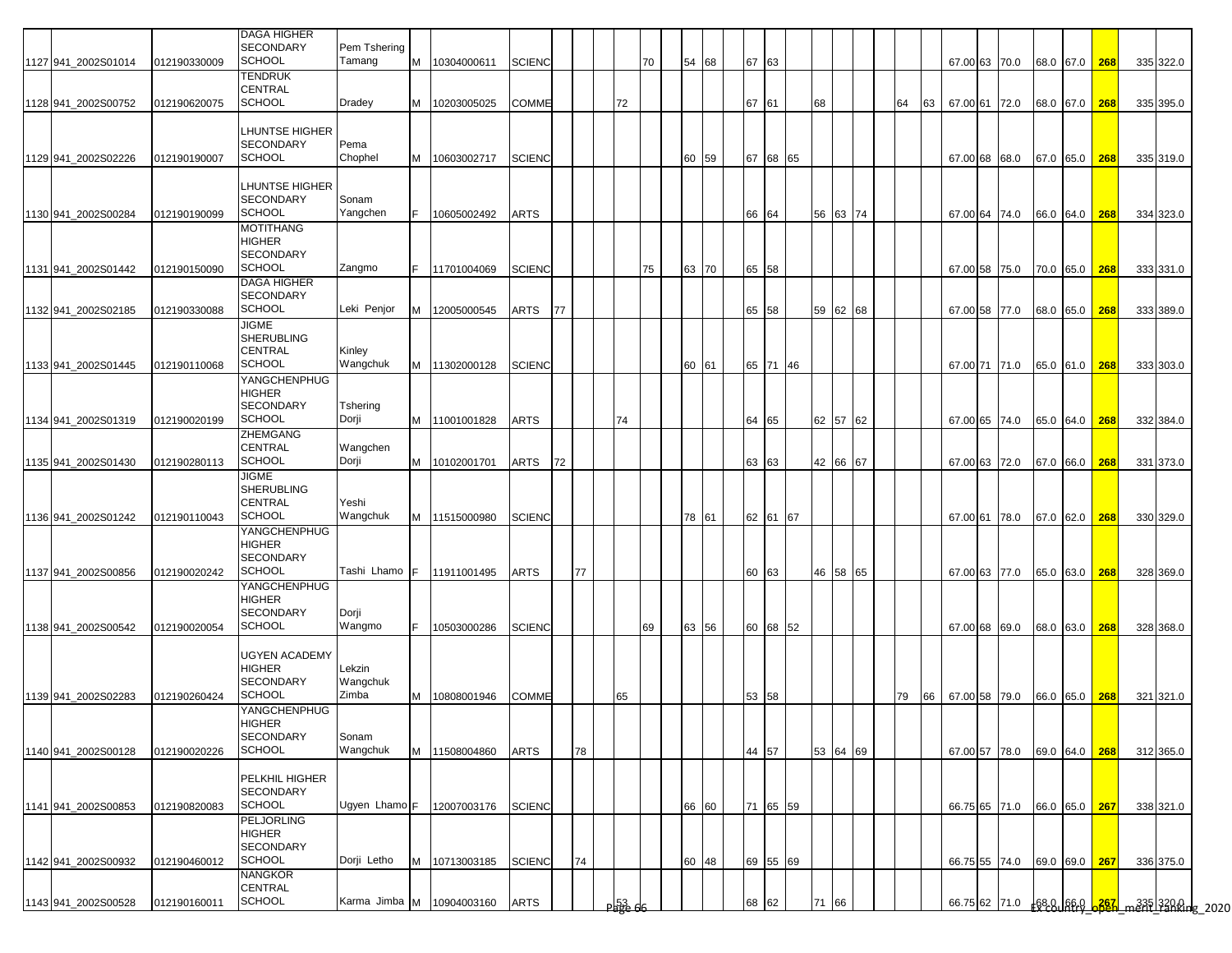| 1127 941_2002S01014 | 012190330009 | <b>DAGA HIGHER</b><br>SECONDARY<br><b>SCHOOL</b>                        | Pem Tshering<br>Tamang      | M  | 10304000611   | <b>SCIENC</b> |    |    |                   | 70 | 54<br>68 | 67 63 |          |    |    |          |    |    |  | 67.00 63 70.0 |               | 68.0 67.0 268 |     | 335 322.0                                          |
|---------------------|--------------|-------------------------------------------------------------------------|-----------------------------|----|---------------|---------------|----|----|-------------------|----|----------|-------|----------|----|----|----------|----|----|--|---------------|---------------|---------------|-----|----------------------------------------------------|
| 1128 941 2002S00752 | 012190620075 | TENDRUK<br>CENTRAL<br><b>SCHOOL</b>                                     | Dradey                      | M  | 10203005025   | COMME         |    |    | 72                |    |          | 67 61 |          |    | 68 |          | 64 | 63 |  | 67.00 61 72.0 | 68.0 67.0 268 |               |     | 335 395.0                                          |
| 1129 941 2002S02226 | 012190190007 | <b>LHUNTSE HIGHER</b><br><b>SECONDARY</b><br><b>SCHOOL</b>              | Pema<br>Chophel             | M  | 10603002717   | <b>SCIENC</b> |    |    |                   |    | 60<br>59 |       | 67 68 65 |    |    |          |    |    |  | 67.00 68 68.0 |               | 67.0 65.0     | 268 | 335 319.0                                          |
| 1130 941_2002S00284 | 012190190099 | <b>LHUNTSE HIGHER</b><br><b>SECONDARY</b><br>SCHOOL                     | Sonam<br>Yangchen           | F. | 10605002492   | ARTS          |    |    |                   |    |          | 66 64 |          |    | 56 | 63 74    |    |    |  | 67.00 64 74.0 |               | 66.0 64.0 268 |     | 334 323.0                                          |
| 1131 941 2002S01442 | 012190150090 | <b>MOTITHANG</b><br>HIGHER<br><b>SECONDARY</b><br><b>SCHOOL</b>         | Zangmo                      | F. | 11701004069   | <b>SCIENC</b> |    |    |                   | 75 | 63<br>70 | 65 58 |          |    |    |          |    |    |  | 67.00 58 75.0 |               | 70.0 65.0 268 |     | 333 331.0                                          |
| 1132 941 2002S02185 | 012190330088 | <b>DAGA HIGHER</b><br><b>SECONDARY</b><br>SCHOOL                        | Leki Penjor                 | M  | 12005000545   | ARTS          | 77 |    |                   |    |          | 65 58 |          |    | 59 | 62 68    |    |    |  | 67.00 58 77.0 |               | 68.0 65.0     | 268 | 333 389.0                                          |
| 1133 941_2002S01445 | 012190110068 | <b>JIGME</b><br><b>SHERUBLING</b><br>CENTRAL<br><b>SCHOOL</b>           | Kinley<br>Wangchuk          | M  | 11302000128   | <b>SCIENC</b> |    |    |                   |    | 60<br>61 | 65 71 |          | 46 |    |          |    |    |  | 67.00 71 71.0 |               | 65.0 61.0 268 |     | 333 303.0                                          |
| 1134 941 2002S01319 | 012190020199 | YANGCHENPHUG<br>HIGHER<br><b>SECONDARY</b><br>SCHOOL                    | <b>Tshering</b><br>Dorji    | M  | 11001001828   | <b>ARTS</b>   |    |    | 74                |    |          | 64 65 |          |    |    | 62 57 62 |    |    |  | 67.00 65 74.0 |               | 65.0 64.0 268 |     | 332 384.0                                          |
| 1135 941_2002S01430 | 012190280113 | <b>ZHEMGANG</b><br>CENTRAL<br><b>SCHOOL</b>                             | Wangchen<br>Dorji           | M  | 10102001701   | ARTS          | 72 |    |                   |    |          | 63 63 |          |    |    | 42 66 67 |    |    |  | 67.00 63 72.0 |               | 67.0 66.0 268 |     | 331 373.0                                          |
| 1136 941_2002S01242 | 012190110043 | <b>JIGME</b><br><b>SHERUBLING</b><br><b>CENTRAL</b><br><b>SCHOOL</b>    | Yeshi<br>Wangchuk           |    | M 11515000980 | <b>SCIENC</b> |    |    |                   |    | 78<br>61 | 62 61 |          | 67 |    |          |    |    |  | 67.00 61 78.0 |               | 67.0 62.0 268 |     | 330 329.0                                          |
| 1137 941 2002S00856 | 012190020242 | YANGCHENPHUG<br><b>HIGHER</b><br><b>SECONDARY</b><br>SCHOOL             | Tashi Lhamo <b>IF</b>       |    | 11911001495   | <b>ARTS</b>   |    | 77 |                   |    |          | 60 63 |          |    | 46 | 58 65    |    |    |  | 67.00 63 77.0 |               | 65.0 63.0 268 |     | 328 369.0                                          |
| 1138 941 2002S00542 | 012190020054 | YANGCHENPHUG<br><b>HIGHER</b><br><b>SECONDARY</b><br>SCHOOL             | Dorji<br>Wangmo             | F. | 10503000286   | <b>SCIENC</b> |    |    |                   | 69 | 63<br>56 |       | 60 68 52 |    |    |          |    |    |  | 67.00 68 69.0 |               | 68.0 63.0 268 |     | 328 368.0                                          |
| 1139 941_2002S02283 | 012190260424 | <b>UGYEN ACADEMY</b><br>HIGHER<br><b>SECONDARY</b><br>SCHOOL            | Lekzin<br>Wangchuk<br>Zimba | M  | 10808001946   | COMME         |    |    | 65                |    |          | 53 58 |          |    |    |          | 79 | 66 |  | 67.00 58 79.0 |               | 66.0 65.0 268 |     | 321 321.0                                          |
| 1140 941_2002S00128 | 012190020226 | YANGCHENPHUG<br>HIGHER<br>SECONDARY<br><b>SCHOOL</b>                    | Sonam<br>Wangchuk           | M  | 11508004860   | <b>ARTS</b>   |    | 78 |                   |    |          | 44 57 |          |    |    | 53 64 69 |    |    |  | 67.00 57 78.0 |               | 69.0 64.0 268 |     | 312 365.0                                          |
| 1141 941 2002S00853 | 012190820083 | PELKHIL HIGHER<br><b>SECONDARY</b><br><b>SCHOOL</b>                     | Ugyen Lhamo F               |    | 12007003176   | <b>SCIENC</b> |    |    |                   |    | 66<br>60 |       | 71 65 59 |    |    |          |    |    |  | 66.75 65 71.0 |               | 66.0 65.0 267 |     | 338 321.0                                          |
| 1142 941 2002S00932 | 012190460012 | <b>PELJORLING</b><br><b>HIGHER</b><br><b>SECONDARY</b><br><b>SCHOOL</b> | Dorji Letho                 | M  | 10713003185   | <b>SCIENC</b> |    | 74 |                   |    | 60<br>48 |       | 69 55 69 |    |    |          |    |    |  | 66.75 55 74.0 |               | 69.0 69.0 267 |     | 336 375.0                                          |
| 1143 941 2002S00528 | 012190160011 | NANGKOR<br>CENTRAL<br><b>SCHOOL</b>                                     | Karma Jimba M               |    | 10904003160   | <b>ARTS</b>   |    |    | <u>) မြန်မီ 6</u> |    |          | 68 62 |          |    | 71 | 66       |    |    |  |               |               |               |     | 66.75 62 71.0 68.8 66.9 6881 ment 1335 3200 g 2020 |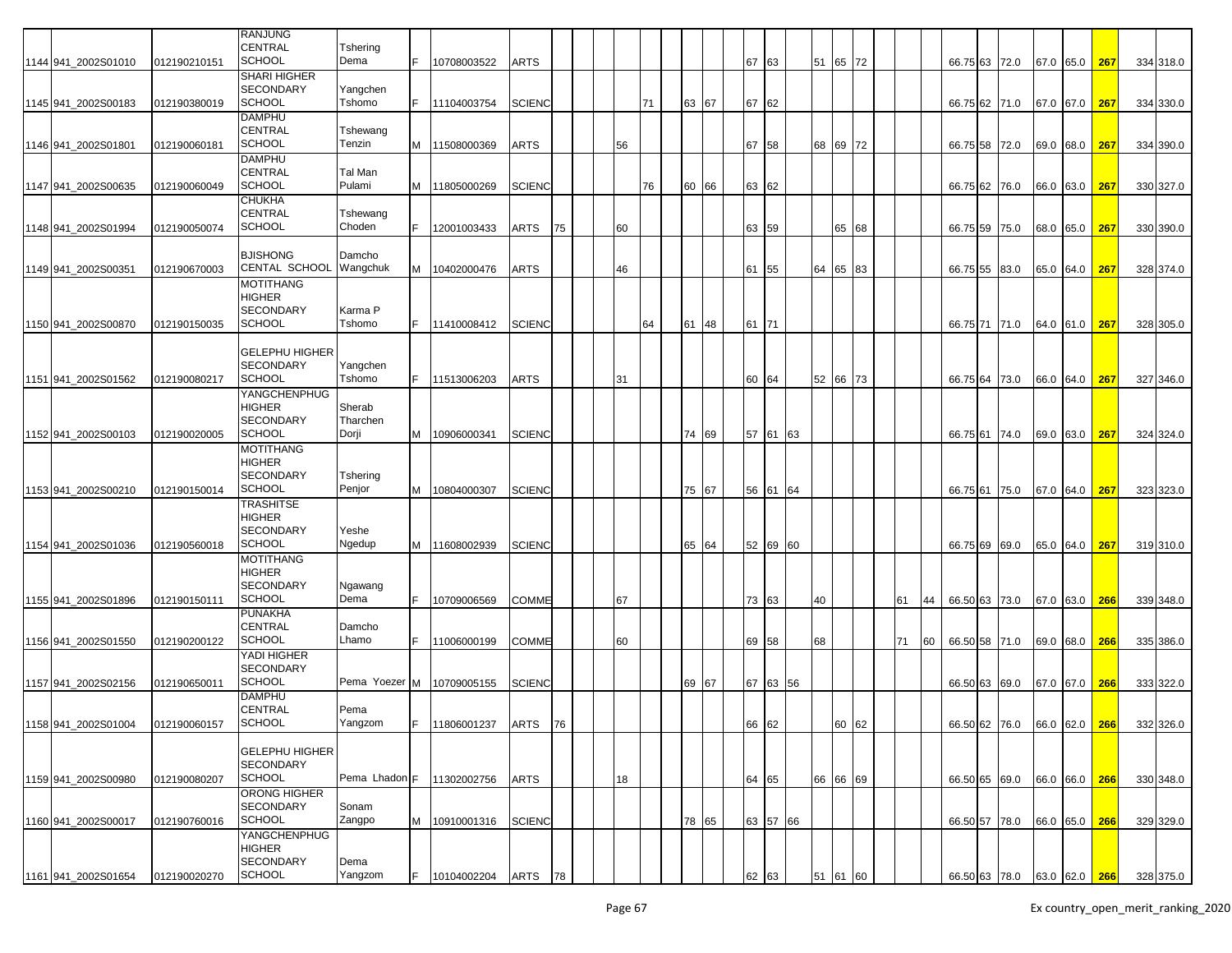|                     |              | <b>RANJUNG</b>        |               |    |             |               |    |    |    |       |       |          |    |          |          |    |    |               |                             |           |               |     |           |
|---------------------|--------------|-----------------------|---------------|----|-------------|---------------|----|----|----|-------|-------|----------|----|----------|----------|----|----|---------------|-----------------------------|-----------|---------------|-----|-----------|
|                     |              | CENTRAL               | Tshering      |    |             |               |    |    |    |       |       |          |    |          |          |    |    |               |                             |           |               |     |           |
| 1144 941_2002S01010 | 012190210151 | <b>SCHOOL</b>         | Dema          | F. | 10708003522 | <b>ARTS</b>   |    |    |    |       | 67    | 63       |    | 51 65 72 |          |    |    | 66.75 63 72.0 |                             |           | 67.0 65.0     | 267 | 334 318.0 |
|                     |              | <b>SHARI HIGHER</b>   |               |    |             |               |    |    |    |       |       |          |    |          |          |    |    |               |                             |           |               |     |           |
|                     |              | <b>SECONDARY</b>      | Yangchen      |    |             |               |    |    |    |       |       |          |    |          |          |    |    |               |                             |           |               |     |           |
| 1145 941_2002S00183 | 012190380019 | SCHOOL                | Tshomo        | F. | 11104003754 | <b>SCIENC</b> |    |    | 71 | 63 67 | 67    | 62       |    |          |          |    |    | 66.75 62 71.0 |                             | 67.0 67.0 |               | 267 | 334 330.0 |
|                     |              | <b>DAMPHU</b>         |               |    |             |               |    |    |    |       |       |          |    |          |          |    |    |               |                             |           |               |     |           |
|                     |              | CENTRAL               | Tshewang      |    |             |               |    |    |    |       |       |          |    |          |          |    |    |               |                             |           |               |     |           |
| 1146 941_2002S01801 | 012190060181 | <b>SCHOOL</b>         | Tenzin        | м  | 11508000369 | <b>ARTS</b>   |    | 56 |    |       | 67 58 |          |    | 68 69 72 |          |    |    | 66.75 58      | 72.0                        | 69.0 68.0 |               | 267 | 334 390.0 |
|                     |              | <b>DAMPHU</b>         |               |    |             |               |    |    |    |       |       |          |    |          |          |    |    |               |                             |           |               |     |           |
|                     |              | <b>CENTRAL</b>        | Tal Man       |    |             |               |    |    |    |       |       |          |    |          |          |    |    |               |                             |           |               |     |           |
|                     |              | <b>SCHOOL</b>         | Pulami        |    |             |               |    |    |    |       |       |          |    |          |          |    |    |               |                             |           |               |     |           |
| 1147 941 2002S00635 | 012190060049 |                       |               | м  | 11805000269 | <b>SCIENC</b> |    |    | 76 | 60 66 | 63 62 |          |    |          |          |    |    | 66.75 62 76.0 |                             | 66.0 63.0 |               | 267 | 330 327.0 |
|                     |              | <b>CHUKHA</b>         |               |    |             |               |    |    |    |       |       |          |    |          |          |    |    |               |                             |           |               |     |           |
|                     |              | CENTRAL               | Tshewang      |    |             |               |    |    |    |       |       |          |    |          |          |    |    |               |                             |           |               |     |           |
| 1148 941_2002S01994 | 012190050074 | <b>SCHOOL</b>         | Choden        |    | 12001003433 | ARTS          | 75 | 60 |    |       | 63 59 |          |    |          | 65 68    |    |    | 66.75 59 75.0 |                             | 68.0 65.0 |               | 267 | 330 390.0 |
|                     |              |                       |               |    |             |               |    |    |    |       |       |          |    |          |          |    |    |               |                             |           |               |     |           |
|                     |              | <b>BJISHONG</b>       | Damcho        |    |             |               |    |    |    |       |       |          |    |          |          |    |    |               |                             |           |               |     |           |
| 1149 941 2002S0035  | 012190670003 | <b>CENTAL SCHOOL</b>  | Wangchuk      | М  | 10402000476 | ARTS          |    | 46 |    |       | 61    | 55       |    | 64       | 65 83    |    |    | 66.75 55 83.0 |                             | 65.0 64.0 |               | 267 | 328 374.0 |
|                     |              | <b>MOTITHANG</b>      |               |    |             |               |    |    |    |       |       |          |    |          |          |    |    |               |                             |           |               |     |           |
|                     |              | <b>HIGHER</b>         |               |    |             |               |    |    |    |       |       |          |    |          |          |    |    |               |                             |           |               |     |           |
|                     |              | <b>SECONDARY</b>      | Karma P       |    |             |               |    |    |    |       |       |          |    |          |          |    |    |               |                             |           |               |     |           |
| 1150 941 2002S00870 | 012190150035 | <b>SCHOOL</b>         | Tshomo        | F. | 11410008412 | <b>SCIENC</b> |    |    | 64 | 61 48 | 61    | 71       |    |          |          |    |    | 66.75 71      | 71.0                        | 64.0 61.0 |               | 267 | 328 305.0 |
|                     |              |                       |               |    |             |               |    |    |    |       |       |          |    |          |          |    |    |               |                             |           |               |     |           |
|                     |              | <b>GELEPHU HIGHER</b> |               |    |             |               |    |    |    |       |       |          |    |          |          |    |    |               |                             |           |               |     |           |
|                     |              | <b>SECONDARY</b>      | Yangchen      |    |             |               |    |    |    |       |       |          |    |          |          |    |    |               |                             |           |               |     |           |
| 1151 941_2002S01562 | 012190080217 | <b>SCHOOL</b>         | Tshomo        | F. | 11513006203 | <b>ARTS</b>   |    | 31 |    |       | 60 64 |          |    | 52 66 73 |          |    |    | 66.75 64 73.0 |                             | 66.0 64.0 |               | 267 | 327 346.0 |
|                     |              | YANGCHENPHUG          |               |    |             |               |    |    |    |       |       |          |    |          |          |    |    |               |                             |           |               |     |           |
|                     |              | <b>HIGHER</b>         | Sherab        |    |             |               |    |    |    |       |       |          |    |          |          |    |    |               |                             |           |               |     |           |
|                     |              | <b>SECONDARY</b>      | Tharchen      |    |             |               |    |    |    |       |       |          |    |          |          |    |    |               |                             |           |               |     |           |
| 1152 941 2002S00103 | 012190020005 | <b>SCHOOL</b>         | Dorji         | м  | 10906000341 | <b>SCIENC</b> |    |    |    | 74 69 | 57 61 |          | 63 |          |          |    |    | 66.75 61      | 74.0                        | 69.0 63.0 |               | 267 | 324 324.0 |
|                     |              | <b>MOTITHANG</b>      |               |    |             |               |    |    |    |       |       |          |    |          |          |    |    |               |                             |           |               |     |           |
|                     |              | <b>HIGHER</b>         |               |    |             |               |    |    |    |       |       |          |    |          |          |    |    |               |                             |           |               |     |           |
|                     |              |                       |               |    |             |               |    |    |    |       |       |          |    |          |          |    |    |               |                             |           |               |     |           |
|                     |              | <b>SECONDARY</b>      | Tshering      |    |             |               |    |    |    |       |       |          |    |          |          |    |    |               |                             |           |               |     |           |
| 1153 941 2002S00210 | 012190150014 | SCHOOL                | Penjor        | м  | 10804000307 | <b>SCIENC</b> |    |    |    | 75 67 | 56 61 |          | 64 |          |          |    |    | 66.75 61      | 75.0                        | 67.0 64.0 |               | 267 | 323 323.0 |
|                     |              | <b>TRASHITSE</b>      |               |    |             |               |    |    |    |       |       |          |    |          |          |    |    |               |                             |           |               |     |           |
|                     |              | <b>HIGHER</b>         |               |    |             |               |    |    |    |       |       |          |    |          |          |    |    |               |                             |           |               |     |           |
|                     |              | <b>SECONDARY</b>      | Yeshe         |    |             |               |    |    |    |       |       |          |    |          |          |    |    |               |                             |           |               |     |           |
| 1154 941 2002S01036 | 012190560018 | <b>SCHOOL</b>         | Ngedup        | M  | 11608002939 | <b>SCIENC</b> |    |    |    | 65 64 |       | 52 69 60 |    |          |          |    |    | 66.75 69 69.0 |                             | 65.0 64.0 |               | 267 | 319 310.0 |
|                     |              | <b>MOTITHANG</b>      |               |    |             |               |    |    |    |       |       |          |    |          |          |    |    |               |                             |           |               |     |           |
|                     |              | <b>HIGHER</b>         |               |    |             |               |    |    |    |       |       |          |    |          |          |    |    |               |                             |           |               |     |           |
|                     |              | <b>SECONDARY</b>      | Ngawang       |    |             |               |    |    |    |       |       |          |    |          |          |    |    |               |                             |           |               |     |           |
| 1155 941 2002S01896 | 012190150111 | <b>SCHOOL</b>         | Dema          |    | 10709006569 | <b>COMME</b>  |    | 67 |    |       |       | 73 63    |    | 40       |          | 61 | 44 | 66.50 63 73.0 |                             |           | 67.0 63.0     | 266 | 339 348.0 |
|                     |              | <b>PUNAKHA</b>        |               |    |             |               |    |    |    |       |       |          |    |          |          |    |    |               |                             |           |               |     |           |
|                     |              | CENTRAL               | Damcho        |    |             |               |    |    |    |       |       |          |    |          |          |    |    |               |                             |           |               |     |           |
| 1156 941_2002S01550 | 012190200122 | <b>SCHOOL</b>         | Lhamo         | F. | 11006000199 | COMME         |    | 60 |    |       | 69 58 |          |    | 68       |          | 71 | 60 | 66.50 58 71.0 |                             | 69.0 68.0 |               | 266 | 335 386.0 |
|                     |              | YADI HIGHER           |               |    |             |               |    |    |    |       |       |          |    |          |          |    |    |               |                             |           |               |     |           |
|                     |              | <b>SECONDARY</b>      |               |    |             |               |    |    |    |       |       |          |    |          |          |    |    |               |                             |           |               |     |           |
| 1157 941_2002S02156 | 012190650011 | <b>SCHOOL</b>         | Pema Yoezer   | M  | 10709005155 | <b>SCIENC</b> |    |    |    | 69 67 |       | 67 63 56 |    |          |          |    |    | 66.50 63 69.0 |                             | 67.0 67.0 |               | 266 | 333 322.0 |
|                     |              | DAMPHU                |               |    |             |               |    |    |    |       |       |          |    |          |          |    |    |               |                             |           |               |     |           |
|                     |              | <b>CENTRAL</b>        | Pema          |    |             |               |    |    |    |       |       |          |    |          |          |    |    |               |                             |           |               |     |           |
| 1158 941_2002S01004 | 012190060157 | <b>SCHOOL</b>         | Yangzom       |    | 11806001237 | ARTS 76       |    |    |    |       |       | 66 62    |    |          | 60 62    |    |    |               | 66.50 62 76.0 66.0 62.0 266 |           |               |     | 332 326.0 |
|                     |              |                       |               |    |             |               |    |    |    |       |       |          |    |          |          |    |    |               |                             |           |               |     |           |
|                     |              | <b>GELEPHU HIGHER</b> |               |    |             |               |    |    |    |       |       |          |    |          |          |    |    |               |                             |           |               |     |           |
|                     |              | <b>SECONDARY</b>      |               |    |             |               |    |    |    |       |       |          |    |          |          |    |    |               |                             |           |               |     |           |
| 1159 941_2002S00980 | 012190080207 | <b>SCHOOL</b>         | Pema Lhadon F |    | 11302002756 | <b>ARTS</b>   |    | 18 |    |       | 64 65 |          |    | 66 66 69 |          |    |    |               | 66.50 65 69.0 66.0 66.0 266 |           |               |     | 330 348.0 |
|                     |              |                       |               |    |             |               |    |    |    |       |       |          |    |          |          |    |    |               |                             |           |               |     |           |
|                     |              | <b>ORONG HIGHER</b>   |               |    |             |               |    |    |    |       |       |          |    |          |          |    |    |               |                             |           |               |     |           |
|                     |              | <b>SECONDARY</b>      | Sonam         |    |             |               |    |    |    |       |       |          |    |          |          |    |    |               |                             |           |               |     |           |
| 1160 941_2002S00017 | 012190760016 | <b>SCHOOL</b>         | Zangpo        | M  | 10910001316 | <b>SCIENC</b> |    |    |    | 78 65 |       | 63 57 66 |    |          |          |    |    | 66.50 57 78.0 |                             |           | 66.0 65.0 266 |     | 329 329.0 |
|                     |              | YANGCHENPHUG          |               |    |             |               |    |    |    |       |       |          |    |          |          |    |    |               |                             |           |               |     |           |
|                     |              | HIGHER                |               |    |             |               |    |    |    |       |       |          |    |          |          |    |    |               |                             |           |               |     |           |
|                     |              | <b>SECONDARY</b>      | Dema          |    |             |               |    |    |    |       |       |          |    |          |          |    |    |               |                             |           |               |     |           |
| 1161 941_2002S01654 | 012190020270 | <b>SCHOOL</b>         | Yangzom       | F. | 10104002204 | ARTS          | 78 |    |    |       | 62 63 |          |    |          | 51 61 60 |    |    |               | 66.50 63 78.0 63.0 62.0 266 |           |               |     | 328 375.0 |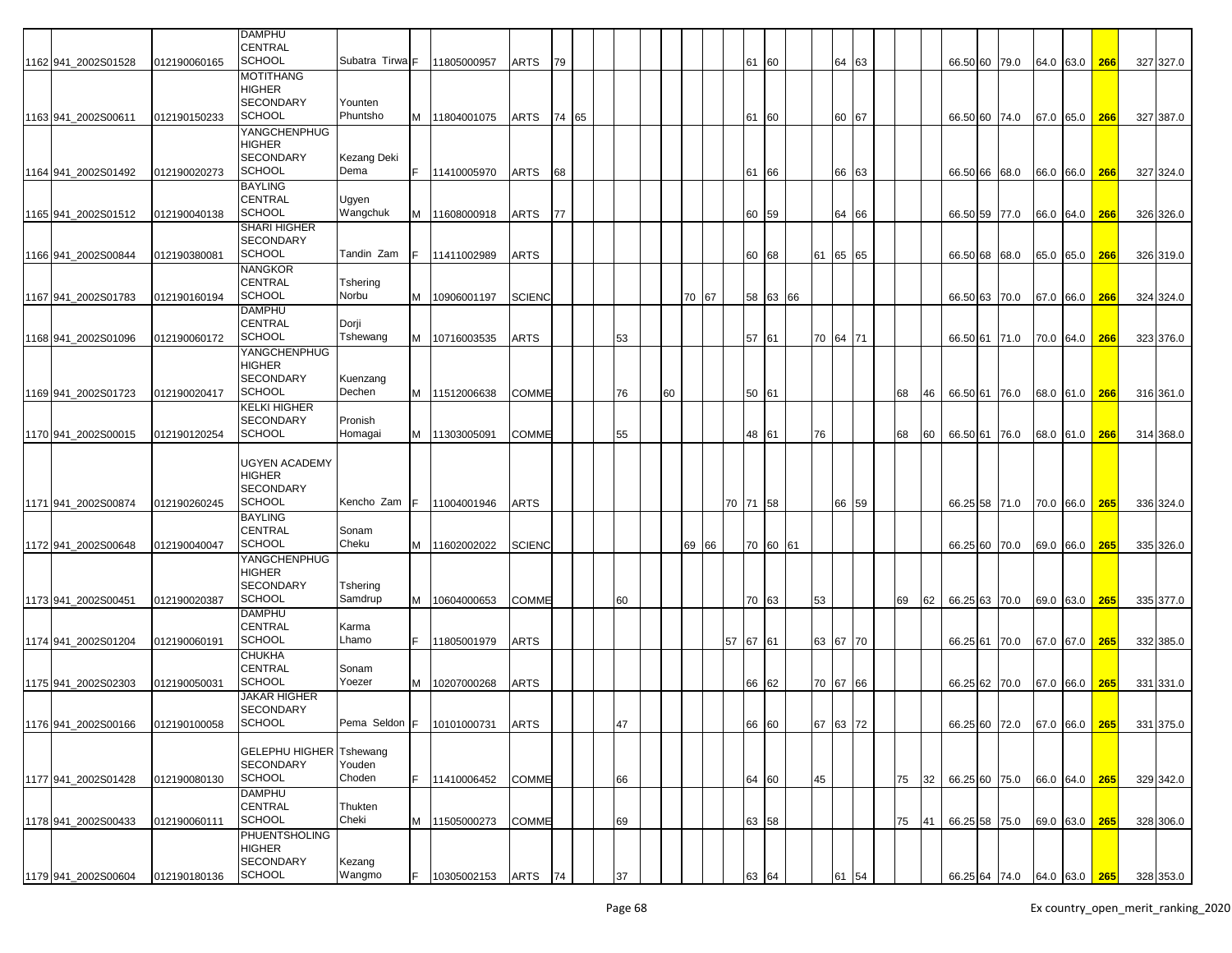|                      |              | <b>DAMPHU</b><br><b>CENTRAL</b>                    |                     |    |                                    |               |    |       |    |    |    |       |       |          |          |    |                |    |    |                             |      |      |               |     |           |
|----------------------|--------------|----------------------------------------------------|---------------------|----|------------------------------------|---------------|----|-------|----|----|----|-------|-------|----------|----------|----|----------------|----|----|-----------------------------|------|------|---------------|-----|-----------|
| 1162 941 2002S01528  | 012190060165 | <b>SCHOOL</b>                                      | Subatra Tirwa F     |    | 11805000957                        | ARTS          | 79 |       |    |    |    |       |       | 61       | 60       |    | 64 63          |    |    | 66.50 60 79.0               |      |      | 64.0 63.0     | 266 | 327 327.0 |
|                      |              | <b>MOTITHANG</b>                                   |                     |    |                                    |               |    |       |    |    |    |       |       |          |          |    |                |    |    |                             |      |      |               |     |           |
|                      |              | <b>HIGHER</b>                                      |                     |    |                                    |               |    |       |    |    |    |       |       |          |          |    |                |    |    |                             |      |      |               |     |           |
| 1163 941 2002 S00611 | 012190150233 | <b>SECONDARY</b><br><b>SCHOOL</b>                  | Younten<br>Phuntsho |    | M 11804001075                      | ARTS          |    | 74 65 |    |    |    |       |       | 61       | 60       |    | 60 67          |    |    | 66.50 60 74.0               |      |      | 67.0 65.0     | 266 | 327 387.0 |
|                      |              | YANGCHENPHUG                                       |                     |    |                                    |               |    |       |    |    |    |       |       |          |          |    |                |    |    |                             |      |      |               |     |           |
|                      |              | <b>HIGHER</b>                                      |                     |    |                                    |               |    |       |    |    |    |       |       |          |          |    |                |    |    |                             |      |      |               |     |           |
|                      |              | <b>SECONDARY</b>                                   | Kezang Deki         |    |                                    |               |    |       |    |    |    |       |       |          |          |    |                |    |    |                             |      |      |               |     |           |
| 1164 941 2002S01492  | 012190020273 | <b>SCHOOL</b>                                      | Dema                | F. | 11410005970                        | ARTS          | 68 |       |    |    |    |       |       | 61       | 66       |    | 66 63          |    |    | 66.50 66 68.0               |      |      | 66.0 66.0     | 266 | 327 324.0 |
|                      |              | <b>BAYLING</b>                                     |                     |    |                                    |               |    |       |    |    |    |       |       |          |          |    |                |    |    |                             |      |      |               |     |           |
| 1165 941 2002S01512  | 012190040138 | <b>CENTRAL</b><br><b>SCHOOL</b>                    | Ugyen<br>Wangchuk   |    | 11608000918                        | ARTS          | 77 |       |    |    |    |       |       | 60       | 59       |    | 64 66          |    |    |                             |      |      |               | 266 |           |
|                      |              | <b>SHARI HIGHER</b>                                |                     | м  |                                    |               |    |       |    |    |    |       |       |          |          |    |                |    |    | 66.50 59 77.0               |      |      | 66.0 64.0     |     | 326 326.0 |
|                      |              | <b>SECONDARY</b>                                   |                     |    |                                    |               |    |       |    |    |    |       |       |          |          |    |                |    |    |                             |      |      |               |     |           |
| 1166 941 2002S00844  | 012190380081 | <b>SCHOOL</b>                                      | Tandin Zam          |    | 11411002989                        | ARTS          |    |       |    |    |    |       |       | 60       | 68       |    | 61 65 65       |    |    | 66.50 68                    | 68.0 |      | 65.0 65.0     | 266 | 326 319.0 |
|                      |              | <b>NANGKOR</b>                                     |                     |    |                                    |               |    |       |    |    |    |       |       |          |          |    |                |    |    |                             |      |      |               |     |           |
|                      |              | <b>CENTRAL</b>                                     | Tshering            |    |                                    |               |    |       |    |    |    |       |       |          |          |    |                |    |    |                             |      |      |               |     |           |
| 1167 941_2002S01783  | 012190160194 | <b>SCHOOL</b>                                      | Norbu               | м  | 10906001197                        | <b>SCIENC</b> |    |       |    |    | 70 | 67    |       | 58       | 63 66    |    |                |    |    | 66.50 63                    | 70.0 | 67.0 | 66.0          | 266 | 324 324.0 |
|                      |              | <b>DAMPHU</b><br><b>CENTRAL</b>                    | Dorji               |    |                                    |               |    |       |    |    |    |       |       |          |          |    |                |    |    |                             |      |      |               |     |           |
| 1168 941 2002S01096  | 012190060172 | <b>SCHOOL</b>                                      | Tshewang            |    | M   10716003535                    | ARTS          |    |       | 53 |    |    |       |       | 57       | 61       |    | 70 64 71       |    |    | 66.50 61 71.0               |      |      | 70.0 64.0     | 266 | 323 376.0 |
|                      |              | YANGCHENPHUG                                       |                     |    |                                    |               |    |       |    |    |    |       |       |          |          |    |                |    |    |                             |      |      |               |     |           |
|                      |              | <b>HIGHER</b>                                      |                     |    |                                    |               |    |       |    |    |    |       |       |          |          |    |                |    |    |                             |      |      |               |     |           |
|                      |              | <b>SECONDARY</b>                                   | Kuenzang            |    |                                    |               |    |       |    |    |    |       |       |          |          |    |                |    |    |                             |      |      |               |     |           |
| 1169 941 2002S01723  | 012190020417 | <b>SCHOOL</b>                                      | Dechen              |    | M 11512006638                      | <b>COMME</b>  |    |       | 76 | 60 |    |       |       | 50 61    |          |    |                | 68 | 46 | 66.50 61 76.0               |      |      | 68.0 61.0     | 266 | 316 361.0 |
|                      |              | <b>KELKI HIGHER</b>                                |                     |    |                                    |               |    |       |    |    |    |       |       |          |          |    |                |    |    |                             |      |      |               |     |           |
| 1170 941 2002S00015  | 012190120254 | <b>SECONDARY</b><br><b>SCHOOL</b>                  | Pronish<br>Homagai  |    | M 11303005091                      | COMME         |    |       | 55 |    |    |       |       | 48 61    |          | 76 |                | 68 |    | 66.50 61 76.0               |      |      |               |     |           |
|                      |              |                                                    |                     |    |                                    |               |    |       |    |    |    |       |       |          |          |    |                |    | 60 |                             |      |      | 68.0 61.0     | 266 | 314 368.0 |
|                      |              | <b>UGYEN ACADEMY</b>                               |                     |    |                                    |               |    |       |    |    |    |       |       |          |          |    |                |    |    |                             |      |      |               |     |           |
|                      |              | <b>HIGHER</b>                                      |                     |    |                                    |               |    |       |    |    |    |       |       |          |          |    |                |    |    |                             |      |      |               |     |           |
|                      |              | <b>SECONDARY</b>                                   |                     |    |                                    |               |    |       |    |    |    |       |       |          |          |    |                |    |    |                             |      |      |               |     |           |
| 1171 941 2002S00874  | 012190260245 | <b>SCHOOL</b>                                      | Kencho Zam          |    | 11004001946                        | ARTS          |    |       |    |    |    |       |       | 70 71 58 |          |    | 66 59          |    |    | 66.25 58 71.0               |      |      | 70.0 66.0     | 265 | 336 324.0 |
|                      |              | <b>BAYLING</b>                                     |                     |    |                                    |               |    |       |    |    |    |       |       |          |          |    |                |    |    |                             |      |      |               |     |           |
| 1172 941_2002S00648  |              | <b>CENTRAL</b><br><b>SCHOOL</b>                    | Sonam<br>Cheku      |    |                                    |               |    |       |    |    |    | 69 66 |       |          | 70 60 61 |    |                |    |    |                             |      |      |               |     |           |
|                      | 012190040047 | YANGCHENPHUG                                       |                     | M  | 11602002022                        | <b>SCIENC</b> |    |       |    |    |    |       |       |          |          |    |                |    |    | 66.25 60                    | 70.0 |      | 69.0 66.0     | 265 | 335 326.0 |
|                      |              | <b>HIGHER</b>                                      |                     |    |                                    |               |    |       |    |    |    |       |       |          |          |    |                |    |    |                             |      |      |               |     |           |
|                      |              | <b>SECONDARY</b>                                   | Tshering            |    |                                    |               |    |       |    |    |    |       |       |          |          |    |                |    |    |                             |      |      |               |     |           |
| 1173 941 2002S00451  | 012190020387 | SCHOOL                                             | Samdrup             | M  | 10604000653                        | <b>COMME</b>  |    |       | 60 |    |    |       |       | 70       | 63       | 53 |                | 69 | 62 | 66.25 63 70.0               |      |      | 69.0 63.0     | 265 | 335 377.0 |
|                      |              | <b>DAMPHU</b>                                      |                     |    |                                    |               |    |       |    |    |    |       |       |          |          |    |                |    |    |                             |      |      |               |     |           |
|                      |              | <b>CENTRAL</b>                                     | Karma               |    |                                    |               |    |       |    |    |    |       |       |          |          |    |                |    |    |                             |      |      |               |     |           |
| 1174 941 2002S01204  | 012190060191 | <b>SCHOOL</b><br><b>CHUKHA</b>                     | Lhamo               |    | 11805001979                        | ARTS          |    |       |    |    |    |       | 57 67 |          | 61       |    | 63 67 70       |    |    | 66.25 61                    | 70.0 |      | 67.0 67.0     | 265 | 332 385.0 |
|                      |              | <b>CENTRAL</b>                                     | Sonam               |    |                                    |               |    |       |    |    |    |       |       |          |          |    |                |    |    |                             |      |      |               |     |           |
| 1175 941 2002S02303  | 012190050031 | <b>SCHOOL</b>                                      | Yoezer              | M  | 10207000268                        | ARTS          |    |       |    |    |    |       |       | 66       | 62       |    | 70 67 66       |    |    | 66.25 62 70.0               |      |      | 67.0 66.0     | 265 | 331 331.0 |
|                      |              | <b>JAKAR HIGHER</b>                                |                     |    |                                    |               |    |       |    |    |    |       |       |          |          |    |                |    |    |                             |      |      |               |     |           |
|                      |              | <b>SECONDARY</b>                                   |                     |    |                                    |               |    |       |    |    |    |       |       |          |          |    |                |    |    |                             |      |      |               |     |           |
| 1176 941_2002S00166  | 012190100058 | SCHOOL                                             |                     |    | Pema Seldon F   10101000731   ARTS |               |    |       | 4/ |    |    |       |       | 66 60    |          |    | $67$ $63$ $12$ |    |    | 66.25 60 72.0               |      |      | 67.0 66.0 265 |     | 331 375.0 |
|                      |              |                                                    |                     |    |                                    |               |    |       |    |    |    |       |       |          |          |    |                |    |    |                             |      |      |               |     |           |
|                      |              | <b>GELEPHU HIGHER Tshewang</b><br><b>SECONDARY</b> | Youden              |    |                                    |               |    |       |    |    |    |       |       |          |          |    |                |    |    |                             |      |      |               |     |           |
| 1177 941 2002S01428  | 012190080130 | <b>SCHOOL</b>                                      | Choden              |    | 11410006452                        | <b>COMME</b>  |    |       | 66 |    |    |       |       | 64 60    |          | 45 |                | 75 | 32 | 66.25 60 75.0               |      |      | 66.0 64.0 265 |     | 329 342.0 |
|                      |              | <b>DAMPHU</b>                                      |                     |    |                                    |               |    |       |    |    |    |       |       |          |          |    |                |    |    |                             |      |      |               |     |           |
|                      |              | <b>CENTRAL</b>                                     | Thukten             |    |                                    |               |    |       |    |    |    |       |       |          |          |    |                |    |    |                             |      |      |               |     |           |
| 1178 941_2002S00433  | 012190060111 | <b>SCHOOL</b>                                      | Cheki               |    | M 11505000273                      | <b>COMME</b>  |    |       | 69 |    |    |       |       | 63 58    |          |    |                | 75 | 41 | 66.25 58 75.0               |      |      | 69.0 63.0 265 |     | 328 306.0 |
|                      |              | <b>PHUENTSHOLING</b>                               |                     |    |                                    |               |    |       |    |    |    |       |       |          |          |    |                |    |    |                             |      |      |               |     |           |
|                      |              | <b>HIGHER</b><br><b>SECONDARY</b>                  |                     |    |                                    |               |    |       |    |    |    |       |       |          |          |    |                |    |    |                             |      |      |               |     |           |
| 1179 941_2002S00604  | 012190180136 | <b>SCHOOL</b>                                      | Kezang<br>Wangmo    |    | 10305002153                        | ARTS          | 74 |       | 37 |    |    |       |       | 63       | 64       |    |                |    |    | 66.25 64 74.0 64.0 63.0 265 |      |      |               |     | 328 353.0 |
|                      |              |                                                    |                     |    |                                    |               |    |       |    |    |    |       |       |          |          |    | 61             |    |    |                             |      |      |               |     |           |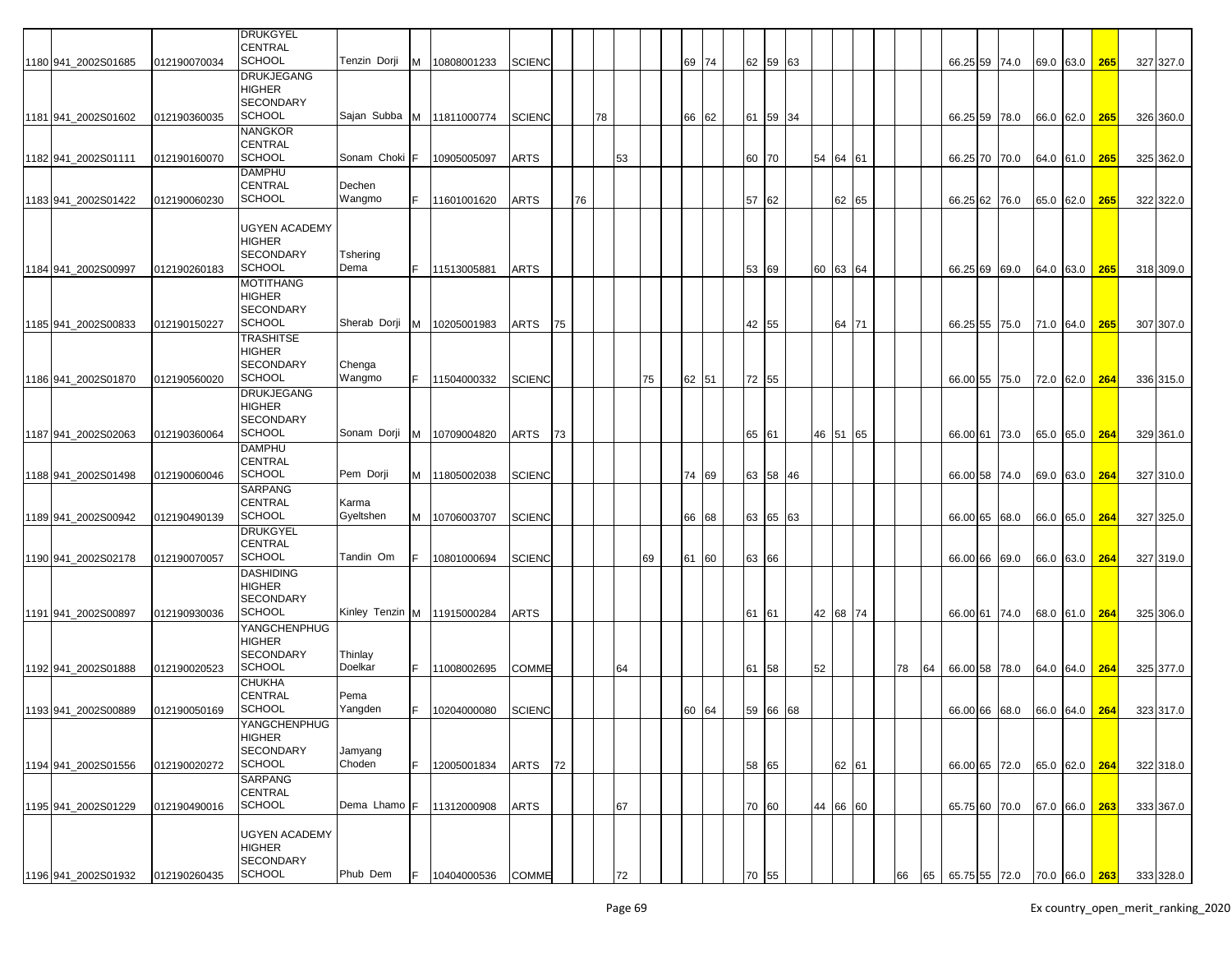|                     |              | <b>DRUKGYEL</b>      |                               |     |               |               |    |    |    |    |    |    |       |       |          |    |    |          |    |    |                             |      |           |               |     |           |
|---------------------|--------------|----------------------|-------------------------------|-----|---------------|---------------|----|----|----|----|----|----|-------|-------|----------|----|----|----------|----|----|-----------------------------|------|-----------|---------------|-----|-----------|
|                     |              | <b>CENTRAL</b>       |                               |     |               |               |    |    |    |    |    |    |       |       |          |    |    |          |    |    |                             |      |           |               |     |           |
| 1180 941_2002S01685 | 012190070034 | <b>SCHOOL</b>        | Tenzin Dorji                  |     | M 10808001233 | <b>SCIENC</b> |    |    |    |    |    |    | 69 74 |       | 62 59 63 |    |    |          |    |    | 66.25 59 74.0               |      |           | 69.0 63.0     | 265 | 327 327.0 |
|                     |              | <b>DRUKJEGANG</b>    |                               |     |               |               |    |    |    |    |    |    |       |       |          |    |    |          |    |    |                             |      |           |               |     |           |
|                     |              | <b>HIGHER</b>        |                               |     |               |               |    |    |    |    |    |    |       |       |          |    |    |          |    |    |                             |      |           |               |     |           |
|                     |              | <b>SECONDARY</b>     |                               |     |               |               |    |    |    |    |    |    |       |       |          |    |    |          |    |    |                             |      |           |               |     |           |
| 1181 941_2002S01602 | 012190360035 | <b>SCHOOL</b>        | Sajan Subba M   11811000774   |     |               | <b>SCIENC</b> |    |    | 78 |    |    |    | 66 62 |       | 61 59 34 |    |    |          |    |    | 66.25 59 78.0               |      |           | 66.0 62.0     | 265 | 326 360.0 |
|                     |              | <b>NANGKOR</b>       |                               |     |               |               |    |    |    |    |    |    |       |       |          |    |    |          |    |    |                             |      |           |               |     |           |
|                     |              | CENTRAL              |                               |     |               |               |    |    |    |    |    |    |       |       |          |    |    |          |    |    |                             |      |           |               |     |           |
| 1182 941_2002S01111 | 012190160070 | <b>SCHOOL</b>        | Sonam Choki                   | IF. | 10905005097   | <b>ARTS</b>   |    |    |    | 53 |    |    |       | 60 70 |          |    |    | 54 64 61 |    |    | 66.25 70 70.0               |      | 64.0 61.0 |               | 265 | 325 362.0 |
|                     |              | <b>DAMPHU</b>        |                               |     |               |               |    |    |    |    |    |    |       |       |          |    |    |          |    |    |                             |      |           |               |     |           |
|                     |              | CENTRAL              | Dechen                        |     |               |               |    |    |    |    |    |    |       |       |          |    |    |          |    |    |                             |      |           |               |     |           |
| 1183 941_2002S01422 | 012190060230 | <b>SCHOOL</b>        | Wangmo                        |     | 11601001620   | <b>ARTS</b>   |    | 76 |    |    |    |    |       | 57    | 62       |    |    | 62 65    |    |    | 66.25 62                    | 76.0 | 65.0 62.0 |               | 265 | 322 322.0 |
|                     |              |                      |                               |     |               |               |    |    |    |    |    |    |       |       |          |    |    |          |    |    |                             |      |           |               |     |           |
|                     |              | <b>UGYEN ACADEMY</b> |                               |     |               |               |    |    |    |    |    |    |       |       |          |    |    |          |    |    |                             |      |           |               |     |           |
|                     |              | <b>HIGHER</b>        |                               |     |               |               |    |    |    |    |    |    |       |       |          |    |    |          |    |    |                             |      |           |               |     |           |
|                     |              | <b>SECONDARY</b>     | Tshering                      |     |               |               |    |    |    |    |    |    |       |       |          |    |    |          |    |    |                             |      |           |               |     |           |
| 1184 941_2002S00997 | 012190260183 | <b>SCHOOL</b>        | Dema                          | F.  | 11513005881   | <b>ARTS</b>   |    |    |    |    |    |    |       | 53    | 69       |    | 60 | 63 64    |    |    | 66.25 69                    | 69.0 | 64.0 63.0 |               | 265 | 318 309.0 |
|                     |              | <b>MOTITHANG</b>     |                               |     |               |               |    |    |    |    |    |    |       |       |          |    |    |          |    |    |                             |      |           |               |     |           |
|                     |              | <b>HIGHER</b>        |                               |     |               |               |    |    |    |    |    |    |       |       |          |    |    |          |    |    |                             |      |           |               |     |           |
|                     |              | <b>SECONDARY</b>     |                               |     |               |               |    |    |    |    |    |    |       |       |          |    |    |          |    |    |                             |      |           |               |     |           |
| 1185 941_2002S00833 | 012190150227 | <b>SCHOOL</b>        | Sherab Dorji                  |     | M 10205001983 | ARTS          | 75 |    |    |    |    |    |       | 42 55 |          |    |    | 64 71    |    |    | 66.25 55                    | 75.0 | 71.0 64.0 |               | 265 | 307 307.0 |
|                     |              | <b>TRASHITSE</b>     |                               |     |               |               |    |    |    |    |    |    |       |       |          |    |    |          |    |    |                             |      |           |               |     |           |
|                     |              | <b>HIGHER</b>        |                               |     |               |               |    |    |    |    |    |    |       |       |          |    |    |          |    |    |                             |      |           |               |     |           |
|                     |              | <b>SECONDARY</b>     | Chenga                        |     |               |               |    |    |    |    |    |    |       |       |          |    |    |          |    |    |                             |      |           |               |     |           |
| 1186 941 2002S01870 | 012190560020 | <b>SCHOOL</b>        | Wangmo                        |     | 11504000332   | <b>SCIENC</b> |    |    |    |    | 75 |    | 62 51 | 72 55 |          |    |    |          |    |    | 66.00 55                    | 75.0 | 72.0 62.0 |               | 264 | 336 315.0 |
|                     |              | <b>DRUKJEGANG</b>    |                               |     |               |               |    |    |    |    |    |    |       |       |          |    |    |          |    |    |                             |      |           |               |     |           |
|                     |              | <b>HIGHER</b>        |                               |     |               |               |    |    |    |    |    |    |       |       |          |    |    |          |    |    |                             |      |           |               |     |           |
|                     |              | <b>SECONDARY</b>     |                               |     |               |               |    |    |    |    |    |    |       |       |          |    |    |          |    |    |                             |      |           |               |     |           |
| 1187 941 2002S02063 | 012190360064 | <b>SCHOOL</b>        | Sonam Dorji                   |     | M 10709004820 | <b>ARTS</b>   | 73 |    |    |    |    |    |       | 65 61 |          |    |    | 46 51 65 |    |    | 66.00 61 73.0               |      |           | 65.0 65.0 264 |     | 329 361.0 |
|                     |              | <b>DAMPHU</b>        |                               |     |               |               |    |    |    |    |    |    |       |       |          |    |    |          |    |    |                             |      |           |               |     |           |
|                     |              | <b>CENTRAL</b>       |                               |     |               |               |    |    |    |    |    |    |       |       |          |    |    |          |    |    |                             |      |           |               |     |           |
| 1188 941_2002S01498 | 012190060046 | <b>SCHOOL</b>        | Pem Dorji                     | M   | 11805002038   | <b>SCIENC</b> |    |    |    |    |    |    | 74 69 | 63 58 |          | 46 |    |          |    |    | 66.00 58 74.0               |      | 69.0 63.0 |               | 264 | 327 310.0 |
|                     |              | <b>SARPANG</b>       |                               |     |               |               |    |    |    |    |    |    |       |       |          |    |    |          |    |    |                             |      |           |               |     |           |
|                     |              | <b>CENTRAL</b>       | Karma                         |     |               |               |    |    |    |    |    |    |       |       |          |    |    |          |    |    |                             |      |           |               |     |           |
| 1189 941_2002S00942 | 012190490139 | <b>SCHOOL</b>        | Gyeltshen                     | M   | 10706003707   | <b>SCIENC</b> |    |    |    |    |    |    | 66 68 |       | 63 65 63 |    |    |          |    |    | 66.00 65                    | 68.0 | 66.0 65.0 |               | 264 | 327 325.0 |
|                     |              | <b>DRUKGYEL</b>      |                               |     |               |               |    |    |    |    |    |    |       |       |          |    |    |          |    |    |                             |      |           |               |     |           |
|                     |              | <b>CENTRAL</b>       |                               |     |               |               |    |    |    |    |    |    |       |       |          |    |    |          |    |    |                             |      |           |               |     |           |
| 1190 941 2002S02178 | 012190070057 | <b>SCHOOL</b>        | Tandin Om                     |     | 10801000694   | <b>SCIENC</b> |    |    |    |    | 69 | 61 | 60    | 63    | 66       |    |    |          |    |    | 66.00 66                    | 69.0 | 66.0 63.0 |               | 264 | 327 319.0 |
|                     |              | <b>DASHIDING</b>     |                               |     |               |               |    |    |    |    |    |    |       |       |          |    |    |          |    |    |                             |      |           |               |     |           |
|                     |              | HIGHER               |                               |     |               |               |    |    |    |    |    |    |       |       |          |    |    |          |    |    |                             |      |           |               |     |           |
|                     |              | <b>SECONDARY</b>     |                               |     |               |               |    |    |    |    |    |    |       |       |          |    |    |          |    |    |                             |      |           |               |     |           |
| 1191 941_2002S00897 | 012190930036 | <b>SCHOOL</b>        | Kinley Tenzin M   11915000284 |     |               | <b>ARTS</b>   |    |    |    |    |    |    |       | 61    | 61       |    |    | 42 68 74 |    |    | 66.00 61 74.0               |      | 68.0 61.0 |               | 264 | 325 306.0 |
|                     |              | YANGCHENPHUG         |                               |     |               |               |    |    |    |    |    |    |       |       |          |    |    |          |    |    |                             |      |           |               |     |           |
|                     |              | HIGHER               |                               |     |               |               |    |    |    |    |    |    |       |       |          |    |    |          |    |    |                             |      |           |               |     |           |
|                     |              | <b>SECONDARY</b>     | Thinlay                       |     |               |               |    |    |    |    |    |    |       |       |          |    |    |          |    |    |                             |      |           |               |     |           |
| 1192 941_2002S01888 | 012190020523 | <b>SCHOOL</b>        | Doelkar                       |     | F 11008002695 | <b>COMME</b>  |    |    |    | 64 |    |    |       | 61    | 58       |    | 52 |          | 78 | 64 | 66.00 58 78.0               |      |           | 64.0 64.0     | 264 | 325 377.0 |
|                     |              | <b>CHUKHA</b>        |                               |     |               |               |    |    |    |    |    |    |       |       |          |    |    |          |    |    |                             |      |           |               |     |           |
|                     |              | <b>CENTRAL</b>       | Pema                          |     |               |               |    |    |    |    |    |    |       |       |          |    |    |          |    |    |                             |      |           |               |     |           |
| 1193 941_2002S00889 | 012190050169 | <b>SCHOOL</b>        | Yangden                       |     | 10204000080   | <b>SCIENC</b> |    |    |    |    |    |    | 60 64 |       | 59 66 68 |    |    |          |    |    | 66.00 66                    | 68.0 |           | 66.0 64.0     | 264 | 323 317.0 |
|                     |              | YANGCHENPHUG         |                               |     |               |               |    |    |    |    |    |    |       |       |          |    |    |          |    |    |                             |      |           |               |     |           |
|                     |              | <b>HIGHER</b>        |                               |     |               |               |    |    |    |    |    |    |       |       |          |    |    |          |    |    |                             |      |           |               |     |           |
|                     |              | <b>SECONDARY</b>     | Jamyang                       |     |               |               |    |    |    |    |    |    |       |       |          |    |    |          |    |    |                             |      |           |               |     |           |
| 1194 941_2002S01556 | 012190020272 | <b>SCHOOL</b>        | Choden                        |     | 12005001834   | ARTS          | 72 |    |    |    |    |    |       | 58 65 |          |    |    | 62 61    |    |    | 66.00 65 72.0               |      |           | 65.0 62.0     | 264 | 322 318.0 |
|                     |              | SARPANG              |                               |     |               |               |    |    |    |    |    |    |       |       |          |    |    |          |    |    |                             |      |           |               |     |           |
|                     |              | <b>CENTRAL</b>       |                               |     |               |               |    |    |    |    |    |    |       |       |          |    |    |          |    |    |                             |      |           |               |     |           |
| 1195 941_2002S01229 | 012190490016 | <b>SCHOOL</b>        | Dema Lhamo F                  |     | 11312000908   | <b>ARTS</b>   |    |    |    | 67 |    |    |       | 70 60 |          |    |    | 44 66 60 |    |    | 65.75 60 70.0               |      |           | 67.0 66.0     | 263 | 333 367.0 |
|                     |              |                      |                               |     |               |               |    |    |    |    |    |    |       |       |          |    |    |          |    |    |                             |      |           |               |     |           |
|                     |              | <b>UGYEN ACADEMY</b> |                               |     |               |               |    |    |    |    |    |    |       |       |          |    |    |          |    |    |                             |      |           |               |     |           |
|                     |              | <b>HIGHER</b>        |                               |     |               |               |    |    |    |    |    |    |       |       |          |    |    |          |    |    |                             |      |           |               |     |           |
|                     |              | <b>SECONDARY</b>     |                               |     |               |               |    |    |    |    |    |    |       |       |          |    |    |          |    |    |                             |      |           |               |     |           |
| 1196 941_2002S01932 | 012190260435 | <b>SCHOOL</b>        | Phub Dem                      | IF. | 10404000536   | <b>COMME</b>  |    |    |    | 72 |    |    |       | 70    | 55       |    |    |          | 66 | 65 | 65.75 55 72.0 70.0 66.0 263 |      |           |               |     | 333 328.0 |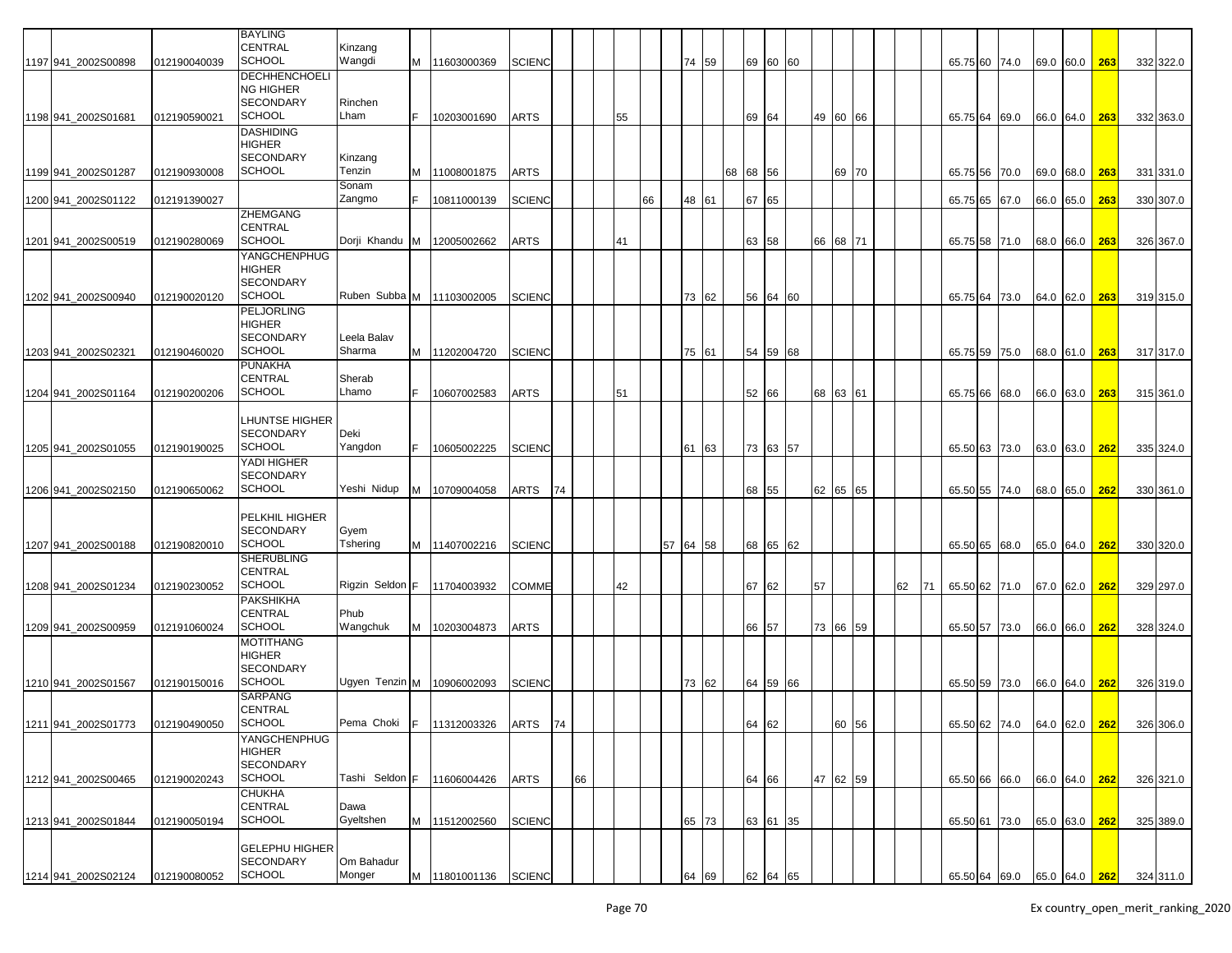|                      |              | <b>BAYLING</b><br><b>CENTRAL</b><br><b>SCHOOL</b> | Kinzang<br>Wangdi            |     |                                          |               |    |    |    |    |          | 74 59 |          |       |          |          |                 |    |    |          |                             |           |     |           |
|----------------------|--------------|---------------------------------------------------|------------------------------|-----|------------------------------------------|---------------|----|----|----|----|----------|-------|----------|-------|----------|----------|-----------------|----|----|----------|-----------------------------|-----------|-----|-----------|
| 1197 941 2002S00898  | 012190040039 | <b>DECHHENCHOELI</b>                              |                              | M   | 11603000369                              | <b>SCIENC</b> |    |    |    |    |          |       |          |       | 69 60 60 |          |                 |    |    |          | 65.75 60 74.0               | 69.0 60.0 | 263 | 332 322.0 |
|                      |              | NG HIGHER                                         |                              |     |                                          |               |    |    |    |    |          |       |          |       |          |          |                 |    |    |          |                             |           |     |           |
| 1198 941 2002S01681  | 012190590021 | <b>SECONDARY</b><br><b>SCHOOL</b>                 | Rinchen<br>Lham              |     | 10203001690                              | <b>ARTS</b>   |    |    | 55 |    |          |       |          | 69    | 64       |          | 49 60 66        |    |    | 65.75 64 | 69.0                        | 66.0 64.0 | 263 | 332 363.0 |
|                      |              | <b>DASHIDING</b>                                  |                              |     |                                          |               |    |    |    |    |          |       |          |       |          |          |                 |    |    |          |                             |           |     |           |
|                      |              | <b>HIGHER</b><br><b>SECONDARY</b>                 | Kinzang                      |     |                                          |               |    |    |    |    |          |       |          |       |          |          |                 |    |    |          |                             |           |     |           |
| 1199 941_2002S01287  | 012190930008 | <b>SCHOOL</b>                                     | Tenzin                       | M   | 11008001875                              | <b>ARTS</b>   |    |    |    |    |          |       | 68 68 56 |       |          |          | 69 70           |    |    |          | 65.75 56 70.0               | 69.0 68.0 | 263 | 331 331.0 |
| 1200 941_2002S01122  | 012191390027 |                                                   | Sonam<br>Zangmo              |     | 10811000139                              | <b>SCIENC</b> |    |    |    | 66 |          | 48 61 |          | 67    | 65       |          |                 |    |    | 65.75 65 | 67.0                        | 66.0 65.0 | 263 | 330 307.0 |
|                      |              | ZHEMGANG<br><b>CENTRAL</b>                        |                              |     |                                          |               |    |    |    |    |          |       |          |       |          |          |                 |    |    |          |                             |           |     |           |
| 1201 941_2002S00519  | 012190280069 | <b>SCHOOL</b>                                     | Dorji Khandu                 | IM. | 12005002662                              | ARTS          |    |    | 41 |    |          |       |          | 63    | 58       |          | 66 68 71        |    |    |          | 65.75 58 71.0               | 68.0 66.0 | 263 | 326 367.0 |
|                      |              | <b>YANGCHENPHUG</b><br><b>HIGHER</b>              |                              |     |                                          |               |    |    |    |    |          |       |          |       |          |          |                 |    |    |          |                             |           |     |           |
|                      |              | <b>SECONDARY</b>                                  |                              |     |                                          |               |    |    |    |    |          |       |          |       |          |          |                 |    |    |          |                             |           |     |           |
| 1202 941 2002S00940  | 012190020120 | <b>SCHOOL</b><br><b>PELJORLING</b>                | Ruben Subba M   11103002005  |     |                                          | <b>SCIENC</b> |    |    |    |    |          | 73 62 |          | 56    | 64 60    |          |                 |    |    | 65.75 64 | 73.0                        | 64.0 62.0 | 263 | 319 315.0 |
|                      |              | HIGHER                                            |                              |     |                                          |               |    |    |    |    |          |       |          |       |          |          |                 |    |    |          |                             |           |     |           |
| 1203 941 2002 S02321 | 012190460020 | <b>SECONDARY</b><br><b>SCHOOL</b>                 | Leela Balav<br>Sharma        | M   | 11202004720                              | <b>SCIENC</b> |    |    |    |    |          | 75 61 |          |       | 54 59 68 |          |                 |    |    | 65.75 59 | 75.0                        | 68.0 61.0 | 263 | 317 317.0 |
|                      |              | <b>PUNAKHA</b>                                    |                              |     |                                          |               |    |    |    |    |          |       |          |       |          |          |                 |    |    |          |                             |           |     |           |
| 1204 941 2002S01164  | 012190200206 | <b>CENTRAL</b><br><b>SCHOOL</b>                   | Sherab<br>Lhamo              |     | 10607002583                              | <b>ARTS</b>   |    |    |    |    |          |       |          | 52 66 |          |          |                 |    |    |          |                             |           | 263 |           |
|                      |              |                                                   |                              |     |                                          |               |    |    | 51 |    |          |       |          |       |          |          | 68 63 61        |    |    |          | 65.75 66 68.0               | 66.0 63.0 |     | 315 361.0 |
|                      |              | LHUNTSE HIGHER<br><b>SECONDARY</b>                | Deki                         |     |                                          |               |    |    |    |    |          |       |          |       |          |          |                 |    |    |          |                             |           |     |           |
| 1205 941 2002S01055  | 012190190025 | <b>SCHOOL</b>                                     | Yangdon                      |     | 10605002225                              | <b>SCIENC</b> |    |    |    |    | 61       | 63    |          |       | 73 63 57 |          |                 |    |    |          | 65.50 63 73.0               | 63.0 63.0 | 262 | 335 324.0 |
|                      |              | YADI HIGHER                                       |                              |     |                                          |               |    |    |    |    |          |       |          |       |          |          |                 |    |    |          |                             |           |     |           |
| 1206 941 2002S02150  | 012190650062 | <b>SECONDARY</b><br><b>SCHOOL</b>                 | Yeshi Nidup                  | M   | 10709004058                              | <b>ARTS</b>   | 74 |    |    |    |          |       |          | 68 55 |          |          | 62 65 65        |    |    |          | 65.50 55 74.0               | 68.0 65.0 | 262 | 330 361.0 |
|                      |              |                                                   |                              |     |                                          |               |    |    |    |    |          |       |          |       |          |          |                 |    |    |          |                             |           |     |           |
|                      |              | PELKHIL HIGHER<br><b>SECONDARY</b>                | Gyem                         |     |                                          |               |    |    |    |    |          |       |          |       |          |          |                 |    |    |          |                             |           |     |           |
| 1207 941 2002S00188  | 012190820010 | <b>SCHOOL</b>                                     | Tshering                     |     | M 11407002216                            | <b>SCIENC</b> |    |    |    |    | 57 64 58 |       |          |       | 68 65 62 |          |                 |    |    |          | 65.50 65 68.0               | 65.0 64.0 | 262 | 330 320.0 |
|                      |              | <b>SHERUBLING</b><br><b>CENTRAL</b>               |                              |     |                                          |               |    |    |    |    |          |       |          |       |          |          |                 |    |    |          |                             |           |     |           |
| 1208 941_2002S01234  | 012190230052 | <b>SCHOOL</b>                                     | Rigzin Seldon F              |     | 11704003932                              | <b>COMME</b>  |    |    | 42 |    |          |       |          | 67    | 62       | 57       |                 | 62 | 71 | 65.50 62 | 71.0                        | 67.0 62.0 | 262 | 329 297.0 |
|                      |              | <b>PAKSHIKHA</b><br><b>CENTRAL</b>                | Phub                         |     |                                          |               |    |    |    |    |          |       |          |       |          |          |                 |    |    |          |                             |           |     |           |
| 1209 941_2002S00959  | 012191060024 | <b>SCHOOL</b>                                     | Wangchuk                     | M   | 10203004873                              | ARTS          |    |    |    |    |          |       |          | 66    | 57       |          | 73 66 59        |    |    | 65.50 57 | 73.0                        | 66.0 66.0 | 262 | 328 324.0 |
|                      |              | <b>MOTITHANG</b><br><b>HIGHER</b>                 |                              |     |                                          |               |    |    |    |    |          |       |          |       |          |          |                 |    |    |          |                             |           |     |           |
|                      |              | <b>SECONDARY</b>                                  |                              |     |                                          |               |    |    |    |    |          |       |          |       |          |          |                 |    |    |          |                             |           |     |           |
| 1210 941 2002S01567  | 012190150016 | <b>SCHOOL</b><br><b>SARPANG</b>                   | Ugyen Tenzin M   10906002093 |     |                                          | <b>SCIENC</b> |    |    |    |    |          | 73 62 |          |       | 64 59 66 |          |                 |    |    | 65.50 59 | 73.0                        | 66.0 64.0 | 262 | 326 319.0 |
|                      |              | <b>CENTRAL</b>                                    |                              |     |                                          |               |    |    |    |    |          |       |          |       |          |          |                 |    |    |          |                             |           |     |           |
| 1211 941_2002S01773  | 012190490050 | <b>SCHOOL</b>                                     |                              |     | Pema Choki   F   11312003326   ARTS   74 |               |    |    |    |    |          |       |          | 64 62 |          |          | 00 <sub>1</sub> |    |    |          | 65.50 62 74.0 64.0 62.0 262 |           |     | 326 306.0 |
|                      |              | YANGCHENPHUG<br>HIGHER                            |                              |     |                                          |               |    |    |    |    |          |       |          |       |          |          |                 |    |    |          |                             |           |     |           |
| 1212 941_2002S00465  | 012190020243 | <b>SECONDARY</b><br><b>SCHOOL</b>                 | Tashi Seldon F 11606004426   |     |                                          | <b>ARTS</b>   |    | 66 |    |    |          |       |          |       |          | 47 62 59 |                 |    |    |          | 65.50 66 66.0               | 66.0 64.0 |     | 326 321.0 |
|                      |              | <b>CHUKHA</b>                                     |                              |     |                                          |               |    |    |    |    |          |       |          | 64    | 66       |          |                 |    |    |          |                             |           | 262 |           |
| 1213 941_2002S01844  |              | CENTRAL<br><b>SCHOOL</b>                          | Dawa<br>Gyeltshen            |     | M 11512002560                            |               |    |    |    |    |          |       |          |       | 63 61 35 |          |                 |    |    |          |                             |           |     |           |
|                      | 012190050194 |                                                   |                              |     |                                          | <b>SCIENC</b> |    |    |    |    |          | 65 73 |          |       |          |          |                 |    |    |          | 65.50 61 73.0               | 65.0 63.0 | 262 | 325 389.0 |
|                      |              | <b>GELEPHU HIGHER</b><br><b>SECONDARY</b>         | Om Bahadur                   |     |                                          |               |    |    |    |    |          |       |          |       |          |          |                 |    |    |          |                             |           |     |           |
| 1214 941 2002S02124  | 012190080052 | <b>SCHOOL</b>                                     | Monger                       |     | M  11801001136   SCIENC                  |               |    |    |    |    |          | 64 69 |          |       | 62 64 65 |          |                 |    |    |          | 65.50 64 69.0 65.0 64.0     |           | 262 | 324 311.0 |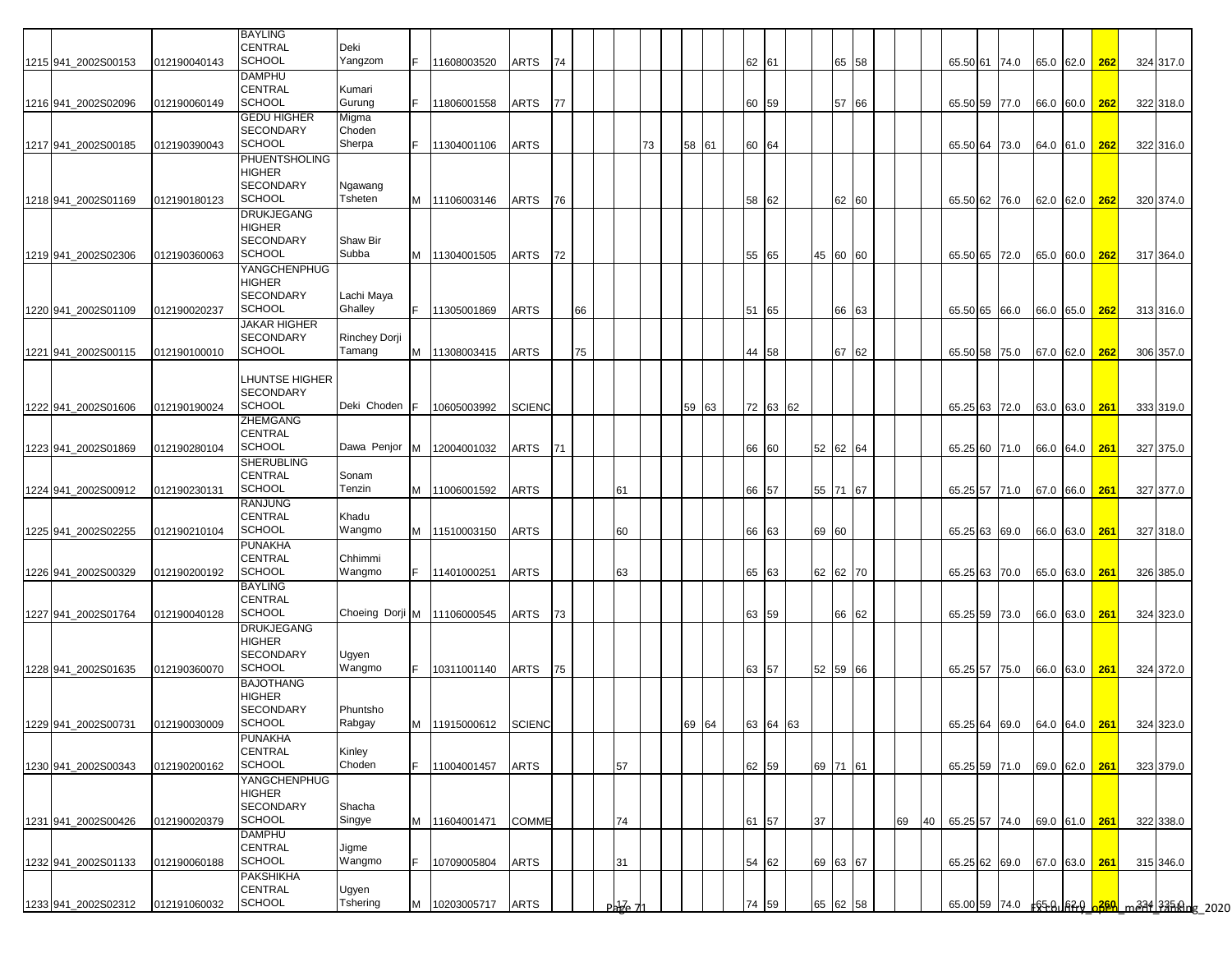|                     |              | <b>BAYLING</b><br>CENTRAL         | Deki                    |     |               |               |    |    |            |    |          |          |          |    |          |    |    |               |               |               |               |           |  |
|---------------------|--------------|-----------------------------------|-------------------------|-----|---------------|---------------|----|----|------------|----|----------|----------|----------|----|----------|----|----|---------------|---------------|---------------|---------------|-----------|--|
| 1215 941 2002S00153 | 012190040143 | <b>SCHOOL</b>                     | Yangzom                 |     | 11608003520   | ARTS          | 74 |    |            |    |          | 62 61    |          |    | 65 58    |    |    |               | 65.50 61 74.0 | 65.0 62.0     | 262           | 324 317.0 |  |
|                     |              | <b>DAMPHU</b>                     |                         |     |               |               |    |    |            |    |          |          |          |    |          |    |    |               |               |               |               |           |  |
|                     |              | CENTRAL                           | Kumari                  |     |               |               |    |    |            |    |          |          |          |    |          |    |    |               |               |               |               |           |  |
| 1216 941 2002S02096 | 012190060149 | <b>SCHOOL</b>                     | Gurung                  | F.  | 11806001558   | ARTS          | 77 |    |            |    |          | 60 59    |          |    | 57 66    |    |    |               | 65.50 59 77.0 |               | 66.0 60.0 262 | 322 318.0 |  |
|                     |              | <b>GEDU HIGHER</b>                | Migma                   |     |               |               |    |    |            |    |          |          |          |    |          |    |    |               |               |               |               |           |  |
|                     |              | <b>SECONDARY</b><br><b>SCHOOL</b> | Choden<br>Sherpa        | F.  |               |               |    |    |            |    |          |          |          |    |          |    |    |               |               |               |               |           |  |
| 1217 941_2002S00185 | 012190390043 | PHUENTSHOLING                     |                         |     | 11304001106   | <b>ARTS</b>   |    |    |            | 73 | 58<br>61 | 60 64    |          |    |          |    |    |               | 65.50 64 73.0 | 64.0 61.0 262 |               | 322 316.0 |  |
|                     |              | <b>HIGHER</b>                     |                         |     |               |               |    |    |            |    |          |          |          |    |          |    |    |               |               |               |               |           |  |
|                     |              | <b>SECONDARY</b>                  | Ngawang                 |     |               |               |    |    |            |    |          |          |          |    |          |    |    |               |               |               |               |           |  |
| 1218 941 2002S01169 | 012190180123 | SCHOOL                            | Tsheten                 | M   | 11106003146   | ARTS          | 76 |    |            |    |          | 58 62    |          |    | 62 60    |    |    |               | 65.50 62 76.0 | 62.0 62.0     | 262           | 320 374.0 |  |
|                     |              | <b>DRUKJEGANG</b>                 |                         |     |               |               |    |    |            |    |          |          |          |    |          |    |    |               |               |               |               |           |  |
|                     |              | <b>HIGHER</b><br><b>SECONDARY</b> | Shaw Bir                |     |               |               |    |    |            |    |          |          |          |    |          |    |    |               |               |               |               |           |  |
| 1219 941_2002S02306 | 012190360063 | <b>SCHOOL</b>                     | Subba                   | M   | 11304001505   | ARTS          | 72 |    |            |    |          | 55 65    |          |    | 45 60 60 |    |    |               | 65.50 65 72.0 | 65.0 60.0 262 |               | 317 364.0 |  |
|                     |              | YANGCHENPHUG                      |                         |     |               |               |    |    |            |    |          |          |          |    |          |    |    |               |               |               |               |           |  |
|                     |              | HIGHER                            |                         |     |               |               |    |    |            |    |          |          |          |    |          |    |    |               |               |               |               |           |  |
|                     |              | <b>SECONDARY</b>                  | Lachi Maya              |     |               |               |    |    |            |    |          |          |          |    |          |    |    |               |               |               |               |           |  |
| 1220 941_2002S01109 | 012190020237 | <b>SCHOOL</b>                     | Ghalley                 | F.  | 11305001869   | ARTS          |    | 66 |            |    |          | 51 65    |          |    | 66 63    |    |    |               | 65.50 65 66.0 | 66.0 65.0 262 |               | 313 316.0 |  |
|                     |              | JAKAR HIGHER                      |                         |     |               |               |    |    |            |    |          |          |          |    |          |    |    |               |               |               |               |           |  |
| 1221 941 2002S00115 | 012190100010 | <b>SECONDARY</b><br>SCHOOL        | Rinchey Dorji<br>Tamang | M   | 11308003415   | ARTS          |    | 75 |            |    |          | 44       | 58       |    | 67 62    |    |    | 65.50 58 75.0 |               | 67.0 62.0     | 262           | 306 357.0 |  |
|                     |              |                                   |                         |     |               |               |    |    |            |    |          |          |          |    |          |    |    |               |               |               |               |           |  |
|                     |              | LHUNTSE HIGHER                    |                         |     |               |               |    |    |            |    |          |          |          |    |          |    |    |               |               |               |               |           |  |
|                     |              | <b>SECONDARY</b>                  |                         |     |               |               |    |    |            |    |          |          |          |    |          |    |    |               |               |               |               |           |  |
| 1222 941 2002S01606 | 012190190024 | <b>SCHOOL</b>                     | Deki Choden             | IF. | 10605003992   | <b>SCIENC</b> |    |    |            |    | 59<br>63 |          | 72 63 62 |    |          |    |    |               | 65.25 63 72.0 | 63.0 63.0 261 |               | 333 319.0 |  |
|                     |              | ZHEMGANG                          |                         |     |               |               |    |    |            |    |          |          |          |    |          |    |    |               |               |               |               |           |  |
| 1223 941 2002S01869 |              | CENTRAL<br><b>SCHOOL</b>          | Dawa Penjor M           |     | 12004001032   | ARTS          | 71 |    |            |    |          | 66 60    |          |    | 52 62 64 |    |    |               |               |               |               |           |  |
|                     | 012190280104 | <b>SHERUBLING</b>                 |                         |     |               |               |    |    |            |    |          |          |          |    |          |    |    |               | 65.25 60 71.0 | 66.0 64.0 261 |               | 327 375.0 |  |
|                     |              | <b>CENTRAL</b>                    | Sonam                   |     |               |               |    |    |            |    |          |          |          |    |          |    |    |               |               |               |               |           |  |
| 1224 941_2002S00912 | 012190230131 | <b>SCHOOL</b>                     | Tenzin                  | M   | 11006001592   | <b>ARTS</b>   |    |    | 61         |    |          | 66 57    |          |    | 55 71 67 |    |    |               | 65.25 57 71.0 | 67.0 66.0 261 |               | 327 377.0 |  |
|                     |              | RANJUNG                           |                         |     |               |               |    |    |            |    |          |          |          |    |          |    |    |               |               |               |               |           |  |
|                     |              | CENTRAL                           | Khadu                   |     |               |               |    |    |            |    |          |          |          |    |          |    |    |               |               |               |               |           |  |
| 1225 941 2002S02255 | 012190210104 | <b>SCHOOL</b>                     | Wangmo                  | M   | 11510003150   | ARTS          |    |    | 60         |    |          | 66 63    |          | 69 | 60       |    |    |               | 65.25 63 69.0 | 66.0 63.0     | 261           | 327 318.0 |  |
|                     |              | <b>PUNAKHA</b><br>CENTRAL         | Chhimmi                 |     |               |               |    |    |            |    |          |          |          |    |          |    |    |               |               |               |               |           |  |
| 1226 941_2002S00329 | 012190200192 | <b>SCHOOL</b>                     | Wangmo                  |     | 11401000251   | <b>ARTS</b>   |    |    | 63         |    |          | 65 63    |          |    | 62 62 70 |    |    |               | 65.25 63 70.0 | 65.0 63.0 261 |               | 326 385.0 |  |
|                     |              | <b>BAYLING</b>                    |                         |     |               |               |    |    |            |    |          |          |          |    |          |    |    |               |               |               |               |           |  |
|                     |              | CENTRAL                           |                         |     |               |               |    |    |            |    |          |          |          |    |          |    |    |               |               |               |               |           |  |
| 1227 941_2002S01764 | 012190040128 | <b>SCHOOL</b>                     | Choeing Dorji M         |     | 11106000545   | ARTS          | 73 |    |            |    |          | 63 59    |          |    | 66 62    |    |    |               | 65.25 59 73.0 | 66.0 63.0 261 |               | 324 323.0 |  |
|                     |              | <b>DRUKJEGANG</b>                 |                         |     |               |               |    |    |            |    |          |          |          |    |          |    |    |               |               |               |               |           |  |
|                     |              | <b>HIGHER</b><br><b>SECONDARY</b> | Ugyen                   |     |               |               |    |    |            |    |          |          |          |    |          |    |    |               |               |               |               |           |  |
| 1228 941 2002S01635 | 012190360070 | <b>SCHOOL</b>                     | Wangmo                  | F.  | 10311001140   | ARTS          | 75 |    |            |    |          | 63       | 57       | 52 | 59 66    |    |    |               | 65.25 57 75.0 | 66.0 63.0     | 261           | 324 372.0 |  |
|                     |              | <b>BAJOTHANG</b>                  |                         |     |               |               |    |    |            |    |          |          |          |    |          |    |    |               |               |               |               |           |  |
|                     |              | HIGHER                            |                         |     |               |               |    |    |            |    |          |          |          |    |          |    |    |               |               |               |               |           |  |
|                     |              | <b>SECONDARY</b>                  | Phuntsho                |     |               |               |    |    |            |    |          |          |          |    |          |    |    |               |               |               |               |           |  |
| 1229 941_2002S00731 | 012190030009 | SCHOOL                            | Rabgay                  |     | M 11915000612 | <b>SCIENC</b> |    |    |            |    | 69 64    | 63 64 63 |          |    |          |    |    |               | 65.25 64 69.0 |               | 64.0 64.0 261 | 324 323.0 |  |
|                     |              | <b>PUNAKHA</b><br>CENTRAL         | Kinley                  |     |               |               |    |    |            |    |          |          |          |    |          |    |    |               |               |               |               |           |  |
| 1230 941 2002S00343 | 012190200162 | <b>SCHOOL</b>                     | Choden                  | F.  | 11004001457   | <b>ARTS</b>   |    |    | 57         |    |          | 62 59    |          |    | 69 71 61 |    |    |               | 65.25 59 71.0 | 69.0 62.0 261 |               | 323 379.0 |  |
|                     |              | YANGCHENPHUG                      |                         |     |               |               |    |    |            |    |          |          |          |    |          |    |    |               |               |               |               |           |  |
|                     |              | <b>HIGHER</b>                     |                         |     |               |               |    |    |            |    |          |          |          |    |          |    |    |               |               |               |               |           |  |
|                     |              | <b>SECONDARY</b>                  | Shacha                  |     |               |               |    |    |            |    |          |          |          |    |          |    |    |               |               |               |               |           |  |
| 1231 941 2002S00426 | 012190020379 | <b>SCHOOL</b>                     | Singye                  | M   | 11604001471   | COMME         |    |    | 74         |    |          | 61 57    |          | 37 |          | 69 | 40 |               | 65.25 57 74.0 | 69.0 61.0 261 |               | 322 338.0 |  |
|                     |              | <b>DAMPHU</b><br>CENTRAL          | Jigme                   |     |               |               |    |    |            |    |          |          |          |    |          |    |    |               |               |               |               |           |  |
| 1232 941_2002S01133 | 012190060188 | <b>SCHOOL</b>                     | Wangmo                  |     | 10709005804   | <b>ARTS</b>   |    |    | 31         |    |          | 54 62    |          |    | 69 63 67 |    |    |               | 65.25 62 69.0 | 67.0 63.0 261 |               | 315 346.0 |  |
|                     |              | PAKSHIKHA                         |                         |     |               |               |    |    |            |    |          |          |          |    |          |    |    |               |               |               |               |           |  |
|                     |              | CENTRAL                           | Ugyen                   |     |               |               |    |    |            |    |          |          |          |    |          |    |    |               |               |               |               |           |  |
| 1233 941_2002S02312 | 012191060032 | SCHOOL                            | Tshering                | M   | 10203005717   | <b>ARTS</b>   |    |    | $Pab$ $Pc$ |    |          | 74       | 59       | 65 | 62 58    |    |    |               |               |               |               |           |  |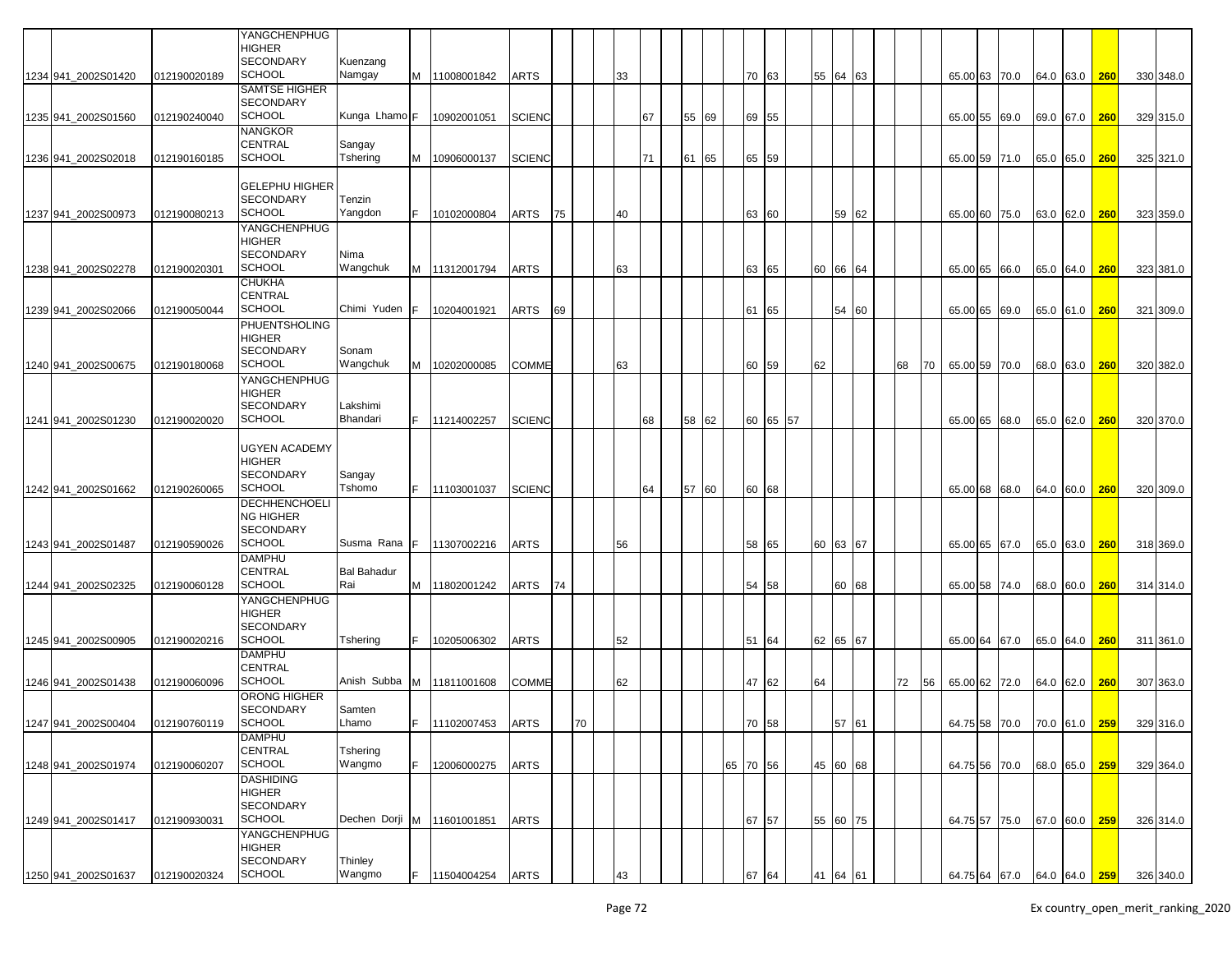|                     |              | YANGCHENPHUG<br>HIGHER            |                            |     |                 |               |    |    |    |    |    |       |          |       |           |    |    |          |    |    |               |                                       |      |               |            |           |
|---------------------|--------------|-----------------------------------|----------------------------|-----|-----------------|---------------|----|----|----|----|----|-------|----------|-------|-----------|----|----|----------|----|----|---------------|---------------------------------------|------|---------------|------------|-----------|
| 1234 941 2002S01420 | 012190020189 | <b>SECONDARY</b><br><b>SCHOOL</b> | Kuenzang<br>Namgay         |     | M 11008001842   | <b>ARTS</b>   |    |    | 33 |    |    |       |          | 70 63 |           |    | 55 | 64 63    |    |    |               | 65.00 63 70.0                         |      | 64.0 63.0     | <b>260</b> | 330 348.0 |
|                     |              | SAMTSE HIGHER                     |                            |     |                 |               |    |    |    |    |    |       |          |       |           |    |    |          |    |    |               |                                       |      |               |            |           |
|                     | 012190240040 | <b>SECONDARY</b><br><b>SCHOOL</b> | Kunga Lhamo F              |     | 10902001051     | <b>SCIENC</b> |    |    |    | 67 |    | 55 69 |          | 69 55 |           |    |    |          |    |    |               |                                       |      |               |            |           |
| 1235 941_2002S01560 |              | NANGKOR                           |                            |     |                 |               |    |    |    |    |    |       |          |       |           |    |    |          |    |    | 65.00 55 69.0 |                                       |      | 69.0 67.0     | 260        | 329 315.0 |
|                     |              | <b>CENTRAL</b>                    | Sangay                     |     |                 |               |    |    |    |    |    |       |          |       |           |    |    |          |    |    |               |                                       |      |               |            |           |
| 1236 941_2002S02018 | 012190160185 | <b>SCHOOL</b>                     | Tshering                   | м   | 10906000137     | <b>SCIENC</b> |    |    |    | 71 | 61 | 65    |          | 65 59 |           |    |    |          |    |    |               | 65.00 59 71.0                         |      | 65.0 65.0     | 260        | 325 321.0 |
|                     |              | <b>GELEPHU HIGHER</b>             |                            |     |                 |               |    |    |    |    |    |       |          |       |           |    |    |          |    |    |               |                                       |      |               |            |           |
|                     |              | <b>SECONDARY</b>                  | Tenzin                     |     |                 |               |    |    |    |    |    |       |          |       |           |    |    |          |    |    |               |                                       |      |               |            |           |
| 1237 941_2002S00973 | 012190080213 | <b>SCHOOL</b><br>YANGCHENPHUG     | Yangdon                    |     | 10102000804     | ARTS          | 75 |    | 40 |    |    |       |          | 63 60 |           |    |    | 59 62    |    |    | 65.00 60 75.0 |                                       |      | 63.0 62.0     | 260        | 323 359.0 |
|                     |              | HIGHER                            |                            |     |                 |               |    |    |    |    |    |       |          |       |           |    |    |          |    |    |               |                                       |      |               |            |           |
|                     |              | <b>SECONDARY</b>                  | Nima                       |     |                 |               |    |    |    |    |    |       |          |       |           |    |    |          |    |    |               |                                       |      |               |            |           |
| 1238 941_2002S02278 | 012190020301 | <b>SCHOOL</b><br><b>CHUKHA</b>    | Wangchuk                   |     | M   11312001794 | ARTS          |    |    | 63 |    |    |       |          | 63 65 |           |    | 60 | 66 64    |    |    | 65.00 65      | 66.0                                  |      | 65.0 64.0     | 260        | 323 381.0 |
|                     |              | CENTRAL                           |                            |     |                 |               |    |    |    |    |    |       |          |       |           |    |    |          |    |    |               |                                       |      |               |            |           |
| 1239 941 2002S02066 | 012190050044 | <b>SCHOOL</b>                     | Chimi Yuden                |     | 10204001921     | <b>ARTS</b>   | 69 |    |    |    |    |       |          | 61    | 65        |    |    | 54 60    |    |    | 65.00 65      | 69.0                                  |      | 65.0 61.0     | 260        | 321 309.0 |
|                     |              | PHUENTSHOLING<br>HIGHER           |                            |     |                 |               |    |    |    |    |    |       |          |       |           |    |    |          |    |    |               |                                       |      |               |            |           |
|                     |              | <b>SECONDARY</b>                  | Sonam                      |     |                 |               |    |    |    |    |    |       |          |       |           |    |    |          |    |    |               |                                       |      |               |            |           |
| 1240 941_2002S00675 | 012190180068 | <b>SCHOOL</b>                     | Wangchuk                   | M   | 10202000085     | <b>COMME</b>  |    |    | 63 |    |    |       |          | 60 59 |           |    | 62 |          | 68 | 70 | 65.00 59 70.0 |                                       |      | 68.0 63.0     | 260        | 320 382.0 |
|                     |              | <b>YANGCHENPHUG</b><br>HIGHER     |                            |     |                 |               |    |    |    |    |    |       |          |       |           |    |    |          |    |    |               |                                       |      |               |            |           |
|                     |              | <b>SECONDARY</b>                  | Lakshimi                   |     |                 |               |    |    |    |    |    |       |          |       |           |    |    |          |    |    |               |                                       |      |               |            |           |
| 1241 941 2002S01230 | 012190020020 | <b>SCHOOL</b>                     | Bhandari                   |     | 11214002257     | <b>SCIENC</b> |    |    |    | 68 | 58 | 62    |          | 60 65 |           | 57 |    |          |    |    | 65.00 65 68.0 |                                       |      | 65.0 62.0     | 260        | 320 370.0 |
|                     |              | <b>UGYEN ACADEMY</b>              |                            |     |                 |               |    |    |    |    |    |       |          |       |           |    |    |          |    |    |               |                                       |      |               |            |           |
|                     |              | HIGHER                            |                            |     |                 |               |    |    |    |    |    |       |          |       |           |    |    |          |    |    |               |                                       |      |               |            |           |
|                     |              | SECONDARY<br><b>SCHOOL</b>        | Sangay<br>Tshomo           |     |                 |               |    |    |    |    |    |       |          |       |           |    |    |          |    |    |               |                                       |      |               |            |           |
| 1242 941_2002S01662 | 012190260065 | DECHHENCHOELI                     |                            |     | F 11103001037   | <b>SCIENC</b> |    |    |    | 64 |    | 57 60 |          | 60 68 |           |    |    |          |    |    |               | 65.00 68 68.0                         |      | 64.0 60.0     | 260        | 320 309.0 |
|                     |              | NG HIGHER                         |                            |     |                 |               |    |    |    |    |    |       |          |       |           |    |    |          |    |    |               |                                       |      |               |            |           |
|                     |              | <b>SECONDARY</b><br><b>SCHOOL</b> | Susma Rana                 | IF. |                 |               |    |    |    |    |    |       |          |       |           |    |    |          |    |    |               |                                       |      |               |            |           |
| 1243 941_2002S01487 | 012190590026 | <b>DAMPHU</b>                     |                            |     | 11307002216     | <b>ARTS</b>   |    |    | 56 |    |    |       |          | 58 65 |           |    | 60 | 63 67    |    |    | 65.00 65 67.0 |                                       |      | 65.0 63.0     | 260        | 318 369.0 |
|                     |              | <b>CENTRAL</b>                    | <b>Bal Bahadur</b>         |     |                 |               |    |    |    |    |    |       |          |       |           |    |    |          |    |    |               |                                       |      |               |            |           |
| 1244 941_2002S02325 | 012190060128 | <b>SCHOOL</b>                     | Rai                        |     | M 11802001242   | <b>ARTS</b>   | 74 |    |    |    |    |       |          | 54    | 58        |    |    | 60 68    |    |    | 65.00 58      | 74.0                                  | 68.0 | 60.0          | 260        | 314 314.0 |
|                     |              | <b>YANGCHENPHUG</b><br>HIGHER     |                            |     |                 |               |    |    |    |    |    |       |          |       |           |    |    |          |    |    |               |                                       |      |               |            |           |
|                     |              | SECONDARY                         |                            |     |                 |               |    |    |    |    |    |       |          |       |           |    |    |          |    |    |               |                                       |      |               |            |           |
| 1245 941_2002S00905 | 012190020216 | <b>SCHOOL</b>                     | Tshering                   | F.  | 10205006302     | <b>ARTS</b>   |    |    | 52 |    |    |       |          | 51    | 64        |    | 62 | 65 67    |    |    | 65.00 64 67.0 |                                       |      | 65.0 64.0     | 260        | 311 361.0 |
|                     |              | <b>DAMPHU</b><br>CENTRAL          |                            |     |                 |               |    |    |    |    |    |       |          |       |           |    |    |          |    |    |               |                                       |      |               |            |           |
| 1246 941_2002S01438 | 012190060096 | <b>SCHOOL</b>                     | Anish Subba                |     | M 11811001608   | <b>COMME</b>  |    |    | 62 |    |    |       |          | 47 62 |           |    | 64 |          | 72 | 56 | 65.00 62 72.0 |                                       |      | 64.0 62.0     | 260        | 307 363.0 |
|                     |              | ORONG HIGHER<br><b>SECONDARY</b>  | Samten                     |     |                 |               |    |    |    |    |    |       |          |       |           |    |    |          |    |    |               |                                       |      |               |            |           |
| 1247 941_2002S00404 | 012190760119 | <b>SCHOOL</b>                     | Lhamo                      |     | 11102007453     | <b>ARTS</b>   |    | 70 |    |    |    |       |          | 70 58 |           |    |    | 57 61    |    |    |               | 64.75 58 70.0 70.0 61.0 259 329 316.0 |      |               |            |           |
|                     |              | DAMPHU                            |                            |     |                 |               |    |    |    |    |    |       |          |       |           |    |    |          |    |    |               |                                       |      |               |            |           |
|                     |              | CENTRAL<br><b>SCHOOL</b>          | Tshering<br>Wangmo         |     |                 |               |    |    |    |    |    |       | 65 70 56 |       |           |    |    |          |    |    |               | 64.75 56 70.0                         |      |               |            |           |
| 1248 941_2002S01974 | 012190060207 | <b>DASHIDING</b>                  |                            |     | 12006000275     | <b>ARTS</b>   |    |    |    |    |    |       |          |       |           |    |    | 45 60 68 |    |    |               |                                       |      | 68.0 65.0 259 |            | 329 364.0 |
|                     |              | <b>HIGHER</b>                     |                            |     |                 |               |    |    |    |    |    |       |          |       |           |    |    |          |    |    |               |                                       |      |               |            |           |
|                     |              | SECONDARY<br><b>SCHOOL</b>        |                            |     |                 |               |    |    |    |    |    |       |          |       |           |    |    |          |    |    |               |                                       |      |               |            |           |
| 1249 941_2002S01417 | 012190930031 | <b>YANGCHENPHUG</b>               | Dechen Dorji M 11601001851 |     |                 | <b>ARTS</b>   |    |    |    |    |    |       |          | 67 57 |           |    |    | 55 60 75 |    |    |               | 64.75 57 75.0                         |      | 67.0 60.0 259 |            | 326 314.0 |
|                     |              | HIGHER                            |                            |     |                 |               |    |    |    |    |    |       |          |       |           |    |    |          |    |    |               |                                       |      |               |            |           |
|                     |              | SECONDARY<br><b>SCHOOL</b>        | Thinley<br>Wangmo          | F.  |                 |               |    |    |    |    |    |       |          |       |           |    |    |          |    |    |               |                                       |      |               |            |           |
| 1250 941_2002S01637 | 012190020324 |                                   |                            |     | 11504004254     | <b>ARTS</b>   |    |    | 43 |    |    |       |          | 67    | <b>64</b> |    | 41 | 64 61    |    |    |               | 64.75 64 67.0 64.0 64.0 259           |      |               |            | 326 340.0 |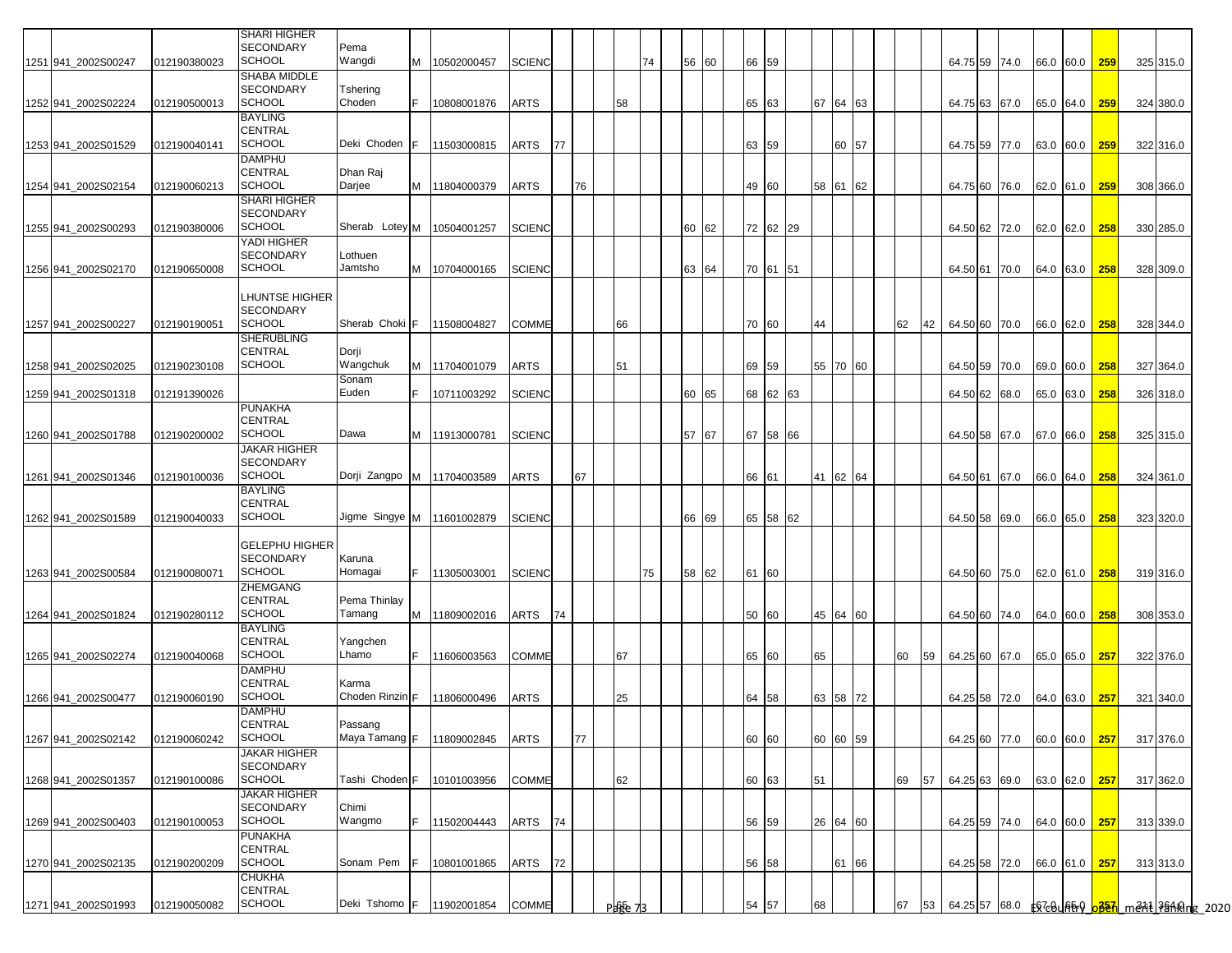|                     |              | <b>SHARI HIGHER</b>      |                 |    |                              |               |    |    |         |    |          |    |          |    |    |          |    |    |                             |  |               |     |           |  |
|---------------------|--------------|--------------------------|-----------------|----|------------------------------|---------------|----|----|---------|----|----------|----|----------|----|----|----------|----|----|-----------------------------|--|---------------|-----|-----------|--|
|                     |              | <b>SECONDARY</b>         | Pema            |    |                              |               |    |    |         |    |          |    |          |    |    |          |    |    |                             |  |               |     |           |  |
| 1251 941_2002S00247 | 012190380023 | <b>SCHOOL</b>            | Wangdi          | M  | 10502000457                  | <b>SCIENC</b> |    |    |         | 74 | 56       | 60 | 66 59    |    |    |          |    |    | 64.75 59 74.0               |  | 66.0 60.0 259 |     | 325 315.0 |  |
|                     |              | SHABA MIDDLE             |                 |    |                              |               |    |    |         |    |          |    |          |    |    |          |    |    |                             |  |               |     |           |  |
|                     |              | <b>SECONDARY</b>         | Tshering        |    |                              |               |    |    |         |    |          |    |          |    |    |          |    |    |                             |  |               |     |           |  |
| 1252 941 2002S02224 | 012190500013 | <b>SCHOOL</b>            | Choden          | F  | 10808001876                  | <b>ARTS</b>   |    |    | 58      |    |          |    | 65 63    |    |    | 67 64 63 |    |    | 64.75 63 67.0               |  | 65.0 64.0 259 |     | 324 380.0 |  |
|                     |              | <b>BAYLING</b>           |                 |    |                              |               |    |    |         |    |          |    |          |    |    |          |    |    |                             |  |               |     |           |  |
|                     |              | <b>CENTRAL</b>           |                 |    |                              |               |    |    |         |    |          |    |          |    |    |          |    |    |                             |  |               |     |           |  |
| 1253 941 2002S01529 | 012190040141 | <b>SCHOOL</b>            | Deki Choden     | F. | 11503000815                  | ARTS          | 77 |    |         |    |          |    | 63 59    |    |    | 60 57    |    |    | 64.75 59 77.0               |  | 63.0 60.0     | 259 | 322 316.0 |  |
|                     |              | DAMPHU                   |                 |    |                              |               |    |    |         |    |          |    |          |    |    |          |    |    |                             |  |               |     |           |  |
|                     |              | <b>CENTRAL</b>           | Dhan Raj        |    |                              |               |    |    |         |    |          |    |          |    |    |          |    |    |                             |  |               |     |           |  |
| 1254 941 2002S02154 | 012190060213 | <b>SCHOOL</b>            | Darjee          | M  | 11804000379                  | ARTS          |    | 76 |         |    |          |    | 49 60    |    |    | 58 61 62 |    |    | 64.75 60 76.0               |  | 62.0 61.0 259 |     | 308 366.0 |  |
|                     |              | <b>SHARI HIGHER</b>      |                 |    |                              |               |    |    |         |    |          |    |          |    |    |          |    |    |                             |  |               |     |           |  |
|                     |              | <b>SECONDARY</b>         |                 |    |                              |               |    |    |         |    |          |    |          |    |    |          |    |    |                             |  |               |     |           |  |
|                     |              | <b>SCHOOL</b>            | Sherab Lotey M  |    |                              |               |    |    |         |    |          |    |          |    |    |          |    |    |                             |  |               |     |           |  |
| 1255 941_2002S00293 | 012190380006 |                          |                 |    | 10504001257                  | <b>SCIENC</b> |    |    |         |    | 60       | 62 | 72 62 29 |    |    |          |    |    | 64.50 62 72.0               |  | 62.0 62.0 258 |     | 330 285.0 |  |
|                     |              | YADI HIGHER              |                 |    |                              |               |    |    |         |    |          |    |          |    |    |          |    |    |                             |  |               |     |           |  |
|                     |              | <b>SECONDARY</b>         | Lothuen         |    |                              |               |    |    |         |    |          |    |          |    |    |          |    |    |                             |  |               |     |           |  |
| 1256 941_2002S02170 | 012190650008 | <b>SCHOOL</b>            | Jamtsho         | M  | 10704000165                  | <b>SCIENC</b> |    |    |         |    | 63       | 64 | 70 61    | 51 |    |          |    |    | 64.50 61 70.0               |  | 64.0 63.0 258 |     | 328 309.0 |  |
|                     |              |                          |                 |    |                              |               |    |    |         |    |          |    |          |    |    |          |    |    |                             |  |               |     |           |  |
|                     |              | <b>LHUNTSE HIGHER</b>    |                 |    |                              |               |    |    |         |    |          |    |          |    |    |          |    |    |                             |  |               |     |           |  |
|                     |              | <b>SECONDARY</b>         |                 |    |                              |               |    |    |         |    |          |    |          |    |    |          |    |    |                             |  |               |     |           |  |
| 1257 941 2002S00227 | 012190190051 | <b>SCHOOL</b>            | Sherab Choki F  |    | 11508004827                  | <b>COMME</b>  |    |    | 66      |    |          |    | 70 60    |    | 44 |          | 62 | 42 | 64.50 60 70.0               |  | 66.0 62.0     | 258 | 328 344.0 |  |
|                     |              | <b>SHERUBLING</b>        |                 |    |                              |               |    |    |         |    |          |    |          |    |    |          |    |    |                             |  |               |     |           |  |
|                     |              | CENTRAL                  | Dorji           |    |                              |               |    |    |         |    |          |    |          |    |    |          |    |    |                             |  |               |     |           |  |
| 1258 941 2002S02025 | 012190230108 | <b>SCHOOL</b>            | Wangchuk        | M  | 11704001079                  | ARTS          |    |    | 51      |    |          |    | 69 59    |    |    | 55 70 60 |    |    | 64.50 59 70.0               |  | 69.0 60.0 258 |     | 327 364.0 |  |
|                     |              |                          | Sonam           |    |                              |               |    |    |         |    |          |    |          |    |    |          |    |    |                             |  |               |     |           |  |
| 1259 941 2002S01318 | 012191390026 |                          | Euden           |    | 10711003292                  | <b>SCIENC</b> |    |    |         |    | 60<br>65 |    | 68 62 63 |    |    |          |    |    | 64.50 62 68.0               |  | 65.0 63.0     | 258 | 326 318.0 |  |
|                     |              | <b>PUNAKHA</b>           |                 |    |                              |               |    |    |         |    |          |    |          |    |    |          |    |    |                             |  |               |     |           |  |
|                     |              | <b>CENTRAL</b>           |                 |    |                              |               |    |    |         |    |          |    |          |    |    |          |    |    |                             |  |               |     |           |  |
| 1260 941 2002S01788 | 012190200002 | <b>SCHOOL</b>            | Dawa            | M  | 11913000781                  | <b>SCIENC</b> |    |    |         |    | 57<br>67 |    | 67 58 66 |    |    |          |    |    | 64.50 58 67.0               |  | 67.0 66.0 258 |     | 325 315.0 |  |
|                     |              | <b>JAKAR HIGHER</b>      |                 |    |                              |               |    |    |         |    |          |    |          |    |    |          |    |    |                             |  |               |     |           |  |
|                     |              | <b>SECONDARY</b>         |                 |    |                              |               |    |    |         |    |          |    |          |    |    |          |    |    |                             |  |               |     |           |  |
| 1261 941 2002S01346 | 012190100036 | <b>SCHOOL</b>            | Dorji Zangpo M  |    | 11704003589                  | <b>ARTS</b>   |    | 67 |         |    |          |    | 66 61    |    |    | 41 62 64 |    |    | 64.50 61 67.0               |  | 66.0 64.0 258 |     | 324 361.0 |  |
|                     |              | <b>BAYLING</b>           |                 |    |                              |               |    |    |         |    |          |    |          |    |    |          |    |    |                             |  |               |     |           |  |
|                     |              | <b>CENTRAL</b>           |                 |    |                              |               |    |    |         |    |          |    |          |    |    |          |    |    |                             |  |               |     |           |  |
| 1262 941 2002S01589 | 012190040033 | <b>SCHOOL</b>            |                 |    | Jigme Singye M   11601002879 | <b>SCIENC</b> |    |    |         |    | 66       | 69 | 65 58 62 |    |    |          |    |    | 64.50 58 69.0               |  | 66.0 65.0     | 258 | 323 320.0 |  |
|                     |              |                          |                 |    |                              |               |    |    |         |    |          |    |          |    |    |          |    |    |                             |  |               |     |           |  |
|                     |              | <b>GELEPHU HIGHER</b>    |                 |    |                              |               |    |    |         |    |          |    |          |    |    |          |    |    |                             |  |               |     |           |  |
|                     |              | <b>SECONDARY</b>         | Karuna          |    |                              |               |    |    |         |    |          |    |          |    |    |          |    |    |                             |  |               |     |           |  |
| 1263 941_2002S00584 | 012190080071 | SCHOOL                   | Homagai         | F. | 11305003001                  | <b>SCIENC</b> |    |    |         | 75 | 58       | 62 | 61 60    |    |    |          |    |    | 64.50 60 75.0               |  | 62.0 61.0 258 |     | 319 316.0 |  |
|                     |              | ZHEMGANG                 |                 |    |                              |               |    |    |         |    |          |    |          |    |    |          |    |    |                             |  |               |     |           |  |
|                     |              | CENTRAL                  | Pema Thinlay    |    |                              |               |    |    |         |    |          |    |          |    |    |          |    |    |                             |  |               |     |           |  |
| 1264 941_2002S01824 | 012190280112 | <b>SCHOOL</b>            | Tamang          | M  | 11809002016                  | ARTS          | 74 |    |         |    |          |    | 50 60    |    | 45 | 64 60    |    |    | 64.50 60 74.0               |  | 64.0 60.0 258 |     | 308 353.0 |  |
|                     |              | <b>BAYLING</b>           |                 |    |                              |               |    |    |         |    |          |    |          |    |    |          |    |    |                             |  |               |     |           |  |
|                     |              | CENTRAL                  | Yangchen        |    |                              |               |    |    |         |    |          |    |          |    |    |          |    |    |                             |  |               |     |           |  |
| 1265 941 2002S02274 | 012190040068 | <b>SCHOOL</b>            | Lhamo           | F. | 11606003563                  | COMME         |    |    | 67      |    |          |    | 65 60    |    | 65 |          | 60 | 59 | 64.25 60 67.0               |  | 65.0 65.0 257 |     | 322 376.0 |  |
|                     |              | <b>DAMPHU</b>            |                 |    |                              |               |    |    |         |    |          |    |          |    |    |          |    |    |                             |  |               |     |           |  |
|                     |              | <b>CENTRAL</b>           | Karma           |    |                              |               |    |    |         |    |          |    |          |    |    |          |    |    |                             |  |               |     |           |  |
|                     |              | <b>SCHOOL</b>            | Choden Rinzin F |    |                              |               |    |    |         |    |          |    |          |    |    |          |    |    |                             |  |               |     |           |  |
| 1266 941 2002S00477 | 012190060190 |                          |                 |    | 11806000496                  | ARTS          |    |    | 25      |    |          |    | 64 58    |    | 63 | 58 72    |    |    | 64.25 58 72.0               |  | 64.0 63.0 257 |     | 321 340.0 |  |
|                     |              | <b>DAMPHU</b>            |                 |    |                              |               |    |    |         |    |          |    |          |    |    |          |    |    |                             |  |               |     |           |  |
|                     |              | CENTRAL<br><b>SCHOOL</b> | Passang         |    |                              |               |    |    |         |    |          |    |          |    |    |          |    |    |                             |  |               |     |           |  |
| 1267 941 2002S02142 | 012190060242 |                          | Maya Tamang F   |    | 11809002845                  | <b>ARTS</b>   |    | 77 |         |    |          |    | 60 60    |    |    | 60 60 59 |    |    | 64.25 60 77.0               |  | 60.0 60.0 257 |     | 317 376.0 |  |
|                     |              | <b>JAKAR HIGHER</b>      |                 |    |                              |               |    |    |         |    |          |    |          |    |    |          |    |    |                             |  |               |     |           |  |
|                     |              | SECONDARY                |                 |    |                              |               |    |    |         |    |          |    |          |    |    |          |    |    |                             |  |               |     |           |  |
| 1268 941_2002S01357 | 012190100086 | <b>SCHOOL</b>            | Tashi Choden F  |    | 10101003956                  | COMME         |    |    | 62      |    |          |    | 60 63    |    | 51 |          | 69 | 57 | 64.25 63 69.0               |  | 63.0 62.0 257 |     | 317 362.0 |  |
|                     |              | <b>JAKAR HIGHER</b>      |                 |    |                              |               |    |    |         |    |          |    |          |    |    |          |    |    |                             |  |               |     |           |  |
|                     |              | <b>SECONDARY</b>         | Chimi           |    |                              |               |    |    |         |    |          |    |          |    |    |          |    |    |                             |  |               |     |           |  |
| 1269 941_2002S00403 | 012190100053 | <b>SCHOOL</b>            | Wangmo          | F  | 11502004443                  | ARTS          | 74 |    |         |    |          |    | 56 59    |    |    | 26 64 60 |    |    | 64.25 59 74.0 64.0 60.0 257 |  |               |     | 313 339.0 |  |
|                     |              | <b>PUNAKHA</b>           |                 |    |                              |               |    |    |         |    |          |    |          |    |    |          |    |    |                             |  |               |     |           |  |
|                     |              | <b>CENTRAL</b>           |                 |    |                              |               |    |    |         |    |          |    |          |    |    |          |    |    |                             |  |               |     |           |  |
| 1270 941_2002S02135 | 012190200209 | <b>SCHOOL</b>            | Sonam Pem       |    | 10801001865                  | ARTS          | 72 |    |         |    |          |    | 56 58    |    |    | 61 66    |    |    | 64.25 58 72.0               |  | 66.0 61.0 257 |     | 313 313.0 |  |
|                     |              | CHUKHA                   |                 |    |                              |               |    |    |         |    |          |    |          |    |    |          |    |    |                             |  |               |     |           |  |
|                     |              | <b>CENTRAL</b>           |                 |    |                              |               |    |    |         |    |          |    |          |    |    |          |    |    |                             |  |               |     |           |  |
| 1271 941_2002S01993 | 012190050082 | <b>SCHOOL</b>            | Deki Tshomo F   |    | 11902001854                  | COMME         |    |    | Page 73 |    |          |    | 54 57    |    | 68 |          | 67 | 53 |                             |  |               |     |           |  |
|                     |              |                          |                 |    |                              |               |    |    |         |    |          |    |          |    |    |          |    |    |                             |  |               |     |           |  |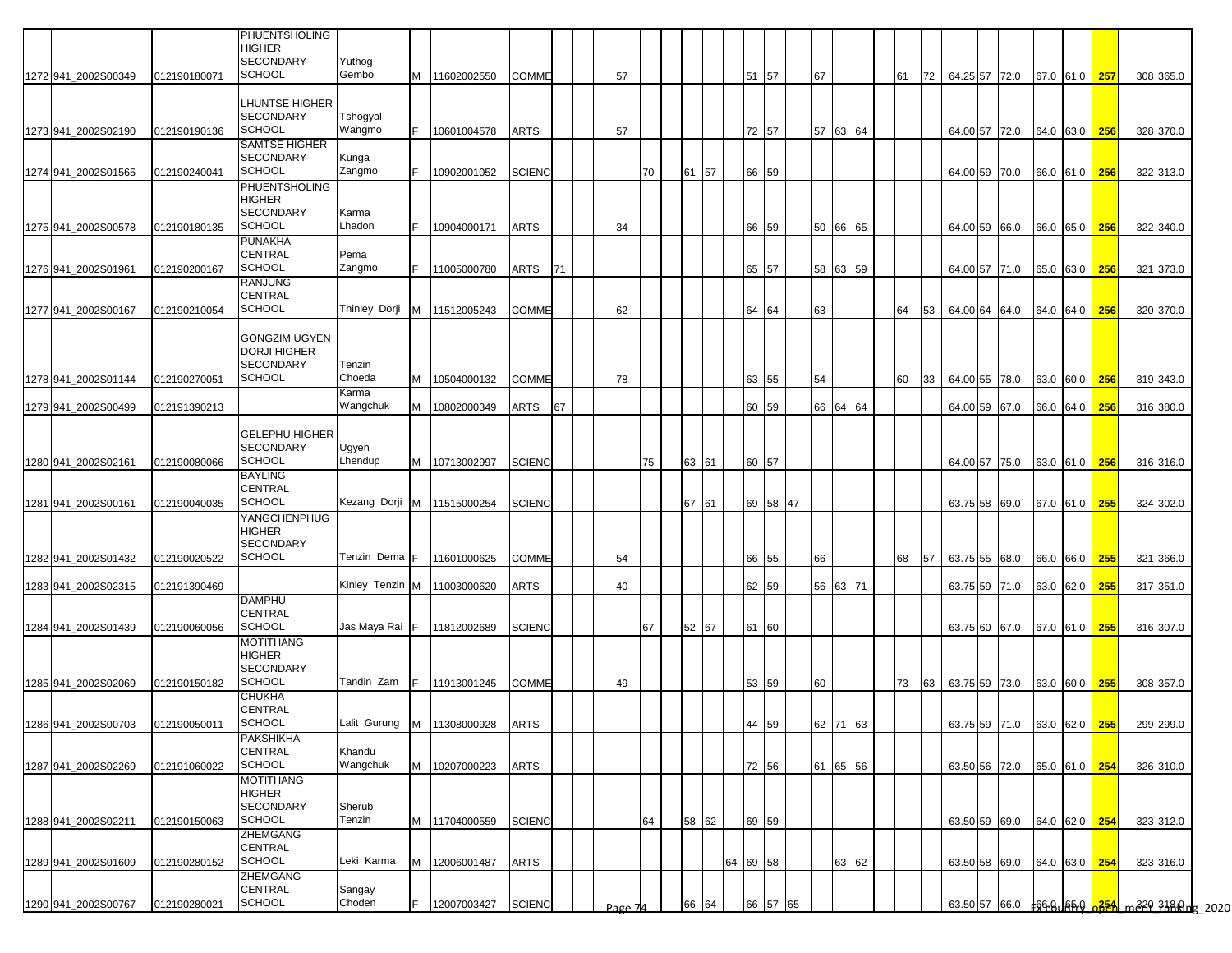|                                            |                              | PHUENTSHOLING<br><b>HIGHER</b><br><b>SECONDARY</b>                               | Yuthog                  |    |                                           |                             |           |         |    |       |       |          |                |          |    |                      |    |    |    |                                              |  |               |     |                        |  |
|--------------------------------------------|------------------------------|----------------------------------------------------------------------------------|-------------------------|----|-------------------------------------------|-----------------------------|-----------|---------|----|-------|-------|----------|----------------|----------|----|----------------------|----|----|----|----------------------------------------------|--|---------------|-----|------------------------|--|
| 1272 941 2002S00349                        | 012190180071                 | <b>SCHOOL</b>                                                                    | Gembo                   |    | M 11602002550                             | <b>COMME</b>                |           | 57      |    |       |       |          | 51 57          |          | 67 |                      | 61 |    | 72 | 64.25 57 72.0                                |  | 67.0 61.0 257 |     | 308 365.0              |  |
| 1273 941 2002S02190                        | 012190190136                 | <b>LHUNTSE HIGHER</b><br><b>SECONDARY</b><br><b>SCHOOL</b>                       | Tshogyal<br>Wangmo      | F. | 10601004578                               | <b>ARTS</b>                 |           | 57      |    |       |       |          | 72 57          |          |    | 57 63 64             |    |    |    | 64.00 57 72.0                                |  | 64.0 63.0 256 |     | 328 370.0              |  |
| 1274 941 2002S01565                        | 012190240041                 | SAMTSE HIGHER<br><b>SECONDARY</b><br><b>SCHOOL</b>                               | Kunga<br>Zangmo         | F. | 10902001052                               | <b>SCIENC</b>               |           |         | 70 | 61 57 |       |          | 66 59          |          |    |                      |    |    |    | 64.00 59 70.0                                |  | 66.0 61.0 256 |     | 322 313.0              |  |
| 1275 941 2002S00578                        | 012190180135                 | <b>PHUENTSHOLING</b><br><b>HIGHER</b><br><b>SECONDARY</b><br><b>SCHOOL</b>       | Karma<br>Lhadon         | F. | 10904000171                               | <b>ARTS</b>                 |           | 34      |    |       |       |          | 66 59          |          |    | 50 66 65             |    |    |    | 64.00 59 66.0                                |  | 66.0 65.0 256 |     | 322 340.0              |  |
| 1276 941_2002S01961                        | 012190200167                 | <b>PUNAKHA</b><br><b>CENTRAL</b><br><b>SCHOOL</b>                                | Pema<br>Zangmo          | F. | 11005000780                               | ARTS                        | <b>71</b> |         |    |       |       |          | 65 57          |          |    | 58 63 59             |    |    |    | 64.00 57 71.0                                |  | 65.0 63.0     | 256 | 321 373.0              |  |
| 1277 941_2002S00167                        | 012190210054                 | <b>RANJUNG</b><br><b>CENTRAL</b><br><b>SCHOOL</b>                                |                         |    | Thinley Dorji M 11512005243               | <b>COMME</b>                |           | 62      |    |       |       |          | 64             | 64       | 63 |                      | 64 |    | 53 | 64.00 64 64.0                                |  | 64.0 64.0 256 |     | 320 370.0              |  |
| 1278 941 2002S01144                        | 012190270051                 | <b>GONGZIM UGYEN</b><br><b>DORJI HIGHER</b><br><b>SECONDARY</b><br><b>SCHOOL</b> | Tenzin<br>Choeda        |    | M 10504000132                             | <b>COMME</b>                |           | 78      |    |       |       |          | 63 55          |          | 54 |                      | 60 |    | 33 | 64.00 55 78.0                                |  | 63.0 60.0     | 256 | 319 343.0              |  |
| 1279 941 2002S00499                        | 012191390213                 |                                                                                  | Karma<br>Wangchuk       |    | M 10802000349                             | ARTS                        | 67        |         |    |       |       |          | 60 59          |          |    | 66 64 64             |    |    |    | 64.00 59 67.0                                |  | 66.0 64.0     | 256 | 316 380.0              |  |
| 1280 941 2002 S02161                       | 012190080066                 | <b>GELEPHU HIGHER</b><br><b>SECONDARY</b><br><b>SCHOOL</b>                       | Ugyen<br>Lhendup        |    | M 10713002997                             | <b>SCIENC</b>               |           |         | 75 |       | 63 61 |          | 60 57          |          |    |                      |    |    |    | 64.00 57 75.0                                |  | 63.0 61.0 256 |     | 316 316.0              |  |
| 1281 941 2002S00161                        | 012190040035                 | <b>BAYLING</b><br><b>CENTRAL</b><br><b>SCHOOL</b>                                |                         |    | Kezang Dorji M 11515000254                | <b>SCIENC</b>               |           |         |    | 67 61 |       |          |                | 69 58 47 |    |                      |    |    |    | 63.75 58 69.0                                |  | 67.0 61.0 255 |     | 324 302.0              |  |
| 1282 941_2002S01432                        | 012190020522                 | YANGCHENPHUG<br><b>HIGHER</b><br><b>SECONDARY</b><br><b>SCHOOL</b>               | Tenzin Dema F           |    | 11601000625                               | COMME                       |           | 54      |    |       |       |          | 66 55          |          | 66 |                      | 68 | 57 |    | 63.75 55 68.0                                |  | 66.0 66.0 255 |     | 321 366.0              |  |
| 1283 941_2002S02315                        | 012191390469                 |                                                                                  | Kinley Tenzin M         |    | 11003000620                               | <b>ARTS</b>                 |           | 40      |    |       |       |          | 62 59          |          |    | 56 63 71             |    |    |    | 63.75 59 71.0                                |  | 63.0 62.0     | 255 | 317 351.0              |  |
| 1284 941_2002S01439                        | 012190060056                 | <b>DAMPHU</b><br><b>CENTRAL</b><br><b>SCHOOL</b>                                 | Jas Maya Rai <u>I</u> F |    | 11812002689                               | <b>SCIENC</b>               |           |         | 67 | 52 67 |       |          | 61 60          |          |    |                      |    |    |    | 63.75 60 67.0                                |  | 67.0 61.0 255 |     | 316 307.0              |  |
|                                            |                              | <b>MOTITHANG</b><br><b>HIGHER</b><br><b>SECONDARY</b>                            |                         |    |                                           |                             |           |         |    |       |       |          |                |          |    |                      |    |    |    |                                              |  |               |     |                        |  |
| 1285 941_2002S02069<br>1286 941_2002S00703 | 012190150182<br>012190050011 | <b>SCHOOL</b><br><b>CHUKHA</b><br><b>CENTRAL</b><br><b>SCHOOL</b>                | Tandin Zam              | Ė  | 11913001245<br>Lalit Gurung M 11308000928 | <b>COMME</b><br><b>ARTS</b> |           | 49      |    |       |       |          | 53 59          |          | 60 |                      | 73 |    | 63 | 63.75 59 73.0                                |  | 63.0 60.0 255 |     | 308 357.0              |  |
| 1287 941_2002S02269                        | 012191060022                 | <b>PAKSHIKHA</b><br>CENTRAL<br><b>SCHOOL</b>                                     | Khandu<br>Wangchuk      |    | M 10207000223                             | <b>ARTS</b>                 |           |         |    |       |       |          | 44 59<br>72 56 |          |    | 62 71 63<br>61 65 56 |    |    |    | 63.75159 71.0 63.0 62.0 255<br>63.50 56 72.0 |  | 65.0 61.0 254 |     | 299 299.0<br>326 310.0 |  |
| 1288 941_2002S02211                        | 012190150063                 | <b>MOTITHANG</b><br><b>HIGHER</b><br><b>SECONDARY</b><br><b>SCHOOL</b>           | Sherub<br>Tenzin        |    | M 11704000559                             | <b>SCIENC</b>               |           |         | 64 | 58 62 |       |          | 69 59          |          |    |                      |    |    |    | 63.50 59 69.0                                |  | 64.0 62.0 254 |     | 323 312.0              |  |
| 1289 941 2002S01609                        | 012190280152                 | <b>ZHEMGANG</b><br><b>CENTRAL</b><br><b>SCHOOL</b>                               | Leki Karma              |    | M 12006001487                             | <b>ARTS</b>                 |           |         |    |       |       | 64 69 58 |                |          |    | 63 62                |    |    |    | 63.50 58 69.0                                |  | 64.0 63.0 254 |     | 323 316.0              |  |
| 1290 941_2002S00767                        | 012190280021                 | ZHEMGANG<br><b>CENTRAL</b><br><b>SCHOOL</b>                                      | Sangay<br>Choden        | F. | 12007003427                               | <b>SCIENC</b>               |           | Page 74 |    | 66    | 64    |          |                | 66 57 65 |    |                      |    |    |    |                                              |  |               |     |                        |  |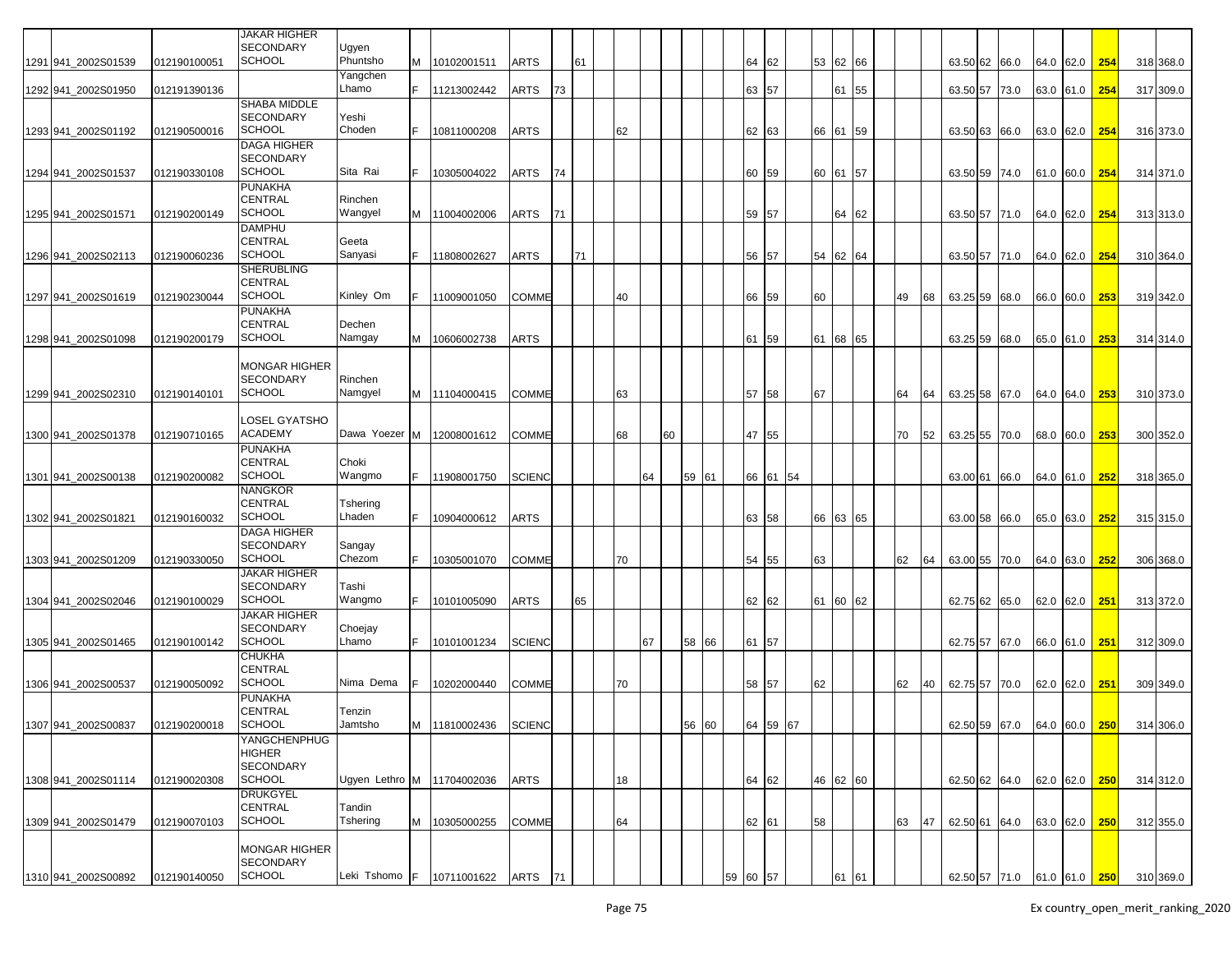|                     |              | <b>JAKAR HIGHER</b>  |                            |   |                                      |               |    |    |    |    |    |       |          |                  |    |          |    |    |                             |      |           |             |     |           |
|---------------------|--------------|----------------------|----------------------------|---|--------------------------------------|---------------|----|----|----|----|----|-------|----------|------------------|----|----------|----|----|-----------------------------|------|-----------|-------------|-----|-----------|
|                     |              | <b>SECONDARY</b>     | Ugyen                      |   |                                      |               |    |    |    |    |    |       |          |                  |    |          |    |    |                             |      |           |             |     |           |
| 1291 941_2002S01539 | 012190100051 | <b>SCHOOL</b>        | Phuntsho                   | M | 10102001511                          | <b>ARTS</b>   |    | 61 |    |    |    |       | 64       | 62               |    | 53 62 66 |    |    | 63.50 62                    |      |           | 64.0 62.0   | 254 |           |
|                     |              |                      |                            |   |                                      |               |    |    |    |    |    |       |          |                  |    |          |    |    |                             | 66.0 |           |             |     | 318 368.0 |
|                     |              |                      | Yangchen<br>Lhamo          |   |                                      |               |    |    |    |    |    |       |          |                  |    |          |    |    |                             |      |           |             |     |           |
| 1292 941_2002S01950 | 012191390136 |                      |                            |   | 11213002442                          | ARTS          | 73 |    |    |    |    |       |          | 63 57            |    | 61 55    |    |    | 63.50 57                    | 73.0 | 63.0 61.0 |             | 254 | 317 309.0 |
|                     |              | SHABA MIDDLE         |                            |   |                                      |               |    |    |    |    |    |       |          |                  |    |          |    |    |                             |      |           |             |     |           |
|                     |              | <b>SECONDARY</b>     | Yeshi                      |   |                                      |               |    |    |    |    |    |       |          |                  |    |          |    |    |                             |      |           |             |     |           |
| 1293 941_2002S01192 | 012190500016 | <b>SCHOOL</b>        | Choden                     |   | 10811000208                          | <b>ARTS</b>   |    |    | 62 |    |    |       | 62       | 63               |    | 66 61 59 |    |    | 63.50 63                    | 66.0 |           | 63.0 62.0   | 254 | 316 373.0 |
|                     |              | <b>DAGA HIGHER</b>   |                            |   |                                      |               |    |    |    |    |    |       |          |                  |    |          |    |    |                             |      |           |             |     |           |
|                     |              | <b>SECONDARY</b>     |                            |   |                                      |               |    |    |    |    |    |       |          |                  |    |          |    |    |                             |      |           |             |     |           |
| 1294 941_2002S01537 | 012190330108 | <b>SCHOOL</b>        | Sita Rai                   |   | 10305004022                          | ARTS          | 74 |    |    |    |    |       | 60       | 59               |    | 60 61 57 |    |    | 63.50 59                    | 74.0 |           | 61.0 60.0   | 254 | 314 371.0 |
|                     |              | <b>PUNAKHA</b>       |                            |   |                                      |               |    |    |    |    |    |       |          |                  |    |          |    |    |                             |      |           |             |     |           |
|                     |              | CENTRAL              | Rinchen                    |   |                                      |               |    |    |    |    |    |       |          |                  |    |          |    |    |                             |      |           |             |     |           |
| 1295 941_2002S01571 | 012190200149 | <b>SCHOOL</b>        | Wangyel                    | M | 11004002006                          | ARTS          | 71 |    |    |    |    |       | 59       | 57               |    | 64 62    |    |    | 63.50 57 71.0               |      | 64.0 62.0 |             | 254 | 313 313.0 |
|                     |              | <b>DAMPHU</b>        |                            |   |                                      |               |    |    |    |    |    |       |          |                  |    |          |    |    |                             |      |           |             |     |           |
|                     |              | CENTRAL              | Geeta                      |   |                                      |               |    |    |    |    |    |       |          |                  |    |          |    |    |                             |      |           |             |     |           |
| 1296 941 2002S02113 | 012190060236 | <b>SCHOOL</b>        | Sanyasi                    |   | 11808002627                          | ARTS          |    | 71 |    |    |    |       | 56       | 57               |    | 54 62 64 |    |    | 63.50 57                    | 71.0 | 64.0 62.0 |             | 254 | 310 364.0 |
|                     |              | <b>SHERUBLING</b>    |                            |   |                                      |               |    |    |    |    |    |       |          |                  |    |          |    |    |                             |      |           |             |     |           |
|                     |              | <b>CENTRAL</b>       |                            |   |                                      |               |    |    |    |    |    |       |          |                  |    |          |    |    |                             |      |           |             |     |           |
|                     |              |                      |                            |   |                                      |               |    |    |    |    |    |       |          |                  |    |          |    |    |                             |      |           |             |     |           |
| 1297 941_2002S01619 | 012190230044 | <b>SCHOOL</b>        | Kinley Om                  |   | 11009001050                          | <b>COMME</b>  |    |    | 40 |    |    |       | 66       | 59               | 60 |          | 49 | 68 | 63.25 59                    | 68.0 |           | 66.0 60.0   | 253 | 319 342.0 |
|                     |              | <b>PUNAKHA</b>       |                            |   |                                      |               |    |    |    |    |    |       |          |                  |    |          |    |    |                             |      |           |             |     |           |
|                     |              | CENTRAL              | Dechen                     |   |                                      |               |    |    |    |    |    |       |          |                  |    |          |    |    |                             |      |           |             |     |           |
| 1298 941 2002S01098 | 012190200179 | <b>SCHOOL</b>        | Namgay                     | M | 10606002738                          | <b>ARTS</b>   |    |    |    |    |    |       | 61       | 59               |    | 61 68 65 |    |    | 63.25 59 68.0               |      |           | 65.0 61.0   | 253 | 314 314.0 |
|                     |              |                      |                            |   |                                      |               |    |    |    |    |    |       |          |                  |    |          |    |    |                             |      |           |             |     |           |
|                     |              | MONGAR HIGHER        |                            |   |                                      |               |    |    |    |    |    |       |          |                  |    |          |    |    |                             |      |           |             |     |           |
|                     |              | <b>SECONDARY</b>     | Rinchen                    |   |                                      |               |    |    |    |    |    |       |          |                  |    |          |    |    |                             |      |           |             |     |           |
| 1299 941 2002S02310 | 012190140101 | <b>SCHOOL</b>        | Namgyel                    |   | M 11104000415                        | <b>COMME</b>  |    |    | 63 |    |    |       | 57       | 58               | 67 |          | 64 | 64 | 63.25 58 67.0               |      |           | 64.0 64.0   | 253 | 310 373.0 |
|                     |              |                      |                            |   |                                      |               |    |    |    |    |    |       |          |                  |    |          |    |    |                             |      |           |             |     |           |
|                     |              | LOSEL GYATSHO        |                            |   |                                      |               |    |    |    |    |    |       |          |                  |    |          |    |    |                             |      |           |             |     |           |
| 1300 941 2002S01378 | 012190710165 | ACADEMY              | Dawa Yoezer M              |   | 12008001612                          | <b>COMME</b>  |    |    | 68 |    | 60 |       |          | 47 55            |    |          | 70 | 52 | 63.25 55                    | 70.0 | 68.0 60.0 |             | 253 | 300 352.0 |
|                     |              |                      |                            |   |                                      |               |    |    |    |    |    |       |          |                  |    |          |    |    |                             |      |           |             |     |           |
|                     |              | PUNAKHA              |                            |   |                                      |               |    |    |    |    |    |       |          |                  |    |          |    |    |                             |      |           |             |     |           |
|                     |              | <b>CENTRAL</b>       | Choki                      |   |                                      |               |    |    |    |    |    |       |          |                  |    |          |    |    |                             |      |           |             |     |           |
| 1301 941 2002S00138 | 012190200082 | <b>SCHOOL</b>        | Wangmo                     |   | 11908001750                          | <b>SCIENC</b> |    |    |    | 64 |    | 59 61 |          | 66 61 54         |    |          |    |    | 63.00 61                    | 66.0 | 64.0 61.0 |             | 252 | 318 365.0 |
|                     |              | <b>NANGKOR</b>       |                            |   |                                      |               |    |    |    |    |    |       |          |                  |    |          |    |    |                             |      |           |             |     |           |
|                     |              | CENTRAL              | Tshering                   |   |                                      |               |    |    |    |    |    |       |          |                  |    |          |    |    |                             |      |           |             |     |           |
| 1302 941_2002S01821 | 012190160032 | <b>SCHOOL</b>        | Lhaden                     |   | 10904000612                          | <b>ARTS</b>   |    |    |    |    |    |       | 63       | 58               |    | 66 63 65 |    |    | 63.00 58                    | 66.0 |           | 65.0 63.0   | 252 | 315 315.0 |
|                     |              | <b>DAGA HIGHER</b>   |                            |   |                                      |               |    |    |    |    |    |       |          |                  |    |          |    |    |                             |      |           |             |     |           |
|                     |              | <b>SECONDARY</b>     | Sangay                     |   |                                      |               |    |    |    |    |    |       |          |                  |    |          |    |    |                             |      |           |             |     |           |
| 1303 941_2002S01209 | 012190330050 | <b>SCHOOL</b>        | Chezom                     |   | 10305001070                          | COMME         |    |    | 70 |    |    |       | 54       | 55               | 63 |          | 62 | 64 | 63.00 55                    | 70.0 |           | 64.0 63.0   | 252 | 306 368.0 |
|                     |              | <b>JAKAR HIGHER</b>  |                            |   |                                      |               |    |    |    |    |    |       |          |                  |    |          |    |    |                             |      |           |             |     |           |
|                     |              | <b>SECONDARY</b>     | Tashi                      |   |                                      |               |    |    |    |    |    |       |          |                  |    |          |    |    |                             |      |           |             |     |           |
| 1304 941_2002S02046 | 012190100029 | <b>SCHOOL</b>        | Wangmo                     |   | 10101005090                          | ARTS          |    | 65 |    |    |    |       | 62       | 62               |    | 61 60 62 |    |    | 62.75 62                    |      |           |             | 251 |           |
|                     |              |                      |                            |   |                                      |               |    |    |    |    |    |       |          |                  |    |          |    |    |                             | 65.0 |           | 62.0 62.0   |     | 313 372.0 |
|                     |              | <b>JAKAR HIGHER</b>  |                            |   |                                      |               |    |    |    |    |    |       |          |                  |    |          |    |    |                             |      |           |             |     |           |
|                     |              | <b>SECONDARY</b>     | Choejay                    |   |                                      |               |    |    |    |    |    |       |          |                  |    |          |    |    |                             |      |           |             |     |           |
| 1305 941 2002S01465 | 012190100142 | <b>SCHOOL</b>        | Lhamo                      |   | 10101001234                          | <b>SCIENC</b> |    |    |    | 67 |    | 58 66 | 61       | 57               |    |          |    |    | 62.75 57 67.0               |      |           | 66.0 61.0   | 251 | 312 309.0 |
|                     |              | <b>CHUKHA</b>        |                            |   |                                      |               |    |    |    |    |    |       |          |                  |    |          |    |    |                             |      |           |             |     |           |
|                     |              | CENTRAL              |                            |   |                                      |               |    |    |    |    |    |       |          |                  |    |          |    |    |                             |      |           |             |     |           |
| 1306 941 2002S00537 | 012190050092 | <b>SCHOOL</b>        | Nima Dema                  |   | 10202000440                          | COMME         |    |    | 70 |    |    |       | 58       | 57               | 62 |          | 62 | 40 | 62.75 57                    | 70.0 |           | 62.0 62.0   | 251 | 309 349.0 |
|                     |              | PUNAKHA              |                            |   |                                      |               |    |    |    |    |    |       |          |                  |    |          |    |    |                             |      |           |             |     |           |
|                     |              | <b>CENTRAL</b>       | Tenzin                     |   |                                      |               |    |    |    |    |    |       |          |                  |    |          |    |    |                             |      |           |             |     |           |
| 1307 941_2002S00837 | 012190200018 | <b>SCHOOL</b>        | Jamtsho                    |   | M 11810002436 SCIENC                 |               |    |    |    |    |    | 56 60 |          | $ 04 $ 59 $ 07 $ |    |          |    |    | 62.50 59 67.0 64.0 60.0 250 |      |           |             |     | 314 306.0 |
|                     |              | YANGCHENPHUG         |                            |   |                                      |               |    |    |    |    |    |       |          |                  |    |          |    |    |                             |      |           |             |     |           |
|                     |              | HIGHER               |                            |   |                                      |               |    |    |    |    |    |       |          |                  |    |          |    |    |                             |      |           |             |     |           |
|                     |              | <b>SECONDARY</b>     |                            |   |                                      |               |    |    |    |    |    |       |          |                  |    |          |    |    |                             |      |           |             |     |           |
| 1308 941_2002S01114 | 012190020308 | <b>SCHOOL</b>        | Ugyen Lethro M 11704002036 |   |                                      | <b>ARTS</b>   |    |    | 18 |    |    |       |          | 64 62            |    | 46 62 60 |    |    | 62.50 62 64.0               |      |           | $62.0$ 62.0 | 250 | 314 312.0 |
|                     |              |                      |                            |   |                                      |               |    |    |    |    |    |       |          |                  |    |          |    |    |                             |      |           |             |     |           |
|                     |              | <b>DRUKGYEL</b>      |                            |   |                                      |               |    |    |    |    |    |       |          |                  |    |          |    |    |                             |      |           |             |     |           |
|                     |              | CENTRAL              | Tandin                     |   |                                      |               |    |    |    |    |    |       |          |                  |    |          |    |    |                             |      |           |             |     |           |
| 1309 941 2002S01479 | 012190070103 | <b>SCHOOL</b>        | <b>Tshering</b>            | M | 10305000255                          | <b>COMME</b>  |    |    | 64 |    |    |       |          | 62 61            | 58 |          | 63 | 47 | 62.50 61 64.0               |      |           | 63.0 62.0   | 250 | 312 355.0 |
|                     |              |                      |                            |   |                                      |               |    |    |    |    |    |       |          |                  |    |          |    |    |                             |      |           |             |     |           |
|                     |              | <b>MONGAR HIGHER</b> |                            |   |                                      |               |    |    |    |    |    |       |          |                  |    |          |    |    |                             |      |           |             |     |           |
|                     |              | <b>SECONDARY</b>     |                            |   |                                      |               |    |    |    |    |    |       |          |                  |    |          |    |    |                             |      |           |             |     |           |
| 1310 941_2002S00892 | 012190140050 | <b>SCHOOL</b>        |                            |   | Leki Tshomo   F   10711001622   ARTS |               | 71 |    |    |    |    |       | 59 60 57 |                  |    | 61 61    |    |    | 62.50 57 71.0 61.0 61.0 250 |      |           |             |     | 310 369.0 |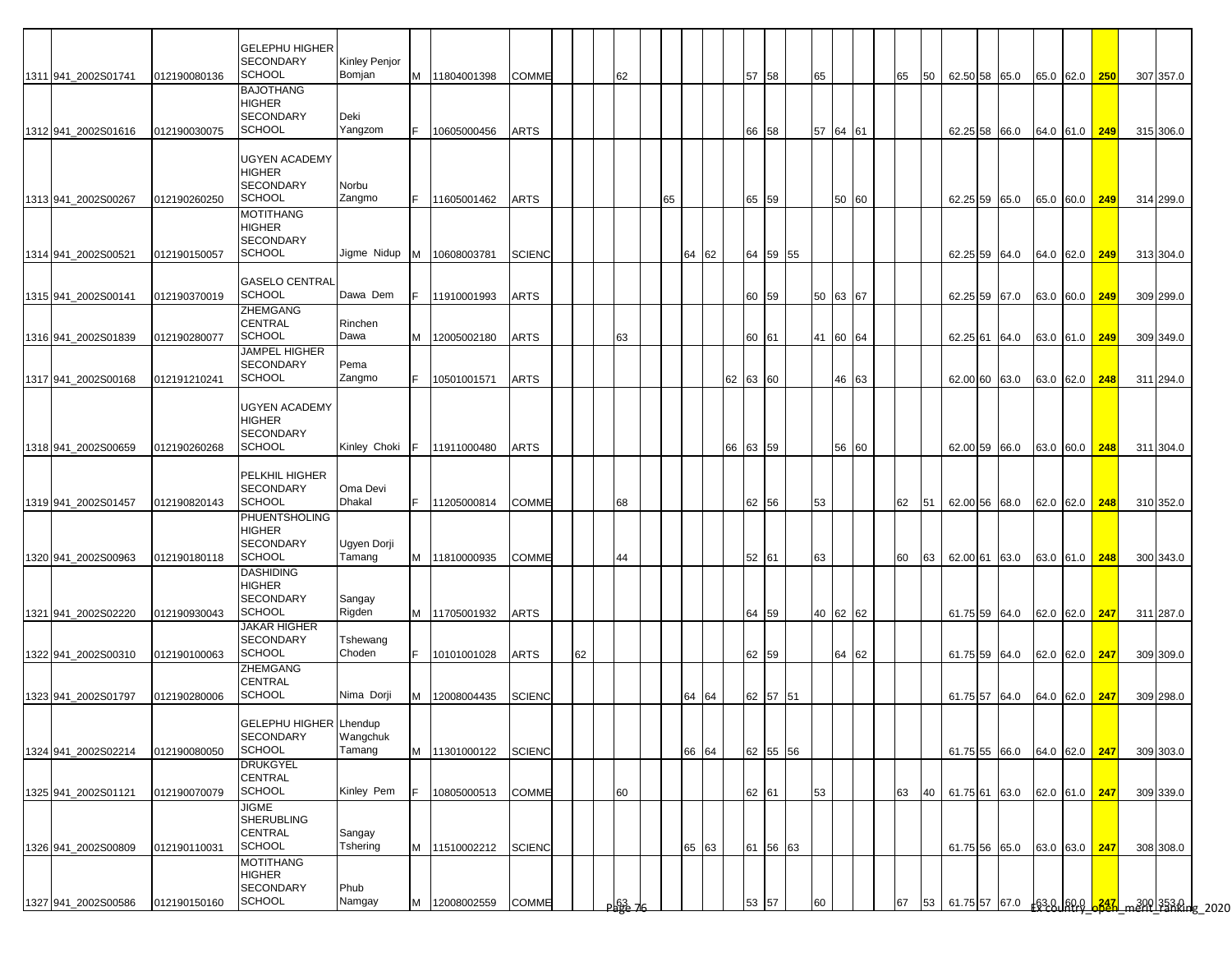|                     |              | <b>GELEPHU HIGHER</b>              |                 |     |               |               |    |                 |    |          |    |          |          |    |          |    |      |  |                             |               |     |                                                      |  |
|---------------------|--------------|------------------------------------|-----------------|-----|---------------|---------------|----|-----------------|----|----------|----|----------|----------|----|----------|----|------|--|-----------------------------|---------------|-----|------------------------------------------------------|--|
|                     |              | <b>SECONDARY</b>                   | Kinley Penjor   |     |               |               |    |                 |    |          |    |          |          |    |          |    |      |  |                             |               |     |                                                      |  |
| 1311 941 2002S01741 | 012190080136 | <b>SCHOOL</b>                      | Bomjan          |     | M 11804001398 | <b>COMME</b>  |    | 62              |    |          |    |          | 57 58    | 65 |          | 65 |      |  | 50 62.50 58 65.0            | 65.0 62.0 250 |     | 307 357.0                                            |  |
|                     |              | <b>BAJOTHANG</b><br><b>HIGHER</b>  |                 |     |               |               |    |                 |    |          |    |          |          |    |          |    |      |  |                             |               |     |                                                      |  |
|                     |              | <b>SECONDARY</b>                   | Deki            |     |               |               |    |                 |    |          |    |          |          |    |          |    |      |  |                             |               |     |                                                      |  |
| 1312 941_2002S01616 | 012190030075 | <b>SCHOOL</b>                      | Yangzom         | IF. | 10605000456   | <b>ARTS</b>   |    |                 |    |          |    |          | 66 58    |    | 57 64 61 |    |      |  | 62.25 58 66.0 64.0 61.0 249 |               |     | 315 306.0                                            |  |
|                     |              |                                    |                 |     |               |               |    |                 |    |          |    |          |          |    |          |    |      |  |                             |               |     |                                                      |  |
|                     |              | <b>UGYEN ACADEMY</b>               |                 |     |               |               |    |                 |    |          |    |          |          |    |          |    |      |  |                             |               |     |                                                      |  |
|                     |              | <b>HIGHER</b><br><b>SECONDARY</b>  | Norbu           |     |               |               |    |                 |    |          |    |          |          |    |          |    |      |  |                             |               |     |                                                      |  |
| 1313 941 2002S00267 | 012190260250 | SCHOOL                             | Zangmo          | IF. | 11605001462   | <b>ARTS</b>   |    |                 | 65 |          |    |          | 65 59    |    | 50 60    |    |      |  | 62.25 59 65.0               | 65.0 60.0     | 249 | 314 299.0                                            |  |
|                     |              | <b>MOTITHANG</b>                   |                 |     |               |               |    |                 |    |          |    |          |          |    |          |    |      |  |                             |               |     |                                                      |  |
|                     |              | <b>HIGHER</b>                      |                 |     |               |               |    |                 |    |          |    |          |          |    |          |    |      |  |                             |               |     |                                                      |  |
|                     |              | <b>SECONDARY</b>                   |                 |     |               |               |    |                 |    |          |    |          |          |    |          |    |      |  |                             |               |     |                                                      |  |
| 1314 941_2002S00521 | 012190150057 | <b>SCHOOL</b>                      | Jigme Nidup   M |     | 10608003781   | <b>SCIENC</b> |    |                 |    | 64       | 62 |          | 64 59 55 |    |          |    |      |  | 62.25 59 64.0               | 64.0 62.0     | 249 | 313 304.0                                            |  |
|                     |              | <b>GASELO CENTRAL</b>              |                 |     |               |               |    |                 |    |          |    |          |          |    |          |    |      |  |                             |               |     |                                                      |  |
| 1315 941_2002S00141 | 012190370019 | <b>SCHOOL</b>                      | Dawa Dem        | F   | 11910001993   | <b>ARTS</b>   |    |                 |    |          |    |          | 60 59    | 50 | 63 67    |    |      |  | 62.25 59 67.0               | 63.0 60.0     | 249 | 309 299.0                                            |  |
|                     |              | ZHEMGANG                           |                 |     |               |               |    |                 |    |          |    |          |          |    |          |    |      |  |                             |               |     |                                                      |  |
|                     |              | <b>CENTRAL</b>                     | Rinchen         |     |               |               |    |                 |    |          |    |          |          |    |          |    |      |  |                             |               |     |                                                      |  |
| 1316 941 2002S01839 | 012190280077 | <b>SCHOOL</b>                      | Dawa            |     | M 12005002180 | <b>ARTS</b>   |    | 63              |    |          |    |          | 60 61    |    | 41 60 64 |    |      |  | 62.25 61 64.0               | 63.0 61.0 249 |     | 309 349.0                                            |  |
|                     |              | <b>JAMPEL HIGHER</b>               |                 |     |               |               |    |                 |    |          |    |          |          |    |          |    |      |  |                             |               |     |                                                      |  |
|                     |              | <b>SECONDARY</b><br><b>SCHOOL</b>  | Pema<br>Zangmo  | F.  |               |               |    |                 |    |          |    | 62 63 60 |          |    |          |    |      |  |                             |               |     |                                                      |  |
| 1317 941_2002S00168 | 012191210241 |                                    |                 |     | 10501001571   | <b>ARTS</b>   |    |                 |    |          |    |          |          |    | 46 63    |    |      |  | 62.00 60 63.0               | 63.0 62.0 248 |     | 311 294.0                                            |  |
|                     |              | <b>UGYEN ACADEMY</b>               |                 |     |               |               |    |                 |    |          |    |          |          |    |          |    |      |  |                             |               |     |                                                      |  |
|                     |              | <b>HIGHER</b>                      |                 |     |               |               |    |                 |    |          |    |          |          |    |          |    |      |  |                             |               |     |                                                      |  |
|                     |              | <b>SECONDARY</b>                   |                 |     |               |               |    |                 |    |          |    |          |          |    |          |    |      |  |                             |               |     |                                                      |  |
| 1318 941 2002S00659 | 012190260268 | <b>SCHOOL</b>                      | Kinley Choki    | IF. | 11911000480   | <b>ARTS</b>   |    |                 |    |          | 66 |          | 63 59    |    | 56 60    |    |      |  | 62.00 59 66.0               | 63.0 60.0     | 248 | 311 304.0                                            |  |
|                     |              |                                    |                 |     |               |               |    |                 |    |          |    |          |          |    |          |    |      |  |                             |               |     |                                                      |  |
|                     |              | PELKHIL HIGHER<br><b>SECONDARY</b> | Oma Devi        |     |               |               |    |                 |    |          |    |          |          |    |          |    |      |  |                             |               |     |                                                      |  |
| 1319 941 2002S01457 | 012190820143 | <b>SCHOOL</b>                      | Dhakal          | F.  | 11205000814   | <b>COMME</b>  |    | 68              |    |          |    |          | 62 56    | 53 |          | 62 | 51   |  | 62.00 56 68.0               | 62.0 62.0     | 248 | 310 352.0                                            |  |
|                     |              | <b>PHUENTSHOLING</b>               |                 |     |               |               |    |                 |    |          |    |          |          |    |          |    |      |  |                             |               |     |                                                      |  |
|                     |              | <b>HIGHER</b>                      |                 |     |               |               |    |                 |    |          |    |          |          |    |          |    |      |  |                             |               |     |                                                      |  |
|                     |              | <b>SECONDARY</b>                   | Ugyen Dorji     |     |               |               |    |                 |    |          |    |          |          |    |          |    |      |  |                             |               |     |                                                      |  |
| 1320 941 2002S00963 | 012190180118 | <b>SCHOOL</b>                      | Tamang          |     | M 11810000935 | <b>COMME</b>  |    | 44              |    |          |    |          | 52 61    | 63 |          | 60 | 63 I |  | 62.00 61 63.0               | 63.0 61.0     | 248 | 300 343.0                                            |  |
|                     |              | <b>DASHIDING</b><br><b>HIGHER</b>  |                 |     |               |               |    |                 |    |          |    |          |          |    |          |    |      |  |                             |               |     |                                                      |  |
|                     |              | <b>SECONDARY</b>                   | Sangay          |     |               |               |    |                 |    |          |    |          |          |    |          |    |      |  |                             |               |     |                                                      |  |
| 1321 941_2002S02220 | 012190930043 | <b>SCHOOL</b>                      | Rigden          |     | M 11705001932 | <b>ARTS</b>   |    |                 |    |          |    |          | 64 59    |    | 40 62 62 |    |      |  | 61.75 59 64.0               | 62.0 62.0     | 247 | 311 287.0                                            |  |
|                     |              | <b>JAKAR HIGHER</b>                |                 |     |               |               |    |                 |    |          |    |          |          |    |          |    |      |  |                             |               |     |                                                      |  |
|                     |              | <b>SECONDARY</b>                   | Tshewang        |     |               |               |    |                 |    |          |    |          |          |    |          |    |      |  |                             |               |     |                                                      |  |
| 1322 941 2002S00310 | 012190100063 | <b>SCHOOL</b>                      | Choden          |     | 10101001028   | <b>ARTS</b>   | 62 |                 |    |          |    |          | 62 59    |    | 64 62    |    |      |  | 61.75 59 64.0               | 62.0 62.0 247 |     | 309 309.0                                            |  |
|                     |              | <b>ZHEMGANG</b><br><b>CENTRAL</b>  |                 |     |               |               |    |                 |    |          |    |          |          |    |          |    |      |  |                             |               |     |                                                      |  |
| 1323 941_2002S01797 | 012190280006 | <b>SCHOOL</b>                      | Nima Dorji      |     | M 12008004435 | <b>SCIENC</b> |    |                 |    | 64<br>64 |    |          | 62 57 51 |    |          |    |      |  | 61.75 57 64.0               | 64.0 62.0     | 247 | 309 298.0                                            |  |
|                     |              |                                    |                 |     |               |               |    |                 |    |          |    |          |          |    |          |    |      |  |                             |               |     |                                                      |  |
|                     |              | GELEPHU HIGHER Lhendup             |                 |     |               |               |    |                 |    |          |    |          |          |    |          |    |      |  |                             |               |     |                                                      |  |
|                     |              | <b>SECONDARY</b>                   | Wangchuk        |     |               |               |    |                 |    |          |    |          |          |    |          |    |      |  |                             |               |     |                                                      |  |
| 1324 941_2002S02214 | 012190080050 | <b>SCHOOL</b>                      | Tamang          |     | M 11301000122 | <b>SCIENC</b> |    |                 |    | 66<br>64 |    |          | 62 55 56 |    |          |    |      |  | 61.75 55 66.0               | 64.0 62.0     | 247 | 309 303.0                                            |  |
|                     |              | <b>DRUKGYEL</b><br><b>CENTRAL</b>  |                 |     |               |               |    |                 |    |          |    |          |          |    |          |    |      |  |                             |               |     |                                                      |  |
| 1325 941_2002S01121 | 012190070079 | <b>SCHOOL</b>                      | Kinley Pem      |     | 10805000513   | COMME         |    | 60              |    |          |    |          | 62 61    | 53 |          | 63 |      |  | 40 61.75 61 63.0            | 62.0 61.0 247 |     | 309 339.0                                            |  |
|                     |              | <b>JIGME</b>                       |                 |     |               |               |    |                 |    |          |    |          |          |    |          |    |      |  |                             |               |     |                                                      |  |
|                     |              | <b>SHERUBLING</b>                  |                 |     |               |               |    |                 |    |          |    |          |          |    |          |    |      |  |                             |               |     |                                                      |  |
|                     |              | <b>CENTRAL</b>                     | Sangay          |     |               |               |    |                 |    |          |    |          |          |    |          |    |      |  |                             |               |     |                                                      |  |
| 1326 941_2002S00809 | 012190110031 | <b>SCHOOL</b>                      | Tshering        |     | M 11510002212 | <b>SCIENC</b> |    |                 |    | 65<br>63 |    |          | 61 56 63 |    |          |    |      |  | 61.75 56 65.0               | 63.0 63.0 247 |     | 308 308.0                                            |  |
|                     |              | <b>MOTITHANG</b><br><b>HIGHER</b>  |                 |     |               |               |    |                 |    |          |    |          |          |    |          |    |      |  |                             |               |     |                                                      |  |
|                     |              | <b>SECONDARY</b>                   | Phub            |     |               |               |    |                 |    |          |    |          |          |    |          |    |      |  |                             |               |     |                                                      |  |
| 1327 941_2002S00586 | 012190150160 | <b>SCHOOL</b>                      | Namgay          | M   | 12008002559   | <b>COMME</b>  |    | <u>) ရုဒိုင</u> |    |          |    |          | 53 57    | 60 |          | 67 | 53   |  |                             |               |     | 61.75 57 67.0 63.8 69.9 6347 man 1330 1353 0 10 2020 |  |
|                     |              |                                    |                 |     |               |               |    |                 |    |          |    |          |          |    |          |    |      |  |                             |               |     |                                                      |  |